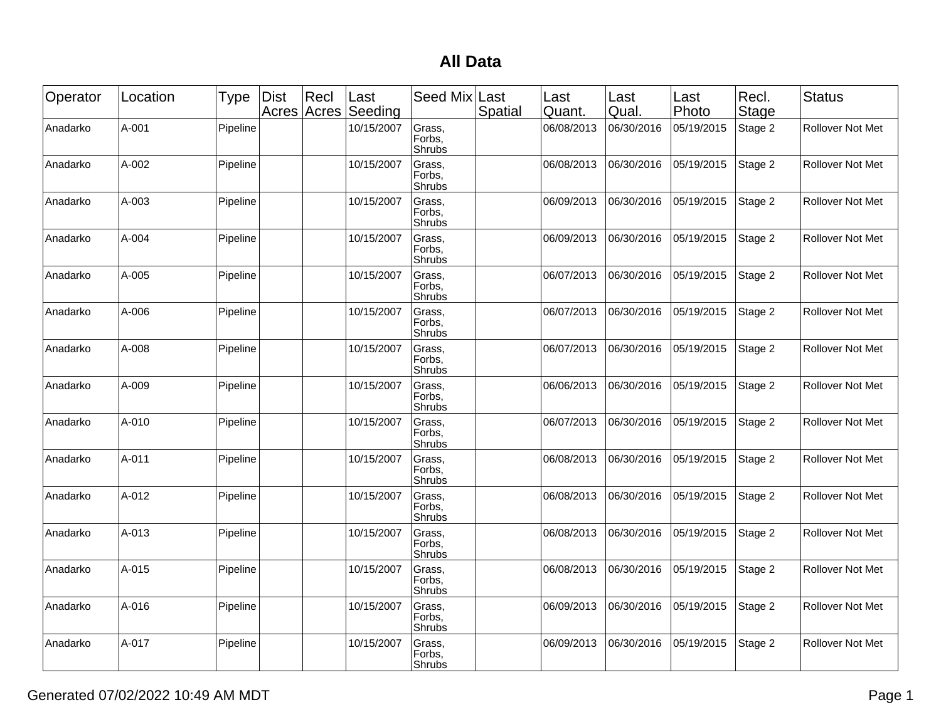## **All Data**

| Operator | Location | <b>Type</b> | <b>Dist</b><br>Acres | Recl<br>Acres | Last<br>Seeding | Seed Mix                   | Last<br>Spatial | Last<br>Quant. | Last<br>Qual. | Last<br>Photo | Recl.<br>Stage | <b>Status</b>           |
|----------|----------|-------------|----------------------|---------------|-----------------|----------------------------|-----------------|----------------|---------------|---------------|----------------|-------------------------|
| Anadarko | A-001    | Pipeline    |                      |               | 10/15/2007      | Grass,<br>Forbs,<br>Shrubs |                 | 06/08/2013     | 06/30/2016    | 05/19/2015    | Stage 2        | Rollover Not Met        |
| Anadarko | A-002    | Pipeline    |                      |               | 10/15/2007      | Grass,<br>Forbs,<br>Shrubs |                 | 06/08/2013     | 06/30/2016    | 05/19/2015    | Stage 2        | <b>Rollover Not Met</b> |
| Anadarko | A-003    | Pipeline    |                      |               | 10/15/2007      | Grass,<br>Forbs,<br>Shrubs |                 | 06/09/2013     | 06/30/2016    | 05/19/2015    | Stage 2        | Rollover Not Met        |
| Anadarko | A-004    | Pipeline    |                      |               | 10/15/2007      | Grass,<br>Forbs,<br>Shrubs |                 | 06/09/2013     | 06/30/2016    | 05/19/2015    | Stage 2        | Rollover Not Met        |
| Anadarko | A-005    | Pipeline    |                      |               | 10/15/2007      | Grass,<br>Forbs,<br>Shrubs |                 | 06/07/2013     | 06/30/2016    | 05/19/2015    | Stage 2        | <b>Rollover Not Met</b> |
| Anadarko | A-006    | Pipeline    |                      |               | 10/15/2007      | Grass,<br>Forbs,<br>Shrubs |                 | 06/07/2013     | 06/30/2016    | 05/19/2015    | Stage 2        | Rollover Not Met        |
| Anadarko | A-008    | Pipeline    |                      |               | 10/15/2007      | Grass,<br>Forbs,<br>Shrubs |                 | 06/07/2013     | 06/30/2016    | 05/19/2015    | Stage 2        | Rollover Not Met        |
| Anadarko | A-009    | Pipeline    |                      |               | 10/15/2007      | Grass,<br>Forbs,<br>Shrubs |                 | 06/06/2013     | 06/30/2016    | 05/19/2015    | Stage 2        | Rollover Not Met        |
| Anadarko | A-010    | Pipeline    |                      |               | 10/15/2007      | Grass,<br>Forbs,<br>Shrubs |                 | 06/07/2013     | 06/30/2016    | 05/19/2015    | Stage 2        | Rollover Not Met        |
| Anadarko | A-011    | Pipeline    |                      |               | 10/15/2007      | Grass,<br>Forbs,<br>Shrubs |                 | 06/08/2013     | 06/30/2016    | 05/19/2015    | Stage 2        | <b>Rollover Not Met</b> |
| Anadarko | A-012    | Pipeline    |                      |               | 10/15/2007      | Grass,<br>Forbs.<br>Shrubs |                 | 06/08/2013     | 06/30/2016    | 05/19/2015    | Stage 2        | Rollover Not Met        |
| Anadarko | A-013    | Pipeline    |                      |               | 10/15/2007      | Grass,<br>Forbs,<br>Shrubs |                 | 06/08/2013     | 06/30/2016    | 05/19/2015    | Stage 2        | Rollover Not Met        |
| Anadarko | A-015    | Pipeline    |                      |               | 10/15/2007      | Grass,<br>Forbs,<br>Shrubs |                 | 06/08/2013     | 06/30/2016    | 05/19/2015    | Stage 2        | <b>Rollover Not Met</b> |
| Anadarko | A-016    | Pipeline    |                      |               | 10/15/2007      | Grass,<br>Forbs,<br>Shrubs |                 | 06/09/2013     | 06/30/2016    | 05/19/2015    | Stage 2        | Rollover Not Met        |
| Anadarko | A-017    | Pipeline    |                      |               | 10/15/2007      | Grass,<br>Forbs,<br>Shrubs |                 | 06/09/2013     | 06/30/2016    | 05/19/2015    | Stage 2        | Rollover Not Met        |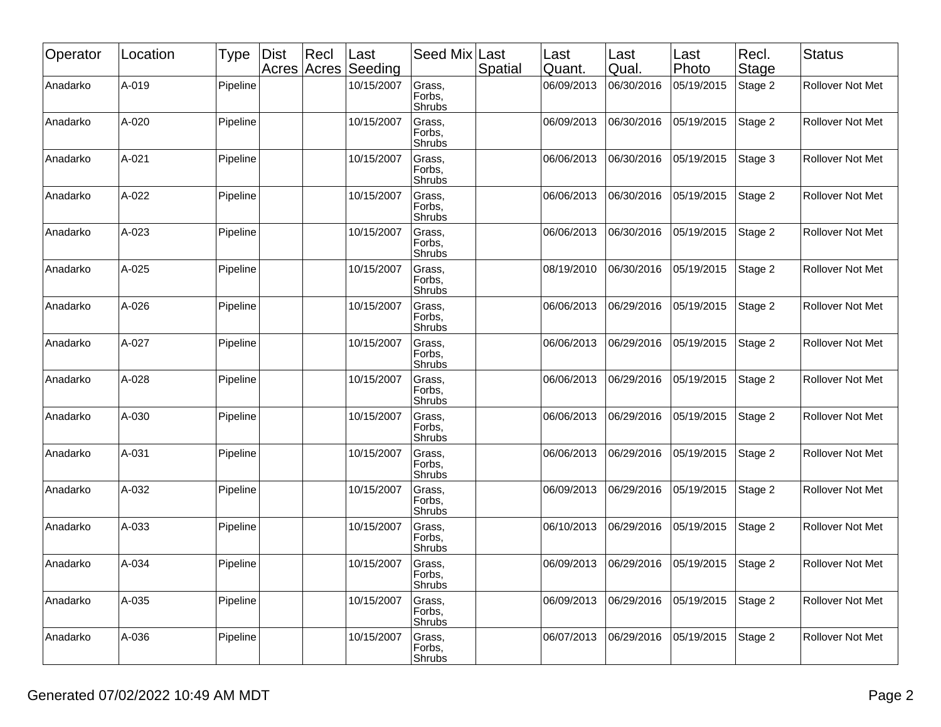| Operator | Location | <b>Type</b> | <b>Dist</b> | Recl<br>Acres Acres | Last<br>Seeding | Seed Mix                   | Last<br>Spatial | Last<br>Quant. | Last<br>Qual. | Last<br>Photo | Recl.<br>Stage | <b>Status</b>           |
|----------|----------|-------------|-------------|---------------------|-----------------|----------------------------|-----------------|----------------|---------------|---------------|----------------|-------------------------|
| Anadarko | A-019    | Pipeline    |             |                     | 10/15/2007      | Grass,<br>Forbs,<br>Shrubs |                 | 06/09/2013     | 06/30/2016    | 05/19/2015    | Stage 2        | Rollover Not Met        |
| Anadarko | A-020    | Pipeline    |             |                     | 10/15/2007      | Grass,<br>Forbs,<br>Shrubs |                 | 06/09/2013     | 06/30/2016    | 05/19/2015    | Stage 2        | <b>Rollover Not Met</b> |
| Anadarko | A-021    | Pipeline    |             |                     | 10/15/2007      | Grass,<br>Forbs,<br>Shrubs |                 | 06/06/2013     | 06/30/2016    | 05/19/2015    | Stage 3        | Rollover Not Met        |
| Anadarko | A-022    | Pipeline    |             |                     | 10/15/2007      | Grass,<br>Forbs,<br>Shrubs |                 | 06/06/2013     | 06/30/2016    | 05/19/2015    | Stage 2        | Rollover Not Met        |
| Anadarko | A-023    | Pipeline    |             |                     | 10/15/2007      | Grass,<br>Forbs,<br>Shrubs |                 | 06/06/2013     | 06/30/2016    | 05/19/2015    | Stage 2        | <b>Rollover Not Met</b> |
| Anadarko | A-025    | Pipeline    |             |                     | 10/15/2007      | Grass,<br>Forbs,<br>Shrubs |                 | 08/19/2010     | 06/30/2016    | 05/19/2015    | Stage 2        | <b>Rollover Not Met</b> |
| Anadarko | A-026    | Pipeline    |             |                     | 10/15/2007      | Grass,<br>Forbs,<br>Shrubs |                 | 06/06/2013     | 06/29/2016    | 05/19/2015    | Stage 2        | Rollover Not Met        |
| Anadarko | A-027    | Pipeline    |             |                     | 10/15/2007      | Grass,<br>Forbs,<br>Shrubs |                 | 06/06/2013     | 06/29/2016    | 05/19/2015    | Stage 2        | <b>Rollover Not Met</b> |
| Anadarko | A-028    | Pipeline    |             |                     | 10/15/2007      | Grass,<br>Forbs,<br>Shrubs |                 | 06/06/2013     | 06/29/2016    | 05/19/2015    | Stage 2        | Rollover Not Met        |
| Anadarko | A-030    | Pipeline    |             |                     | 10/15/2007      | Grass,<br>Forbs,<br>Shrubs |                 | 06/06/2013     | 06/29/2016    | 05/19/2015    | Stage 2        | Rollover Not Met        |
| Anadarko | A-031    | Pipeline    |             |                     | 10/15/2007      | Grass,<br>Forbs,<br>Shrubs |                 | 06/06/2013     | 06/29/2016    | 05/19/2015    | Stage 2        | <b>Rollover Not Met</b> |
| Anadarko | A-032    | Pipeline    |             |                     | 10/15/2007      | Grass,<br>Forbs,<br>Shrubs |                 | 06/09/2013     | 06/29/2016    | 05/19/2015    | Stage 2        | <b>Rollover Not Met</b> |
| Anadarko | A-033    | Pipeline    |             |                     | 10/15/2007      | Grass,<br>Forbs,<br>Shrubs |                 | 06/10/2013     | 06/29/2016    | 05/19/2015    | Stage 2        | Rollover Not Met        |
| Anadarko | A-034    | Pipeline    |             |                     | 10/15/2007      | Grass,<br>Forbs,<br>Shrubs |                 | 06/09/2013     | 06/29/2016    | 05/19/2015    | Stage 2        | <b>Rollover Not Met</b> |
| Anadarko | A-035    | Pipeline    |             |                     | 10/15/2007      | Grass,<br>Forbs,<br>Shrubs |                 | 06/09/2013     | 06/29/2016    | 05/19/2015    | Stage 2        | Rollover Not Met        |
| Anadarko | A-036    | Pipeline    |             |                     | 10/15/2007      | Grass,<br>Forbs,<br>Shrubs |                 | 06/07/2013     | 06/29/2016    | 05/19/2015    | Stage 2        | Rollover Not Met        |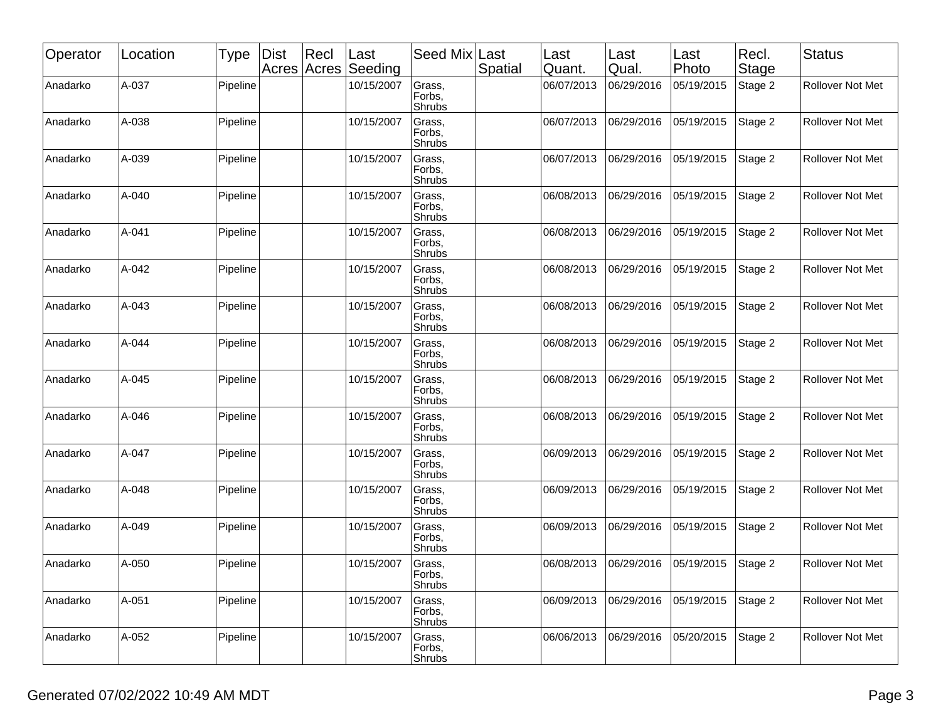| Operator | Location | <b>Type</b> | <b>Dist</b> | Recl<br>Acres Acres | Last<br>Seeding | Seed Mix                   | Last<br>Spatial | Last<br>Quant. | Last<br>Qual. | Last<br>Photo | Recl.<br>Stage | <b>Status</b>           |
|----------|----------|-------------|-------------|---------------------|-----------------|----------------------------|-----------------|----------------|---------------|---------------|----------------|-------------------------|
| Anadarko | A-037    | Pipeline    |             |                     | 10/15/2007      | Grass,<br>Forbs,<br>Shrubs |                 | 06/07/2013     | 06/29/2016    | 05/19/2015    | Stage 2        | Rollover Not Met        |
| Anadarko | A-038    | Pipeline    |             |                     | 10/15/2007      | Grass,<br>Forbs,<br>Shrubs |                 | 06/07/2013     | 06/29/2016    | 05/19/2015    | Stage 2        | <b>Rollover Not Met</b> |
| Anadarko | A-039    | Pipeline    |             |                     | 10/15/2007      | Grass,<br>Forbs,<br>Shrubs |                 | 06/07/2013     | 06/29/2016    | 05/19/2015    | Stage 2        | Rollover Not Met        |
| Anadarko | A-040    | Pipeline    |             |                     | 10/15/2007      | Grass,<br>Forbs,<br>Shrubs |                 | 06/08/2013     | 06/29/2016    | 05/19/2015    | Stage 2        | Rollover Not Met        |
| Anadarko | A-041    | Pipeline    |             |                     | 10/15/2007      | Grass,<br>Forbs,<br>Shrubs |                 | 06/08/2013     | 06/29/2016    | 05/19/2015    | Stage 2        | <b>Rollover Not Met</b> |
| Anadarko | A-042    | Pipeline    |             |                     | 10/15/2007      | Grass,<br>Forbs,<br>Shrubs |                 | 06/08/2013     | 06/29/2016    | 05/19/2015    | Stage 2        | <b>Rollover Not Met</b> |
| Anadarko | A-043    | Pipeline    |             |                     | 10/15/2007      | Grass,<br>Forbs,<br>Shrubs |                 | 06/08/2013     | 06/29/2016    | 05/19/2015    | Stage 2        | Rollover Not Met        |
| Anadarko | A-044    | Pipeline    |             |                     | 10/15/2007      | Grass,<br>Forbs,<br>Shrubs |                 | 06/08/2013     | 06/29/2016    | 05/19/2015    | Stage 2        | <b>Rollover Not Met</b> |
| Anadarko | A-045    | Pipeline    |             |                     | 10/15/2007      | Grass,<br>Forbs,<br>Shrubs |                 | 06/08/2013     | 06/29/2016    | 05/19/2015    | Stage 2        | Rollover Not Met        |
| Anadarko | A-046    | Pipeline    |             |                     | 10/15/2007      | Grass,<br>Forbs,<br>Shrubs |                 | 06/08/2013     | 06/29/2016    | 05/19/2015    | Stage 2        | Rollover Not Met        |
| Anadarko | A-047    | Pipeline    |             |                     | 10/15/2007      | Grass,<br>Forbs,<br>Shrubs |                 | 06/09/2013     | 06/29/2016    | 05/19/2015    | Stage 2        | <b>Rollover Not Met</b> |
| Anadarko | A-048    | Pipeline    |             |                     | 10/15/2007      | Grass,<br>Forbs,<br>Shrubs |                 | 06/09/2013     | 06/29/2016    | 05/19/2015    | Stage 2        | <b>Rollover Not Met</b> |
| Anadarko | A-049    | Pipeline    |             |                     | 10/15/2007      | Grass,<br>Forbs,<br>Shrubs |                 | 06/09/2013     | 06/29/2016    | 05/19/2015    | Stage 2        | Rollover Not Met        |
| Anadarko | A-050    | Pipeline    |             |                     | 10/15/2007      | Grass,<br>Forbs,<br>Shrubs |                 | 06/08/2013     | 06/29/2016    | 05/19/2015    | Stage 2        | <b>Rollover Not Met</b> |
| Anadarko | A-051    | Pipeline    |             |                     | 10/15/2007      | Grass,<br>Forbs,<br>Shrubs |                 | 06/09/2013     | 06/29/2016    | 05/19/2015    | Stage 2        | Rollover Not Met        |
| Anadarko | A-052    | Pipeline    |             |                     | 10/15/2007      | Grass,<br>Forbs,<br>Shrubs |                 | 06/06/2013     | 06/29/2016    | 05/20/2015    | Stage 2        | Rollover Not Met        |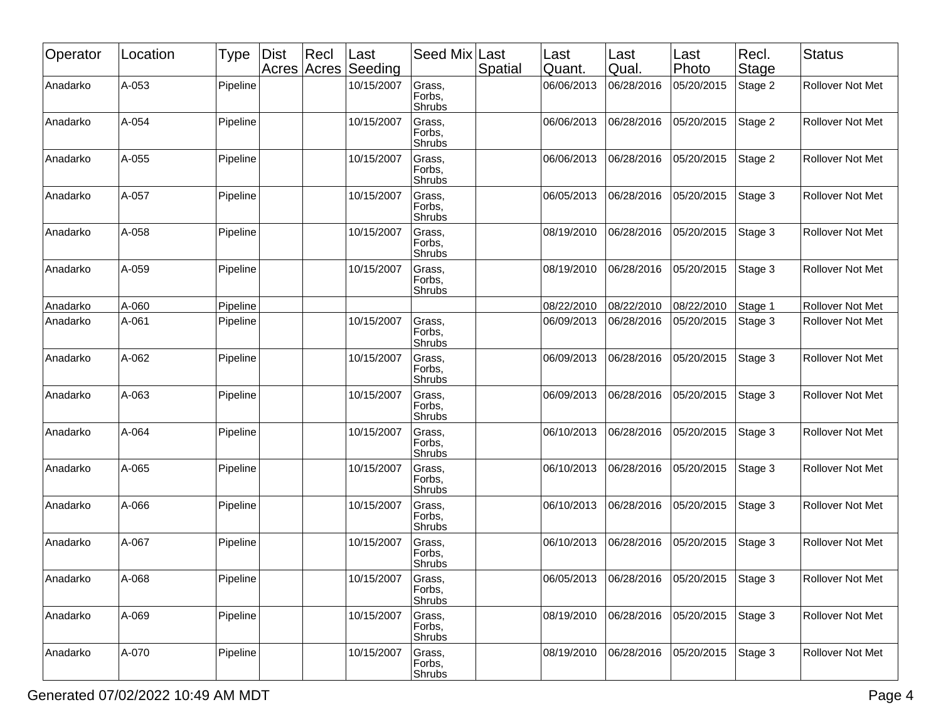| Operator | Location | <b>Type</b> | <b>Dist</b> | Recl<br>Acres Acres | Last<br>Seeding | Seed Mix Last              | Spatial | ∣Last<br>Quant. | Last<br>Qual. | Last<br>Photo | Recl.<br>Stage | <b>Status</b>           |
|----------|----------|-------------|-------------|---------------------|-----------------|----------------------------|---------|-----------------|---------------|---------------|----------------|-------------------------|
| Anadarko | A-053    | Pipeline    |             |                     | 10/15/2007      | Grass,<br>Forbs,<br>Shrubs |         | 06/06/2013      | 06/28/2016    | 05/20/2015    | Stage 2        | <b>Rollover Not Met</b> |
| Anadarko | A-054    | Pipeline    |             |                     | 10/15/2007      | Grass,<br>Forbs,<br>Shrubs |         | 06/06/2013      | 06/28/2016    | 05/20/2015    | Stage 2        | Rollover Not Met        |
| Anadarko | A-055    | Pipeline    |             |                     | 10/15/2007      | Grass,<br>Forbs,<br>Shrubs |         | 06/06/2013      | 06/28/2016    | 05/20/2015    | Stage 2        | Rollover Not Met        |
| Anadarko | A-057    | Pipeline    |             |                     | 10/15/2007      | Grass,<br>Forbs,<br>Shrubs |         | 06/05/2013      | 06/28/2016    | 05/20/2015    | Stage 3        | <b>Rollover Not Met</b> |
| Anadarko | A-058    | Pipeline    |             |                     | 10/15/2007      | Grass,<br>Forbs,<br>Shrubs |         | 08/19/2010      | 06/28/2016    | 05/20/2015    | Stage 3        | Rollover Not Met        |
| Anadarko | A-059    | Pipeline    |             |                     | 10/15/2007      | Grass,<br>Forbs,<br>Shrubs |         | 08/19/2010      | 06/28/2016    | 05/20/2015    | Stage 3        | <b>Rollover Not Met</b> |
| Anadarko | A-060    | Pipeline    |             |                     |                 |                            |         | 08/22/2010      | 08/22/2010    | 08/22/2010    | Stage 1        | Rollover Not Met        |
| Anadarko | A-061    | Pipeline    |             |                     | 10/15/2007      | Grass,<br>Forbs,<br>Shrubs |         | 06/09/2013      | 06/28/2016    | 05/20/2015    | Stage 3        | <b>Rollover Not Met</b> |
| Anadarko | A-062    | Pipeline    |             |                     | 10/15/2007      | Grass,<br>Forbs,<br>Shrubs |         | 06/09/2013      | 06/28/2016    | 05/20/2015    | Stage 3        | Rollover Not Met        |
| Anadarko | A-063    | Pipeline    |             |                     | 10/15/2007      | Grass,<br>Forbs,<br>Shrubs |         | 06/09/2013      | 06/28/2016    | 05/20/2015    | Stage 3        | <b>Rollover Not Met</b> |
| Anadarko | A-064    | Pipeline    |             |                     | 10/15/2007      | Grass,<br>Forbs,<br>Shrubs |         | 06/10/2013      | 06/28/2016    | 05/20/2015    | Stage 3        | Rollover Not Met        |
| Anadarko | A-065    | Pipeline    |             |                     | 10/15/2007      | Grass,<br>Forbs,<br>Shrubs |         | 06/10/2013      | 06/28/2016    | 05/20/2015    | Stage 3        | Rollover Not Met        |
| Anadarko | A-066    | Pipeline    |             |                     | 10/15/2007      | Grass,<br>Forbs,<br>Shrubs |         | 06/10/2013      | 06/28/2016    | 05/20/2015    | Stage 3        | Rollover Not Met        |
| Anadarko | A-067    | Pipeline    |             |                     | 10/15/2007      | Grass,<br>Forbs,<br>Shrubs |         | 06/10/2013      | 06/28/2016    | 05/20/2015    | Stage 3        | Rollover Not Met        |
| Anadarko | A-068    | Pipeline    |             |                     | 10/15/2007      | Grass,<br>Forbs,<br>Shrubs |         | 06/05/2013      | 06/28/2016    | 05/20/2015    | Stage 3        | Rollover Not Met        |
| Anadarko | A-069    | Pipeline    |             |                     | 10/15/2007      | Grass,<br>Forbs,<br>Shrubs |         | 08/19/2010      | 06/28/2016    | 05/20/2015    | Stage 3        | Rollover Not Met        |
| Anadarko | A-070    | Pipeline    |             |                     | 10/15/2007      | Grass,<br>Forbs,<br>Shrubs |         | 08/19/2010      | 06/28/2016    | 05/20/2015    | Stage 3        | Rollover Not Met        |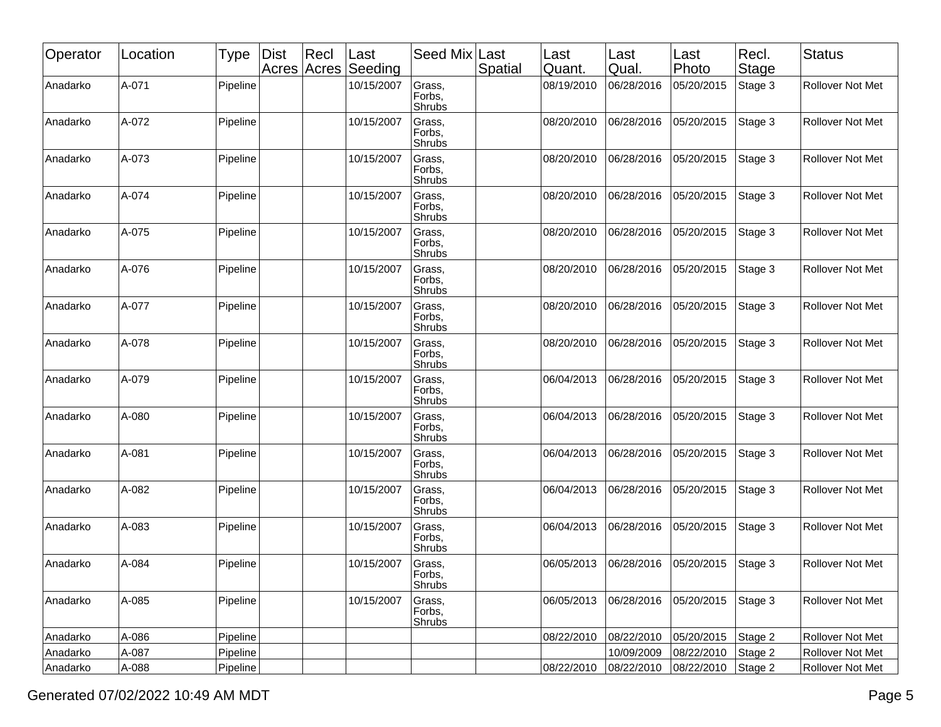| Operator | Location | <b>Type</b> | <b>Dist</b> | Recl<br>Acres Acres | Last<br>Seeding | Seed Mix                          | Last<br>Spatial | Last<br>Quant. | Last<br> Qual. | Last<br>Photo | Recl.<br>Stage | Status                  |
|----------|----------|-------------|-------------|---------------------|-----------------|-----------------------------------|-----------------|----------------|----------------|---------------|----------------|-------------------------|
| Anadarko | A-071    | Pipeline    |             |                     | 10/15/2007      | Grass,<br>Forbs,<br>Shrubs        |                 | 08/19/2010     | 06/28/2016     | 05/20/2015    | Stage 3        | Rollover Not Met        |
| Anadarko | A-072    | Pipeline    |             |                     | 10/15/2007      | Grass,<br>Forbs,<br>Shrubs        |                 | 08/20/2010     | 06/28/2016     | 05/20/2015    | Stage 3        | <b>Rollover Not Met</b> |
| Anadarko | A-073    | Pipeline    |             |                     | 10/15/2007      | Grass,<br>Forbs,<br>Shrubs        |                 | 08/20/2010     | 06/28/2016     | 05/20/2015    | Stage 3        | Rollover Not Met        |
| Anadarko | A-074    | Pipeline    |             |                     | 10/15/2007      | Grass,<br>Forbs,<br>Shrubs        |                 | 08/20/2010     | 06/28/2016     | 05/20/2015    | Stage 3        | Rollover Not Met        |
| Anadarko | A-075    | Pipeline    |             |                     | 10/15/2007      | Grass,<br>Forbs,<br>Shrubs        |                 | 08/20/2010     | 06/28/2016     | 05/20/2015    | Stage 3        | Rollover Not Met        |
| Anadarko | A-076    | Pipeline    |             |                     | 10/15/2007      | Grass,<br>Forbs,<br>Shrubs        |                 | 08/20/2010     | 06/28/2016     | 05/20/2015    | Stage 3        | <b>Rollover Not Met</b> |
| Anadarko | A-077    | Pipeline    |             |                     | 10/15/2007      | Grass,<br>Forbs,<br>Shrubs        |                 | 08/20/2010     | 06/28/2016     | 05/20/2015    | Stage 3        | Rollover Not Met        |
| Anadarko | A-078    | Pipeline    |             |                     | 10/15/2007      | Grass,<br>Forbs,<br>Shrubs        |                 | 08/20/2010     | 06/28/2016     | 05/20/2015    | Stage 3        | <b>Rollover Not Met</b> |
| Anadarko | A-079    | Pipeline    |             |                     | 10/15/2007      | Grass,<br>Forbs,<br>Shrubs        |                 | 06/04/2013     | 06/28/2016     | 05/20/2015    | Stage 3        | <b>Rollover Not Met</b> |
| Anadarko | A-080    | Pipeline    |             |                     | 10/15/2007      | Grass,<br>Forbs,<br>Shrubs        |                 | 06/04/2013     | 06/28/2016     | 05/20/2015    | Stage 3        | Rollover Not Met        |
| Anadarko | A-081    | Pipeline    |             |                     | 10/15/2007      | Grass,<br>Forbs,<br>Shrubs        |                 | 06/04/2013     | 06/28/2016     | 05/20/2015    | Stage 3        | <b>Rollover Not Met</b> |
| Anadarko | A-082    | Pipeline    |             |                     | 10/15/2007      | Grass,<br>Forbs,<br>Shrubs        |                 | 06/04/2013     | 06/28/2016     | 05/20/2015    | Stage 3        | <b>Rollover Not Met</b> |
| Anadarko | A-083    | Pipeline    |             |                     | 10/15/2007      | Grass,<br>Forbs,<br>Shrubs        |                 | 06/04/2013     | 06/28/2016     | 05/20/2015    | Stage 3        | Rollover Not Met        |
| Anadarko | A-084    | Pipeline    |             |                     | 10/15/2007      | Grass,<br>Forbs,<br><b>Shrubs</b> |                 | 06/05/2013     | 06/28/2016     | 05/20/2015    | Stage 3        | Rollover Not Met        |
| Anadarko | A-085    | Pipeline    |             |                     | 10/15/2007      | Grass,<br>Forbs,<br>Shrubs        |                 | 06/05/2013     | 06/28/2016     | 05/20/2015    | Stage 3        | Rollover Not Met        |
| Anadarko | A-086    | Pipeline    |             |                     |                 |                                   |                 | 08/22/2010     | 08/22/2010     | 05/20/2015    | Stage 2        | Rollover Not Met        |
| Anadarko | A-087    | Pipeline    |             |                     |                 |                                   |                 |                | 10/09/2009     | 08/22/2010    | Stage 2        | Rollover Not Met        |
| Anadarko | A-088    | Pipeline    |             |                     |                 |                                   |                 | 08/22/2010     | 08/22/2010     | 08/22/2010    | Stage 2        | Rollover Not Met        |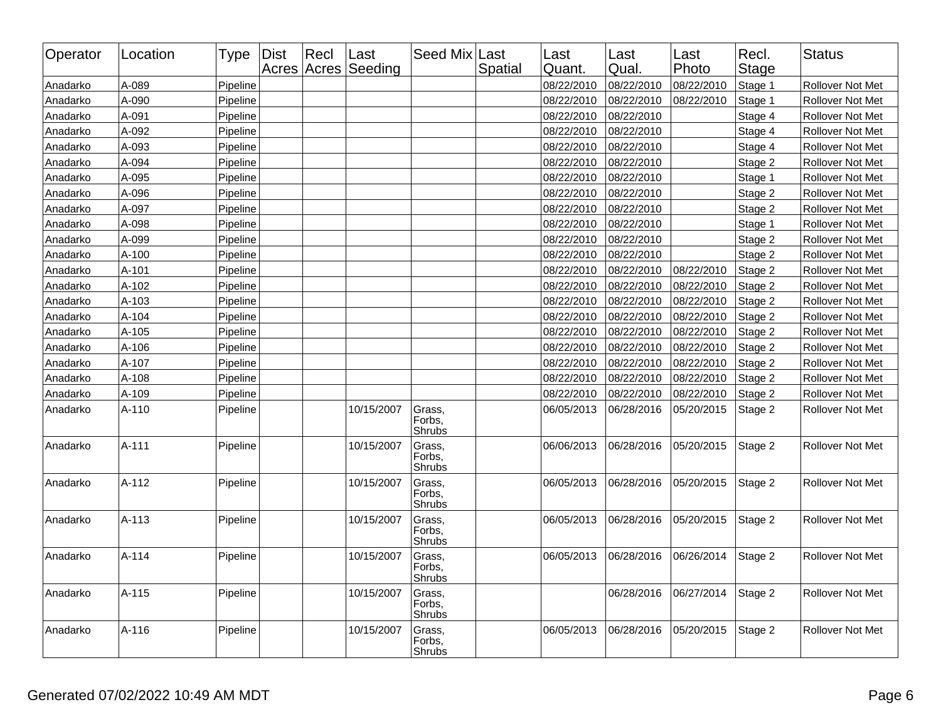| Operator | Location | <b>Type</b> | <b>Dist</b> | Recl | Last<br>Acres Acres Seeding | Seed Mix Last              | Spatial | Last<br>Quant. | Last<br>Qual. | Last<br>Photo | Recl.<br><b>Stage</b> | <b>Status</b>           |
|----------|----------|-------------|-------------|------|-----------------------------|----------------------------|---------|----------------|---------------|---------------|-----------------------|-------------------------|
| Anadarko | A-089    | Pipeline    |             |      |                             |                            |         | 08/22/2010     | 08/22/2010    | 08/22/2010    | Stage 1               | Rollover Not Met        |
| Anadarko | A-090    | Pipeline    |             |      |                             |                            |         | 08/22/2010     | 08/22/2010    | 08/22/2010    | Stage 1               | Rollover Not Met        |
| Anadarko | A-091    | Pipeline    |             |      |                             |                            |         | 08/22/2010     | 08/22/2010    |               | Stage 4               | Rollover Not Met        |
| Anadarko | A-092    | Pipeline    |             |      |                             |                            |         | 08/22/2010     | 08/22/2010    |               | Stage 4               | Rollover Not Met        |
| Anadarko | A-093    | Pipeline    |             |      |                             |                            |         | 08/22/2010     | 08/22/2010    |               | Stage 4               | Rollover Not Met        |
| Anadarko | A-094    | Pipeline    |             |      |                             |                            |         | 08/22/2010     | 08/22/2010    |               | Stage 2               | Rollover Not Met        |
| Anadarko | A-095    | Pipeline    |             |      |                             |                            |         | 08/22/2010     | 08/22/2010    |               | Stage 1               | Rollover Not Met        |
| Anadarko | A-096    | Pipeline    |             |      |                             |                            |         | 08/22/2010     | 08/22/2010    |               | Stage 2               | Rollover Not Met        |
| Anadarko | A-097    | Pipeline    |             |      |                             |                            |         | 08/22/2010     | 08/22/2010    |               | Stage 2               | <b>Rollover Not Met</b> |
| Anadarko | A-098    | Pipeline    |             |      |                             |                            |         | 08/22/2010     | 08/22/2010    |               | Stage 1               | Rollover Not Met        |
| Anadarko | A-099    | Pipeline    |             |      |                             |                            |         | 08/22/2010     | 08/22/2010    |               | Stage 2               | Rollover Not Met        |
| Anadarko | $A-100$  | Pipeline    |             |      |                             |                            |         | 08/22/2010     | 08/22/2010    |               | Stage 2               | <b>Rollover Not Met</b> |
| Anadarko | A-101    | Pipeline    |             |      |                             |                            |         | 08/22/2010     | 08/22/2010    | 08/22/2010    | Stage 2               | Rollover Not Met        |
| Anadarko | A-102    | Pipeline    |             |      |                             |                            |         | 08/22/2010     | 08/22/2010    | 08/22/2010    | Stage 2               | Rollover Not Met        |
| Anadarko | A-103    | Pipeline    |             |      |                             |                            |         | 08/22/2010     | 08/22/2010    | 08/22/2010    | Stage 2               | Rollover Not Met        |
| Anadarko | A-104    | Pipeline    |             |      |                             |                            |         | 08/22/2010     | 08/22/2010    | 08/22/2010    | Stage 2               | <b>Rollover Not Met</b> |
| Anadarko | A-105    | Pipeline    |             |      |                             |                            |         | 08/22/2010     | 08/22/2010    | 08/22/2010    | Stage 2               | Rollover Not Met        |
| Anadarko | A-106    | Pipeline    |             |      |                             |                            |         | 08/22/2010     | 08/22/2010    | 08/22/2010    | Stage 2               | Rollover Not Met        |
| Anadarko | A-107    | Pipeline    |             |      |                             |                            |         | 08/22/2010     | 08/22/2010    | 08/22/2010    | Stage 2               | Rollover Not Met        |
| Anadarko | A-108    | Pipeline    |             |      |                             |                            |         | 08/22/2010     | 08/22/2010    | 08/22/2010    | Stage 2               | Rollover Not Met        |
| Anadarko | A-109    | Pipeline    |             |      |                             |                            |         | 08/22/2010     | 08/22/2010    | 08/22/2010    | Stage 2               | <b>Rollover Not Met</b> |
| Anadarko | A-110    | Pipeline    |             |      | 10/15/2007                  | Grass,<br>Forbs.<br>Shrubs |         | 06/05/2013     | 06/28/2016    | 05/20/2015    | Stage 2               | Rollover Not Met        |
| Anadarko | A-111    | Pipeline    |             |      | 10/15/2007                  | Grass,<br>Forbs.<br>Shrubs |         | 06/06/2013     | 06/28/2016    | 05/20/2015    | Stage 2               | Rollover Not Met        |
| Anadarko | A-112    | Pipeline    |             |      | 10/15/2007                  | Grass,<br>Forbs,<br>Shrubs |         | 06/05/2013     | 06/28/2016    | 05/20/2015    | Stage 2               | Rollover Not Met        |
| Anadarko | A-113    | Pipeline    |             |      | 10/15/2007                  | Grass,<br>Forbs,<br>Shrubs |         | 06/05/2013     | 06/28/2016    | 05/20/2015    | Stage 2               | Rollover Not Met        |
| Anadarko | $A-114$  | Pipeline    |             |      | 10/15/2007                  | Grass.<br>Forbs,<br>Shrubs |         | 06/05/2013     | 06/28/2016    | 06/26/2014    | Stage 2               | <b>Rollover Not Met</b> |
| Anadarko | A-115    | Pipeline    |             |      | 10/15/2007                  | Grass,<br>Forbs,<br>Shrubs |         |                | 06/28/2016    | 06/27/2014    | Stage 2               | Rollover Not Met        |
| Anadarko | A-116    | Pipeline    |             |      | 10/15/2007                  | Grass,<br>Forbs,<br>Shrubs |         | 06/05/2013     | 06/28/2016    | 05/20/2015    | Stage 2               | <b>Rollover Not Met</b> |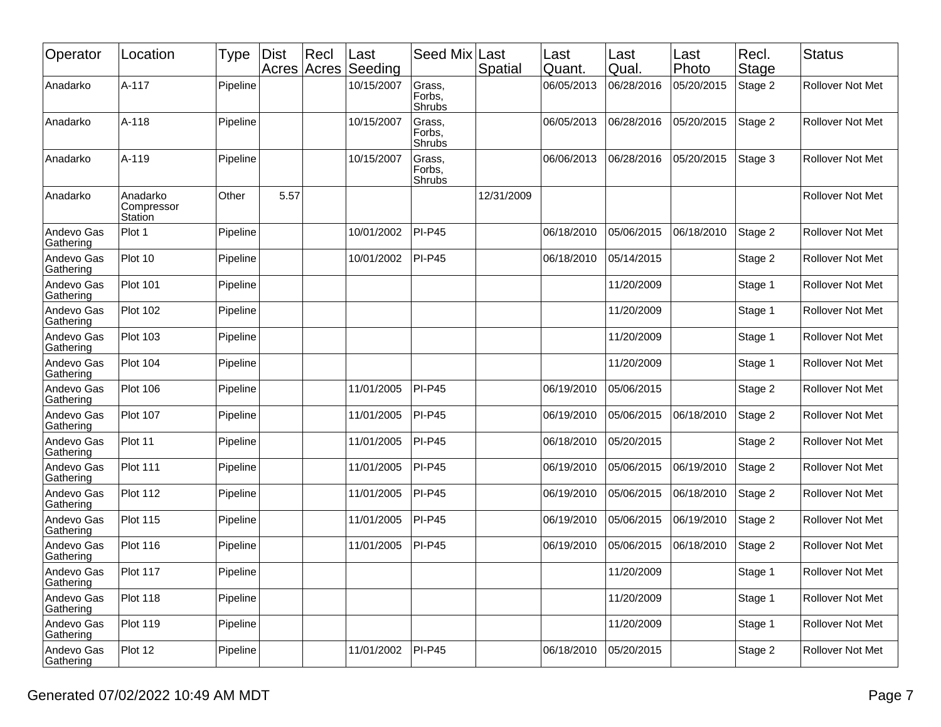| Operator                | Location                          | Type     | <b>Dist</b><br>Acres Acres | $ $ Recl | ∣Last<br>Seeding | Seed Mix                   | Last<br>Spatial | Last<br>Quant. | Last<br>Qual. | Last<br>Photo | Recl.<br>Stage | <b>Status</b>           |
|-------------------------|-----------------------------------|----------|----------------------------|----------|------------------|----------------------------|-----------------|----------------|---------------|---------------|----------------|-------------------------|
| Anadarko                | A-117                             | Pipeline |                            |          | 10/15/2007       | Grass,<br>Forbs,<br>Shrubs |                 | 06/05/2013     | 06/28/2016    | 05/20/2015    | Stage 2        | Rollover Not Met        |
| Anadarko                | A-118                             | Pipeline |                            |          | 10/15/2007       | Grass,<br>Forbs,<br>Shrubs |                 | 06/05/2013     | 06/28/2016    | 05/20/2015    | Stage 2        | <b>Rollover Not Met</b> |
| Anadarko                | A-119                             | Pipeline |                            |          | 10/15/2007       | Grass,<br>Forbs,<br>Shrubs |                 | 06/06/2013     | 06/28/2016    | 05/20/2015    | Stage 3        | Rollover Not Met        |
| Anadarko                | Anadarko<br>Compressor<br>Station | Other    | 5.57                       |          |                  |                            | 12/31/2009      |                |               |               |                | <b>Rollover Not Met</b> |
| Andevo Gas<br>Gathering | Plot 1                            | Pipeline |                            |          | 10/01/2002       | <b>PI-P45</b>              |                 | 06/18/2010     | 05/06/2015    | 06/18/2010    | Stage 2        | Rollover Not Met        |
| Andevo Gas<br>Gathering | Plot 10                           | Pipeline |                            |          | 10/01/2002       | <b>PI-P45</b>              |                 | 06/18/2010     | 05/14/2015    |               | Stage 2        | Rollover Not Met        |
| Andevo Gas<br>Gathering | <b>Plot 101</b>                   | Pipeline |                            |          |                  |                            |                 |                | 11/20/2009    |               | Stage 1        | <b>Rollover Not Met</b> |
| Andevo Gas<br>Gathering | <b>Plot 102</b>                   | Pipeline |                            |          |                  |                            |                 |                | 11/20/2009    |               | Stage 1        | <b>Rollover Not Met</b> |
| Andevo Gas<br>Gathering | <b>Plot 103</b>                   | Pipeline |                            |          |                  |                            |                 |                | 11/20/2009    |               | Stage 1        | Rollover Not Met        |
| Andevo Gas<br>Gathering | <b>Plot 104</b>                   | Pipeline |                            |          |                  |                            |                 |                | 11/20/2009    |               | Stage 1        | Rollover Not Met        |
| Andevo Gas<br>Gathering | <b>Plot 106</b>                   | Pipeline |                            |          | 11/01/2005       | $PI-P45$                   |                 | 06/19/2010     | 05/06/2015    |               | Stage 2        | Rollover Not Met        |
| Andevo Gas<br>Gathering | <b>Plot 107</b>                   | Pipeline |                            |          | 11/01/2005       | PI-P45                     |                 | 06/19/2010     | 05/06/2015    | 06/18/2010    | Stage 2        | Rollover Not Met        |
| Andevo Gas<br>Gathering | Plot 11                           | Pipeline |                            |          | 11/01/2005       | $PI-P45$                   |                 | 06/18/2010     | 05/20/2015    |               | Stage 2        | <b>Rollover Not Met</b> |
| Andevo Gas<br>Gathering | <b>Plot 111</b>                   | Pipeline |                            |          | 11/01/2005       | $PI-P45$                   |                 | 06/19/2010     | 05/06/2015    | 06/19/2010    | Stage 2        | Rollover Not Met        |
| Andevo Gas<br>Gathering | <b>Plot 112</b>                   | Pipeline |                            |          | 11/01/2005       | PI-P45                     |                 | 06/19/2010     | 05/06/2015    | 06/18/2010    | Stage 2        | Rollover Not Met        |
| Andevo Gas<br>Gathering | <b>Plot 115</b>                   | Pipeline |                            |          | 11/01/2005       | $PI-P45$                   |                 | 06/19/2010     | 05/06/2015    | 06/19/2010    | Stage 2        | Rollover Not Met        |
| Andevo Gas<br>Gathering | Plot 116                          | Pipeline |                            |          | 11/01/2005       | $PI-P45$                   |                 | 06/19/2010     | 05/06/2015    | 06/18/2010    | Stage 2        | Rollover Not Met        |
| Andevo Gas<br>Gathering | Plot 117                          | Pipeline |                            |          |                  |                            |                 |                | 11/20/2009    |               | Stage 1        | Rollover Not Met        |
| Andevo Gas<br>Gathering | <b>Plot 118</b>                   | Pipeline |                            |          |                  |                            |                 |                | 11/20/2009    |               | Stage 1        | Rollover Not Met        |
| Andevo Gas<br>Gathering | <b>Plot 119</b>                   | Pipeline |                            |          |                  |                            |                 |                | 11/20/2009    |               | Stage 1        | Rollover Not Met        |
| Andevo Gas<br>Gathering | Plot 12                           | Pipeline |                            |          | 11/01/2002       | <b>PI-P45</b>              |                 | 06/18/2010     | 05/20/2015    |               | Stage 2        | Rollover Not Met        |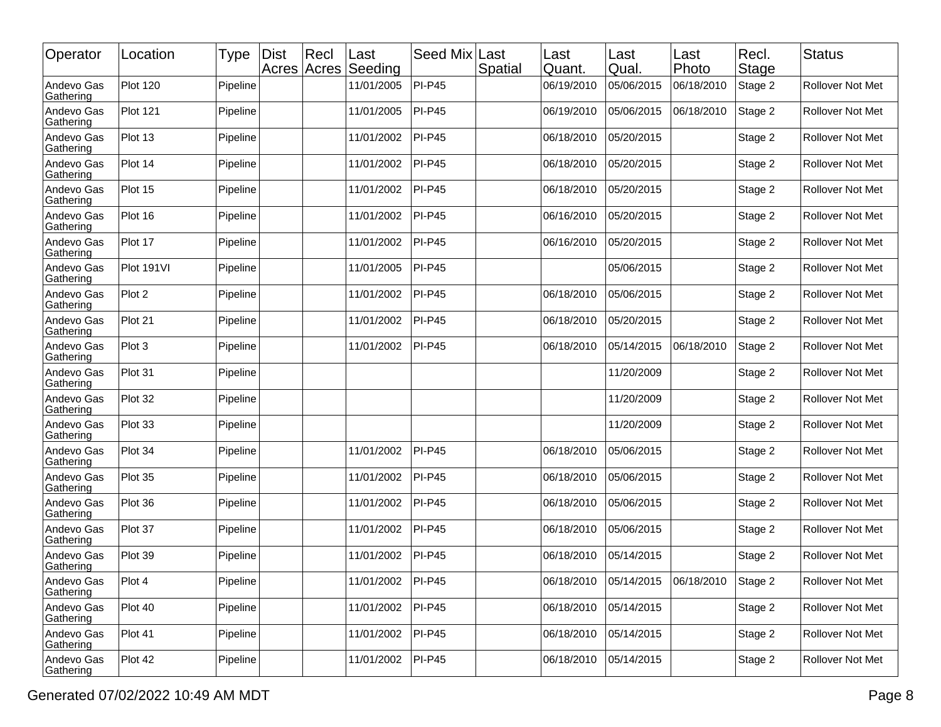| Operator                | Location        | Type     | <b>Dist</b><br>Acres Acres | $ $ Recl | Last<br>Seeding | Seed Mix Last | Spatial | Last<br>Quant. | Last<br>Qual. | Last<br>Photo | Recl.<br>Stage | <b>Status</b>           |
|-------------------------|-----------------|----------|----------------------------|----------|-----------------|---------------|---------|----------------|---------------|---------------|----------------|-------------------------|
| Andevo Gas<br>Gathering | <b>Plot 120</b> | Pipeline |                            |          | 11/01/2005      | <b>PI-P45</b> |         | 06/19/2010     | 05/06/2015    | 06/18/2010    | Stage 2        | Rollover Not Met        |
| Andevo Gas<br>Gathering | <b>Plot 121</b> | Pipeline |                            |          | 11/01/2005      | <b>PI-P45</b> |         | 06/19/2010     | 05/06/2015    | 06/18/2010    | Stage 2        | Rollover Not Met        |
| Andevo Gas<br>Gathering | Plot 13         | Pipeline |                            |          | 11/01/2002      | <b>PI-P45</b> |         | 06/18/2010     | 05/20/2015    |               | Stage 2        | Rollover Not Met        |
| Andevo Gas<br>Gathering | Plot 14         | Pipeline |                            |          | 11/01/2002      | <b>PI-P45</b> |         | 06/18/2010     | 05/20/2015    |               | Stage 2        | Rollover Not Met        |
| Andevo Gas<br>Gathering | Plot 15         | Pipeline |                            |          | 11/01/2002      | <b>PI-P45</b> |         | 06/18/2010     | 05/20/2015    |               | Stage 2        | Rollover Not Met        |
| Andevo Gas<br>Gathering | Plot 16         | Pipeline |                            |          | 11/01/2002      | <b>PI-P45</b> |         | 06/16/2010     | 05/20/2015    |               | Stage 2        | <b>Rollover Not Met</b> |
| Andevo Gas<br>Gathering | Plot 17         | Pipeline |                            |          | 11/01/2002      | <b>PI-P45</b> |         | 06/16/2010     | 05/20/2015    |               | Stage 2        | <b>Rollover Not Met</b> |
| Andevo Gas<br>Gathering | Plot 191VI      | Pipeline |                            |          | 11/01/2005      | <b>PI-P45</b> |         |                | 05/06/2015    |               | Stage 2        | Rollover Not Met        |
| Andevo Gas<br>Gathering | Plot 2          | Pipeline |                            |          | 11/01/2002      | <b>PI-P45</b> |         | 06/18/2010     | 05/06/2015    |               | Stage 2        | Rollover Not Met        |
| Andevo Gas<br>Gathering | Plot 21         | Pipeline |                            |          | 11/01/2002      | <b>PI-P45</b> |         | 06/18/2010     | 05/20/2015    |               | Stage 2        | Rollover Not Met        |
| Andevo Gas<br>Gathering | Plot 3          | Pipeline |                            |          | 11/01/2002      | <b>PI-P45</b> |         | 06/18/2010     | 05/14/2015    | 06/18/2010    | Stage 2        | Rollover Not Met        |
| Andevo Gas<br>Gathering | Plot 31         | Pipeline |                            |          |                 |               |         |                | 11/20/2009    |               | Stage 2        | <b>Rollover Not Met</b> |
| Andevo Gas<br>Gathering | Plot 32         | Pipeline |                            |          |                 |               |         |                | 11/20/2009    |               | Stage 2        | <b>Rollover Not Met</b> |
| Andevo Gas<br>Gathering | Plot 33         | Pipeline |                            |          |                 |               |         |                | 11/20/2009    |               | Stage 2        | Rollover Not Met        |
| Andevo Gas<br>Gathering | Plot 34         | Pipeline |                            |          | 11/01/2002      | <b>PI-P45</b> |         | 06/18/2010     | 05/06/2015    |               | Stage 2        | Rollover Not Met        |
| Andevo Gas<br>Gathering | Plot 35         | Pipeline |                            |          | 11/01/2002      | <b>PI-P45</b> |         | 06/18/2010     | 05/06/2015    |               | Stage 2        | Rollover Not Met        |
| Andevo Gas<br>Gathering | Plot 36         | Pipeline |                            |          | 11/01/2002      | <b>PI-P45</b> |         | 06/18/2010     | 05/06/2015    |               | Stage 2        | <b>Rollover Not Met</b> |
| Andevo Gas<br>Gathering | Plot 37         | Pipeline |                            |          | 11/01/2002      | <b>PI-P45</b> |         | 06/18/2010     | 05/06/2015    |               | Stage 2        | Rollover Not Met        |
| Andevo Gas<br>Gathering | Plot 39         | Pipeline |                            |          | 11/01/2002      | <b>PI-P45</b> |         | 06/18/2010     | 05/14/2015    |               | Stage 2        | Rollover Not Met        |
| Andevo Gas<br>Gathering | Plot 4          | Pipeline |                            |          | 11/01/2002      | $PI-P45$      |         | 06/18/2010     | 05/14/2015    | 06/18/2010    | Stage 2        | <b>Rollover Not Met</b> |
| Andevo Gas<br>Gathering | Plot 40         | Pipeline |                            |          | 11/01/2002      | <b>PI-P45</b> |         | 06/18/2010     | 05/14/2015    |               | Stage 2        | Rollover Not Met        |
| Andevo Gas<br>Gathering | Plot 41         | Pipeline |                            |          | 11/01/2002      | <b>PI-P45</b> |         | 06/18/2010     | 05/14/2015    |               | Stage 2        | Rollover Not Met        |
| Andevo Gas<br>Gathering | Plot 42         | Pipeline |                            |          | 11/01/2002      | <b>PI-P45</b> |         | 06/18/2010     | 05/14/2015    |               | Stage 2        | Rollover Not Met        |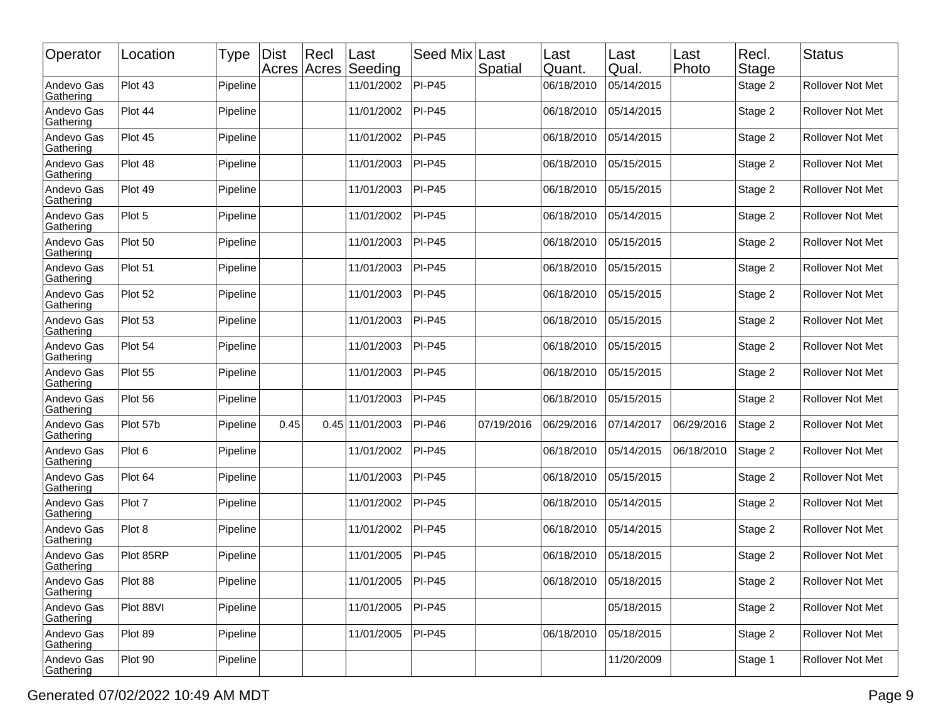| Operator                | Location  | Type     | <b>Dist</b> | Rec <br>Acres Acres | Last<br>Seeding | Seed Mix      | Last<br>Spatial | Last<br>Quant. | Last<br>Qual. | Last<br>Photo | Recl.<br>Stage | <b>Status</b>           |
|-------------------------|-----------|----------|-------------|---------------------|-----------------|---------------|-----------------|----------------|---------------|---------------|----------------|-------------------------|
| Andevo Gas<br>Gathering | Plot 43   | Pipeline |             |                     | 11/01/2002      | <b>PI-P45</b> |                 | 06/18/2010     | 05/14/2015    |               | Stage 2        | <b>Rollover Not Met</b> |
| Andevo Gas<br>Gathering | Plot 44   | Pipeline |             |                     | 11/01/2002      | <b>PI-P45</b> |                 | 06/18/2010     | 05/14/2015    |               | Stage 2        | Rollover Not Met        |
| Andevo Gas<br>Gathering | Plot 45   | Pipeline |             |                     | 11/01/2002      | <b>PI-P45</b> |                 | 06/18/2010     | 05/14/2015    |               | Stage 2        | <b>Rollover Not Met</b> |
| Andevo Gas<br>Gathering | Plot 48   | Pipeline |             |                     | 11/01/2003      | <b>PI-P45</b> |                 | 06/18/2010     | 05/15/2015    |               | Stage 2        | <b>Rollover Not Met</b> |
| Andevo Gas<br>Gathering | Plot 49   | Pipeline |             |                     | 11/01/2003      | <b>PI-P45</b> |                 | 06/18/2010     | 05/15/2015    |               | Stage 2        | Rollover Not Met        |
| Andevo Gas<br>Gathering | Plot 5    | Pipeline |             |                     | 11/01/2002      | <b>PI-P45</b> |                 | 06/18/2010     | 05/14/2015    |               | Stage 2        | <b>Rollover Not Met</b> |
| Andevo Gas<br>Gathering | Plot 50   | Pipeline |             |                     | 11/01/2003      | <b>PI-P45</b> |                 | 06/18/2010     | 05/15/2015    |               | Stage 2        | <b>Rollover Not Met</b> |
| Andevo Gas<br>Gathering | Plot 51   | Pipeline |             |                     | 11/01/2003      | <b>PI-P45</b> |                 | 06/18/2010     | 05/15/2015    |               | Stage 2        | Rollover Not Met        |
| Andevo Gas<br>Gathering | Plot 52   | Pipeline |             |                     | 11/01/2003      | <b>PI-P45</b> |                 | 06/18/2010     | 05/15/2015    |               | Stage 2        | <b>Rollover Not Met</b> |
| Andevo Gas<br>Gathering | Plot 53   | Pipeline |             |                     | 11/01/2003      | <b>PI-P45</b> |                 | 06/18/2010     | 05/15/2015    |               | Stage 2        | <b>Rollover Not Met</b> |
| Andevo Gas<br>Gathering | Plot 54   | Pipeline |             |                     | 11/01/2003      | <b>PI-P45</b> |                 | 06/18/2010     | 05/15/2015    |               | Stage 2        | Rollover Not Met        |
| Andevo Gas<br>Gathering | Plot 55   | Pipeline |             |                     | 11/01/2003      | <b>PI-P45</b> |                 | 06/18/2010     | 05/15/2015    |               | Stage 2        | <b>Rollover Not Met</b> |
| Andevo Gas<br>Gathering | Plot 56   | Pipeline |             |                     | 11/01/2003      | <b>PI-P45</b> |                 | 06/18/2010     | 05/15/2015    |               | Stage 2        | <b>Rollover Not Met</b> |
| Andevo Gas<br>Gathering | Plot 57b  | Pipeline | 0.45        |                     | 0.45 11/01/2003 | <b>PI-P46</b> | 07/19/2016      | 06/29/2016     | 07/14/2017    | 06/29/2016    | Stage 2        | Rollover Not Met        |
| Andevo Gas<br>Gathering | Plot 6    | Pipeline |             |                     | 11/01/2002      | <b>PI-P45</b> |                 | 06/18/2010     | 05/14/2015    | 06/18/2010    | Stage 2        | <b>Rollover Not Met</b> |
| Andevo Gas<br>Gathering | Plot 64   | Pipeline |             |                     | 11/01/2003      | <b>PI-P45</b> |                 | 06/18/2010     | 05/15/2015    |               | Stage 2        | <b>Rollover Not Met</b> |
| Andevo Gas<br>Gathering | Plot 7    | Pipeline |             |                     | 11/01/2002      | <b>PI-P45</b> |                 | 06/18/2010     | 05/14/2015    |               | Stage 2        | Rollover Not Met        |
| Andevo Gas<br>Gathering | Plot 8    | Pipeline |             |                     | 11/01/2002      | <b>PI-P45</b> |                 | 06/18/2010     | 05/14/2015    |               | Stage 2        | <b>Rollover Not Met</b> |
| Andevo Gas<br>Gathering | Plot 85RP | Pipeline |             |                     | 11/01/2005      | <b>PI-P45</b> |                 | 06/18/2010     | 05/18/2015    |               | Stage 2        | Rollover Not Met        |
| Andevo Gas<br>Gathering | Plot 88   | Pipeline |             |                     | 11/01/2005      | $PI-P45$      |                 | 06/18/2010     | 05/18/2015    |               | Stage 2        | Rollover Not Met        |
| Andevo Gas<br>Gathering | Plot 88VI | Pipeline |             |                     | 11/01/2005      | $PI-P45$      |                 |                | 05/18/2015    |               | Stage 2        | Rollover Not Met        |
| Andevo Gas<br>Gathering | Plot 89   | Pipeline |             |                     | 11/01/2005      | $PI-P45$      |                 | 06/18/2010     | 05/18/2015    |               | Stage 2        | Rollover Not Met        |
| Andevo Gas<br>Gathering | Plot 90   | Pipeline |             |                     |                 |               |                 |                | 11/20/2009    |               | Stage 1        | Rollover Not Met        |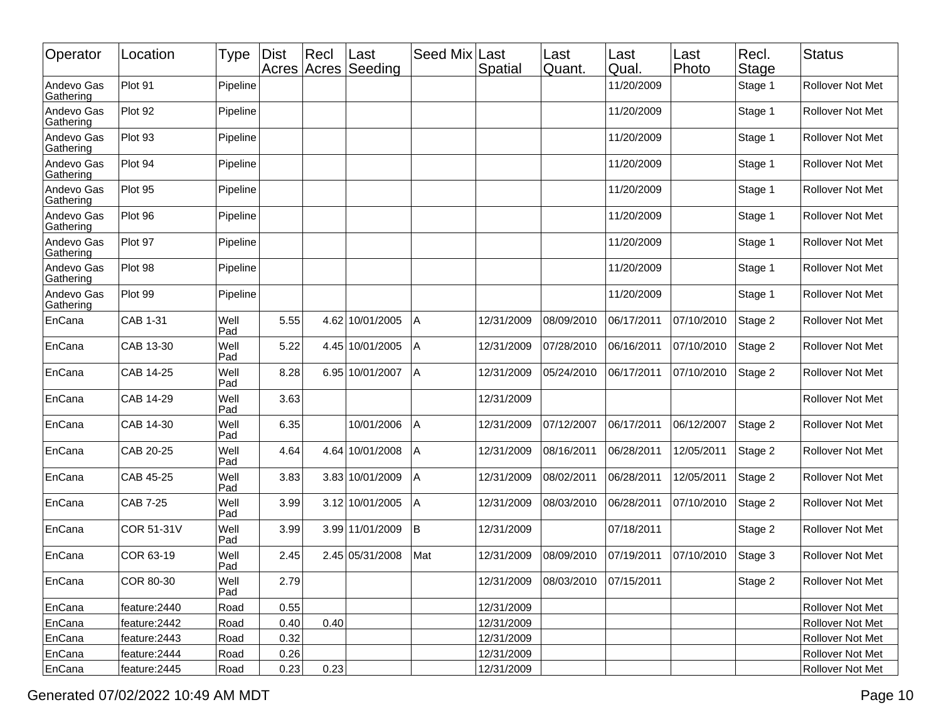| Operator                | Location        | Type        | <b>Dist</b><br>Acres Acres | Rec  | ∣Last<br>Seeding | Seed Mix | Last<br>Spatial | Last<br>Quant.        | Last<br>Qual. | Last<br>Photo | Recl.<br><b>Stage</b> | <b>Status</b>           |
|-------------------------|-----------------|-------------|----------------------------|------|------------------|----------|-----------------|-----------------------|---------------|---------------|-----------------------|-------------------------|
| Andevo Gas<br>Gathering | Plot 91         | Pipeline    |                            |      |                  |          |                 |                       | 11/20/2009    |               | Stage 1               | <b>Rollover Not Met</b> |
| Andevo Gas<br>Gathering | Plot 92         | Pipeline    |                            |      |                  |          |                 |                       | 11/20/2009    |               | Stage 1               | Rollover Not Met        |
| Andevo Gas<br>Gathering | Plot 93         | Pipeline    |                            |      |                  |          |                 |                       | 11/20/2009    |               | Stage 1               | Rollover Not Met        |
| Andevo Gas<br>Gathering | Plot 94         | Pipeline    |                            |      |                  |          |                 |                       | 11/20/2009    |               | Stage 1               | Rollover Not Met        |
| Andevo Gas<br>Gathering | Plot 95         | Pipeline    |                            |      |                  |          |                 |                       | 11/20/2009    |               | Stage 1               | Rollover Not Met        |
| Andevo Gas<br>Gathering | Plot 96         | Pipeline    |                            |      |                  |          |                 |                       | 11/20/2009    |               | Stage 1               | <b>Rollover Not Met</b> |
| Andevo Gas<br>Gathering | Plot 97         | Pipeline    |                            |      |                  |          |                 |                       | 11/20/2009    |               | Stage 1               | <b>Rollover Not Met</b> |
| Andevo Gas<br>Gathering | Plot 98         | Pipeline    |                            |      |                  |          |                 |                       | 11/20/2009    |               | Stage 1               | Rollover Not Met        |
| Andevo Gas<br>Gathering | Plot 99         | Pipeline    |                            |      |                  |          |                 |                       | 11/20/2009    |               | Stage 1               | Rollover Not Met        |
| EnCana                  | CAB 1-31        | Well<br>Pad | 5.55                       |      | 4.62 10/01/2005  | Α        | 12/31/2009      | 08/09/2010            | 06/17/2011    | 07/10/2010    | Stage 2               | Rollover Not Met        |
| EnCana                  | CAB 13-30       | Well<br>Pad | 5.22                       |      | 4.45 10/01/2005  | Α        | 12/31/2009      | 07/28/2010            | 06/16/2011    | 07/10/2010    | Stage 2               | Rollover Not Met        |
| EnCana                  | CAB 14-25       | Well<br>Pad | 8.28                       |      | 6.95 10/01/2007  | A        | 12/31/2009      | 05/24/2010            | 06/17/2011    | 07/10/2010    | Stage 2               | <b>Rollover Not Met</b> |
| EnCana                  | CAB 14-29       | Well<br>Pad | 3.63                       |      |                  |          | 12/31/2009      |                       |               |               |                       | Rollover Not Met        |
| EnCana                  | CAB 14-30       | Well<br>Pad | 6.35                       |      | 10/01/2006       | Α        | 12/31/2009      | 07/12/2007            | 06/17/2011    | 06/12/2007    | Stage 2               | Rollover Not Met        |
| EnCana                  | CAB 20-25       | Well<br>Pad | 4.64                       |      | 4.64 10/01/2008  | A        | 12/31/2009      | 08/16/2011            | 06/28/2011    | 12/05/2011    | Stage 2               | Rollover Not Met        |
| EnCana                  | CAB 45-25       | Well<br>Pad | 3.83                       |      | 3.83 10/01/2009  | Α        | 12/31/2009      | 08/02/2011            | 06/28/2011    | 12/05/2011    | Stage 2               | Rollover Not Met        |
| EnCana                  | <b>CAB 7-25</b> | Well<br>Pad | 3.99                       |      | 3.12 10/01/2005  | A        | 12/31/2009      | 08/03/2010            | 06/28/2011    | 07/10/2010    | Stage 2               | Rollover Not Met        |
| EnCana                  | COR 51-31V      | Well<br>Pad | 3.99                       |      | 3.99 11/01/2009  | İΒ       | 12/31/2009      |                       | 07/18/2011    |               | Stage 2               | Rollover Not Met        |
| EnCana                  | COR 63-19       | Well<br>Pad | 2.45                       |      | 2.45 05/31/2008  | Mat      | 12/31/2009      | 08/09/2010            | 07/19/2011    | 07/10/2010    | Stage 3               | Rollover Not Met        |
| EnCana                  | COR 80-30       | Well<br>Pad | 2.79                       |      |                  |          | 12/31/2009      | 08/03/2010 07/15/2011 |               |               | Stage 2               | Rollover Not Met        |
| EnCana                  | feature: 2440   | Road        | 0.55                       |      |                  |          | 12/31/2009      |                       |               |               |                       | Rollover Not Met        |
| EnCana                  | feature: 2442   | Road        | 0.40                       | 0.40 |                  |          | 12/31/2009      |                       |               |               |                       | Rollover Not Met        |
| EnCana                  | feature: 2443   | Road        | 0.32                       |      |                  |          | 12/31/2009      |                       |               |               |                       | Rollover Not Met        |
| EnCana                  | feature: 2444   | Road        | 0.26                       |      |                  |          | 12/31/2009      |                       |               |               |                       | Rollover Not Met        |
| EnCana                  | feature: 2445   | Road        | 0.23                       | 0.23 |                  |          | 12/31/2009      |                       |               |               |                       | Rollover Not Met        |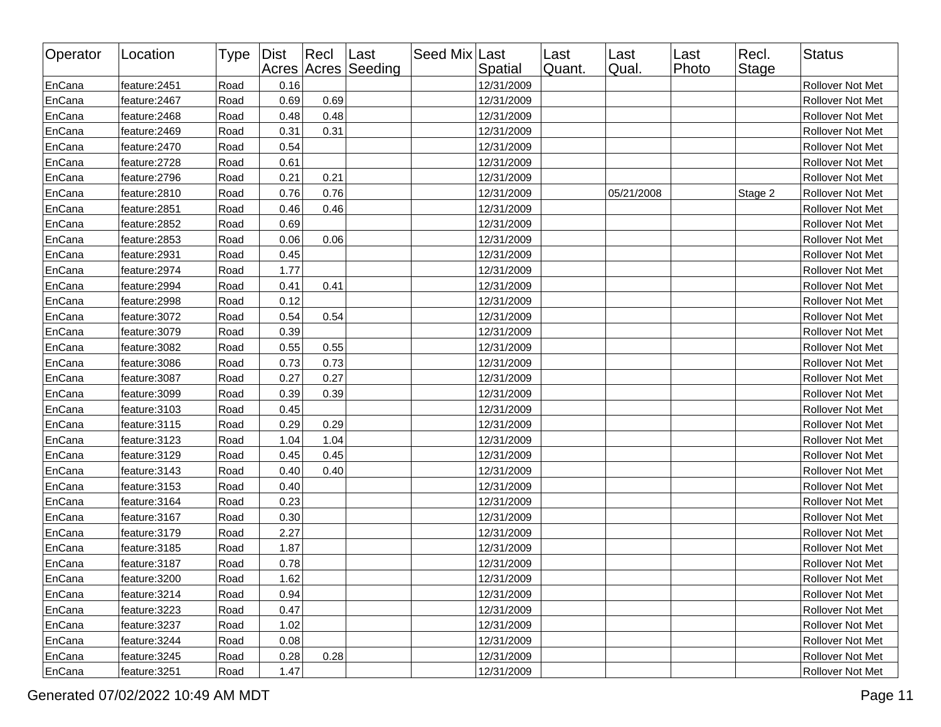| Operator | Location      | Type | Dist | $ $ Recl | Last<br>Acres Acres Seeding | Seed Mix Last | Spatial    | Last<br>Quant. | Last<br>Qual. | Last<br>Photo | Recl.<br>Stage | <b>Status</b>    |
|----------|---------------|------|------|----------|-----------------------------|---------------|------------|----------------|---------------|---------------|----------------|------------------|
| EnCana   | feature: 2451 | Road | 0.16 |          |                             |               | 12/31/2009 |                |               |               |                | Rollover Not Met |
| EnCana   | feature: 2467 | Road | 0.69 | 0.69     |                             |               | 12/31/2009 |                |               |               |                | Rollover Not Met |
| EnCana   | feature: 2468 | Road | 0.48 | 0.48     |                             |               | 12/31/2009 |                |               |               |                | Rollover Not Met |
| EnCana   | feature: 2469 | Road | 0.31 | 0.31     |                             |               | 12/31/2009 |                |               |               |                | Rollover Not Met |
| EnCana   | feature: 2470 | Road | 0.54 |          |                             |               | 12/31/2009 |                |               |               |                | Rollover Not Met |
| EnCana   | feature:2728  | Road | 0.61 |          |                             |               | 12/31/2009 |                |               |               |                | Rollover Not Met |
| EnCana   | feature:2796  | Road | 0.21 | 0.21     |                             |               | 12/31/2009 |                |               |               |                | Rollover Not Met |
| EnCana   | feature:2810  | Road | 0.76 | 0.76     |                             |               | 12/31/2009 |                | 05/21/2008    |               | Stage 2        | Rollover Not Met |
| EnCana   | feature:2851  | Road | 0.46 | 0.46     |                             |               | 12/31/2009 |                |               |               |                | Rollover Not Met |
| EnCana   | feature: 2852 | Road | 0.69 |          |                             |               | 12/31/2009 |                |               |               |                | Rollover Not Met |
| EnCana   | feature:2853  | Road | 0.06 | 0.06     |                             |               | 12/31/2009 |                |               |               |                | Rollover Not Met |
| EnCana   | feature:2931  | Road | 0.45 |          |                             |               | 12/31/2009 |                |               |               |                | Rollover Not Met |
| EnCana   | feature: 2974 | Road | 1.77 |          |                             |               | 12/31/2009 |                |               |               |                | Rollover Not Met |
| EnCana   | feature: 2994 | Road | 0.41 | 0.41     |                             |               | 12/31/2009 |                |               |               |                | Rollover Not Met |
| EnCana   | feature: 2998 | Road | 0.12 |          |                             |               | 12/31/2009 |                |               |               |                | Rollover Not Met |
| EnCana   | feature: 3072 | Road | 0.54 | 0.54     |                             |               | 12/31/2009 |                |               |               |                | Rollover Not Met |
| EnCana   | feature: 3079 | Road | 0.39 |          |                             |               | 12/31/2009 |                |               |               |                | Rollover Not Met |
| EnCana   | feature: 3082 | Road | 0.55 | 0.55     |                             |               | 12/31/2009 |                |               |               |                | Rollover Not Met |
| EnCana   | feature: 3086 | Road | 0.73 | 0.73     |                             |               | 12/31/2009 |                |               |               |                | Rollover Not Met |
| EnCana   | feature: 3087 | Road | 0.27 | 0.27     |                             |               | 12/31/2009 |                |               |               |                | Rollover Not Met |
| EnCana   | feature: 3099 | Road | 0.39 | 0.39     |                             |               | 12/31/2009 |                |               |               |                | Rollover Not Met |
| EnCana   | feature: 3103 | Road | 0.45 |          |                             |               | 12/31/2009 |                |               |               |                | Rollover Not Met |
| EnCana   | feature: 3115 | Road | 0.29 | 0.29     |                             |               | 12/31/2009 |                |               |               |                | Rollover Not Met |
| EnCana   | feature: 3123 | Road | 1.04 | 1.04     |                             |               | 12/31/2009 |                |               |               |                | Rollover Not Met |
| EnCana   | feature: 3129 | Road | 0.45 | 0.45     |                             |               | 12/31/2009 |                |               |               |                | Rollover Not Met |
| EnCana   | feature: 3143 | Road | 0.40 | 0.40     |                             |               | 12/31/2009 |                |               |               |                | Rollover Not Met |
| EnCana   | feature: 3153 | Road | 0.40 |          |                             |               | 12/31/2009 |                |               |               |                | Rollover Not Met |
| EnCana   | feature: 3164 | Road | 0.23 |          |                             |               | 12/31/2009 |                |               |               |                | Rollover Not Met |
| EnCana   | feature: 3167 | Road | 0.30 |          |                             |               | 12/31/2009 |                |               |               |                | Rollover Not Met |
| EnCana   | feature: 3179 | Road | 2.27 |          |                             |               | 12/31/2009 |                |               |               |                | Rollover Not Met |
| EnCana   | feature: 3185 | Road | 1.87 |          |                             |               | 12/31/2009 |                |               |               |                | Rollover Not Met |
| EnCana   | feature: 3187 | Road | 0.78 |          |                             |               | 12/31/2009 |                |               |               |                | Rollover Not Met |
| EnCana   | feature: 3200 | Road | 1.62 |          |                             |               | 12/31/2009 |                |               |               |                | Rollover Not Met |
| EnCana   | feature: 3214 | Road | 0.94 |          |                             |               | 12/31/2009 |                |               |               |                | Rollover Not Met |
| EnCana   | feature: 3223 | Road | 0.47 |          |                             |               | 12/31/2009 |                |               |               |                | Rollover Not Met |
| EnCana   | feature: 3237 | Road | 1.02 |          |                             |               | 12/31/2009 |                |               |               |                | Rollover Not Met |
| EnCana   | feature: 3244 | Road | 0.08 |          |                             |               | 12/31/2009 |                |               |               |                | Rollover Not Met |
| EnCana   | feature: 3245 | Road | 0.28 | 0.28     |                             |               | 12/31/2009 |                |               |               |                | Rollover Not Met |
| EnCana   | feature: 3251 | Road | 1.47 |          |                             |               | 12/31/2009 |                |               |               |                | Rollover Not Met |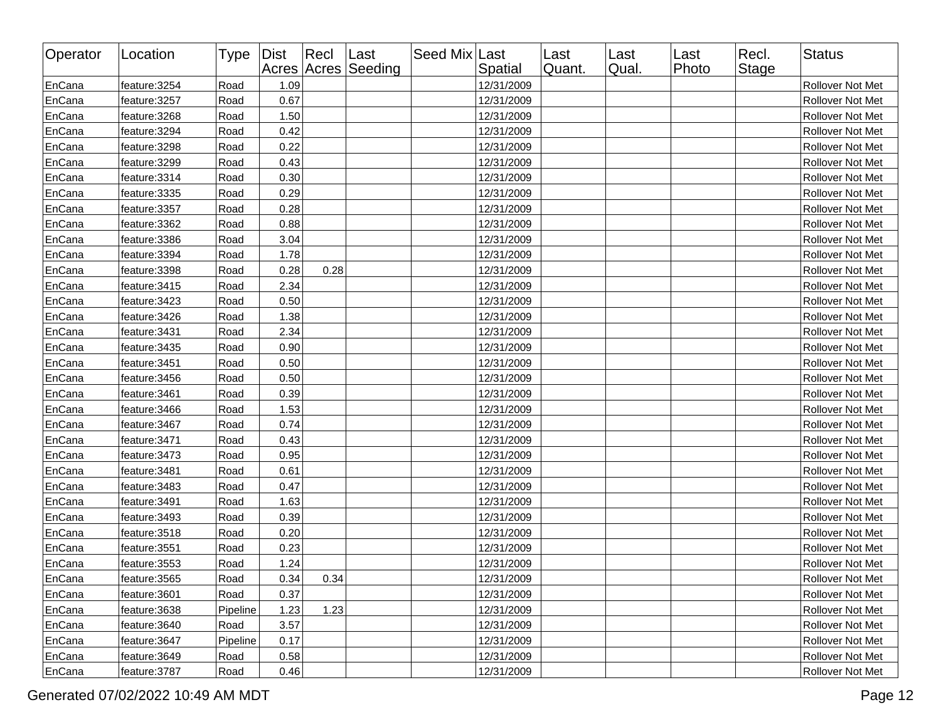| Operator | Location      | Type     | Dist | $ $ Recl | Last<br>Acres Acres Seeding | Seed Mix Last | Spatial    | Last<br>Quant. | Last<br>Qual. | Last<br>Photo | Recl.<br>Stage | <b>Status</b>    |
|----------|---------------|----------|------|----------|-----------------------------|---------------|------------|----------------|---------------|---------------|----------------|------------------|
| EnCana   | feature: 3254 | Road     | 1.09 |          |                             |               | 12/31/2009 |                |               |               |                | Rollover Not Met |
| EnCana   | feature: 3257 | Road     | 0.67 |          |                             |               | 12/31/2009 |                |               |               |                | Rollover Not Met |
| EnCana   | feature: 3268 | Road     | 1.50 |          |                             |               | 12/31/2009 |                |               |               |                | Rollover Not Met |
| EnCana   | feature: 3294 | Road     | 0.42 |          |                             |               | 12/31/2009 |                |               |               |                | Rollover Not Met |
| EnCana   | feature: 3298 | Road     | 0.22 |          |                             |               | 12/31/2009 |                |               |               |                | Rollover Not Met |
| EnCana   | feature: 3299 | Road     | 0.43 |          |                             |               | 12/31/2009 |                |               |               |                | Rollover Not Met |
| EnCana   | feature: 3314 | Road     | 0.30 |          |                             |               | 12/31/2009 |                |               |               |                | Rollover Not Met |
| EnCana   | feature: 3335 | Road     | 0.29 |          |                             |               | 12/31/2009 |                |               |               |                | Rollover Not Met |
| EnCana   | feature: 3357 | Road     | 0.28 |          |                             |               | 12/31/2009 |                |               |               |                | Rollover Not Met |
| EnCana   | feature: 3362 | Road     | 0.88 |          |                             |               | 12/31/2009 |                |               |               |                | Rollover Not Met |
| EnCana   | feature: 3386 | Road     | 3.04 |          |                             |               | 12/31/2009 |                |               |               |                | Rollover Not Met |
| EnCana   | feature: 3394 | Road     | 1.78 |          |                             |               | 12/31/2009 |                |               |               |                | Rollover Not Met |
| EnCana   | feature: 3398 | Road     | 0.28 | 0.28     |                             |               | 12/31/2009 |                |               |               |                | Rollover Not Met |
| EnCana   | feature: 3415 | Road     | 2.34 |          |                             |               | 12/31/2009 |                |               |               |                | Rollover Not Met |
| EnCana   | feature: 3423 | Road     | 0.50 |          |                             |               | 12/31/2009 |                |               |               |                | Rollover Not Met |
| EnCana   | feature: 3426 | Road     | 1.38 |          |                             |               | 12/31/2009 |                |               |               |                | Rollover Not Met |
| EnCana   | feature: 3431 | Road     | 2.34 |          |                             |               | 12/31/2009 |                |               |               |                | Rollover Not Met |
| EnCana   | feature: 3435 | Road     | 0.90 |          |                             |               | 12/31/2009 |                |               |               |                | Rollover Not Met |
| EnCana   | feature: 3451 | Road     | 0.50 |          |                             |               | 12/31/2009 |                |               |               |                | Rollover Not Met |
| EnCana   | feature: 3456 | Road     | 0.50 |          |                             |               | 12/31/2009 |                |               |               |                | Rollover Not Met |
| EnCana   | feature: 3461 | Road     | 0.39 |          |                             |               | 12/31/2009 |                |               |               |                | Rollover Not Met |
| EnCana   | feature: 3466 | Road     | 1.53 |          |                             |               | 12/31/2009 |                |               |               |                | Rollover Not Met |
| EnCana   | feature: 3467 | Road     | 0.74 |          |                             |               | 12/31/2009 |                |               |               |                | Rollover Not Met |
| EnCana   | feature: 3471 | Road     | 0.43 |          |                             |               | 12/31/2009 |                |               |               |                | Rollover Not Met |
| EnCana   | feature: 3473 | Road     | 0.95 |          |                             |               | 12/31/2009 |                |               |               |                | Rollover Not Met |
| EnCana   | feature: 3481 | Road     | 0.61 |          |                             |               | 12/31/2009 |                |               |               |                | Rollover Not Met |
| EnCana   | feature: 3483 | Road     | 0.47 |          |                             |               | 12/31/2009 |                |               |               |                | Rollover Not Met |
| EnCana   | feature: 3491 | Road     | 1.63 |          |                             |               | 12/31/2009 |                |               |               |                | Rollover Not Met |
| EnCana   | feature: 3493 | Road     | 0.39 |          |                             |               | 12/31/2009 |                |               |               |                | Rollover Not Met |
| EnCana   | feature: 3518 | Road     | 0.20 |          |                             |               | 12/31/2009 |                |               |               |                | Rollover Not Met |
| EnCana   | feature: 3551 | Road     | 0.23 |          |                             |               | 12/31/2009 |                |               |               |                | Rollover Not Met |
| EnCana   | feature: 3553 | Road     | 1.24 |          |                             |               | 12/31/2009 |                |               |               |                | Rollover Not Met |
| EnCana   | feature: 3565 | Road     | 0.34 | 0.34     |                             |               | 12/31/2009 |                |               |               |                | Rollover Not Met |
| EnCana   | feature: 3601 | Road     | 0.37 |          |                             |               | 12/31/2009 |                |               |               |                | Rollover Not Met |
| EnCana   | feature: 3638 | Pipeline | 1.23 | 1.23     |                             |               | 12/31/2009 |                |               |               |                | Rollover Not Met |
| EnCana   | feature: 3640 | Road     | 3.57 |          |                             |               | 12/31/2009 |                |               |               |                | Rollover Not Met |
| EnCana   | feature: 3647 | Pipeline | 0.17 |          |                             |               | 12/31/2009 |                |               |               |                | Rollover Not Met |
| EnCana   | feature: 3649 | Road     | 0.58 |          |                             |               | 12/31/2009 |                |               |               |                | Rollover Not Met |
| EnCana   | feature: 3787 | Road     | 0.46 |          |                             |               | 12/31/2009 |                |               |               |                | Rollover Not Met |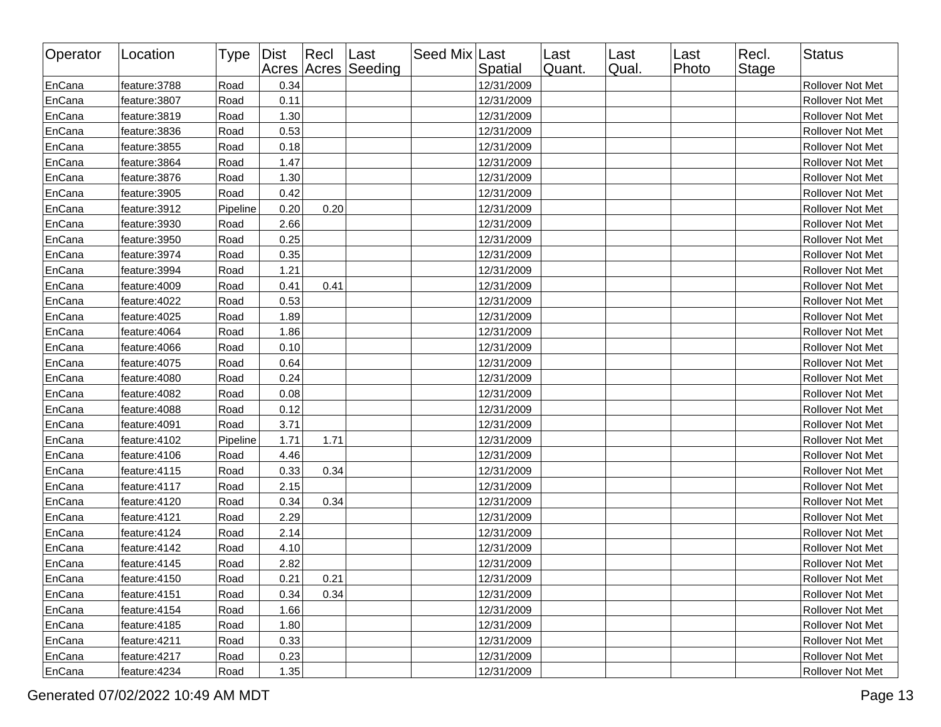| Operator | Location      | Type     | Dist | $ $ Recl | ∣Last<br>Acres Acres Seeding | Seed Mix Last | Spatial    | Last<br>Quant. | Last<br>Qual. | ∣Last<br>Photo | Recl.<br>Stage | Status                  |
|----------|---------------|----------|------|----------|------------------------------|---------------|------------|----------------|---------------|----------------|----------------|-------------------------|
| EnCana   | feature: 3788 | Road     | 0.34 |          |                              |               | 12/31/2009 |                |               |                |                | Rollover Not Met        |
| EnCana   | feature: 3807 | Road     | 0.11 |          |                              |               | 12/31/2009 |                |               |                |                | <b>Rollover Not Met</b> |
| EnCana   | feature: 3819 | Road     | 1.30 |          |                              |               | 12/31/2009 |                |               |                |                | Rollover Not Met        |
| EnCana   | feature: 3836 | Road     | 0.53 |          |                              |               | 12/31/2009 |                |               |                |                | <b>Rollover Not Met</b> |
| EnCana   | feature: 3855 | Road     | 0.18 |          |                              |               | 12/31/2009 |                |               |                |                | Rollover Not Met        |
| EnCana   | feature: 3864 | Road     | 1.47 |          |                              |               | 12/31/2009 |                |               |                |                | Rollover Not Met        |
| EnCana   | feature: 3876 | Road     | 1.30 |          |                              |               | 12/31/2009 |                |               |                |                | Rollover Not Met        |
| EnCana   | feature: 3905 | Road     | 0.42 |          |                              |               | 12/31/2009 |                |               |                |                | Rollover Not Met        |
| EnCana   | feature: 3912 | Pipeline | 0.20 | 0.20     |                              |               | 12/31/2009 |                |               |                |                | Rollover Not Met        |
| EnCana   | feature: 3930 | Road     | 2.66 |          |                              |               | 12/31/2009 |                |               |                |                | Rollover Not Met        |
| EnCana   | feature: 3950 | Road     | 0.25 |          |                              |               | 12/31/2009 |                |               |                |                | Rollover Not Met        |
| EnCana   | feature: 3974 | Road     | 0.35 |          |                              |               | 12/31/2009 |                |               |                |                | Rollover Not Met        |
| EnCana   | feature: 3994 | Road     | 1.21 |          |                              |               | 12/31/2009 |                |               |                |                | Rollover Not Met        |
| EnCana   | feature:4009  | Road     | 0.41 | 0.41     |                              |               | 12/31/2009 |                |               |                |                | Rollover Not Met        |
| EnCana   | feature:4022  | Road     | 0.53 |          |                              |               | 12/31/2009 |                |               |                |                | Rollover Not Met        |
| EnCana   | feature: 4025 | Road     | 1.89 |          |                              |               | 12/31/2009 |                |               |                |                | Rollover Not Met        |
| EnCana   | feature: 4064 | Road     | 1.86 |          |                              |               | 12/31/2009 |                |               |                |                | Rollover Not Met        |
| EnCana   | feature: 4066 | Road     | 0.10 |          |                              |               | 12/31/2009 |                |               |                |                | Rollover Not Met        |
| EnCana   | feature: 4075 | Road     | 0.64 |          |                              |               | 12/31/2009 |                |               |                |                | Rollover Not Met        |
| EnCana   | feature:4080  | Road     | 0.24 |          |                              |               | 12/31/2009 |                |               |                |                | Rollover Not Met        |
| EnCana   | feature: 4082 | Road     | 0.08 |          |                              |               | 12/31/2009 |                |               |                |                | Rollover Not Met        |
| EnCana   | feature: 4088 | Road     | 0.12 |          |                              |               | 12/31/2009 |                |               |                |                | Rollover Not Met        |
| EnCana   | feature: 4091 | Road     | 3.71 |          |                              |               | 12/31/2009 |                |               |                |                | Rollover Not Met        |
| EnCana   | feature: 4102 | Pipeline | 1.71 | 1.71     |                              |               | 12/31/2009 |                |               |                |                | Rollover Not Met        |
| EnCana   | feature:4106  | Road     | 4.46 |          |                              |               | 12/31/2009 |                |               |                |                | Rollover Not Met        |
| EnCana   | feature:4115  | Road     | 0.33 | 0.34     |                              |               | 12/31/2009 |                |               |                |                | Rollover Not Met        |
| EnCana   | feature:4117  | Road     | 2.15 |          |                              |               | 12/31/2009 |                |               |                |                | Rollover Not Met        |
| EnCana   | feature:4120  | Road     | 0.34 | 0.34     |                              |               | 12/31/2009 |                |               |                |                | Rollover Not Met        |
| EnCana   | feature: 4121 | Road     | 2.29 |          |                              |               | 12/31/2009 |                |               |                |                | Rollover Not Met        |
| EnCana   | feature: 4124 | Road     | 2.14 |          |                              |               | 12/31/2009 |                |               |                |                | Rollover Not Met        |
| EnCana   | feature: 4142 | Road     | 4.10 |          |                              |               | 12/31/2009 |                |               |                |                | Rollover Not Met        |
| EnCana   | feature: 4145 | Road     | 2.82 |          |                              |               | 12/31/2009 |                |               |                |                | Rollover Not Met        |
| ∣EnCana  | feature:4150  | Road     | 0.21 | 0.21     |                              |               | 12/31/2009 |                |               |                |                | <b>Rollover Not Met</b> |
| EnCana   | feature: 4151 | Road     | 0.34 | 0.34     |                              |               | 12/31/2009 |                |               |                |                | Rollover Not Met        |
| EnCana   | feature: 4154 | Road     | 1.66 |          |                              |               | 12/31/2009 |                |               |                |                | Rollover Not Met        |
| EnCana   | feature: 4185 | Road     | 1.80 |          |                              |               | 12/31/2009 |                |               |                |                | Rollover Not Met        |
| EnCana   | feature: 4211 | Road     | 0.33 |          |                              |               | 12/31/2009 |                |               |                |                | Rollover Not Met        |
| EnCana   | feature: 4217 | Road     | 0.23 |          |                              |               | 12/31/2009 |                |               |                |                | Rollover Not Met        |
| EnCana   | feature: 4234 | Road     | 1.35 |          |                              |               | 12/31/2009 |                |               |                |                | Rollover Not Met        |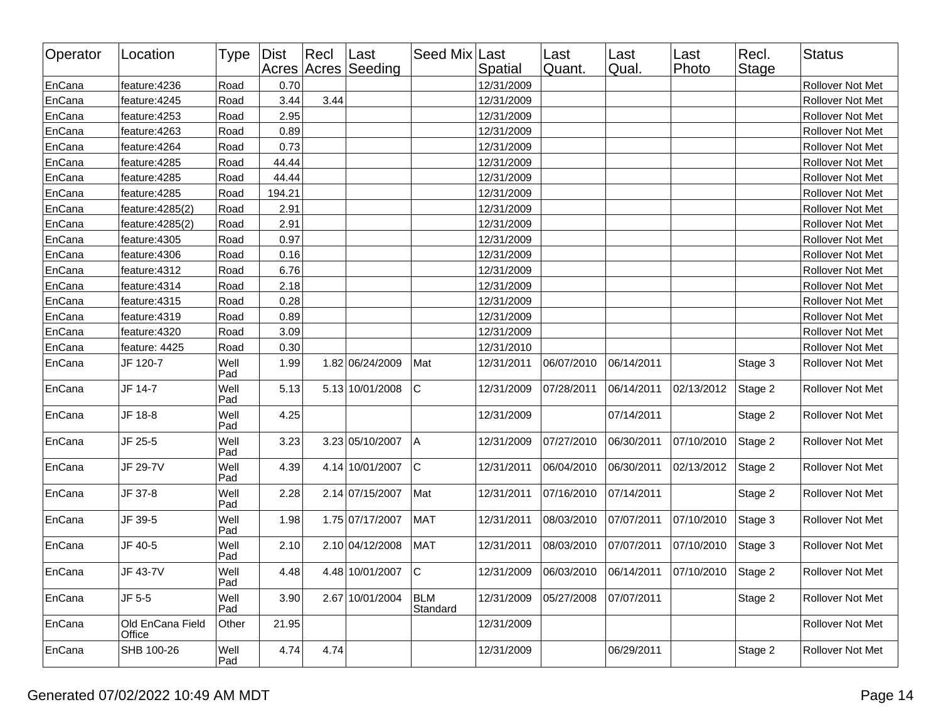| Operator | Location                   | Type Dist   |        | $ $ Recl | Last<br>Acres Acres Seeding | Seed Mix Last          | Spatial    | Last<br>Quant.                     | Last<br>Qual. | Last<br>Photo        | Recl.<br><b>Stage</b> | <b>Status</b>           |
|----------|----------------------------|-------------|--------|----------|-----------------------------|------------------------|------------|------------------------------------|---------------|----------------------|-----------------------|-------------------------|
| EnCana   | feature: 4236              | Road        | 0.70   |          |                             |                        | 12/31/2009 |                                    |               |                      |                       | Rollover Not Met        |
| EnCana   | feature: 4245              | Road        | 3.44   | 3.44     |                             |                        | 12/31/2009 |                                    |               |                      |                       | Rollover Not Met        |
| EnCana   | feature: 4253              | Road        | 2.95   |          |                             |                        | 12/31/2009 |                                    |               |                      |                       | Rollover Not Met        |
| EnCana   | feature: 4263              | Road        | 0.89   |          |                             |                        | 12/31/2009 |                                    |               |                      |                       | Rollover Not Met        |
| EnCana   | feature: 4264              | Road        | 0.73   |          |                             |                        | 12/31/2009 |                                    |               |                      |                       | Rollover Not Met        |
| EnCana   | feature: 4285              | Road        | 44.44  |          |                             |                        | 12/31/2009 |                                    |               |                      |                       | Rollover Not Met        |
| EnCana   | feature: 4285              | Road        | 44.44  |          |                             |                        | 12/31/2009 |                                    |               |                      |                       | Rollover Not Met        |
| EnCana   | feature: 4285              | Road        | 194.21 |          |                             |                        | 12/31/2009 |                                    |               |                      |                       | Rollover Not Met        |
| EnCana   | feature: 4285(2)           | Road        | 2.91   |          |                             |                        | 12/31/2009 |                                    |               |                      |                       | Rollover Not Met        |
| EnCana   | feature: 4285(2)           | Road        | 2.91   |          |                             |                        | 12/31/2009 |                                    |               |                      |                       | Rollover Not Met        |
| EnCana   | feature: 4305              | Road        | 0.97   |          |                             |                        | 12/31/2009 |                                    |               |                      |                       | Rollover Not Met        |
| EnCana   | feature: 4306              | Road        | 0.16   |          |                             |                        | 12/31/2009 |                                    |               |                      |                       | Rollover Not Met        |
| EnCana   | feature: 4312              | Road        | 6.76   |          |                             |                        | 12/31/2009 |                                    |               |                      |                       | Rollover Not Met        |
| EnCana   | feature: 4314              | Road        | 2.18   |          |                             |                        | 12/31/2009 |                                    |               |                      |                       | Rollover Not Met        |
| EnCana   | feature: 4315              | Road        | 0.28   |          |                             |                        | 12/31/2009 |                                    |               |                      |                       | Rollover Not Met        |
| EnCana   | feature: 4319              | Road        | 0.89   |          |                             |                        | 12/31/2009 |                                    |               |                      |                       | Rollover Not Met        |
| EnCana   | feature:4320               | Road        | 3.09   |          |                             |                        | 12/31/2009 |                                    |               |                      |                       | Rollover Not Met        |
| EnCana   | feature: 4425              | Road        | 0.30   |          |                             |                        | 12/31/2010 |                                    |               |                      |                       | Rollover Not Met        |
| EnCana   | JF 120-7                   | Well<br>Pad | 1.99   |          | 1.82 06/24/2009             | Mat                    | 12/31/2011 | 06/07/2010                         | 06/14/2011    |                      | Stage 3               | Rollover Not Met        |
| EnCana   | JF 14-7                    | Well<br>Pad | 5.13   |          | 5.13 10/01/2008             | lc.                    | 12/31/2009 | 07/28/2011                         | 06/14/2011    | 02/13/2012           | Stage 2               | Rollover Not Met        |
| EnCana   | JF 18-8                    | Well<br>Pad | 4.25   |          |                             |                        | 12/31/2009 |                                    | 07/14/2011    |                      | Stage 2               | Rollover Not Met        |
| EnCana   | JF 25-5                    | Well<br>Pad | 3.23   |          | 3.23 05/10/2007             | ΙA                     | 12/31/2009 | 07/27/2010                         | 06/30/2011    | 07/10/2010           | Stage 2               | Rollover Not Met        |
| EnCana   | JF 29-7V                   | Well<br>Pad | 4.39   |          | 4.14 10/01/2007             | lc.                    | 12/31/2011 | 06/04/2010                         | 06/30/2011    | 02/13/2012           | Stage 2               | Rollover Not Met        |
| EnCana   | JF 37-8                    | Well<br>Pad | 2.28   |          | 2.14 07/15/2007             | Mat                    | 12/31/2011 | 07/16/2010                         | 07/14/2011    |                      | Stage 2               | Rollover Not Met        |
| EnCana   | JF 39-5                    | Well<br>Pad | 1.98   |          | 1.75 07/17/2007             | <b>MAT</b>             | 12/31/2011 | 08/03/2010                         | 07/07/2011    | 07/10/2010           | Stage 3               | Rollover Not Met        |
| EnCana   | JF 40-5                    | Well<br>Pad | 2.10   |          | 2.10 04/12/2008             | <b>MAT</b>             | 12/31/2011 | 08/03/2010                         | 07/07/2011    | 07/10/2010           | Stage 3               | Rollover Not Met        |
| EnCana   | JF 43-7V                   | Well<br>Pad | 4.48   |          | 4.48 10/01/2007 C           |                        |            | 12/31/2009  06/03/2010  06/14/2011 |               | 07/10/2010   Stage 2 |                       | <b>Rollover Not Met</b> |
| EnCana   | JF 5-5                     | Well<br>Pad | 3.90   |          | 2.67 10/01/2004             | <b>BLM</b><br>Standard | 12/31/2009 | 05/27/2008                         | 07/07/2011    |                      | Stage 2               | Rollover Not Met        |
| EnCana   | Old EnCana Field<br>Office | Other       | 21.95  |          |                             |                        | 12/31/2009 |                                    |               |                      |                       | Rollover Not Met        |
| EnCana   | SHB 100-26                 | Well<br>Pad | 4.74   | 4.74     |                             |                        | 12/31/2009 |                                    | 06/29/2011    |                      | Stage 2               | Rollover Not Met        |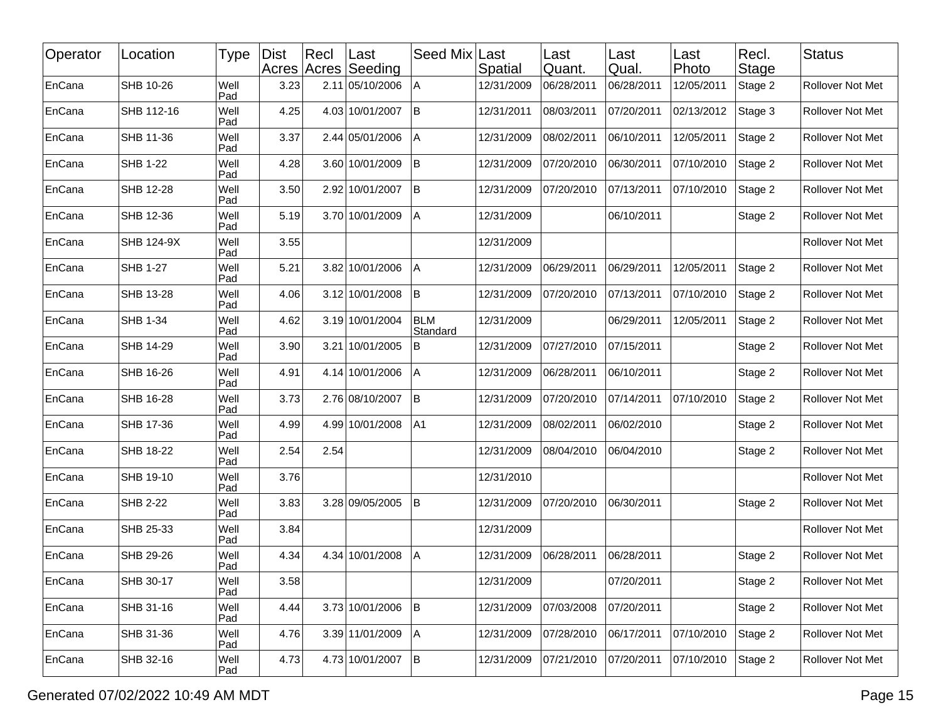| Operator | Location          | Type        | <b>Dist</b> | $ $ Recl<br>Acres Acres | ∣Last<br>Seeding | Seed Mix               | Last<br>Spatial | Last<br>Quant. | Last<br>Qual. | Last<br>Photo | Recl.<br><b>Stage</b> | <b>Status</b>    |
|----------|-------------------|-------------|-------------|-------------------------|------------------|------------------------|-----------------|----------------|---------------|---------------|-----------------------|------------------|
| EnCana   | SHB 10-26         | Well<br>Pad | 3.23        |                         | 2.11 05/10/2006  | A                      | 12/31/2009      | 06/28/2011     | 06/28/2011    | 12/05/2011    | Stage 2               | Rollover Not Met |
| EnCana   | SHB 112-16        | Well<br>Pad | 4.25        |                         | 4.03 10/01/2007  | lв                     | 12/31/2011      | 08/03/2011     | 07/20/2011    | 02/13/2012    | Stage 3               | Rollover Not Met |
| EnCana   | SHB 11-36         | Well<br>Pad | 3.37        |                         | 2.44 05/01/2006  | A                      | 12/31/2009      | 08/02/2011     | 06/10/2011    | 12/05/2011    | Stage 2               | Rollover Not Met |
| EnCana   | <b>SHB 1-22</b>   | Well<br>Pad | 4.28        |                         | 3.60 10/01/2009  | B                      | 12/31/2009      | 07/20/2010     | 06/30/2011    | 07/10/2010    | Stage 2               | Rollover Not Met |
| EnCana   | SHB 12-28         | Well<br>Pad | 3.50        |                         | 2.92 10/01/2007  | B                      | 12/31/2009      | 07/20/2010     | 07/13/2011    | 07/10/2010    | Stage 2               | Rollover Not Met |
| EnCana   | SHB 12-36         | Well<br>Pad | 5.19        |                         | 3.70 10/01/2009  | A                      | 12/31/2009      |                | 06/10/2011    |               | Stage 2               | Rollover Not Met |
| EnCana   | <b>SHB 124-9X</b> | Well<br>Pad | 3.55        |                         |                  |                        | 12/31/2009      |                |               |               |                       | Rollover Not Met |
| EnCana   | <b>SHB 1-27</b>   | Well<br>Pad | 5.21        |                         | 3.82 10/01/2006  | A                      | 12/31/2009      | 06/29/2011     | 06/29/2011    | 12/05/2011    | Stage 2               | Rollover Not Met |
| EnCana   | SHB 13-28         | Well<br>Pad | 4.06        |                         | 3.12 10/01/2008  | lB.                    | 12/31/2009      | 07/20/2010     | 07/13/2011    | 07/10/2010    | Stage 2               | Rollover Not Met |
| EnCana   | SHB 1-34          | Well<br>Pad | 4.62        |                         | 3.19 10/01/2004  | <b>BLM</b><br>Standard | 12/31/2009      |                | 06/29/2011    | 12/05/2011    | Stage 2               | Rollover Not Met |
| EnCana   | <b>SHB 14-29</b>  | Well<br>Pad | 3.90        |                         | 3.21 10/01/2005  | B                      | 12/31/2009      | 07/27/2010     | 07/15/2011    |               | Stage 2               | Rollover Not Met |
| EnCana   | SHB 16-26         | Well<br>Pad | 4.91        |                         | 4.14 10/01/2006  | A                      | 12/31/2009      | 06/28/2011     | 06/10/2011    |               | Stage 2               | Rollover Not Met |
| EnCana   | SHB 16-28         | Well<br>Pad | 3.73        |                         | 2.76 08/10/2007  | İΒ                     | 12/31/2009      | 07/20/2010     | 07/14/2011    | 07/10/2010    | Stage 2               | Rollover Not Met |
| EnCana   | SHB 17-36         | Well<br>Pad | 4.99        |                         | 4.99 10/01/2008  | A1                     | 12/31/2009      | 08/02/2011     | 06/02/2010    |               | Stage 2               | Rollover Not Met |
| EnCana   | SHB 18-22         | Well<br>Pad | 2.54        | 2.54                    |                  |                        | 12/31/2009      | 08/04/2010     | 06/04/2010    |               | Stage 2               | Rollover Not Met |
| EnCana   | SHB 19-10         | Well<br>Pad | 3.76        |                         |                  |                        | 12/31/2010      |                |               |               |                       | Rollover Not Met |
| EnCana   | <b>SHB 2-22</b>   | Well<br>Pad | 3.83        |                         | 3.28 09/05/2005  | lB.                    | 12/31/2009      | 07/20/2010     | 06/30/2011    |               | Stage 2               | Rollover Not Met |
| EnCana   | SHB 25-33         | Well<br>Pad | 3.84        |                         |                  |                        | 12/31/2009      |                |               |               |                       | Rollover Not Met |
| EnCana   | SHB 29-26         | Well<br>Pad | 4.34        |                         | 4.34 10/01/2008  | Α                      | 12/31/2009      | 06/28/2011     | 06/28/2011    |               | Stage 2               | Rollover Not Met |
| EnCana   | SHB 30-17         | Well<br>Pad | 3.58        |                         |                  |                        | 12/31/2009      |                | 07/20/2011    |               | Stage 2               | Rollover Not Met |
| EnCana   | SHB 31-16         | Well<br>Pad | 4.44        |                         | 3.73 10/01/2006  | B                      | 12/31/2009      | 07/03/2008     | 07/20/2011    |               | Stage 2               | Rollover Not Met |
| EnCana   | SHB 31-36         | Well<br>Pad | 4.76        |                         | 3.39 11/01/2009  | A                      | 12/31/2009      | 07/28/2010     | 06/17/2011    | 07/10/2010    | Stage 2               | Rollover Not Met |
| EnCana   | SHB 32-16         | Well<br>Pad | 4.73        |                         | 4.73 10/01/2007  | B                      | 12/31/2009      | 07/21/2010     | 07/20/2011    | 07/10/2010    | Stage 2               | Rollover Not Met |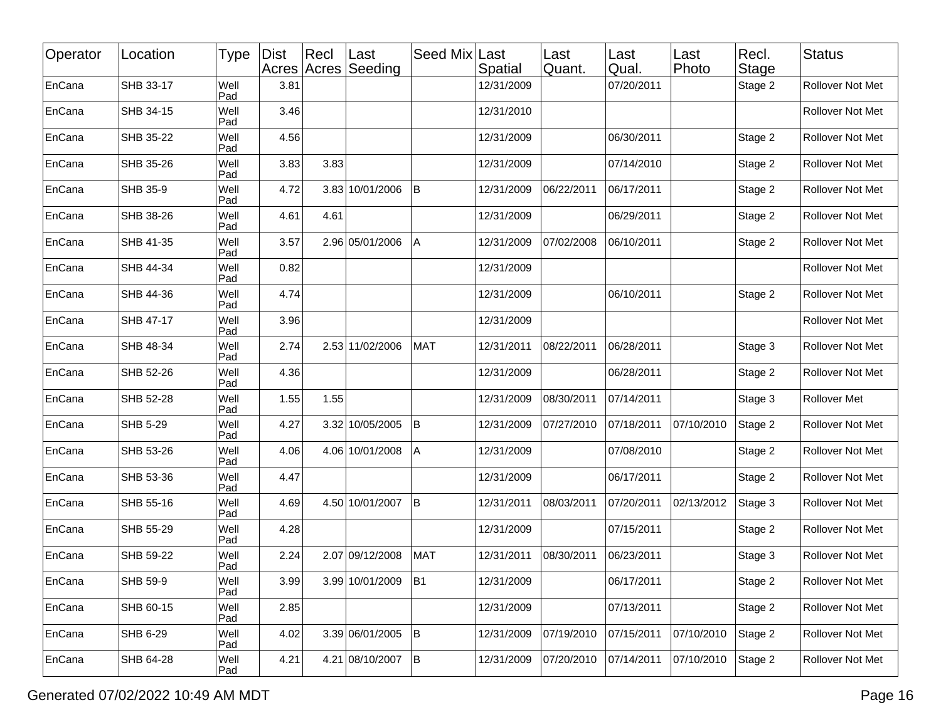| Operator | Location        | <b>Type</b> | <b>Dist</b> | Recl | Last<br>Acres Acres Seeding | Seed Mix Last  | Spatial    | Last<br>Quant. | Last<br>Qual. | Last<br>Photo | Recl.<br><b>Stage</b> | <b>Status</b>           |
|----------|-----------------|-------------|-------------|------|-----------------------------|----------------|------------|----------------|---------------|---------------|-----------------------|-------------------------|
| EnCana   | SHB 33-17       | Well<br>Pad | 3.81        |      |                             |                | 12/31/2009 |                | 07/20/2011    |               | Stage 2               | Rollover Not Met        |
| EnCana   | SHB 34-15       | Well<br>Pad | 3.46        |      |                             |                | 12/31/2010 |                |               |               |                       | Rollover Not Met        |
| EnCana   | SHB 35-22       | Well<br>Pad | 4.56        |      |                             |                | 12/31/2009 |                | 06/30/2011    |               | Stage 2               | Rollover Not Met        |
| EnCana   | SHB 35-26       | Well<br>Pad | 3.83        | 3.83 |                             |                | 12/31/2009 |                | 07/14/2010    |               | Stage 2               | Rollover Not Met        |
| EnCana   | SHB 35-9        | Well<br>Pad | 4.72        |      | 3.83 10/01/2006             | İΒ             | 12/31/2009 | 06/22/2011     | 06/17/2011    |               | Stage 2               | Rollover Not Met        |
| EnCana   | SHB 38-26       | Well<br>Pad | 4.61        | 4.61 |                             |                | 12/31/2009 |                | 06/29/2011    |               | Stage 2               | Rollover Not Met        |
| EnCana   | SHB 41-35       | Well<br>Pad | 3.57        |      | 2.96 05/01/2006             | A              | 12/31/2009 | 07/02/2008     | 06/10/2011    |               | Stage 2               | Rollover Not Met        |
| EnCana   | SHB 44-34       | Well<br>Pad | 0.82        |      |                             |                | 12/31/2009 |                |               |               |                       | Rollover Not Met        |
| EnCana   | SHB 44-36       | Well<br>Pad | 4.74        |      |                             |                | 12/31/2009 |                | 06/10/2011    |               | Stage 2               | <b>Rollover Not Met</b> |
| EnCana   | SHB 47-17       | Well<br>Pad | 3.96        |      |                             |                | 12/31/2009 |                |               |               |                       | Rollover Not Met        |
| EnCana   | SHB 48-34       | Well<br>Pad | 2.74        |      | 2.53 11/02/2006             | <b>MAT</b>     | 12/31/2011 | 08/22/2011     | 06/28/2011    |               | Stage 3               | Rollover Not Met        |
| EnCana   | SHB 52-26       | Well<br>Pad | 4.36        |      |                             |                | 12/31/2009 |                | 06/28/2011    |               | Stage 2               | <b>Rollover Not Met</b> |
| EnCana   | SHB 52-28       | Well<br>Pad | 1.55        | 1.55 |                             |                | 12/31/2009 | 08/30/2011     | 07/14/2011    |               | Stage 3               | Rollover Met            |
| EnCana   | <b>SHB 5-29</b> | Well<br>Pad | 4.27        |      | 3.32 10/05/2005             | $\mathsf B$    | 12/31/2009 | 07/27/2010     | 07/18/2011    | 07/10/2010    | Stage 2               | Rollover Not Met        |
| EnCana   | SHB 53-26       | Well<br>Pad | 4.06        |      | 4.06 10/01/2008             | Α              | 12/31/2009 |                | 07/08/2010    |               | Stage 2               | <b>Rollover Not Met</b> |
| EnCana   | SHB 53-36       | Well<br>Pad | 4.47        |      |                             |                | 12/31/2009 |                | 06/17/2011    |               | Stage 2               | Rollover Not Met        |
| EnCana   | SHB 55-16       | Well<br>Pad | 4.69        |      | 4.50 10/01/2007             | İΒ             | 12/31/2011 | 08/03/2011     | 07/20/2011    | 02/13/2012    | Stage 3               | Rollover Not Met        |
| EnCana   | SHB 55-29       | Well<br>Pad | 4.28        |      |                             |                | 12/31/2009 |                | 07/15/2011    |               | Stage 2               | Rollover Not Met        |
| EnCana   | SHB 59-22       | Well<br>Pad | 2.24        |      | 2.07 09/12/2008             | <b>MAT</b>     | 12/31/2011 | 08/30/2011     | 06/23/2011    |               | Stage 3               | Rollover Not Met        |
| EnCana   | SHB 59-9        | Well<br>Pad | 3.99        |      | 3.99 10/01/2009             | B <sub>1</sub> | 12/31/2009 |                | 06/17/2011    |               | Stage 2               | Rollover Not Met        |
| EnCana   | SHB 60-15       | Well<br>Pad | 2.85        |      |                             |                | 12/31/2009 |                | 07/13/2011    |               | Stage 2               | Rollover Not Met        |
| EnCana   | SHB 6-29        | Well<br>Pad | 4.02        |      | 3.39 06/01/2005             | İΒ.            | 12/31/2009 | 07/19/2010     | 07/15/2011    | 07/10/2010    | Stage 2               | Rollover Not Met        |
| EnCana   | SHB 64-28       | Well<br>Pad | 4.21        |      | 4.21 08/10/2007             | B              | 12/31/2009 | 07/20/2010     | 07/14/2011    | 07/10/2010    | Stage 2               | Rollover Not Met        |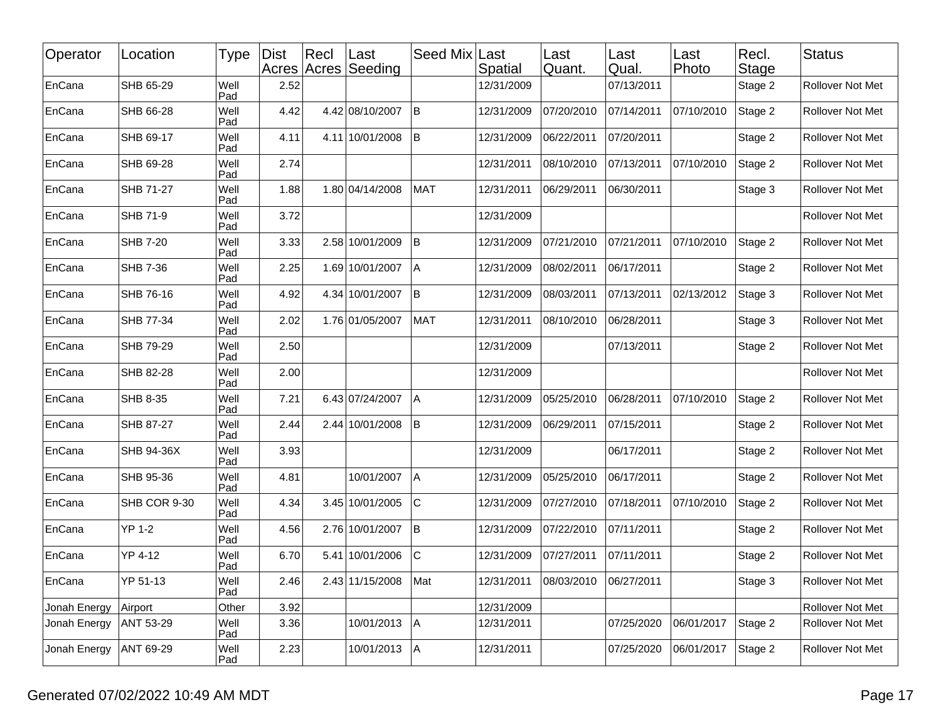| Operator     | Location        | Type        | <b>Dist</b> | Recl | ∣Last<br>Acres Acres Seeding | Seed Mix    | Last<br>Spatial | Last<br>Quant. | Last<br>Qual. | Last<br>Photo | Recl.<br>Stage | <b>Status</b>           |
|--------------|-----------------|-------------|-------------|------|------------------------------|-------------|-----------------|----------------|---------------|---------------|----------------|-------------------------|
| EnCana       | SHB 65-29       | Well<br>Pad | 2.52        |      |                              |             | 12/31/2009      |                | 07/13/2011    |               | Stage 2        | Rollover Not Met        |
| EnCana       | SHB 66-28       | Well<br>Pad | 4.42        |      | 4.42 08/10/2007              | lΒ          | 12/31/2009      | 07/20/2010     | 07/14/2011    | 07/10/2010    | Stage 2        | Rollover Not Met        |
| EnCana       | SHB 69-17       | Well<br>Pad | 4.11        |      | 4.11 10/01/2008              | İΒ          | 12/31/2009      | 06/22/2011     | 07/20/2011    |               | Stage 2        | Rollover Not Met        |
| EnCana       | SHB 69-28       | Well<br>Pad | 2.74        |      |                              |             | 12/31/2011      | 08/10/2010     | 07/13/2011    | 07/10/2010    | Stage 2        | Rollover Not Met        |
| EnCana       | SHB 71-27       | Well<br>Pad | 1.88        |      | 1.80 04/14/2008              | <b>MAT</b>  | 12/31/2011      | 06/29/2011     | 06/30/2011    |               | Stage 3        | Rollover Not Met        |
| EnCana       | <b>SHB 71-9</b> | Well<br>Pad | 3.72        |      |                              |             | 12/31/2009      |                |               |               |                | Rollover Not Met        |
| EnCana       | <b>SHB 7-20</b> | Well<br>Pad | 3.33        |      | 2.58 10/01/2009              | ΙB          | 12/31/2009      | 07/21/2010     | 07/21/2011    | 07/10/2010    | Stage 2        | Rollover Not Met        |
| EnCana       | <b>SHB 7-36</b> | Well<br>Pad | 2.25        |      | 1.69 10/01/2007              | ΙA          | 12/31/2009      | 08/02/2011     | 06/17/2011    |               | Stage 2        | Rollover Not Met        |
| EnCana       | SHB 76-16       | Well<br>Pad | 4.92        |      | 4.34 10/01/2007              | B           | 12/31/2009      | 08/03/2011     | 07/13/2011    | 02/13/2012    | Stage 3        | Rollover Not Met        |
| EnCana       | SHB 77-34       | Well<br>Pad | 2.02        |      | 1.76 01/05/2007              | MAT         | 12/31/2011      | 08/10/2010     | 06/28/2011    |               | Stage 3        | Rollover Not Met        |
| EnCana       | SHB 79-29       | Well<br>Pad | 2.50        |      |                              |             | 12/31/2009      |                | 07/13/2011    |               | Stage 2        | Rollover Not Met        |
| EnCana       | SHB 82-28       | Well<br>Pad | 2.00        |      |                              |             | 12/31/2009      |                |               |               |                | Rollover Not Met        |
| EnCana       | SHB 8-35        | Well<br>Pad | 7.21        |      | 6.43 07/24/2007              | Α           | 12/31/2009      | 05/25/2010     | 06/28/2011    | 07/10/2010    | Stage 2        | Rollover Not Met        |
| EnCana       | SHB 87-27       | Well<br>Pad | 2.44        |      | 2.44 10/01/2008              | İΒ          | 12/31/2009      | 06/29/2011     | 07/15/2011    |               | Stage 2        | Rollover Not Met        |
| EnCana       | SHB 94-36X      | Well<br>Pad | 3.93        |      |                              |             | 12/31/2009      |                | 06/17/2011    |               | Stage 2        | Rollover Not Met        |
| EnCana       | SHB 95-36       | Well<br>Pad | 4.81        |      | 10/01/2007                   | A           | 12/31/2009      | 05/25/2010     | 06/17/2011    |               | Stage 2        | Rollover Not Met        |
| EnCana       | SHB COR 9-30    | Well<br>Pad | 4.34        |      | 3.45 10/01/2005              | IС          | 12/31/2009      | 07/27/2010     | 07/18/2011    | 07/10/2010    | Stage 2        | Rollover Not Met        |
| EnCana       | <b>YP 1-2</b>   | Well<br>Pad | 4.56        |      | 2.76 10/01/2007              | İΒ          | 12/31/2009      | 07/22/2010     | 07/11/2011    |               | Stage 2        | Rollover Not Met        |
| EnCana       | YP 4-12         | Well<br>Pad | 6.70        |      | 5.41 10/01/2006              | $\mathsf C$ | 12/31/2009      | 07/27/2011     | 07/11/2011    |               | Stage 2        | Rollover Not Met        |
| EnCana       | YP 51-13        | Well<br>Pad | 2.46        |      | 2.43 11/15/2008              | Mat         | 12/31/2011      | 08/03/2010     | 06/27/2011    |               | Stage 3        | <b>Rollover Not Met</b> |
| Jonah Energy | Airport         | Other       | 3.92        |      |                              |             | 12/31/2009      |                |               |               |                | Rollover Not Met        |
| Jonah Energy | ANT 53-29       | Well<br>Pad | 3.36        |      | 10/01/2013                   | A           | 12/31/2011      |                | 07/25/2020    | 06/01/2017    | Stage 2        | Rollover Not Met        |
| Jonah Energy | ANT 69-29       | Well<br>Pad | 2.23        |      | 10/01/2013 A                 |             | 12/31/2011      |                | 07/25/2020    | 06/01/2017    | Stage 2        | Rollover Not Met        |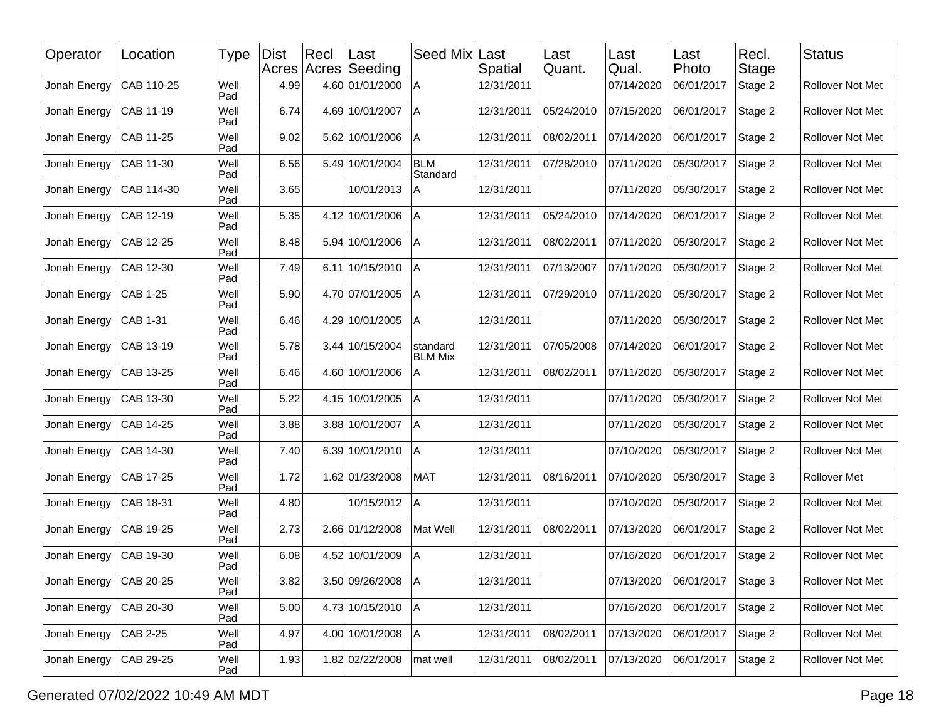| Operator     | Location   | Type        | <b>Dist</b> | Recl | ∣Last<br>Acres Acres Seeding | Seed Mix                   | Last<br>Spatial | Last<br>Quant. | Last<br>Qual. | Last<br>Photo | Recl.<br>Stage | <b>Status</b>           |
|--------------|------------|-------------|-------------|------|------------------------------|----------------------------|-----------------|----------------|---------------|---------------|----------------|-------------------------|
| Jonah Energy | CAB 110-25 | Well<br>Pad | 4.99        |      | 4.60 01/01/2000              | A                          | 12/31/2011      |                | 07/14/2020    | 06/01/2017    | Stage 2        | Rollover Not Met        |
| Jonah Energy | CAB 11-19  | Well<br>Pad | 6.74        |      | 4.69 10/01/2007              | ΙA                         | 12/31/2011      | 05/24/2010     | 07/15/2020    | 06/01/2017    | Stage 2        | Rollover Not Met        |
| Jonah Energy | CAB 11-25  | Well<br>Pad | 9.02        |      | 5.62 10/01/2006              | Α                          | 12/31/2011      | 08/02/2011     | 07/14/2020    | 06/01/2017    | Stage 2        | Rollover Not Met        |
| Jonah Energy | CAB 11-30  | Well<br>Pad | 6.56        |      | 5.49 10/01/2004              | <b>BLM</b><br>Standard     | 12/31/2011      | 07/28/2010     | 07/11/2020    | 05/30/2017    | Stage 2        | Rollover Not Met        |
| Jonah Energy | CAB 114-30 | Well<br>Pad | 3.65        |      | 10/01/2013                   | A                          | 12/31/2011      |                | 07/11/2020    | 05/30/2017    | Stage 2        | Rollover Not Met        |
| Jonah Energy | CAB 12-19  | Well<br>Pad | 5.35        |      | 4.12 10/01/2006              | A                          | 12/31/2011      | 05/24/2010     | 07/14/2020    | 06/01/2017    | Stage 2        | Rollover Not Met        |
| Jonah Energy | CAB 12-25  | Well<br>Pad | 8.48        |      | 5.94 10/01/2006              | Α                          | 12/31/2011      | 08/02/2011     | 07/11/2020    | 05/30/2017    | Stage 2        | Rollover Not Met        |
| Jonah Energy | CAB 12-30  | Well<br>Pad | 7.49        |      | 6.11 10/15/2010              | ΙA                         | 12/31/2011      | 07/13/2007     | 07/11/2020    | 05/30/2017    | Stage 2        | Rollover Not Met        |
| Jonah Energy | CAB 1-25   | Well<br>Pad | 5.90        |      | 4.70 07/01/2005              | A                          | 12/31/2011      | 07/29/2010     | 07/11/2020    | 05/30/2017    | Stage 2        | Rollover Not Met        |
| Jonah Energy | CAB 1-31   | Well<br>Pad | 6.46        |      | 4.29 10/01/2005              | Α                          | 12/31/2011      |                | 07/11/2020    | 05/30/2017    | Stage 2        | Rollover Not Met        |
| Jonah Energy | CAB 13-19  | Well<br>Pad | 5.78        |      | 3.44 10/15/2004              | standard<br><b>BLM Mix</b> | 12/31/2011      | 07/05/2008     | 07/14/2020    | 06/01/2017    | Stage 2        | Rollover Not Met        |
| Jonah Energy | CAB 13-25  | Well<br>Pad | 6.46        |      | 4.60 10/01/2006              | Α                          | 12/31/2011      | 08/02/2011     | 07/11/2020    | 05/30/2017    | Stage 2        | Rollover Not Met        |
| Jonah Energy | CAB 13-30  | Well<br>Pad | 5.22        |      | 4.15 10/01/2005              | Α                          | 12/31/2011      |                | 07/11/2020    | 05/30/2017    | Stage 2        | Rollover Not Met        |
| Jonah Energy | CAB 14-25  | Well<br>Pad | 3.88        |      | 3.88 10/01/2007              | ΙA                         | 12/31/2011      |                | 07/11/2020    | 05/30/2017    | Stage 2        | Rollover Not Met        |
| Jonah Energy | CAB 14-30  | Well<br>Pad | 7.40        |      | 6.39 10/01/2010              | l A                        | 12/31/2011      |                | 07/10/2020    | 05/30/2017    | Stage 2        | Rollover Not Met        |
| Jonah Energy | CAB 17-25  | Well<br>Pad | 1.72        |      | 1.62 01/23/2008              | <b>MAT</b>                 | 12/31/2011      | 08/16/2011     | 07/10/2020    | 05/30/2017    | Stage 3        | <b>Rollover Met</b>     |
| Jonah Energy | CAB 18-31  | Well<br>Pad | 4.80        |      | 10/15/2012                   | Α                          | 12/31/2011      |                | 07/10/2020    | 05/30/2017    | Stage 2        | Rollover Not Met        |
| Jonah Energy | CAB 19-25  | Well<br>Pad | 2.73        |      | 2.66 01/12/2008              | Mat Well                   | 12/31/2011      | 08/02/2011     | 07/13/2020    | 06/01/2017    | Stage 2        | Rollover Not Met        |
| Jonah Energy | CAB 19-30  | Well<br>Pad | 6.08        |      | 4.52 10/01/2009              | A                          | 12/31/2011      |                | 07/16/2020    | 06/01/2017    | Stage 2        | Rollover Not Met        |
| Jonah Energy | CAB 20-25  | Well<br>Pad | 3.82        |      | 3.50 09/26/2008   A          |                            | 12/31/2011      |                | 07/13/2020    | 06/01/2017    | Stage 3        | <b>Rollover Not Met</b> |
| Jonah Energy | CAB 20-30  | Well<br>Pad | 5.00        |      | 4.73 10/15/2010              | A                          | 12/31/2011      |                | 07/16/2020    | 06/01/2017    | Stage 2        | Rollover Not Met        |
| Jonah Energy | CAB 2-25   | Well<br>Pad | 4.97        |      | 4.00 10/01/2008              | Α                          | 12/31/2011      | 08/02/2011     | 07/13/2020    | 06/01/2017    | Stage 2        | Rollover Not Met        |
| Jonah Energy | CAB 29-25  | Well<br>Pad | 1.93        |      | 1.82 02/22/2008              | mat well                   | 12/31/2011      | 08/02/2011     | 07/13/2020    | 06/01/2017    | Stage 2        | Rollover Not Met        |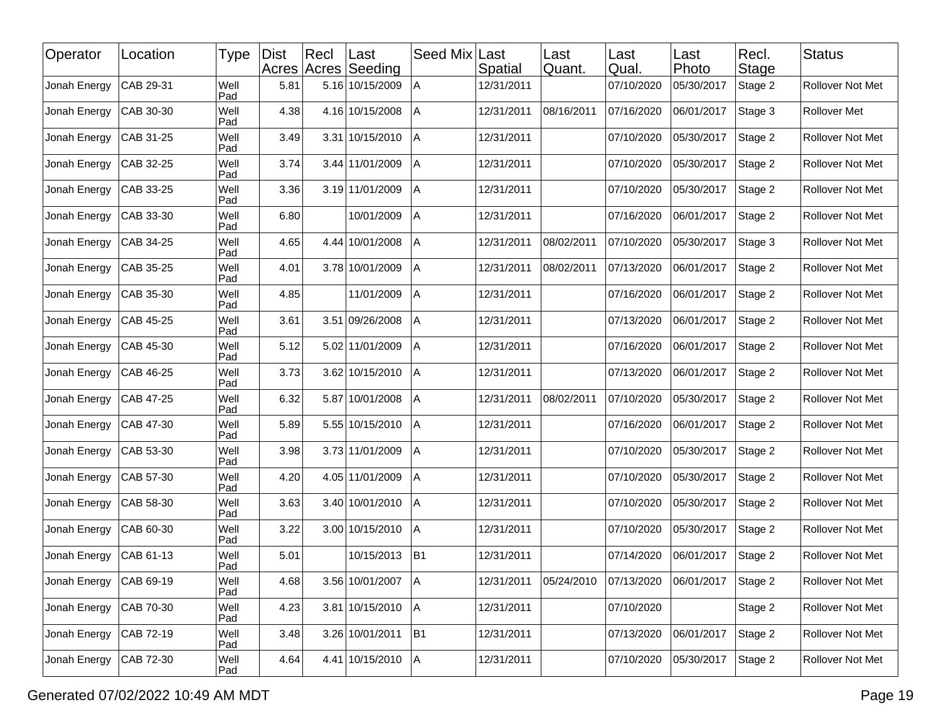| Operator     | Location     | Type        | <b>Dist</b> | Recl | ∣Last<br>Acres Acres Seeding | Seed Mix       | Last<br>Spatial | Last<br>Quant. | Last<br>Qual. | Last<br>Photo | Recl.<br><b>Stage</b> | <b>Status</b>    |
|--------------|--------------|-------------|-------------|------|------------------------------|----------------|-----------------|----------------|---------------|---------------|-----------------------|------------------|
| Jonah Energy | CAB 29-31    | Well<br>Pad | 5.81        |      | 5.16 10/15/2009              | Α              | 12/31/2011      |                | 07/10/2020    | 05/30/2017    | Stage 2               | Rollover Not Met |
| Jonah Energy | CAB 30-30    | Well<br>Pad | 4.38        |      | 4.16 10/15/2008              | ΙA             | 12/31/2011      | 08/16/2011     | 07/16/2020    | 06/01/2017    | Stage 3               | Rollover Met     |
| Jonah Energy | CAB 31-25    | Well<br>Pad | 3.49        |      | 3.31 10/15/2010              | ΙA             | 12/31/2011      |                | 07/10/2020    | 05/30/2017    | Stage 2               | Rollover Not Met |
| Jonah Energy | CAB 32-25    | Well<br>Pad | 3.74        |      | 3.44 11/01/2009              | A              | 12/31/2011      |                | 07/10/2020    | 05/30/2017    | Stage 2               | Rollover Not Met |
| Jonah Energy | CAB 33-25    | Well<br>Pad | 3.36        |      | 3.19 11/01/2009              | A              | 12/31/2011      |                | 07/10/2020    | 05/30/2017    | Stage 2               | Rollover Not Met |
| Jonah Energy | CAB 33-30    | Well<br>Pad | 6.80        |      | 10/01/2009                   | A              | 12/31/2011      |                | 07/16/2020    | 06/01/2017    | Stage 2               | Rollover Not Met |
| Jonah Energy | CAB 34-25    | Well<br>Pad | 4.65        |      | 4.44 10/01/2008              | A              | 12/31/2011      | 08/02/2011     | 07/10/2020    | 05/30/2017    | Stage 3               | Rollover Not Met |
| Jonah Energy | CAB 35-25    | Well<br>Pad | 4.01        |      | 3.78 10/01/2009              | ΙA             | 12/31/2011      | 08/02/2011     | 07/13/2020    | 06/01/2017    | Stage 2               | Rollover Not Met |
| Jonah Energy | CAB 35-30    | Well<br>Pad | 4.85        |      | 11/01/2009                   | A              | 12/31/2011      |                | 07/16/2020    | 06/01/2017    | Stage 2               | Rollover Not Met |
| Jonah Energy | CAB 45-25    | Well<br>Pad | 3.61        |      | 3.51 09/26/2008              | A              | 12/31/2011      |                | 07/13/2020    | 06/01/2017    | Stage 2               | Rollover Not Met |
| Jonah Energy | CAB 45-30    | Well<br>Pad | 5.12        |      | 5.02 11/01/2009              | ΙA             | 12/31/2011      |                | 07/16/2020    | 06/01/2017    | Stage 2               | Rollover Not Met |
| Jonah Energy | CAB 46-25    | Well<br>Pad | 3.73        |      | 3.62 10/15/2010              | l A            | 12/31/2011      |                | 07/13/2020    | 06/01/2017    | Stage 2               | Rollover Not Met |
| Jonah Energy | CAB 47-25    | Well<br>Pad | 6.32        |      | 5.87 10/01/2008              | A              | 12/31/2011      | 08/02/2011     | 07/10/2020    | 05/30/2017    | Stage 2               | Rollover Not Met |
| Jonah Energy | CAB 47-30    | Well<br>Pad | 5.89        |      | 5.55 10/15/2010              | IА             | 12/31/2011      |                | 07/16/2020    | 06/01/2017    | Stage 2               | Rollover Not Met |
| Jonah Energy | CAB 53-30    | Well<br>Pad | 3.98        |      | 3.73 11/01/2009              | A              | 12/31/2011      |                | 07/10/2020    | 05/30/2017    | Stage 2               | Rollover Not Met |
| Jonah Energy | CAB 57-30    | Well<br>Pad | 4.20        |      | 4.05 11/01/2009              | A              | 12/31/2011      |                | 07/10/2020    | 05/30/2017    | Stage 2               | Rollover Not Met |
| Jonah Energy | CAB 58-30    | Well<br>Pad | 3.63        |      | 3.40 10/01/2010              | IА             | 12/31/2011      |                | 07/10/2020    | 05/30/2017    | Stage 2               | Rollover Not Met |
| Jonah Energy | CAB 60-30    | Well<br>Pad | 3.22        |      | 3.00 10/15/2010              | l A            | 12/31/2011      |                | 07/10/2020    | 05/30/2017    | Stage 2               | Rollover Not Met |
| Jonah Energy | CAB 61-13    | Well<br>Pad | 5.01        |      | 10/15/2013                   | B <sub>1</sub> | 12/31/2011      |                | 07/14/2020    | 06/01/2017    | Stage 2               | Rollover Not Met |
| Jonah Energy | $ CAB 69-19$ | Well<br>Pad | 4.68        |      | 3.56 10/01/2007   A          |                | 12/31/2011      | 05/24/2010     | 07/13/2020    | 06/01/2017    | Stage 2               | Rollover Not Met |
| Jonah Energy | CAB 70-30    | Well<br>Pad | 4.23        |      | 3.81 10/15/2010              | A              | 12/31/2011      |                | 07/10/2020    |               | Stage 2               | Rollover Not Met |
| Jonah Energy | CAB 72-19    | Well<br>Pad | 3.48        |      | 3.26 10/01/2011              | B <sub>1</sub> | 12/31/2011      |                | 07/13/2020    | 06/01/2017    | Stage 2               | Rollover Not Met |
| Jonah Energy | CAB 72-30    | Well<br>Pad | 4.64        |      | 4.41 10/15/2010              | A              | 12/31/2011      |                | 07/10/2020    | 05/30/2017    | Stage 2               | Rollover Not Met |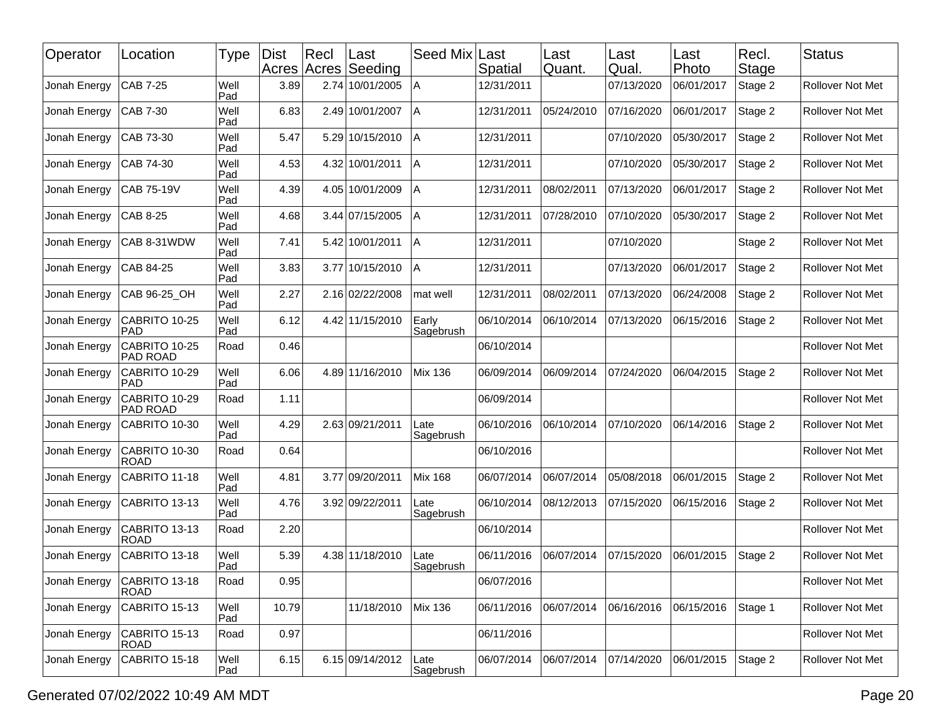| Operator     | Location                         | Type        | <b>Dist</b><br>Acres Acres | Recl | Last<br>Seeding | Seed Mix Last      | Spatial    | Last<br>Quant. | Last<br>Qual. | Last<br>Photo | Recl.<br>Stage | <b>Status</b>           |
|--------------|----------------------------------|-------------|----------------------------|------|-----------------|--------------------|------------|----------------|---------------|---------------|----------------|-------------------------|
| Jonah Energy | CAB 7-25                         | Well<br>Pad | 3.89                       | 2.74 | 10/01/2005      | $\overline{A}$     | 12/31/2011 |                | 07/13/2020    | 06/01/2017    | Stage 2        | Rollover Not Met        |
| Jonah Energy | CAB 7-30                         | Well<br>Pad | 6.83                       |      | 2.49 10/01/2007 | $\overline{A}$     | 12/31/2011 | 05/24/2010     | 07/16/2020    | 06/01/2017    | Stage 2        | Rollover Not Met        |
| Jonah Energy | CAB 73-30                        | Well<br>Pad | 5.47                       |      | 5.29 10/15/2010 | ΙA                 | 12/31/2011 |                | 07/10/2020    | 05/30/2017    | Stage 2        | Rollover Not Met        |
| Jonah Energy | CAB 74-30                        | Well<br>Pad | 4.53                       |      | 4.32 10/01/2011 | $\overline{A}$     | 12/31/2011 |                | 07/10/2020    | 05/30/2017    | Stage 2        | Rollover Not Met        |
| Jonah Energy | <b>CAB 75-19V</b>                | Well<br>Pad | 4.39                       | 4.05 | 10/01/2009      | Α                  | 12/31/2011 | 08/02/2011     | 07/13/2020    | 06/01/2017    | Stage 2        | Rollover Not Met        |
| Jonah Energy | CAB 8-25                         | Well<br>Pad | 4.68                       |      | 3.44 07/15/2005 | A                  | 12/31/2011 | 07/28/2010     | 07/10/2020    | 05/30/2017    | Stage 2        | <b>Rollover Not Met</b> |
| Jonah Energy | CAB 8-31WDW                      | Well<br>Pad | 7.41                       |      | 5.42 10/01/2011 | $\overline{A}$     | 12/31/2011 |                | 07/10/2020    |               | Stage 2        | Rollover Not Met        |
| Jonah Energy | CAB 84-25                        | Well<br>Pad | 3.83                       |      | 3.77 10/15/2010 | A                  | 12/31/2011 |                | 07/13/2020    | 06/01/2017    | Stage 2        | Rollover Not Met        |
| Jonah Energy | CAB 96-25_OH                     | Well<br>Pad | 2.27                       |      | 2.16 02/22/2008 | mat well           | 12/31/2011 | 08/02/2011     | 07/13/2020    | 06/24/2008    | Stage 2        | Rollover Not Met        |
| Jonah Energy | CABRITO 10-25<br><b>PAD</b>      | Well<br>Pad | 6.12                       |      | 4.42 11/15/2010 | Early<br>Sagebrush | 06/10/2014 | 06/10/2014     | 07/13/2020    | 06/15/2016    | Stage 2        | <b>Rollover Not Met</b> |
| Jonah Energy | CABRITO 10-25<br><b>PAD ROAD</b> | Road        | 0.46                       |      |                 |                    | 06/10/2014 |                |               |               |                | Rollover Not Met        |
| Jonah Energy | CABRITO 10-29<br><b>PAD</b>      | Well<br>Pad | 6.06                       | 4.89 | 11/16/2010      | <b>Mix 136</b>     | 06/09/2014 | 06/09/2014     | 07/24/2020    | 06/04/2015    | Stage 2        | <b>Rollover Not Met</b> |
| Jonah Energy | CABRITO 10-29<br><b>PAD ROAD</b> | Road        | 1.11                       |      |                 |                    | 06/09/2014 |                |               |               |                | Rollover Not Met        |
| Jonah Energy | CABRITO 10-30                    | Well<br>Pad | 4.29                       |      | 2.63 09/21/2011 | _ate<br>Sagebrush  | 06/10/2016 | 06/10/2014     | 07/10/2020    | 06/14/2016    | Stage 2        | Rollover Not Met        |
| Jonah Energy | CABRITO 10-30<br><b>ROAD</b>     | Road        | 0.64                       |      |                 |                    | 06/10/2016 |                |               |               |                | Rollover Not Met        |
| Jonah Energy | CABRITO 11-18                    | Well<br>Pad | 4.81                       |      | 3.77 09/20/2011 | <b>Mix 168</b>     | 06/07/2014 | 06/07/2014     | 05/08/2018    | 06/01/2015    | Stage 2        | Rollover Not Met        |
| Jonah Energy | CABRITO 13-13                    | Well<br>Pad | 4.76                       |      | 3.92 09/22/2011 | Late<br>Sagebrush  | 06/10/2014 | 08/12/2013     | 07/15/2020    | 06/15/2016    | Stage 2        | Rollover Not Met        |
| Jonah Energy | CABRITO 13-13<br><b>ROAD</b>     | Road        | 2.20                       |      |                 |                    | 06/10/2014 |                |               |               |                | Rollover Not Met        |
| Jonah Energy | CABRITO 13-18                    | Well<br>Pad | 5.39                       |      | 4.38 11/18/2010 | Late<br>Sagebrush  | 06/11/2016 | 06/07/2014     | 07/15/2020    | 06/01/2015    | Stage 2        | Rollover Not Met        |
| Jonah Energy | CABRITO 13-18<br><b>ROAD</b>     | Road        | 0.95                       |      |                 |                    | 06/07/2016 |                |               |               |                | Rollover Not Met        |
| Jonah Energy | CABRITO 15-13                    | Well<br>Pad | 10.79                      |      | 11/18/2010      | <b>Mix 136</b>     | 06/11/2016 | 06/07/2014     | 06/16/2016    | 06/15/2016    | Stage 1        | Rollover Not Met        |
| Jonah Energy | CABRITO 15-13<br><b>ROAD</b>     | Road        | 0.97                       |      |                 |                    | 06/11/2016 |                |               |               |                | Rollover Not Met        |
| Jonah Energy | CABRITO 15-18                    | Well<br>Pad | 6.15                       |      | 6.15 09/14/2012 | Late<br>Sagebrush  | 06/07/2014 | 06/07/2014     | 07/14/2020    | 06/01/2015    | Stage 2        | Rollover Not Met        |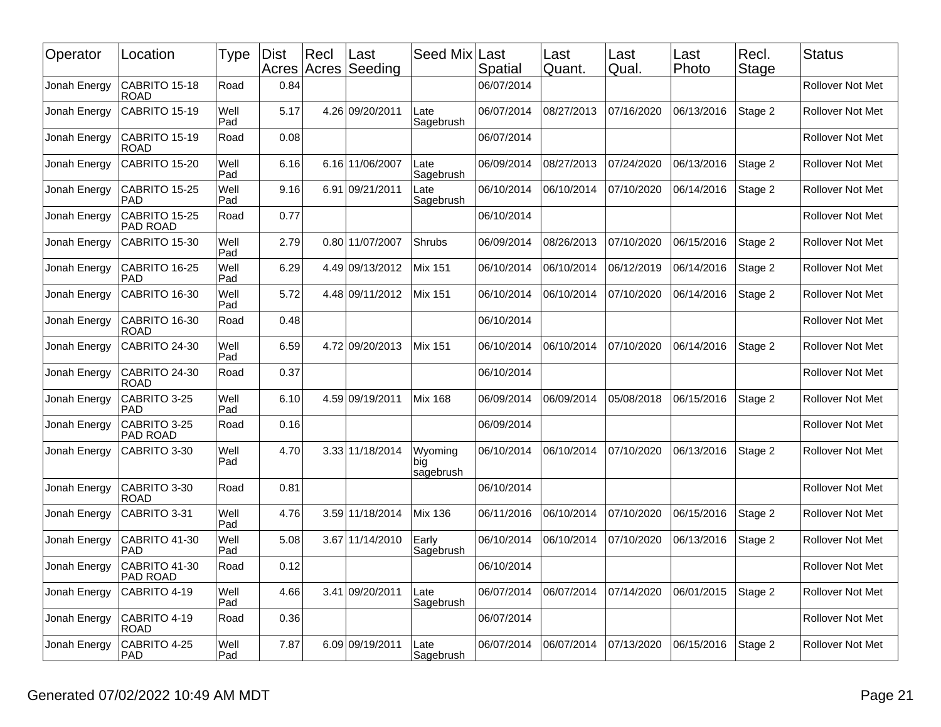| Operator     | Location                         | Type        | <b>Dist</b><br>Acres Acres | Recl | Last<br>Seeding | Seed Mix                    | Last<br>Spatial | Last<br>Quant. | Last<br>Qual. | Last<br>Photo | Recl.<br>Stage | <b>Status</b>           |
|--------------|----------------------------------|-------------|----------------------------|------|-----------------|-----------------------------|-----------------|----------------|---------------|---------------|----------------|-------------------------|
| Jonah Energy | CABRITO 15-18<br><b>ROAD</b>     | Road        | 0.84                       |      |                 |                             | 06/07/2014      |                |               |               |                | <b>Rollover Not Met</b> |
| Jonah Energy | CABRITO 15-19                    | Well<br>Pad | 5.17                       |      | 4.26 09/20/2011 | Late<br>Sagebrush           | 06/07/2014      | 08/27/2013     | 07/16/2020    | 06/13/2016    | Stage 2        | Rollover Not Met        |
| Jonah Energy | CABRITO 15-19<br>ROAD            | Road        | 0.08                       |      |                 |                             | 06/07/2014      |                |               |               |                | <b>Rollover Not Met</b> |
| Jonah Energy | CABRITO 15-20                    | Well<br>Pad | 6.16                       |      | 6.16 11/06/2007 | Late<br>Sagebrush           | 06/09/2014      | 08/27/2013     | 07/24/2020    | 06/13/2016    | Stage 2        | <b>Rollover Not Met</b> |
| Jonah Energy | CABRITO 15-25<br>PAD             | Well<br>Pad | 9.16                       |      | 6.91 09/21/2011 | Late<br>Sagebrush           | 06/10/2014      | 06/10/2014     | 07/10/2020    | 06/14/2016    | Stage 2        | Rollover Not Met        |
| Jonah Energy | CABRITO 15-25<br><b>PAD ROAD</b> | Road        | 0.77                       |      |                 |                             | 06/10/2014      |                |               |               |                | <b>Rollover Not Met</b> |
| Jonah Energy | CABRITO 15-30                    | Well<br>Pad | 2.79                       |      | 0.80 11/07/2007 | Shrubs                      | 06/09/2014      | 08/26/2013     | 07/10/2020    | 06/15/2016    | Stage 2        | <b>Rollover Not Met</b> |
| Jonah Energy | CABRITO 16-25<br><b>PAD</b>      | Well<br>Pad | 6.29                       |      | 4.49 09/13/2012 | <b>Mix 151</b>              | 06/10/2014      | 06/10/2014     | 06/12/2019    | 06/14/2016    | Stage 2        | Rollover Not Met        |
| Jonah Energy | CABRITO 16-30                    | Well<br>Pad | 5.72                       |      | 4.48 09/11/2012 | Mix 151                     | 06/10/2014      | 06/10/2014     | 07/10/2020    | 06/14/2016    | Stage 2        | <b>Rollover Not Met</b> |
| Jonah Energy | CABRITO 16-30<br><b>ROAD</b>     | Road        | 0.48                       |      |                 |                             | 06/10/2014      |                |               |               |                | Rollover Not Met        |
| Jonah Energy | CABRITO 24-30                    | Well<br>Pad | 6.59                       | 4.72 | 09/20/2013      | <b>Mix 151</b>              | 06/10/2014      | 06/10/2014     | 07/10/2020    | 06/14/2016    | Stage 2        | Rollover Not Met        |
| Jonah Energy | CABRITO 24-30<br><b>ROAD</b>     | Road        | 0.37                       |      |                 |                             | 06/10/2014      |                |               |               |                | <b>Rollover Not Met</b> |
| Jonah Energy | CABRITO 3-25<br><b>PAD</b>       | Well<br>Pad | 6.10                       |      | 4.59 09/19/2011 | <b>Mix 168</b>              | 06/09/2014      | 06/09/2014     | 05/08/2018    | 06/15/2016    | Stage 2        | Rollover Not Met        |
| Jonah Energy | CABRITO 3-25<br><b>PAD ROAD</b>  | Road        | 0.16                       |      |                 |                             | 06/09/2014      |                |               |               |                | Rollover Not Met        |
| Jonah Energy | CABRITO 3-30                     | Well<br>Pad | 4.70                       |      | 3.33 11/18/2014 | Wyoming<br>big<br>sagebrush | 06/10/2014      | 06/10/2014     | 07/10/2020    | 06/13/2016    | Stage 2        | <b>Rollover Not Met</b> |
| Jonah Energy | CABRITO 3-30<br><b>ROAD</b>      | Road        | 0.81                       |      |                 |                             | 06/10/2014      |                |               |               |                | <b>Rollover Not Met</b> |
| Jonah Energy | CABRITO 3-31                     | Well<br>Pad | 4.76                       |      | 3.59 11/18/2014 | <b>Mix 136</b>              | 06/11/2016      | 06/10/2014     | 07/10/2020    | 06/15/2016    | Stage 2        | <b>Rollover Not Met</b> |
| Jonah Energy | CABRITO 41-30<br>PAD             | Well<br>Pad | 5.08                       |      | 3.67 11/14/2010 | Early<br>Sagebrush          | 06/10/2014      | 06/10/2014     | 07/10/2020    | 06/13/2016    | Stage 2        | Rollover Not Met        |
| Jonah Energy | CABRITO 41-30<br><b>PAD ROAD</b> | Road        | 0.12                       |      |                 |                             | 06/10/2014      |                |               |               |                | Rollover Not Met        |
| Jonah Energy | CABRITO 4-19                     | Well<br>Pad | 4.66                       |      | 3.41 09/20/2011 | Late<br>Sagebrush           | 06/07/2014      | 06/07/2014     | 07/14/2020    | 06/01/2015    | Stage 2        | Rollover Not Met        |
| Jonah Energy | CABRITO 4-19<br><b>ROAD</b>      | Road        | 0.36                       |      |                 |                             | 06/07/2014      |                |               |               |                | Rollover Not Met        |
| Jonah Energy | CABRITO 4-25<br><b>PAD</b>       | Well<br>Pad | 7.87                       |      | 6.09 09/19/2011 | Late<br>Sagebrush           | 06/07/2014      | 06/07/2014     | 07/13/2020    | 06/15/2016    | Stage 2        | Rollover Not Met        |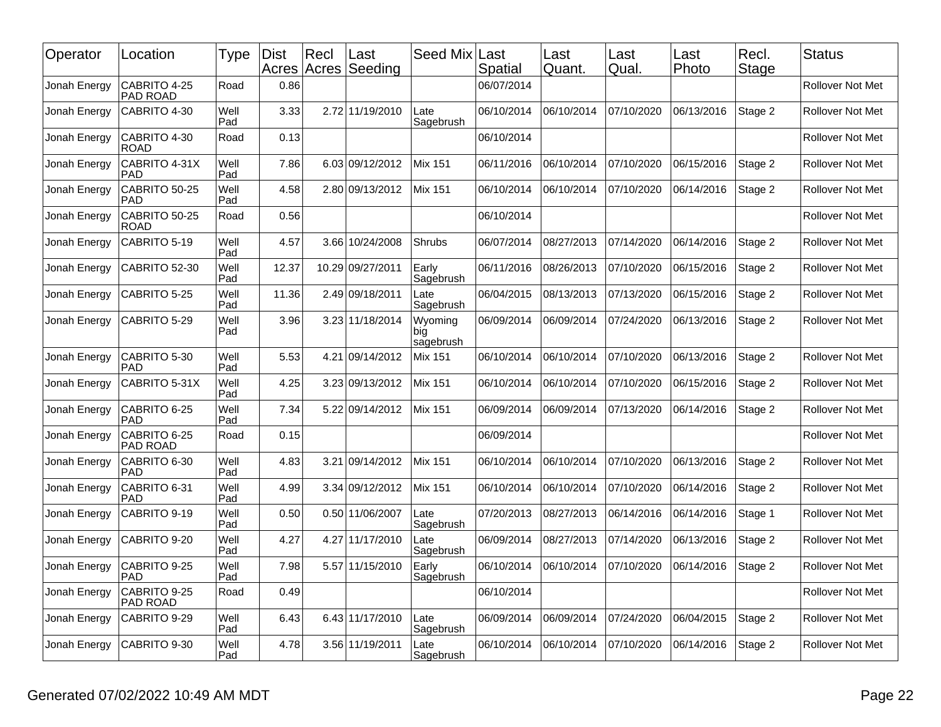| Operator     | Location                        | Type        | <b>Dist</b> | Recl<br>Acres Acres | Last<br>Seeding | Seed Mix   Last             | Spatial    | Last<br>Quant. | ∟ast<br>Qual. | Last<br>Photo | Recl.<br><b>Stage</b> | <b>Status</b>           |
|--------------|---------------------------------|-------------|-------------|---------------------|-----------------|-----------------------------|------------|----------------|---------------|---------------|-----------------------|-------------------------|
| Jonah Energy | CABRITO 4-25<br>PAD ROAD        | Road        | 0.86        |                     |                 |                             | 06/07/2014 |                |               |               |                       | <b>Rollover Not Met</b> |
| Jonah Energy | CABRITO 4-30                    | Well<br>Pad | 3.33        |                     | 2.72 11/19/2010 | Late<br>Sagebrush           | 06/10/2014 | 06/10/2014     | 07/10/2020    | 06/13/2016    | Stage 2               | <b>Rollover Not Met</b> |
| Jonah Energy | CABRITO 4-30<br><b>ROAD</b>     | Road        | 0.13        |                     |                 |                             | 06/10/2014 |                |               |               |                       | <b>Rollover Not Met</b> |
| Jonah Energy | CABRITO 4-31X<br><b>PAD</b>     | Well<br>Pad | 7.86        |                     | 6.03 09/12/2012 | Mix 151                     | 06/11/2016 | 06/10/2014     | 07/10/2020    | 06/15/2016    | Stage 2               | Rollover Not Met        |
| Jonah Energy | CABRITO 50-25<br><b>PAD</b>     | Well<br>Pad | 4.58        |                     | 2.80 09/13/2012 | Mix 151                     | 06/10/2014 | 06/10/2014     | 07/10/2020    | 06/14/2016    | Stage 2               | Rollover Not Met        |
| Jonah Energy | CABRITO 50-25<br><b>ROAD</b>    | Road        | 0.56        |                     |                 |                             | 06/10/2014 |                |               |               |                       | <b>Rollover Not Met</b> |
| Jonah Energy | CABRITO 5-19                    | Well<br>Pad | 4.57        |                     | 3.66 10/24/2008 | Shrubs                      | 06/07/2014 | 08/27/2013     | 07/14/2020    | 06/14/2016    | Stage 2               | Rollover Not Met        |
| Jonah Energy | CABRITO 52-30                   | Well<br>Pad | 12.37       | 10.29               | 09/27/2011      | Early<br>Sagebrush          | 06/11/2016 | 08/26/2013     | 07/10/2020    | 06/15/2016    | Stage 2               | <b>Rollover Not Met</b> |
| Jonah Energy | CABRITO 5-25                    | Well<br>Pad | 11.36       |                     | 2.49 09/18/2011 | Late<br>Sagebrush           | 06/04/2015 | 08/13/2013     | 07/13/2020    | 06/15/2016    | Stage 2               | <b>Rollover Not Met</b> |
| Jonah Energy | CABRITO 5-29                    | Well<br>Pad | 3.96        |                     | 3.23 11/18/2014 | Wyoming<br>big<br>sagebrush | 06/09/2014 | 06/09/2014     | 07/24/2020    | 06/13/2016    | Stage 2               | <b>Rollover Not Met</b> |
| Jonah Energy | CABRITO 5-30<br><b>PAD</b>      | Well<br>Pad | 5.53        | 4.21                | 09/14/2012      | Mix 151                     | 06/10/2014 | 06/10/2014     | 07/10/2020    | 06/13/2016    | Stage 2               | <b>Rollover Not Met</b> |
| Jonah Energy | CABRITO 5-31X                   | Well<br>Pad | 4.25        |                     | 3.23 09/13/2012 | Mix 151                     | 06/10/2014 | 06/10/2014     | 07/10/2020    | 06/15/2016    | Stage 2               | <b>Rollover Not Met</b> |
| Jonah Energy | CABRITO 6-25<br><b>PAD</b>      | Well<br>Pad | 7.34        | 5.22                | 09/14/2012      | <b>Mix 151</b>              | 06/09/2014 | 06/09/2014     | 07/13/2020    | 06/14/2016    | Stage 2               | <b>Rollover Not Met</b> |
| Jonah Energy | CABRITO 6-25<br><b>PAD ROAD</b> | Road        | 0.15        |                     |                 |                             | 06/09/2014 |                |               |               |                       | <b>Rollover Not Met</b> |
| Jonah Energy | CABRITO 6-30<br><b>PAD</b>      | Well<br>Pad | 4.83        | 3.21                | 09/14/2012      | <b>Mix 151</b>              | 06/10/2014 | 06/10/2014     | 07/10/2020    | 06/13/2016    | Stage 2               | <b>Rollover Not Met</b> |
| Jonah Energy | CABRITO 6-31<br><b>PAD</b>      | Well<br>Pad | 4.99        | 3.34                | 09/12/2012      | Mix 151                     | 06/10/2014 | 06/10/2014     | 07/10/2020    | 06/14/2016    | Stage 2               | <b>Rollover Not Met</b> |
| Jonah Energy | CABRITO 9-19                    | Well<br>Pad | 0.50        |                     | 0.50 11/06/2007 | Late<br>Sagebrush           | 07/20/2013 | 08/27/2013     | 06/14/2016    | 06/14/2016    | Stage 1               | <b>Rollover Not Met</b> |
| Jonah Energy | CABRITO 9-20                    | Well<br>Pad | 4.27        | 4.27                | 11/17/2010      | Late<br>Sagebrush           | 06/09/2014 | 08/27/2013     | 07/14/2020    | 06/13/2016    | Stage 2               | <b>Rollover Not Met</b> |
| Jonah Energy | CABRITO 9-25<br><b>PAD</b>      | Well<br>Pad | 7.98        |                     | 5.57 11/15/2010 | Early<br>Sagebrush          | 06/10/2014 | 06/10/2014     | 07/10/2020    | 06/14/2016    | Stage 2               | Rollover Not Met        |
| Jonah Energy | CABRITO 9-25<br><b>PAD ROAD</b> | Road        | 0.49        |                     |                 |                             | 06/10/2014 |                |               |               |                       | <b>Rollover Not Met</b> |
| Jonah Energy | CABRITO 9-29                    | Well<br>Pad | 6.43        |                     | 6.43 11/17/2010 | Late<br>Sagebrush           | 06/09/2014 | 06/09/2014     | 07/24/2020    | 06/04/2015    | Stage 2               | <b>Rollover Not Met</b> |
| Jonah Energy | CABRITO 9-30                    | Well<br>Pad | 4.78        |                     | 3.56 11/19/2011 | Late<br>Sagebrush           | 06/10/2014 | 06/10/2014     | 07/10/2020    | 06/14/2016    | Stage 2               | <b>Rollover Not Met</b> |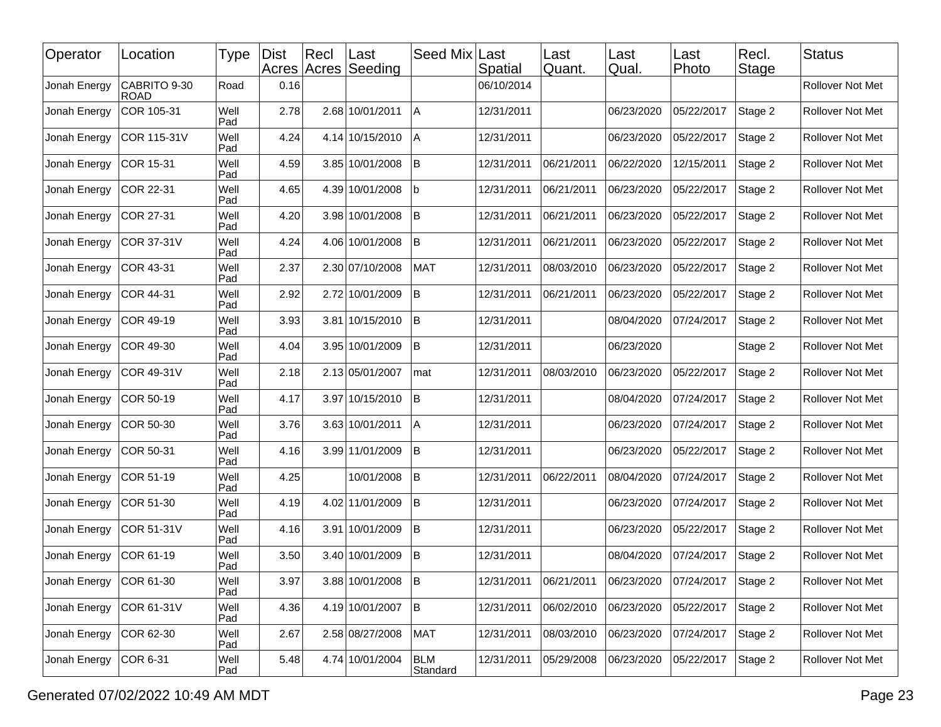| Operator     | Location                    | Type        | <b>Dist</b> | Rec | ∣Last<br>Acres Acres Seeding | Seed Mix               | Last<br>Spatial | Last<br>Quant. | Last<br>Qual. | Last<br>Photo | Recl.<br>Stage | <b>Status</b>    |
|--------------|-----------------------------|-------------|-------------|-----|------------------------------|------------------------|-----------------|----------------|---------------|---------------|----------------|------------------|
| Jonah Energy | CABRITO 9-30<br><b>ROAD</b> | Road        | 0.16        |     |                              |                        | 06/10/2014      |                |               |               |                | Rollover Not Met |
| Jonah Energy | COR 105-31                  | Well<br>Pad | 2.78        |     | 2.68 10/01/2011              | A                      | 12/31/2011      |                | 06/23/2020    | 05/22/2017    | Stage 2        | Rollover Not Met |
| Jonah Energy | COR 115-31V                 | Well<br>Pad | 4.24        |     | 4.14 10/15/2010              | l A                    | 12/31/2011      |                | 06/23/2020    | 05/22/2017    | Stage 2        | Rollover Not Met |
| Jonah Energy | COR 15-31                   | Well<br>Pad | 4.59        |     | 3.85 10/01/2008              | İΒ                     | 12/31/2011      | 06/21/2011     | 06/22/2020    | 12/15/2011    | Stage 2        | Rollover Not Met |
| Jonah Energy | COR 22-31                   | Well<br>Pad | 4.65        |     | 4.39 10/01/2008              | b                      | 12/31/2011      | 06/21/2011     | 06/23/2020    | 05/22/2017    | Stage 2        | Rollover Not Met |
| Jonah Energy | COR 27-31                   | Well<br>Pad | 4.20        |     | 3.98 10/01/2008              | ΙB                     | 12/31/2011      | 06/21/2011     | 06/23/2020    | 05/22/2017    | Stage 2        | Rollover Not Met |
| Jonah Energy | COR 37-31V                  | Well<br>Pad | 4.24        |     | 4.06 10/01/2008              | ΙB                     | 12/31/2011      | 06/21/2011     | 06/23/2020    | 05/22/2017    | Stage 2        | Rollover Not Met |
| Jonah Energy | COR 43-31                   | Well<br>Pad | 2.37        |     | 2.30 07/10/2008              | <b>MAT</b>             | 12/31/2011      | 08/03/2010     | 06/23/2020    | 05/22/2017    | Stage 2        | Rollover Not Met |
| Jonah Energy | COR 44-31                   | Well<br>Pad | 2.92        |     | 2.72 10/01/2009              | ΙB                     | 12/31/2011      | 06/21/2011     | 06/23/2020    | 05/22/2017    | Stage 2        | Rollover Not Met |
| Jonah Energy | COR 49-19                   | Well<br>Pad | 3.93        |     | 3.81 10/15/2010              | B                      | 12/31/2011      |                | 08/04/2020    | 07/24/2017    | Stage 2        | Rollover Not Met |
| Jonah Energy | COR 49-30                   | Well<br>Pad | 4.04        |     | 3.95 10/01/2009              | ΙB                     | 12/31/2011      |                | 06/23/2020    |               | Stage 2        | Rollover Not Met |
| Jonah Energy | COR 49-31V                  | Well<br>Pad | 2.18        |     | 2.13 05/01/2007              | mat                    | 12/31/2011      | 08/03/2010     | 06/23/2020    | 05/22/2017    | Stage 2        | Rollover Not Met |
| Jonah Energy | COR 50-19                   | Well<br>Pad | 4.17        |     | 3.97 10/15/2010              | İΒ                     | 12/31/2011      |                | 08/04/2020    | 07/24/2017    | Stage 2        | Rollover Not Met |
| Jonah Energy | COR 50-30                   | Well<br>Pad | 3.76        |     | 3.63 10/01/2011              | ΙA                     | 12/31/2011      |                | 06/23/2020    | 07/24/2017    | Stage 2        | Rollover Not Met |
| Jonah Energy | COR 50-31                   | Well<br>Pad | 4.16        |     | 3.99 11/01/2009              | İΒ                     | 12/31/2011      |                | 06/23/2020    | 05/22/2017    | Stage 2        | Rollover Not Met |
| Jonah Energy | COR 51-19                   | Well<br>Pad | 4.25        |     | 10/01/2008                   | B                      | 12/31/2011      | 06/22/2011     | 08/04/2020    | 07/24/2017    | Stage 2        | Rollover Not Met |
| Jonah Energy | COR 51-30                   | Well<br>Pad | 4.19        |     | 4.02 11/01/2009              | ΙB                     | 12/31/2011      |                | 06/23/2020    | 07/24/2017    | Stage 2        | Rollover Not Met |
| Jonah Energy | COR 51-31V                  | Well<br>Pad | 4.16        |     | 3.91 10/01/2009              | İΒ                     | 12/31/2011      |                | 06/23/2020    | 05/22/2017    | Stage 2        | Rollover Not Met |
| Jonah Energy | COR 61-19                   | Well<br>Pad | 3.50        |     | 3.40 10/01/2009              | İΒ                     | 12/31/2011      |                | 08/04/2020    | 07/24/2017    | Stage 2        | Rollover Not Met |
| Jonah Energy | COR 61-30                   | Well<br>Pad | 3.97        |     | 3.88 10/01/2008 B            |                        | 12/31/2011      | 06/21/2011     | 06/23/2020    | 07/24/2017    | Stage 2        | Rollover Not Met |
| Jonah Energy | COR 61-31V                  | Well<br>Pad | 4.36        |     | 4.19 10/01/2007              | B                      | 12/31/2011      | 06/02/2010     | 06/23/2020    | 05/22/2017    | Stage 2        | Rollover Not Met |
| Jonah Energy | COR 62-30                   | Well<br>Pad | 2.67        |     | 2.58 08/27/2008              | <b>MAT</b>             | 12/31/2011      | 08/03/2010     | 06/23/2020    | 07/24/2017    | Stage 2        | Rollover Not Met |
| Jonah Energy | COR 6-31                    | Well<br>Pad | 5.48        |     | 4.74 10/01/2004              | <b>BLM</b><br>Standard | 12/31/2011      | 05/29/2008     | 06/23/2020    | 05/22/2017    | Stage 2        | Rollover Not Met |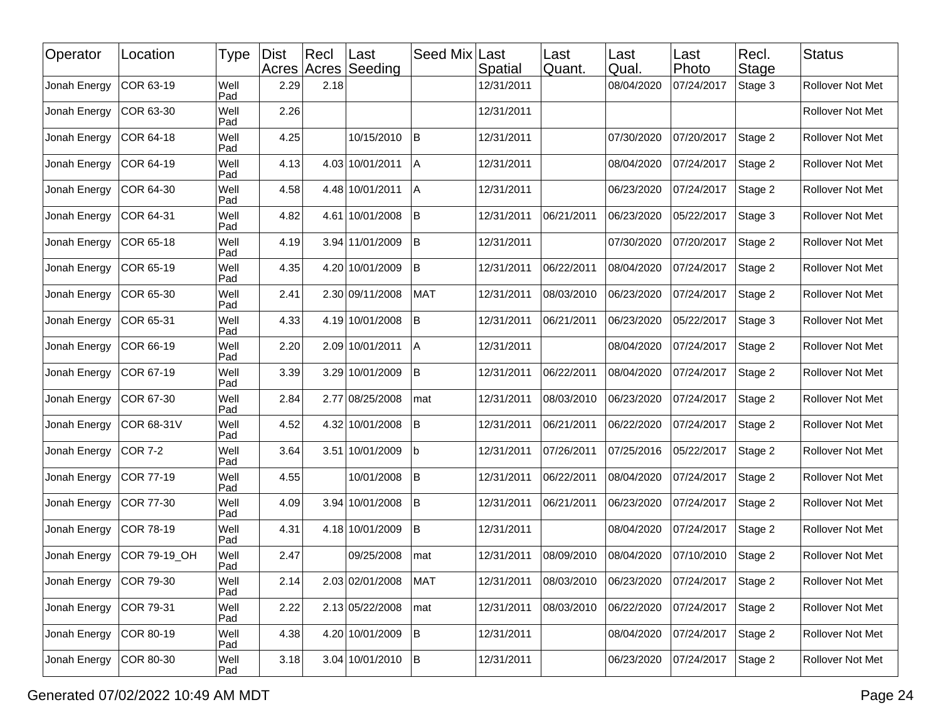| Operator     | Location     | Type        | <b>Dist</b> | Recl | ∣Last<br>Acres Acres Seeding | Seed Mix   | Last<br>Spatial | Last<br>Quant. | Last<br>Qual. | Last<br>Photo | Recl.<br>Stage | <b>Status</b>    |
|--------------|--------------|-------------|-------------|------|------------------------------|------------|-----------------|----------------|---------------|---------------|----------------|------------------|
| Jonah Energy | COR 63-19    | Well<br>Pad | 2.29        | 2.18 |                              |            | 12/31/2011      |                | 08/04/2020    | 07/24/2017    | Stage 3        | Rollover Not Met |
| Jonah Energy | COR 63-30    | Well<br>Pad | 2.26        |      |                              |            | 12/31/2011      |                |               |               |                | Rollover Not Met |
| Jonah Energy | COR 64-18    | Well<br>Pad | 4.25        |      | 10/15/2010                   | <b>B</b>   | 12/31/2011      |                | 07/30/2020    | 07/20/2017    | Stage 2        | Rollover Not Met |
| Jonah Energy | COR 64-19    | Well<br>Pad | 4.13        |      | 4.03 10/01/2011              | ΙA         | 12/31/2011      |                | 08/04/2020    | 07/24/2017    | Stage 2        | Rollover Not Met |
| Jonah Energy | COR 64-30    | Well<br>Pad | 4.58        |      | 4.48 10/01/2011              | IА         | 12/31/2011      |                | 06/23/2020    | 07/24/2017    | Stage 2        | Rollover Not Met |
| Jonah Energy | COR 64-31    | Well<br>Pad | 4.82        |      | 4.61 10/01/2008              | lB.        | 12/31/2011      | 06/21/2011     | 06/23/2020    | 05/22/2017    | Stage 3        | Rollover Not Met |
| Jonah Energy | COR 65-18    | Well<br>Pad | 4.19        |      | 3.94 11/01/2009              | lB.        | 12/31/2011      |                | 07/30/2020    | 07/20/2017    | Stage 2        | Rollover Not Met |
| Jonah Energy | COR 65-19    | Well<br>Pad | 4.35        |      | 4.20 10/01/2009              | İВ.        | 12/31/2011      | 06/22/2011     | 08/04/2020    | 07/24/2017    | Stage 2        | Rollover Not Met |
| Jonah Energy | COR 65-30    | Well<br>Pad | 2.41        |      | 2.30 09/11/2008              | <b>MAT</b> | 12/31/2011      | 08/03/2010     | 06/23/2020    | 07/24/2017    | Stage 2        | Rollover Not Met |
| Jonah Energy | COR 65-31    | Well<br>Pad | 4.33        |      | 4.19 10/01/2008              | lΒ         | 12/31/2011      | 06/21/2011     | 06/23/2020    | 05/22/2017    | Stage 3        | Rollover Not Met |
| Jonah Energy | COR 66-19    | Well<br>Pad | 2.20        |      | 2.09 10/01/2011              | IА         | 12/31/2011      |                | 08/04/2020    | 07/24/2017    | Stage 2        | Rollover Not Met |
| Jonah Energy | COR 67-19    | Well<br>Pad | 3.39        |      | 3.29 10/01/2009              | lB.        | 12/31/2011      | 06/22/2011     | 08/04/2020    | 07/24/2017    | Stage 2        | Rollover Not Met |
| Jonah Energy | COR 67-30    | Well<br>Pad | 2.84        |      | 2.77 08/25/2008              | mat        | 12/31/2011      | 08/03/2010     | 06/23/2020    | 07/24/2017    | Stage 2        | Rollover Not Met |
| Jonah Energy | COR 68-31V   | Well<br>Pad | 4.52        |      | 4.32 10/01/2008              | <b>B</b>   | 12/31/2011      | 06/21/2011     | 06/22/2020    | 07/24/2017    | Stage 2        | Rollover Not Met |
| Jonah Energy | COR 7-2      | Well<br>Pad | 3.64        |      | 3.51 10/01/2009              | lb         | 12/31/2011      | 07/26/2011     | 07/25/2016    | 05/22/2017    | Stage 2        | Rollover Not Met |
| Jonah Energy | COR 77-19    | Well<br>Pad | 4.55        |      | 10/01/2008                   | İΒ         | 12/31/2011      | 06/22/2011     | 08/04/2020    | 07/24/2017    | Stage 2        | Rollover Not Met |
| Jonah Energy | COR 77-30    | Well<br>Pad | 4.09        |      | 3.94 10/01/2008              | <b>B</b>   | 12/31/2011      | 06/21/2011     | 06/23/2020    | 07/24/2017    | Stage 2        | Rollover Not Met |
| Jonah Energy | COR 78-19    | Well<br>Pad | 4.31        |      | 4.18 10/01/2009              | lB.        | 12/31/2011      |                | 08/04/2020    | 07/24/2017    | Stage 2        | Rollover Not Met |
| Jonah Energy | COR 79-19_OH | Well<br>Pad | 2.47        |      | 09/25/2008                   | mat        | 12/31/2011      | 08/09/2010     | 08/04/2020    | 07/10/2010    | Stage 2        | Rollover Not Met |
| Jonah Energy | COR 79-30    | Well<br>Pad | 2.14        |      | 2.03 02/01/2008              | MAT        | 12/31/2011      | 08/03/2010     | 06/23/2020    | 07/24/2017    | Stage 2        | Rollover Not Met |
| Jonah Energy | COR 79-31    | Well<br>Pad | 2.22        |      | 2.13 05/22/2008              | mat        | 12/31/2011      | 08/03/2010     | 06/22/2020    | 07/24/2017    | Stage 2        | Rollover Not Met |
| Jonah Energy | COR 80-19    | Well<br>Pad | 4.38        |      | 4.20 10/01/2009              | B          | 12/31/2011      |                | 08/04/2020    | 07/24/2017    | Stage 2        | Rollover Not Met |
| Jonah Energy | COR 80-30    | Well<br>Pad | 3.18        |      | $3.04 10/01/2010$ B          |            | 12/31/2011      |                | 06/23/2020    | 07/24/2017    | Stage 2        | Rollover Not Met |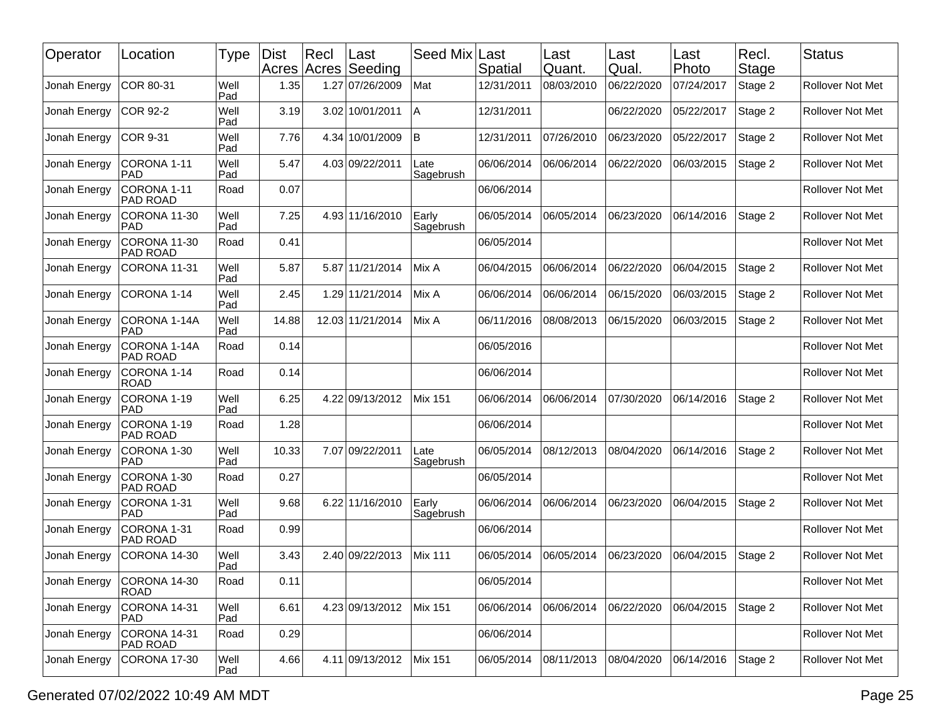| Operator     | Location                       | Type        | <b>Dist</b><br>Acres Acres | $ $ Recl | Last<br>Seeding  | Seed Mix Last      | Spatial    | Last<br>Quant. | Last<br>Qual. | Last<br>Photo | Recl.<br>Stage | <b>Status</b>           |
|--------------|--------------------------------|-------------|----------------------------|----------|------------------|--------------------|------------|----------------|---------------|---------------|----------------|-------------------------|
| Jonah Energy | COR 80-31                      | Well<br>Pad | 1.35                       |          | 1.27 07/26/2009  | Mat                | 12/31/2011 | 08/03/2010     | 06/22/2020    | 07/24/2017    | Stage 2        | <b>Rollover Not Met</b> |
| Jonah Energy | <b>COR 92-2</b>                | Well<br>Pad | 3.19                       |          | 3.02 10/01/2011  | A                  | 12/31/2011 |                | 06/22/2020    | 05/22/2017    | Stage 2        | Rollover Not Met        |
| Jonah Energy | <b>COR 9-31</b>                | Well<br>Pad | 7.76                       |          | 4.34 10/01/2009  | B                  | 12/31/2011 | 07/26/2010     | 06/23/2020    | 05/22/2017    | Stage 2        | Rollover Not Met        |
| Jonah Energy | CORONA 1-11<br><b>PAD</b>      | Well<br>Pad | 5.47                       |          | 4.03 09/22/2011  | Late<br>Sagebrush  | 06/06/2014 | 06/06/2014     | 06/22/2020    | 06/03/2015    | Stage 2        | Rollover Not Met        |
| Jonah Energy | CORONA 1-11<br>PAD ROAD        | Road        | 0.07                       |          |                  |                    | 06/06/2014 |                |               |               |                | Rollover Not Met        |
| Jonah Energy | CORONA 11-30<br><b>PAD</b>     | Well<br>Pad | 7.25                       |          | 4.93 11/16/2010  | Early<br>Sagebrush | 06/05/2014 | 06/05/2014     | 06/23/2020    | 06/14/2016    | Stage 2        | <b>Rollover Not Met</b> |
| Jonah Energy | CORONA 11-30<br>PAD ROAD       | Road        | 0.41                       |          |                  |                    | 06/05/2014 |                |               |               |                | Rollover Not Met        |
| Jonah Energy | CORONA 11-31                   | Well<br>Pad | 5.87                       |          | 5.87 11/21/2014  | Mix A              | 06/04/2015 | 06/06/2014     | 06/22/2020    | 06/04/2015    | Stage 2        | Rollover Not Met        |
| Jonah Energy | CORONA 1-14                    | Well<br>Pad | 2.45                       |          | 1.29 11/21/2014  | Mix A              | 06/06/2014 | 06/06/2014     | 06/15/2020    | 06/03/2015    | Stage 2        | Rollover Not Met        |
| Jonah Energy | CORONA 1-14A<br><b>PAD</b>     | Well<br>Pad | 14.88                      |          | 12.03 11/21/2014 | Mix A              | 06/11/2016 | 08/08/2013     | 06/15/2020    | 06/03/2015    | Stage 2        | Rollover Not Met        |
| Jonah Energy | CORONA 1-14A<br>PAD ROAD       | Road        | 0.14                       |          |                  |                    | 06/05/2016 |                |               |               |                | Rollover Not Met        |
| Jonah Energy | CORONA 1-14<br><b>ROAD</b>     | Road        | 0.14                       |          |                  |                    | 06/06/2014 |                |               |               |                | Rollover Not Met        |
| Jonah Energy | CORONA 1-19<br><b>PAD</b>      | Well<br>Pad | 6.25                       |          | 4.22 09/13/2012  | <b>Mix 151</b>     | 06/06/2014 | 06/06/2014     | 07/30/2020    | 06/14/2016    | Stage 2        | Rollover Not Met        |
| Jonah Energy | CORONA 1-19<br>PAD ROAD        | Road        | 1.28                       |          |                  |                    | 06/06/2014 |                |               |               |                | Rollover Not Met        |
| Jonah Energy | CORONA 1-30<br><b>PAD</b>      | Well<br>Pad | 10.33                      |          | 7.07 09/22/2011  | Late<br>Sagebrush  | 06/05/2014 | 08/12/2013     | 08/04/2020    | 06/14/2016    | Stage 2        | Rollover Not Met        |
| Jonah Energy | CORONA 1-30<br>PAD ROAD        | Road        | 0.27                       |          |                  |                    | 06/05/2014 |                |               |               |                | Rollover Not Met        |
| Jonah Energy | CORONA 1-31<br><b>PAD</b>      | Well<br>Pad | 9.68                       | 6.22     | 11/16/2010       | Early<br>Sagebrush | 06/06/2014 | 06/06/2014     | 06/23/2020    | 06/04/2015    | Stage 2        | Rollover Not Met        |
| Jonah Energy | CORONA 1-31<br><b>PAD ROAD</b> | Road        | 0.99                       |          |                  |                    | 06/06/2014 |                |               |               |                | Rollover Not Met        |
| Jonah Energy | CORONA 14-30                   | Well<br>Pad | 3.43                       |          | 2.40 09/22/2013  | <b>Mix 111</b>     | 06/05/2014 | 06/05/2014     | 06/23/2020    | 06/04/2015    | Stage 2        | Rollover Not Met        |
| Jonah Energy | CORONA 14-30<br><b>ROAD</b>    | Road        | 0.11                       |          |                  |                    | 06/05/2014 |                |               |               |                | Rollover Not Met        |
| Jonah Energy | CORONA 14-31<br><b>PAD</b>     | Well<br>Pad | 6.61                       |          | 4.23 09/13/2012  | <b>Mix 151</b>     | 06/06/2014 | 06/06/2014     | 06/22/2020    | 06/04/2015    | Stage 2        | Rollover Not Met        |
| Jonah Energy | CORONA 14-31<br>PAD ROAD       | Road        | 0.29                       |          |                  |                    | 06/06/2014 |                |               |               |                | Rollover Not Met        |
| Jonah Energy | CORONA 17-30                   | Well<br>Pad | 4.66                       |          | 4.11 09/13/2012  | <b>Mix 151</b>     | 06/05/2014 | 08/11/2013     | 08/04/2020    | 06/14/2016    | Stage 2        | Rollover Not Met        |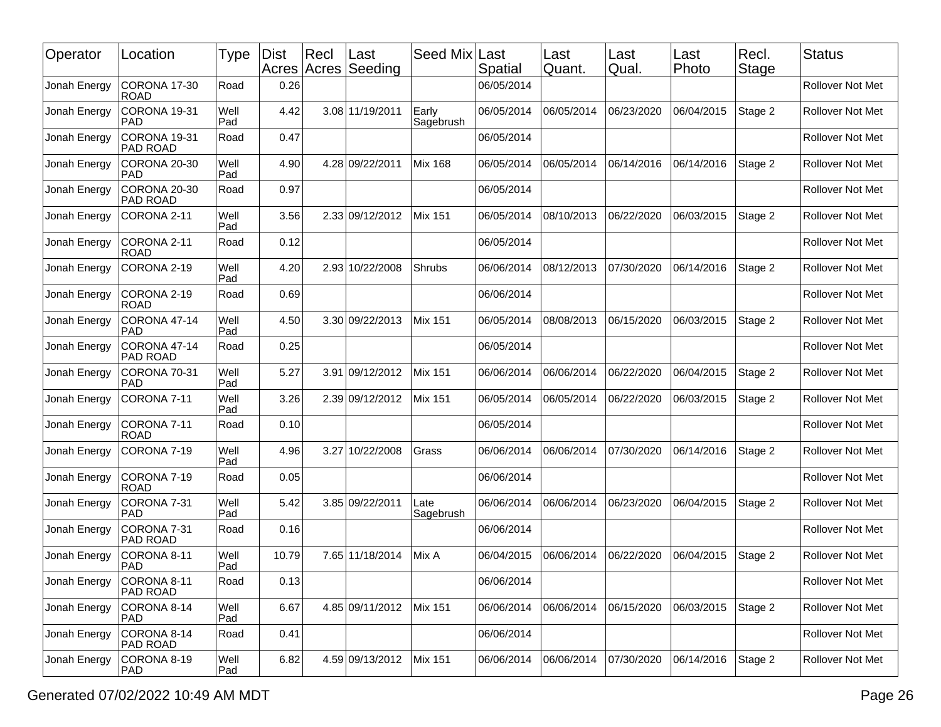| Operator     | Location                       | Type        | Dist  | $ $ Recl | Last<br>Acres Acres Seeding | Seed Mix Last      | Spatial    | Last<br>Quant. | Last<br>Qual. | Last<br>Photo | Recl.<br>Stage | <b>Status</b>           |
|--------------|--------------------------------|-------------|-------|----------|-----------------------------|--------------------|------------|----------------|---------------|---------------|----------------|-------------------------|
| Jonah Energy | CORONA 17-30<br><b>ROAD</b>    | Road        | 0.26  |          |                             |                    | 06/05/2014 |                |               |               |                | Rollover Not Met        |
| Jonah Energy | CORONA 19-31<br><b>PAD</b>     | Well<br>Pad | 4.42  |          | 3.08 11/19/2011             | Early<br>Sagebrush | 06/05/2014 | 06/05/2014     | 06/23/2020    | 06/04/2015    | Stage 2        | Rollover Not Met        |
| Jonah Energy | CORONA 19-31<br>PAD ROAD       | Road        | 0.47  |          |                             |                    | 06/05/2014 |                |               |               |                | Rollover Not Met        |
| Jonah Energy | CORONA 20-30<br><b>PAD</b>     | Well<br>Pad | 4.90  |          | 4.28 09/22/2011             | <b>Mix 168</b>     | 06/05/2014 | 06/05/2014     | 06/14/2016    | 06/14/2016    | Stage 2        | <b>Rollover Not Met</b> |
| Jonah Energy | CORONA 20-30<br>PAD ROAD       | Road        | 0.97  |          |                             |                    | 06/05/2014 |                |               |               |                | <b>Rollover Not Met</b> |
| Jonah Energy | CORONA 2-11                    | Well<br>Pad | 3.56  |          | 2.33 09/12/2012             | <b>Mix 151</b>     | 06/05/2014 | 08/10/2013     | 06/22/2020    | 06/03/2015    | Stage 2        | <b>Rollover Not Met</b> |
| Jonah Energy | CORONA 2-11<br><b>ROAD</b>     | Road        | 0.12  |          |                             |                    | 06/05/2014 |                |               |               |                | Rollover Not Met        |
| Jonah Energy | CORONA 2-19                    | Well<br>Pad | 4.20  |          | 2.93 10/22/2008             | Shrubs             | 06/06/2014 | 08/12/2013     | 07/30/2020    | 06/14/2016    | Stage 2        | Rollover Not Met        |
| Jonah Energy | CORONA 2-19<br>ROAD            | Road        | 0.69  |          |                             |                    | 06/06/2014 |                |               |               |                | Rollover Not Met        |
| Jonah Energy | CORONA 47-14<br><b>PAD</b>     | Well<br>Pad | 4.50  |          | 3.30 09/22/2013             | Mix 151            | 06/05/2014 | 08/08/2013     | 06/15/2020    | 06/03/2015    | Stage 2        | <b>Rollover Not Met</b> |
| Jonah Energy | CORONA 47-14<br>PAD ROAD       | Road        | 0.25  |          |                             |                    | 06/05/2014 |                |               |               |                | <b>Rollover Not Met</b> |
| Jonah Energy | CORONA 70-31<br><b>PAD</b>     | Well<br>Pad | 5.27  | 3.91     | 09/12/2012                  | <b>Mix 151</b>     | 06/06/2014 | 06/06/2014     | 06/22/2020    | 06/04/2015    | Stage 2        | <b>Rollover Not Met</b> |
| Jonah Energy | CORONA 7-11                    | Well<br>Pad | 3.26  |          | 2.39 09/12/2012             | <b>Mix 151</b>     | 06/05/2014 | 06/05/2014     | 06/22/2020    | 06/03/2015    | Stage 2        | <b>Rollover Not Met</b> |
| Jonah Energy | CORONA 7-11<br><b>ROAD</b>     | Road        | 0.10  |          |                             |                    | 06/05/2014 |                |               |               |                | <b>Rollover Not Met</b> |
| Jonah Energy | CORONA 7-19                    | Well<br>Pad | 4.96  |          | 3.27 10/22/2008             | Grass              | 06/06/2014 | 06/06/2014     | 07/30/2020    | 06/14/2016    | Stage 2        | Rollover Not Met        |
| Jonah Energy | CORONA 7-19<br><b>ROAD</b>     | Road        | 0.05  |          |                             |                    | 06/06/2014 |                |               |               |                | Rollover Not Met        |
| Jonah Energy | CORONA 7-31<br>PAD             | Well<br>Pad | 5.42  |          | 3.85 09/22/2011             | Late<br>Sagebrush  | 06/06/2014 | 06/06/2014     | 06/23/2020    | 06/04/2015    | Stage 2        | <b>Rollover Not Met</b> |
| Jonah Energy | CORONA 7-31<br><b>PAD ROAD</b> | Road        | 0.16  |          |                             |                    | 06/06/2014 |                |               |               |                | Rollover Not Met        |
| Jonah Energy | CORONA 8-11<br>PAD             | Well<br>Pad | 10.79 |          | 7.65 11/18/2014             | Mix A              | 06/04/2015 | 06/06/2014     | 06/22/2020    | 06/04/2015    | Stage 2        | Rollover Not Met        |
| Jonah Energy | CORONA 8-11<br>PAD ROAD        | Road        | 0.13  |          |                             |                    | 06/06/2014 |                |               |               |                | Rollover Not Met        |
| Jonah Energy | CORONA 8-14<br><b>PAD</b>      | Well<br>Pad | 6.67  |          | 4.85 09/11/2012             | <b>Mix 151</b>     | 06/06/2014 | 06/06/2014     | 06/15/2020    | 06/03/2015    | Stage 2        | Rollover Not Met        |
| Jonah Energy | CORONA 8-14<br><b>PAD ROAD</b> | Road        | 0.41  |          |                             |                    | 06/06/2014 |                |               |               |                | Rollover Not Met        |
| Jonah Energy | CORONA 8-19<br><b>PAD</b>      | Well<br>Pad | 6.82  |          | 4.59 09/13/2012             | <b>Mix 151</b>     | 06/06/2014 | 06/06/2014     | 07/30/2020    | 06/14/2016    | Stage 2        | Rollover Not Met        |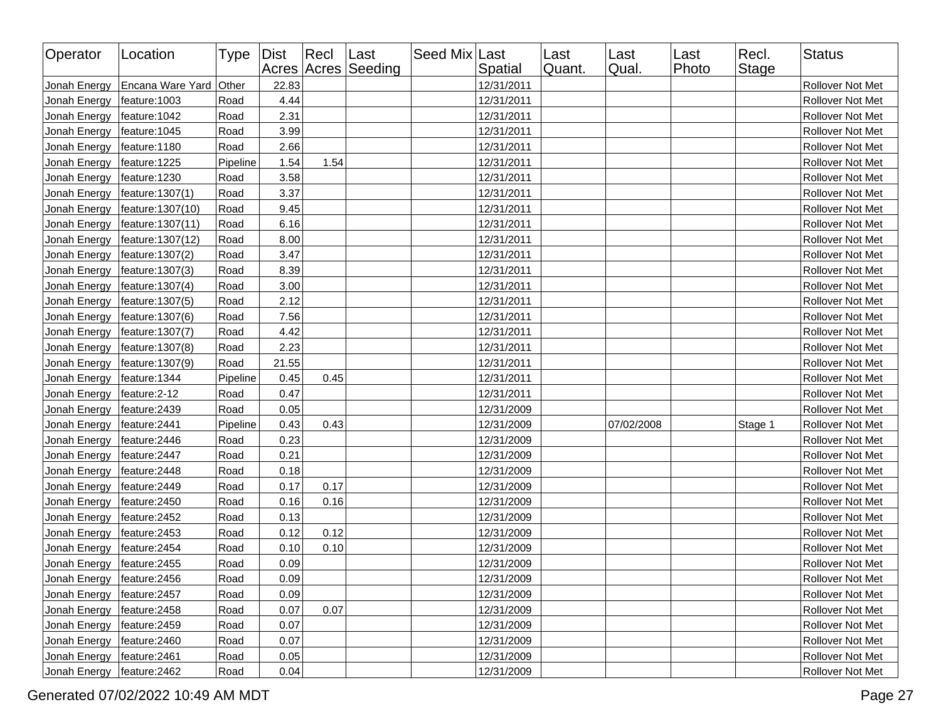| Operator                     | Location               | Type Dist |       | Recl Last | Acres Acres Seeding | Seed Mix Last | Spatial    | Last<br>Quant. | Last<br>Qual. | Last<br>Photo | Recl.<br><b>Stage</b> | <b>Status</b>           |
|------------------------------|------------------------|-----------|-------|-----------|---------------------|---------------|------------|----------------|---------------|---------------|-----------------------|-------------------------|
| Jonah Energy                 | Encana Ware Yard Other |           | 22.83 |           |                     |               | 12/31/2011 |                |               |               |                       | Rollover Not Met        |
| Jonah Energy                 | feature: 1003          | Road      | 4.44  |           |                     |               | 12/31/2011 |                |               |               |                       | Rollover Not Met        |
| Jonah Energy                 | feature: 1042          | Road      | 2.31  |           |                     |               | 12/31/2011 |                |               |               |                       | Rollover Not Met        |
| Jonah Energy                 | feature: 1045          | Road      | 3.99  |           |                     |               | 12/31/2011 |                |               |               |                       | Rollover Not Met        |
| Jonah Energy                 | feature: 1180          | Road      | 2.66  |           |                     |               | 12/31/2011 |                |               |               |                       | Rollover Not Met        |
| Jonah Energy                 | feature: 1225          | Pipeline  | 1.54  | 1.54      |                     |               | 12/31/2011 |                |               |               |                       | Rollover Not Met        |
| Jonah Energy                 | feature:1230           | Road      | 3.58  |           |                     |               | 12/31/2011 |                |               |               |                       | <b>Rollover Not Met</b> |
| Jonah Energy                 | feature: 1307(1)       | Road      | 3.37  |           |                     |               | 12/31/2011 |                |               |               |                       | Rollover Not Met        |
| Jonah Energy                 | feature: 1307(10)      | Road      | 9.45  |           |                     |               | 12/31/2011 |                |               |               |                       | Rollover Not Met        |
| Jonah Energy                 | feature: 1307(11)      | Road      | 6.16  |           |                     |               | 12/31/2011 |                |               |               |                       | Rollover Not Met        |
| Jonah Energy                 | feature: 1307(12)      | Road      | 8.00  |           |                     |               | 12/31/2011 |                |               |               |                       | Rollover Not Met        |
| Jonah Energy                 | feature: 1307(2)       | Road      | 3.47  |           |                     |               | 12/31/2011 |                |               |               |                       | Rollover Not Met        |
| Jonah Energy                 | feature: 1307(3)       | Road      | 8.39  |           |                     |               | 12/31/2011 |                |               |               |                       | Rollover Not Met        |
| Jonah Energy                 | feature: 1307(4)       | Road      | 3.00  |           |                     |               | 12/31/2011 |                |               |               |                       | Rollover Not Met        |
| Jonah Energy                 | feature: 1307(5)       | Road      | 2.12  |           |                     |               | 12/31/2011 |                |               |               |                       | Rollover Not Met        |
| Jonah Energy                 | feature: 1307(6)       | Road      | 7.56  |           |                     |               | 12/31/2011 |                |               |               |                       | Rollover Not Met        |
| Jonah Energy                 | feature: 1307(7)       | Road      | 4.42  |           |                     |               | 12/31/2011 |                |               |               |                       | Rollover Not Met        |
| Jonah Energy                 | feature: 1307(8)       | Road      | 2.23  |           |                     |               | 12/31/2011 |                |               |               |                       | Rollover Not Met        |
| Jonah Energy                 | feature: 1307(9)       | Road      | 21.55 |           |                     |               | 12/31/2011 |                |               |               |                       | <b>Rollover Not Met</b> |
| Jonah Energy                 | feature: 1344          | Pipeline  | 0.45  | 0.45      |                     |               | 12/31/2011 |                |               |               |                       | Rollover Not Met        |
| Jonah Energy                 | feature: 2-12          | Road      | 0.47  |           |                     |               | 12/31/2011 |                |               |               |                       | Rollover Not Met        |
| Jonah Energy                 | feature: 2439          | Road      | 0.05  |           |                     |               | 12/31/2009 |                |               |               |                       | Rollover Not Met        |
| Jonah Energy                 | feature: 2441          | Pipeline  | 0.43  | 0.43      |                     |               | 12/31/2009 |                | 07/02/2008    |               | Stage 1               | Rollover Not Met        |
| Jonah Energy                 | feature: 2446          | Road      | 0.23  |           |                     |               | 12/31/2009 |                |               |               |                       | Rollover Not Met        |
| Jonah Energy                 | feature: 2447          | Road      | 0.21  |           |                     |               | 12/31/2009 |                |               |               |                       | Rollover Not Met        |
| Jonah Energy                 | feature: 2448          | Road      | 0.18  |           |                     |               | 12/31/2009 |                |               |               |                       | Rollover Not Met        |
| Jonah Energy                 | feature: 2449          | Road      | 0.17  | 0.17      |                     |               | 12/31/2009 |                |               |               |                       | Rollover Not Met        |
| Jonah Energy                 | feature: 2450          | Road      | 0.16  | 0.16      |                     |               | 12/31/2009 |                |               |               |                       | Rollover Not Met        |
| Jonah Energy                 | feature: 2452          | Road      | 0.13  |           |                     |               | 12/31/2009 |                |               |               |                       | Rollover Not Met        |
| Jonah Energy                 | feature: 2453          | Road      | 0.12  | 0.12      |                     |               | 12/31/2009 |                |               |               |                       | Rollover Not Met        |
| Jonah Energy                 | feature: 2454          | Road      | 0.10  | 0.10      |                     |               | 12/31/2009 |                |               |               |                       | <b>Rollover Not Met</b> |
| Jonah Energy                 | feature: 2455          | Road      | 0.09  |           |                     |               | 12/31/2009 |                |               |               |                       | Rollover Not Met        |
| Jonah Energy   feature: 2456 |                        | Road      | 0.09  |           |                     |               | 12/31/2009 |                |               |               |                       | <b>Rollover Not Met</b> |
| Jonah Energy                 | feature: 2457          | Road      | 0.09  |           |                     |               | 12/31/2009 |                |               |               |                       | Rollover Not Met        |
| Jonah Energy                 | feature: 2458          | Road      | 0.07  | 0.07      |                     |               | 12/31/2009 |                |               |               |                       | Rollover Not Met        |
| Jonah Energy                 | feature: 2459          | Road      | 0.07  |           |                     |               | 12/31/2009 |                |               |               |                       | Rollover Not Met        |
| Jonah Energy                 | feature: 2460          | Road      | 0.07  |           |                     |               | 12/31/2009 |                |               |               |                       | Rollover Not Met        |
| Jonah Energy                 | feature: 2461          | Road      | 0.05  |           |                     |               | 12/31/2009 |                |               |               |                       | Rollover Not Met        |
| Jonah Energy                 | feature: 2462          | Road      | 0.04  |           |                     |               | 12/31/2009 |                |               |               |                       | Rollover Not Met        |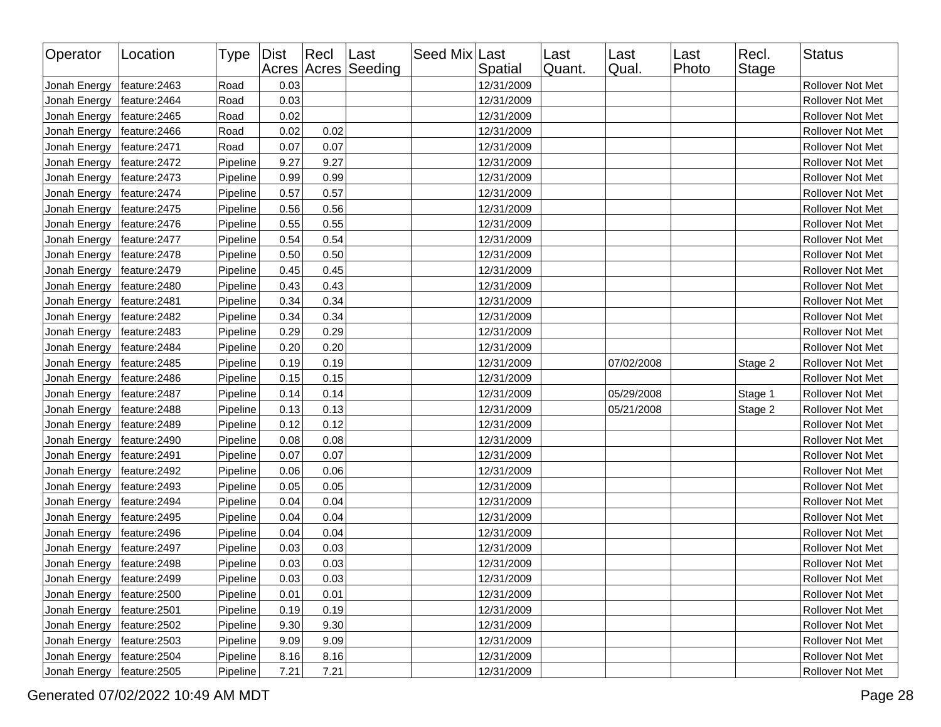| Operator     | Location      | Type   Dist |      | Recl | Last<br>Acres Acres Seeding | Seed Mix Last | Spatial    | Last<br>Quant. | Last<br>Qual. | Last<br>Photo | Recl.<br>Stage | <b>Status</b>    |
|--------------|---------------|-------------|------|------|-----------------------------|---------------|------------|----------------|---------------|---------------|----------------|------------------|
| Jonah Energy | feature: 2463 | Road        | 0.03 |      |                             |               | 12/31/2009 |                |               |               |                | Rollover Not Met |
| Jonah Energy | feature: 2464 | Road        | 0.03 |      |                             |               | 12/31/2009 |                |               |               |                | Rollover Not Met |
| Jonah Energy | feature: 2465 | Road        | 0.02 |      |                             |               | 12/31/2009 |                |               |               |                | Rollover Not Met |
| Jonah Energy | feature: 2466 | Road        | 0.02 | 0.02 |                             |               | 12/31/2009 |                |               |               |                | Rollover Not Met |
| Jonah Energy | feature: 2471 | Road        | 0.07 | 0.07 |                             |               | 12/31/2009 |                |               |               |                | Rollover Not Met |
| Jonah Energy | feature: 2472 | Pipeline    | 9.27 | 9.27 |                             |               | 12/31/2009 |                |               |               |                | Rollover Not Met |
| Jonah Energy | feature: 2473 | Pipeline    | 0.99 | 0.99 |                             |               | 12/31/2009 |                |               |               |                | Rollover Not Met |
| Jonah Energy | feature: 2474 | Pipeline    | 0.57 | 0.57 |                             |               | 12/31/2009 |                |               |               |                | Rollover Not Met |
| Jonah Energy | feature: 2475 | Pipeline    | 0.56 | 0.56 |                             |               | 12/31/2009 |                |               |               |                | Rollover Not Met |
| Jonah Energy | feature: 2476 | Pipeline    | 0.55 | 0.55 |                             |               | 12/31/2009 |                |               |               |                | Rollover Not Met |
| Jonah Energy | feature: 2477 | Pipeline    | 0.54 | 0.54 |                             |               | 12/31/2009 |                |               |               |                | Rollover Not Met |
| Jonah Energy | feature: 2478 | Pipeline    | 0.50 | 0.50 |                             |               | 12/31/2009 |                |               |               |                | Rollover Not Met |
| Jonah Energy | feature: 2479 | Pipeline    | 0.45 | 0.45 |                             |               | 12/31/2009 |                |               |               |                | Rollover Not Met |
| Jonah Energy | feature: 2480 | Pipeline    | 0.43 | 0.43 |                             |               | 12/31/2009 |                |               |               |                | Rollover Not Met |
| Jonah Energy | feature: 2481 | Pipeline    | 0.34 | 0.34 |                             |               | 12/31/2009 |                |               |               |                | Rollover Not Met |
| Jonah Energy | feature: 2482 | Pipeline    | 0.34 | 0.34 |                             |               | 12/31/2009 |                |               |               |                | Rollover Not Met |
| Jonah Energy | feature: 2483 | Pipeline    | 0.29 | 0.29 |                             |               | 12/31/2009 |                |               |               |                | Rollover Not Met |
| Jonah Energy | feature: 2484 | Pipeline    | 0.20 | 0.20 |                             |               | 12/31/2009 |                |               |               |                | Rollover Not Met |
| Jonah Energy | feature: 2485 | Pipeline    | 0.19 | 0.19 |                             |               | 12/31/2009 |                | 07/02/2008    |               | Stage 2        | Rollover Not Met |
| Jonah Energy | feature: 2486 | Pipeline    | 0.15 | 0.15 |                             |               | 12/31/2009 |                |               |               |                | Rollover Not Met |
| Jonah Energy | feature: 2487 | Pipeline    | 0.14 | 0.14 |                             |               | 12/31/2009 |                | 05/29/2008    |               | Stage 1        | Rollover Not Met |
| Jonah Energy | feature: 2488 | Pipeline    | 0.13 | 0.13 |                             |               | 12/31/2009 |                | 05/21/2008    |               | Stage 2        | Rollover Not Met |
| Jonah Energy | feature: 2489 | Pipeline    | 0.12 | 0.12 |                             |               | 12/31/2009 |                |               |               |                | Rollover Not Met |
| Jonah Energy | feature: 2490 | Pipeline    | 0.08 | 0.08 |                             |               | 12/31/2009 |                |               |               |                | Rollover Not Met |
| Jonah Energy | feature: 2491 | Pipeline    | 0.07 | 0.07 |                             |               | 12/31/2009 |                |               |               |                | Rollover Not Met |
| Jonah Energy | feature: 2492 | Pipeline    | 0.06 | 0.06 |                             |               | 12/31/2009 |                |               |               |                | Rollover Not Met |
| Jonah Energy | feature: 2493 | Pipeline    | 0.05 | 0.05 |                             |               | 12/31/2009 |                |               |               |                | Rollover Not Met |
| Jonah Energy | feature: 2494 | Pipeline    | 0.04 | 0.04 |                             |               | 12/31/2009 |                |               |               |                | Rollover Not Met |
| Jonah Energy | feature: 2495 | Pipeline    | 0.04 | 0.04 |                             |               | 12/31/2009 |                |               |               |                | Rollover Not Met |
| Jonah Energy | feature: 2496 | Pipeline    | 0.04 | 0.04 |                             |               | 12/31/2009 |                |               |               |                | Rollover Not Met |
| Jonah Energy | feature: 2497 | Pipeline    | 0.03 | 0.03 |                             |               | 12/31/2009 |                |               |               |                | Rollover Not Met |
| Jonah Energy | feature: 2498 | Pipeline    | 0.03 | 0.03 |                             |               | 12/31/2009 |                |               |               |                | Rollover Not Met |
| Jonah Energy | feature: 2499 | Pipeline    | 0.03 | 0.03 |                             |               | 12/31/2009 |                |               |               |                | Rollover Not Met |
| Jonah Energy | feature:2500  | Pipeline    | 0.01 | 0.01 |                             |               | 12/31/2009 |                |               |               |                | Rollover Not Met |
| Jonah Energy | feature: 2501 | Pipeline    | 0.19 | 0.19 |                             |               | 12/31/2009 |                |               |               |                | Rollover Not Met |
| Jonah Energy | feature:2502  | Pipeline    | 9.30 | 9.30 |                             |               | 12/31/2009 |                |               |               |                | Rollover Not Met |
| Jonah Energy | feature:2503  | Pipeline    | 9.09 | 9.09 |                             |               | 12/31/2009 |                |               |               |                | Rollover Not Met |
| Jonah Energy | feature: 2504 | Pipeline    | 8.16 | 8.16 |                             |               | 12/31/2009 |                |               |               |                | Rollover Not Met |
| Jonah Energy | feature:2505  | Pipeline    | 7.21 | 7.21 |                             |               | 12/31/2009 |                |               |               |                | Rollover Not Met |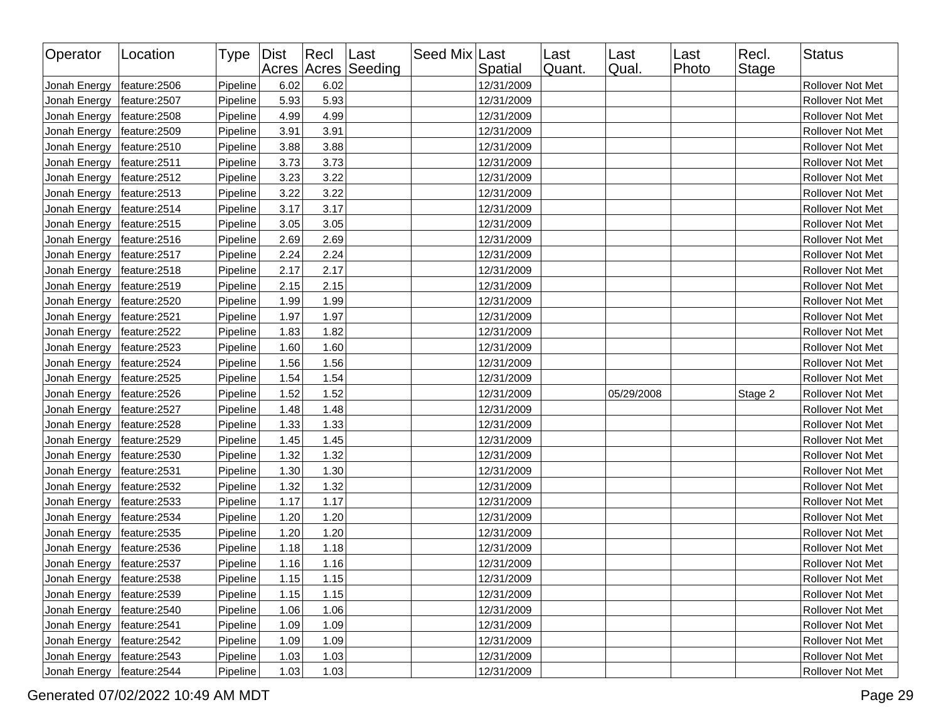| Operator     | Location      | Type   Dist |      | Recl | Last<br>Acres Acres Seeding | Seed Mix Last | Spatial    | Last<br>Quant. | Last<br>Qual. | Last<br>Photo | Recl.<br>Stage | <b>Status</b>    |
|--------------|---------------|-------------|------|------|-----------------------------|---------------|------------|----------------|---------------|---------------|----------------|------------------|
| Jonah Energy | feature:2506  | Pipeline    | 6.02 | 6.02 |                             |               | 12/31/2009 |                |               |               |                | Rollover Not Met |
| Jonah Energy | feature:2507  | Pipeline    | 5.93 | 5.93 |                             |               | 12/31/2009 |                |               |               |                | Rollover Not Met |
| Jonah Energy | feature:2508  | Pipeline    | 4.99 | 4.99 |                             |               | 12/31/2009 |                |               |               |                | Rollover Not Met |
| Jonah Energy | feature:2509  | Pipeline    | 3.91 | 3.91 |                             |               | 12/31/2009 |                |               |               |                | Rollover Not Met |
| Jonah Energy | feature:2510  | Pipeline    | 3.88 | 3.88 |                             |               | 12/31/2009 |                |               |               |                | Rollover Not Met |
| Jonah Energy | feature:2511  | Pipeline    | 3.73 | 3.73 |                             |               | 12/31/2009 |                |               |               |                | Rollover Not Met |
| Jonah Energy | feature:2512  | Pipeline    | 3.23 | 3.22 |                             |               | 12/31/2009 |                |               |               |                | Rollover Not Met |
| Jonah Energy | feature:2513  | Pipeline    | 3.22 | 3.22 |                             |               | 12/31/2009 |                |               |               |                | Rollover Not Met |
| Jonah Energy | feature:2514  | Pipeline    | 3.17 | 3.17 |                             |               | 12/31/2009 |                |               |               |                | Rollover Not Met |
| Jonah Energy | feature: 2515 | Pipeline    | 3.05 | 3.05 |                             |               | 12/31/2009 |                |               |               |                | Rollover Not Met |
| Jonah Energy | feature: 2516 | Pipeline    | 2.69 | 2.69 |                             |               | 12/31/2009 |                |               |               |                | Rollover Not Met |
| Jonah Energy | feature:2517  | Pipeline    | 2.24 | 2.24 |                             |               | 12/31/2009 |                |               |               |                | Rollover Not Met |
| Jonah Energy | feature: 2518 | Pipeline    | 2.17 | 2.17 |                             |               | 12/31/2009 |                |               |               |                | Rollover Not Met |
| Jonah Energy | feature:2519  | Pipeline    | 2.15 | 2.15 |                             |               | 12/31/2009 |                |               |               |                | Rollover Not Met |
| Jonah Energy | feature:2520  | Pipeline    | 1.99 | 1.99 |                             |               | 12/31/2009 |                |               |               |                | Rollover Not Met |
| Jonah Energy | feature:2521  | Pipeline    | 1.97 | 1.97 |                             |               | 12/31/2009 |                |               |               |                | Rollover Not Met |
| Jonah Energy | feature:2522  | Pipeline    | 1.83 | 1.82 |                             |               | 12/31/2009 |                |               |               |                | Rollover Not Met |
| Jonah Energy | feature:2523  | Pipeline    | 1.60 | 1.60 |                             |               | 12/31/2009 |                |               |               |                | Rollover Not Met |
| Jonah Energy | feature:2524  | Pipeline    | 1.56 | 1.56 |                             |               | 12/31/2009 |                |               |               |                | Rollover Not Met |
| Jonah Energy | feature:2525  | Pipeline    | 1.54 | 1.54 |                             |               | 12/31/2009 |                |               |               |                | Rollover Not Met |
| Jonah Energy | feature:2526  | Pipeline    | 1.52 | 1.52 |                             |               | 12/31/2009 |                | 05/29/2008    |               | Stage 2        | Rollover Not Met |
| Jonah Energy | feature:2527  | Pipeline    | 1.48 | 1.48 |                             |               | 12/31/2009 |                |               |               |                | Rollover Not Met |
| Jonah Energy | feature:2528  | Pipeline    | 1.33 | 1.33 |                             |               | 12/31/2009 |                |               |               |                | Rollover Not Met |
| Jonah Energy | feature:2529  | Pipeline    | 1.45 | 1.45 |                             |               | 12/31/2009 |                |               |               |                | Rollover Not Met |
| Jonah Energy | feature:2530  | Pipeline    | 1.32 | 1.32 |                             |               | 12/31/2009 |                |               |               |                | Rollover Not Met |
| Jonah Energy | feature:2531  | Pipeline    | 1.30 | 1.30 |                             |               | 12/31/2009 |                |               |               |                | Rollover Not Met |
| Jonah Energy | feature:2532  | Pipeline    | 1.32 | 1.32 |                             |               | 12/31/2009 |                |               |               |                | Rollover Not Met |
| Jonah Energy | feature:2533  | Pipeline    | 1.17 | 1.17 |                             |               | 12/31/2009 |                |               |               |                | Rollover Not Met |
| Jonah Energy | feature:2534  | Pipeline    | 1.20 | 1.20 |                             |               | 12/31/2009 |                |               |               |                | Rollover Not Met |
| Jonah Energy | feature:2535  | Pipeline    | 1.20 | 1.20 |                             |               | 12/31/2009 |                |               |               |                | Rollover Not Met |
| Jonah Energy | feature:2536  | Pipeline    | 1.18 | 1.18 |                             |               | 12/31/2009 |                |               |               |                | Rollover Not Met |
| Jonah Energy | feature:2537  | Pipeline    | 1.16 | 1.16 |                             |               | 12/31/2009 |                |               |               |                | Rollover Not Met |
| Jonah Energy | feature:2538  | Pipeline    | 1.15 | 1.15 |                             |               | 12/31/2009 |                |               |               |                | Rollover Not Met |
| Jonah Energy | feature:2539  | Pipeline    | 1.15 | 1.15 |                             |               | 12/31/2009 |                |               |               |                | Rollover Not Met |
| Jonah Energy | feature:2540  | Pipeline    | 1.06 | 1.06 |                             |               | 12/31/2009 |                |               |               |                | Rollover Not Met |
| Jonah Energy | feature: 2541 | Pipeline    | 1.09 | 1.09 |                             |               | 12/31/2009 |                |               |               |                | Rollover Not Met |
| Jonah Energy | feature: 2542 | Pipeline    | 1.09 | 1.09 |                             |               | 12/31/2009 |                |               |               |                | Rollover Not Met |
| Jonah Energy | feature:2543  | Pipeline    | 1.03 | 1.03 |                             |               | 12/31/2009 |                |               |               |                | Rollover Not Met |
| Jonah Energy | feature: 2544 | Pipeline    | 1.03 | 1.03 |                             |               | 12/31/2009 |                |               |               |                | Rollover Not Met |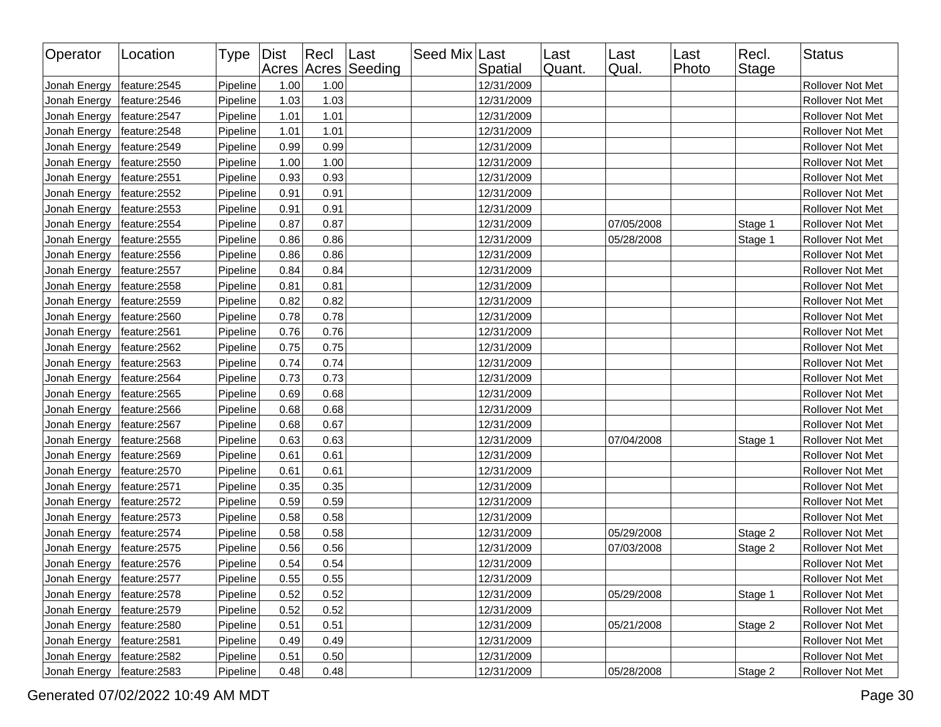| Operator     | Location      | Type   Dist |      | $ $ Recl | Last<br>Acres Acres Seeding | Seed Mix Last | Spatial    | Last<br>Quant. | Last<br>Qual. | Last<br>Photo | Recl.<br>Stage | <b>Status</b>    |
|--------------|---------------|-------------|------|----------|-----------------------------|---------------|------------|----------------|---------------|---------------|----------------|------------------|
| Jonah Energy | feature: 2545 | Pipeline    | 1.00 | 1.00     |                             |               | 12/31/2009 |                |               |               |                | Rollover Not Met |
| Jonah Energy | feature: 2546 | Pipeline    | 1.03 | 1.03     |                             |               | 12/31/2009 |                |               |               |                | Rollover Not Met |
| Jonah Energy | feature:2547  | Pipeline    | 1.01 | 1.01     |                             |               | 12/31/2009 |                |               |               |                | Rollover Not Met |
| Jonah Energy | feature: 2548 | Pipeline    | 1.01 | 1.01     |                             |               | 12/31/2009 |                |               |               |                | Rollover Not Met |
| Jonah Energy | feature: 2549 | Pipeline    | 0.99 | 0.99     |                             |               | 12/31/2009 |                |               |               |                | Rollover Not Met |
| Jonah Energy | feature:2550  | Pipeline    | 1.00 | 1.00     |                             |               | 12/31/2009 |                |               |               |                | Rollover Not Met |
| Jonah Energy | feature:2551  | Pipeline    | 0.93 | 0.93     |                             |               | 12/31/2009 |                |               |               |                | Rollover Not Met |
| Jonah Energy | feature:2552  | Pipeline    | 0.91 | 0.91     |                             |               | 12/31/2009 |                |               |               |                | Rollover Not Met |
| Jonah Energy | feature:2553  | Pipeline    | 0.91 | 0.91     |                             |               | 12/31/2009 |                |               |               |                | Rollover Not Met |
| Jonah Energy | feature:2554  | Pipeline    | 0.87 | 0.87     |                             |               | 12/31/2009 |                | 07/05/2008    |               | Stage 1        | Rollover Not Met |
| Jonah Energy | feature:2555  | Pipeline    | 0.86 | 0.86     |                             |               | 12/31/2009 |                | 05/28/2008    |               | Stage 1        | Rollover Not Met |
| Jonah Energy | feature:2556  | Pipeline    | 0.86 | 0.86     |                             |               | 12/31/2009 |                |               |               |                | Rollover Not Met |
| Jonah Energy | feature:2557  | Pipeline    | 0.84 | 0.84     |                             |               | 12/31/2009 |                |               |               |                | Rollover Not Met |
| Jonah Energy | feature:2558  | Pipeline    | 0.81 | 0.81     |                             |               | 12/31/2009 |                |               |               |                | Rollover Not Met |
| Jonah Energy | feature:2559  | Pipeline    | 0.82 | 0.82     |                             |               | 12/31/2009 |                |               |               |                | Rollover Not Met |
| Jonah Energy | feature:2560  | Pipeline    | 0.78 | 0.78     |                             |               | 12/31/2009 |                |               |               |                | Rollover Not Met |
| Jonah Energy | feature:2561  | Pipeline    | 0.76 | 0.76     |                             |               | 12/31/2009 |                |               |               |                | Rollover Not Met |
| Jonah Energy | feature:2562  | Pipeline    | 0.75 | 0.75     |                             |               | 12/31/2009 |                |               |               |                | Rollover Not Met |
| Jonah Energy | feature:2563  | Pipeline    | 0.74 | 0.74     |                             |               | 12/31/2009 |                |               |               |                | Rollover Not Met |
| Jonah Energy | feature:2564  | Pipeline    | 0.73 | 0.73     |                             |               | 12/31/2009 |                |               |               |                | Rollover Not Met |
| Jonah Energy | feature:2565  | Pipeline    | 0.69 | 0.68     |                             |               | 12/31/2009 |                |               |               |                | Rollover Not Met |
| Jonah Energy | feature:2566  | Pipeline    | 0.68 | 0.68     |                             |               | 12/31/2009 |                |               |               |                | Rollover Not Met |
| Jonah Energy | feature: 2567 | Pipeline    | 0.68 | 0.67     |                             |               | 12/31/2009 |                |               |               |                | Rollover Not Met |
| Jonah Energy | feature: 2568 | Pipeline    | 0.63 | 0.63     |                             |               | 12/31/2009 |                | 07/04/2008    |               | Stage 1        | Rollover Not Met |
| Jonah Energy | feature:2569  | Pipeline    | 0.61 | 0.61     |                             |               | 12/31/2009 |                |               |               |                | Rollover Not Met |
| Jonah Energy | feature:2570  | Pipeline    | 0.61 | 0.61     |                             |               | 12/31/2009 |                |               |               |                | Rollover Not Met |
| Jonah Energy | feature:2571  | Pipeline    | 0.35 | 0.35     |                             |               | 12/31/2009 |                |               |               |                | Rollover Not Met |
| Jonah Energy | feature:2572  | Pipeline    | 0.59 | 0.59     |                             |               | 12/31/2009 |                |               |               |                | Rollover Not Met |
| Jonah Energy | feature:2573  | Pipeline    | 0.58 | 0.58     |                             |               | 12/31/2009 |                |               |               |                | Rollover Not Met |
| Jonah Energy | feature: 2574 | Pipeline    | 0.58 | 0.58     |                             |               | 12/31/2009 |                | 05/29/2008    |               | Stage 2        | Rollover Not Met |
| Jonah Energy | feature:2575  | Pipeline    | 0.56 | 0.56     |                             |               | 12/31/2009 |                | 07/03/2008    |               | Stage 2        | Rollover Not Met |
| Jonah Energy | feature:2576  | Pipeline    | 0.54 | 0.54     |                             |               | 12/31/2009 |                |               |               |                | Rollover Not Met |
| Jonah Energy | feature:2577  | Pipeline    | 0.55 | 0.55     |                             |               | 12/31/2009 |                |               |               |                | Rollover Not Met |
| Jonah Energy | feature: 2578 | Pipeline    | 0.52 | 0.52     |                             |               | 12/31/2009 |                | 05/29/2008    |               | Stage 1        | Rollover Not Met |
| Jonah Energy | feature:2579  | Pipeline    | 0.52 | 0.52     |                             |               | 12/31/2009 |                |               |               |                | Rollover Not Met |
| Jonah Energy | feature: 2580 | Pipeline    | 0.51 | 0.51     |                             |               | 12/31/2009 |                | 05/21/2008    |               | Stage 2        | Rollover Not Met |
| Jonah Energy | feature: 2581 | Pipeline    | 0.49 | 0.49     |                             |               | 12/31/2009 |                |               |               |                | Rollover Not Met |
| Jonah Energy | feature: 2582 | Pipeline    | 0.51 | 0.50     |                             |               | 12/31/2009 |                |               |               |                | Rollover Not Met |
| Jonah Energy | feature:2583  | Pipeline    | 0.48 | 0.48     |                             |               | 12/31/2009 |                | 05/28/2008    |               | Stage 2        | Rollover Not Met |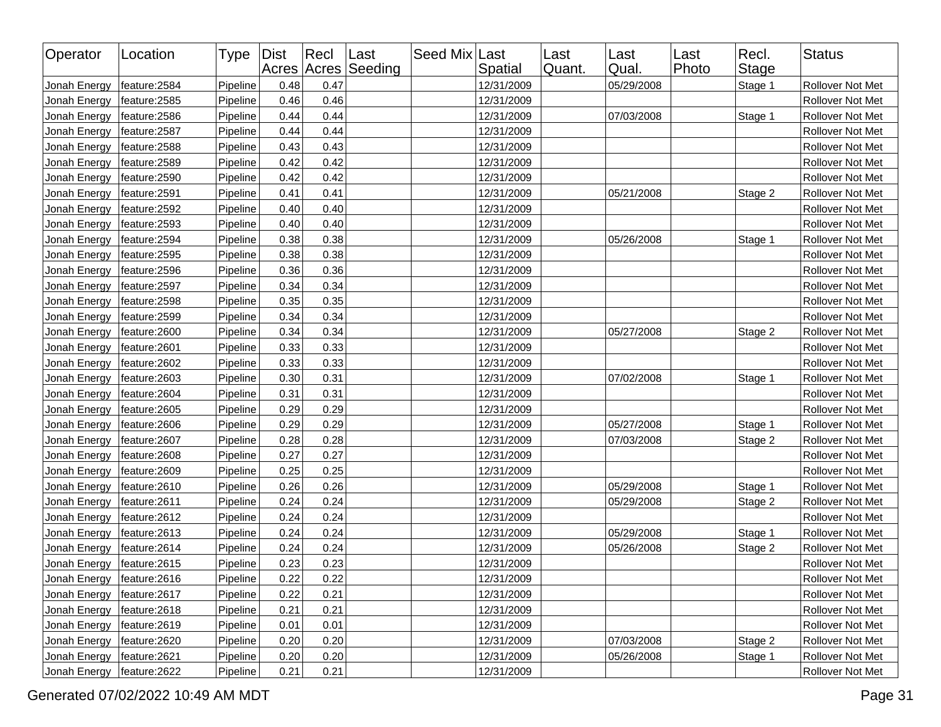| Operator     | Location      | Type     | <b>Dist</b> | $ $ Recl | Last<br>Acres Acres Seeding | Seed Mix Last | Spatial    | Last<br>Quant. | Last<br>Qual. | Last<br>Photo | Recl.<br><b>Stage</b> | <b>Status</b>    |
|--------------|---------------|----------|-------------|----------|-----------------------------|---------------|------------|----------------|---------------|---------------|-----------------------|------------------|
| Jonah Energy | feature: 2584 | Pipeline | 0.48        | 0.47     |                             |               | 12/31/2009 |                | 05/29/2008    |               | Stage 1               | Rollover Not Met |
| Jonah Energy | feature: 2585 | Pipeline | 0.46        | 0.46     |                             |               | 12/31/2009 |                |               |               |                       | Rollover Not Met |
| Jonah Energy | feature: 2586 | Pipeline | 0.44        | 0.44     |                             |               | 12/31/2009 |                | 07/03/2008    |               | Stage 1               | Rollover Not Met |
| Jonah Energy | feature: 2587 | Pipeline | 0.44        | 0.44     |                             |               | 12/31/2009 |                |               |               |                       | Rollover Not Met |
| Jonah Energy | feature: 2588 | Pipeline | 0.43        | 0.43     |                             |               | 12/31/2009 |                |               |               |                       | Rollover Not Met |
| Jonah Energy | feature: 2589 | Pipeline | 0.42        | 0.42     |                             |               | 12/31/2009 |                |               |               |                       | Rollover Not Met |
| Jonah Energy | feature:2590  | Pipeline | 0.42        | 0.42     |                             |               | 12/31/2009 |                |               |               |                       | Rollover Not Met |
| Jonah Energy | feature:2591  | Pipeline | 0.41        | 0.41     |                             |               | 12/31/2009 |                | 05/21/2008    |               | Stage 2               | Rollover Not Met |
| Jonah Energy | feature: 2592 | Pipeline | 0.40        | 0.40     |                             |               | 12/31/2009 |                |               |               |                       | Rollover Not Met |
| Jonah Energy | feature:2593  | Pipeline | 0.40        | 0.40     |                             |               | 12/31/2009 |                |               |               |                       | Rollover Not Met |
| Jonah Energy | feature: 2594 | Pipeline | 0.38        | 0.38     |                             |               | 12/31/2009 |                | 05/26/2008    |               | Stage 1               | Rollover Not Met |
| Jonah Energy | feature:2595  | Pipeline | 0.38        | 0.38     |                             |               | 12/31/2009 |                |               |               |                       | Rollover Not Met |
| Jonah Energy | feature:2596  | Pipeline | 0.36        | 0.36     |                             |               | 12/31/2009 |                |               |               |                       | Rollover Not Met |
| Jonah Energy | feature:2597  | Pipeline | 0.34        | 0.34     |                             |               | 12/31/2009 |                |               |               |                       | Rollover Not Met |
| Jonah Energy | feature: 2598 | Pipeline | 0.35        | 0.35     |                             |               | 12/31/2009 |                |               |               |                       | Rollover Not Met |
| Jonah Energy | feature:2599  | Pipeline | 0.34        | 0.34     |                             |               | 12/31/2009 |                |               |               |                       | Rollover Not Met |
| Jonah Energy | feature: 2600 | Pipeline | 0.34        | 0.34     |                             |               | 12/31/2009 |                | 05/27/2008    |               | Stage 2               | Rollover Not Met |
| Jonah Energy | feature:2601  | Pipeline | 0.33        | 0.33     |                             |               | 12/31/2009 |                |               |               |                       | Rollover Not Met |
| Jonah Energy | feature: 2602 | Pipeline | 0.33        | 0.33     |                             |               | 12/31/2009 |                |               |               |                       | Rollover Not Met |
| Jonah Energy | feature:2603  | Pipeline | 0.30        | 0.31     |                             |               | 12/31/2009 |                | 07/02/2008    |               | Stage 1               | Rollover Not Met |
| Jonah Energy | feature: 2604 | Pipeline | 0.31        | 0.31     |                             |               | 12/31/2009 |                |               |               |                       | Rollover Not Met |
| Jonah Energy | feature: 2605 | Pipeline | 0.29        | 0.29     |                             |               | 12/31/2009 |                |               |               |                       | Rollover Not Met |
| Jonah Energy | feature:2606  | Pipeline | 0.29        | 0.29     |                             |               | 12/31/2009 |                | 05/27/2008    |               | Stage 1               | Rollover Not Met |
| Jonah Energy | feature:2607  | Pipeline | 0.28        | 0.28     |                             |               | 12/31/2009 |                | 07/03/2008    |               | Stage 2               | Rollover Not Met |
| Jonah Energy | feature: 2608 | Pipeline | 0.27        | 0.27     |                             |               | 12/31/2009 |                |               |               |                       | Rollover Not Met |
| Jonah Energy | feature:2609  | Pipeline | 0.25        | 0.25     |                             |               | 12/31/2009 |                |               |               |                       | Rollover Not Met |
| Jonah Energy | feature: 2610 | Pipeline | 0.26        | 0.26     |                             |               | 12/31/2009 |                | 05/29/2008    |               | Stage 1               | Rollover Not Met |
| Jonah Energy | feature: 2611 | Pipeline | 0.24        | 0.24     |                             |               | 12/31/2009 |                | 05/29/2008    |               | Stage 2               | Rollover Not Met |
| Jonah Energy | feature: 2612 | Pipeline | 0.24        | 0.24     |                             |               | 12/31/2009 |                |               |               |                       | Rollover Not Met |
| Jonah Energy | feature: 2613 | Pipeline | 0.24        | 0.24     |                             |               | 12/31/2009 |                | 05/29/2008    |               | Stage 1               | Rollover Not Met |
| Jonah Energy | feature: 2614 | Pipeline | 0.24        | 0.24     |                             |               | 12/31/2009 |                | 05/26/2008    |               | Stage 2               | Rollover Not Met |
| Jonah Energy | feature: 2615 | Pipeline | 0.23        | 0.23     |                             |               | 12/31/2009 |                |               |               |                       | Rollover Not Met |
| Jonah Energy | feature:2616  | Pipeline | 0.22        | 0.22     |                             |               | 12/31/2009 |                |               |               |                       | Rollover Not Met |
| Jonah Energy | feature: 2617 | Pipeline | 0.22        | 0.21     |                             |               | 12/31/2009 |                |               |               |                       | Rollover Not Met |
| Jonah Energy | feature: 2618 | Pipeline | 0.21        | 0.21     |                             |               | 12/31/2009 |                |               |               |                       | Rollover Not Met |
| Jonah Energy | feature: 2619 | Pipeline | 0.01        | 0.01     |                             |               | 12/31/2009 |                |               |               |                       | Rollover Not Met |
| Jonah Energy | feature: 2620 | Pipeline | 0.20        | 0.20     |                             |               | 12/31/2009 |                | 07/03/2008    |               | Stage 2               | Rollover Not Met |
| Jonah Energy | feature: 2621 | Pipeline | 0.20        | 0.20     |                             |               | 12/31/2009 |                | 05/26/2008    |               | Stage 1               | Rollover Not Met |
| Jonah Energy | feature:2622  | Pipeline | 0.21        | 0.21     |                             |               | 12/31/2009 |                |               |               |                       | Rollover Not Met |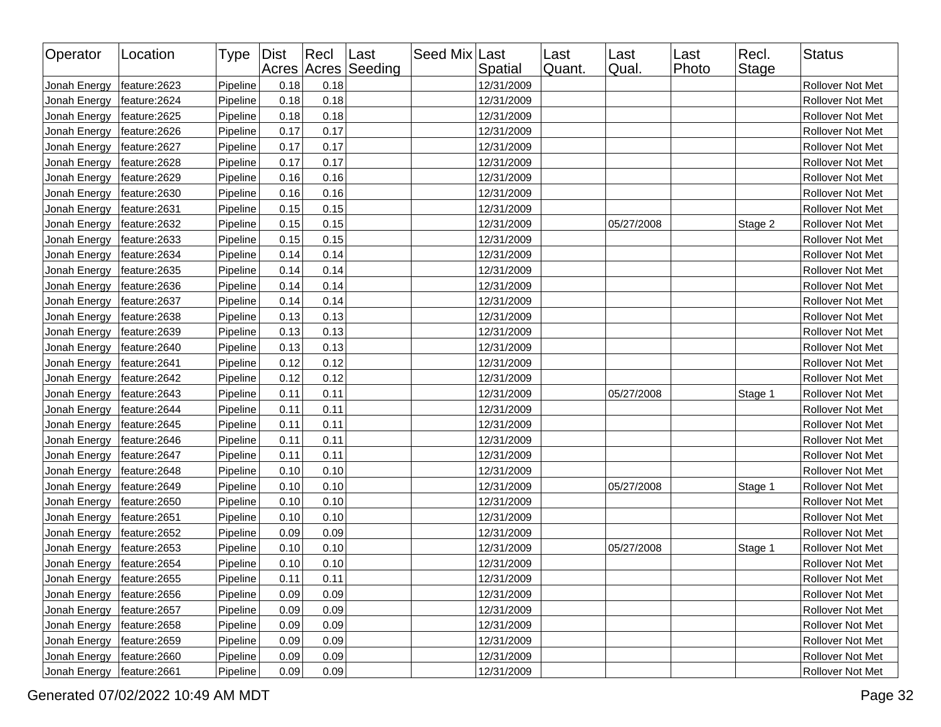| Operator                     | Location      | Type Dist |      | Recl | Last<br>Acres Acres Seeding | Seed Mix Last | Spatial    | Last<br>Quant. | Last<br>Qual. | Last<br>Photo | Recl.<br><b>Stage</b> | <b>Status</b>    |
|------------------------------|---------------|-----------|------|------|-----------------------------|---------------|------------|----------------|---------------|---------------|-----------------------|------------------|
| Jonah Energy                 | feature:2623  | Pipeline  | 0.18 | 0.18 |                             |               | 12/31/2009 |                |               |               |                       | Rollover Not Met |
| Jonah Energy                 | feature: 2624 | Pipeline  | 0.18 | 0.18 |                             |               | 12/31/2009 |                |               |               |                       | Rollover Not Met |
| Jonah Energy                 | feature:2625  | Pipeline  | 0.18 | 0.18 |                             |               | 12/31/2009 |                |               |               |                       | Rollover Not Met |
| Jonah Energy                 | feature: 2626 | Pipeline  | 0.17 | 0.17 |                             |               | 12/31/2009 |                |               |               |                       | Rollover Not Met |
| Jonah Energy                 | feature: 2627 | Pipeline  | 0.17 | 0.17 |                             |               | 12/31/2009 |                |               |               |                       | Rollover Not Met |
| Jonah Energy                 | feature: 2628 | Pipeline  | 0.17 | 0.17 |                             |               | 12/31/2009 |                |               |               |                       | Rollover Not Met |
| Jonah Energy                 | feature:2629  | Pipeline  | 0.16 | 0.16 |                             |               | 12/31/2009 |                |               |               |                       | Rollover Not Met |
| Jonah Energy                 | feature: 2630 | Pipeline  | 0.16 | 0.16 |                             |               | 12/31/2009 |                |               |               |                       | Rollover Not Met |
| Jonah Energy                 | feature:2631  | Pipeline  | 0.15 | 0.15 |                             |               | 12/31/2009 |                |               |               |                       | Rollover Not Met |
| Jonah Energy                 | feature: 2632 | Pipeline  | 0.15 | 0.15 |                             |               | 12/31/2009 |                | 05/27/2008    |               | Stage 2               | Rollover Not Met |
| Jonah Energy                 | feature:2633  | Pipeline  | 0.15 | 0.15 |                             |               | 12/31/2009 |                |               |               |                       | Rollover Not Met |
| Jonah Energy                 | feature: 2634 | Pipeline  | 0.14 | 0.14 |                             |               | 12/31/2009 |                |               |               |                       | Rollover Not Met |
| Jonah Energy                 | feature:2635  | Pipeline  | 0.14 | 0.14 |                             |               | 12/31/2009 |                |               |               |                       | Rollover Not Met |
| Jonah Energy                 | feature:2636  | Pipeline  | 0.14 | 0.14 |                             |               | 12/31/2009 |                |               |               |                       | Rollover Not Met |
| Jonah Energy                 | feature:2637  | Pipeline  | 0.14 | 0.14 |                             |               | 12/31/2009 |                |               |               |                       | Rollover Not Met |
| Jonah Energy                 | feature:2638  | Pipeline  | 0.13 | 0.13 |                             |               | 12/31/2009 |                |               |               |                       | Rollover Not Met |
| Jonah Energy                 | feature: 2639 | Pipeline  | 0.13 | 0.13 |                             |               | 12/31/2009 |                |               |               |                       | Rollover Not Met |
| Jonah Energy                 | feature: 2640 | Pipeline  | 0.13 | 0.13 |                             |               | 12/31/2009 |                |               |               |                       | Rollover Not Met |
| Jonah Energy                 | feature: 2641 | Pipeline  | 0.12 | 0.12 |                             |               | 12/31/2009 |                |               |               |                       | Rollover Not Met |
| Jonah Energy                 | feature: 2642 | Pipeline  | 0.12 | 0.12 |                             |               | 12/31/2009 |                |               |               |                       | Rollover Not Met |
| Jonah Energy                 | feature: 2643 | Pipeline  | 0.11 | 0.11 |                             |               | 12/31/2009 |                | 05/27/2008    |               | Stage 1               | Rollover Not Met |
| Jonah Energy                 | feature: 2644 | Pipeline  | 0.11 | 0.11 |                             |               | 12/31/2009 |                |               |               |                       | Rollover Not Met |
| Jonah Energy                 | feature: 2645 | Pipeline  | 0.11 | 0.11 |                             |               | 12/31/2009 |                |               |               |                       | Rollover Not Met |
| Jonah Energy                 | feature: 2646 | Pipeline  | 0.11 | 0.11 |                             |               | 12/31/2009 |                |               |               |                       | Rollover Not Met |
| Jonah Energy                 | feature: 2647 | Pipeline  | 0.11 | 0.11 |                             |               | 12/31/2009 |                |               |               |                       | Rollover Not Met |
| Jonah Energy                 | feature: 2648 | Pipeline  | 0.10 | 0.10 |                             |               | 12/31/2009 |                |               |               |                       | Rollover Not Met |
| Jonah Energy                 | feature: 2649 | Pipeline  | 0.10 | 0.10 |                             |               | 12/31/2009 |                | 05/27/2008    |               | Stage 1               | Rollover Not Met |
| Jonah Energy                 | feature:2650  | Pipeline  | 0.10 | 0.10 |                             |               | 12/31/2009 |                |               |               |                       | Rollover Not Met |
| Jonah Energy                 | feature: 2651 | Pipeline  | 0.10 | 0.10 |                             |               | 12/31/2009 |                |               |               |                       | Rollover Not Met |
| Jonah Energy                 | feature: 2652 | Pipeline  | 0.09 | 0.09 |                             |               | 12/31/2009 |                |               |               |                       | Rollover Not Met |
| Jonah Energy                 | feature:2653  | Pipeline  | 0.10 | 0.10 |                             |               | 12/31/2009 |                | 05/27/2008    |               | Stage 1               | Rollover Not Met |
| Jonah Energy                 | feature: 2654 | Pipeline  | 0.10 | 0.10 |                             |               | 12/31/2009 |                |               |               |                       | Rollover Not Met |
| Jonah Energy   feature: 2655 |               | Pipeline  | 0.11 | 0.11 |                             |               | 12/31/2009 |                |               |               |                       | Rollover Not Met |
| Jonah Energy                 | feature:2656  | Pipeline  | 0.09 | 0.09 |                             |               | 12/31/2009 |                |               |               |                       | Rollover Not Met |
| Jonah Energy                 | feature: 2657 | Pipeline  | 0.09 | 0.09 |                             |               | 12/31/2009 |                |               |               |                       | Rollover Not Met |
| Jonah Energy                 | feature: 2658 | Pipeline  | 0.09 | 0.09 |                             |               | 12/31/2009 |                |               |               |                       | Rollover Not Met |
| Jonah Energy                 | feature: 2659 | Pipeline  | 0.09 | 0.09 |                             |               | 12/31/2009 |                |               |               |                       | Rollover Not Met |
| Jonah Energy                 | feature: 2660 | Pipeline  | 0.09 | 0.09 |                             |               | 12/31/2009 |                |               |               |                       | Rollover Not Met |
| Jonah Energy                 | feature: 2661 | Pipeline  | 0.09 | 0.09 |                             |               | 12/31/2009 |                |               |               |                       | Rollover Not Met |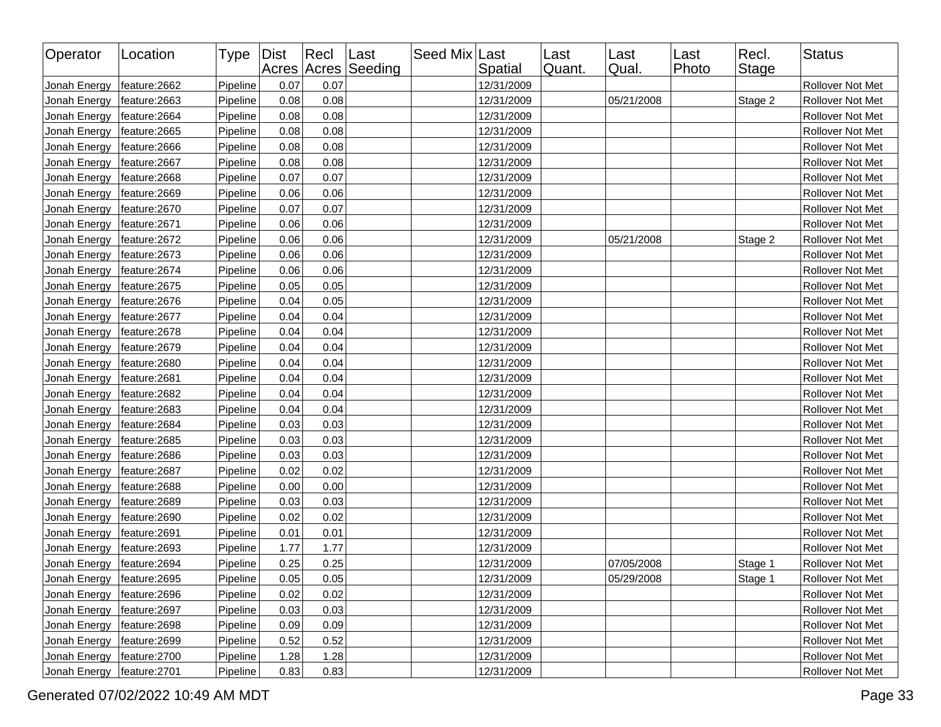| Operator     | Location      | Type   Dist |      | Recl | Last<br>Acres Acres Seeding | Seed Mix Last | Spatial    | Last<br>Quant. | Last<br>Qual. | Last<br>Photo | Recl.<br>Stage | Status                  |
|--------------|---------------|-------------|------|------|-----------------------------|---------------|------------|----------------|---------------|---------------|----------------|-------------------------|
| Jonah Energy | feature: 2662 | Pipeline    | 0.07 | 0.07 |                             |               | 12/31/2009 |                |               |               |                | Rollover Not Met        |
| Jonah Energy | feature: 2663 | Pipeline    | 0.08 | 0.08 |                             |               | 12/31/2009 |                | 05/21/2008    |               | Stage 2        | Rollover Not Met        |
| Jonah Energy | feature: 2664 | Pipeline    | 0.08 | 0.08 |                             |               | 12/31/2009 |                |               |               |                | Rollover Not Met        |
| Jonah Energy | feature: 2665 | Pipeline    | 0.08 | 0.08 |                             |               | 12/31/2009 |                |               |               |                | Rollover Not Met        |
| Jonah Energy | feature: 2666 | Pipeline    | 0.08 | 0.08 |                             |               | 12/31/2009 |                |               |               |                | Rollover Not Met        |
| Jonah Energy | feature: 2667 | Pipeline    | 0.08 | 0.08 |                             |               | 12/31/2009 |                |               |               |                | Rollover Not Met        |
| Jonah Energy | feature: 2668 | Pipeline    | 0.07 | 0.07 |                             |               | 12/31/2009 |                |               |               |                | Rollover Not Met        |
| Jonah Energy | feature: 2669 | Pipeline    | 0.06 | 0.06 |                             |               | 12/31/2009 |                |               |               |                | Rollover Not Met        |
| Jonah Energy | feature: 2670 | Pipeline    | 0.07 | 0.07 |                             |               | 12/31/2009 |                |               |               |                | Rollover Not Met        |
| Jonah Energy | feature: 2671 | Pipeline    | 0.06 | 0.06 |                             |               | 12/31/2009 |                |               |               |                | Rollover Not Met        |
| Jonah Energy | feature: 2672 | Pipeline    | 0.06 | 0.06 |                             |               | 12/31/2009 |                | 05/21/2008    |               | Stage 2        | Rollover Not Met        |
| Jonah Energy | feature: 2673 | Pipeline    | 0.06 | 0.06 |                             |               | 12/31/2009 |                |               |               |                | Rollover Not Met        |
| Jonah Energy | feature: 2674 | Pipeline    | 0.06 | 0.06 |                             |               | 12/31/2009 |                |               |               |                | Rollover Not Met        |
| Jonah Energy | feature: 2675 | Pipeline    | 0.05 | 0.05 |                             |               | 12/31/2009 |                |               |               |                | Rollover Not Met        |
| Jonah Energy | feature: 2676 | Pipeline    | 0.04 | 0.05 |                             |               | 12/31/2009 |                |               |               |                | Rollover Not Met        |
| Jonah Energy | feature:2677  | Pipeline    | 0.04 | 0.04 |                             |               | 12/31/2009 |                |               |               |                | <b>Rollover Not Met</b> |
| Jonah Energy | feature: 2678 | Pipeline    | 0.04 | 0.04 |                             |               | 12/31/2009 |                |               |               |                | Rollover Not Met        |
| Jonah Energy | feature:2679  | Pipeline    | 0.04 | 0.04 |                             |               | 12/31/2009 |                |               |               |                | Rollover Not Met        |
| Jonah Energy | feature: 2680 | Pipeline    | 0.04 | 0.04 |                             |               | 12/31/2009 |                |               |               |                | Rollover Not Met        |
| Jonah Energy | feature: 2681 | Pipeline    | 0.04 | 0.04 |                             |               | 12/31/2009 |                |               |               |                | Rollover Not Met        |
| Jonah Energy | feature: 2682 | Pipeline    | 0.04 | 0.04 |                             |               | 12/31/2009 |                |               |               |                | Rollover Not Met        |
| Jonah Energy | feature: 2683 | Pipeline    | 0.04 | 0.04 |                             |               | 12/31/2009 |                |               |               |                | Rollover Not Met        |
| Jonah Energy | feature: 2684 | Pipeline    | 0.03 | 0.03 |                             |               | 12/31/2009 |                |               |               |                | Rollover Not Met        |
| Jonah Energy | feature: 2685 | Pipeline    | 0.03 | 0.03 |                             |               | 12/31/2009 |                |               |               |                | Rollover Not Met        |
| Jonah Energy | feature: 2686 | Pipeline    | 0.03 | 0.03 |                             |               | 12/31/2009 |                |               |               |                | Rollover Not Met        |
| Jonah Energy | feature: 2687 | Pipeline    | 0.02 | 0.02 |                             |               | 12/31/2009 |                |               |               |                | Rollover Not Met        |
| Jonah Energy | feature: 2688 | Pipeline    | 0.00 | 0.00 |                             |               | 12/31/2009 |                |               |               |                | Rollover Not Met        |
| Jonah Energy | feature: 2689 | Pipeline    | 0.03 | 0.03 |                             |               | 12/31/2009 |                |               |               |                | Rollover Not Met        |
| Jonah Energy | feature: 2690 | Pipeline    | 0.02 | 0.02 |                             |               | 12/31/2009 |                |               |               |                | Rollover Not Met        |
| Jonah Energy | feature: 2691 | Pipeline    | 0.01 | 0.01 |                             |               | 12/31/2009 |                |               |               |                | Rollover Not Met        |
| Jonah Energy | feature: 2693 | Pipeline    | 1.77 | 1.77 |                             |               | 12/31/2009 |                |               |               |                | Rollover Not Met        |
| Jonah Energy | feature: 2694 | Pipeline    | 0.25 | 0.25 |                             |               | 12/31/2009 |                | 07/05/2008    |               | Stage 1        | Rollover Not Met        |
| Jonah Energy | feature:2695  | Pipeline    | 0.05 | 0.05 |                             |               | 12/31/2009 |                | 05/29/2008    |               | Stage 1        | Rollover Not Met        |
| Jonah Energy | feature: 2696 | Pipeline    | 0.02 | 0.02 |                             |               | 12/31/2009 |                |               |               |                | Rollover Not Met        |
| Jonah Energy | feature:2697  | Pipeline    | 0.03 | 0.03 |                             |               | 12/31/2009 |                |               |               |                | Rollover Not Met        |
| Jonah Energy | feature: 2698 | Pipeline    | 0.09 | 0.09 |                             |               | 12/31/2009 |                |               |               |                | Rollover Not Met        |
| Jonah Energy | feature: 2699 | Pipeline    | 0.52 | 0.52 |                             |               | 12/31/2009 |                |               |               |                | Rollover Not Met        |
| Jonah Energy | feature:2700  | Pipeline    | 1.28 | 1.28 |                             |               | 12/31/2009 |                |               |               |                | Rollover Not Met        |
| Jonah Energy | feature: 2701 | Pipeline    | 0.83 | 0.83 |                             |               | 12/31/2009 |                |               |               |                | Rollover Not Met        |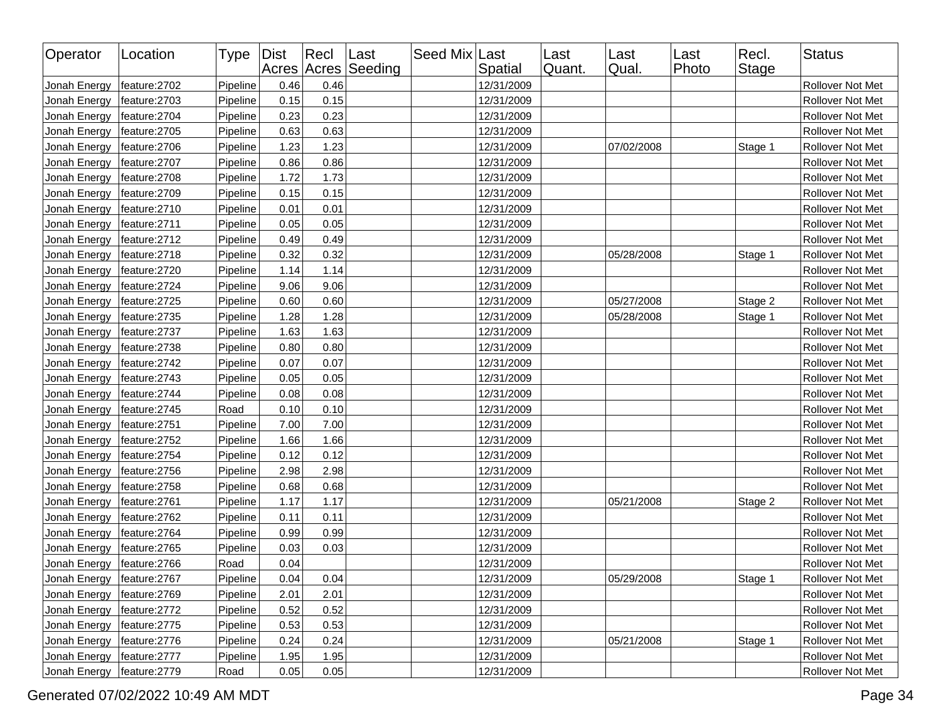| Operator     | Location      | Type   Dist |      | $ $ Recl | Last<br>Acres Acres Seeding | Seed Mix Last | Spatial    | Last<br>Quant. | Last<br>Qual. | Last<br>Photo | Recl.<br>Stage | <b>Status</b>    |
|--------------|---------------|-------------|------|----------|-----------------------------|---------------|------------|----------------|---------------|---------------|----------------|------------------|
| Jonah Energy | feature:2702  | Pipeline    | 0.46 | 0.46     |                             |               | 12/31/2009 |                |               |               |                | Rollover Not Met |
| Jonah Energy | feature:2703  | Pipeline    | 0.15 | 0.15     |                             |               | 12/31/2009 |                |               |               |                | Rollover Not Met |
| Jonah Energy | feature: 2704 | Pipeline    | 0.23 | 0.23     |                             |               | 12/31/2009 |                |               |               |                | Rollover Not Met |
| Jonah Energy | feature: 2705 | Pipeline    | 0.63 | 0.63     |                             |               | 12/31/2009 |                |               |               |                | Rollover Not Met |
| Jonah Energy | feature: 2706 | Pipeline    | 1.23 | 1.23     |                             |               | 12/31/2009 |                | 07/02/2008    |               | Stage 1        | Rollover Not Met |
| Jonah Energy | feature:2707  | Pipeline    | 0.86 | 0.86     |                             |               | 12/31/2009 |                |               |               |                | Rollover Not Met |
| Jonah Energy | feature: 2708 | Pipeline    | 1.72 | 1.73     |                             |               | 12/31/2009 |                |               |               |                | Rollover Not Met |
| Jonah Energy | feature:2709  | Pipeline    | 0.15 | 0.15     |                             |               | 12/31/2009 |                |               |               |                | Rollover Not Met |
| Jonah Energy | feature: 2710 | Pipeline    | 0.01 | 0.01     |                             |               | 12/31/2009 |                |               |               |                | Rollover Not Met |
| Jonah Energy | feature:2711  | Pipeline    | 0.05 | 0.05     |                             |               | 12/31/2009 |                |               |               |                | Rollover Not Met |
| Jonah Energy | feature: 2712 | Pipeline    | 0.49 | 0.49     |                             |               | 12/31/2009 |                |               |               |                | Rollover Not Met |
| Jonah Energy | feature: 2718 | Pipeline    | 0.32 | 0.32     |                             |               | 12/31/2009 |                | 05/28/2008    |               | Stage 1        | Rollover Not Met |
| Jonah Energy | feature:2720  | Pipeline    | 1.14 | 1.14     |                             |               | 12/31/2009 |                |               |               |                | Rollover Not Met |
| Jonah Energy | feature:2724  | Pipeline    | 9.06 | 9.06     |                             |               | 12/31/2009 |                |               |               |                | Rollover Not Met |
| Jonah Energy | feature:2725  | Pipeline    | 0.60 | 0.60     |                             |               | 12/31/2009 |                | 05/27/2008    |               | Stage 2        | Rollover Not Met |
| Jonah Energy | feature: 2735 | Pipeline    | 1.28 | 1.28     |                             |               | 12/31/2009 |                | 05/28/2008    |               | Stage 1        | Rollover Not Met |
| Jonah Energy | feature:2737  | Pipeline    | 1.63 | 1.63     |                             |               | 12/31/2009 |                |               |               |                | Rollover Not Met |
| Jonah Energy | feature: 2738 | Pipeline    | 0.80 | 0.80     |                             |               | 12/31/2009 |                |               |               |                | Rollover Not Met |
| Jonah Energy | feature: 2742 | Pipeline    | 0.07 | 0.07     |                             |               | 12/31/2009 |                |               |               |                | Rollover Not Met |
| Jonah Energy | feature: 2743 | Pipeline    | 0.05 | 0.05     |                             |               | 12/31/2009 |                |               |               |                | Rollover Not Met |
| Jonah Energy | feature: 2744 | Pipeline    | 0.08 | 0.08     |                             |               | 12/31/2009 |                |               |               |                | Rollover Not Met |
| Jonah Energy | feature: 2745 | Road        | 0.10 | 0.10     |                             |               | 12/31/2009 |                |               |               |                | Rollover Not Met |
| Jonah Energy | feature: 2751 | Pipeline    | 7.00 | 7.00     |                             |               | 12/31/2009 |                |               |               |                | Rollover Not Met |
| Jonah Energy | feature:2752  | Pipeline    | 1.66 | 1.66     |                             |               | 12/31/2009 |                |               |               |                | Rollover Not Met |
| Jonah Energy | feature:2754  | Pipeline    | 0.12 | 0.12     |                             |               | 12/31/2009 |                |               |               |                | Rollover Not Met |
| Jonah Energy | feature: 2756 | Pipeline    | 2.98 | 2.98     |                             |               | 12/31/2009 |                |               |               |                | Rollover Not Met |
| Jonah Energy | feature: 2758 | Pipeline    | 0.68 | 0.68     |                             |               | 12/31/2009 |                |               |               |                | Rollover Not Met |
| Jonah Energy | feature:2761  | Pipeline    | 1.17 | 1.17     |                             |               | 12/31/2009 |                | 05/21/2008    |               | Stage 2        | Rollover Not Met |
| Jonah Energy | feature: 2762 | Pipeline    | 0.11 | 0.11     |                             |               | 12/31/2009 |                |               |               |                | Rollover Not Met |
| Jonah Energy | feature: 2764 | Pipeline    | 0.99 | 0.99     |                             |               | 12/31/2009 |                |               |               |                | Rollover Not Met |
| Jonah Energy | feature: 2765 | Pipeline    | 0.03 | 0.03     |                             |               | 12/31/2009 |                |               |               |                | Rollover Not Met |
| Jonah Energy | feature: 2766 | Road        | 0.04 |          |                             |               | 12/31/2009 |                |               |               |                | Rollover Not Met |
| Jonah Energy | feature:2767  | Pipeline    | 0.04 | 0.04     |                             |               | 12/31/2009 |                | 05/29/2008    |               | Stage 1        | Rollover Not Met |
| Jonah Energy | feature: 2769 | Pipeline    | 2.01 | 2.01     |                             |               | 12/31/2009 |                |               |               |                | Rollover Not Met |
| Jonah Energy | feature:2772  | Pipeline    | 0.52 | 0.52     |                             |               | 12/31/2009 |                |               |               |                | Rollover Not Met |
| Jonah Energy | feature: 2775 | Pipeline    | 0.53 | 0.53     |                             |               | 12/31/2009 |                |               |               |                | Rollover Not Met |
| Jonah Energy | feature: 2776 | Pipeline    | 0.24 | 0.24     |                             |               | 12/31/2009 |                | 05/21/2008    |               | Stage 1        | Rollover Not Met |
| Jonah Energy | feature: 2777 | Pipeline    | 1.95 | 1.95     |                             |               | 12/31/2009 |                |               |               |                | Rollover Not Met |
| Jonah Energy | feature:2779  | Road        | 0.05 | 0.05     |                             |               | 12/31/2009 |                |               |               |                | Rollover Not Met |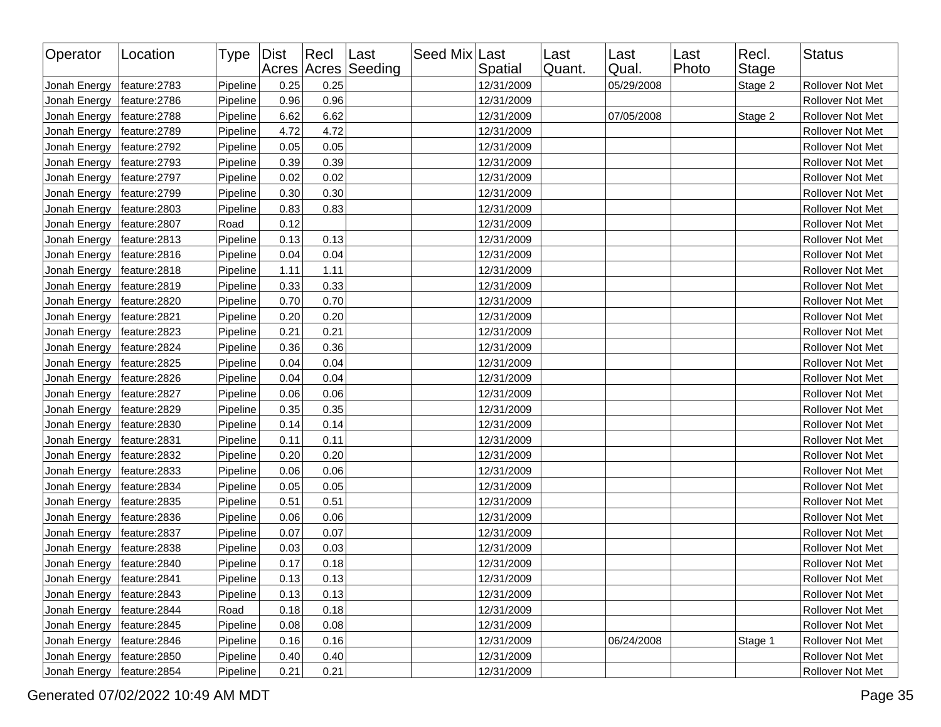| Operator     | Location      | Type   Dist |      | Recl | Last<br>Acres Acres Seeding | Seed Mix Last | Spatial    | Last<br>Quant. | Last<br>Qual. | Last<br>Photo | Recl.<br><b>Stage</b> | <b>Status</b>    |
|--------------|---------------|-------------|------|------|-----------------------------|---------------|------------|----------------|---------------|---------------|-----------------------|------------------|
| Jonah Energy | feature:2783  | Pipeline    | 0.25 | 0.25 |                             |               | 12/31/2009 |                | 05/29/2008    |               | Stage 2               | Rollover Not Met |
| Jonah Energy | feature: 2786 | Pipeline    | 0.96 | 0.96 |                             |               | 12/31/2009 |                |               |               |                       | Rollover Not Met |
| Jonah Energy | feature: 2788 | Pipeline    | 6.62 | 6.62 |                             |               | 12/31/2009 |                | 07/05/2008    |               | Stage 2               | Rollover Not Met |
| Jonah Energy | feature: 2789 | Pipeline    | 4.72 | 4.72 |                             |               | 12/31/2009 |                |               |               |                       | Rollover Not Met |
| Jonah Energy | feature: 2792 | Pipeline    | 0.05 | 0.05 |                             |               | 12/31/2009 |                |               |               |                       | Rollover Not Met |
| Jonah Energy | feature: 2793 | Pipeline    | 0.39 | 0.39 |                             |               | 12/31/2009 |                |               |               |                       | Rollover Not Met |
| Jonah Energy | feature:2797  | Pipeline    | 0.02 | 0.02 |                             |               | 12/31/2009 |                |               |               |                       | Rollover Not Met |
| Jonah Energy | feature: 2799 | Pipeline    | 0.30 | 0.30 |                             |               | 12/31/2009 |                |               |               |                       | Rollover Not Met |
| Jonah Energy | feature:2803  | Pipeline    | 0.83 | 0.83 |                             |               | 12/31/2009 |                |               |               |                       | Rollover Not Met |
| Jonah Energy | feature: 2807 | Road        | 0.12 |      |                             |               | 12/31/2009 |                |               |               |                       | Rollover Not Met |
| Jonah Energy | feature: 2813 | Pipeline    | 0.13 | 0.13 |                             |               | 12/31/2009 |                |               |               |                       | Rollover Not Met |
| Jonah Energy | feature: 2816 | Pipeline    | 0.04 | 0.04 |                             |               | 12/31/2009 |                |               |               |                       | Rollover Not Met |
| Jonah Energy | feature: 2818 | Pipeline    | 1.11 | 1.11 |                             |               | 12/31/2009 |                |               |               |                       | Rollover Not Met |
| Jonah Energy | feature: 2819 | Pipeline    | 0.33 | 0.33 |                             |               | 12/31/2009 |                |               |               |                       | Rollover Not Met |
| Jonah Energy | feature: 2820 | Pipeline    | 0.70 | 0.70 |                             |               | 12/31/2009 |                |               |               |                       | Rollover Not Met |
| Jonah Energy | feature: 2821 | Pipeline    | 0.20 | 0.20 |                             |               | 12/31/2009 |                |               |               |                       | Rollover Not Met |
| Jonah Energy | feature:2823  | Pipeline    | 0.21 | 0.21 |                             |               | 12/31/2009 |                |               |               |                       | Rollover Not Met |
| Jonah Energy | feature: 2824 | Pipeline    | 0.36 | 0.36 |                             |               | 12/31/2009 |                |               |               |                       | Rollover Not Met |
| Jonah Energy | feature: 2825 | Pipeline    | 0.04 | 0.04 |                             |               | 12/31/2009 |                |               |               |                       | Rollover Not Met |
| Jonah Energy | feature: 2826 | Pipeline    | 0.04 | 0.04 |                             |               | 12/31/2009 |                |               |               |                       | Rollover Not Met |
| Jonah Energy | feature: 2827 | Pipeline    | 0.06 | 0.06 |                             |               | 12/31/2009 |                |               |               |                       | Rollover Not Met |
| Jonah Energy | feature: 2829 | Pipeline    | 0.35 | 0.35 |                             |               | 12/31/2009 |                |               |               |                       | Rollover Not Met |
| Jonah Energy | feature:2830  | Pipeline    | 0.14 | 0.14 |                             |               | 12/31/2009 |                |               |               |                       | Rollover Not Met |
| Jonah Energy | feature: 2831 | Pipeline    | 0.11 | 0.11 |                             |               | 12/31/2009 |                |               |               |                       | Rollover Not Met |
| Jonah Energy | feature: 2832 | Pipeline    | 0.20 | 0.20 |                             |               | 12/31/2009 |                |               |               |                       | Rollover Not Met |
| Jonah Energy | feature:2833  | Pipeline    | 0.06 | 0.06 |                             |               | 12/31/2009 |                |               |               |                       | Rollover Not Met |
| Jonah Energy | feature: 2834 | Pipeline    | 0.05 | 0.05 |                             |               | 12/31/2009 |                |               |               |                       | Rollover Not Met |
| Jonah Energy | feature: 2835 | Pipeline    | 0.51 | 0.51 |                             |               | 12/31/2009 |                |               |               |                       | Rollover Not Met |
| Jonah Energy | feature: 2836 | Pipeline    | 0.06 | 0.06 |                             |               | 12/31/2009 |                |               |               |                       | Rollover Not Met |
| Jonah Energy | feature: 2837 | Pipeline    | 0.07 | 0.07 |                             |               | 12/31/2009 |                |               |               |                       | Rollover Not Met |
| Jonah Energy | feature:2838  | Pipeline    | 0.03 | 0.03 |                             |               | 12/31/2009 |                |               |               |                       | Rollover Not Met |
| Jonah Energy | feature: 2840 | Pipeline    | 0.17 | 0.18 |                             |               | 12/31/2009 |                |               |               |                       | Rollover Not Met |
| Jonah Energy | feature:2841  | Pipeline    | 0.13 | 0.13 |                             |               | 12/31/2009 |                |               |               |                       | Rollover Not Met |
| Jonah Energy | feature: 2843 | Pipeline    | 0.13 | 0.13 |                             |               | 12/31/2009 |                |               |               |                       | Rollover Not Met |
| Jonah Energy | feature: 2844 | Road        | 0.18 | 0.18 |                             |               | 12/31/2009 |                |               |               |                       | Rollover Not Met |
| Jonah Energy | feature: 2845 | Pipeline    | 0.08 | 0.08 |                             |               | 12/31/2009 |                |               |               |                       | Rollover Not Met |
| Jonah Energy | feature: 2846 | Pipeline    | 0.16 | 0.16 |                             |               | 12/31/2009 |                | 06/24/2008    |               | Stage 1               | Rollover Not Met |
| Jonah Energy | feature:2850  | Pipeline    | 0.40 | 0.40 |                             |               | 12/31/2009 |                |               |               |                       | Rollover Not Met |
| Jonah Energy | feature: 2854 | Pipeline    | 0.21 | 0.21 |                             |               | 12/31/2009 |                |               |               |                       | Rollover Not Met |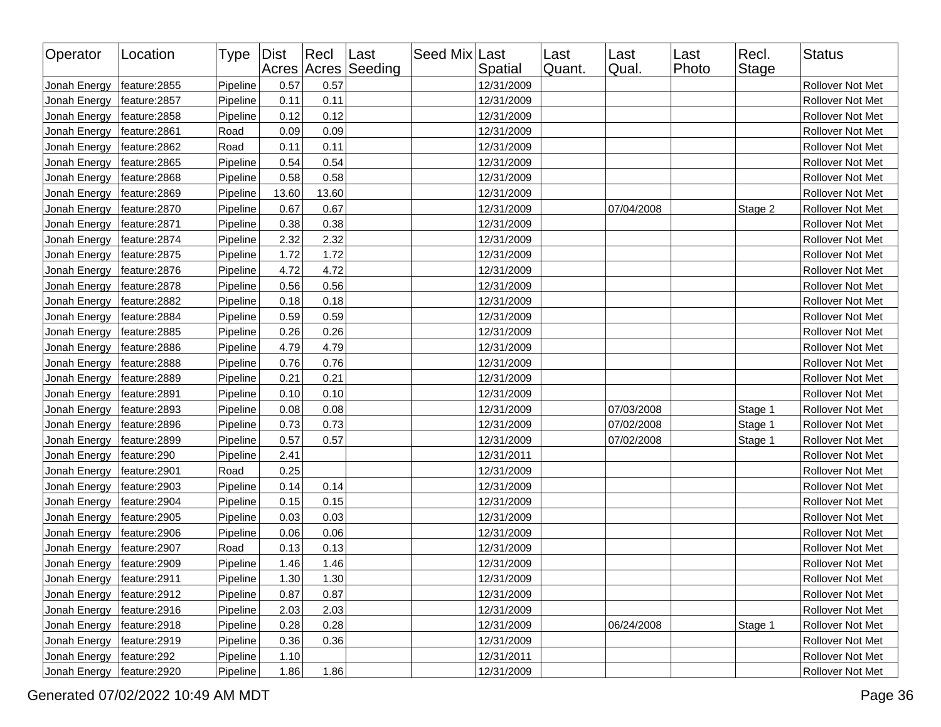| Operator     | Location      | Type Dist |       | $ $ Recl | Last<br>Acres Acres Seeding | Seed Mix Last | Spatial    | Last<br>Quant. | Last<br>Qual. | Last<br>Photo | Recl.<br><b>Stage</b> | <b>Status</b>           |
|--------------|---------------|-----------|-------|----------|-----------------------------|---------------|------------|----------------|---------------|---------------|-----------------------|-------------------------|
| Jonah Energy | feature: 2855 | Pipeline  | 0.57  | 0.57     |                             |               | 12/31/2009 |                |               |               |                       | Rollover Not Met        |
| Jonah Energy | feature: 2857 | Pipeline  | 0.11  | 0.11     |                             |               | 12/31/2009 |                |               |               |                       | Rollover Not Met        |
| Jonah Energy | feature: 2858 | Pipeline  | 0.12  | 0.12     |                             |               | 12/31/2009 |                |               |               |                       | Rollover Not Met        |
| Jonah Energy | feature: 2861 | Road      | 0.09  | 0.09     |                             |               | 12/31/2009 |                |               |               |                       | Rollover Not Met        |
| Jonah Energy | feature: 2862 | Road      | 0.11  | 0.11     |                             |               | 12/31/2009 |                |               |               |                       | Rollover Not Met        |
| Jonah Energy | feature: 2865 | Pipeline  | 0.54  | 0.54     |                             |               | 12/31/2009 |                |               |               |                       | Rollover Not Met        |
| Jonah Energy | feature: 2868 | Pipeline  | 0.58  | 0.58     |                             |               | 12/31/2009 |                |               |               |                       | Rollover Not Met        |
| Jonah Energy | feature: 2869 | Pipeline  | 13.60 | 13.60    |                             |               | 12/31/2009 |                |               |               |                       | Rollover Not Met        |
| Jonah Energy | feature: 2870 | Pipeline  | 0.67  | 0.67     |                             |               | 12/31/2009 |                | 07/04/2008    |               | Stage 2               | Rollover Not Met        |
| Jonah Energy | feature: 2871 | Pipeline  | 0.38  | 0.38     |                             |               | 12/31/2009 |                |               |               |                       | Rollover Not Met        |
| Jonah Energy | feature: 2874 | Pipeline  | 2.32  | 2.32     |                             |               | 12/31/2009 |                |               |               |                       | Rollover Not Met        |
| Jonah Energy | feature: 2875 | Pipeline  | 1.72  | 1.72     |                             |               | 12/31/2009 |                |               |               |                       | Rollover Not Met        |
| Jonah Energy | feature: 2876 | Pipeline  | 4.72  | 4.72     |                             |               | 12/31/2009 |                |               |               |                       | Rollover Not Met        |
| Jonah Energy | feature: 2878 | Pipeline  | 0.56  | 0.56     |                             |               | 12/31/2009 |                |               |               |                       | Rollover Not Met        |
| Jonah Energy | feature: 2882 | Pipeline  | 0.18  | 0.18     |                             |               | 12/31/2009 |                |               |               |                       | Rollover Not Met        |
| Jonah Energy | feature: 2884 | Pipeline  | 0.59  | 0.59     |                             |               | 12/31/2009 |                |               |               |                       | Rollover Not Met        |
| Jonah Energy | feature: 2885 | Pipeline  | 0.26  | 0.26     |                             |               | 12/31/2009 |                |               |               |                       | Rollover Not Met        |
| Jonah Energy | feature: 2886 | Pipeline  | 4.79  | 4.79     |                             |               | 12/31/2009 |                |               |               |                       | Rollover Not Met        |
| Jonah Energy | feature: 2888 | Pipeline  | 0.76  | 0.76     |                             |               | 12/31/2009 |                |               |               |                       | Rollover Not Met        |
| Jonah Energy | feature: 2889 | Pipeline  | 0.21  | 0.21     |                             |               | 12/31/2009 |                |               |               |                       | Rollover Not Met        |
| Jonah Energy | feature: 2891 | Pipeline  | 0.10  | 0.10     |                             |               | 12/31/2009 |                |               |               |                       | Rollover Not Met        |
| Jonah Energy | feature:2893  | Pipeline  | 0.08  | 0.08     |                             |               | 12/31/2009 |                | 07/03/2008    |               | Stage 1               | Rollover Not Met        |
| Jonah Energy | feature: 2896 | Pipeline  | 0.73  | 0.73     |                             |               | 12/31/2009 |                | 07/02/2008    |               | Stage 1               | Rollover Not Met        |
| Jonah Energy | feature: 2899 | Pipeline  | 0.57  | 0.57     |                             |               | 12/31/2009 |                | 07/02/2008    |               | Stage 1               | Rollover Not Met        |
| Jonah Energy | feature:290   | Pipeline  | 2.41  |          |                             |               | 12/31/2011 |                |               |               |                       | Rollover Not Met        |
| Jonah Energy | feature: 2901 | Road      | 0.25  |          |                             |               | 12/31/2009 |                |               |               |                       | Rollover Not Met        |
| Jonah Energy | feature:2903  | Pipeline  | 0.14  | 0.14     |                             |               | 12/31/2009 |                |               |               |                       | Rollover Not Met        |
| Jonah Energy | feature: 2904 | Pipeline  | 0.15  | 0.15     |                             |               | 12/31/2009 |                |               |               |                       | Rollover Not Met        |
| Jonah Energy | feature: 2905 | Pipeline  | 0.03  | 0.03     |                             |               | 12/31/2009 |                |               |               |                       | Rollover Not Met        |
| Jonah Energy | feature: 2906 | Pipeline  | 0.06  | 0.06     |                             |               | 12/31/2009 |                |               |               |                       | Rollover Not Met        |
| Jonah Energy | feature: 2907 | Road      | 0.13  | 0.13     |                             |               | 12/31/2009 |                |               |               |                       | Rollover Not Met        |
| Jonah Energy | feature:2909  | Pipeline  | 1.46  | 1.46     |                             |               | 12/31/2009 |                |               |               |                       | Rollover Not Met        |
| Jonah Energy | feature:2911  | Pipeline  | 1.30  | 1.30     |                             |               | 12/31/2009 |                |               |               |                       | <b>Rollover Not Met</b> |
| Jonah Energy | feature: 2912 | Pipeline  | 0.87  | 0.87     |                             |               | 12/31/2009 |                |               |               |                       | Rollover Not Met        |
| Jonah Energy | feature: 2916 | Pipeline  | 2.03  | 2.03     |                             |               | 12/31/2009 |                |               |               |                       | Rollover Not Met        |
| Jonah Energy | feature: 2918 | Pipeline  | 0.28  | 0.28     |                             |               | 12/31/2009 |                | 06/24/2008    |               | Stage 1               | Rollover Not Met        |
| Jonah Energy | feature: 2919 | Pipeline  | 0.36  | 0.36     |                             |               | 12/31/2009 |                |               |               |                       | Rollover Not Met        |
| Jonah Energy | feature:292   | Pipeline  | 1.10  |          |                             |               | 12/31/2011 |                |               |               |                       | Rollover Not Met        |
| Jonah Energy | feature:2920  | Pipeline  | 1.86  | 1.86     |                             |               | 12/31/2009 |                |               |               |                       | Rollover Not Met        |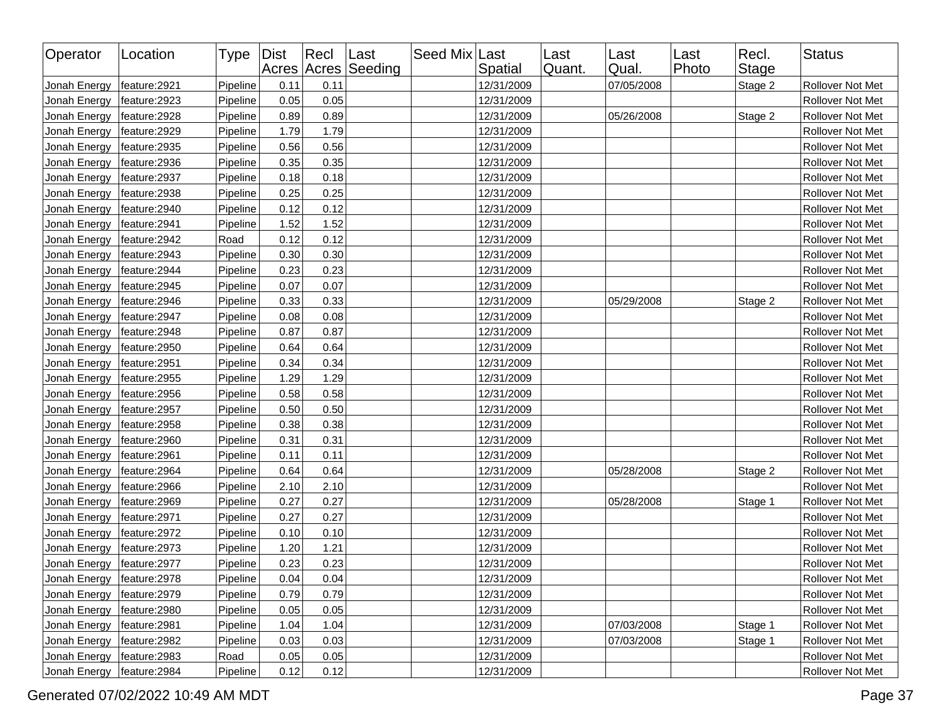| Operator     | Location      | Type   Dist |      | Recl | Last<br>Acres Acres Seeding | Seed Mix Last | Spatial    | Last<br>Quant. | Last<br>Qual. | Last<br>Photo | Recl.<br><b>Stage</b> | <b>Status</b>    |
|--------------|---------------|-------------|------|------|-----------------------------|---------------|------------|----------------|---------------|---------------|-----------------------|------------------|
| Jonah Energy | feature:2921  | Pipeline    | 0.11 | 0.11 |                             |               | 12/31/2009 |                | 07/05/2008    |               | Stage 2               | Rollover Not Met |
| Jonah Energy | feature: 2923 | Pipeline    | 0.05 | 0.05 |                             |               | 12/31/2009 |                |               |               |                       | Rollover Not Met |
| Jonah Energy | feature: 2928 | Pipeline    | 0.89 | 0.89 |                             |               | 12/31/2009 |                | 05/26/2008    |               | Stage 2               | Rollover Not Met |
| Jonah Energy | feature: 2929 | Pipeline    | 1.79 | 1.79 |                             |               | 12/31/2009 |                |               |               |                       | Rollover Not Met |
| Jonah Energy | feature: 2935 | Pipeline    | 0.56 | 0.56 |                             |               | 12/31/2009 |                |               |               |                       | Rollover Not Met |
| Jonah Energy | feature: 2936 | Pipeline    | 0.35 | 0.35 |                             |               | 12/31/2009 |                |               |               |                       | Rollover Not Met |
| Jonah Energy | feature: 2937 | Pipeline    | 0.18 | 0.18 |                             |               | 12/31/2009 |                |               |               |                       | Rollover Not Met |
| Jonah Energy | feature: 2938 | Pipeline    | 0.25 | 0.25 |                             |               | 12/31/2009 |                |               |               |                       | Rollover Not Met |
| Jonah Energy | feature: 2940 | Pipeline    | 0.12 | 0.12 |                             |               | 12/31/2009 |                |               |               |                       | Rollover Not Met |
| Jonah Energy | feature: 2941 | Pipeline    | 1.52 | 1.52 |                             |               | 12/31/2009 |                |               |               |                       | Rollover Not Met |
| Jonah Energy | feature: 2942 | Road        | 0.12 | 0.12 |                             |               | 12/31/2009 |                |               |               |                       | Rollover Not Met |
| Jonah Energy | feature: 2943 | Pipeline    | 0.30 | 0.30 |                             |               | 12/31/2009 |                |               |               |                       | Rollover Not Met |
| Jonah Energy | feature: 2944 | Pipeline    | 0.23 | 0.23 |                             |               | 12/31/2009 |                |               |               |                       | Rollover Not Met |
| Jonah Energy | feature: 2945 | Pipeline    | 0.07 | 0.07 |                             |               | 12/31/2009 |                |               |               |                       | Rollover Not Met |
| Jonah Energy | feature: 2946 | Pipeline    | 0.33 | 0.33 |                             |               | 12/31/2009 |                | 05/29/2008    |               | Stage 2               | Rollover Not Met |
| Jonah Energy | feature: 2947 | Pipeline    | 0.08 | 0.08 |                             |               | 12/31/2009 |                |               |               |                       | Rollover Not Met |
| Jonah Energy | feature: 2948 | Pipeline    | 0.87 | 0.87 |                             |               | 12/31/2009 |                |               |               |                       | Rollover Not Met |
| Jonah Energy | feature: 2950 | Pipeline    | 0.64 | 0.64 |                             |               | 12/31/2009 |                |               |               |                       | Rollover Not Met |
| Jonah Energy | feature: 2951 | Pipeline    | 0.34 | 0.34 |                             |               | 12/31/2009 |                |               |               |                       | Rollover Not Met |
| Jonah Energy | feature: 2955 | Pipeline    | 1.29 | 1.29 |                             |               | 12/31/2009 |                |               |               |                       | Rollover Not Met |
| Jonah Energy | feature: 2956 | Pipeline    | 0.58 | 0.58 |                             |               | 12/31/2009 |                |               |               |                       | Rollover Not Met |
| Jonah Energy | feature: 2957 | Pipeline    | 0.50 | 0.50 |                             |               | 12/31/2009 |                |               |               |                       | Rollover Not Met |
| Jonah Energy | feature: 2958 | Pipeline    | 0.38 | 0.38 |                             |               | 12/31/2009 |                |               |               |                       | Rollover Not Met |
| Jonah Energy | feature: 2960 | Pipeline    | 0.31 | 0.31 |                             |               | 12/31/2009 |                |               |               |                       | Rollover Not Met |
| Jonah Energy | feature: 2961 | Pipeline    | 0.11 | 0.11 |                             |               | 12/31/2009 |                |               |               |                       | Rollover Not Met |
| Jonah Energy | feature: 2964 | Pipeline    | 0.64 | 0.64 |                             |               | 12/31/2009 |                | 05/28/2008    |               | Stage 2               | Rollover Not Met |
| Jonah Energy | feature: 2966 | Pipeline    | 2.10 | 2.10 |                             |               | 12/31/2009 |                |               |               |                       | Rollover Not Met |
| Jonah Energy | feature: 2969 | Pipeline    | 0.27 | 0.27 |                             |               | 12/31/2009 |                | 05/28/2008    |               | Stage 1               | Rollover Not Met |
| Jonah Energy | feature: 2971 | Pipeline    | 0.27 | 0.27 |                             |               | 12/31/2009 |                |               |               |                       | Rollover Not Met |
| Jonah Energy | feature: 2972 | Pipeline    | 0.10 | 0.10 |                             |               | 12/31/2009 |                |               |               |                       | Rollover Not Met |
| Jonah Energy | feature: 2973 | Pipeline    | 1.20 | 1.21 |                             |               | 12/31/2009 |                |               |               |                       | Rollover Not Met |
| Jonah Energy | feature: 2977 | Pipeline    | 0.23 | 0.23 |                             |               | 12/31/2009 |                |               |               |                       | Rollover Not Met |
| Jonah Energy | feature:2978  | Pipeline    | 0.04 | 0.04 |                             |               | 12/31/2009 |                |               |               |                       | Rollover Not Met |
| Jonah Energy | feature: 2979 | Pipeline    | 0.79 | 0.79 |                             |               | 12/31/2009 |                |               |               |                       | Rollover Not Met |
| Jonah Energy | feature:2980  | Pipeline    | 0.05 | 0.05 |                             |               | 12/31/2009 |                |               |               |                       | Rollover Not Met |
| Jonah Energy | feature: 2981 | Pipeline    | 1.04 | 1.04 |                             |               | 12/31/2009 |                | 07/03/2008    |               | Stage 1               | Rollover Not Met |
| Jonah Energy | feature: 2982 | Pipeline    | 0.03 | 0.03 |                             |               | 12/31/2009 |                | 07/03/2008    |               | Stage 1               | Rollover Not Met |
| Jonah Energy | feature: 2983 | Road        | 0.05 | 0.05 |                             |               | 12/31/2009 |                |               |               |                       | Rollover Not Met |
| Jonah Energy | feature: 2984 | Pipeline    | 0.12 | 0.12 |                             |               | 12/31/2009 |                |               |               |                       | Rollover Not Met |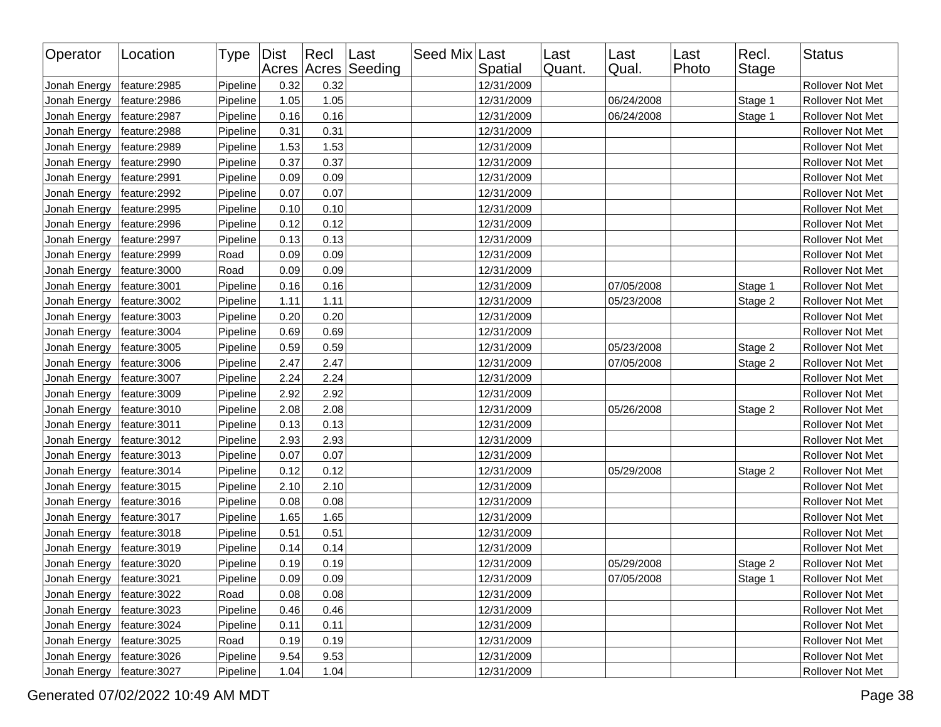| Operator     | Location      | Type   Dist |      | Recl | Last<br>Acres Acres Seeding | Seed Mix Last | Spatial    | Last<br>Quant. | Last<br>Qual. | Last<br>Photo | Recl.<br>Stage | <b>Status</b>    |
|--------------|---------------|-------------|------|------|-----------------------------|---------------|------------|----------------|---------------|---------------|----------------|------------------|
| Jonah Energy | feature: 2985 | Pipeline    | 0.32 | 0.32 |                             |               | 12/31/2009 |                |               |               |                | Rollover Not Met |
| Jonah Energy | feature: 2986 | Pipeline    | 1.05 | 1.05 |                             |               | 12/31/2009 |                | 06/24/2008    |               | Stage 1        | Rollover Not Met |
| Jonah Energy | feature: 2987 | Pipeline    | 0.16 | 0.16 |                             |               | 12/31/2009 |                | 06/24/2008    |               | Stage 1        | Rollover Not Met |
| Jonah Energy | feature: 2988 | Pipeline    | 0.31 | 0.31 |                             |               | 12/31/2009 |                |               |               |                | Rollover Not Met |
| Jonah Energy | feature: 2989 | Pipeline    | 1.53 | 1.53 |                             |               | 12/31/2009 |                |               |               |                | Rollover Not Met |
| Jonah Energy | feature: 2990 | Pipeline    | 0.37 | 0.37 |                             |               | 12/31/2009 |                |               |               |                | Rollover Not Met |
| Jonah Energy | feature: 2991 | Pipeline    | 0.09 | 0.09 |                             |               | 12/31/2009 |                |               |               |                | Rollover Not Met |
| Jonah Energy | feature: 2992 | Pipeline    | 0.07 | 0.07 |                             |               | 12/31/2009 |                |               |               |                | Rollover Not Met |
| Jonah Energy | feature: 2995 | Pipeline    | 0.10 | 0.10 |                             |               | 12/31/2009 |                |               |               |                | Rollover Not Met |
| Jonah Energy | feature: 2996 | Pipeline    | 0.12 | 0.12 |                             |               | 12/31/2009 |                |               |               |                | Rollover Not Met |
| Jonah Energy | feature: 2997 | Pipeline    | 0.13 | 0.13 |                             |               | 12/31/2009 |                |               |               |                | Rollover Not Met |
| Jonah Energy | feature: 2999 | Road        | 0.09 | 0.09 |                             |               | 12/31/2009 |                |               |               |                | Rollover Not Met |
| Jonah Energy | feature: 3000 | Road        | 0.09 | 0.09 |                             |               | 12/31/2009 |                |               |               |                | Rollover Not Met |
| Jonah Energy | feature: 3001 | Pipeline    | 0.16 | 0.16 |                             |               | 12/31/2009 |                | 07/05/2008    |               | Stage 1        | Rollover Not Met |
| Jonah Energy | feature: 3002 | Pipeline    | 1.11 | 1.11 |                             |               | 12/31/2009 |                | 05/23/2008    |               | Stage 2        | Rollover Not Met |
| Jonah Energy | feature: 3003 | Pipeline    | 0.20 | 0.20 |                             |               | 12/31/2009 |                |               |               |                | Rollover Not Met |
| Jonah Energy | feature: 3004 | Pipeline    | 0.69 | 0.69 |                             |               | 12/31/2009 |                |               |               |                | Rollover Not Met |
| Jonah Energy | feature: 3005 | Pipeline    | 0.59 | 0.59 |                             |               | 12/31/2009 |                | 05/23/2008    |               | Stage 2        | Rollover Not Met |
| Jonah Energy | feature: 3006 | Pipeline    | 2.47 | 2.47 |                             |               | 12/31/2009 |                | 07/05/2008    |               | Stage 2        | Rollover Not Met |
| Jonah Energy | feature: 3007 | Pipeline    | 2.24 | 2.24 |                             |               | 12/31/2009 |                |               |               |                | Rollover Not Met |
| Jonah Energy | feature: 3009 | Pipeline    | 2.92 | 2.92 |                             |               | 12/31/2009 |                |               |               |                | Rollover Not Met |
| Jonah Energy | feature: 3010 | Pipeline    | 2.08 | 2.08 |                             |               | 12/31/2009 |                | 05/26/2008    |               | Stage 2        | Rollover Not Met |
| Jonah Energy | feature: 3011 | Pipeline    | 0.13 | 0.13 |                             |               | 12/31/2009 |                |               |               |                | Rollover Not Met |
| Jonah Energy | feature: 3012 | Pipeline    | 2.93 | 2.93 |                             |               | 12/31/2009 |                |               |               |                | Rollover Not Met |
| Jonah Energy | feature: 3013 | Pipeline    | 0.07 | 0.07 |                             |               | 12/31/2009 |                |               |               |                | Rollover Not Met |
| Jonah Energy | feature: 3014 | Pipeline    | 0.12 | 0.12 |                             |               | 12/31/2009 |                | 05/29/2008    |               | Stage 2        | Rollover Not Met |
| Jonah Energy | feature: 3015 | Pipeline    | 2.10 | 2.10 |                             |               | 12/31/2009 |                |               |               |                | Rollover Not Met |
| Jonah Energy | feature: 3016 | Pipeline    | 0.08 | 0.08 |                             |               | 12/31/2009 |                |               |               |                | Rollover Not Met |
| Jonah Energy | feature: 3017 | Pipeline    | 1.65 | 1.65 |                             |               | 12/31/2009 |                |               |               |                | Rollover Not Met |
| Jonah Energy | feature: 3018 | Pipeline    | 0.51 | 0.51 |                             |               | 12/31/2009 |                |               |               |                | Rollover Not Met |
| Jonah Energy | feature: 3019 | Pipeline    | 0.14 | 0.14 |                             |               | 12/31/2009 |                |               |               |                | Rollover Not Met |
| Jonah Energy | feature: 3020 | Pipeline    | 0.19 | 0.19 |                             |               | 12/31/2009 |                | 05/29/2008    |               | Stage 2        | Rollover Not Met |
| Jonah Energy | feature:3021  | Pipeline    | 0.09 | 0.09 |                             |               | 12/31/2009 |                | 07/05/2008    |               | Stage 1        | Rollover Not Met |
| Jonah Energy | feature: 3022 | Road        | 0.08 | 0.08 |                             |               | 12/31/2009 |                |               |               |                | Rollover Not Met |
| Jonah Energy | feature:3023  | Pipeline    | 0.46 | 0.46 |                             |               | 12/31/2009 |                |               |               |                | Rollover Not Met |
| Jonah Energy | feature: 3024 | Pipeline    | 0.11 | 0.11 |                             |               | 12/31/2009 |                |               |               |                | Rollover Not Met |
| Jonah Energy | feature: 3025 | Road        | 0.19 | 0.19 |                             |               | 12/31/2009 |                |               |               |                | Rollover Not Met |
| Jonah Energy | feature: 3026 | Pipeline    | 9.54 | 9.53 |                             |               | 12/31/2009 |                |               |               |                | Rollover Not Met |
| Jonah Energy | feature: 3027 | Pipeline    | 1.04 | 1.04 |                             |               | 12/31/2009 |                |               |               |                | Rollover Not Met |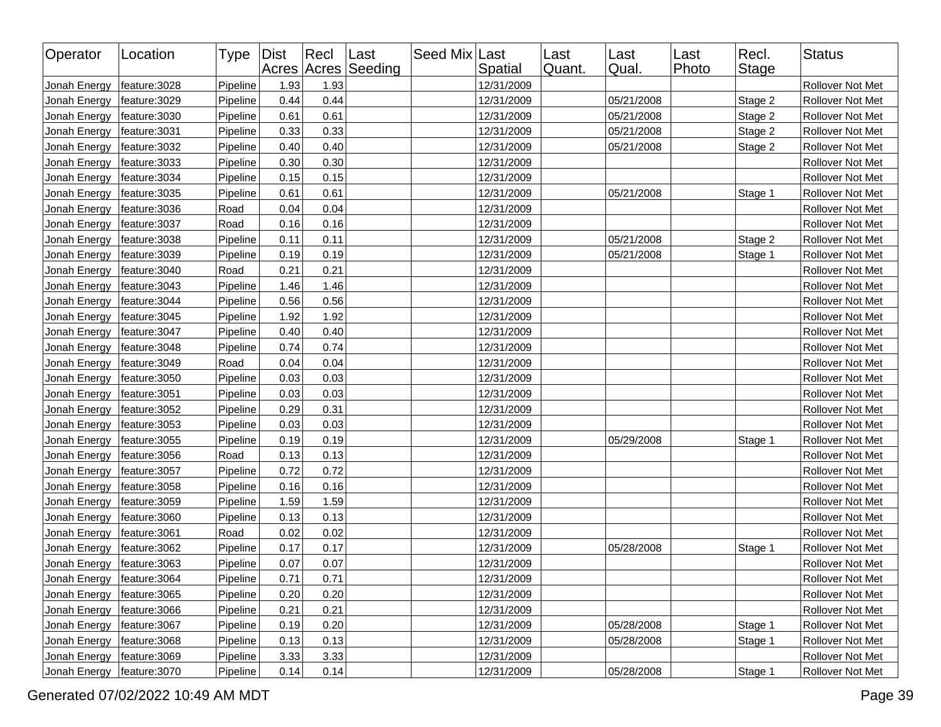| Operator     | Location      | Type   Dist |      | $ $ Recl | Last<br>Acres Acres Seeding | Seed Mix Last | Spatial    | Last<br>Quant. | Last<br>Qual. | Last<br>Photo | Recl.<br>Stage | <b>Status</b>    |
|--------------|---------------|-------------|------|----------|-----------------------------|---------------|------------|----------------|---------------|---------------|----------------|------------------|
| Jonah Energy | feature: 3028 | Pipeline    | 1.93 | 1.93     |                             |               | 12/31/2009 |                |               |               |                | Rollover Not Met |
| Jonah Energy | feature: 3029 | Pipeline    | 0.44 | 0.44     |                             |               | 12/31/2009 |                | 05/21/2008    |               | Stage 2        | Rollover Not Met |
| Jonah Energy | feature: 3030 | Pipeline    | 0.61 | 0.61     |                             |               | 12/31/2009 |                | 05/21/2008    |               | Stage 2        | Rollover Not Met |
| Jonah Energy | feature: 3031 | Pipeline    | 0.33 | 0.33     |                             |               | 12/31/2009 |                | 05/21/2008    |               | Stage 2        | Rollover Not Met |
| Jonah Energy | feature: 3032 | Pipeline    | 0.40 | 0.40     |                             |               | 12/31/2009 |                | 05/21/2008    |               | Stage 2        | Rollover Not Met |
| Jonah Energy | feature: 3033 | Pipeline    | 0.30 | 0.30     |                             |               | 12/31/2009 |                |               |               |                | Rollover Not Met |
| Jonah Energy | feature: 3034 | Pipeline    | 0.15 | 0.15     |                             |               | 12/31/2009 |                |               |               |                | Rollover Not Met |
| Jonah Energy | feature: 3035 | Pipeline    | 0.61 | 0.61     |                             |               | 12/31/2009 |                | 05/21/2008    |               | Stage 1        | Rollover Not Met |
| Jonah Energy | feature: 3036 | Road        | 0.04 | 0.04     |                             |               | 12/31/2009 |                |               |               |                | Rollover Not Met |
| Jonah Energy | feature: 3037 | Road        | 0.16 | 0.16     |                             |               | 12/31/2009 |                |               |               |                | Rollover Not Met |
| Jonah Energy | feature: 3038 | Pipeline    | 0.11 | 0.11     |                             |               | 12/31/2009 |                | 05/21/2008    |               | Stage 2        | Rollover Not Met |
| Jonah Energy | feature: 3039 | Pipeline    | 0.19 | 0.19     |                             |               | 12/31/2009 |                | 05/21/2008    |               | Stage 1        | Rollover Not Met |
| Jonah Energy | feature: 3040 | Road        | 0.21 | 0.21     |                             |               | 12/31/2009 |                |               |               |                | Rollover Not Met |
| Jonah Energy | feature: 3043 | Pipeline    | 1.46 | 1.46     |                             |               | 12/31/2009 |                |               |               |                | Rollover Not Met |
| Jonah Energy | feature: 3044 | Pipeline    | 0.56 | 0.56     |                             |               | 12/31/2009 |                |               |               |                | Rollover Not Met |
| Jonah Energy | feature: 3045 | Pipeline    | 1.92 | 1.92     |                             |               | 12/31/2009 |                |               |               |                | Rollover Not Met |
| Jonah Energy | feature: 3047 | Pipeline    | 0.40 | 0.40     |                             |               | 12/31/2009 |                |               |               |                | Rollover Not Met |
| Jonah Energy | feature: 3048 | Pipeline    | 0.74 | 0.74     |                             |               | 12/31/2009 |                |               |               |                | Rollover Not Met |
| Jonah Energy | feature: 3049 | Road        | 0.04 | 0.04     |                             |               | 12/31/2009 |                |               |               |                | Rollover Not Met |
| Jonah Energy | feature: 3050 | Pipeline    | 0.03 | 0.03     |                             |               | 12/31/2009 |                |               |               |                | Rollover Not Met |
| Jonah Energy | feature: 3051 | Pipeline    | 0.03 | 0.03     |                             |               | 12/31/2009 |                |               |               |                | Rollover Not Met |
| Jonah Energy | feature: 3052 | Pipeline    | 0.29 | 0.31     |                             |               | 12/31/2009 |                |               |               |                | Rollover Not Met |
| Jonah Energy | feature: 3053 | Pipeline    | 0.03 | 0.03     |                             |               | 12/31/2009 |                |               |               |                | Rollover Not Met |
| Jonah Energy | feature: 3055 | Pipeline    | 0.19 | 0.19     |                             |               | 12/31/2009 |                | 05/29/2008    |               | Stage 1        | Rollover Not Met |
| Jonah Energy | feature: 3056 | Road        | 0.13 | 0.13     |                             |               | 12/31/2009 |                |               |               |                | Rollover Not Met |
| Jonah Energy | feature: 3057 | Pipeline    | 0.72 | 0.72     |                             |               | 12/31/2009 |                |               |               |                | Rollover Not Met |
| Jonah Energy | feature: 3058 | Pipeline    | 0.16 | 0.16     |                             |               | 12/31/2009 |                |               |               |                | Rollover Not Met |
| Jonah Energy | feature: 3059 | Pipeline    | 1.59 | 1.59     |                             |               | 12/31/2009 |                |               |               |                | Rollover Not Met |
| Jonah Energy | feature: 3060 | Pipeline    | 0.13 | 0.13     |                             |               | 12/31/2009 |                |               |               |                | Rollover Not Met |
| Jonah Energy | feature: 3061 | Road        | 0.02 | 0.02     |                             |               | 12/31/2009 |                |               |               |                | Rollover Not Met |
| Jonah Energy | feature: 3062 | Pipeline    | 0.17 | 0.17     |                             |               | 12/31/2009 |                | 05/28/2008    |               | Stage 1        | Rollover Not Met |
| Jonah Energy | feature: 3063 | Pipeline    | 0.07 | 0.07     |                             |               | 12/31/2009 |                |               |               |                | Rollover Not Met |
| Jonah Energy | feature: 3064 | Pipeline    | 0.71 | 0.71     |                             |               | 12/31/2009 |                |               |               |                | Rollover Not Met |
| Jonah Energy | feature: 3065 | Pipeline    | 0.20 | 0.20     |                             |               | 12/31/2009 |                |               |               |                | Rollover Not Met |
| Jonah Energy | feature: 3066 | Pipeline    | 0.21 | 0.21     |                             |               | 12/31/2009 |                |               |               |                | Rollover Not Met |
| Jonah Energy | feature: 3067 | Pipeline    | 0.19 | 0.20     |                             |               | 12/31/2009 |                | 05/28/2008    |               | Stage 1        | Rollover Not Met |
| Jonah Energy | feature: 3068 | Pipeline    | 0.13 | 0.13     |                             |               | 12/31/2009 |                | 05/28/2008    |               | Stage 1        | Rollover Not Met |
| Jonah Energy | feature: 3069 | Pipeline    | 3.33 | 3.33     |                             |               | 12/31/2009 |                |               |               |                | Rollover Not Met |
| Jonah Energy | feature: 3070 | Pipeline    | 0.14 | 0.14     |                             |               | 12/31/2009 |                | 05/28/2008    |               | Stage 1        | Rollover Not Met |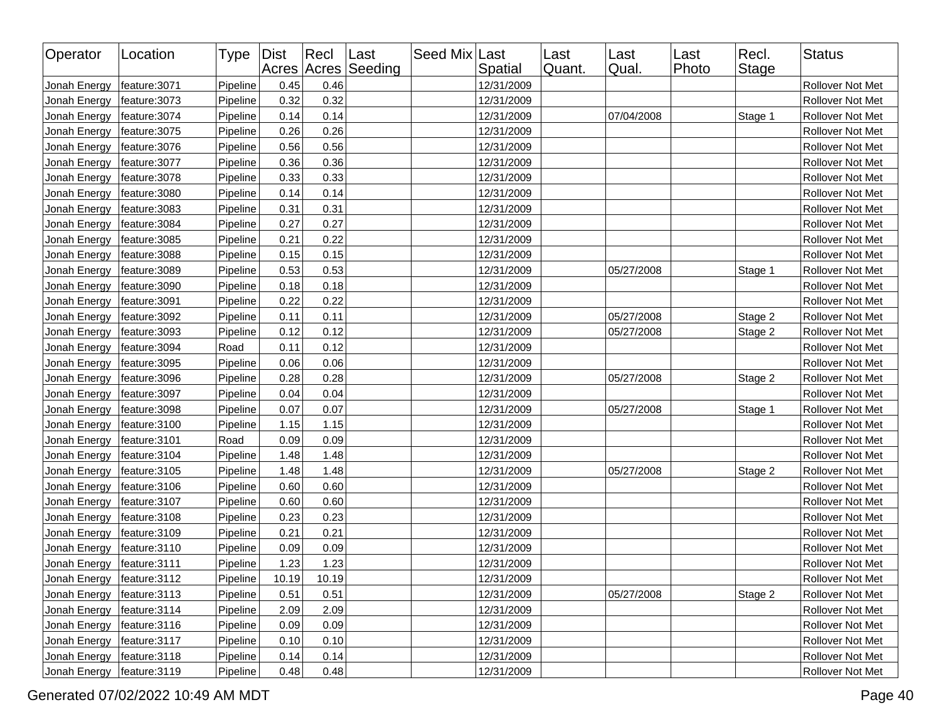| Operator     | Location      | Type   Dist |       | $ $ Recl | Last<br>Acres Acres Seeding | Seed Mix Last | Spatial    | Last<br>Quant. | Last<br>Qual. | Last<br>Photo | Recl.<br><b>Stage</b> | <b>Status</b>           |
|--------------|---------------|-------------|-------|----------|-----------------------------|---------------|------------|----------------|---------------|---------------|-----------------------|-------------------------|
| Jonah Energy | feature: 3071 | Pipeline    | 0.45  | 0.46     |                             |               | 12/31/2009 |                |               |               |                       | Rollover Not Met        |
| Jonah Energy | feature: 3073 | Pipeline    | 0.32  | 0.32     |                             |               | 12/31/2009 |                |               |               |                       | Rollover Not Met        |
| Jonah Energy | feature: 3074 | Pipeline    | 0.14  | 0.14     |                             |               | 12/31/2009 |                | 07/04/2008    |               | Stage 1               | Rollover Not Met        |
| Jonah Energy | feature: 3075 | Pipeline    | 0.26  | 0.26     |                             |               | 12/31/2009 |                |               |               |                       | Rollover Not Met        |
| Jonah Energy | feature: 3076 | Pipeline    | 0.56  | 0.56     |                             |               | 12/31/2009 |                |               |               |                       | Rollover Not Met        |
| Jonah Energy | feature: 3077 | Pipeline    | 0.36  | 0.36     |                             |               | 12/31/2009 |                |               |               |                       | Rollover Not Met        |
| Jonah Energy | feature: 3078 | Pipeline    | 0.33  | 0.33     |                             |               | 12/31/2009 |                |               |               |                       | Rollover Not Met        |
| Jonah Energy | feature: 3080 | Pipeline    | 0.14  | 0.14     |                             |               | 12/31/2009 |                |               |               |                       | Rollover Not Met        |
| Jonah Energy | feature: 3083 | Pipeline    | 0.31  | 0.31     |                             |               | 12/31/2009 |                |               |               |                       | Rollover Not Met        |
| Jonah Energy | feature: 3084 | Pipeline    | 0.27  | 0.27     |                             |               | 12/31/2009 |                |               |               |                       | Rollover Not Met        |
| Jonah Energy | feature: 3085 | Pipeline    | 0.21  | 0.22     |                             |               | 12/31/2009 |                |               |               |                       | Rollover Not Met        |
| Jonah Energy | feature: 3088 | Pipeline    | 0.15  | 0.15     |                             |               | 12/31/2009 |                |               |               |                       | Rollover Not Met        |
| Jonah Energy | feature: 3089 | Pipeline    | 0.53  | 0.53     |                             |               | 12/31/2009 |                | 05/27/2008    |               | Stage 1               | Rollover Not Met        |
| Jonah Energy | feature: 3090 | Pipeline    | 0.18  | 0.18     |                             |               | 12/31/2009 |                |               |               |                       | Rollover Not Met        |
| Jonah Energy | feature: 3091 | Pipeline    | 0.22  | 0.22     |                             |               | 12/31/2009 |                |               |               |                       | Rollover Not Met        |
| Jonah Energy | feature: 3092 | Pipeline    | 0.11  | 0.11     |                             |               | 12/31/2009 |                | 05/27/2008    |               | Stage 2               | Rollover Not Met        |
| Jonah Energy | feature: 3093 | Pipeline    | 0.12  | 0.12     |                             |               | 12/31/2009 |                | 05/27/2008    |               | Stage 2               | Rollover Not Met        |
| Jonah Energy | feature: 3094 | Road        | 0.11  | 0.12     |                             |               | 12/31/2009 |                |               |               |                       | Rollover Not Met        |
| Jonah Energy | feature: 3095 | Pipeline    | 0.06  | 0.06     |                             |               | 12/31/2009 |                |               |               |                       | Rollover Not Met        |
| Jonah Energy | feature: 3096 | Pipeline    | 0.28  | 0.28     |                             |               | 12/31/2009 |                | 05/27/2008    |               | Stage 2               | Rollover Not Met        |
| Jonah Energy | feature: 3097 | Pipeline    | 0.04  | 0.04     |                             |               | 12/31/2009 |                |               |               |                       | Rollover Not Met        |
| Jonah Energy | feature: 3098 | Pipeline    | 0.07  | 0.07     |                             |               | 12/31/2009 |                | 05/27/2008    |               | Stage 1               | Rollover Not Met        |
| Jonah Energy | feature: 3100 | Pipeline    | 1.15  | 1.15     |                             |               | 12/31/2009 |                |               |               |                       | Rollover Not Met        |
| Jonah Energy | feature:3101  | Road        | 0.09  | 0.09     |                             |               | 12/31/2009 |                |               |               |                       | Rollover Not Met        |
| Jonah Energy | feature: 3104 | Pipeline    | 1.48  | 1.48     |                             |               | 12/31/2009 |                |               |               |                       | Rollover Not Met        |
| Jonah Energy | feature: 3105 | Pipeline    | 1.48  | 1.48     |                             |               | 12/31/2009 |                | 05/27/2008    |               | Stage 2               | Rollover Not Met        |
| Jonah Energy | feature: 3106 | Pipeline    | 0.60  | 0.60     |                             |               | 12/31/2009 |                |               |               |                       | Rollover Not Met        |
| Jonah Energy | feature: 3107 | Pipeline    | 0.60  | 0.60     |                             |               | 12/31/2009 |                |               |               |                       | Rollover Not Met        |
| Jonah Energy | feature: 3108 | Pipeline    | 0.23  | 0.23     |                             |               | 12/31/2009 |                |               |               |                       | <b>Rollover Not Met</b> |
| Jonah Energy | feature: 3109 | Pipeline    | 0.21  | 0.21     |                             |               | 12/31/2009 |                |               |               |                       | Rollover Not Met        |
| Jonah Energy | feature: 3110 | Pipeline    | 0.09  | 0.09     |                             |               | 12/31/2009 |                |               |               |                       | Rollover Not Met        |
| Jonah Energy | feature: 3111 | Pipeline    | 1.23  | 1.23     |                             |               | 12/31/2009 |                |               |               |                       | Rollover Not Met        |
| Jonah Energy | feature:3112  | Pipeline    | 10.19 | 10.19    |                             |               | 12/31/2009 |                |               |               |                       | Rollover Not Met        |
| Jonah Energy | feature: 3113 | Pipeline    | 0.51  | 0.51     |                             |               | 12/31/2009 |                | 05/27/2008    |               | Stage 2               | Rollover Not Met        |
| Jonah Energy | feature: 3114 | Pipeline    | 2.09  | 2.09     |                             |               | 12/31/2009 |                |               |               |                       | Rollover Not Met        |
| Jonah Energy | feature: 3116 | Pipeline    | 0.09  | 0.09     |                             |               | 12/31/2009 |                |               |               |                       | Rollover Not Met        |
| Jonah Energy | feature: 3117 | Pipeline    | 0.10  | 0.10     |                             |               | 12/31/2009 |                |               |               |                       | Rollover Not Met        |
| Jonah Energy | feature: 3118 | Pipeline    | 0.14  | 0.14     |                             |               | 12/31/2009 |                |               |               |                       | Rollover Not Met        |
| Jonah Energy | feature: 3119 | Pipeline    | 0.48  | 0.48     |                             |               | 12/31/2009 |                |               |               |                       | Rollover Not Met        |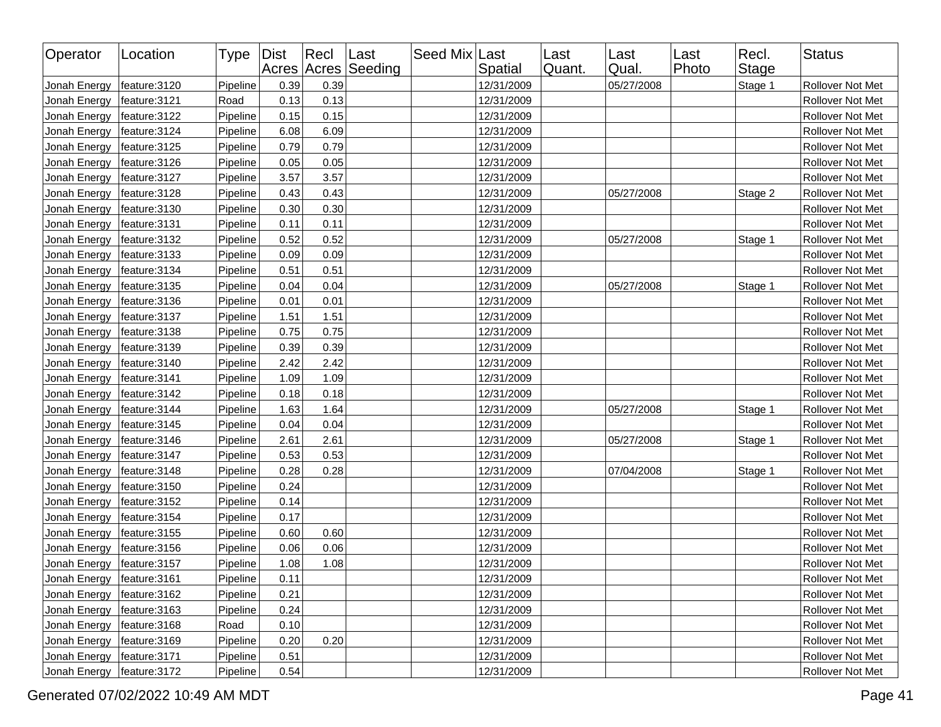| Operator                     | Location      | Type   Dist |      | $ $ Recl | Last<br>Acres Acres Seeding | Seed Mix Last | Spatial    | Last<br>Quant. | Last<br>Qual. | Last<br>Photo | Recl.<br><b>Stage</b> | <b>Status</b>    |
|------------------------------|---------------|-------------|------|----------|-----------------------------|---------------|------------|----------------|---------------|---------------|-----------------------|------------------|
| Jonah Energy                 | feature: 3120 | Pipeline    | 0.39 | 0.39     |                             |               | 12/31/2009 |                | 05/27/2008    |               | Stage 1               | Rollover Not Met |
| Jonah Energy                 | feature: 3121 | Road        | 0.13 | 0.13     |                             |               | 12/31/2009 |                |               |               |                       | Rollover Not Met |
| Jonah Energy                 | feature: 3122 | Pipeline    | 0.15 | 0.15     |                             |               | 12/31/2009 |                |               |               |                       | Rollover Not Met |
| Jonah Energy                 | feature: 3124 | Pipeline    | 6.08 | 6.09     |                             |               | 12/31/2009 |                |               |               |                       | Rollover Not Met |
| Jonah Energy                 | feature: 3125 | Pipeline    | 0.79 | 0.79     |                             |               | 12/31/2009 |                |               |               |                       | Rollover Not Met |
| Jonah Energy                 | feature: 3126 | Pipeline    | 0.05 | 0.05     |                             |               | 12/31/2009 |                |               |               |                       | Rollover Not Met |
| Jonah Energy                 | feature: 3127 | Pipeline    | 3.57 | 3.57     |                             |               | 12/31/2009 |                |               |               |                       | Rollover Not Met |
| Jonah Energy                 | feature: 3128 | Pipeline    | 0.43 | 0.43     |                             |               | 12/31/2009 |                | 05/27/2008    |               | Stage 2               | Rollover Not Met |
| Jonah Energy                 | feature: 3130 | Pipeline    | 0.30 | 0.30     |                             |               | 12/31/2009 |                |               |               |                       | Rollover Not Met |
| Jonah Energy                 | feature: 3131 | Pipeline    | 0.11 | 0.11     |                             |               | 12/31/2009 |                |               |               |                       | Rollover Not Met |
| Jonah Energy                 | feature: 3132 | Pipeline    | 0.52 | 0.52     |                             |               | 12/31/2009 |                | 05/27/2008    |               | Stage 1               | Rollover Not Met |
| Jonah Energy                 | feature: 3133 | Pipeline    | 0.09 | 0.09     |                             |               | 12/31/2009 |                |               |               |                       | Rollover Not Met |
| Jonah Energy                 | feature: 3134 | Pipeline    | 0.51 | 0.51     |                             |               | 12/31/2009 |                |               |               |                       | Rollover Not Met |
| Jonah Energy                 | feature: 3135 | Pipeline    | 0.04 | 0.04     |                             |               | 12/31/2009 |                | 05/27/2008    |               | Stage 1               | Rollover Not Met |
| Jonah Energy                 | feature: 3136 | Pipeline    | 0.01 | 0.01     |                             |               | 12/31/2009 |                |               |               |                       | Rollover Not Met |
| Jonah Energy                 | feature: 3137 | Pipeline    | 1.51 | 1.51     |                             |               | 12/31/2009 |                |               |               |                       | Rollover Not Met |
| Jonah Energy                 | feature: 3138 | Pipeline    | 0.75 | 0.75     |                             |               | 12/31/2009 |                |               |               |                       | Rollover Not Met |
| Jonah Energy                 | feature: 3139 | Pipeline    | 0.39 | 0.39     |                             |               | 12/31/2009 |                |               |               |                       | Rollover Not Met |
| Jonah Energy                 | feature: 3140 | Pipeline    | 2.42 | 2.42     |                             |               | 12/31/2009 |                |               |               |                       | Rollover Not Met |
| Jonah Energy                 | feature: 3141 | Pipeline    | 1.09 | 1.09     |                             |               | 12/31/2009 |                |               |               |                       | Rollover Not Met |
| Jonah Energy                 | feature: 3142 | Pipeline    | 0.18 | 0.18     |                             |               | 12/31/2009 |                |               |               |                       | Rollover Not Met |
| Jonah Energy                 | feature: 3144 | Pipeline    | 1.63 | 1.64     |                             |               | 12/31/2009 |                | 05/27/2008    |               | Stage 1               | Rollover Not Met |
| Jonah Energy                 | feature: 3145 | Pipeline    | 0.04 | 0.04     |                             |               | 12/31/2009 |                |               |               |                       | Rollover Not Met |
| Jonah Energy                 | feature: 3146 | Pipeline    | 2.61 | 2.61     |                             |               | 12/31/2009 |                | 05/27/2008    |               | Stage 1               | Rollover Not Met |
| Jonah Energy                 | feature: 3147 | Pipeline    | 0.53 | 0.53     |                             |               | 12/31/2009 |                |               |               |                       | Rollover Not Met |
| Jonah Energy                 | feature: 3148 | Pipeline    | 0.28 | 0.28     |                             |               | 12/31/2009 |                | 07/04/2008    |               | Stage 1               | Rollover Not Met |
| Jonah Energy                 | feature: 3150 | Pipeline    | 0.24 |          |                             |               | 12/31/2009 |                |               |               |                       | Rollover Not Met |
| Jonah Energy                 | feature: 3152 | Pipeline    | 0.14 |          |                             |               | 12/31/2009 |                |               |               |                       | Rollover Not Met |
| Jonah Energy                 | feature: 3154 | Pipeline    | 0.17 |          |                             |               | 12/31/2009 |                |               |               |                       | Rollover Not Met |
| Jonah Energy                 | feature: 3155 | Pipeline    | 0.60 | 0.60     |                             |               | 12/31/2009 |                |               |               |                       | Rollover Not Met |
| Jonah Energy                 | feature: 3156 | Pipeline    | 0.06 | 0.06     |                             |               | 12/31/2009 |                |               |               |                       | Rollover Not Met |
| Jonah Energy                 | feature: 3157 | Pipeline    | 1.08 | 1.08     |                             |               | 12/31/2009 |                |               |               |                       | Rollover Not Met |
| Jonah Energy   feature: 3161 |               | Pipeline    | 0.11 |          |                             |               | 12/31/2009 |                |               |               |                       | Rollover Not Met |
| Jonah Energy                 | feature:3162  | Pipeline    | 0.21 |          |                             |               | 12/31/2009 |                |               |               |                       | Rollover Not Met |
| Jonah Energy                 | feature: 3163 | Pipeline    | 0.24 |          |                             |               | 12/31/2009 |                |               |               |                       | Rollover Not Met |
| Jonah Energy                 | feature: 3168 | Road        | 0.10 |          |                             |               | 12/31/2009 |                |               |               |                       | Rollover Not Met |
| Jonah Energy                 | feature: 3169 | Pipeline    | 0.20 | 0.20     |                             |               | 12/31/2009 |                |               |               |                       | Rollover Not Met |
| Jonah Energy                 | feature: 3171 | Pipeline    | 0.51 |          |                             |               | 12/31/2009 |                |               |               |                       | Rollover Not Met |
| Jonah Energy                 | feature: 3172 | Pipeline    | 0.54 |          |                             |               | 12/31/2009 |                |               |               |                       | Rollover Not Met |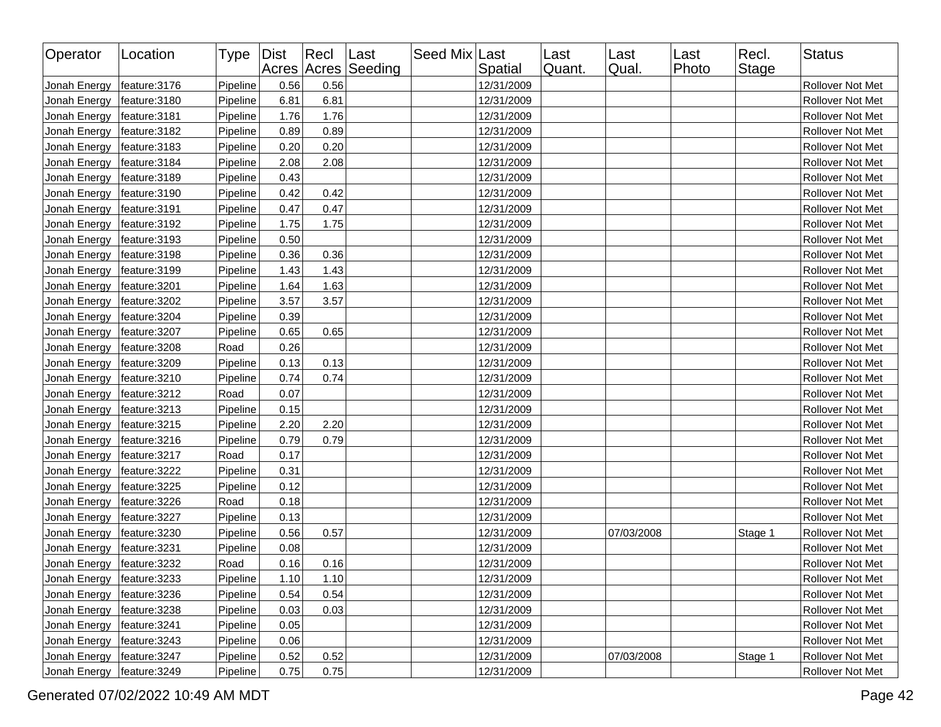| Operator     | Location      | Type   Dist |      | Recl | Last<br>Acres Acres Seeding | Seed Mix Last | Spatial    | Last<br>Quant. | Last<br>Qual. | Last<br>Photo | Recl.<br>Stage | <b>Status</b>    |
|--------------|---------------|-------------|------|------|-----------------------------|---------------|------------|----------------|---------------|---------------|----------------|------------------|
| Jonah Energy | feature:3176  | Pipeline    | 0.56 | 0.56 |                             |               | 12/31/2009 |                |               |               |                | Rollover Not Met |
| Jonah Energy | feature: 3180 | Pipeline    | 6.81 | 6.81 |                             |               | 12/31/2009 |                |               |               |                | Rollover Not Met |
| Jonah Energy | feature: 3181 | Pipeline    | 1.76 | 1.76 |                             |               | 12/31/2009 |                |               |               |                | Rollover Not Met |
| Jonah Energy | feature: 3182 | Pipeline    | 0.89 | 0.89 |                             |               | 12/31/2009 |                |               |               |                | Rollover Not Met |
| Jonah Energy | feature: 3183 | Pipeline    | 0.20 | 0.20 |                             |               | 12/31/2009 |                |               |               |                | Rollover Not Met |
| Jonah Energy | feature: 3184 | Pipeline    | 2.08 | 2.08 |                             |               | 12/31/2009 |                |               |               |                | Rollover Not Met |
| Jonah Energy | feature: 3189 | Pipeline    | 0.43 |      |                             |               | 12/31/2009 |                |               |               |                | Rollover Not Met |
| Jonah Energy | feature: 3190 | Pipeline    | 0.42 | 0.42 |                             |               | 12/31/2009 |                |               |               |                | Rollover Not Met |
| Jonah Energy | feature: 3191 | Pipeline    | 0.47 | 0.47 |                             |               | 12/31/2009 |                |               |               |                | Rollover Not Met |
| Jonah Energy | feature: 3192 | Pipeline    | 1.75 | 1.75 |                             |               | 12/31/2009 |                |               |               |                | Rollover Not Met |
| Jonah Energy | feature: 3193 | Pipeline    | 0.50 |      |                             |               | 12/31/2009 |                |               |               |                | Rollover Not Met |
| Jonah Energy | feature: 3198 | Pipeline    | 0.36 | 0.36 |                             |               | 12/31/2009 |                |               |               |                | Rollover Not Met |
| Jonah Energy | feature: 3199 | Pipeline    | 1.43 | 1.43 |                             |               | 12/31/2009 |                |               |               |                | Rollover Not Met |
| Jonah Energy | feature: 3201 | Pipeline    | 1.64 | 1.63 |                             |               | 12/31/2009 |                |               |               |                | Rollover Not Met |
| Jonah Energy | feature: 3202 | Pipeline    | 3.57 | 3.57 |                             |               | 12/31/2009 |                |               |               |                | Rollover Not Met |
| Jonah Energy | feature: 3204 | Pipeline    | 0.39 |      |                             |               | 12/31/2009 |                |               |               |                | Rollover Not Met |
| Jonah Energy | feature: 3207 | Pipeline    | 0.65 | 0.65 |                             |               | 12/31/2009 |                |               |               |                | Rollover Not Met |
| Jonah Energy | feature: 3208 | Road        | 0.26 |      |                             |               | 12/31/2009 |                |               |               |                | Rollover Not Met |
| Jonah Energy | feature: 3209 | Pipeline    | 0.13 | 0.13 |                             |               | 12/31/2009 |                |               |               |                | Rollover Not Met |
| Jonah Energy | feature: 3210 | Pipeline    | 0.74 | 0.74 |                             |               | 12/31/2009 |                |               |               |                | Rollover Not Met |
| Jonah Energy | feature: 3212 | Road        | 0.07 |      |                             |               | 12/31/2009 |                |               |               |                | Rollover Not Met |
| Jonah Energy | feature: 3213 | Pipeline    | 0.15 |      |                             |               | 12/31/2009 |                |               |               |                | Rollover Not Met |
| Jonah Energy | feature: 3215 | Pipeline    | 2.20 | 2.20 |                             |               | 12/31/2009 |                |               |               |                | Rollover Not Met |
| Jonah Energy | feature: 3216 | Pipeline    | 0.79 | 0.79 |                             |               | 12/31/2009 |                |               |               |                | Rollover Not Met |
| Jonah Energy | feature: 3217 | Road        | 0.17 |      |                             |               | 12/31/2009 |                |               |               |                | Rollover Not Met |
| Jonah Energy | feature: 3222 | Pipeline    | 0.31 |      |                             |               | 12/31/2009 |                |               |               |                | Rollover Not Met |
| Jonah Energy | feature: 3225 | Pipeline    | 0.12 |      |                             |               | 12/31/2009 |                |               |               |                | Rollover Not Met |
| Jonah Energy | feature: 3226 | Road        | 0.18 |      |                             |               | 12/31/2009 |                |               |               |                | Rollover Not Met |
| Jonah Energy | feature: 3227 | Pipeline    | 0.13 |      |                             |               | 12/31/2009 |                |               |               |                | Rollover Not Met |
| Jonah Energy | feature: 3230 | Pipeline    | 0.56 | 0.57 |                             |               | 12/31/2009 |                | 07/03/2008    |               | Stage 1        | Rollover Not Met |
| Jonah Energy | feature: 3231 | Pipeline    | 0.08 |      |                             |               | 12/31/2009 |                |               |               |                | Rollover Not Met |
| Jonah Energy | feature: 3232 | Road        | 0.16 | 0.16 |                             |               | 12/31/2009 |                |               |               |                | Rollover Not Met |
| Jonah Energy | feature: 3233 | Pipeline    | 1.10 | 1.10 |                             |               | 12/31/2009 |                |               |               |                | Rollover Not Met |
| Jonah Energy | feature: 3236 | Pipeline    | 0.54 | 0.54 |                             |               | 12/31/2009 |                |               |               |                | Rollover Not Met |
| Jonah Energy | feature:3238  | Pipeline    | 0.03 | 0.03 |                             |               | 12/31/2009 |                |               |               |                | Rollover Not Met |
| Jonah Energy | feature: 3241 | Pipeline    | 0.05 |      |                             |               | 12/31/2009 |                |               |               |                | Rollover Not Met |
| Jonah Energy | feature: 3243 | Pipeline    | 0.06 |      |                             |               | 12/31/2009 |                |               |               |                | Rollover Not Met |
| Jonah Energy | feature: 3247 | Pipeline    | 0.52 | 0.52 |                             |               | 12/31/2009 |                | 07/03/2008    |               | Stage 1        | Rollover Not Met |
| Jonah Energy | feature: 3249 | Pipeline    | 0.75 | 0.75 |                             |               | 12/31/2009 |                |               |               |                | Rollover Not Met |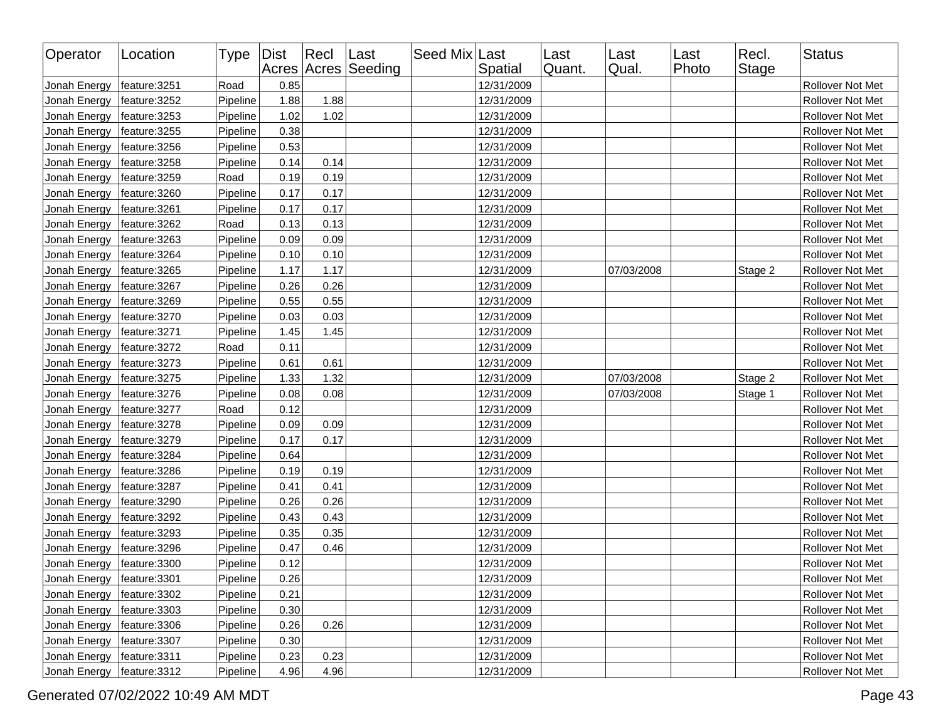| Operator     | Location      | Type   Dist |      | $ $ Recl | Last<br>Acres Acres Seeding | Seed Mix Last | Spatial    | Last<br>Quant. | Last<br>Qual. | Last<br>Photo | Recl.<br>Stage | <b>Status</b>           |
|--------------|---------------|-------------|------|----------|-----------------------------|---------------|------------|----------------|---------------|---------------|----------------|-------------------------|
| Jonah Energy | feature:3251  | Road        | 0.85 |          |                             |               | 12/31/2009 |                |               |               |                | Rollover Not Met        |
| Jonah Energy | feature: 3252 | Pipeline    | 1.88 | 1.88     |                             |               | 12/31/2009 |                |               |               |                | Rollover Not Met        |
| Jonah Energy | feature: 3253 | Pipeline    | 1.02 | 1.02     |                             |               | 12/31/2009 |                |               |               |                | Rollover Not Met        |
| Jonah Energy | feature: 3255 | Pipeline    | 0.38 |          |                             |               | 12/31/2009 |                |               |               |                | Rollover Not Met        |
| Jonah Energy | feature: 3256 | Pipeline    | 0.53 |          |                             |               | 12/31/2009 |                |               |               |                | Rollover Not Met        |
| Jonah Energy | feature: 3258 | Pipeline    | 0.14 | 0.14     |                             |               | 12/31/2009 |                |               |               |                | Rollover Not Met        |
| Jonah Energy | feature: 3259 | Road        | 0.19 | 0.19     |                             |               | 12/31/2009 |                |               |               |                | Rollover Not Met        |
| Jonah Energy | feature: 3260 | Pipeline    | 0.17 | 0.17     |                             |               | 12/31/2009 |                |               |               |                | Rollover Not Met        |
| Jonah Energy | feature: 3261 | Pipeline    | 0.17 | 0.17     |                             |               | 12/31/2009 |                |               |               |                | Rollover Not Met        |
| Jonah Energy | feature: 3262 | Road        | 0.13 | 0.13     |                             |               | 12/31/2009 |                |               |               |                | Rollover Not Met        |
| Jonah Energy | feature: 3263 | Pipeline    | 0.09 | 0.09     |                             |               | 12/31/2009 |                |               |               |                | Rollover Not Met        |
| Jonah Energy | feature: 3264 | Pipeline    | 0.10 | 0.10     |                             |               | 12/31/2009 |                |               |               |                | Rollover Not Met        |
| Jonah Energy | feature: 3265 | Pipeline    | 1.17 | 1.17     |                             |               | 12/31/2009 |                | 07/03/2008    |               | Stage 2        | Rollover Not Met        |
| Jonah Energy | feature: 3267 | Pipeline    | 0.26 | 0.26     |                             |               | 12/31/2009 |                |               |               |                | Rollover Not Met        |
| Jonah Energy | feature: 3269 | Pipeline    | 0.55 | 0.55     |                             |               | 12/31/2009 |                |               |               |                | Rollover Not Met        |
| Jonah Energy | feature: 3270 | Pipeline    | 0.03 | 0.03     |                             |               | 12/31/2009 |                |               |               |                | <b>Rollover Not Met</b> |
| Jonah Energy | feature: 3271 | Pipeline    | 1.45 | 1.45     |                             |               | 12/31/2009 |                |               |               |                | Rollover Not Met        |
| Jonah Energy | feature: 3272 | Road        | 0.11 |          |                             |               | 12/31/2009 |                |               |               |                | Rollover Not Met        |
| Jonah Energy | feature: 3273 | Pipeline    | 0.61 | 0.61     |                             |               | 12/31/2009 |                |               |               |                | Rollover Not Met        |
| Jonah Energy | feature: 3275 | Pipeline    | 1.33 | 1.32     |                             |               | 12/31/2009 |                | 07/03/2008    |               | Stage 2        | Rollover Not Met        |
| Jonah Energy | feature: 3276 | Pipeline    | 0.08 | 0.08     |                             |               | 12/31/2009 |                | 07/03/2008    |               | Stage 1        | Rollover Not Met        |
| Jonah Energy | feature: 3277 | Road        | 0.12 |          |                             |               | 12/31/2009 |                |               |               |                | Rollover Not Met        |
| Jonah Energy | feature: 3278 | Pipeline    | 0.09 | 0.09     |                             |               | 12/31/2009 |                |               |               |                | Rollover Not Met        |
| Jonah Energy | feature: 3279 | Pipeline    | 0.17 | 0.17     |                             |               | 12/31/2009 |                |               |               |                | Rollover Not Met        |
| Jonah Energy | feature: 3284 | Pipeline    | 0.64 |          |                             |               | 12/31/2009 |                |               |               |                | Rollover Not Met        |
| Jonah Energy | feature: 3286 | Pipeline    | 0.19 | 0.19     |                             |               | 12/31/2009 |                |               |               |                | Rollover Not Met        |
| Jonah Energy | feature: 3287 | Pipeline    | 0.41 | 0.41     |                             |               | 12/31/2009 |                |               |               |                | Rollover Not Met        |
| Jonah Energy | feature: 3290 | Pipeline    | 0.26 | 0.26     |                             |               | 12/31/2009 |                |               |               |                | Rollover Not Met        |
| Jonah Energy | feature: 3292 | Pipeline    | 0.43 | 0.43     |                             |               | 12/31/2009 |                |               |               |                | Rollover Not Met        |
| Jonah Energy | feature: 3293 | Pipeline    | 0.35 | 0.35     |                             |               | 12/31/2009 |                |               |               |                | Rollover Not Met        |
| Jonah Energy | feature: 3296 | Pipeline    | 0.47 | 0.46     |                             |               | 12/31/2009 |                |               |               |                | Rollover Not Met        |
| Jonah Energy | feature:3300  | Pipeline    | 0.12 |          |                             |               | 12/31/2009 |                |               |               |                | Rollover Not Met        |
| Jonah Energy | feature:3301  | Pipeline    | 0.26 |          |                             |               | 12/31/2009 |                |               |               |                | Rollover Not Met        |
| Jonah Energy | feature: 3302 | Pipeline    | 0.21 |          |                             |               | 12/31/2009 |                |               |               |                | Rollover Not Met        |
| Jonah Energy | feature:3303  | Pipeline    | 0.30 |          |                             |               | 12/31/2009 |                |               |               |                | Rollover Not Met        |
| Jonah Energy | feature: 3306 | Pipeline    | 0.26 | 0.26     |                             |               | 12/31/2009 |                |               |               |                | Rollover Not Met        |
| Jonah Energy | feature: 3307 | Pipeline    | 0.30 |          |                             |               | 12/31/2009 |                |               |               |                | Rollover Not Met        |
| Jonah Energy | feature: 3311 | Pipeline    | 0.23 | 0.23     |                             |               | 12/31/2009 |                |               |               |                | Rollover Not Met        |
| Jonah Energy | feature: 3312 | Pipeline    | 4.96 | 4.96     |                             |               | 12/31/2009 |                |               |               |                | Rollover Not Met        |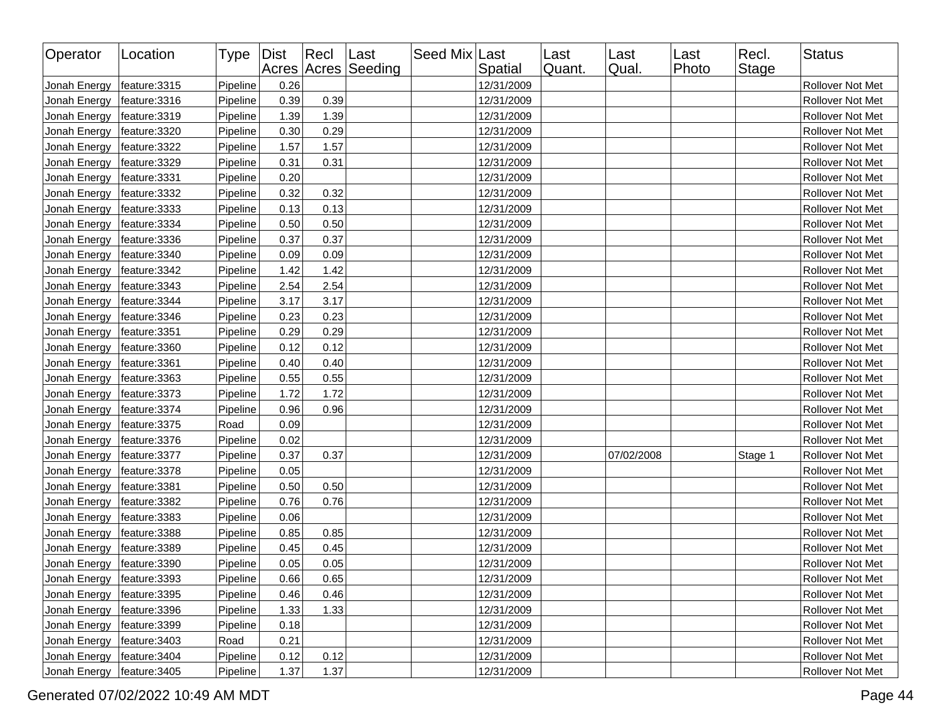| Operator                     | Location      | Type   Dist |      | Recl Last | Acres Acres Seeding | Seed Mix Last | Spatial    | Last<br>Quant. | Last<br>Qual. | Last<br>Photo | Recl.<br><b>Stage</b> | <b>Status</b>    |
|------------------------------|---------------|-------------|------|-----------|---------------------|---------------|------------|----------------|---------------|---------------|-----------------------|------------------|
| Jonah Energy                 | feature: 3315 | Pipeline    | 0.26 |           |                     |               | 12/31/2009 |                |               |               |                       | Rollover Not Met |
| Jonah Energy                 | feature: 3316 | Pipeline    | 0.39 | 0.39      |                     |               | 12/31/2009 |                |               |               |                       | Rollover Not Met |
| Jonah Energy                 | feature: 3319 | Pipeline    | 1.39 | 1.39      |                     |               | 12/31/2009 |                |               |               |                       | Rollover Not Met |
| Jonah Energy                 | feature: 3320 | Pipeline    | 0.30 | 0.29      |                     |               | 12/31/2009 |                |               |               |                       | Rollover Not Met |
| Jonah Energy                 | feature: 3322 | Pipeline    | 1.57 | 1.57      |                     |               | 12/31/2009 |                |               |               |                       | Rollover Not Met |
| Jonah Energy                 | feature: 3329 | Pipeline    | 0.31 | 0.31      |                     |               | 12/31/2009 |                |               |               |                       | Rollover Not Met |
| Jonah Energy                 | feature: 3331 | Pipeline    | 0.20 |           |                     |               | 12/31/2009 |                |               |               |                       | Rollover Not Met |
| Jonah Energy                 | feature: 3332 | Pipeline    | 0.32 | 0.32      |                     |               | 12/31/2009 |                |               |               |                       | Rollover Not Met |
| Jonah Energy                 | feature: 3333 | Pipeline    | 0.13 | 0.13      |                     |               | 12/31/2009 |                |               |               |                       | Rollover Not Met |
| Jonah Energy                 | feature: 3334 | Pipeline    | 0.50 | 0.50      |                     |               | 12/31/2009 |                |               |               |                       | Rollover Not Met |
| Jonah Energy                 | feature: 3336 | Pipeline    | 0.37 | 0.37      |                     |               | 12/31/2009 |                |               |               |                       | Rollover Not Met |
| Jonah Energy                 | feature: 3340 | Pipeline    | 0.09 | 0.09      |                     |               | 12/31/2009 |                |               |               |                       | Rollover Not Met |
| Jonah Energy                 | feature: 3342 | Pipeline    | 1.42 | 1.42      |                     |               | 12/31/2009 |                |               |               |                       | Rollover Not Met |
| Jonah Energy                 | feature: 3343 | Pipeline    | 2.54 | 2.54      |                     |               | 12/31/2009 |                |               |               |                       | Rollover Not Met |
| Jonah Energy                 | feature: 3344 | Pipeline    | 3.17 | 3.17      |                     |               | 12/31/2009 |                |               |               |                       | Rollover Not Met |
| Jonah Energy                 | feature: 3346 | Pipeline    | 0.23 | 0.23      |                     |               | 12/31/2009 |                |               |               |                       | Rollover Not Met |
| Jonah Energy                 | feature: 3351 | Pipeline    | 0.29 | 0.29      |                     |               | 12/31/2009 |                |               |               |                       | Rollover Not Met |
| Jonah Energy                 | feature: 3360 | Pipeline    | 0.12 | 0.12      |                     |               | 12/31/2009 |                |               |               |                       | Rollover Not Met |
| Jonah Energy                 | feature: 3361 | Pipeline    | 0.40 | 0.40      |                     |               | 12/31/2009 |                |               |               |                       | Rollover Not Met |
| Jonah Energy                 | feature: 3363 | Pipeline    | 0.55 | 0.55      |                     |               | 12/31/2009 |                |               |               |                       | Rollover Not Met |
| Jonah Energy                 | feature: 3373 | Pipeline    | 1.72 | 1.72      |                     |               | 12/31/2009 |                |               |               |                       | Rollover Not Met |
| Jonah Energy                 | feature: 3374 | Pipeline    | 0.96 | 0.96      |                     |               | 12/31/2009 |                |               |               |                       | Rollover Not Met |
| Jonah Energy                 | feature: 3375 | Road        | 0.09 |           |                     |               | 12/31/2009 |                |               |               |                       | Rollover Not Met |
| Jonah Energy                 | feature:3376  | Pipeline    | 0.02 |           |                     |               | 12/31/2009 |                |               |               |                       | Rollover Not Met |
| Jonah Energy                 | feature: 3377 | Pipeline    | 0.37 | 0.37      |                     |               | 12/31/2009 |                | 07/02/2008    |               | Stage 1               | Rollover Not Met |
| Jonah Energy                 | feature: 3378 | Pipeline    | 0.05 |           |                     |               | 12/31/2009 |                |               |               |                       | Rollover Not Met |
| Jonah Energy                 | feature: 3381 | Pipeline    | 0.50 | 0.50      |                     |               | 12/31/2009 |                |               |               |                       | Rollover Not Met |
| Jonah Energy                 | feature: 3382 | Pipeline    | 0.76 | 0.76      |                     |               | 12/31/2009 |                |               |               |                       | Rollover Not Met |
| Jonah Energy                 | feature: 3383 | Pipeline    | 0.06 |           |                     |               | 12/31/2009 |                |               |               |                       | Rollover Not Met |
| Jonah Energy                 | feature: 3388 | Pipeline    | 0.85 | 0.85      |                     |               | 12/31/2009 |                |               |               |                       | Rollover Not Met |
| Jonah Energy                 | feature: 3389 | Pipeline    | 0.45 | 0.45      |                     |               | 12/31/2009 |                |               |               |                       | Rollover Not Met |
| Jonah Energy                 | feature: 3390 | Pipeline    | 0.05 | 0.05      |                     |               | 12/31/2009 |                |               |               |                       | Rollover Not Met |
| Jonah Energy   feature: 3393 |               | Pipeline    | 0.66 | 0.65      |                     |               | 12/31/2009 |                |               |               |                       | Rollover Not Met |
| Jonah Energy                 | feature:3395  | Pipeline    | 0.46 | 0.46      |                     |               | 12/31/2009 |                |               |               |                       | Rollover Not Met |
| Jonah Energy                 | feature:3396  | Pipeline    | 1.33 | 1.33      |                     |               | 12/31/2009 |                |               |               |                       | Rollover Not Met |
| Jonah Energy                 | feature: 3399 | Pipeline    | 0.18 |           |                     |               | 12/31/2009 |                |               |               |                       | Rollover Not Met |
| Jonah Energy                 | feature: 3403 | Road        | 0.21 |           |                     |               | 12/31/2009 |                |               |               |                       | Rollover Not Met |
| Jonah Energy                 | feature: 3404 | Pipeline    | 0.12 | 0.12      |                     |               | 12/31/2009 |                |               |               |                       | Rollover Not Met |
| Jonah Energy                 | feature: 3405 | Pipeline    | 1.37 | 1.37      |                     |               | 12/31/2009 |                |               |               |                       | Rollover Not Met |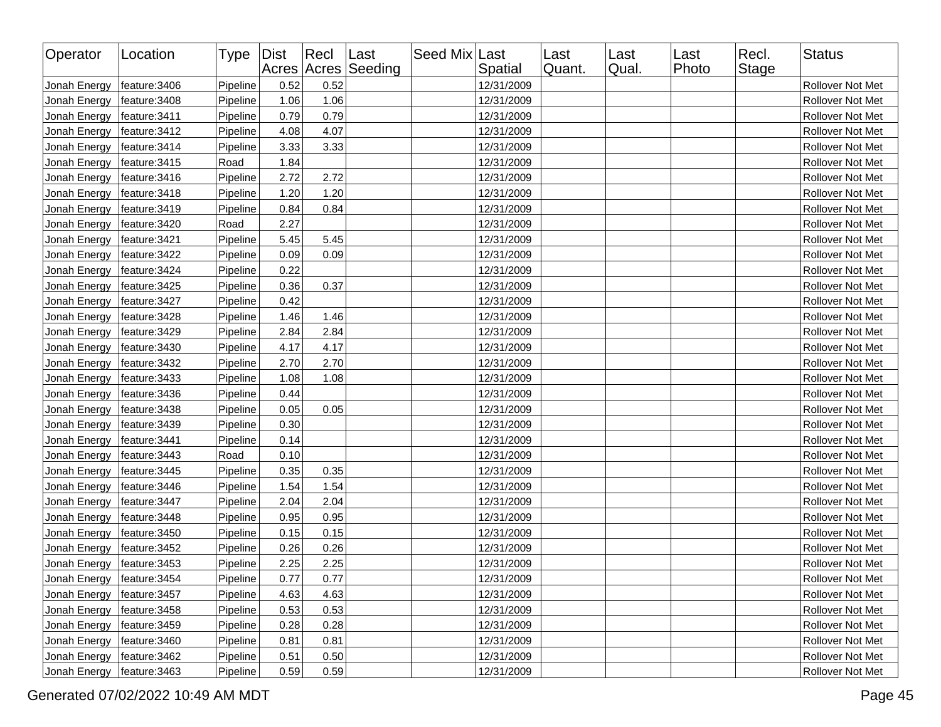| Operator     | Location      | Type   Dist |      | Recl | Last<br>Acres Acres Seeding | Seed Mix Last | Spatial    | Last<br>Quant. | Last<br>Qual. | Last<br>Photo | Recl.<br><b>Stage</b> | Status           |
|--------------|---------------|-------------|------|------|-----------------------------|---------------|------------|----------------|---------------|---------------|-----------------------|------------------|
| Jonah Energy | feature: 3406 | Pipeline    | 0.52 | 0.52 |                             |               | 12/31/2009 |                |               |               |                       | Rollover Not Met |
| Jonah Energy | feature: 3408 | Pipeline    | 1.06 | 1.06 |                             |               | 12/31/2009 |                |               |               |                       | Rollover Not Met |
| Jonah Energy | feature: 3411 | Pipeline    | 0.79 | 0.79 |                             |               | 12/31/2009 |                |               |               |                       | Rollover Not Met |
| Jonah Energy | feature: 3412 | Pipeline    | 4.08 | 4.07 |                             |               | 12/31/2009 |                |               |               |                       | Rollover Not Met |
| Jonah Energy | feature: 3414 | Pipeline    | 3.33 | 3.33 |                             |               | 12/31/2009 |                |               |               |                       | Rollover Not Met |
| Jonah Energy | feature: 3415 | Road        | 1.84 |      |                             |               | 12/31/2009 |                |               |               |                       | Rollover Not Met |
| Jonah Energy | feature: 3416 | Pipeline    | 2.72 | 2.72 |                             |               | 12/31/2009 |                |               |               |                       | Rollover Not Met |
| Jonah Energy | feature: 3418 | Pipeline    | 1.20 | 1.20 |                             |               | 12/31/2009 |                |               |               |                       | Rollover Not Met |
| Jonah Energy | feature: 3419 | Pipeline    | 0.84 | 0.84 |                             |               | 12/31/2009 |                |               |               |                       | Rollover Not Met |
| Jonah Energy | feature: 3420 | Road        | 2.27 |      |                             |               | 12/31/2009 |                |               |               |                       | Rollover Not Met |
| Jonah Energy | feature: 3421 | Pipeline    | 5.45 | 5.45 |                             |               | 12/31/2009 |                |               |               |                       | Rollover Not Met |
| Jonah Energy | feature: 3422 | Pipeline    | 0.09 | 0.09 |                             |               | 12/31/2009 |                |               |               |                       | Rollover Not Met |
| Jonah Energy | feature: 3424 | Pipeline    | 0.22 |      |                             |               | 12/31/2009 |                |               |               |                       | Rollover Not Met |
| Jonah Energy | feature: 3425 | Pipeline    | 0.36 | 0.37 |                             |               | 12/31/2009 |                |               |               |                       | Rollover Not Met |
| Jonah Energy | feature: 3427 | Pipeline    | 0.42 |      |                             |               | 12/31/2009 |                |               |               |                       | Rollover Not Met |
| Jonah Energy | feature: 3428 | Pipeline    | 1.46 | 1.46 |                             |               | 12/31/2009 |                |               |               |                       | Rollover Not Met |
| Jonah Energy | feature: 3429 | Pipeline    | 2.84 | 2.84 |                             |               | 12/31/2009 |                |               |               |                       | Rollover Not Met |
| Jonah Energy | feature: 3430 | Pipeline    | 4.17 | 4.17 |                             |               | 12/31/2009 |                |               |               |                       | Rollover Not Met |
| Jonah Energy | feature: 3432 | Pipeline    | 2.70 | 2.70 |                             |               | 12/31/2009 |                |               |               |                       | Rollover Not Met |
| Jonah Energy | feature: 3433 | Pipeline    | 1.08 | 1.08 |                             |               | 12/31/2009 |                |               |               |                       | Rollover Not Met |
| Jonah Energy | feature: 3436 | Pipeline    | 0.44 |      |                             |               | 12/31/2009 |                |               |               |                       | Rollover Not Met |
| Jonah Energy | feature: 3438 | Pipeline    | 0.05 | 0.05 |                             |               | 12/31/2009 |                |               |               |                       | Rollover Not Met |
| Jonah Energy | feature: 3439 | Pipeline    | 0.30 |      |                             |               | 12/31/2009 |                |               |               |                       | Rollover Not Met |
| Jonah Energy | feature: 3441 | Pipeline    | 0.14 |      |                             |               | 12/31/2009 |                |               |               |                       | Rollover Not Met |
| Jonah Energy | feature: 3443 | Road        | 0.10 |      |                             |               | 12/31/2009 |                |               |               |                       | Rollover Not Met |
| Jonah Energy | feature: 3445 | Pipeline    | 0.35 | 0.35 |                             |               | 12/31/2009 |                |               |               |                       | Rollover Not Met |
| Jonah Energy | feature: 3446 | Pipeline    | 1.54 | 1.54 |                             |               | 12/31/2009 |                |               |               |                       | Rollover Not Met |
| Jonah Energy | feature: 3447 | Pipeline    | 2.04 | 2.04 |                             |               | 12/31/2009 |                |               |               |                       | Rollover Not Met |
| Jonah Energy | feature: 3448 | Pipeline    | 0.95 | 0.95 |                             |               | 12/31/2009 |                |               |               |                       | Rollover Not Met |
| Jonah Energy | feature: 3450 | Pipeline    | 0.15 | 0.15 |                             |               | 12/31/2009 |                |               |               |                       | Rollover Not Met |
| Jonah Energy | feature: 3452 | Pipeline    | 0.26 | 0.26 |                             |               | 12/31/2009 |                |               |               |                       | Rollover Not Met |
| Jonah Energy | feature: 3453 | Pipeline    | 2.25 | 2.25 |                             |               | 12/31/2009 |                |               |               |                       | Rollover Not Met |
| Jonah Energy | feature: 3454 | Pipeline    | 0.77 | 0.77 |                             |               | 12/31/2009 |                |               |               |                       | Rollover Not Met |
| Jonah Energy | feature: 3457 | Pipeline    | 4.63 | 4.63 |                             |               | 12/31/2009 |                |               |               |                       | Rollover Not Met |
| Jonah Energy | feature: 3458 | Pipeline    | 0.53 | 0.53 |                             |               | 12/31/2009 |                |               |               |                       | Rollover Not Met |
| Jonah Energy | feature: 3459 | Pipeline    | 0.28 | 0.28 |                             |               | 12/31/2009 |                |               |               |                       | Rollover Not Met |
| Jonah Energy | feature: 3460 | Pipeline    | 0.81 | 0.81 |                             |               | 12/31/2009 |                |               |               |                       | Rollover Not Met |
| Jonah Energy | feature: 3462 | Pipeline    | 0.51 | 0.50 |                             |               | 12/31/2009 |                |               |               |                       | Rollover Not Met |
| Jonah Energy | feature: 3463 | Pipeline    | 0.59 | 0.59 |                             |               | 12/31/2009 |                |               |               |                       | Rollover Not Met |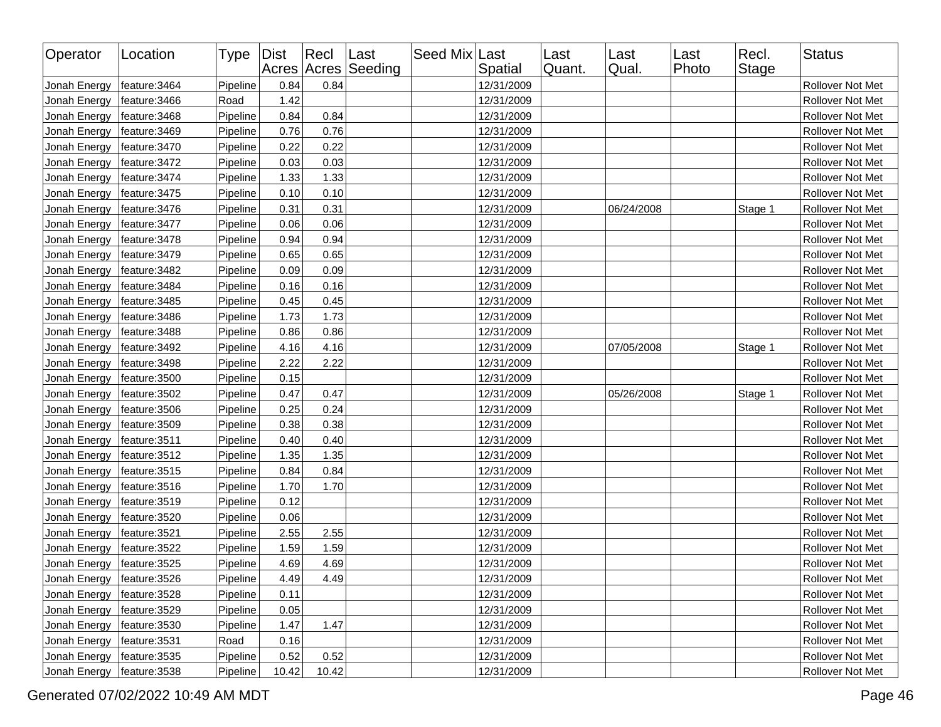| Operator     | Location      | Type   Dist |       | $ $ Recl | Last<br>Acres Acres Seeding | Seed Mix Last | Spatial    | Last<br>Quant. | Last<br>Qual. | Last<br>Photo | Recl.<br>Stage | <b>Status</b>    |
|--------------|---------------|-------------|-------|----------|-----------------------------|---------------|------------|----------------|---------------|---------------|----------------|------------------|
| Jonah Energy | feature: 3464 | Pipeline    | 0.84  | 0.84     |                             |               | 12/31/2009 |                |               |               |                | Rollover Not Met |
| Jonah Energy | feature: 3466 | Road        | 1.42  |          |                             |               | 12/31/2009 |                |               |               |                | Rollover Not Met |
| Jonah Energy | feature: 3468 | Pipeline    | 0.84  | 0.84     |                             |               | 12/31/2009 |                |               |               |                | Rollover Not Met |
| Jonah Energy | feature: 3469 | Pipeline    | 0.76  | 0.76     |                             |               | 12/31/2009 |                |               |               |                | Rollover Not Met |
| Jonah Energy | feature: 3470 | Pipeline    | 0.22  | 0.22     |                             |               | 12/31/2009 |                |               |               |                | Rollover Not Met |
| Jonah Energy | feature: 3472 | Pipeline    | 0.03  | 0.03     |                             |               | 12/31/2009 |                |               |               |                | Rollover Not Met |
| Jonah Energy | feature: 3474 | Pipeline    | 1.33  | 1.33     |                             |               | 12/31/2009 |                |               |               |                | Rollover Not Met |
| Jonah Energy | feature: 3475 | Pipeline    | 0.10  | 0.10     |                             |               | 12/31/2009 |                |               |               |                | Rollover Not Met |
| Jonah Energy | feature: 3476 | Pipeline    | 0.31  | 0.31     |                             |               | 12/31/2009 |                | 06/24/2008    |               | Stage 1        | Rollover Not Met |
| Jonah Energy | feature: 3477 | Pipeline    | 0.06  | 0.06     |                             |               | 12/31/2009 |                |               |               |                | Rollover Not Met |
| Jonah Energy | feature: 3478 | Pipeline    | 0.94  | 0.94     |                             |               | 12/31/2009 |                |               |               |                | Rollover Not Met |
| Jonah Energy | feature: 3479 | Pipeline    | 0.65  | 0.65     |                             |               | 12/31/2009 |                |               |               |                | Rollover Not Met |
| Jonah Energy | feature: 3482 | Pipeline    | 0.09  | 0.09     |                             |               | 12/31/2009 |                |               |               |                | Rollover Not Met |
| Jonah Energy | feature: 3484 | Pipeline    | 0.16  | 0.16     |                             |               | 12/31/2009 |                |               |               |                | Rollover Not Met |
| Jonah Energy | feature: 3485 | Pipeline    | 0.45  | 0.45     |                             |               | 12/31/2009 |                |               |               |                | Rollover Not Met |
| Jonah Energy | feature: 3486 | Pipeline    | 1.73  | 1.73     |                             |               | 12/31/2009 |                |               |               |                | Rollover Not Met |
| Jonah Energy | feature: 3488 | Pipeline    | 0.86  | 0.86     |                             |               | 12/31/2009 |                |               |               |                | Rollover Not Met |
| Jonah Energy | feature: 3492 | Pipeline    | 4.16  | 4.16     |                             |               | 12/31/2009 |                | 07/05/2008    |               | Stage 1        | Rollover Not Met |
| Jonah Energy | feature: 3498 | Pipeline    | 2.22  | 2.22     |                             |               | 12/31/2009 |                |               |               |                | Rollover Not Met |
| Jonah Energy | feature: 3500 | Pipeline    | 0.15  |          |                             |               | 12/31/2009 |                |               |               |                | Rollover Not Met |
| Jonah Energy | feature: 3502 | Pipeline    | 0.47  | 0.47     |                             |               | 12/31/2009 |                | 05/26/2008    |               | Stage 1        | Rollover Not Met |
| Jonah Energy | feature: 3506 | Pipeline    | 0.25  | 0.24     |                             |               | 12/31/2009 |                |               |               |                | Rollover Not Met |
| Jonah Energy | feature: 3509 | Pipeline    | 0.38  | 0.38     |                             |               | 12/31/2009 |                |               |               |                | Rollover Not Met |
| Jonah Energy | feature: 3511 | Pipeline    | 0.40  | 0.40     |                             |               | 12/31/2009 |                |               |               |                | Rollover Not Met |
| Jonah Energy | feature: 3512 | Pipeline    | 1.35  | 1.35     |                             |               | 12/31/2009 |                |               |               |                | Rollover Not Met |
| Jonah Energy | feature: 3515 | Pipeline    | 0.84  | 0.84     |                             |               | 12/31/2009 |                |               |               |                | Rollover Not Met |
| Jonah Energy | feature: 3516 | Pipeline    | 1.70  | 1.70     |                             |               | 12/31/2009 |                |               |               |                | Rollover Not Met |
| Jonah Energy | feature: 3519 | Pipeline    | 0.12  |          |                             |               | 12/31/2009 |                |               |               |                | Rollover Not Met |
| Jonah Energy | feature: 3520 | Pipeline    | 0.06  |          |                             |               | 12/31/2009 |                |               |               |                | Rollover Not Met |
| Jonah Energy | feature: 3521 | Pipeline    | 2.55  | 2.55     |                             |               | 12/31/2009 |                |               |               |                | Rollover Not Met |
| Jonah Energy | feature: 3522 | Pipeline    | 1.59  | 1.59     |                             |               | 12/31/2009 |                |               |               |                | Rollover Not Met |
| Jonah Energy | feature: 3525 | Pipeline    | 4.69  | 4.69     |                             |               | 12/31/2009 |                |               |               |                | Rollover Not Met |
| Jonah Energy | feature: 3526 | Pipeline    | 4.49  | 4.49     |                             |               | 12/31/2009 |                |               |               |                | Rollover Not Met |
| Jonah Energy | feature:3528  | Pipeline    | 0.11  |          |                             |               | 12/31/2009 |                |               |               |                | Rollover Not Met |
| Jonah Energy | feature:3529  | Pipeline    | 0.05  |          |                             |               | 12/31/2009 |                |               |               |                | Rollover Not Met |
| Jonah Energy | feature: 3530 | Pipeline    | 1.47  | 1.47     |                             |               | 12/31/2009 |                |               |               |                | Rollover Not Met |
| Jonah Energy | feature: 3531 | Road        | 0.16  |          |                             |               | 12/31/2009 |                |               |               |                | Rollover Not Met |
| Jonah Energy | feature: 3535 | Pipeline    | 0.52  | 0.52     |                             |               | 12/31/2009 |                |               |               |                | Rollover Not Met |
| Jonah Energy | feature: 3538 | Pipeline    | 10.42 | 10.42    |                             |               | 12/31/2009 |                |               |               |                | Rollover Not Met |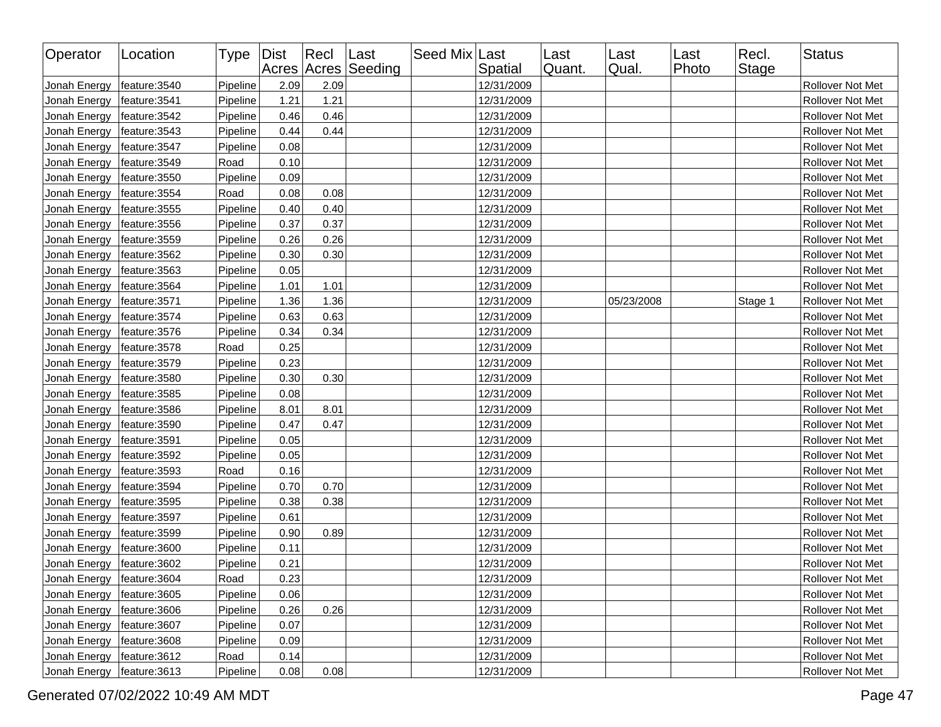| Operator     | Location      | Type   Dist |      | $ $ Recl | Last<br>Acres Acres Seeding | Seed Mix Last | Spatial    | Last<br>Quant. | Last<br>Qual. | Last<br>Photo | Recl.<br>Stage | <b>Status</b>    |
|--------------|---------------|-------------|------|----------|-----------------------------|---------------|------------|----------------|---------------|---------------|----------------|------------------|
| Jonah Energy | feature: 3540 | Pipeline    | 2.09 | 2.09     |                             |               | 12/31/2009 |                |               |               |                | Rollover Not Met |
| Jonah Energy | feature: 3541 | Pipeline    | 1.21 | 1.21     |                             |               | 12/31/2009 |                |               |               |                | Rollover Not Met |
| Jonah Energy | feature: 3542 | Pipeline    | 0.46 | 0.46     |                             |               | 12/31/2009 |                |               |               |                | Rollover Not Met |
| Jonah Energy | feature: 3543 | Pipeline    | 0.44 | 0.44     |                             |               | 12/31/2009 |                |               |               |                | Rollover Not Met |
| Jonah Energy | feature: 3547 | Pipeline    | 0.08 |          |                             |               | 12/31/2009 |                |               |               |                | Rollover Not Met |
| Jonah Energy | feature: 3549 | Road        | 0.10 |          |                             |               | 12/31/2009 |                |               |               |                | Rollover Not Met |
| Jonah Energy | feature: 3550 | Pipeline    | 0.09 |          |                             |               | 12/31/2009 |                |               |               |                | Rollover Not Met |
| Jonah Energy | feature: 3554 | Road        | 0.08 | 0.08     |                             |               | 12/31/2009 |                |               |               |                | Rollover Not Met |
| Jonah Energy | feature: 3555 | Pipeline    | 0.40 | 0.40     |                             |               | 12/31/2009 |                |               |               |                | Rollover Not Met |
| Jonah Energy | feature: 3556 | Pipeline    | 0.37 | 0.37     |                             |               | 12/31/2009 |                |               |               |                | Rollover Not Met |
| Jonah Energy | feature: 3559 | Pipeline    | 0.26 | 0.26     |                             |               | 12/31/2009 |                |               |               |                | Rollover Not Met |
| Jonah Energy | feature: 3562 | Pipeline    | 0.30 | 0.30     |                             |               | 12/31/2009 |                |               |               |                | Rollover Not Met |
| Jonah Energy | feature: 3563 | Pipeline    | 0.05 |          |                             |               | 12/31/2009 |                |               |               |                | Rollover Not Met |
| Jonah Energy | feature: 3564 | Pipeline    | 1.01 | 1.01     |                             |               | 12/31/2009 |                |               |               |                | Rollover Not Met |
| Jonah Energy | feature: 3571 | Pipeline    | 1.36 | 1.36     |                             |               | 12/31/2009 |                | 05/23/2008    |               | Stage 1        | Rollover Not Met |
| Jonah Energy | feature: 3574 | Pipeline    | 0.63 | 0.63     |                             |               | 12/31/2009 |                |               |               |                | Rollover Not Met |
| Jonah Energy | feature: 3576 | Pipeline    | 0.34 | 0.34     |                             |               | 12/31/2009 |                |               |               |                | Rollover Not Met |
| Jonah Energy | feature: 3578 | Road        | 0.25 |          |                             |               | 12/31/2009 |                |               |               |                | Rollover Not Met |
| Jonah Energy | feature: 3579 | Pipeline    | 0.23 |          |                             |               | 12/31/2009 |                |               |               |                | Rollover Not Met |
| Jonah Energy | feature: 3580 | Pipeline    | 0.30 | 0.30     |                             |               | 12/31/2009 |                |               |               |                | Rollover Not Met |
| Jonah Energy | feature: 3585 | Pipeline    | 0.08 |          |                             |               | 12/31/2009 |                |               |               |                | Rollover Not Met |
| Jonah Energy | feature: 3586 | Pipeline    | 8.01 | 8.01     |                             |               | 12/31/2009 |                |               |               |                | Rollover Not Met |
| Jonah Energy | feature: 3590 | Pipeline    | 0.47 | 0.47     |                             |               | 12/31/2009 |                |               |               |                | Rollover Not Met |
| Jonah Energy | feature: 3591 | Pipeline    | 0.05 |          |                             |               | 12/31/2009 |                |               |               |                | Rollover Not Met |
| Jonah Energy | feature: 3592 | Pipeline    | 0.05 |          |                             |               | 12/31/2009 |                |               |               |                | Rollover Not Met |
| Jonah Energy | feature: 3593 | Road        | 0.16 |          |                             |               | 12/31/2009 |                |               |               |                | Rollover Not Met |
| Jonah Energy | feature: 3594 | Pipeline    | 0.70 | 0.70     |                             |               | 12/31/2009 |                |               |               |                | Rollover Not Met |
| Jonah Energy | feature: 3595 | Pipeline    | 0.38 | 0.38     |                             |               | 12/31/2009 |                |               |               |                | Rollover Not Met |
| Jonah Energy | feature: 3597 | Pipeline    | 0.61 |          |                             |               | 12/31/2009 |                |               |               |                | Rollover Not Met |
| Jonah Energy | feature: 3599 | Pipeline    | 0.90 | 0.89     |                             |               | 12/31/2009 |                |               |               |                | Rollover Not Met |
| Jonah Energy | feature: 3600 | Pipeline    | 0.11 |          |                             |               | 12/31/2009 |                |               |               |                | Rollover Not Met |
| Jonah Energy | feature: 3602 | Pipeline    | 0.21 |          |                             |               | 12/31/2009 |                |               |               |                | Rollover Not Met |
| Jonah Energy | feature: 3604 | Road        | 0.23 |          |                             |               | 12/31/2009 |                |               |               |                | Rollover Not Met |
| Jonah Energy | feature: 3605 | Pipeline    | 0.06 |          |                             |               | 12/31/2009 |                |               |               |                | Rollover Not Met |
| Jonah Energy | feature:3606  | Pipeline    | 0.26 | 0.26     |                             |               | 12/31/2009 |                |               |               |                | Rollover Not Met |
| Jonah Energy | feature: 3607 | Pipeline    | 0.07 |          |                             |               | 12/31/2009 |                |               |               |                | Rollover Not Met |
| Jonah Energy | feature: 3608 | Pipeline    | 0.09 |          |                             |               | 12/31/2009 |                |               |               |                | Rollover Not Met |
| Jonah Energy | feature: 3612 | Road        | 0.14 |          |                             |               | 12/31/2009 |                |               |               |                | Rollover Not Met |
| Jonah Energy | feature: 3613 | Pipeline    | 0.08 | 0.08     |                             |               | 12/31/2009 |                |               |               |                | Rollover Not Met |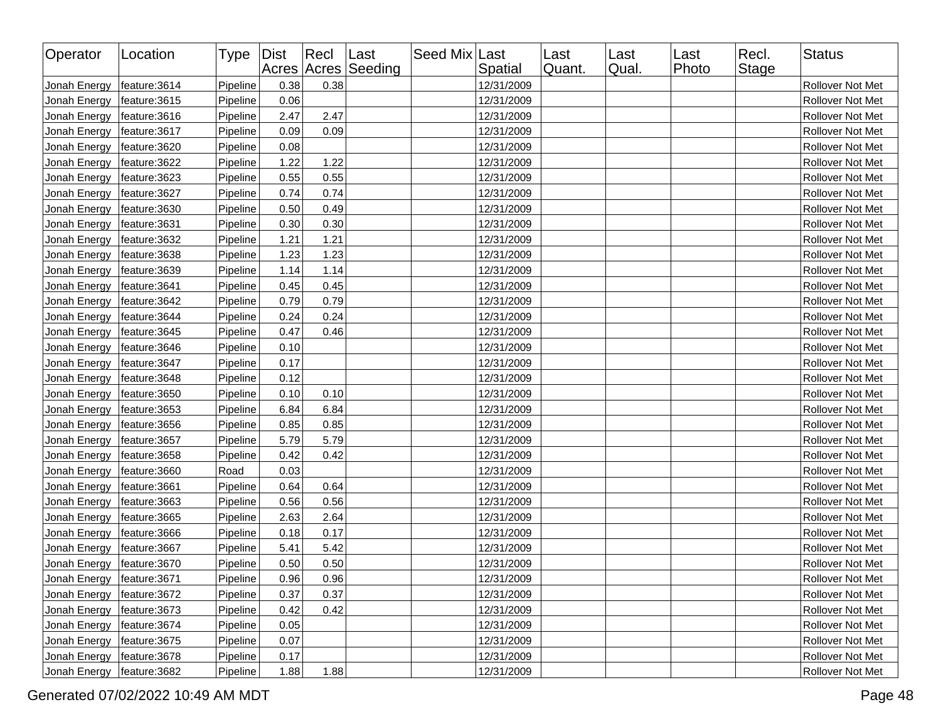| Operator                     | Location      | Type   Dist |      | Recl Last | Acres Acres Seeding | Seed Mix Last | Spatial    | Last<br>Quant. | Last<br>Qual. | ∣Last<br>Photo | Recl.<br><b>Stage</b> | Status                  |
|------------------------------|---------------|-------------|------|-----------|---------------------|---------------|------------|----------------|---------------|----------------|-----------------------|-------------------------|
| Jonah Energy                 | feature: 3614 | Pipeline    | 0.38 | 0.38      |                     |               | 12/31/2009 |                |               |                |                       | Rollover Not Met        |
| Jonah Energy                 | feature: 3615 | Pipeline    | 0.06 |           |                     |               | 12/31/2009 |                |               |                |                       | Rollover Not Met        |
| Jonah Energy                 | feature: 3616 | Pipeline    | 2.47 | 2.47      |                     |               | 12/31/2009 |                |               |                |                       | Rollover Not Met        |
| Jonah Energy                 | feature: 3617 | Pipeline    | 0.09 | 0.09      |                     |               | 12/31/2009 |                |               |                |                       | Rollover Not Met        |
| Jonah Energy                 | feature: 3620 | Pipeline    | 0.08 |           |                     |               | 12/31/2009 |                |               |                |                       | Rollover Not Met        |
| Jonah Energy                 | feature: 3622 | Pipeline    | 1.22 | 1.22      |                     |               | 12/31/2009 |                |               |                |                       | Rollover Not Met        |
| Jonah Energy                 | feature: 3623 | Pipeline    | 0.55 | 0.55      |                     |               | 12/31/2009 |                |               |                |                       | Rollover Not Met        |
| Jonah Energy                 | feature: 3627 | Pipeline    | 0.74 | 0.74      |                     |               | 12/31/2009 |                |               |                |                       | Rollover Not Met        |
| Jonah Energy                 | feature: 3630 | Pipeline    | 0.50 | 0.49      |                     |               | 12/31/2009 |                |               |                |                       | Rollover Not Met        |
| Jonah Energy                 | feature: 3631 | Pipeline    | 0.30 | 0.30      |                     |               | 12/31/2009 |                |               |                |                       | Rollover Not Met        |
| Jonah Energy                 | feature: 3632 | Pipeline    | 1.21 | 1.21      |                     |               | 12/31/2009 |                |               |                |                       | Rollover Not Met        |
| Jonah Energy                 | feature: 3638 | Pipeline    | 1.23 | 1.23      |                     |               | 12/31/2009 |                |               |                |                       | Rollover Not Met        |
| Jonah Energy                 | feature: 3639 | Pipeline    | 1.14 | 1.14      |                     |               | 12/31/2009 |                |               |                |                       | Rollover Not Met        |
| Jonah Energy                 | feature: 3641 | Pipeline    | 0.45 | 0.45      |                     |               | 12/31/2009 |                |               |                |                       | Rollover Not Met        |
| Jonah Energy                 | feature: 3642 | Pipeline    | 0.79 | 0.79      |                     |               | 12/31/2009 |                |               |                |                       | Rollover Not Met        |
| Jonah Energy                 | feature: 3644 | Pipeline    | 0.24 | 0.24      |                     |               | 12/31/2009 |                |               |                |                       | Rollover Not Met        |
| Jonah Energy                 | feature: 3645 | Pipeline    | 0.47 | 0.46      |                     |               | 12/31/2009 |                |               |                |                       | Rollover Not Met        |
| Jonah Energy                 | feature: 3646 | Pipeline    | 0.10 |           |                     |               | 12/31/2009 |                |               |                |                       | Rollover Not Met        |
| Jonah Energy                 | feature: 3647 | Pipeline    | 0.17 |           |                     |               | 12/31/2009 |                |               |                |                       | Rollover Not Met        |
| Jonah Energy                 | feature: 3648 | Pipeline    | 0.12 |           |                     |               | 12/31/2009 |                |               |                |                       | Rollover Not Met        |
| Jonah Energy                 | feature: 3650 | Pipeline    | 0.10 | 0.10      |                     |               | 12/31/2009 |                |               |                |                       | <b>Rollover Not Met</b> |
| Jonah Energy                 | feature: 3653 | Pipeline    | 6.84 | 6.84      |                     |               | 12/31/2009 |                |               |                |                       | Rollover Not Met        |
| Jonah Energy                 | feature: 3656 | Pipeline    | 0.85 | 0.85      |                     |               | 12/31/2009 |                |               |                |                       | Rollover Not Met        |
| Jonah Energy                 | feature: 3657 | Pipeline    | 5.79 | 5.79      |                     |               | 12/31/2009 |                |               |                |                       | Rollover Not Met        |
| Jonah Energy                 | feature: 3658 | Pipeline    | 0.42 | 0.42      |                     |               | 12/31/2009 |                |               |                |                       | Rollover Not Met        |
| Jonah Energy                 | feature: 3660 | Road        | 0.03 |           |                     |               | 12/31/2009 |                |               |                |                       | Rollover Not Met        |
| Jonah Energy                 | feature: 3661 | Pipeline    | 0.64 | 0.64      |                     |               | 12/31/2009 |                |               |                |                       | Rollover Not Met        |
| Jonah Energy                 | feature: 3663 | Pipeline    | 0.56 | 0.56      |                     |               | 12/31/2009 |                |               |                |                       | Rollover Not Met        |
| Jonah Energy                 | feature: 3665 | Pipeline    | 2.63 | 2.64      |                     |               | 12/31/2009 |                |               |                |                       | Rollover Not Met        |
| Jonah Energy                 | feature:3666  | Pipeline    | 0.18 | 0.17      |                     |               | 12/31/2009 |                |               |                |                       | Rollover Not Met        |
| Jonah Energy                 | feature: 3667 | Pipeline    | 5.41 | 5.42      |                     |               | 12/31/2009 |                |               |                |                       | Rollover Not Met        |
| Jonah Energy                 | feature: 3670 | Pipeline    | 0.50 | 0.50      |                     |               | 12/31/2009 |                |               |                |                       | Rollover Not Met        |
| Jonah Energy   feature: 3671 |               | Pipeline    | 0.96 | 0.96      |                     |               | 12/31/2009 |                |               |                |                       | Rollover Not Met        |
| Jonah Energy                 | feature: 3672 | Pipeline    | 0.37 | 0.37      |                     |               | 12/31/2009 |                |               |                |                       | Rollover Not Met        |
| Jonah Energy                 | feature: 3673 | Pipeline    | 0.42 | 0.42      |                     |               | 12/31/2009 |                |               |                |                       | Rollover Not Met        |
| Jonah Energy                 | feature: 3674 | Pipeline    | 0.05 |           |                     |               | 12/31/2009 |                |               |                |                       | Rollover Not Met        |
| Jonah Energy                 | feature: 3675 | Pipeline    | 0.07 |           |                     |               | 12/31/2009 |                |               |                |                       | Rollover Not Met        |
| Jonah Energy                 | feature: 3678 | Pipeline    | 0.17 |           |                     |               | 12/31/2009 |                |               |                |                       | Rollover Not Met        |
| Jonah Energy                 | feature: 3682 | Pipeline    | 1.88 | 1.88      |                     |               | 12/31/2009 |                |               |                |                       | Rollover Not Met        |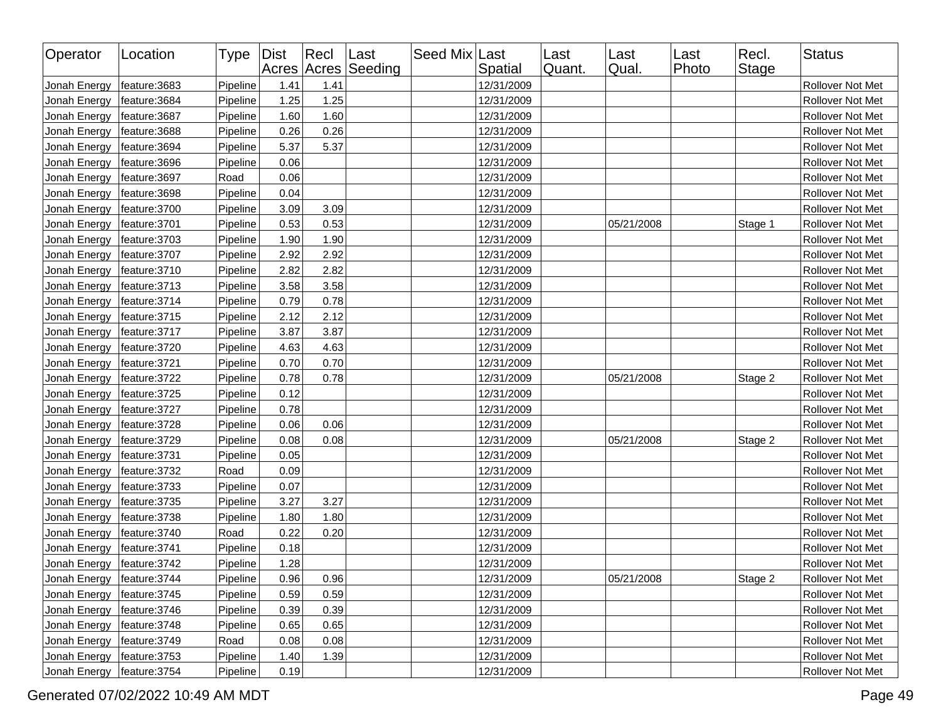| Operator     | Location      | Type   Dist |      | $ $ Recl | Last<br>Acres Acres Seeding | Seed Mix Last | Spatial    | Last<br>Quant. | Last<br>Qual. | Last<br>Photo | Recl.<br>Stage | <b>Status</b>    |
|--------------|---------------|-------------|------|----------|-----------------------------|---------------|------------|----------------|---------------|---------------|----------------|------------------|
| Jonah Energy | feature: 3683 | Pipeline    | 1.41 | 1.41     |                             |               | 12/31/2009 |                |               |               |                | Rollover Not Met |
| Jonah Energy | feature: 3684 | Pipeline    | 1.25 | 1.25     |                             |               | 12/31/2009 |                |               |               |                | Rollover Not Met |
| Jonah Energy | feature: 3687 | Pipeline    | 1.60 | 1.60     |                             |               | 12/31/2009 |                |               |               |                | Rollover Not Met |
| Jonah Energy | feature: 3688 | Pipeline    | 0.26 | 0.26     |                             |               | 12/31/2009 |                |               |               |                | Rollover Not Met |
| Jonah Energy | feature: 3694 | Pipeline    | 5.37 | 5.37     |                             |               | 12/31/2009 |                |               |               |                | Rollover Not Met |
| Jonah Energy | feature: 3696 | Pipeline    | 0.06 |          |                             |               | 12/31/2009 |                |               |               |                | Rollover Not Met |
| Jonah Energy | feature: 3697 | Road        | 0.06 |          |                             |               | 12/31/2009 |                |               |               |                | Rollover Not Met |
| Jonah Energy | feature: 3698 | Pipeline    | 0.04 |          |                             |               | 12/31/2009 |                |               |               |                | Rollover Not Met |
| Jonah Energy | feature: 3700 | Pipeline    | 3.09 | 3.09     |                             |               | 12/31/2009 |                |               |               |                | Rollover Not Met |
| Jonah Energy | feature:3701  | Pipeline    | 0.53 | 0.53     |                             |               | 12/31/2009 |                | 05/21/2008    |               | Stage 1        | Rollover Not Met |
| Jonah Energy | feature: 3703 | Pipeline    | 1.90 | 1.90     |                             |               | 12/31/2009 |                |               |               |                | Rollover Not Met |
| Jonah Energy | feature: 3707 | Pipeline    | 2.92 | 2.92     |                             |               | 12/31/2009 |                |               |               |                | Rollover Not Met |
| Jonah Energy | feature: 3710 | Pipeline    | 2.82 | 2.82     |                             |               | 12/31/2009 |                |               |               |                | Rollover Not Met |
| Jonah Energy | feature: 3713 | Pipeline    | 3.58 | 3.58     |                             |               | 12/31/2009 |                |               |               |                | Rollover Not Met |
| Jonah Energy | feature: 3714 | Pipeline    | 0.79 | 0.78     |                             |               | 12/31/2009 |                |               |               |                | Rollover Not Met |
| Jonah Energy | feature: 3715 | Pipeline    | 2.12 | 2.12     |                             |               | 12/31/2009 |                |               |               |                | Rollover Not Met |
| Jonah Energy | feature: 3717 | Pipeline    | 3.87 | 3.87     |                             |               | 12/31/2009 |                |               |               |                | Rollover Not Met |
| Jonah Energy | feature: 3720 | Pipeline    | 4.63 | 4.63     |                             |               | 12/31/2009 |                |               |               |                | Rollover Not Met |
| Jonah Energy | feature: 3721 | Pipeline    | 0.70 | 0.70     |                             |               | 12/31/2009 |                |               |               |                | Rollover Not Met |
| Jonah Energy | feature: 3722 | Pipeline    | 0.78 | 0.78     |                             |               | 12/31/2009 |                | 05/21/2008    |               | Stage 2        | Rollover Not Met |
| Jonah Energy | feature: 3725 | Pipeline    | 0.12 |          |                             |               | 12/31/2009 |                |               |               |                | Rollover Not Met |
| Jonah Energy | feature: 3727 | Pipeline    | 0.78 |          |                             |               | 12/31/2009 |                |               |               |                | Rollover Not Met |
| Jonah Energy | feature: 3728 | Pipeline    | 0.06 | 0.06     |                             |               | 12/31/2009 |                |               |               |                | Rollover Not Met |
| Jonah Energy | feature: 3729 | Pipeline    | 0.08 | 0.08     |                             |               | 12/31/2009 |                | 05/21/2008    |               | Stage 2        | Rollover Not Met |
| Jonah Energy | feature: 3731 | Pipeline    | 0.05 |          |                             |               | 12/31/2009 |                |               |               |                | Rollover Not Met |
| Jonah Energy | feature: 3732 | Road        | 0.09 |          |                             |               | 12/31/2009 |                |               |               |                | Rollover Not Met |
| Jonah Energy | feature: 3733 | Pipeline    | 0.07 |          |                             |               | 12/31/2009 |                |               |               |                | Rollover Not Met |
| Jonah Energy | feature: 3735 | Pipeline    | 3.27 | 3.27     |                             |               | 12/31/2009 |                |               |               |                | Rollover Not Met |
| Jonah Energy | feature: 3738 | Pipeline    | 1.80 | 1.80     |                             |               | 12/31/2009 |                |               |               |                | Rollover Not Met |
| Jonah Energy | feature: 3740 | Road        | 0.22 | 0.20     |                             |               | 12/31/2009 |                |               |               |                | Rollover Not Met |
| Jonah Energy | feature: 3741 | Pipeline    | 0.18 |          |                             |               | 12/31/2009 |                |               |               |                | Rollover Not Met |
| Jonah Energy | feature: 3742 | Pipeline    | 1.28 |          |                             |               | 12/31/2009 |                |               |               |                | Rollover Not Met |
| Jonah Energy | feature: 3744 | Pipeline    | 0.96 | 0.96     |                             |               | 12/31/2009 |                | 05/21/2008    |               | Stage 2        | Rollover Not Met |
| Jonah Energy | feature: 3745 | Pipeline    | 0.59 | 0.59     |                             |               | 12/31/2009 |                |               |               |                | Rollover Not Met |
| Jonah Energy | feature: 3746 | Pipeline    | 0.39 | 0.39     |                             |               | 12/31/2009 |                |               |               |                | Rollover Not Met |
| Jonah Energy | feature: 3748 | Pipeline    | 0.65 | 0.65     |                             |               | 12/31/2009 |                |               |               |                | Rollover Not Met |
| Jonah Energy | feature: 3749 | Road        | 0.08 | 0.08     |                             |               | 12/31/2009 |                |               |               |                | Rollover Not Met |
| Jonah Energy | feature: 3753 | Pipeline    | 1.40 | 1.39     |                             |               | 12/31/2009 |                |               |               |                | Rollover Not Met |
| Jonah Energy | feature: 3754 | Pipeline    | 0.19 |          |                             |               | 12/31/2009 |                |               |               |                | Rollover Not Met |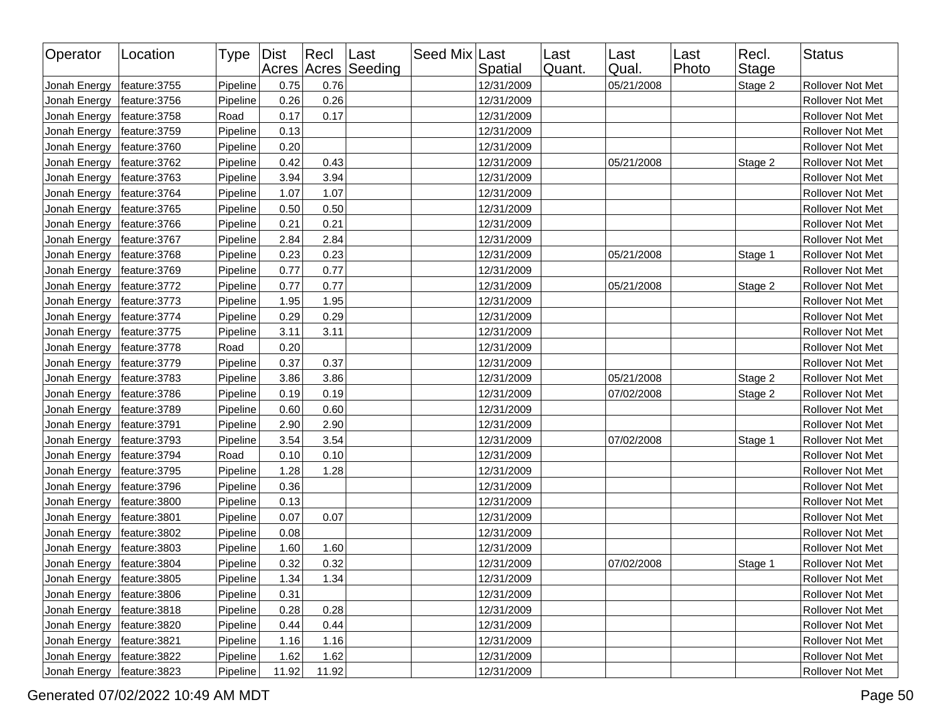| Operator     | Location      | Type   Dist |       | $ $ Recl | Last<br>Acres Acres Seeding | Seed Mix Last | Spatial    | Last<br>Quant. | Last<br>Qual. | Last<br>Photo | Recl.<br><b>Stage</b> | <b>Status</b>    |
|--------------|---------------|-------------|-------|----------|-----------------------------|---------------|------------|----------------|---------------|---------------|-----------------------|------------------|
| Jonah Energy | feature: 3755 | Pipeline    | 0.75  | 0.76     |                             |               | 12/31/2009 |                | 05/21/2008    |               | Stage 2               | Rollover Not Met |
| Jonah Energy | feature: 3756 | Pipeline    | 0.26  | 0.26     |                             |               | 12/31/2009 |                |               |               |                       | Rollover Not Met |
| Jonah Energy | feature: 3758 | Road        | 0.17  | 0.17     |                             |               | 12/31/2009 |                |               |               |                       | Rollover Not Met |
| Jonah Energy | feature: 3759 | Pipeline    | 0.13  |          |                             |               | 12/31/2009 |                |               |               |                       | Rollover Not Met |
| Jonah Energy | feature: 3760 | Pipeline    | 0.20  |          |                             |               | 12/31/2009 |                |               |               |                       | Rollover Not Met |
| Jonah Energy | feature: 3762 | Pipeline    | 0.42  | 0.43     |                             |               | 12/31/2009 |                | 05/21/2008    |               | Stage 2               | Rollover Not Met |
| Jonah Energy | feature: 3763 | Pipeline    | 3.94  | 3.94     |                             |               | 12/31/2009 |                |               |               |                       | Rollover Not Met |
| Jonah Energy | feature: 3764 | Pipeline    | 1.07  | 1.07     |                             |               | 12/31/2009 |                |               |               |                       | Rollover Not Met |
| Jonah Energy | feature: 3765 | Pipeline    | 0.50  | 0.50     |                             |               | 12/31/2009 |                |               |               |                       | Rollover Not Met |
| Jonah Energy | feature: 3766 | Pipeline    | 0.21  | 0.21     |                             |               | 12/31/2009 |                |               |               |                       | Rollover Not Met |
| Jonah Energy | feature: 3767 | Pipeline    | 2.84  | 2.84     |                             |               | 12/31/2009 |                |               |               |                       | Rollover Not Met |
| Jonah Energy | feature: 3768 | Pipeline    | 0.23  | 0.23     |                             |               | 12/31/2009 |                | 05/21/2008    |               | Stage 1               | Rollover Not Met |
| Jonah Energy | feature: 3769 | Pipeline    | 0.77  | 0.77     |                             |               | 12/31/2009 |                |               |               |                       | Rollover Not Met |
| Jonah Energy | feature: 3772 | Pipeline    | 0.77  | 0.77     |                             |               | 12/31/2009 |                | 05/21/2008    |               | Stage 2               | Rollover Not Met |
| Jonah Energy | feature: 3773 | Pipeline    | 1.95  | 1.95     |                             |               | 12/31/2009 |                |               |               |                       | Rollover Not Met |
| Jonah Energy | feature: 3774 | Pipeline    | 0.29  | 0.29     |                             |               | 12/31/2009 |                |               |               |                       | Rollover Not Met |
| Jonah Energy | feature: 3775 | Pipeline    | 3.11  | 3.11     |                             |               | 12/31/2009 |                |               |               |                       | Rollover Not Met |
| Jonah Energy | feature: 3778 | Road        | 0.20  |          |                             |               | 12/31/2009 |                |               |               |                       | Rollover Not Met |
| Jonah Energy | feature: 3779 | Pipeline    | 0.37  | 0.37     |                             |               | 12/31/2009 |                |               |               |                       | Rollover Not Met |
| Jonah Energy | feature: 3783 | Pipeline    | 3.86  | 3.86     |                             |               | 12/31/2009 |                | 05/21/2008    |               | Stage 2               | Rollover Not Met |
| Jonah Energy | feature: 3786 | Pipeline    | 0.19  | 0.19     |                             |               | 12/31/2009 |                | 07/02/2008    |               | Stage 2               | Rollover Not Met |
| Jonah Energy | feature: 3789 | Pipeline    | 0.60  | 0.60     |                             |               | 12/31/2009 |                |               |               |                       | Rollover Not Met |
| Jonah Energy | feature: 3791 | Pipeline    | 2.90  | 2.90     |                             |               | 12/31/2009 |                |               |               |                       | Rollover Not Met |
| Jonah Energy | feature: 3793 | Pipeline    | 3.54  | 3.54     |                             |               | 12/31/2009 |                | 07/02/2008    |               | Stage 1               | Rollover Not Met |
| Jonah Energy | feature: 3794 | Road        | 0.10  | 0.10     |                             |               | 12/31/2009 |                |               |               |                       | Rollover Not Met |
| Jonah Energy | feature: 3795 | Pipeline    | 1.28  | 1.28     |                             |               | 12/31/2009 |                |               |               |                       | Rollover Not Met |
| Jonah Energy | feature: 3796 | Pipeline    | 0.36  |          |                             |               | 12/31/2009 |                |               |               |                       | Rollover Not Met |
| Jonah Energy | feature: 3800 | Pipeline    | 0.13  |          |                             |               | 12/31/2009 |                |               |               |                       | Rollover Not Met |
| Jonah Energy | feature: 3801 | Pipeline    | 0.07  | 0.07     |                             |               | 12/31/2009 |                |               |               |                       | Rollover Not Met |
| Jonah Energy | feature: 3802 | Pipeline    | 0.08  |          |                             |               | 12/31/2009 |                |               |               |                       | Rollover Not Met |
| Jonah Energy | feature: 3803 | Pipeline    | 1.60  | 1.60     |                             |               | 12/31/2009 |                |               |               |                       | Rollover Not Met |
| Jonah Energy | feature: 3804 | Pipeline    | 0.32  | 0.32     |                             |               | 12/31/2009 |                | 07/02/2008    |               | Stage 1               | Rollover Not Met |
| Jonah Energy | feature: 3805 | Pipeline    | 1.34  | 1.34     |                             |               | 12/31/2009 |                |               |               |                       | Rollover Not Met |
| Jonah Energy | feature:3806  | Pipeline    | 0.31  |          |                             |               | 12/31/2009 |                |               |               |                       | Rollover Not Met |
| Jonah Energy | feature: 3818 | Pipeline    | 0.28  | 0.28     |                             |               | 12/31/2009 |                |               |               |                       | Rollover Not Met |
| Jonah Energy | feature: 3820 | Pipeline    | 0.44  | 0.44     |                             |               | 12/31/2009 |                |               |               |                       | Rollover Not Met |
| Jonah Energy | feature: 3821 | Pipeline    | 1.16  | 1.16     |                             |               | 12/31/2009 |                |               |               |                       | Rollover Not Met |
| Jonah Energy | feature: 3822 | Pipeline    | 1.62  | 1.62     |                             |               | 12/31/2009 |                |               |               |                       | Rollover Not Met |
| Jonah Energy | feature: 3823 | Pipeline    | 11.92 | 11.92    |                             |               | 12/31/2009 |                |               |               |                       | Rollover Not Met |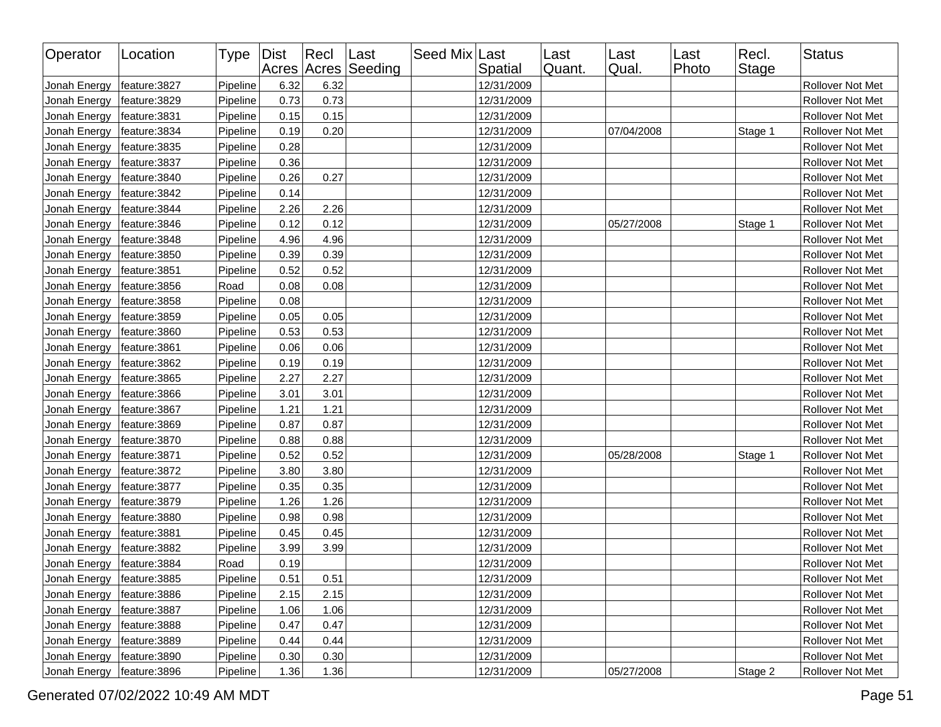| Operator     | Location      | Type Dist |      | $ $ Recl | Last<br>Acres Acres Seeding | Seed Mix Last | Spatial    | Last<br>Quant. | Last<br>Qual. | Last<br>Photo | Recl.<br><b>Stage</b> | <b>Status</b>    |
|--------------|---------------|-----------|------|----------|-----------------------------|---------------|------------|----------------|---------------|---------------|-----------------------|------------------|
| Jonah Energy | feature: 3827 | Pipeline  | 6.32 | 6.32     |                             |               | 12/31/2009 |                |               |               |                       | Rollover Not Met |
| Jonah Energy | feature: 3829 | Pipeline  | 0.73 | 0.73     |                             |               | 12/31/2009 |                |               |               |                       | Rollover Not Met |
| Jonah Energy | feature: 3831 | Pipeline  | 0.15 | 0.15     |                             |               | 12/31/2009 |                |               |               |                       | Rollover Not Met |
| Jonah Energy | feature: 3834 | Pipeline  | 0.19 | 0.20     |                             |               | 12/31/2009 |                | 07/04/2008    |               | Stage 1               | Rollover Not Met |
| Jonah Energy | feature: 3835 | Pipeline  | 0.28 |          |                             |               | 12/31/2009 |                |               |               |                       | Rollover Not Met |
| Jonah Energy | feature: 3837 | Pipeline  | 0.36 |          |                             |               | 12/31/2009 |                |               |               |                       | Rollover Not Met |
| Jonah Energy | feature: 3840 | Pipeline  | 0.26 | 0.27     |                             |               | 12/31/2009 |                |               |               |                       | Rollover Not Met |
| Jonah Energy | feature: 3842 | Pipeline  | 0.14 |          |                             |               | 12/31/2009 |                |               |               |                       | Rollover Not Met |
| Jonah Energy | feature: 3844 | Pipeline  | 2.26 | 2.26     |                             |               | 12/31/2009 |                |               |               |                       | Rollover Not Met |
| Jonah Energy | feature: 3846 | Pipeline  | 0.12 | 0.12     |                             |               | 12/31/2009 |                | 05/27/2008    |               | Stage 1               | Rollover Not Met |
| Jonah Energy | feature: 3848 | Pipeline  | 4.96 | 4.96     |                             |               | 12/31/2009 |                |               |               |                       | Rollover Not Met |
| Jonah Energy | feature: 3850 | Pipeline  | 0.39 | 0.39     |                             |               | 12/31/2009 |                |               |               |                       | Rollover Not Met |
| Jonah Energy | feature:3851  | Pipeline  | 0.52 | 0.52     |                             |               | 12/31/2009 |                |               |               |                       | Rollover Not Met |
| Jonah Energy | feature: 3856 | Road      | 0.08 | 0.08     |                             |               | 12/31/2009 |                |               |               |                       | Rollover Not Met |
| Jonah Energy | feature: 3858 | Pipeline  | 0.08 |          |                             |               | 12/31/2009 |                |               |               |                       | Rollover Not Met |
| Jonah Energy | feature: 3859 | Pipeline  | 0.05 | 0.05     |                             |               | 12/31/2009 |                |               |               |                       | Rollover Not Met |
| Jonah Energy | feature: 3860 | Pipeline  | 0.53 | 0.53     |                             |               | 12/31/2009 |                |               |               |                       | Rollover Not Met |
| Jonah Energy | feature:3861  | Pipeline  | 0.06 | 0.06     |                             |               | 12/31/2009 |                |               |               |                       | Rollover Not Met |
| Jonah Energy | feature: 3862 | Pipeline  | 0.19 | 0.19     |                             |               | 12/31/2009 |                |               |               |                       | Rollover Not Met |
| Jonah Energy | feature: 3865 | Pipeline  | 2.27 | 2.27     |                             |               | 12/31/2009 |                |               |               |                       | Rollover Not Met |
| Jonah Energy | feature: 3866 | Pipeline  | 3.01 | 3.01     |                             |               | 12/31/2009 |                |               |               |                       | Rollover Not Met |
| Jonah Energy | feature: 3867 | Pipeline  | 1.21 | 1.21     |                             |               | 12/31/2009 |                |               |               |                       | Rollover Not Met |
| Jonah Energy | feature: 3869 | Pipeline  | 0.87 | 0.87     |                             |               | 12/31/2009 |                |               |               |                       | Rollover Not Met |
| Jonah Energy | feature: 3870 | Pipeline  | 0.88 | 0.88     |                             |               | 12/31/2009 |                |               |               |                       | Rollover Not Met |
| Jonah Energy | feature:3871  | Pipeline  | 0.52 | 0.52     |                             |               | 12/31/2009 |                | 05/28/2008    |               | Stage 1               | Rollover Not Met |
| Jonah Energy | feature: 3872 | Pipeline  | 3.80 | 3.80     |                             |               | 12/31/2009 |                |               |               |                       | Rollover Not Met |
| Jonah Energy | feature: 3877 | Pipeline  | 0.35 | 0.35     |                             |               | 12/31/2009 |                |               |               |                       | Rollover Not Met |
| Jonah Energy | feature: 3879 | Pipeline  | 1.26 | 1.26     |                             |               | 12/31/2009 |                |               |               |                       | Rollover Not Met |
| Jonah Energy | feature: 3880 | Pipeline  | 0.98 | 0.98     |                             |               | 12/31/2009 |                |               |               |                       | Rollover Not Met |
| Jonah Energy | feature: 3881 | Pipeline  | 0.45 | 0.45     |                             |               | 12/31/2009 |                |               |               |                       | Rollover Not Met |
| Jonah Energy | feature: 3882 | Pipeline  | 3.99 | 3.99     |                             |               | 12/31/2009 |                |               |               |                       | Rollover Not Met |
| Jonah Energy | feature: 3884 | Road      | 0.19 |          |                             |               | 12/31/2009 |                |               |               |                       | Rollover Not Met |
| Jonah Energy | feature:3885  | Pipeline  | 0.51 | 0.51     |                             |               | 12/31/2009 |                |               |               |                       | Rollover Not Met |
| Jonah Energy | feature: 3886 | Pipeline  | 2.15 | 2.15     |                             |               | 12/31/2009 |                |               |               |                       | Rollover Not Met |
| Jonah Energy | feature: 3887 | Pipeline  | 1.06 | 1.06     |                             |               | 12/31/2009 |                |               |               |                       | Rollover Not Met |
| Jonah Energy | feature: 3888 | Pipeline  | 0.47 | 0.47     |                             |               | 12/31/2009 |                |               |               |                       | Rollover Not Met |
| Jonah Energy | feature: 3889 | Pipeline  | 0.44 | 0.44     |                             |               | 12/31/2009 |                |               |               |                       | Rollover Not Met |
| Jonah Energy | feature: 3890 | Pipeline  | 0.30 | 0.30     |                             |               | 12/31/2009 |                |               |               |                       | Rollover Not Met |
| Jonah Energy | feature: 3896 | Pipeline  | 1.36 | 1.36     |                             |               | 12/31/2009 |                | 05/27/2008    |               | Stage 2               | Rollover Not Met |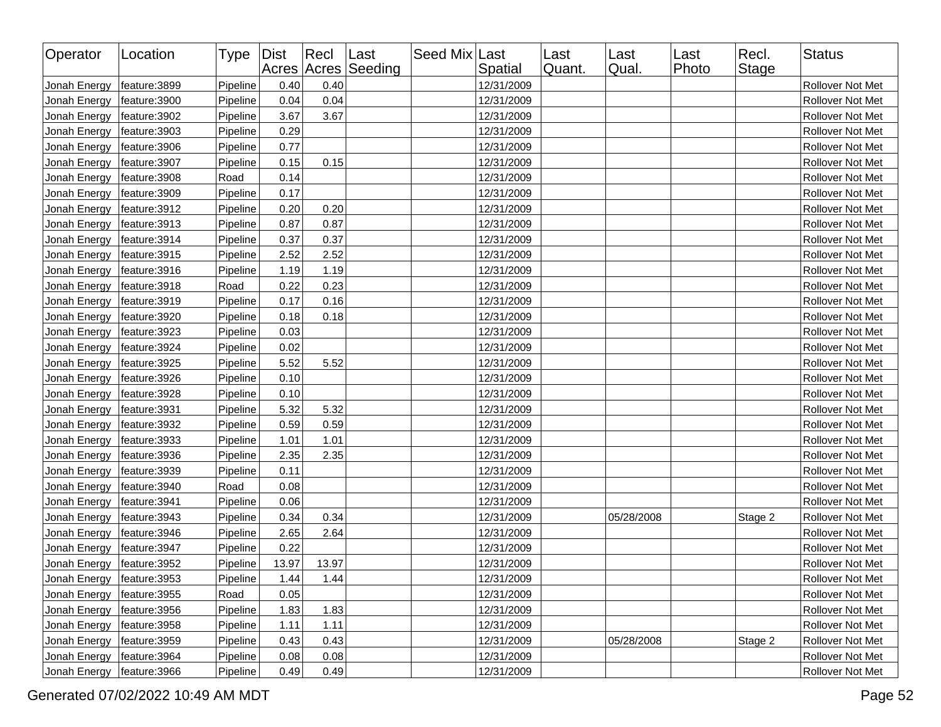| Operator     | Location      | Type   Dist |       | Recl  | Last<br>Acres Acres Seeding | Seed Mix Last | Spatial    | Last<br>Quant. | Last<br>Qual. | Last<br>Photo | Recl.<br>Stage | <b>Status</b>           |
|--------------|---------------|-------------|-------|-------|-----------------------------|---------------|------------|----------------|---------------|---------------|----------------|-------------------------|
| Jonah Energy | feature:3899  | Pipeline    | 0.40  | 0.40  |                             |               | 12/31/2009 |                |               |               |                | Rollover Not Met        |
| Jonah Energy | feature: 3900 | Pipeline    | 0.04  | 0.04  |                             |               | 12/31/2009 |                |               |               |                | Rollover Not Met        |
| Jonah Energy | feature: 3902 | Pipeline    | 3.67  | 3.67  |                             |               | 12/31/2009 |                |               |               |                | Rollover Not Met        |
| Jonah Energy | feature: 3903 | Pipeline    | 0.29  |       |                             |               | 12/31/2009 |                |               |               |                | Rollover Not Met        |
| Jonah Energy | feature: 3906 | Pipeline    | 0.77  |       |                             |               | 12/31/2009 |                |               |               |                | Rollover Not Met        |
| Jonah Energy | feature: 3907 | Pipeline    | 0.15  | 0.15  |                             |               | 12/31/2009 |                |               |               |                | Rollover Not Met        |
| Jonah Energy | feature: 3908 | Road        | 0.14  |       |                             |               | 12/31/2009 |                |               |               |                | Rollover Not Met        |
| Jonah Energy | feature: 3909 | Pipeline    | 0.17  |       |                             |               | 12/31/2009 |                |               |               |                | Rollover Not Met        |
| Jonah Energy | feature: 3912 | Pipeline    | 0.20  | 0.20  |                             |               | 12/31/2009 |                |               |               |                | Rollover Not Met        |
| Jonah Energy | feature: 3913 | Pipeline    | 0.87  | 0.87  |                             |               | 12/31/2009 |                |               |               |                | Rollover Not Met        |
| Jonah Energy | feature: 3914 | Pipeline    | 0.37  | 0.37  |                             |               | 12/31/2009 |                |               |               |                | Rollover Not Met        |
| Jonah Energy | feature: 3915 | Pipeline    | 2.52  | 2.52  |                             |               | 12/31/2009 |                |               |               |                | Rollover Not Met        |
| Jonah Energy | feature: 3916 | Pipeline    | 1.19  | 1.19  |                             |               | 12/31/2009 |                |               |               |                | Rollover Not Met        |
| Jonah Energy | feature: 3918 | Road        | 0.22  | 0.23  |                             |               | 12/31/2009 |                |               |               |                | Rollover Not Met        |
| Jonah Energy | feature: 3919 | Pipeline    | 0.17  | 0.16  |                             |               | 12/31/2009 |                |               |               |                | Rollover Not Met        |
| Jonah Energy | feature: 3920 | Pipeline    | 0.18  | 0.18  |                             |               | 12/31/2009 |                |               |               |                | <b>Rollover Not Met</b> |
| Jonah Energy | feature: 3923 | Pipeline    | 0.03  |       |                             |               | 12/31/2009 |                |               |               |                | Rollover Not Met        |
| Jonah Energy | feature: 3924 | Pipeline    | 0.02  |       |                             |               | 12/31/2009 |                |               |               |                | <b>Rollover Not Met</b> |
| Jonah Energy | feature: 3925 | Pipeline    | 5.52  | 5.52  |                             |               | 12/31/2009 |                |               |               |                | Rollover Not Met        |
| Jonah Energy | feature: 3926 | Pipeline    | 0.10  |       |                             |               | 12/31/2009 |                |               |               |                | Rollover Not Met        |
| Jonah Energy | feature: 3928 | Pipeline    | 0.10  |       |                             |               | 12/31/2009 |                |               |               |                | Rollover Not Met        |
| Jonah Energy | feature: 3931 | Pipeline    | 5.32  | 5.32  |                             |               | 12/31/2009 |                |               |               |                | Rollover Not Met        |
| Jonah Energy | feature: 3932 | Pipeline    | 0.59  | 0.59  |                             |               | 12/31/2009 |                |               |               |                | Rollover Not Met        |
| Jonah Energy | feature: 3933 | Pipeline    | 1.01  | 1.01  |                             |               | 12/31/2009 |                |               |               |                | Rollover Not Met        |
| Jonah Energy | feature: 3936 | Pipeline    | 2.35  | 2.35  |                             |               | 12/31/2009 |                |               |               |                | Rollover Not Met        |
| Jonah Energy | feature: 3939 | Pipeline    | 0.11  |       |                             |               | 12/31/2009 |                |               |               |                | Rollover Not Met        |
| Jonah Energy | feature: 3940 | Road        | 0.08  |       |                             |               | 12/31/2009 |                |               |               |                | Rollover Not Met        |
| Jonah Energy | feature: 3941 | Pipeline    | 0.06  |       |                             |               | 12/31/2009 |                |               |               |                | Rollover Not Met        |
| Jonah Energy | feature: 3943 | Pipeline    | 0.34  | 0.34  |                             |               | 12/31/2009 |                | 05/28/2008    |               | Stage 2        | Rollover Not Met        |
| Jonah Energy | feature: 3946 | Pipeline    | 2.65  | 2.64  |                             |               | 12/31/2009 |                |               |               |                | Rollover Not Met        |
| Jonah Energy | feature: 3947 | Pipeline    | 0.22  |       |                             |               | 12/31/2009 |                |               |               |                | Rollover Not Met        |
| Jonah Energy | feature: 3952 | Pipeline    | 13.97 | 13.97 |                             |               | 12/31/2009 |                |               |               |                | Rollover Not Met        |
| Jonah Energy | feature: 3953 | Pipeline    | 1.44  | 1.44  |                             |               | 12/31/2009 |                |               |               |                | Rollover Not Met        |
| Jonah Energy | feature: 3955 | Road        | 0.05  |       |                             |               | 12/31/2009 |                |               |               |                | Rollover Not Met        |
| Jonah Energy | feature: 3956 | Pipeline    | 1.83  | 1.83  |                             |               | 12/31/2009 |                |               |               |                | Rollover Not Met        |
| Jonah Energy | feature: 3958 | Pipeline    | 1.11  | 1.11  |                             |               | 12/31/2009 |                |               |               |                | Rollover Not Met        |
| Jonah Energy | feature: 3959 | Pipeline    | 0.43  | 0.43  |                             |               | 12/31/2009 |                | 05/28/2008    |               | Stage 2        | Rollover Not Met        |
| Jonah Energy | feature: 3964 | Pipeline    | 0.08  | 0.08  |                             |               | 12/31/2009 |                |               |               |                | Rollover Not Met        |
| Jonah Energy | feature: 3966 | Pipeline    | 0.49  | 0.49  |                             |               | 12/31/2009 |                |               |               |                | Rollover Not Met        |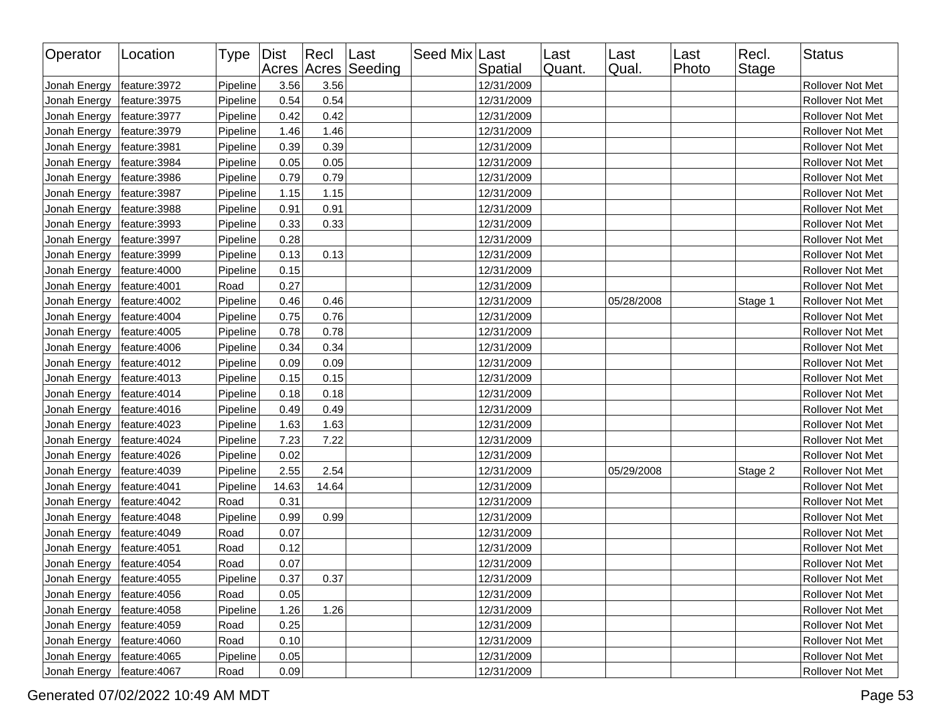| Operator     | Location      | Type Dist |       | $ $ Recl | Last<br>Acres Acres Seeding | Seed Mix Last | Spatial    | Last<br>Quant. | Last<br>Qual. | Last<br>Photo | Recl.<br>Stage | <b>Status</b>    |
|--------------|---------------|-----------|-------|----------|-----------------------------|---------------|------------|----------------|---------------|---------------|----------------|------------------|
| Jonah Energy | feature: 3972 | Pipeline  | 3.56  | 3.56     |                             |               | 12/31/2009 |                |               |               |                | Rollover Not Met |
| Jonah Energy | feature: 3975 | Pipeline  | 0.54  | 0.54     |                             |               | 12/31/2009 |                |               |               |                | Rollover Not Met |
| Jonah Energy | feature: 3977 | Pipeline  | 0.42  | 0.42     |                             |               | 12/31/2009 |                |               |               |                | Rollover Not Met |
| Jonah Energy | feature: 3979 | Pipeline  | 1.46  | 1.46     |                             |               | 12/31/2009 |                |               |               |                | Rollover Not Met |
| Jonah Energy | feature: 3981 | Pipeline  | 0.39  | 0.39     |                             |               | 12/31/2009 |                |               |               |                | Rollover Not Met |
| Jonah Energy | feature: 3984 | Pipeline  | 0.05  | 0.05     |                             |               | 12/31/2009 |                |               |               |                | Rollover Not Met |
| Jonah Energy | feature: 3986 | Pipeline  | 0.79  | 0.79     |                             |               | 12/31/2009 |                |               |               |                | Rollover Not Met |
| Jonah Energy | feature: 3987 | Pipeline  | 1.15  | 1.15     |                             |               | 12/31/2009 |                |               |               |                | Rollover Not Met |
| Jonah Energy | feature: 3988 | Pipeline  | 0.91  | 0.91     |                             |               | 12/31/2009 |                |               |               |                | Rollover Not Met |
| Jonah Energy | feature: 3993 | Pipeline  | 0.33  | 0.33     |                             |               | 12/31/2009 |                |               |               |                | Rollover Not Met |
| Jonah Energy | feature: 3997 | Pipeline  | 0.28  |          |                             |               | 12/31/2009 |                |               |               |                | Rollover Not Met |
| Jonah Energy | feature: 3999 | Pipeline  | 0.13  | 0.13     |                             |               | 12/31/2009 |                |               |               |                | Rollover Not Met |
| Jonah Energy | feature:4000  | Pipeline  | 0.15  |          |                             |               | 12/31/2009 |                |               |               |                | Rollover Not Met |
| Jonah Energy | feature:4001  | Road      | 0.27  |          |                             |               | 12/31/2009 |                |               |               |                | Rollover Not Met |
| Jonah Energy | feature:4002  | Pipeline  | 0.46  | 0.46     |                             |               | 12/31/2009 |                | 05/28/2008    |               | Stage 1        | Rollover Not Met |
| Jonah Energy | feature: 4004 | Pipeline  | 0.75  | 0.76     |                             |               | 12/31/2009 |                |               |               |                | Rollover Not Met |
| Jonah Energy | feature: 4005 | Pipeline  | 0.78  | 0.78     |                             |               | 12/31/2009 |                |               |               |                | Rollover Not Met |
| Jonah Energy | feature:4006  | Pipeline  | 0.34  | 0.34     |                             |               | 12/31/2009 |                |               |               |                | Rollover Not Met |
| Jonah Energy | feature: 4012 | Pipeline  | 0.09  | 0.09     |                             |               | 12/31/2009 |                |               |               |                | Rollover Not Met |
| Jonah Energy | feature: 4013 | Pipeline  | 0.15  | 0.15     |                             |               | 12/31/2009 |                |               |               |                | Rollover Not Met |
| Jonah Energy | feature: 4014 | Pipeline  | 0.18  | 0.18     |                             |               | 12/31/2009 |                |               |               |                | Rollover Not Met |
| Jonah Energy | feature: 4016 | Pipeline  | 0.49  | 0.49     |                             |               | 12/31/2009 |                |               |               |                | Rollover Not Met |
| Jonah Energy | feature:4023  | Pipeline  | 1.63  | 1.63     |                             |               | 12/31/2009 |                |               |               |                | Rollover Not Met |
| Jonah Energy | feature: 4024 | Pipeline  | 7.23  | 7.22     |                             |               | 12/31/2009 |                |               |               |                | Rollover Not Met |
| Jonah Energy | feature: 4026 | Pipeline  | 0.02  |          |                             |               | 12/31/2009 |                |               |               |                | Rollover Not Met |
| Jonah Energy | feature: 4039 | Pipeline  | 2.55  | 2.54     |                             |               | 12/31/2009 |                | 05/29/2008    |               | Stage 2        | Rollover Not Met |
| Jonah Energy | feature: 4041 | Pipeline  | 14.63 | 14.64    |                             |               | 12/31/2009 |                |               |               |                | Rollover Not Met |
| Jonah Energy | feature: 4042 | Road      | 0.31  |          |                             |               | 12/31/2009 |                |               |               |                | Rollover Not Met |
| Jonah Energy | feature: 4048 | Pipeline  | 0.99  | 0.99     |                             |               | 12/31/2009 |                |               |               |                | Rollover Not Met |
| Jonah Energy | feature: 4049 | Road      | 0.07  |          |                             |               | 12/31/2009 |                |               |               |                | Rollover Not Met |
| Jonah Energy | feature:4051  | Road      | 0.12  |          |                             |               | 12/31/2009 |                |               |               |                | Rollover Not Met |
| Jonah Energy | feature: 4054 | Road      | 0.07  |          |                             |               | 12/31/2009 |                |               |               |                | Rollover Not Met |
| Jonah Energy | feature:4055  | Pipeline  | 0.37  | 0.37     |                             |               | 12/31/2009 |                |               |               |                | Rollover Not Met |
| Jonah Energy | feature: 4056 | Road      | 0.05  |          |                             |               | 12/31/2009 |                |               |               |                | Rollover Not Met |
| Jonah Energy | feature:4058  | Pipeline  | 1.26  | 1.26     |                             |               | 12/31/2009 |                |               |               |                | Rollover Not Met |
| Jonah Energy | feature: 4059 | Road      | 0.25  |          |                             |               | 12/31/2009 |                |               |               |                | Rollover Not Met |
| Jonah Energy | feature:4060  | Road      | 0.10  |          |                             |               | 12/31/2009 |                |               |               |                | Rollover Not Met |
| Jonah Energy | feature:4065  | Pipeline  | 0.05  |          |                             |               | 12/31/2009 |                |               |               |                | Rollover Not Met |
| Jonah Energy | feature: 4067 | Road      | 0.09  |          |                             |               | 12/31/2009 |                |               |               |                | Rollover Not Met |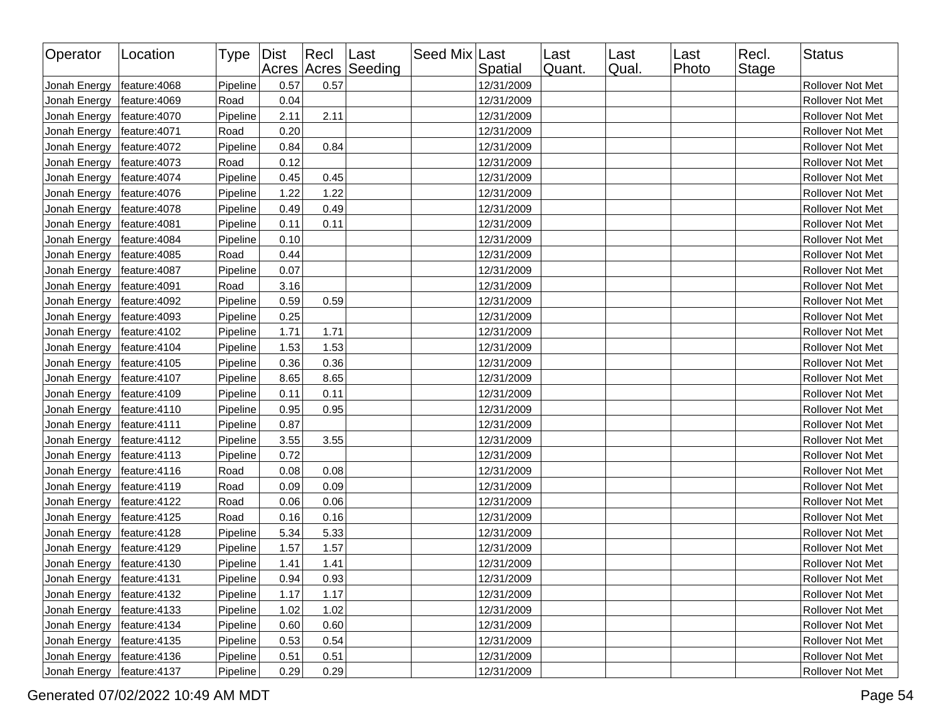| Operator     | Location      | Type Dist |      | Recl Last | Acres Acres Seeding | Seed Mix Last | Spatial    | Last<br>Quant. | Last<br>Qual. | Last<br>Photo | Recl.<br>Stage | <b>Status</b>    |
|--------------|---------------|-----------|------|-----------|---------------------|---------------|------------|----------------|---------------|---------------|----------------|------------------|
| Jonah Energy | feature:4068  | Pipeline  | 0.57 | 0.57      |                     |               | 12/31/2009 |                |               |               |                | Rollover Not Met |
| Jonah Energy | feature: 4069 | Road      | 0.04 |           |                     |               | 12/31/2009 |                |               |               |                | Rollover Not Met |
| Jonah Energy | feature:4070  | Pipeline  | 2.11 | 2.11      |                     |               | 12/31/2009 |                |               |               |                | Rollover Not Met |
| Jonah Energy | feature: 4071 | Road      | 0.20 |           |                     |               | 12/31/2009 |                |               |               |                | Rollover Not Met |
| Jonah Energy | feature: 4072 | Pipeline  | 0.84 | 0.84      |                     |               | 12/31/2009 |                |               |               |                | Rollover Not Met |
| Jonah Energy | feature: 4073 | Road      | 0.12 |           |                     |               | 12/31/2009 |                |               |               |                | Rollover Not Met |
| Jonah Energy | feature: 4074 | Pipeline  | 0.45 | 0.45      |                     |               | 12/31/2009 |                |               |               |                | Rollover Not Met |
| Jonah Energy | feature: 4076 | Pipeline  | 1.22 | 1.22      |                     |               | 12/31/2009 |                |               |               |                | Rollover Not Met |
| Jonah Energy | feature: 4078 | Pipeline  | 0.49 | 0.49      |                     |               | 12/31/2009 |                |               |               |                | Rollover Not Met |
| Jonah Energy | feature: 4081 | Pipeline  | 0.11 | 0.11      |                     |               | 12/31/2009 |                |               |               |                | Rollover Not Met |
| Jonah Energy | feature: 4084 | Pipeline  | 0.10 |           |                     |               | 12/31/2009 |                |               |               |                | Rollover Not Met |
| Jonah Energy | feature: 4085 | Road      | 0.44 |           |                     |               | 12/31/2009 |                |               |               |                | Rollover Not Met |
| Jonah Energy | feature: 4087 | Pipeline  | 0.07 |           |                     |               | 12/31/2009 |                |               |               |                | Rollover Not Met |
| Jonah Energy | feature:4091  | Road      | 3.16 |           |                     |               | 12/31/2009 |                |               |               |                | Rollover Not Met |
| Jonah Energy | feature: 4092 | Pipeline  | 0.59 | 0.59      |                     |               | 12/31/2009 |                |               |               |                | Rollover Not Met |
| Jonah Energy | feature: 4093 | Pipeline  | 0.25 |           |                     |               | 12/31/2009 |                |               |               |                | Rollover Not Met |
| Jonah Energy | feature:4102  | Pipeline  | 1.71 | 1.71      |                     |               | 12/31/2009 |                |               |               |                | Rollover Not Met |
| Jonah Energy | feature:4104  | Pipeline  | 1.53 | 1.53      |                     |               | 12/31/2009 |                |               |               |                | Rollover Not Met |
| Jonah Energy | feature:4105  | Pipeline  | 0.36 | 0.36      |                     |               | 12/31/2009 |                |               |               |                | Rollover Not Met |
| Jonah Energy | feature:4107  | Pipeline  | 8.65 | 8.65      |                     |               | 12/31/2009 |                |               |               |                | Rollover Not Met |
| Jonah Energy | feature:4109  | Pipeline  | 0.11 | 0.11      |                     |               | 12/31/2009 |                |               |               |                | Rollover Not Met |
| Jonah Energy | feature: 4110 | Pipeline  | 0.95 | 0.95      |                     |               | 12/31/2009 |                |               |               |                | Rollover Not Met |
| Jonah Energy | feature: 4111 | Pipeline  | 0.87 |           |                     |               | 12/31/2009 |                |               |               |                | Rollover Not Met |
| Jonah Energy | feature: 4112 | Pipeline  | 3.55 | 3.55      |                     |               | 12/31/2009 |                |               |               |                | Rollover Not Met |
| Jonah Energy | feature:4113  | Pipeline  | 0.72 |           |                     |               | 12/31/2009 |                |               |               |                | Rollover Not Met |
| Jonah Energy | feature:4116  | Road      | 0.08 | 0.08      |                     |               | 12/31/2009 |                |               |               |                | Rollover Not Met |
| Jonah Energy | feature:4119  | Road      | 0.09 | 0.09      |                     |               | 12/31/2009 |                |               |               |                | Rollover Not Met |
| Jonah Energy | feature:4122  | Road      | 0.06 | 0.06      |                     |               | 12/31/2009 |                |               |               |                | Rollover Not Met |
| Jonah Energy | feature:4125  | Road      | 0.16 | 0.16      |                     |               | 12/31/2009 |                |               |               |                | Rollover Not Met |
| Jonah Energy | feature: 4128 | Pipeline  | 5.34 | 5.33      |                     |               | 12/31/2009 |                |               |               |                | Rollover Not Met |
| Jonah Energy | feature:4129  | Pipeline  | 1.57 | 1.57      |                     |               | 12/31/2009 |                |               |               |                | Rollover Not Met |
| Jonah Energy | feature:4130  | Pipeline  | 1.41 | 1.41      |                     |               | 12/31/2009 |                |               |               |                | Rollover Not Met |
| Jonah Energy | feature:4131  | Pipeline  | 0.94 | 0.93      |                     |               | 12/31/2009 |                |               |               |                | Rollover Not Met |
| Jonah Energy | feature:4132  | Pipeline  | 1.17 | 1.17      |                     |               | 12/31/2009 |                |               |               |                | Rollover Not Met |
| Jonah Energy | feature:4133  | Pipeline  | 1.02 | 1.02      |                     |               | 12/31/2009 |                |               |               |                | Rollover Not Met |
| Jonah Energy | feature:4134  | Pipeline  | 0.60 | 0.60      |                     |               | 12/31/2009 |                |               |               |                | Rollover Not Met |
| Jonah Energy | feature: 4135 | Pipeline  | 0.53 | 0.54      |                     |               | 12/31/2009 |                |               |               |                | Rollover Not Met |
| Jonah Energy | feature:4136  | Pipeline  | 0.51 | 0.51      |                     |               | 12/31/2009 |                |               |               |                | Rollover Not Met |
| Jonah Energy | feature:4137  | Pipeline  | 0.29 | 0.29      |                     |               | 12/31/2009 |                |               |               |                | Rollover Not Met |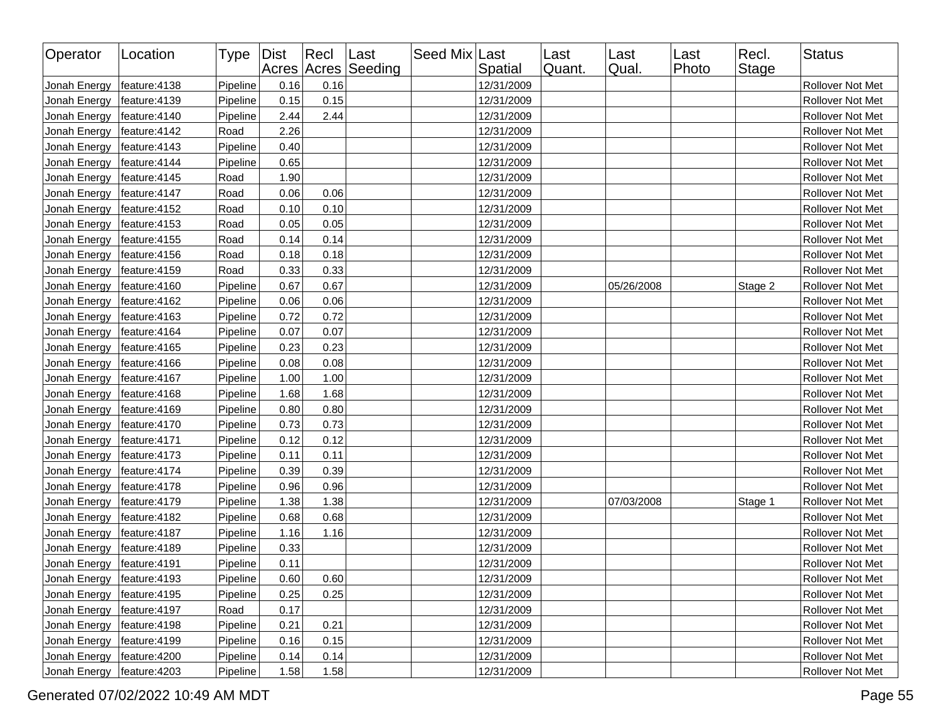| Operator     | Location      | Type Dist |      | $ $ Recl | Last<br>Acres Acres Seeding | Seed Mix Last | Spatial    | Last<br>Quant. | Last<br>Qual. | Last<br>Photo | Recl.<br><b>Stage</b> | Status                  |
|--------------|---------------|-----------|------|----------|-----------------------------|---------------|------------|----------------|---------------|---------------|-----------------------|-------------------------|
| Jonah Energy | feature:4138  | Pipeline  | 0.16 | 0.16     |                             |               | 12/31/2009 |                |               |               |                       | Rollover Not Met        |
| Jonah Energy | feature: 4139 | Pipeline  | 0.15 | 0.15     |                             |               | 12/31/2009 |                |               |               |                       | Rollover Not Met        |
| Jonah Energy | feature:4140  | Pipeline  | 2.44 | 2.44     |                             |               | 12/31/2009 |                |               |               |                       | Rollover Not Met        |
| Jonah Energy | feature: 4142 | Road      | 2.26 |          |                             |               | 12/31/2009 |                |               |               |                       | <b>Rollover Not Met</b> |
| Jonah Energy | feature:4143  | Pipeline  | 0.40 |          |                             |               | 12/31/2009 |                |               |               |                       | Rollover Not Met        |
| Jonah Energy | feature: 4144 | Pipeline  | 0.65 |          |                             |               | 12/31/2009 |                |               |               |                       | Rollover Not Met        |
| Jonah Energy | feature:4145  | Road      | 1.90 |          |                             |               | 12/31/2009 |                |               |               |                       | Rollover Not Met        |
| Jonah Energy | feature: 4147 | Road      | 0.06 | 0.06     |                             |               | 12/31/2009 |                |               |               |                       | Rollover Not Met        |
| Jonah Energy | feature:4152  | Road      | 0.10 | 0.10     |                             |               | 12/31/2009 |                |               |               |                       | Rollover Not Met        |
| Jonah Energy | feature:4153  | Road      | 0.05 | 0.05     |                             |               | 12/31/2009 |                |               |               |                       | Rollover Not Met        |
| Jonah Energy | feature:4155  | Road      | 0.14 | 0.14     |                             |               | 12/31/2009 |                |               |               |                       | Rollover Not Met        |
| Jonah Energy | feature:4156  | Road      | 0.18 | 0.18     |                             |               | 12/31/2009 |                |               |               |                       | Rollover Not Met        |
| Jonah Energy | feature: 4159 | Road      | 0.33 | 0.33     |                             |               | 12/31/2009 |                |               |               |                       | Rollover Not Met        |
| Jonah Energy | feature:4160  | Pipeline  | 0.67 | 0.67     |                             |               | 12/31/2009 |                | 05/26/2008    |               | Stage 2               | Rollover Not Met        |
| Jonah Energy | feature:4162  | Pipeline  | 0.06 | 0.06     |                             |               | 12/31/2009 |                |               |               |                       | Rollover Not Met        |
| Jonah Energy | feature:4163  | Pipeline  | 0.72 | 0.72     |                             |               | 12/31/2009 |                |               |               |                       | Rollover Not Met        |
| Jonah Energy | feature: 4164 | Pipeline  | 0.07 | 0.07     |                             |               | 12/31/2009 |                |               |               |                       | Rollover Not Met        |
| Jonah Energy | feature:4165  | Pipeline  | 0.23 | 0.23     |                             |               | 12/31/2009 |                |               |               |                       | Rollover Not Met        |
| Jonah Energy | feature:4166  | Pipeline  | 0.08 | 0.08     |                             |               | 12/31/2009 |                |               |               |                       | Rollover Not Met        |
| Jonah Energy | feature:4167  | Pipeline  | 1.00 | 1.00     |                             |               | 12/31/2009 |                |               |               |                       | Rollover Not Met        |
| Jonah Energy | feature:4168  | Pipeline  | 1.68 | 1.68     |                             |               | 12/31/2009 |                |               |               |                       | Rollover Not Met        |
| Jonah Energy | feature:4169  | Pipeline  | 0.80 | 0.80     |                             |               | 12/31/2009 |                |               |               |                       | Rollover Not Met        |
| Jonah Energy | feature: 4170 | Pipeline  | 0.73 | 0.73     |                             |               | 12/31/2009 |                |               |               |                       | Rollover Not Met        |
| Jonah Energy | feature:4171  | Pipeline  | 0.12 | 0.12     |                             |               | 12/31/2009 |                |               |               |                       | Rollover Not Met        |
| Jonah Energy | feature: 4173 | Pipeline  | 0.11 | 0.11     |                             |               | 12/31/2009 |                |               |               |                       | Rollover Not Met        |
| Jonah Energy | feature: 4174 | Pipeline  | 0.39 | 0.39     |                             |               | 12/31/2009 |                |               |               |                       | Rollover Not Met        |
| Jonah Energy | feature: 4178 | Pipeline  | 0.96 | 0.96     |                             |               | 12/31/2009 |                |               |               |                       | Rollover Not Met        |
| Jonah Energy | feature: 4179 | Pipeline  | 1.38 | 1.38     |                             |               | 12/31/2009 |                | 07/03/2008    |               | Stage 1               | Rollover Not Met        |
| Jonah Energy | feature:4182  | Pipeline  | 0.68 | 0.68     |                             |               | 12/31/2009 |                |               |               |                       | Rollover Not Met        |
| Jonah Energy | feature: 4187 | Pipeline  | 1.16 | 1.16     |                             |               | 12/31/2009 |                |               |               |                       | Rollover Not Met        |
| Jonah Energy | feature: 4189 | Pipeline  | 0.33 |          |                             |               | 12/31/2009 |                |               |               |                       | Rollover Not Met        |
| Jonah Energy | feature: 4191 | Pipeline  | 0.11 |          |                             |               | 12/31/2009 |                |               |               |                       | Rollover Not Met        |
| Jonah Energy | feature:4193  | Pipeline  | 0.60 | 0.60     |                             |               | 12/31/2009 |                |               |               |                       | Rollover Not Met        |
| Jonah Energy | feature: 4195 | Pipeline  | 0.25 | 0.25     |                             |               | 12/31/2009 |                |               |               |                       | Rollover Not Met        |
| Jonah Energy | feature:4197  | Road      | 0.17 |          |                             |               | 12/31/2009 |                |               |               |                       | Rollover Not Met        |
| Jonah Energy | feature: 4198 | Pipeline  | 0.21 | 0.21     |                             |               | 12/31/2009 |                |               |               |                       | Rollover Not Met        |
| Jonah Energy | feature:4199  | Pipeline  | 0.16 | 0.15     |                             |               | 12/31/2009 |                |               |               |                       | Rollover Not Met        |
| Jonah Energy | feature:4200  | Pipeline  | 0.14 | 0.14     |                             |               | 12/31/2009 |                |               |               |                       | Rollover Not Met        |
| Jonah Energy | feature:4203  | Pipeline  | 1.58 | 1.58     |                             |               | 12/31/2009 |                |               |               |                       | Rollover Not Met        |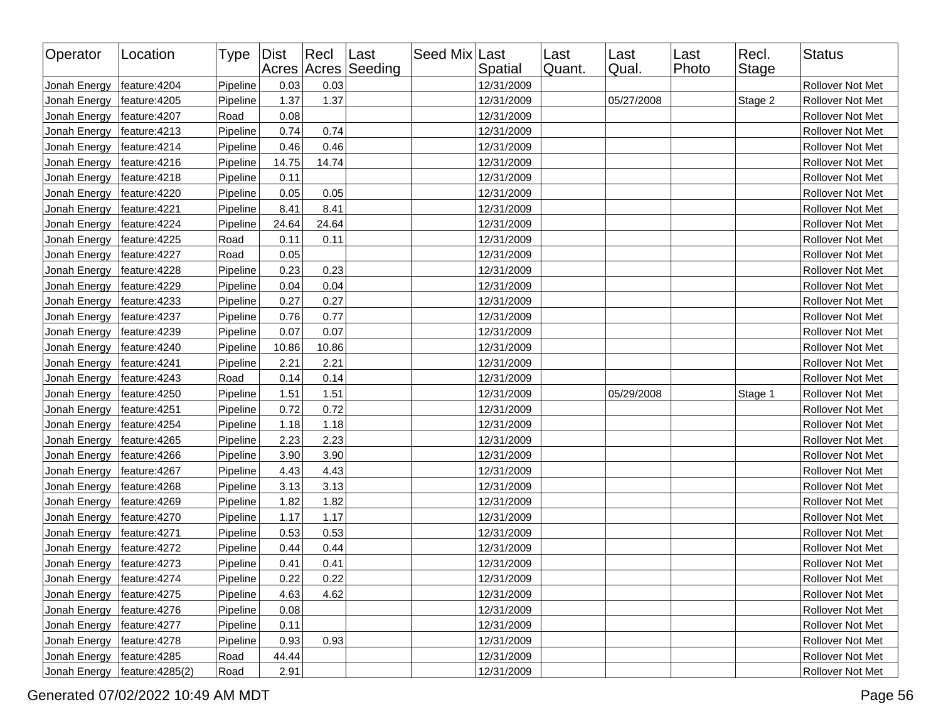| Operator                     | Location         | Type Dist |       | $ $ Recl | Last<br>Acres Acres Seeding | Seed Mix Last | Spatial    | Last<br>Quant. | Last<br>Qual. | Last<br>Photo | Recl.<br><b>Stage</b> | <b>Status</b>    |
|------------------------------|------------------|-----------|-------|----------|-----------------------------|---------------|------------|----------------|---------------|---------------|-----------------------|------------------|
| Jonah Energy                 | feature: 4204    | Pipeline  | 0.03  | 0.03     |                             |               | 12/31/2009 |                |               |               |                       | Rollover Not Met |
| Jonah Energy                 | feature: 4205    | Pipeline  | 1.37  | 1.37     |                             |               | 12/31/2009 |                | 05/27/2008    |               | Stage 2               | Rollover Not Met |
| Jonah Energy                 | feature: 4207    | Road      | 0.08  |          |                             |               | 12/31/2009 |                |               |               |                       | Rollover Not Met |
| Jonah Energy                 | feature: 4213    | Pipeline  | 0.74  | 0.74     |                             |               | 12/31/2009 |                |               |               |                       | Rollover Not Met |
| Jonah Energy                 | feature: 4214    | Pipeline  | 0.46  | 0.46     |                             |               | 12/31/2009 |                |               |               |                       | Rollover Not Met |
| Jonah Energy                 | feature:4216     | Pipeline  | 14.75 | 14.74    |                             |               | 12/31/2009 |                |               |               |                       | Rollover Not Met |
| Jonah Energy                 | feature: 4218    | Pipeline  | 0.11  |          |                             |               | 12/31/2009 |                |               |               |                       | Rollover Not Met |
| Jonah Energy                 | feature:4220     | Pipeline  | 0.05  | 0.05     |                             |               | 12/31/2009 |                |               |               |                       | Rollover Not Met |
| Jonah Energy                 | feature: 4221    | Pipeline  | 8.41  | 8.41     |                             |               | 12/31/2009 |                |               |               |                       | Rollover Not Met |
| Jonah Energy                 | feature: 4224    | Pipeline  | 24.64 | 24.64    |                             |               | 12/31/2009 |                |               |               |                       | Rollover Not Met |
| Jonah Energy                 | feature: 4225    | Road      | 0.11  | 0.11     |                             |               | 12/31/2009 |                |               |               |                       | Rollover Not Met |
| Jonah Energy                 | feature: 4227    | Road      | 0.05  |          |                             |               | 12/31/2009 |                |               |               |                       | Rollover Not Met |
| Jonah Energy                 | feature:4228     | Pipeline  | 0.23  | 0.23     |                             |               | 12/31/2009 |                |               |               |                       | Rollover Not Met |
| Jonah Energy                 | feature:4229     | Pipeline  | 0.04  | 0.04     |                             |               | 12/31/2009 |                |               |               |                       | Rollover Not Met |
| Jonah Energy                 | feature: 4233    | Pipeline  | 0.27  | 0.27     |                             |               | 12/31/2009 |                |               |               |                       | Rollover Not Met |
| Jonah Energy                 | feature: 4237    | Pipeline  | 0.76  | 0.77     |                             |               | 12/31/2009 |                |               |               |                       | Rollover Not Met |
| Jonah Energy                 | feature:4239     | Pipeline  | 0.07  | 0.07     |                             |               | 12/31/2009 |                |               |               |                       | Rollover Not Met |
| Jonah Energy                 | feature:4240     | Pipeline  | 10.86 | 10.86    |                             |               | 12/31/2009 |                |               |               |                       | Rollover Not Met |
| Jonah Energy                 | feature: 4241    | Pipeline  | 2.21  | 2.21     |                             |               | 12/31/2009 |                |               |               |                       | Rollover Not Met |
| Jonah Energy                 | feature: 4243    | Road      | 0.14  | 0.14     |                             |               | 12/31/2009 |                |               |               |                       | Rollover Not Met |
| Jonah Energy                 | feature:4250     | Pipeline  | 1.51  | 1.51     |                             |               | 12/31/2009 |                | 05/29/2008    |               | Stage 1               | Rollover Not Met |
| Jonah Energy                 | feature:4251     | Pipeline  | 0.72  | 0.72     |                             |               | 12/31/2009 |                |               |               |                       | Rollover Not Met |
| Jonah Energy                 | feature: 4254    | Pipeline  | 1.18  | 1.18     |                             |               | 12/31/2009 |                |               |               |                       | Rollover Not Met |
| Jonah Energy                 | feature:4265     | Pipeline  | 2.23  | 2.23     |                             |               | 12/31/2009 |                |               |               |                       | Rollover Not Met |
| Jonah Energy                 | feature: 4266    | Pipeline  | 3.90  | 3.90     |                             |               | 12/31/2009 |                |               |               |                       | Rollover Not Met |
| Jonah Energy                 | feature: 4267    | Pipeline  | 4.43  | 4.43     |                             |               | 12/31/2009 |                |               |               |                       | Rollover Not Met |
| Jonah Energy                 | feature: 4268    | Pipeline  | 3.13  | 3.13     |                             |               | 12/31/2009 |                |               |               |                       | Rollover Not Met |
| Jonah Energy                 | feature: 4269    | Pipeline  | 1.82  | 1.82     |                             |               | 12/31/2009 |                |               |               |                       | Rollover Not Met |
| Jonah Energy                 | feature: 4270    | Pipeline  | 1.17  | 1.17     |                             |               | 12/31/2009 |                |               |               |                       | Rollover Not Met |
| Jonah Energy                 | feature:4271     | Pipeline  | 0.53  | 0.53     |                             |               | 12/31/2009 |                |               |               |                       | Rollover Not Met |
| Jonah Energy                 | feature: 4272    | Pipeline  | 0.44  | 0.44     |                             |               | 12/31/2009 |                |               |               |                       | Rollover Not Met |
| Jonah Energy                 | feature: 4273    | Pipeline  | 0.41  | 0.41     |                             |               | 12/31/2009 |                |               |               |                       | Rollover Not Met |
| Jonah Energy   feature: 4274 |                  | Pipeline  | 0.22  | 0.22     |                             |               | 12/31/2009 |                |               |               |                       | Rollover Not Met |
| Jonah Energy                 | feature:4275     | Pipeline  | 4.63  | 4.62     |                             |               | 12/31/2009 |                |               |               |                       | Rollover Not Met |
| Jonah Energy                 | feature:4276     | Pipeline  | 0.08  |          |                             |               | 12/31/2009 |                |               |               |                       | Rollover Not Met |
| Jonah Energy                 | feature: 4277    | Pipeline  | 0.11  |          |                             |               | 12/31/2009 |                |               |               |                       | Rollover Not Met |
| Jonah Energy                 | feature: 4278    | Pipeline  | 0.93  | 0.93     |                             |               | 12/31/2009 |                |               |               |                       | Rollover Not Met |
| Jonah Energy                 | feature: 4285    | Road      | 44.44 |          |                             |               | 12/31/2009 |                |               |               |                       | Rollover Not Met |
| Jonah Energy                 | feature: 4285(2) | Road      | 2.91  |          |                             |               | 12/31/2009 |                |               |               |                       | Rollover Not Met |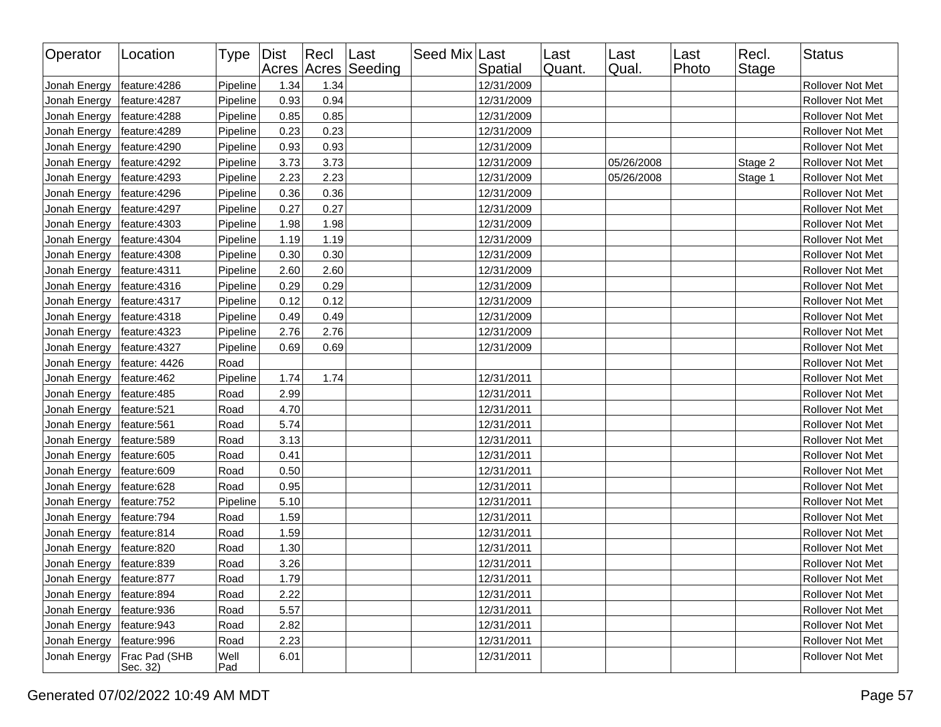| Operator                   | Location                  | Type Dist   |      | Recl Last | Acres Acres Seeding | Seed Mix Last | Spatial    | Last<br>Quant. | Last<br>Qual. | ∣Last<br>Photo | Recl.<br><b>Stage</b> | <b>Status</b>           |
|----------------------------|---------------------------|-------------|------|-----------|---------------------|---------------|------------|----------------|---------------|----------------|-----------------------|-------------------------|
| Jonah Energy               | feature:4286              | Pipeline    | 1.34 | 1.34      |                     |               | 12/31/2009 |                |               |                |                       | <b>Rollover Not Met</b> |
| Jonah Energy               | feature: 4287             | Pipeline    | 0.93 | 0.94      |                     |               | 12/31/2009 |                |               |                |                       | Rollover Not Met        |
| Jonah Energy               | feature: 4288             | Pipeline    | 0.85 | 0.85      |                     |               | 12/31/2009 |                |               |                |                       | Rollover Not Met        |
| Jonah Energy               | feature: 4289             | Pipeline    | 0.23 | 0.23      |                     |               | 12/31/2009 |                |               |                |                       | Rollover Not Met        |
| Jonah Energy               | feature:4290              | Pipeline    | 0.93 | 0.93      |                     |               | 12/31/2009 |                |               |                |                       | Rollover Not Met        |
| Jonah Energy               | feature: 4292             | Pipeline    | 3.73 | 3.73      |                     |               | 12/31/2009 |                | 05/26/2008    |                | Stage 2               | Rollover Not Met        |
| Jonah Energy               | feature: 4293             | Pipeline    | 2.23 | 2.23      |                     |               | 12/31/2009 |                | 05/26/2008    |                | Stage 1               | Rollover Not Met        |
| Jonah Energy               | feature: 4296             | Pipeline    | 0.36 | 0.36      |                     |               | 12/31/2009 |                |               |                |                       | Rollover Not Met        |
| Jonah Energy               | feature: 4297             | Pipeline    | 0.27 | 0.27      |                     |               | 12/31/2009 |                |               |                |                       | Rollover Not Met        |
| Jonah Energy               | feature:4303              | Pipeline    | 1.98 | 1.98      |                     |               | 12/31/2009 |                |               |                |                       | Rollover Not Met        |
| Jonah Energy               | feature:4304              | Pipeline    | 1.19 | 1.19      |                     |               | 12/31/2009 |                |               |                |                       | Rollover Not Met        |
| Jonah Energy               | feature:4308              | Pipeline    | 0.30 | 0.30      |                     |               | 12/31/2009 |                |               |                |                       | Rollover Not Met        |
| Jonah Energy               | feature:4311              | Pipeline    | 2.60 | 2.60      |                     |               | 12/31/2009 |                |               |                |                       | Rollover Not Met        |
| Jonah Energy               | feature:4316              | Pipeline    | 0.29 | 0.29      |                     |               | 12/31/2009 |                |               |                |                       | Rollover Not Met        |
| Jonah Energy               | feature:4317              | Pipeline    | 0.12 | 0.12      |                     |               | 12/31/2009 |                |               |                |                       | Rollover Not Met        |
| Jonah Energy               | feature:4318              | Pipeline    | 0.49 | 0.49      |                     |               | 12/31/2009 |                |               |                |                       | Rollover Not Met        |
| Jonah Energy               | feature:4323              | Pipeline    | 2.76 | 2.76      |                     |               | 12/31/2009 |                |               |                |                       | Rollover Not Met        |
| Jonah Energy               | feature:4327              | Pipeline    | 0.69 | 0.69      |                     |               | 12/31/2009 |                |               |                |                       | Rollover Not Met        |
| Jonah Energy               | feature: 4426             | Road        |      |           |                     |               |            |                |               |                |                       | Rollover Not Met        |
| Jonah Energy               | feature:462               | Pipeline    | 1.74 | 1.74      |                     |               | 12/31/2011 |                |               |                |                       | Rollover Not Met        |
| Jonah Energy               | feature:485               | Road        | 2.99 |           |                     |               | 12/31/2011 |                |               |                |                       | <b>Rollover Not Met</b> |
| Jonah Energy               | feature:521               | Road        | 4.70 |           |                     |               | 12/31/2011 |                |               |                |                       | Rollover Not Met        |
| Jonah Energy               | feature:561               | Road        | 5.74 |           |                     |               | 12/31/2011 |                |               |                |                       | Rollover Not Met        |
| Jonah Energy               | feature:589               | Road        | 3.13 |           |                     |               | 12/31/2011 |                |               |                |                       | Rollover Not Met        |
| Jonah Energy               | feature:605               | Road        | 0.41 |           |                     |               | 12/31/2011 |                |               |                |                       | Rollover Not Met        |
| Jonah Energy               | feature:609               | Road        | 0.50 |           |                     |               | 12/31/2011 |                |               |                |                       | Rollover Not Met        |
| Jonah Energy               | feature:628               | Road        | 0.95 |           |                     |               | 12/31/2011 |                |               |                |                       | Rollover Not Met        |
| Jonah Energy               | feature:752               | Pipeline    | 5.10 |           |                     |               | 12/31/2011 |                |               |                |                       | Rollover Not Met        |
| Jonah Energy               | feature:794               | Road        | 1.59 |           |                     |               | 12/31/2011 |                |               |                |                       | Rollover Not Met        |
| Jonah Energy               | feature:814               | Road        | 1.59 |           |                     |               | 12/31/2011 |                |               |                |                       | Rollover Not Met        |
| Jonah Energy               | feature:820               | Road        | 1.30 |           |                     |               | 12/31/2011 |                |               |                |                       | <b>Rollover Not Met</b> |
| Jonah Energy   feature:839 |                           | Road        | 3.26 |           |                     |               | 12/31/2011 |                |               |                |                       | Rollover Not Met        |
| Jonah Energy               | feature:877               | Road        | 1.79 |           |                     |               | 12/31/2011 |                |               |                |                       | Rollover Not Met        |
| Jonah Energy               | feature:894               | Road        | 2.22 |           |                     |               | 12/31/2011 |                |               |                |                       | Rollover Not Met        |
| Jonah Energy               | feature:936               | Road        | 5.57 |           |                     |               | 12/31/2011 |                |               |                |                       | Rollover Not Met        |
| Jonah Energy               | feature:943               | Road        | 2.82 |           |                     |               | 12/31/2011 |                |               |                |                       | Rollover Not Met        |
| Jonah Energy               | feature:996               | Road        | 2.23 |           |                     |               | 12/31/2011 |                |               |                |                       | Rollover Not Met        |
| Jonah Energy               | Frac Pad (SHB<br>Sec. 32) | Well<br>Pad | 6.01 |           |                     |               | 12/31/2011 |                |               |                |                       | Rollover Not Met        |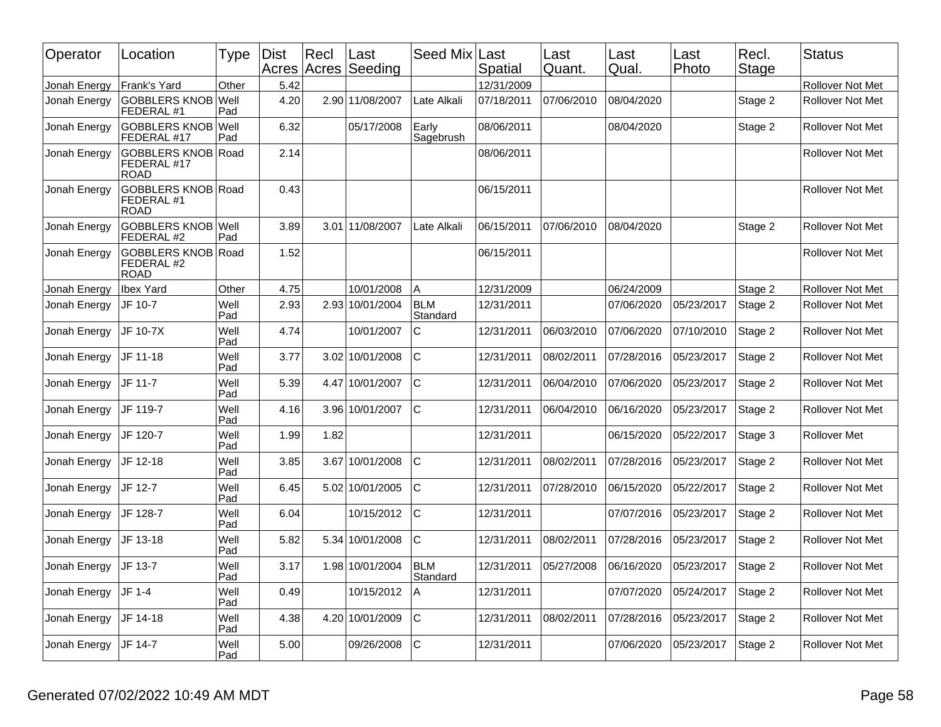| Operator     | Location                                           | Type        | <b>Dist</b> | $ $ Recl<br>Acres Acres | Last<br>Seeding | Seed Mix               | Last<br>Spatial | Last<br>Quant. | Last<br>Qual. | Last<br>Photo | Recl.<br>Stage | <b>Status</b>           |
|--------------|----------------------------------------------------|-------------|-------------|-------------------------|-----------------|------------------------|-----------------|----------------|---------------|---------------|----------------|-------------------------|
| Jonah Energy | Frank's Yard                                       | Other       | 5.42        |                         |                 |                        | 12/31/2009      |                |               |               |                | <b>Rollover Not Met</b> |
| Jonah Energy | GOBBLERS KNOB Well<br>FEDERAL #1                   | Pad         | 4.20        |                         | 2.90 11/08/2007 | Late Alkali            | 07/18/2011      | 07/06/2010     | 08/04/2020    |               | Stage 2        | <b>Rollover Not Met</b> |
| Jonah Energy | GOBBLERS KNOB Well<br>FEDERAL #17                  | Pad         | 6.32        |                         | 05/17/2008      | Early<br>Sagebrush     | 08/06/2011      |                | 08/04/2020    |               | Stage 2        | <b>Rollover Not Met</b> |
| Jonah Energy | <b>GOBBLERS KNOB</b><br>FEDERAL #17<br><b>ROAD</b> | Road        | 2.14        |                         |                 |                        | 08/06/2011      |                |               |               |                | <b>Rollover Not Met</b> |
| Jonah Energy | <b>GOBBLERS KNOB</b><br>FEDERAL #1<br><b>ROAD</b>  | Road        | 0.43        |                         |                 |                        | 06/15/2011      |                |               |               |                | Rollover Not Met        |
| Jonah Energy | GOBBLERS KNOB Well<br>FEDERAL #2                   | Pad         | 3.89        |                         | 3.01 11/08/2007 | Late Alkali            | 06/15/2011      | 07/06/2010     | 08/04/2020    |               | Stage 2        | Rollover Not Met        |
| Jonah Energy | <b>GOBBLERS KNOB</b><br>FEDERAL #2<br><b>ROAD</b>  | l Road      | 1.52        |                         |                 |                        | 06/15/2011      |                |               |               |                | Rollover Not Met        |
| Jonah Energy | <b>Ibex Yard</b>                                   | Other       | 4.75        |                         | 10/01/2008      | Α                      | 12/31/2009      |                | 06/24/2009    |               | Stage 2        | <b>Rollover Not Met</b> |
| Jonah Energy | JF 10-7                                            | Well<br>Pad | 2.93        |                         | 2.93 10/01/2004 | <b>BLM</b><br>Standard | 12/31/2011      |                | 07/06/2020    | 05/23/2017    | Stage 2        | Rollover Not Met        |
| Jonah Energy | JF 10-7X                                           | Well<br>Pad | 4.74        |                         | 10/01/2007      | $\mathsf{C}$           | 12/31/2011      | 06/03/2010     | 07/06/2020    | 07/10/2010    | Stage 2        | <b>Rollover Not Met</b> |
| Jonah Energy | JF 11-18                                           | Well<br>Pad | 3.77        |                         | 3.02 10/01/2008 | C                      | 12/31/2011      | 08/02/2011     | 07/28/2016    | 05/23/2017    | Stage 2        | <b>Rollover Not Met</b> |
| Jonah Energy | JF 11-7                                            | Well<br>Pad | 5.39        |                         | 4.47 10/01/2007 | $\mathsf{C}$           | 12/31/2011      | 06/04/2010     | 07/06/2020    | 05/23/2017    | Stage 2        | <b>Rollover Not Met</b> |
| Jonah Energy | JF 119-7                                           | Well<br>Pad | 4.16        |                         | 3.96 10/01/2007 | $\mathsf{C}$           | 12/31/2011      | 06/04/2010     | 06/16/2020    | 05/23/2017    | Stage 2        | <b>Rollover Not Met</b> |
| Jonah Energy | JF 120-7                                           | Well<br>Pad | 1.99        | 1.82                    |                 |                        | 12/31/2011      |                | 06/15/2020    | 05/22/2017    | Stage 3        | Rollover Met            |
| Jonah Energy | JF 12-18                                           | Well<br>Pad | 3.85        |                         | 3.67 10/01/2008 | C                      | 12/31/2011      | 08/02/2011     | 07/28/2016    | 05/23/2017    | Stage 2        | <b>Rollover Not Met</b> |
| Jonah Energy | JF 12-7                                            | Well<br>Pad | 6.45        |                         | 5.02 10/01/2005 | $\mathsf{C}$           | 12/31/2011      | 07/28/2010     | 06/15/2020    | 05/22/2017    | Stage 2        | Rollover Not Met        |
| Jonah Energy | JF 128-7                                           | Well<br>Pad | 6.04        |                         | 10/15/2012      | $\mathsf{C}$           | 12/31/2011      |                | 07/07/2016    | 05/23/2017    | Stage 2        | <b>Rollover Not Met</b> |
| Jonah Energy | JF 13-18                                           | Well<br>Pad | 5.82        |                         | 5.34 10/01/2008 | $\mathsf{C}$           | 12/31/2011      | 08/02/2011     | 07/28/2016    | 05/23/2017    | Stage 2        | <b>Rollover Not Met</b> |
| Jonah Energy | JF 13-7                                            | Well<br>Pad | 3.17        |                         | 1.98 10/01/2004 | <b>BLM</b><br>Standard | 12/31/2011      | 05/27/2008     | 06/16/2020    | 05/23/2017    | Stage 2        | <b>Rollover Not Met</b> |
| Jonah Energy | JF 1-4                                             | Well<br>Pad | 0.49        |                         | 10/15/2012      | A                      | 12/31/2011      |                | 07/07/2020    | 05/24/2017    | Stage 2        | <b>Rollover Not Met</b> |
| Jonah Energy | JF 14-18                                           | Well<br>Pad | 4.38        |                         | 4.20 10/01/2009 | C                      | 12/31/2011      | 08/02/2011     | 07/28/2016    | 05/23/2017    | Stage 2        | <b>Rollover Not Met</b> |
| Jonah Energy | JF 14-7                                            | Well<br>Pad | 5.00        |                         | 09/26/2008      | C                      | 12/31/2011      |                | 07/06/2020    | 05/23/2017    | Stage 2        | <b>Rollover Not Met</b> |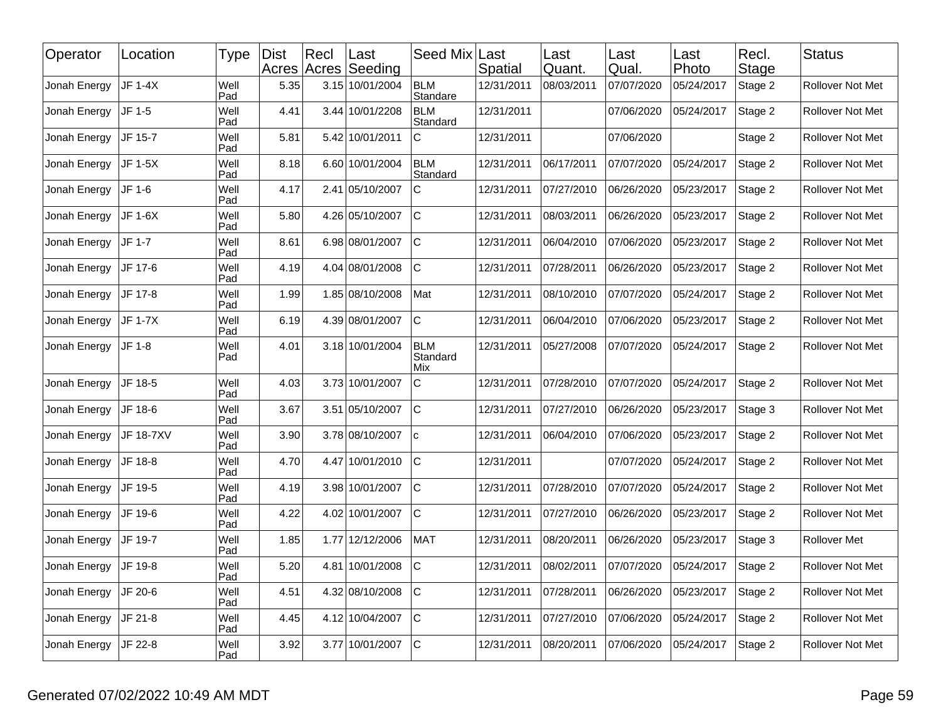| Operator     | Location       | <b>Type</b> | <b>Dist</b> | Recl<br>Acres Acres | Last<br>Seeding | Seed Mix                      | Last<br>Spatial | Last<br> Quant. | Last<br>Qual. | Last<br>Photo | Recl.<br>Stage | <b>Status</b>           |
|--------------|----------------|-------------|-------------|---------------------|-----------------|-------------------------------|-----------------|-----------------|---------------|---------------|----------------|-------------------------|
| Jonah Energy | <b>JF 1-4X</b> | Well<br>Pad | 5.35        |                     | 3.15 10/01/2004 | <b>BLM</b><br>Standare        | 12/31/2011      | 08/03/2011      | 07/07/2020    | 05/24/2017    | Stage 2        | Rollover Not Met        |
| Jonah Energy | JF 1-5         | Well<br>Pad | 4.41        |                     | 3.44 10/01/2208 | <b>BLM</b><br>Standard        | 12/31/2011      |                 | 07/06/2020    | 05/24/2017    | Stage 2        | <b>Rollover Not Met</b> |
| Jonah Energy | JF 15-7        | Well<br>Pad | 5.81        |                     | 5.42 10/01/2011 | C                             | 12/31/2011      |                 | 07/06/2020    |               | Stage 2        | Rollover Not Met        |
| Jonah Energy | JF 1-5X        | Well<br>Pad | 8.18        |                     | 6.60 10/01/2004 | <b>BLM</b><br>Standard        | 12/31/2011      | 06/17/2011      | 07/07/2020    | 05/24/2017    | Stage 2        | Rollover Not Met        |
| Jonah Energy | JF 1-6         | Well<br>Pad | 4.17        |                     | 2.41 05/10/2007 | $\mathsf{C}$                  | 12/31/2011      | 07/27/2010      | 06/26/2020    | 05/23/2017    | Stage 2        | <b>Rollover Not Met</b> |
| Jonah Energy | JF 1-6X        | Well<br>Pad | 5.80        |                     | 4.26 05/10/2007 | $\mathsf{C}$                  | 12/31/2011      | 08/03/2011      | 06/26/2020    | 05/23/2017    | Stage 2        | Rollover Not Met        |
| Jonah Energy | JF 1-7         | Well<br>Pad | 8.61        |                     | 6.98 08/01/2007 | $\mathbf C$                   | 12/31/2011      | 06/04/2010      | 07/06/2020    | 05/23/2017    | Stage 2        | Rollover Not Met        |
| Jonah Energy | JF 17-6        | Well<br>Pad | 4.19        |                     | 4.04 08/01/2008 | $\mathsf{C}$                  | 12/31/2011      | 07/28/2011      | 06/26/2020    | 05/23/2017    | Stage 2        | Rollover Not Met        |
| Jonah Energy | JF 17-8        | Well<br>Pad | 1.99        |                     | 1.85 08/10/2008 | Mat                           | 12/31/2011      | 08/10/2010      | 07/07/2020    | 05/24/2017    | Stage 2        | Rollover Not Met        |
| Jonah Energy | JF 1-7X        | Well<br>Pad | 6.19        |                     | 4.39 08/01/2007 | $\mathsf{C}$                  | 12/31/2011      | 06/04/2010      | 07/06/2020    | 05/23/2017    | Stage 2        | Rollover Not Met        |
| Jonah Energy | JF 1-8         | Well<br>Pad | 4.01        |                     | 3.18 10/01/2004 | <b>BLM</b><br>Standard<br>Mix | 12/31/2011      | 05/27/2008      | 07/07/2020    | 05/24/2017    | Stage 2        | Rollover Not Met        |
| Jonah Energy | JF 18-5        | Well<br>Pad | 4.03        |                     | 3.73 10/01/2007 | $\mathsf C$                   | 12/31/2011      | 07/28/2010      | 07/07/2020    | 05/24/2017    | Stage 2        | Rollover Not Met        |
| Jonah Energy | JF 18-6        | Well<br>Pad | 3.67        |                     | 3.51 05/10/2007 | $\mathbf C$                   | 12/31/2011      | 07/27/2010      | 06/26/2020    | 05/23/2017    | Stage 3        | Rollover Not Met        |
| Jonah Energy | JF 18-7XV      | Well<br>Pad | 3.90        |                     | 3.78 08/10/2007 | lc.                           | 12/31/2011      | 06/04/2010      | 07/06/2020    | 05/23/2017    | Stage 2        | Rollover Not Met        |
| Jonah Energy | JF 18-8        | Well<br>Pad | 4.70        |                     | 4.47 10/01/2010 | $\mathbf C$                   | 12/31/2011      |                 | 07/07/2020    | 05/24/2017    | Stage 2        | <b>Rollover Not Met</b> |
| Jonah Energy | JF 19-5        | Well<br>Pad | 4.19        |                     | 3.98 10/01/2007 | $\mathsf{C}$                  | 12/31/2011      | 07/28/2010      | 07/07/2020    | 05/24/2017    | Stage 2        | Rollover Not Met        |
| Jonah Energy | JF 19-6        | Well<br>Pad | 4.22        |                     | 4.02 10/01/2007 | $\mathsf{C}$                  | 12/31/2011      | 07/27/2010      | 06/26/2020    | 05/23/2017    | Stage 2        | Rollover Not Met        |
| Jonah Energy | JF 19-7        | Well<br>Pad | 1.85        |                     | 1.77 12/12/2006 | MAT                           | 12/31/2011      | 08/20/2011      | 06/26/2020    | 05/23/2017    | Stage 3        | Rollover Met            |
| Jonah Energy | JF 19-8        | Well<br>Pad | 5.20        |                     | 4.81 10/01/2008 | $\mathsf{C}$                  | 12/31/2011      | 08/02/2011      | 07/07/2020    | 05/24/2017    | Stage 2        | Rollover Not Met        |
| Jonah Energy | JF 20-6        | Well<br>Pad | 4.51        |                     | 4.32 08/10/2008 | $\mathbf C$                   | 12/31/2011      | 07/28/2011      | 06/26/2020    | 05/23/2017    | Stage 2        | <b>Rollover Not Met</b> |
| Jonah Energy | JF 21-8        | Well<br>Pad | 4.45        |                     | 4.12 10/04/2007 | $\mathsf{C}$                  | 12/31/2011      | 07/27/2010      | 07/06/2020    | 05/24/2017    | Stage 2        | Rollover Not Met        |
| Jonah Energy | JF 22-8        | Well<br>Pad | 3.92        |                     | 3.77 10/01/2007 | $\mathbf C$                   | 12/31/2011      | 08/20/2011      | 07/06/2020    | 05/24/2017    | Stage 2        | Rollover Not Met        |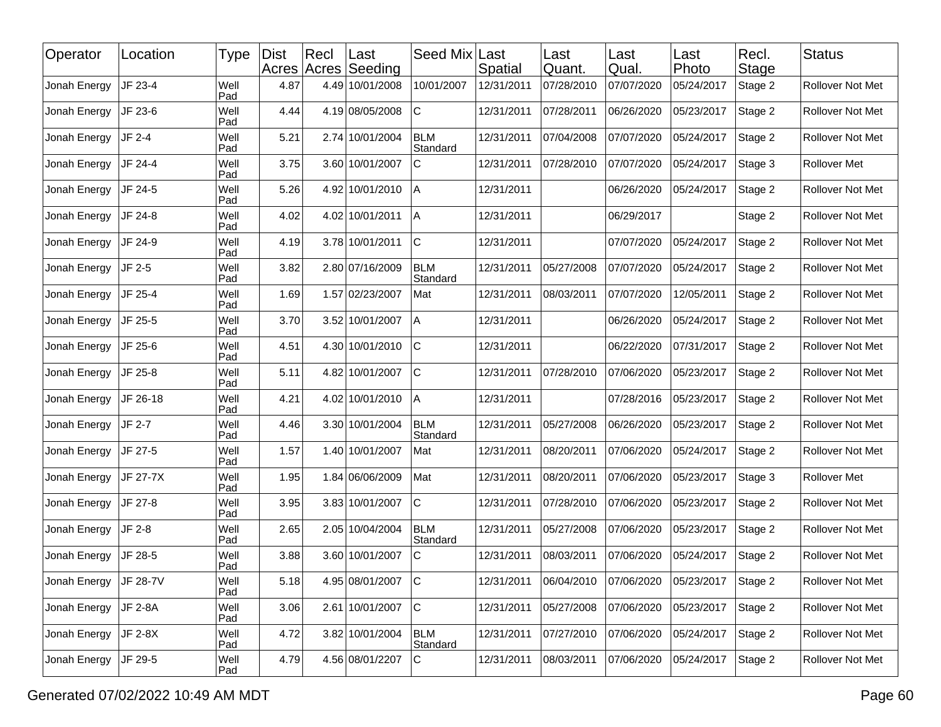| Operator     | Location | <b>Type</b> | <b>Dist</b> | Recl | Last<br>Acres Acres Seeding | Seed Mix               | Last<br>Spatial | Last<br> Quant. | Last<br>Qual. | Last<br>Photo | Recl.<br><b>Stage</b> | <b>Status</b>           |
|--------------|----------|-------------|-------------|------|-----------------------------|------------------------|-----------------|-----------------|---------------|---------------|-----------------------|-------------------------|
| Jonah Energy | JF 23-4  | Well<br>Pad | 4.87        |      | 4.49 10/01/2008             | 10/01/2007             | 12/31/2011      | 07/28/2010      | 07/07/2020    | 05/24/2017    | Stage 2               | <b>Rollover Not Met</b> |
| Jonah Energy | JF 23-6  | Well<br>Pad | 4.44        |      | 4.19 08/05/2008             | $\mathsf{C}$           | 12/31/2011      | 07/28/2011      | 06/26/2020    | 05/23/2017    | Stage 2               | Rollover Not Met        |
| Jonah Energy | JF 2-4   | Well<br>Pad | 5.21        |      | 2.74 10/01/2004             | <b>BLM</b><br>Standard | 12/31/2011      | 07/04/2008      | 07/07/2020    | 05/24/2017    | Stage 2               | Rollover Not Met        |
| Jonah Energy | JF 24-4  | Well<br>Pad | 3.75        |      | 3.60 10/01/2007             | C                      | 12/31/2011      | 07/28/2010      | 07/07/2020    | 05/24/2017    | Stage 3               | Rollover Met            |
| Jonah Energy | JF 24-5  | Well<br>Pad | 5.26        |      | 4.92 10/01/2010             | A                      | 12/31/2011      |                 | 06/26/2020    | 05/24/2017    | Stage 2               | Rollover Not Met        |
| Jonah Energy | JF 24-8  | Well<br>Pad | 4.02        |      | 4.02 10/01/2011             | $\overline{A}$         | 12/31/2011      |                 | 06/29/2017    |               | Stage 2               | <b>Rollover Not Met</b> |
| Jonah Energy | JF 24-9  | Well<br>Pad | 4.19        |      | 3.78 10/01/2011             | $\mathsf{C}$           | 12/31/2011      |                 | 07/07/2020    | 05/24/2017    | Stage 2               | Rollover Not Met        |
| Jonah Energy | JF 2-5   | Well<br>Pad | 3.82        |      | 2.80 07/16/2009             | <b>BLM</b><br>Standard | 12/31/2011      | 05/27/2008      | 07/07/2020    | 05/24/2017    | Stage 2               | Rollover Not Met        |
| Jonah Energy | JF 25-4  | Well<br>Pad | 1.69        |      | 1.57 02/23/2007             | Mat                    | 12/31/2011      | 08/03/2011      | 07/07/2020    | 12/05/2011    | Stage 2               | Rollover Not Met        |
| Jonah Energy | JF 25-5  | Well<br>Pad | 3.70        |      | 3.52 10/01/2007             | A                      | 12/31/2011      |                 | 06/26/2020    | 05/24/2017    | Stage 2               | Rollover Not Met        |
| Jonah Energy | JF 25-6  | Well<br>Pad | 4.51        |      | 4.30 10/01/2010             | $\mathsf{C}$           | 12/31/2011      |                 | 06/22/2020    | 07/31/2017    | Stage 2               | Rollover Not Met        |
| Jonah Energy | JF 25-8  | Well<br>Pad | 5.11        |      | 4.82 10/01/2007             | $\mathsf{C}$           | 12/31/2011      | 07/28/2010      | 07/06/2020    | 05/23/2017    | Stage 2               | <b>Rollover Not Met</b> |
| Jonah Energy | JF 26-18 | Well<br>Pad | 4.21        |      | 4.02 10/01/2010             | A                      | 12/31/2011      |                 | 07/28/2016    | 05/23/2017    | Stage 2               | Rollover Not Met        |
| Jonah Energy | JF 2-7   | Well<br>Pad | 4.46        |      | 3.30 10/01/2004             | <b>BLM</b><br>Standard | 12/31/2011      | 05/27/2008      | 06/26/2020    | 05/23/2017    | Stage 2               | Rollover Not Met        |
| Jonah Energy | JF 27-5  | Well<br>Pad | 1.57        |      | 1.40 10/01/2007             | Mat                    | 12/31/2011      | 08/20/2011      | 07/06/2020    | 05/24/2017    | Stage 2               | Rollover Not Met        |
| Jonah Energy | JF 27-7X | Well<br>Pad | 1.95        |      | 1.84 06/06/2009             | Mat                    | 12/31/2011      | 08/20/2011      | 07/06/2020    | 05/23/2017    | Stage 3               | Rollover Met            |
| Jonah Energy | JF 27-8  | Well<br>Pad | 3.95        |      | 3.83 10/01/2007             | $\mathsf{C}$           | 12/31/2011      | 07/28/2010      | 07/06/2020    | 05/23/2017    | Stage 2               | Rollover Not Met        |
| Jonah Energy | JF 2-8   | Well<br>Pad | 2.65        |      | 2.05 10/04/2004             | <b>BLM</b><br>Standard | 12/31/2011      | 05/27/2008      | 07/06/2020    | 05/23/2017    | Stage 2               | Rollover Not Met        |
| Jonah Energy | JF 28-5  | Well<br>Pad | 3.88        |      | 3.60 10/01/2007             | C                      | 12/31/2011      | 08/03/2011      | 07/06/2020    | 05/24/2017    | Stage 2               | Rollover Not Met        |
| Jonah Energy | JF 28-7V | Well<br>Pad | 5.18        |      | 4.95 08/01/2007             | <sub>C</sub>           | 12/31/2011      | 06/04/2010      | 07/06/2020    | 05/23/2017    | Stage 2               | Rollover Not Met        |
| Jonah Energy | JF 2-8A  | Well<br>Pad | 3.06        |      | 2.61 10/01/2007             | lc.                    | 12/31/2011      | 05/27/2008      | 07/06/2020    | 05/23/2017    | Stage 2               | Rollover Not Met        |
| Jonah Energy | JF 2-8X  | Well<br>Pad | 4.72        |      | 3.82 10/01/2004             | <b>BLM</b><br>Standard | 12/31/2011      | 07/27/2010      | 07/06/2020    | 05/24/2017    | Stage 2               | Rollover Not Met        |
| Jonah Energy | JF 29-5  | Well<br>Pad | 4.79        |      | 4.56 08/01/2207             | $\mathbf C$            | 12/31/2011      | 08/03/2011      | 07/06/2020    | 05/24/2017    | Stage 2               | Rollover Not Met        |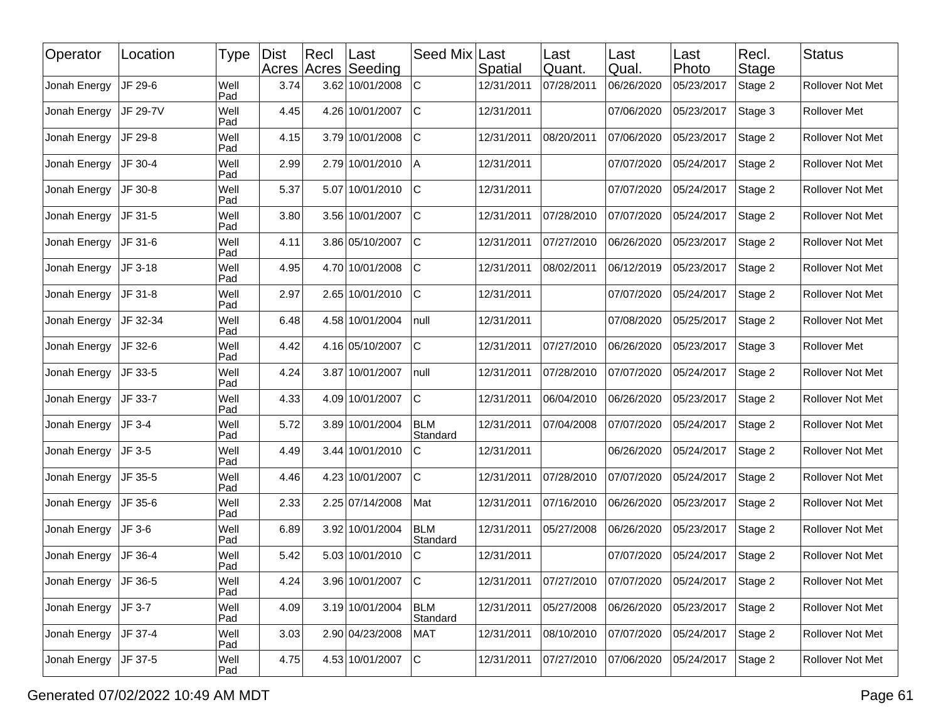| Operator     | Location | <b>Type</b> | <b>Dist</b> | Recl | Last<br>Acres Acres Seeding | Seed Mix               | Last<br>Spatial | Last<br>Quant. | Last<br>Qual. | Last<br>Photo | Recl.<br><b>Stage</b> | <b>Status</b>           |
|--------------|----------|-------------|-------------|------|-----------------------------|------------------------|-----------------|----------------|---------------|---------------|-----------------------|-------------------------|
| Jonah Energy | JF 29-6  | Well<br>Pad | 3.74        |      | 3.62 10/01/2008             | $\mathsf{C}$           | 12/31/2011      | 07/28/2011     | 06/26/2020    | 05/23/2017    | Stage 2               | Rollover Not Met        |
| Jonah Energy | JF 29-7V | Well<br>Pad | 4.45        |      | 4.26 10/01/2007             | $\mathsf{C}$           | 12/31/2011      |                | 07/06/2020    | 05/23/2017    | Stage 3               | <b>Rollover Met</b>     |
| Jonah Energy | JF 29-8  | Well<br>Pad | 4.15        |      | 3.79 10/01/2008             | C                      | 12/31/2011      | 08/20/2011     | 07/06/2020    | 05/23/2017    | Stage 2               | Rollover Not Met        |
| Jonah Energy | JF 30-4  | Well<br>Pad | 2.99        |      | 2.79 10/01/2010             | Α                      | 12/31/2011      |                | 07/07/2020    | 05/24/2017    | Stage 2               | Rollover Not Met        |
| Jonah Energy | JF 30-8  | Well<br>Pad | 5.37        |      | 5.07 10/01/2010             | $\mathsf{C}$           | 12/31/2011      |                | 07/07/2020    | 05/24/2017    | Stage 2               | Rollover Not Met        |
| Jonah Energy | JF 31-5  | Well<br>Pad | 3.80        |      | 3.56 10/01/2007             | $\mathsf{C}$           | 12/31/2011      | 07/28/2010     | 07/07/2020    | 05/24/2017    | Stage 2               | Rollover Not Met        |
| Jonah Energy | JF 31-6  | Well<br>Pad | 4.11        |      | 3.86 05/10/2007             | $\mathsf{C}$           | 12/31/2011      | 07/27/2010     | 06/26/2020    | 05/23/2017    | Stage 2               | Rollover Not Met        |
| Jonah Energy | JF 3-18  | Well<br>Pad | 4.95        |      | 4.70 10/01/2008             | $\mathsf{C}$           | 12/31/2011      | 08/02/2011     | 06/12/2019    | 05/23/2017    | Stage 2               | Rollover Not Met        |
| Jonah Energy | JF 31-8  | Well<br>Pad | 2.97        |      | 2.65 10/01/2010             | $\mathsf{C}$           | 12/31/2011      |                | 07/07/2020    | 05/24/2017    | Stage 2               | Rollover Not Met        |
| Jonah Energy | JF 32-34 | Well<br>Pad | 6.48        |      | 4.58 10/01/2004             | null                   | 12/31/2011      |                | 07/08/2020    | 05/25/2017    | Stage 2               | Rollover Not Met        |
| Jonah Energy | JF 32-6  | Well<br>Pad | 4.42        |      | 4.16 05/10/2007             | $\mathsf{C}$           | 12/31/2011      | 07/27/2010     | 06/26/2020    | 05/23/2017    | Stage 3               | Rollover Met            |
| Jonah Energy | JF 33-5  | Well<br>Pad | 4.24        |      | 3.87 10/01/2007             | null                   | 12/31/2011      | 07/28/2010     | 07/07/2020    | 05/24/2017    | Stage 2               | Rollover Not Met        |
| Jonah Energy | JF 33-7  | Well<br>Pad | 4.33        |      | 4.09 10/01/2007             | $\mathsf{C}$           | 12/31/2011      | 06/04/2010     | 06/26/2020    | 05/23/2017    | Stage 2               | Rollover Not Met        |
| Jonah Energy | JF 3-4   | Well<br>Pad | 5.72        |      | 3.89 10/01/2004             | <b>BLM</b><br>Standard | 12/31/2011      | 07/04/2008     | 07/07/2020    | 05/24/2017    | Stage 2               | Rollover Not Met        |
| Jonah Energy | JF 3-5   | Well<br>Pad | 4.49        |      | 3.44 10/01/2010             | C                      | 12/31/2011      |                | 06/26/2020    | 05/24/2017    | Stage 2               | Rollover Not Met        |
| Jonah Energy | JF 35-5  | Well<br>Pad | 4.46        |      | 4.23 10/01/2007             | $\mathsf{C}$           | 12/31/2011      | 07/28/2010     | 07/07/2020    | 05/24/2017    | Stage 2               | Rollover Not Met        |
| Jonah Energy | JF 35-6  | Well<br>Pad | 2.33        |      | 2.25 07/14/2008             | Mat                    | 12/31/2011      | 07/16/2010     | 06/26/2020    | 05/23/2017    | Stage 2               | Rollover Not Met        |
| Jonah Energy | JF 3-6   | Well<br>Pad | 6.89        |      | 3.92 10/01/2004             | <b>BLM</b><br>Standard | 12/31/2011      | 05/27/2008     | 06/26/2020    | 05/23/2017    | Stage 2               | Rollover Not Met        |
| Jonah Energy | JF 36-4  | Well<br>Pad | 5.42        |      | 5.03 10/01/2010             | C                      | 12/31/2011      |                | 07/07/2020    | 05/24/2017    | Stage 2               | Rollover Not Met        |
| Jonah Energy | JF 36-5  | Well<br>Pad | 4.24        |      | 3.96 10/01/2007             | c                      | 12/31/2011      | 07/27/2010     | 07/07/2020    | 05/24/2017    | Stage 2               | <b>Rollover Not Met</b> |
| Jonah Energy | JF 3-7   | Well<br>Pad | 4.09        |      | 3.19 10/01/2004             | <b>BLM</b><br>Standard | 12/31/2011      | 05/27/2008     | 06/26/2020    | 05/23/2017    | Stage 2               | Rollover Not Met        |
| Jonah Energy | JF 37-4  | Well<br>Pad | 3.03        |      | 2.90 04/23/2008             | <b>MAT</b>             | 12/31/2011      | 08/10/2010     | 07/07/2020    | 05/24/2017    | Stage 2               | Rollover Not Met        |
| Jonah Energy | JF 37-5  | Well<br>Pad | 4.75        |      | 4.53 10/01/2007             | lc.                    | 12/31/2011      | 07/27/2010     | 07/06/2020    | 05/24/2017    | Stage 2               | Rollover Not Met        |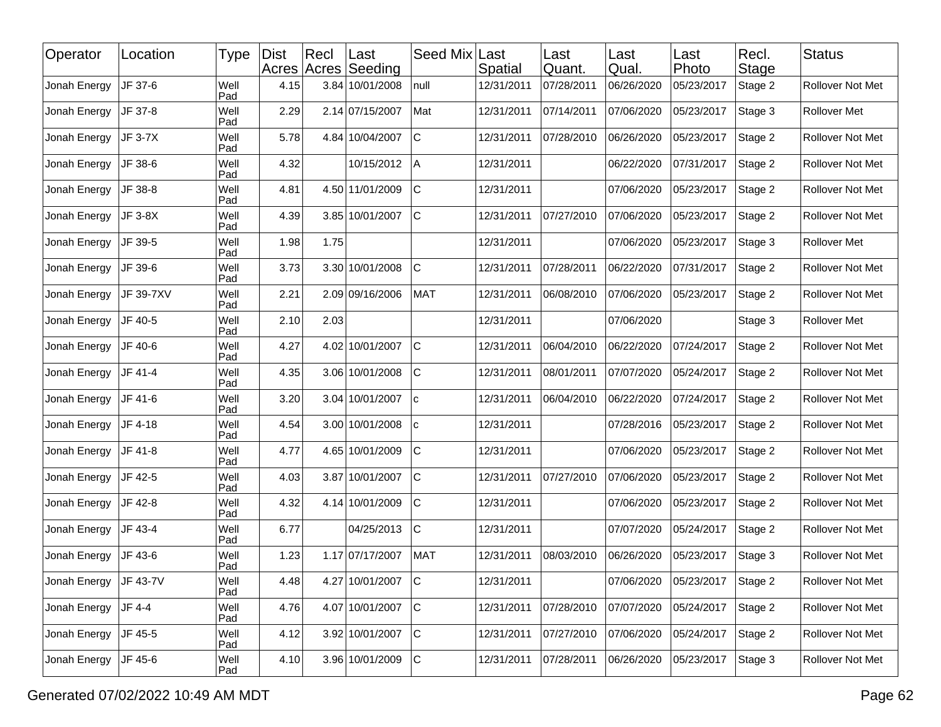| Operator     | Location  | <b>Type</b> | <b>Dist</b> | Recl | Last<br>Acres Acres Seeding | Seed Mix     | Last<br>Spatial | Last<br> Quant. | Last<br>Qual. | Last<br>Photo | Recl.<br><b>Stage</b> | <b>Status</b>           |
|--------------|-----------|-------------|-------------|------|-----------------------------|--------------|-----------------|-----------------|---------------|---------------|-----------------------|-------------------------|
| Jonah Energy | JF 37-6   | Well<br>Pad | 4.15        |      | 3.84 10/01/2008             | null         | 12/31/2011      | 07/28/2011      | 06/26/2020    | 05/23/2017    | Stage 2               | Rollover Not Met        |
| Jonah Energy | JF 37-8   | Well<br>Pad | 2.29        |      | 2.14 07/15/2007             | Mat          | 12/31/2011      | 07/14/2011      | 07/06/2020    | 05/23/2017    | Stage 3               | Rollover Met            |
| Jonah Energy | JF 3-7X   | Well<br>Pad | 5.78        |      | 4.84 10/04/2007             | $\mathsf{C}$ | 12/31/2011      | 07/28/2010      | 06/26/2020    | 05/23/2017    | Stage 2               | Rollover Not Met        |
| Jonah Energy | JF 38-6   | Well<br>Pad | 4.32        |      | 10/15/2012                  | A            | 12/31/2011      |                 | 06/22/2020    | 07/31/2017    | Stage 2               | Rollover Not Met        |
| Jonah Energy | JF 38-8   | Well<br>Pad | 4.81        |      | 4.50 11/01/2009             | $\mathsf{C}$ | 12/31/2011      |                 | 07/06/2020    | 05/23/2017    | Stage 2               | Rollover Not Met        |
| Jonah Energy | JF 3-8X   | Well<br>Pad | 4.39        |      | 3.85 10/01/2007             | $\mathsf{C}$ | 12/31/2011      | 07/27/2010      | 07/06/2020    | 05/23/2017    | Stage 2               | Rollover Not Met        |
| Jonah Energy | JF 39-5   | Well<br>Pad | 1.98        | 1.75 |                             |              | 12/31/2011      |                 | 07/06/2020    | 05/23/2017    | Stage 3               | Rollover Met            |
| Jonah Energy | JF 39-6   | Well<br>Pad | 3.73        |      | 3.30 10/01/2008             | $\mathsf{C}$ | 12/31/2011      | 07/28/2011      | 06/22/2020    | 07/31/2017    | Stage 2               | Rollover Not Met        |
| Jonah Energy | JF 39-7XV | Well<br>Pad | 2.21        |      | 2.09 09/16/2006             | <b>MAT</b>   | 12/31/2011      | 06/08/2010      | 07/06/2020    | 05/23/2017    | Stage 2               | Rollover Not Met        |
| Jonah Energy | JF 40-5   | Well<br>Pad | 2.10        | 2.03 |                             |              | 12/31/2011      |                 | 07/06/2020    |               | Stage 3               | Rollover Met            |
| Jonah Energy | JF 40-6   | Well<br>Pad | 4.27        |      | 4.02 10/01/2007             | $\mathsf{C}$ | 12/31/2011      | 06/04/2010      | 06/22/2020    | 07/24/2017    | Stage 2               | Rollover Not Met        |
| Jonah Energy | JF 41-4   | Well<br>Pad | 4.35        |      | 3.06 10/01/2008             | $\mathsf{C}$ | 12/31/2011      | 08/01/2011      | 07/07/2020    | 05/24/2017    | Stage 2               | <b>Rollover Not Met</b> |
| Jonah Energy | JF 41-6   | Well<br>Pad | 3.20        |      | 3.04 10/01/2007             | ١c           | 12/31/2011      | 06/04/2010      | 06/22/2020    | 07/24/2017    | Stage 2               | Rollover Not Met        |
| Jonah Energy | JF 4-18   | Well<br>Pad | 4.54        |      | 3.00 10/01/2008             | ١c           | 12/31/2011      |                 | 07/28/2016    | 05/23/2017    | Stage 2               | Rollover Not Met        |
| Jonah Energy | JF 41-8   | Well<br>Pad | 4.77        |      | 4.65 10/01/2009             | $\mathsf{C}$ | 12/31/2011      |                 | 07/06/2020    | 05/23/2017    | Stage 2               | Rollover Not Met        |
| Jonah Energy | JF 42-5   | Well<br>Pad | 4.03        |      | 3.87 10/01/2007             | $\mathsf{C}$ | 12/31/2011      | 07/27/2010      | 07/06/2020    | 05/23/2017    | Stage 2               | Rollover Not Met        |
| Jonah Energy | JF 42-8   | Well<br>Pad | 4.32        |      | 4.14 10/01/2009             | $\mathsf{C}$ | 12/31/2011      |                 | 07/06/2020    | 05/23/2017    | Stage 2               | Rollover Not Met        |
| Jonah Energy | JF 43-4   | Well<br>Pad | 6.77        |      | 04/25/2013                  | $\mathsf{C}$ | 12/31/2011      |                 | 07/07/2020    | 05/24/2017    | Stage 2               | Rollover Not Met        |
| Jonah Energy | JF 43-6   | Well<br>Pad | 1.23        |      | 1.17 07/17/2007             | MAT          | 12/31/2011      | 08/03/2010      | 06/26/2020    | 05/23/2017    | Stage 3               | Rollover Not Met        |
| Jonah Energy | JF 43-7V  | Well<br>Pad | 4.48        |      | 4.27 10/01/2007             | <sub>C</sub> | 12/31/2011      |                 | 07/06/2020    | 05/23/2017    | Stage 2               | Rollover Not Met        |
| Jonah Energy | JF 4-4    | Well<br>Pad | 4.76        |      | 4.07 10/01/2007             | lc.          | 12/31/2011      | 07/28/2010      | 07/07/2020    | 05/24/2017    | Stage 2               | Rollover Not Met        |
| Jonah Energy | JF 45-5   | Well<br>Pad | 4.12        |      | 3.92 10/01/2007             | c            | 12/31/2011      | 07/27/2010      | 07/06/2020    | 05/24/2017    | Stage 2               | Rollover Not Met        |
| Jonah Energy | JF 45-6   | Well<br>Pad | 4.10        |      | 3.96 10/01/2009             | lc.          | 12/31/2011      | 07/28/2011      | 06/26/2020    | 05/23/2017    | Stage 3               | Rollover Not Met        |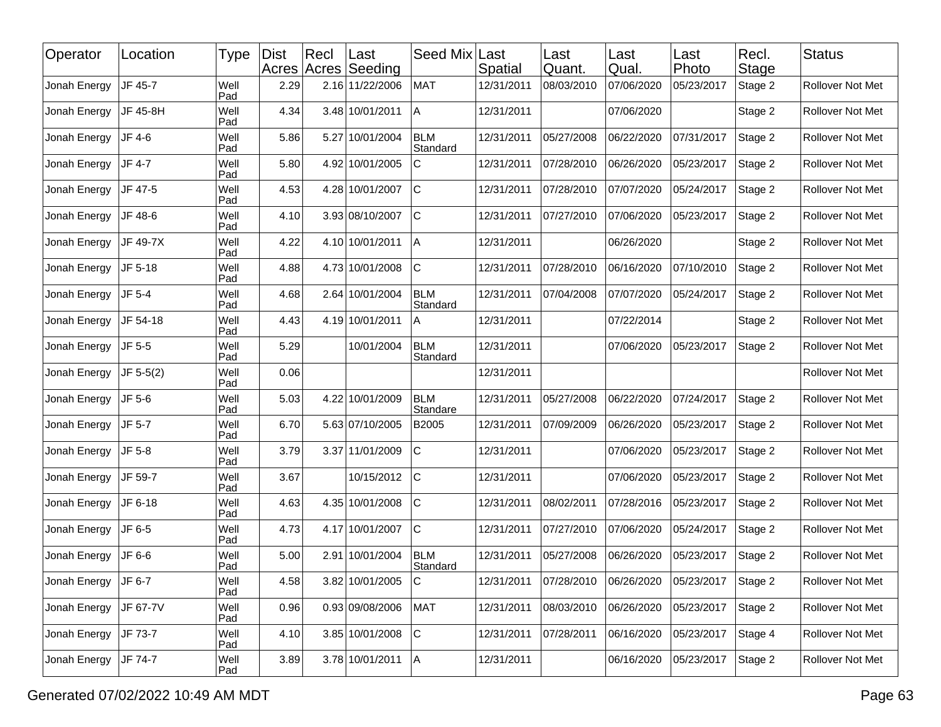| Operator     | Location    | <b>Type</b> | <b>Dist</b> | Recl | Last<br>Acres Acres Seeding | Seed Mix               | Last<br>Spatial | Last<br>Quant. | Last<br>Qual. | Last<br>Photo | Recl.<br><b>Stage</b> | <b>Status</b>    |
|--------------|-------------|-------------|-------------|------|-----------------------------|------------------------|-----------------|----------------|---------------|---------------|-----------------------|------------------|
| Jonah Energy | JF 45-7     | Well<br>Pad | 2.29        |      | 2.16 11/22/2006             | <b>MAT</b>             | 12/31/2011      | 08/03/2010     | 07/06/2020    | 05/23/2017    | Stage 2               | Rollover Not Met |
| Jonah Energy | JF 45-8H    | Well<br>Pad | 4.34        |      | 3.48 10/01/2011             | A                      | 12/31/2011      |                | 07/06/2020    |               | Stage 2               | Rollover Not Met |
| Jonah Energy | JF 4-6      | Well<br>Pad | 5.86        |      | 5.27 10/01/2004             | <b>BLM</b><br>Standard | 12/31/2011      | 05/27/2008     | 06/22/2020    | 07/31/2017    | Stage 2               | Rollover Not Met |
| Jonah Energy | JF 4-7      | Well<br>Pad | 5.80        |      | 4.92 10/01/2005             | C                      | 12/31/2011      | 07/28/2010     | 06/26/2020    | 05/23/2017    | Stage 2               | Rollover Not Met |
| Jonah Energy | JF 47-5     | Well<br>Pad | 4.53        |      | 4.28 10/01/2007             | $\mathsf{C}$           | 12/31/2011      | 07/28/2010     | 07/07/2020    | 05/24/2017    | Stage 2               | Rollover Not Met |
| Jonah Energy | JF 48-6     | Well<br>Pad | 4.10        |      | 3.93 08/10/2007             | $\mathsf{C}$           | 12/31/2011      | 07/27/2010     | 07/06/2020    | 05/23/2017    | Stage 2               | Rollover Not Met |
| Jonah Energy | JF 49-7X    | Well<br>Pad | 4.22        |      | 4.10 10/01/2011             | Α                      | 12/31/2011      |                | 06/26/2020    |               | Stage 2               | Rollover Not Met |
| Jonah Energy | JF 5-18     | Well<br>Pad | 4.88        |      | 4.73 10/01/2008             | $\mathsf{C}$           | 12/31/2011      | 07/28/2010     | 06/16/2020    | 07/10/2010    | Stage 2               | Rollover Not Met |
| Jonah Energy | JF 5-4      | Well<br>Pad | 4.68        |      | 2.64 10/01/2004             | <b>BLM</b><br>Standard | 12/31/2011      | 07/04/2008     | 07/07/2020    | 05/24/2017    | Stage 2               | Rollover Not Met |
| Jonah Energy | JF 54-18    | Well<br>Pad | 4.43        |      | 4.19 10/01/2011             | A                      | 12/31/2011      |                | 07/22/2014    |               | Stage 2               | Rollover Not Met |
| Jonah Energy | JF 5-5      | Well<br>Pad | 5.29        |      | 10/01/2004                  | <b>BLM</b><br>Standard | 12/31/2011      |                | 07/06/2020    | 05/23/2017    | Stage 2               | Rollover Not Met |
| Jonah Energy | $JF 5-5(2)$ | Well<br>Pad | 0.06        |      |                             |                        | 12/31/2011      |                |               |               |                       | Rollover Not Met |
| Jonah Energy | JF 5-6      | Well<br>Pad | 5.03        |      | 4.22 10/01/2009             | <b>BLM</b><br>Standare | 12/31/2011      | 05/27/2008     | 06/22/2020    | 07/24/2017    | Stage 2               | Rollover Not Met |
| Jonah Energy | JF 5-7      | Well<br>Pad | 6.70        |      | 5.63 07/10/2005             | B2005                  | 12/31/2011      | 07/09/2009     | 06/26/2020    | 05/23/2017    | Stage 2               | Rollover Not Met |
| Jonah Energy | JF 5-8      | Well<br>Pad | 3.79        |      | 3.37 11/01/2009             | C                      | 12/31/2011      |                | 07/06/2020    | 05/23/2017    | Stage 2               | Rollover Not Met |
| Jonah Energy | JF 59-7     | Well<br>Pad | 3.67        |      | 10/15/2012                  | $\mathsf{C}$           | 12/31/2011      |                | 07/06/2020    | 05/23/2017    | Stage 2               | Rollover Not Met |
| Jonah Energy | JF 6-18     | Well<br>Pad | 4.63        |      | 4.35 10/01/2008             | $\mathsf{C}$           | 12/31/2011      | 08/02/2011     | 07/28/2016    | 05/23/2017    | Stage 2               | Rollover Not Met |
| Jonah Energy | JF 6-5      | Well<br>Pad | 4.73        |      | 4.17 10/01/2007             | $\mathsf{C}$           | 12/31/2011      | 07/27/2010     | 07/06/2020    | 05/24/2017    | Stage 2               | Rollover Not Met |
| Jonah Energy | JF 6-6      | Well<br>Pad | 5.00        | 2.91 | 10/01/2004                  | <b>BLM</b><br>Standard | 12/31/2011      | 05/27/2008     | 06/26/2020    | 05/23/2017    | Stage 2               | Rollover Not Met |
| Jonah Energy | JF 6-7      | Well<br>Pad | 4.58        |      | 3.82 10/01/2005             | c                      | 12/31/2011      | 07/28/2010     | 06/26/2020    | 05/23/2017    | Stage 2               | Rollover Not Met |
| Jonah Energy | JF 67-7V    | Well<br>Pad | 0.96        |      | 0.93 09/08/2006             | <b>MAT</b>             | 12/31/2011      | 08/03/2010     | 06/26/2020    | 05/23/2017    | Stage 2               | Rollover Not Met |
| Jonah Energy | JF 73-7     | Well<br>Pad | 4.10        |      | 3.85 10/01/2008             | $\mathbf C$            | 12/31/2011      | 07/28/2011     | 06/16/2020    | 05/23/2017    | Stage 4               | Rollover Not Met |
| Jonah Energy | JF 74-7     | Well<br>Pad | 3.89        |      | 3.78 10/01/2011             | lA.                    | 12/31/2011      |                | 06/16/2020    | 05/23/2017    | Stage 2               | Rollover Not Met |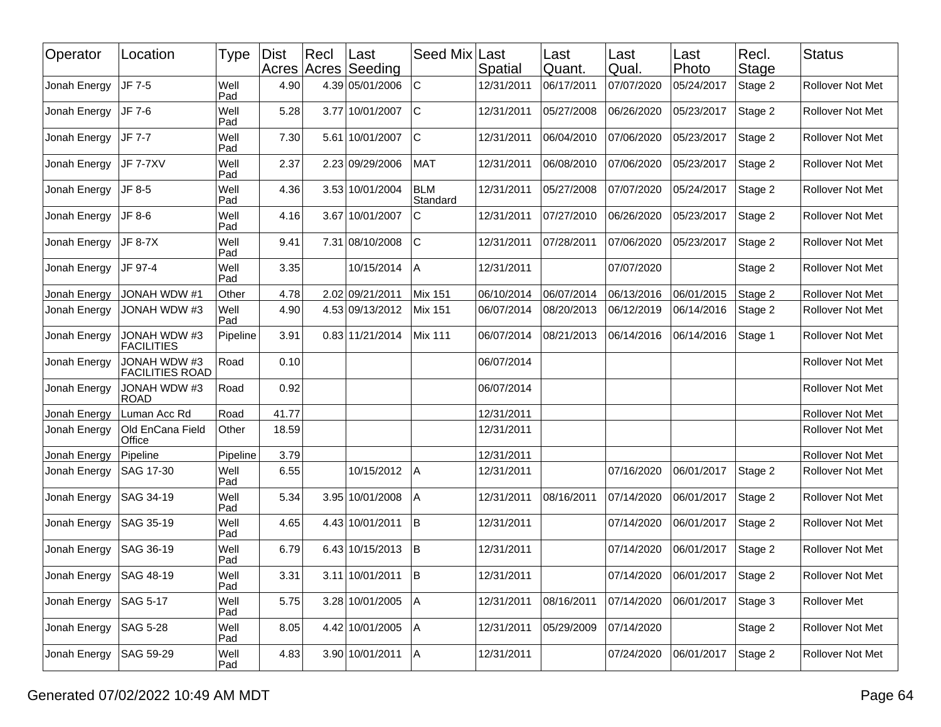| Operator                 | Location                                 | Type        | <b>Dist</b> | Recl | ∣Last<br>Acres Acres Seeding | Seed Mix Last          | Spatial    | Last<br>Quant. | Last<br>Qual. | Last<br>Photo                 | Recl.<br>Stage | <b>Status</b>           |
|--------------------------|------------------------------------------|-------------|-------------|------|------------------------------|------------------------|------------|----------------|---------------|-------------------------------|----------------|-------------------------|
| Jonah Energy             | JF 7-5                                   | Well<br>Pad | 4.90        |      | 4.39 05/01/2006              | $\mathsf C$            | 12/31/2011 | 06/17/2011     | 07/07/2020    | 05/24/2017                    | Stage 2        | Rollover Not Met        |
| Jonah Energy             | JF 7-6                                   | Well<br>Pad | 5.28        |      | 3.77 10/01/2007              | C                      | 12/31/2011 | 05/27/2008     | 06/26/2020    | 05/23/2017                    | Stage 2        | Rollover Not Met        |
| Jonah Energy             | JF 7-7                                   | Well<br>Pad | 7.30        |      | 5.61 10/01/2007              | lc                     | 12/31/2011 | 06/04/2010     | 07/06/2020    | 05/23/2017                    | Stage 2        | Rollover Not Met        |
| Jonah Energy             | <b>JF 7-7XV</b>                          | Well<br>Pad | 2.37        |      | 2.23 09/29/2006              | <b>MAT</b>             | 12/31/2011 | 06/08/2010     | 07/06/2020    | 05/23/2017                    | Stage 2        | Rollover Not Met        |
| Jonah Energy             | JF 8-5                                   | Well<br>Pad | 4.36        |      | 3.53 10/01/2004              | <b>BLM</b><br>Standard | 12/31/2011 | 05/27/2008     | 07/07/2020    | 05/24/2017                    | Stage 2        | Rollover Not Met        |
| Jonah Energy             | JF 8-6                                   | Well<br>Pad | 4.16        |      | 3.67 10/01/2007              | C                      | 12/31/2011 | 07/27/2010     | 06/26/2020    | 05/23/2017                    | Stage 2        | Rollover Not Met        |
| Jonah Energy             | JF 8-7X                                  | Well<br>Pad | 9.41        |      | 7.31 08/10/2008              | C                      | 12/31/2011 | 07/28/2011     | 07/06/2020    | 05/23/2017                    | Stage 2        | Rollover Not Met        |
| Jonah Energy             | JF 97-4                                  | Well<br>Pad | 3.35        |      | 10/15/2014                   | ΙA                     | 12/31/2011 |                | 07/07/2020    |                               | Stage 2        | Rollover Not Met        |
| Jonah Energy             | <b>JONAH WDW #1</b>                      | Other       | 4.78        |      | 2.02 09/21/2011              | Mix 151                | 06/10/2014 | 06/07/2014     | 06/13/2016    | 06/01/2015                    | Stage 2        | <b>Rollover Not Met</b> |
| Jonah Energy             | JONAH WDW #3                             | Well<br>Pad | 4.90        |      | 4.53 09/13/2012              | Mix 151                | 06/07/2014 | 08/20/2013     | 06/12/2019    | 06/14/2016                    | Stage 2        | Rollover Not Met        |
| Jonah Energy             | <b>JONAH WDW #3</b><br><b>FACILITIES</b> | Pipeline    | 3.91        |      | 0.83 11/21/2014              | Mix 111                | 06/07/2014 | 08/21/2013     | 06/14/2016    | 06/14/2016                    | Stage 1        | Rollover Not Met        |
| Jonah Energy             | JONAH WDW #3<br><b>FACILITIES ROAD</b>   | Road        | 0.10        |      |                              |                        | 06/07/2014 |                |               |                               |                | Rollover Not Met        |
| Jonah Energy             | JONAH WDW #3<br><b>ROAD</b>              | Road        | 0.92        |      |                              |                        | 06/07/2014 |                |               |                               |                | Rollover Not Met        |
| Jonah Energy             | Luman Acc Rd                             | Road        | 41.77       |      |                              |                        | 12/31/2011 |                |               |                               |                | Rollover Not Met        |
| Jonah Energy             | Old EnCana Field<br>Office               | Other       | 18.59       |      |                              |                        | 12/31/2011 |                |               |                               |                | Rollover Not Met        |
| Jonah Energy             | Pipeline                                 | Pipeline    | 3.79        |      |                              |                        | 12/31/2011 |                |               |                               |                | Rollover Not Met        |
| Jonah Energy             | SAG 17-30                                | Well<br>Pad | 6.55        |      | 10/15/2012                   | Α                      | 12/31/2011 |                | 07/16/2020    | 06/01/2017                    | Stage 2        | Rollover Not Met        |
| Jonah Energy             | SAG 34-19                                | Well<br>Pad | 5.34        |      | 3.95 10/01/2008              | A                      | 12/31/2011 | 08/16/2011     | 07/14/2020    | 06/01/2017                    | Stage 2        | Rollover Not Met        |
| Jonah Energy             | SAG 35-19                                | Well<br>Pad | 4.65        |      | 4.43 10/01/2011              | lΒ                     | 12/31/2011 |                | 07/14/2020    | 06/01/2017                    | Stage 2        | Rollover Not Met        |
| Jonah Energy             | SAG 36-19                                | Well<br>Pad | 6.79        |      | 6.43 10/15/2013              | ΙB                     | 12/31/2011 |                | 07/14/2020    | 06/01/2017                    | Stage 2        | Rollover Not Met        |
| Jonah Energy   SAG 48-19 |                                          | Well<br>Pad | 3.31        |      | $3.11 10/01/2011$ B          |                        | 12/31/2011 |                |               | 07/14/2020 06/01/2017 Stage 2 |                | Rollover Not Met        |
| Jonah Energy             | SAG 5-17                                 | Well<br>Pad | 5.75        |      | 3.28 10/01/2005              | A                      | 12/31/2011 | 08/16/2011     | 07/14/2020    | 06/01/2017                    | Stage 3        | Rollover Met            |
| Jonah Energy             | SAG 5-28                                 | Well<br>Pad | 8.05        |      | 4.42 10/01/2005              | A                      | 12/31/2011 | 05/29/2009     | 07/14/2020    |                               | Stage 2        | Rollover Not Met        |
| Jonah Energy             | SAG 59-29                                | Well<br>Pad | 4.83        |      | $3.90 10/01/2011$  A         |                        | 12/31/2011 |                | 07/24/2020    | 06/01/2017                    | Stage 2        | Rollover Not Met        |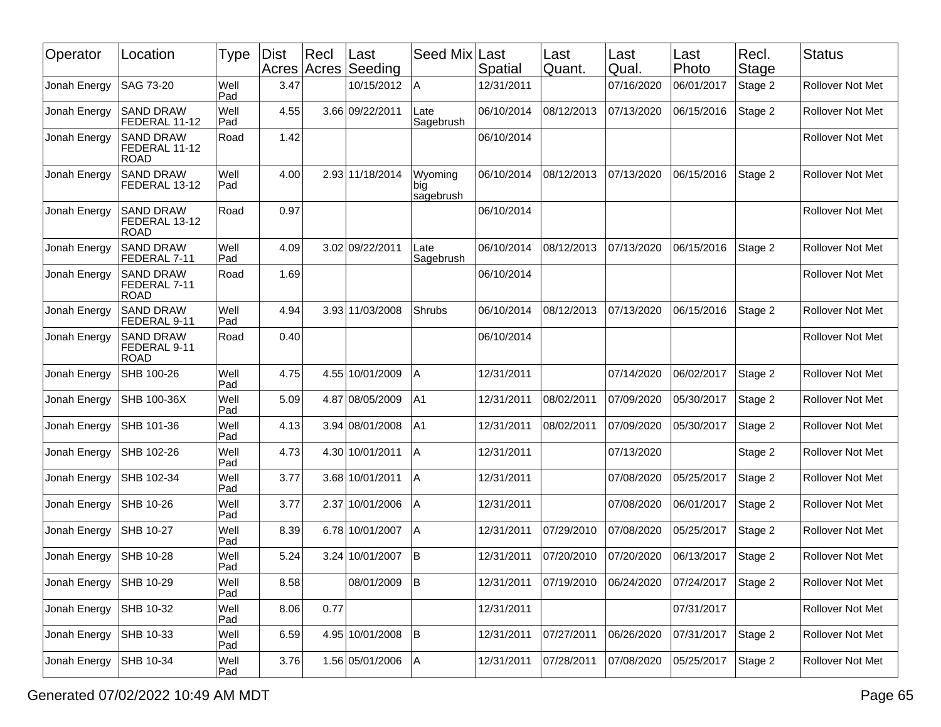| Operator     | Location                                         | <b>Type</b> | <b>Dist</b><br>Acres | Rec <br>Acres | ∣Last<br>Seeding | Seed Mix                     | Last<br>Spatial | Last<br>Quant. | Last<br>Qual. | Last<br>Photo | Recl.<br>Stage | <b>Status</b>           |
|--------------|--------------------------------------------------|-------------|----------------------|---------------|------------------|------------------------------|-----------------|----------------|---------------|---------------|----------------|-------------------------|
| Jonah Energy | <b>SAG 73-20</b>                                 | Well<br>Pad | 3.47                 |               | 10/15/2012       | A                            | 12/31/2011      |                | 07/16/2020    | 06/01/2017    | Stage 2        | <b>Rollover Not Met</b> |
| Jonah Energy | <b>SAND DRAW</b><br>FEDERAL 11-12                | Well<br>Pad | 4.55                 |               | 3.66 09/22/2011  | ∟ate<br>Sagebrush            | 06/10/2014      | 08/12/2013     | 07/13/2020    | 06/15/2016    | Stage 2        | Rollover Not Met        |
| Jonah Energy | <b>SAND DRAW</b><br>FEDERAL 11-12<br><b>ROAD</b> | Road        | 1.42                 |               |                  |                              | 06/10/2014      |                |               |               |                | <b>Rollover Not Met</b> |
| Jonah Energy | <b>SAND DRAW</b><br>FEDERAL 13-12                | Well<br>Pad | 4.00                 |               | 2.93 11/18/2014  | Wyoming<br>big<br> sagebrush | 06/10/2014      | 08/12/2013     | 07/13/2020    | 06/15/2016    | Stage 2        | Rollover Not Met        |
| Jonah Energy | <b>SAND DRAW</b><br>FEDERAL 13-12<br><b>ROAD</b> | Road        | 0.97                 |               |                  |                              | 06/10/2014      |                |               |               |                | Rollover Not Met        |
| Jonah Energy | <b>SAND DRAW</b><br>FEDERAL 7-11                 | Well<br>Pad | 4.09                 |               | 3.02 09/22/2011  | Late<br>Sagebrush            | 06/10/2014      | 08/12/2013     | 07/13/2020    | 06/15/2016    | Stage 2        | <b>Rollover Not Met</b> |
| Jonah Energy | <b>SAND DRAW</b><br>FEDERAL 7-11<br><b>ROAD</b>  | Road        | 1.69                 |               |                  |                              | 06/10/2014      |                |               |               |                | Rollover Not Met        |
| Jonah Energy | <b>SAND DRAW</b><br>FEDERAL 9-11                 | Well<br>Pad | 4.94                 |               | 3.93 11/03/2008  | Shrubs                       | 06/10/2014      | 08/12/2013     | 07/13/2020    | 06/15/2016    | Stage 2        | <b>Rollover Not Met</b> |
| Jonah Energy | <b>SAND DRAW</b><br>FEDERAL 9-11<br><b>ROAD</b>  | Road        | 0.40                 |               |                  |                              | 06/10/2014      |                |               |               |                | <b>Rollover Not Met</b> |
| Jonah Energy | SHB 100-26                                       | Well<br>Pad | 4.75                 |               | 4.55 10/01/2009  | A                            | 12/31/2011      |                | 07/14/2020    | 06/02/2017    | Stage 2        | Rollover Not Met        |
| Jonah Energy | SHB 100-36X                                      | Well<br>Pad | 5.09                 |               | 4.87 08/05/2009  | A <sub>1</sub>               | 12/31/2011      | 08/02/2011     | 07/09/2020    | 05/30/2017    | Stage 2        | <b>Rollover Not Met</b> |
| Jonah Energy | <b>SHB 101-36</b>                                | Well<br>Pad | 4.13                 |               | 3.94 08/01/2008  | A <sub>1</sub>               | 12/31/2011      | 08/02/2011     | 07/09/2020    | 05/30/2017    | Stage 2        | <b>Rollover Not Met</b> |
| Jonah Energy | SHB 102-26                                       | Well<br>Pad | 4.73                 |               | 4.30 10/01/2011  | A                            | 12/31/2011      |                | 07/13/2020    |               | Stage 2        | <b>Rollover Not Met</b> |
| Jonah Energy | SHB 102-34                                       | Well<br>Pad | 3.77                 |               | 3.68 10/01/2011  | A                            | 12/31/2011      |                | 07/08/2020    | 05/25/2017    | Stage 2        | <b>Rollover Not Met</b> |
| Jonah Energy | SHB 10-26                                        | Well<br>Pad | 3.77                 |               | 2.37 10/01/2006  | A                            | 12/31/2011      |                | 07/08/2020    | 06/01/2017    | Stage 2        | <b>Rollover Not Met</b> |
| Jonah Energy | SHB 10-27                                        | Well<br>Pad | 8.39                 |               | 6.78 10/01/2007  | Α                            | 12/31/2011      | 07/29/2010     | 07/08/2020    | 05/25/2017    | Stage 2        | <b>Rollover Not Met</b> |
| Jonah Energy | SHB 10-28                                        | Well<br>Pad | 5.24                 |               | 3.24 10/01/2007  | ΙB                           | 12/31/2011      | 07/20/2010     | 07/20/2020    | 06/13/2017    | Stage 2        | Rollover Not Met        |
| Jonah Energy | SHB 10-29                                        | Well<br>Pad | 8.58                 |               | 08/01/2009       | B                            | 12/31/2011      | 07/19/2010     | 06/24/2020    | 07/24/2017    | Stage 2        | <b>Rollover Not Met</b> |
| Jonah Energy | SHB 10-32                                        | Well<br>Pad | 8.06                 | 0.77          |                  |                              | 12/31/2011      |                |               | 07/31/2017    |                | Rollover Not Met        |
| Jonah Energy | SHB 10-33                                        | Well<br>Pad | 6.59                 |               | 4.95 10/01/2008  | <b>B</b>                     | 12/31/2011      | 07/27/2011     | 06/26/2020    | 07/31/2017    | Stage 2        | Rollover Not Met        |
| Jonah Energy | SHB 10-34                                        | Well<br>Pad | 3.76                 |               | 1.56 05/01/2006  | A                            | 12/31/2011      | 07/28/2011     | 07/08/2020    | 05/25/2017    | Stage 2        | Rollover Not Met        |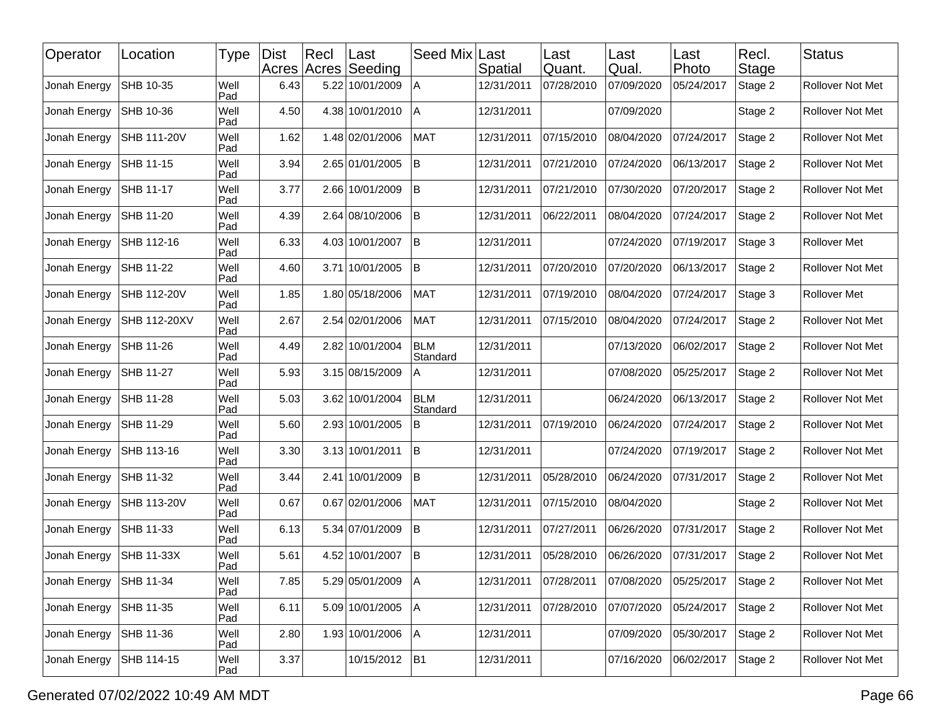| Operator     | Location            | Type        | <b>Dist</b> | Recl | ∣Last<br>Acres Acres Seeding | Seed Mix               | Last<br>Spatial | Last<br>Quant. | Last<br>Qual. | Last<br>Photo | Recl.<br>Stage | <b>Status</b>    |
|--------------|---------------------|-------------|-------------|------|------------------------------|------------------------|-----------------|----------------|---------------|---------------|----------------|------------------|
| Jonah Energy | SHB 10-35           | Well<br>Pad | 6.43        |      | 5.22 10/01/2009              | A                      | 12/31/2011      | 07/28/2010     | 07/09/2020    | 05/24/2017    | Stage 2        | Rollover Not Met |
| Jonah Energy | SHB 10-36           | Well<br>Pad | 4.50        |      | 4.38 10/01/2010              | ΙA                     | 12/31/2011      |                | 07/09/2020    |               | Stage 2        | Rollover Not Met |
| Jonah Energy | SHB 111-20V         | Well<br>Pad | 1.62        |      | 1.48 02/01/2006              | <b>MAT</b>             | 12/31/2011      | 07/15/2010     | 08/04/2020    | 07/24/2017    | Stage 2        | Rollover Not Met |
| Jonah Energy | SHB 11-15           | Well<br>Pad | 3.94        |      | 2.65 01/01/2005              | İΒ                     | 12/31/2011      | 07/21/2010     | 07/24/2020    | 06/13/2017    | Stage 2        | Rollover Not Met |
| Jonah Energy | SHB 11-17           | Well<br>Pad | 3.77        |      | 2.66 10/01/2009              | İΒ                     | 12/31/2011      | 07/21/2010     | 07/30/2020    | 07/20/2017    | Stage 2        | Rollover Not Met |
| Jonah Energy | SHB 11-20           | Well<br>Pad | 4.39        |      | 2.64 08/10/2006              | İВ.                    | 12/31/2011      | 06/22/2011     | 08/04/2020    | 07/24/2017    | Stage 2        | Rollover Not Met |
| Jonah Energy | SHB 112-16          | Well<br>Pad | 6.33        |      | 4.03 10/01/2007              | <b>B</b>               | 12/31/2011      |                | 07/24/2020    | 07/19/2017    | Stage 3        | Rollover Met     |
| Jonah Energy | SHB 11-22           | Well<br>Pad | 4.60        |      | 3.71 10/01/2005              | İВ.                    | 12/31/2011      | 07/20/2010     | 07/20/2020    | 06/13/2017    | Stage 2        | Rollover Not Met |
| Jonah Energy | SHB 112-20V         | Well<br>Pad | 1.85        |      | 1.80 05/18/2006              | <b>MAT</b>             | 12/31/2011      | 07/19/2010     | 08/04/2020    | 07/24/2017    | Stage 3        | Rollover Met     |
| Jonah Energy | <b>SHB 112-20XV</b> | Well<br>Pad | 2.67        |      | 2.54 02/01/2006              | <b>MAT</b>             | 12/31/2011      | 07/15/2010     | 08/04/2020    | 07/24/2017    | Stage 2        | Rollover Not Met |
| Jonah Energy | SHB 11-26           | Well<br>Pad | 4.49        |      | 2.82 10/01/2004              | <b>BLM</b><br>Standard | 12/31/2011      |                | 07/13/2020    | 06/02/2017    | Stage 2        | Rollover Not Met |
| Jonah Energy | SHB 11-27           | Well<br>Pad | 5.93        |      | 3.15 08/15/2009              | A                      | 12/31/2011      |                | 07/08/2020    | 05/25/2017    | Stage 2        | Rollover Not Met |
| Jonah Energy | SHB 11-28           | Well<br>Pad | 5.03        |      | 3.62 10/01/2004              | <b>BLM</b><br>Standard | 12/31/2011      |                | 06/24/2020    | 06/13/2017    | Stage 2        | Rollover Not Met |
| Jonah Energy | SHB 11-29           | Well<br>Pad | 5.60        |      | 2.93 10/01/2005              | B                      | 12/31/2011      | 07/19/2010     | 06/24/2020    | 07/24/2017    | Stage 2        | Rollover Not Met |
| Jonah Energy | SHB 113-16          | Well<br>Pad | 3.30        |      | 3.13 10/01/2011              | <b>B</b>               | 12/31/2011      |                | 07/24/2020    | 07/19/2017    | Stage 2        | Rollover Not Met |
| Jonah Energy | SHB 11-32           | Well<br>Pad | 3.44        |      | 2.41 10/01/2009              | B                      | 12/31/2011      | 05/28/2010     | 06/24/2020    | 07/31/2017    | Stage 2        | Rollover Not Met |
| Jonah Energy | SHB 113-20V         | Well<br>Pad | 0.67        |      | 0.67 02/01/2006              | <b>MAT</b>             | 12/31/2011      | 07/15/2010     | 08/04/2020    |               | Stage 2        | Rollover Not Met |
| Jonah Energy | SHB 11-33           | Well<br>Pad | 6.13        |      | 5.34 07/01/2009              | lB.                    | 12/31/2011      | 07/27/2011     | 06/26/2020    | 07/31/2017    | Stage 2        | Rollover Not Met |
| Jonah Energy | SHB 11-33X          | Well<br>Pad | 5.61        |      | 4.52 10/01/2007              | İΒ                     | 12/31/2011      | 05/28/2010     | 06/26/2020    | 07/31/2017    | Stage 2        | Rollover Not Met |
| Jonah Energy | SHB 11-34           | Well<br>Pad | 7.85        |      | 5.29 05/01/2009   A          |                        | 12/31/2011      | 07/28/2011     | 07/08/2020    | 05/25/2017    | Stage 2        | Rollover Not Met |
| Jonah Energy | SHB 11-35           | Well<br>Pad | 6.11        |      | 5.09 10/01/2005              | A                      | 12/31/2011      | 07/28/2010     | 07/07/2020    | 05/24/2017    | Stage 2        | Rollover Not Met |
| Jonah Energy | SHB 11-36           | Well<br>Pad | 2.80        |      | 1.93 10/01/2006              | A                      | 12/31/2011      |                | 07/09/2020    | 05/30/2017    | Stage 2        | Rollover Not Met |
| Jonah Energy | SHB 114-15          | Well<br>Pad | 3.37        |      | 10/15/2012                   | B <sub>1</sub>         | 12/31/2011      |                | 07/16/2020    | 06/02/2017    | Stage 2        | Rollover Not Met |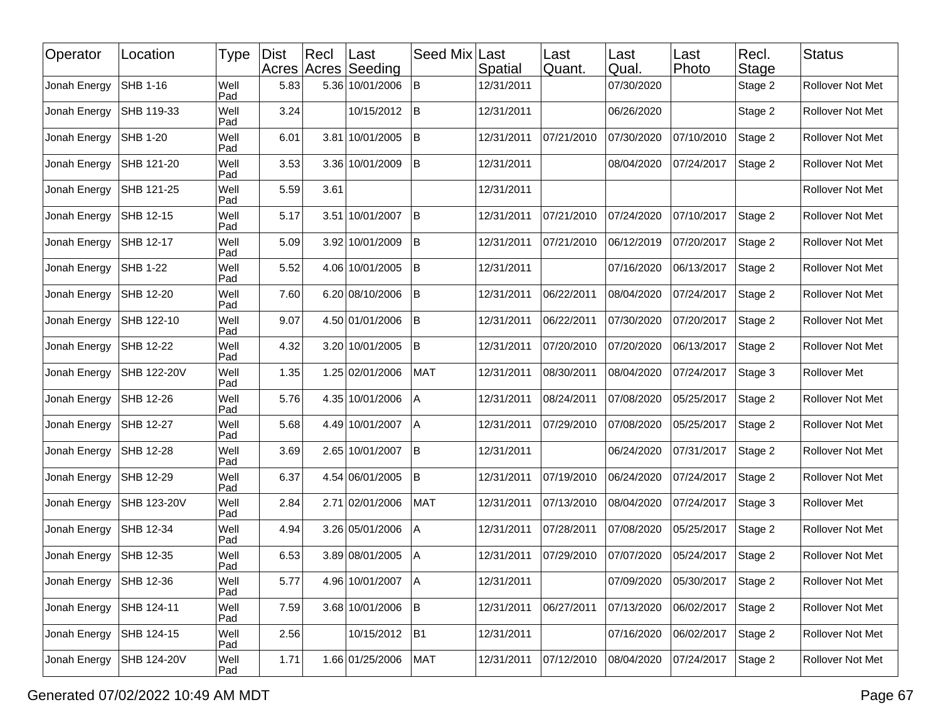| Operator     | Location        | Type        | <b>Dist</b> | Recl | ∣Last<br>Acres Acres Seeding | Seed Mix     | Last<br>Spatial | Last<br>Quant. | Last<br>Qual. | Last <br>Photo | Recl.<br>Stage | <b>Status</b>       |
|--------------|-----------------|-------------|-------------|------|------------------------------|--------------|-----------------|----------------|---------------|----------------|----------------|---------------------|
| Jonah Energy | <b>SHB 1-16</b> | Well<br>Pad | 5.83        |      | 5.36 10/01/2006              | lB.          | 12/31/2011      |                | 07/30/2020    |                | Stage 2        | Rollover Not Met    |
| Jonah Energy | SHB 119-33      | Well<br>Pad | 3.24        |      | 10/15/2012                   | İΒ           | 12/31/2011      |                | 06/26/2020    |                | Stage 2        | Rollover Not Met    |
| Jonah Energy | SHB 1-20        | Well<br>Pad | 6.01        |      | 3.81 10/01/2005              | İΒ           | 12/31/2011      | 07/21/2010     | 07/30/2020    | 07/10/2010     | Stage 2        | Rollover Not Met    |
| Jonah Energy | SHB 121-20      | Well<br>Pad | 3.53        |      | 3.36 10/01/2009              | ΙB           | 12/31/2011      |                | 08/04/2020    | 07/24/2017     | Stage 2        | Rollover Not Met    |
| Jonah Energy | SHB 121-25      | Well<br>Pad | 5.59        | 3.61 |                              |              | 12/31/2011      |                |               |                |                | Rollover Not Met    |
| Jonah Energy | SHB 12-15       | Well<br>Pad | 5.17        |      | 3.51 10/01/2007              | <b>B</b>     | 12/31/2011      | 07/21/2010     | 07/24/2020    | 07/10/2017     | Stage 2        | Rollover Not Met    |
| Jonah Energy | SHB 12-17       | Well<br>Pad | 5.09        |      | 3.92 10/01/2009              | lΒ           | 12/31/2011      | 07/21/2010     | 06/12/2019    | 07/20/2017     | Stage 2        | Rollover Not Met    |
| Jonah Energy | SHB 1-22        | Well<br>Pad | 5.52        |      | 4.06 10/01/2005              | İΒ           | 12/31/2011      |                | 07/16/2020    | 06/13/2017     | Stage 2        | Rollover Not Met    |
| Jonah Energy | SHB 12-20       | Well<br>Pad | 7.60        |      | 6.20 08/10/2006              | <sup>B</sup> | 12/31/2011      | 06/22/2011     | 08/04/2020    | 07/24/2017     | Stage 2        | Rollover Not Met    |
| Jonah Energy | SHB 122-10      | Well<br>Pad | 9.07        |      | 4.50 01/01/2006              | lΒ           | 12/31/2011      | 06/22/2011     | 07/30/2020    | 07/20/2017     | Stage 2        | Rollover Not Met    |
| Jonah Energy | SHB 12-22       | Well<br>Pad | 4.32        |      | 3.20 10/01/2005              | İΒ           | 12/31/2011      | 07/20/2010     | 07/20/2020    | 06/13/2017     | Stage 2        | Rollover Not Met    |
| Jonah Energy | SHB 122-20V     | Well<br>Pad | 1.35        |      | 1.25 02/01/2006              | <b>MAT</b>   | 12/31/2011      | 08/30/2011     | 08/04/2020    | 07/24/2017     | Stage 3        | <b>Rollover Met</b> |
| Jonah Energy | SHB 12-26       | Well<br>Pad | 5.76        |      | 4.35 10/01/2006              | Α            | 12/31/2011      | 08/24/2011     | 07/08/2020    | 05/25/2017     | Stage 2        | Rollover Not Met    |
| Jonah Energy | SHB 12-27       | Well<br>Pad | 5.68        |      | 4.49 10/01/2007              | ΙA           | 12/31/2011      | 07/29/2010     | 07/08/2020    | 05/25/2017     | Stage 2        | Rollover Not Met    |
| Jonah Energy | SHB 12-28       | Well<br>Pad | 3.69        |      | 2.65 10/01/2007              | İΒ           | 12/31/2011      |                | 06/24/2020    | 07/31/2017     | Stage 2        | Rollover Not Met    |
| Jonah Energy | SHB 12-29       | Well<br>Pad | 6.37        |      | 4.54 06/01/2005              | lB.          | 12/31/2011      | 07/19/2010     | 06/24/2020    | 07/24/2017     | Stage 2        | Rollover Not Met    |
| Jonah Energy | SHB 123-20V     | Well<br>Pad | 2.84        |      | 2.71 02/01/2006              | <b>MAT</b>   | 12/31/2011      | 07/13/2010     | 08/04/2020    | 07/24/2017     | Stage 3        | <b>Rollover Met</b> |
| Jonah Energy | SHB 12-34       | Well<br>Pad | 4.94        |      | 3.26 05/01/2006              | A            | 12/31/2011      | 07/28/2011     | 07/08/2020    | 05/25/2017     | Stage 2        | Rollover Not Met    |
| Jonah Energy | SHB 12-35       | Well<br>Pad | 6.53        |      | 3.89 08/01/2005              | A            | 12/31/2011      | 07/29/2010     | 07/07/2020    | 05/24/2017     | Stage 2        | Rollover Not Met    |
| Jonah Energy | SHB 12-36       | Well<br>Pad | 5.77        |      | 4.96 10/01/2007 A            |              | 12/31/2011      |                | 07/09/2020    | 05/30/2017     | Stage 2        | Rollover Not Met    |
| Jonah Energy | SHB 124-11      | Well<br>Pad | 7.59        |      | 3.68 10/01/2006              | B            | 12/31/2011      | 06/27/2011     | 07/13/2020    | 06/02/2017     | Stage 2        | Rollover Not Met    |
| Jonah Energy | SHB 124-15      | Well<br>Pad | 2.56        |      | 10/15/2012                   | B1           | 12/31/2011      |                | 07/16/2020    | 06/02/2017     | Stage 2        | Rollover Not Met    |
| Jonah Energy | SHB 124-20V     | Well<br>Pad | 1.71        |      | 1.66 01/25/2006              | <b>MAT</b>   | 12/31/2011      | 07/12/2010     | 08/04/2020    | 07/24/2017     | Stage 2        | Rollover Not Met    |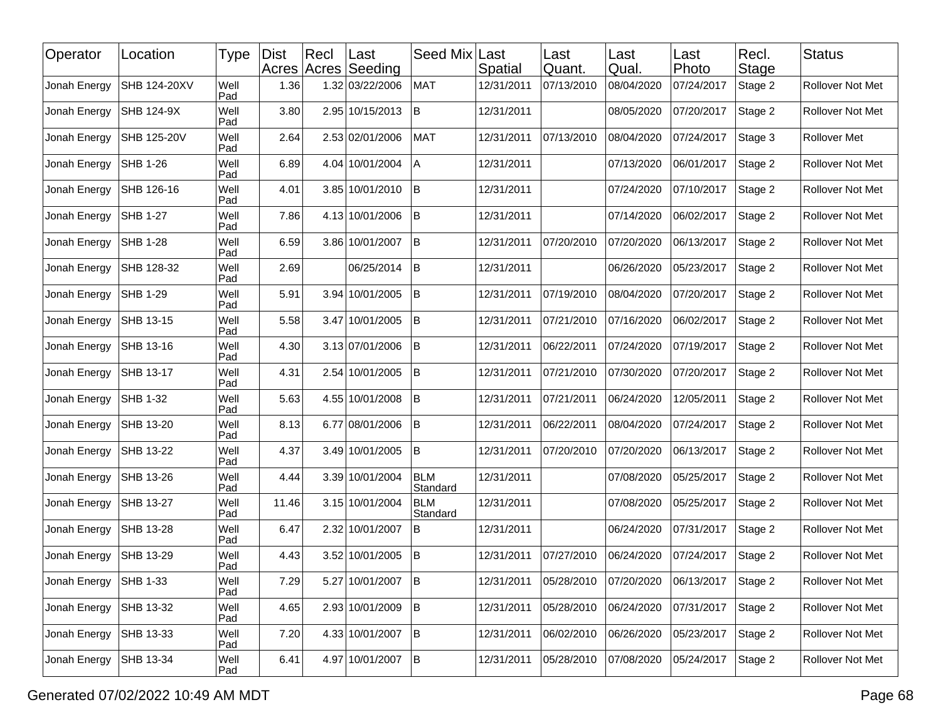| Operator     | Location        | Type        | <b>Dist</b> | Recl | Last<br>Acres Acres Seeding | Seed Mix               | Last<br>Spatial | Last<br>Quant. | Last<br>Qual. | Last<br>Photo | Recl.<br>Stage | <b>Status</b>           |
|--------------|-----------------|-------------|-------------|------|-----------------------------|------------------------|-----------------|----------------|---------------|---------------|----------------|-------------------------|
| Jonah Energy | SHB 124-20XV    | Well<br>Pad | 1.36        |      | 1.32 03/22/2006             | <b>MAT</b>             | 12/31/2011      | 07/13/2010     | 08/04/2020    | 07/24/2017    | Stage 2        | Rollover Not Met        |
| Jonah Energy | SHB 124-9X      | Well<br>Pad | 3.80        |      | 2.95 10/15/2013             | ΙB                     | 12/31/2011      |                | 08/05/2020    | 07/20/2017    | Stage 2        | Rollover Not Met        |
| Jonah Energy | SHB 125-20V     | Well<br>Pad | 2.64        |      | 2.53 02/01/2006             | <b>MAT</b>             | 12/31/2011      | 07/13/2010     | 08/04/2020    | 07/24/2017    | Stage 3        | Rollover Met            |
| Jonah Energy | SHB 1-26        | Well<br>Pad | 6.89        |      | 4.04 10/01/2004             | Α                      | 12/31/2011      |                | 07/13/2020    | 06/01/2017    | Stage 2        | Rollover Not Met        |
| Jonah Energy | SHB 126-16      | Well<br>Pad | 4.01        |      | 3.85 10/01/2010             | ΙB                     | 12/31/2011      |                | 07/24/2020    | 07/10/2017    | Stage 2        | Rollover Not Met        |
| Jonah Energy | SHB 1-27        | Well<br>Pad | 7.86        |      | 4.13 10/01/2006             | ΙB                     | 12/31/2011      |                | 07/14/2020    | 06/02/2017    | Stage 2        | <b>Rollover Not Met</b> |
| Jonah Energy | SHB 1-28        | Well<br>Pad | 6.59        |      | 3.86 10/01/2007             | İΒ                     | 12/31/2011      | 07/20/2010     | 07/20/2020    | 06/13/2017    | Stage 2        | Rollover Not Met        |
| Jonah Energy | SHB 128-32      | Well<br>Pad | 2.69        |      | 06/25/2014                  | İΒ                     | 12/31/2011      |                | 06/26/2020    | 05/23/2017    | Stage 2        | Rollover Not Met        |
| Jonah Energy | SHB 1-29        | Well<br>Pad | 5.91        |      | 3.94 10/01/2005             | İΒ.                    | 12/31/2011      | 07/19/2010     | 08/04/2020    | 07/20/2017    | Stage 2        | Rollover Not Met        |
| Jonah Energy | SHB 13-15       | Well<br>Pad | 5.58        |      | 3.47 10/01/2005             | B                      | 12/31/2011      | 07/21/2010     | 07/16/2020    | 06/02/2017    | Stage 2        | Rollover Not Met        |
| Jonah Energy | SHB 13-16       | Well<br>Pad | 4.30        |      | 3.13 07/01/2006             | ΙB                     | 12/31/2011      | 06/22/2011     | 07/24/2020    | 07/19/2017    | Stage 2        | Rollover Not Met        |
| Jonah Energy | SHB 13-17       | Well<br>Pad | 4.31        |      | 2.54 10/01/2005             | İΒ.                    | 12/31/2011      | 07/21/2010     | 07/30/2020    | 07/20/2017    | Stage 2        | <b>Rollover Not Met</b> |
| Jonah Energy | SHB 1-32        | Well<br>Pad | 5.63        |      | 4.55 10/01/2008             | lB.                    | 12/31/2011      | 07/21/2011     | 06/24/2020    | 12/05/2011    | Stage 2        | Rollover Not Met        |
| Jonah Energy | SHB 13-20       | Well<br>Pad | 8.13        |      | 6.77 08/01/2006             | ΙB                     | 12/31/2011      | 06/22/2011     | 08/04/2020    | 07/24/2017    | Stage 2        | Rollover Not Met        |
| Jonah Energy | SHB 13-22       | Well<br>Pad | 4.37        |      | 3.49 10/01/2005             | lB.                    | 12/31/2011      | 07/20/2010     | 07/20/2020    | 06/13/2017    | Stage 2        | Rollover Not Met        |
| Jonah Energy | SHB 13-26       | Well<br>Pad | 4.44        |      | 3.39 10/01/2004             | <b>BLM</b><br>Standard | 12/31/2011      |                | 07/08/2020    | 05/25/2017    | Stage 2        | Rollover Not Met        |
| Jonah Energy | SHB 13-27       | Well<br>Pad | 11.46       |      | 3.15 10/01/2004             | <b>BLM</b><br>Standard | 12/31/2011      |                | 07/08/2020    | 05/25/2017    | Stage 2        | Rollover Not Met        |
| Jonah Energy | SHB 13-28       | Well<br>Pad | 6.47        |      | 2.32 10/01/2007             | B                      | 12/31/2011      |                | 06/24/2020    | 07/31/2017    | Stage 2        | Rollover Not Met        |
| Jonah Energy | SHB 13-29       | Well<br>Pad | 4.43        |      | 3.52 10/01/2005             | B                      | 12/31/2011      | 07/27/2010     | 06/24/2020    | 07/24/2017    | Stage 2        | Rollover Not Met        |
| Jonah Energy | <b>SHB 1-33</b> | Well<br>Pad | 7.29        |      | 5.27 10/01/2007 B           |                        | 12/31/2011      | 05/28/2010     | 07/20/2020    | 06/13/2017    | Stage 2        | Rollover Not Met        |
| Jonah Energy | SHB 13-32       | Well<br>Pad | 4.65        |      | 2.93 10/01/2009             | B                      | 12/31/2011      | 05/28/2010     | 06/24/2020    | 07/31/2017    | Stage 2        | Rollover Not Met        |
| Jonah Energy | SHB 13-33       | Well<br>Pad | 7.20        |      | 4.33 10/01/2007             | B                      | 12/31/2011      | 06/02/2010     | 06/26/2020    | 05/23/2017    | Stage 2        | Rollover Not Met        |
| Jonah Energy | SHB 13-34       | Well<br>Pad | 6.41        |      | 4.97 10/01/2007             | B                      | 12/31/2011      | 05/28/2010     | 07/08/2020    | 05/24/2017    | Stage 2        | Rollover Not Met        |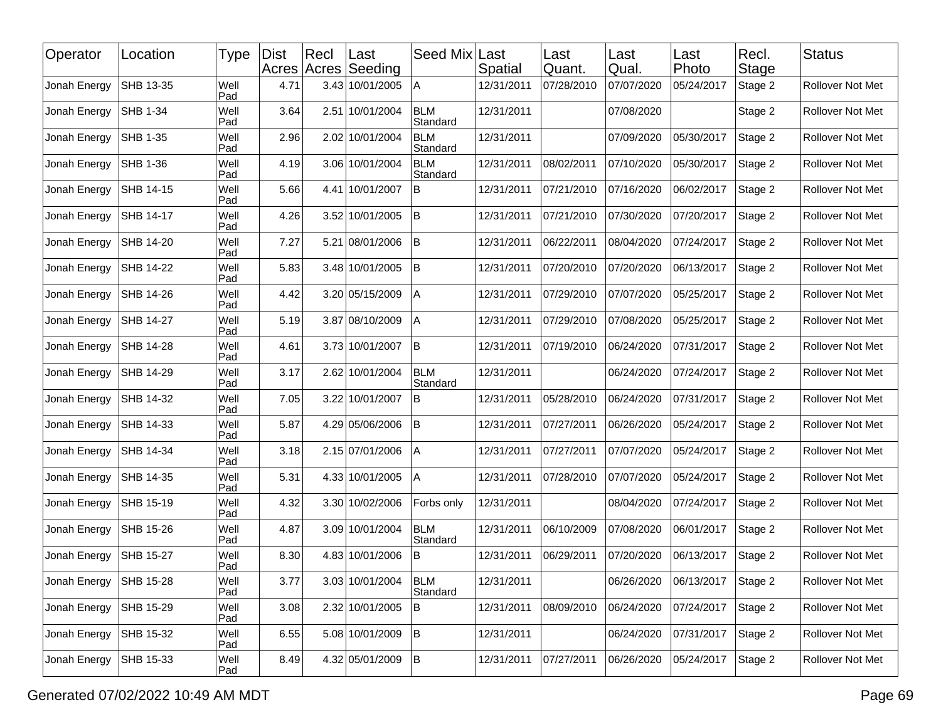| Operator     | Location        | Type        | <b>Dist</b> | $ $ Recl | Last<br>Acres Acres Seeding | Seed Mix               | Last<br>Spatial | Last<br>Quant. | Last<br>Qual. | Last<br>Photo | Recl.<br>Stage | <b>Status</b>           |
|--------------|-----------------|-------------|-------------|----------|-----------------------------|------------------------|-----------------|----------------|---------------|---------------|----------------|-------------------------|
| Jonah Energy | SHB 13-35       | Well<br>Pad | 4.71        |          | 3.43 10/01/2005             | Α                      | 12/31/2011      | 07/28/2010     | 07/07/2020    | 05/24/2017    | Stage 2        | Rollover Not Met        |
| Jonah Energy | <b>SHB 1-34</b> | Well<br>Pad | 3.64        |          | 2.51 10/01/2004             | <b>BLM</b><br>Standard | 12/31/2011      |                | 07/08/2020    |               | Stage 2        | Rollover Not Met        |
| Jonah Energy | SHB 1-35        | Well<br>Pad | 2.96        |          | 2.02 10/01/2004             | <b>BLM</b><br>Standard | 12/31/2011      |                | 07/09/2020    | 05/30/2017    | Stage 2        | Rollover Not Met        |
| Jonah Energy | SHB 1-36        | Well<br>Pad | 4.19        |          | 3.06 10/01/2004             | <b>BLM</b><br>Standard | 12/31/2011      | 08/02/2011     | 07/10/2020    | 05/30/2017    | Stage 2        | Rollover Not Met        |
| Jonah Energy | SHB 14-15       | Well<br>Pad | 5.66        |          | 4.41 10/01/2007             | B                      | 12/31/2011      | 07/21/2010     | 07/16/2020    | 06/02/2017    | Stage 2        | Rollover Not Met        |
| Jonah Energy | SHB 14-17       | Well<br>Pad | 4.26        |          | 3.52 10/01/2005             | lB.                    | 12/31/2011      | 07/21/2010     | 07/30/2020    | 07/20/2017    | Stage 2        | <b>Rollover Not Met</b> |
| Jonah Energy | SHB 14-20       | Well<br>Pad | 7.27        |          | 5.21 08/01/2006             | B                      | 12/31/2011      | 06/22/2011     | 08/04/2020    | 07/24/2017    | Stage 2        | Rollover Not Met        |
| Jonah Energy | SHB 14-22       | Well<br>Pad | 5.83        |          | 3.48 10/01/2005             | ΙB                     | 12/31/2011      | 07/20/2010     | 07/20/2020    | 06/13/2017    | Stage 2        | Rollover Not Met        |
| Jonah Energy | SHB 14-26       | Well<br>Pad | 4.42        |          | 3.20 05/15/2009             | A                      | 12/31/2011      | 07/29/2010     | 07/07/2020    | 05/25/2017    | Stage 2        | Rollover Not Met        |
| Jonah Energy | SHB 14-27       | Well<br>Pad | 5.19        |          | 3.87 08/10/2009             | Α                      | 12/31/2011      | 07/29/2010     | 07/08/2020    | 05/25/2017    | Stage 2        | Rollover Not Met        |
| Jonah Energy | SHB 14-28       | Well<br>Pad | 4.61        |          | 3.73 10/01/2007             | İΒ                     | 12/31/2011      | 07/19/2010     | 06/24/2020    | 07/31/2017    | Stage 2        | Rollover Not Met        |
| Jonah Energy | SHB 14-29       | Well<br>Pad | 3.17        |          | 2.62 10/01/2004             | <b>BLM</b><br>Standard | 12/31/2011      |                | 06/24/2020    | 07/24/2017    | Stage 2        | <b>Rollover Not Met</b> |
| Jonah Energy | SHB 14-32       | Well<br>Pad | 7.05        |          | 3.22 10/01/2007             | B                      | 12/31/2011      | 05/28/2010     | 06/24/2020    | 07/31/2017    | Stage 2        | Rollover Not Met        |
| Jonah Energy | SHB 14-33       | Well<br>Pad | 5.87        |          | 4.29 05/06/2006             | ΙB                     | 12/31/2011      | 07/27/2011     | 06/26/2020    | 05/24/2017    | Stage 2        | Rollover Not Met        |
| Jonah Energy | SHB 14-34       | Well<br>Pad | 3.18        |          | 2.15 07/01/2006             | A                      | 12/31/2011      | 07/27/2011     | 07/07/2020    | 05/24/2017    | Stage 2        | Rollover Not Met        |
| Jonah Energy | SHB 14-35       | Well<br>Pad | 5.31        |          | 4.33 10/01/2005             | Α                      | 12/31/2011      | 07/28/2010     | 07/07/2020    | 05/24/2017    | Stage 2        | Rollover Not Met        |
| Jonah Energy | SHB 15-19       | Well<br>Pad | 4.32        |          | 3.30 10/02/2006             | Forbs only             | 12/31/2011      |                | 08/04/2020    | 07/24/2017    | Stage 2        | Rollover Not Met        |
| Jonah Energy | SHB 15-26       | Well<br>Pad | 4.87        |          | 3.09 10/01/2004             | BLM<br>Standard        | 12/31/2011      | 06/10/2009     | 07/08/2020    | 06/01/2017    | Stage 2        | Rollover Not Met        |
| Jonah Energy | SHB 15-27       | Well<br>Pad | 8.30        |          | 4.83 10/01/2006             | B                      | 12/31/2011      | 06/29/2011     | 07/20/2020    | 06/13/2017    | Stage 2        | Rollover Not Met        |
| Jonah Energy | SHB 15-28       | Well<br>Pad | 3.77        |          | 3.03 10/01/2004             | <b>BLM</b><br>Standard | 12/31/2011      |                | 06/26/2020    | 06/13/2017    | Stage 2        | <b>Rollover Not Met</b> |
| Jonah Energy | SHB 15-29       | Well<br>Pad | 3.08        |          | 2.32 10/01/2005             | B                      | 12/31/2011      | 08/09/2010     | 06/24/2020    | 07/24/2017    | Stage 2        | Rollover Not Met        |
| Jonah Energy | SHB 15-32       | Well<br>Pad | 6.55        |          | 5.08 10/01/2009             | İΒ.                    | 12/31/2011      |                | 06/24/2020    | 07/31/2017    | Stage 2        | Rollover Not Met        |
| Jonah Energy | SHB 15-33       | Well<br>Pad | 8.49        |          | 4.32 05/01/2009             | İΒ.                    | 12/31/2011      | 07/27/2011     | 06/26/2020    | 05/24/2017    | Stage 2        | Rollover Not Met        |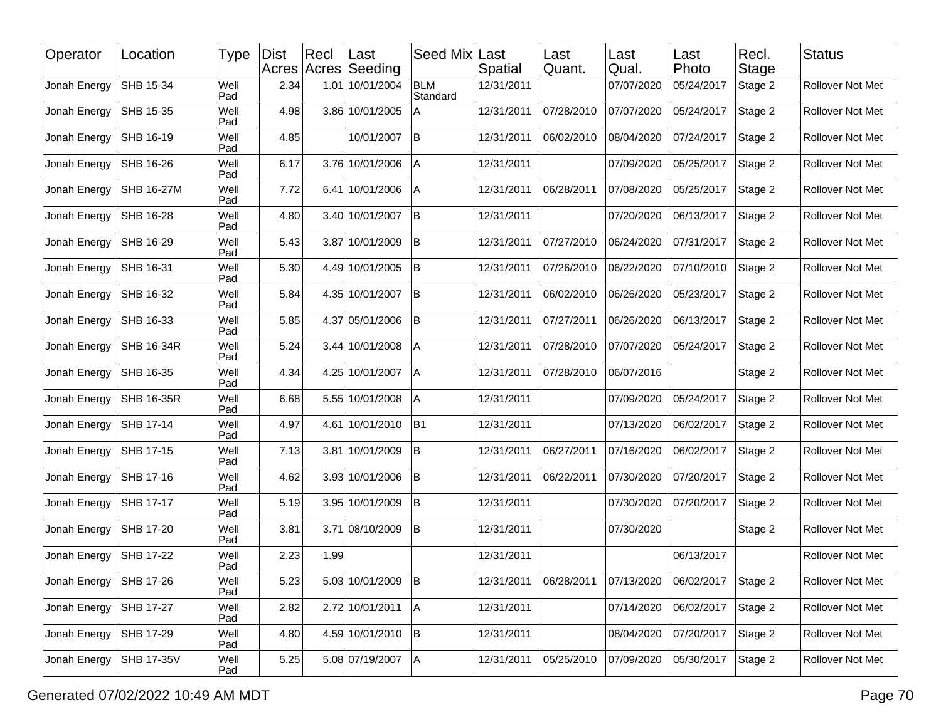| Operator     | Location          | Type        | <b>Dist</b> | Recl | ∣Last<br>Acres Acres Seeding | Seed Mix               | Last<br>Spatial | Last<br>Quant. | Last<br>Qual. | Last<br>Photo | Recl.<br>Stage | <b>Status</b>           |
|--------------|-------------------|-------------|-------------|------|------------------------------|------------------------|-----------------|----------------|---------------|---------------|----------------|-------------------------|
| Jonah Energy | SHB 15-34         | Well<br>Pad | 2.34        |      | 1.01 10/01/2004              | <b>BLM</b><br>Standard | 12/31/2011      |                | 07/07/2020    | 05/24/2017    | Stage 2        | Rollover Not Met        |
| Jonah Energy | SHB 15-35         | Well<br>Pad | 4.98        |      | 3.86 10/01/2005              | Α                      | 12/31/2011      | 07/28/2010     | 07/07/2020    | 05/24/2017    | Stage 2        | Rollover Not Met        |
| Jonah Energy | SHB 16-19         | Well<br>Pad | 4.85        |      | 10/01/2007                   | B                      | 12/31/2011      | 06/02/2010     | 08/04/2020    | 07/24/2017    | Stage 2        | Rollover Not Met        |
| Jonah Energy | SHB 16-26         | Well<br>Pad | 6.17        |      | 3.76 10/01/2006              | Α                      | 12/31/2011      |                | 07/09/2020    | 05/25/2017    | Stage 2        | Rollover Not Met        |
| Jonah Energy | <b>SHB 16-27M</b> | Well<br>Pad | 7.72        |      | 6.41 10/01/2006              | ۱A                     | 12/31/2011      | 06/28/2011     | 07/08/2020    | 05/25/2017    | Stage 2        | Rollover Not Met        |
| Jonah Energy | SHB 16-28         | Well<br>Pad | 4.80        |      | 3.40 10/01/2007              | B                      | 12/31/2011      |                | 07/20/2020    | 06/13/2017    | Stage 2        | Rollover Not Met        |
| Jonah Energy | SHB 16-29         | Well<br>Pad | 5.43        |      | 3.87 10/01/2009              | lΒ                     | 12/31/2011      | 07/27/2010     | 06/24/2020    | 07/31/2017    | Stage 2        | Rollover Not Met        |
| Jonah Energy | SHB 16-31         | Well<br>Pad | 5.30        |      | 4.49 10/01/2005              | B                      | 12/31/2011      | 07/26/2010     | 06/22/2020    | 07/10/2010    | Stage 2        | Rollover Not Met        |
| Jonah Energy | SHB 16-32         | Well<br>Pad | 5.84        |      | 4.35 10/01/2007              | B                      | 12/31/2011      | 06/02/2010     | 06/26/2020    | 05/23/2017    | Stage 2        | Rollover Not Met        |
| Jonah Energy | SHB 16-33         | Well<br>Pad | 5.85        |      | 4.37 05/01/2006              | lΒ                     | 12/31/2011      | 07/27/2011     | 06/26/2020    | 06/13/2017    | Stage 2        | Rollover Not Met        |
| Jonah Energy | SHB 16-34R        | Well<br>Pad | 5.24        |      | 3.44 10/01/2008              | ΙA                     | 12/31/2011      | 07/28/2010     | 07/07/2020    | 05/24/2017    | Stage 2        | Rollover Not Met        |
| Jonah Energy | SHB 16-35         | Well<br>Pad | 4.34        |      | 4.25 10/01/2007              | l A                    | 12/31/2011      | 07/28/2010     | 06/07/2016    |               | Stage 2        | Rollover Not Met        |
| Jonah Energy | <b>SHB 16-35R</b> | Well<br>Pad | 6.68        |      | 5.55 10/01/2008              | Α                      | 12/31/2011      |                | 07/09/2020    | 05/24/2017    | Stage 2        | Rollover Not Met        |
| Jonah Energy | SHB 17-14         | Well<br>Pad | 4.97        |      | 4.61 10/01/2010              | B <sub>1</sub>         | 12/31/2011      |                | 07/13/2020    | 06/02/2017    | Stage 2        | Rollover Not Met        |
| Jonah Energy | SHB 17-15         | Well<br>Pad | 7.13        |      | 3.81 10/01/2009              | lB.                    | 12/31/2011      | 06/27/2011     | 07/16/2020    | 06/02/2017    | Stage 2        | Rollover Not Met        |
| Jonah Energy | SHB 17-16         | Well<br>Pad | 4.62        |      | 3.93 10/01/2006              | lB.                    | 12/31/2011      | 06/22/2011     | 07/30/2020    | 07/20/2017    | Stage 2        | Rollover Not Met        |
| Jonah Energy | SHB 17-17         | Well<br>Pad | 5.19        |      | 3.95 10/01/2009              | B                      | 12/31/2011      |                | 07/30/2020    | 07/20/2017    | Stage 2        | Rollover Not Met        |
| Jonah Energy | SHB 17-20         | Well<br>Pad | 3.81        |      | 3.71 08/10/2009              | lB.                    | 12/31/2011      |                | 07/30/2020    |               | Stage 2        | Rollover Not Met        |
| Jonah Energy | SHB 17-22         | Well<br>Pad | 2.23        | 1.99 |                              |                        | 12/31/2011      |                |               | 06/13/2017    |                | Rollover Not Met        |
| Jonah Energy | SHB 17-26         | Well<br>Pad | 5.23        |      | 5.03 10/01/2009 B            |                        | 12/31/2011      | 06/28/2011     | 07/13/2020    | 06/02/2017    | Stage 2        | <b>Rollover Not Met</b> |
| Jonah Energy | SHB 17-27         | Well<br>Pad | 2.82        |      | 2.72 10/01/2011              | A                      | 12/31/2011      |                | 07/14/2020    | 06/02/2017    | Stage 2        | Rollover Not Met        |
| Jonah Energy | SHB 17-29         | Well<br>Pad | 4.80        |      | 4.59 10/01/2010              | B                      | 12/31/2011      |                | 08/04/2020    | 07/20/2017    | Stage 2        | Rollover Not Met        |
| Jonah Energy | SHB 17-35V        | Well<br>Pad | $5.25$      |      | 5.08 07/19/2007              | A                      | 12/31/2011      | 05/25/2010     | 07/09/2020    | 05/30/2017    | Stage 2        | Rollover Not Met        |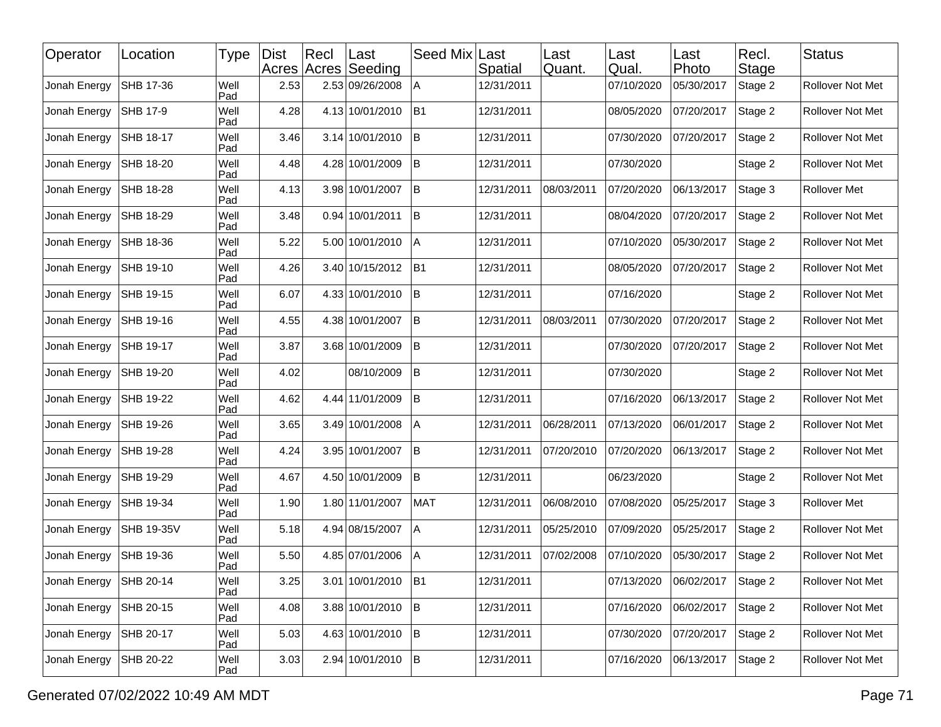| Operator     | Location          | Type        | <b>Dist</b> | Rec | ∣Last<br>Acres Acres Seeding | Seed Mix Last  | Spatial    | Last<br>Quant. | Last<br>Qual. | Last<br>Photo | Recl.<br><b>Stage</b> | <b>Status</b>           |
|--------------|-------------------|-------------|-------------|-----|------------------------------|----------------|------------|----------------|---------------|---------------|-----------------------|-------------------------|
| Jonah Energy | SHB 17-36         | Well<br>Pad | 2.53        |     | 2.53 09/26/2008              | A              | 12/31/2011 |                | 07/10/2020    | 05/30/2017    | Stage 2               | Rollover Not Met        |
| Jonah Energy | <b>SHB 17-9</b>   | Well<br>Pad | 4.28        |     | 4.13 10/01/2010              | B <sub>1</sub> | 12/31/2011 |                | 08/05/2020    | 07/20/2017    | Stage 2               | Rollover Not Met        |
| Jonah Energy | SHB 18-17         | Well<br>Pad | 3.46        |     | 3.14 10/01/2010              | lΒ             | 12/31/2011 |                | 07/30/2020    | 07/20/2017    | Stage 2               | Rollover Not Met        |
| Jonah Energy | SHB 18-20         | Well<br>Pad | 4.48        |     | 4.28 10/01/2009              | İΒ             | 12/31/2011 |                | 07/30/2020    |               | Stage 2               | Rollover Not Met        |
| Jonah Energy | SHB 18-28         | Well<br>Pad | 4.13        |     | 3.98 10/01/2007              | İΒ             | 12/31/2011 | 08/03/2011     | 07/20/2020    | 06/13/2017    | Stage 3               | <b>Rollover Met</b>     |
| Jonah Energy | SHB 18-29         | Well<br>Pad | 3.48        |     | 0.94 10/01/2011              | lΒ             | 12/31/2011 |                | 08/04/2020    | 07/20/2017    | Stage 2               | Rollover Not Met        |
| Jonah Energy | SHB 18-36         | Well<br>Pad | 5.22        |     | 5.00 10/01/2010              | Α              | 12/31/2011 |                | 07/10/2020    | 05/30/2017    | Stage 2               | Rollover Not Met        |
| Jonah Energy | SHB 19-10         | Well<br>Pad | 4.26        |     | 3.40 10/15/2012              | B <sub>1</sub> | 12/31/2011 |                | 08/05/2020    | 07/20/2017    | Stage 2               | Rollover Not Met        |
| Jonah Energy | SHB 19-15         | Well<br>Pad | 6.07        |     | 4.33 10/01/2010              | lΒ             | 12/31/2011 |                | 07/16/2020    |               | Stage 2               | Rollover Not Met        |
| Jonah Energy | SHB 19-16         | Well<br>Pad | 4.55        |     | 4.38 10/01/2007              | B              | 12/31/2011 | 08/03/2011     | 07/30/2020    | 07/20/2017    | Stage 2               | Rollover Not Met        |
| Jonah Energy | SHB 19-17         | Well<br>Pad | 3.87        |     | 3.68 10/01/2009              | ΙB             | 12/31/2011 |                | 07/30/2020    | 07/20/2017    | Stage 2               | Rollover Not Met        |
| Jonah Energy | SHB 19-20         | Well<br>Pad | 4.02        |     | 08/10/2009                   | ΙB             | 12/31/2011 |                | 07/30/2020    |               | Stage 2               | Rollover Not Met        |
| Jonah Energy | SHB 19-22         | Well<br>Pad | 4.62        |     | 4.44 11/01/2009              | B              | 12/31/2011 |                | 07/16/2020    | 06/13/2017    | Stage 2               | Rollover Not Met        |
| Jonah Energy | SHB 19-26         | Well<br>Pad | 3.65        |     | 3.49 10/01/2008              | Α              | 12/31/2011 | 06/28/2011     | 07/13/2020    | 06/01/2017    | Stage 2               | Rollover Not Met        |
| Jonah Energy | SHB 19-28         | Well<br>Pad | 4.24        |     | 3.95 10/01/2007              | lΒ             | 12/31/2011 | 07/20/2010     | 07/20/2020    | 06/13/2017    | Stage 2               | Rollover Not Met        |
| Jonah Energy | SHB 19-29         | Well<br>Pad | 4.67        |     | 4.50 10/01/2009              | İΒ             | 12/31/2011 |                | 06/23/2020    |               | Stage 2               | Rollover Not Met        |
| Jonah Energy | SHB 19-34         | Well<br>Pad | 1.90        |     | 1.80 11/01/2007              | <b>MAT</b>     | 12/31/2011 | 06/08/2010     | 07/08/2020    | 05/25/2017    | Stage 3               | Rollover Met            |
| Jonah Energy | <b>SHB 19-35V</b> | Well<br>Pad | 5.18        |     | 4.94 08/15/2007              | Α              | 12/31/2011 | 05/25/2010     | 07/09/2020    | 05/25/2017    | Stage 2               | Rollover Not Met        |
| Jonah Energy | SHB 19-36         | Well<br>Pad | 5.50        |     | 4.85 07/01/2006              | A              | 12/31/2011 | 07/02/2008     | 07/10/2020    | 05/30/2017    | Stage 2               | Rollover Not Met        |
| Jonah Energy | SHB 20-14         | Well<br>Pad | 3.25        |     | 3.01 10/01/2010 B1           |                | 12/31/2011 |                | 07/13/2020    | 06/02/2017    | Stage 2               | <b>Rollover Not Met</b> |
| Jonah Energy | SHB 20-15         | Well<br>Pad | 4.08        |     | 3.88 10/01/2010              | B              | 12/31/2011 |                | 07/16/2020    | 06/02/2017    | Stage 2               | Rollover Not Met        |
| Jonah Energy | SHB 20-17         | Well<br>Pad | 5.03        |     | 4.63 10/01/2010              | B              | 12/31/2011 |                | 07/30/2020    | 07/20/2017    | Stage 2               | Rollover Not Met        |
| Jonah Energy | SHB 20-22         | Well<br>Pad | 3.03        |     | 2.94 10/01/2010 B            |                | 12/31/2011 |                | 07/16/2020    | 06/13/2017    | Stage 2               | Rollover Not Met        |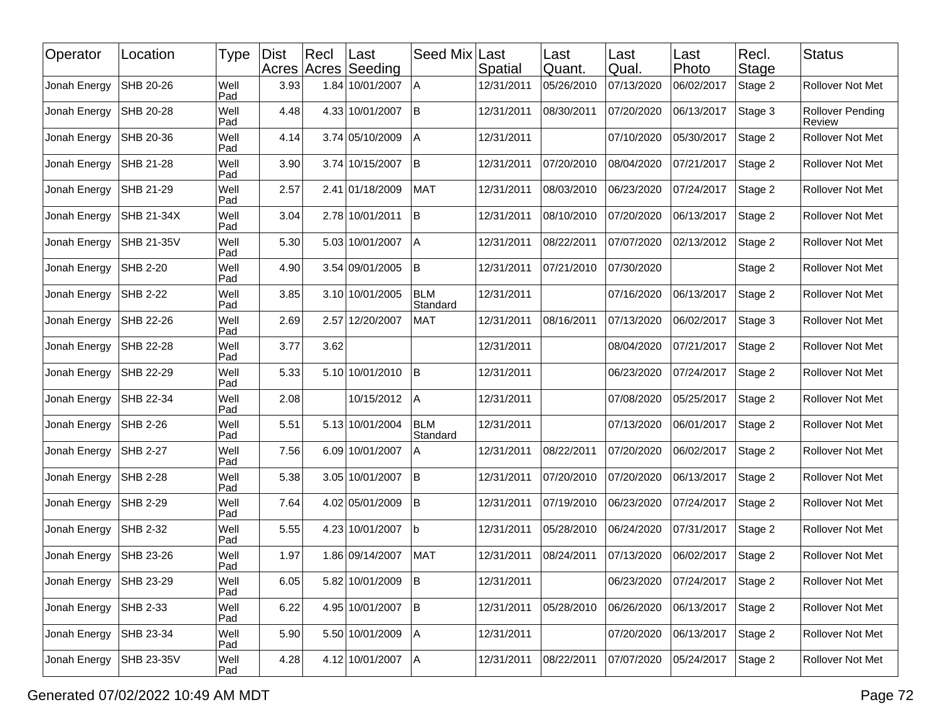| Operator     | Location        | Type        | <b>Dist</b> | $ $ Recl<br>Acres Acres | Last<br>Seeding | Seed Mix               | Last<br>Spatial | Last<br>Quant. | Last<br>Qual. | ∣Last<br>Photo | Recl.<br>Stage | <b>Status</b>                     |
|--------------|-----------------|-------------|-------------|-------------------------|-----------------|------------------------|-----------------|----------------|---------------|----------------|----------------|-----------------------------------|
| Jonah Energy | SHB 20-26       | Well<br>Pad | 3.93        |                         | 1.84 10/01/2007 | ΙA                     | 12/31/2011      | 05/26/2010     | 07/13/2020    | 06/02/2017     | Stage 2        | Rollover Not Met                  |
| Jonah Energy | SHB 20-28       | Well<br>Pad | 4.48        |                         | 4.33 10/01/2007 | İΒ                     | 12/31/2011      | 08/30/2011     | 07/20/2020    | 06/13/2017     | Stage 3        | <b>Rollover Pending</b><br>Review |
| Jonah Energy | SHB 20-36       | Well<br>Pad | 4.14        |                         | 3.74 05/10/2009 | A                      | 12/31/2011      |                | 07/10/2020    | 05/30/2017     | Stage 2        | Rollover Not Met                  |
| Jonah Energy | SHB 21-28       | Well<br>Pad | 3.90        |                         | 3.74 10/15/2007 | B                      | 12/31/2011      | 07/20/2010     | 08/04/2020    | 07/21/2017     | Stage 2        | Rollover Not Met                  |
| Jonah Energy | SHB 21-29       | Well<br>Pad | 2.57        |                         | 2.41 01/18/2009 | <b>MAT</b>             | 12/31/2011      | 08/03/2010     | 06/23/2020    | 07/24/2017     | Stage 2        | Rollover Not Met                  |
| Jonah Energy | SHB 21-34X      | Well<br>Pad | 3.04        |                         | 2.78 10/01/2011 | İΒ                     | 12/31/2011      | 08/10/2010     | 07/20/2020    | 06/13/2017     | Stage 2        | Rollover Not Met                  |
| Jonah Energy | SHB 21-35V      | Well<br>Pad | 5.30        |                         | 5.03 10/01/2007 | l A                    | 12/31/2011      | 08/22/2011     | 07/07/2020    | 02/13/2012     | Stage 2        | Rollover Not Met                  |
| Jonah Energy | SHB 2-20        | Well<br>Pad | 4.90        |                         | 3.54 09/01/2005 | İΒ                     | 12/31/2011      | 07/21/2010     | 07/30/2020    |                | Stage 2        | Rollover Not Met                  |
| Jonah Energy | SHB 2-22        | Well<br>Pad | 3.85        |                         | 3.10 10/01/2005 | <b>BLM</b><br>Standard | 12/31/2011      |                | 07/16/2020    | 06/13/2017     | Stage 2        | Rollover Not Met                  |
| Jonah Energy | SHB 22-26       | Well<br>Pad | 2.69        |                         | 2.57 12/20/2007 | <b>MAT</b>             | 12/31/2011      | 08/16/2011     | 07/13/2020    | 06/02/2017     | Stage 3        | Rollover Not Met                  |
| Jonah Energy | SHB 22-28       | Well<br>Pad | 3.77        | 3.62                    |                 |                        | 12/31/2011      |                | 08/04/2020    | 07/21/2017     | Stage 2        | Rollover Not Met                  |
| Jonah Energy | SHB 22-29       | Well<br>Pad | 5.33        |                         | 5.10 10/01/2010 | İΒ                     | 12/31/2011      |                | 06/23/2020    | 07/24/2017     | Stage 2        | Rollover Not Met                  |
| Jonah Energy | SHB 22-34       | Well<br>Pad | 2.08        |                         | 10/15/2012      | A                      | 12/31/2011      |                | 07/08/2020    | 05/25/2017     | Stage 2        | Rollover Not Met                  |
| Jonah Energy | SHB 2-26        | Well<br>Pad | 5.51        |                         | 5.13 10/01/2004 | <b>BLM</b><br>Standard | 12/31/2011      |                | 07/13/2020    | 06/01/2017     | Stage 2        | Rollover Not Met                  |
| Jonah Energy | SHB 2-27        | Well<br>Pad | 7.56        |                         | 6.09 10/01/2007 | A                      | 12/31/2011      | 08/22/2011     | 07/20/2020    | 06/02/2017     | Stage 2        | Rollover Not Met                  |
| Jonah Energy | <b>SHB 2-28</b> | Well<br>Pad | 5.38        |                         | 3.05 10/01/2007 | İΒ                     | 12/31/2011      | 07/20/2010     | 07/20/2020    | 06/13/2017     | Stage 2        | Rollover Not Met                  |
| Jonah Energy | SHB 2-29        | Well<br>Pad | 7.64        |                         | 4.02 05/01/2009 | lΒ                     | 12/31/2011      | 07/19/2010     | 06/23/2020    | 07/24/2017     | Stage 2        | Rollover Not Met                  |
| Jonah Energy | SHB 2-32        | Well<br>Pad | 5.55        |                         | 4.23 10/01/2007 | lb                     | 12/31/2011      | 05/28/2010     | 06/24/2020    | 07/31/2017     | Stage 2        | Rollover Not Met                  |
| Jonah Energy | SHB 23-26       | Well<br>Pad | 1.97        |                         | 1.86 09/14/2007 | <b>MAT</b>             | 12/31/2011      | 08/24/2011     | 07/13/2020    | 06/02/2017     | Stage 2        | Rollover Not Met                  |
| Jonah Energy | SHB 23-29       | Well<br>Pad | 6.05        |                         | 5.82 10/01/2009 | B                      | 12/31/2011      |                | 06/23/2020    | 07/24/2017     | Stage 2        | Rollover Not Met                  |
| Jonah Energy | SHB 2-33        | Well<br>Pad | 6.22        |                         | 4.95 10/01/2007 | B                      | 12/31/2011      | 05/28/2010     | 06/26/2020    | 06/13/2017     | Stage 2        | Rollover Not Met                  |
| Jonah Energy | SHB 23-34       | Well<br>Pad | 5.90        |                         | 5.50 10/01/2009 | ΙA.                    | 12/31/2011      |                | 07/20/2020    | 06/13/2017     | Stage 2        | Rollover Not Met                  |
| Jonah Energy | SHB 23-35V      | Well<br>Pad | 4.28        |                         | 4.12 10/01/2007 | A                      | 12/31/2011      | 08/22/2011     | 07/07/2020    | 05/24/2017     | Stage 2        | Rollover Not Met                  |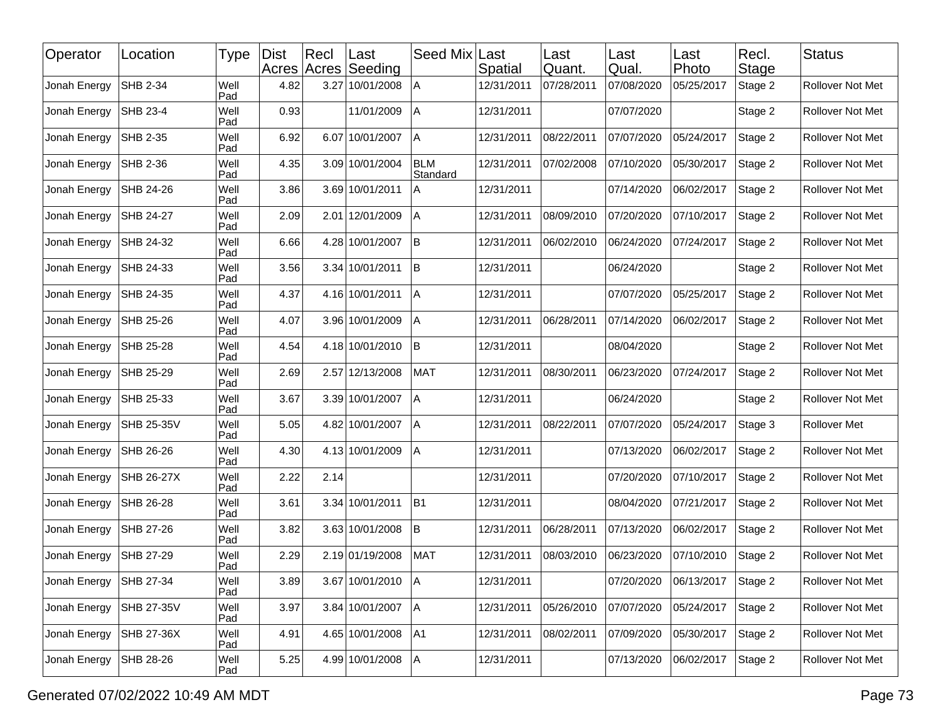| Operator     | Location   | Type        | <b>Dist</b> | Recl | Last<br>Acres Acres Seeding | Seed Mix               | Last<br>Spatial | Last<br>Quant. | Last<br>Qual. | Last<br>Photo | Recl.<br>Stage | <b>Status</b>           |
|--------------|------------|-------------|-------------|------|-----------------------------|------------------------|-----------------|----------------|---------------|---------------|----------------|-------------------------|
| Jonah Energy | SHB 2-34   | Well<br>Pad | 4.82        |      | 3.27 10/01/2008             | Α                      | 12/31/2011      | 07/28/2011     | 07/08/2020    | 05/25/2017    | Stage 2        | Rollover Not Met        |
| Jonah Energy | SHB 23-4   | Well<br>Pad | 0.93        |      | 11/01/2009                  | l A                    | 12/31/2011      |                | 07/07/2020    |               | Stage 2        | Rollover Not Met        |
| Jonah Energy | SHB 2-35   | Well<br>Pad | 6.92        |      | 6.07 10/01/2007             | l A                    | 12/31/2011      | 08/22/2011     | 07/07/2020    | 05/24/2017    | Stage 2        | Rollover Not Met        |
| Jonah Energy | SHB 2-36   | Well<br>Pad | 4.35        |      | 3.09 10/01/2004             | <b>BLM</b><br>Standard | 12/31/2011      | 07/02/2008     | 07/10/2020    | 05/30/2017    | Stage 2        | Rollover Not Met        |
| Jonah Energy | SHB 24-26  | Well<br>Pad | 3.86        |      | 3.69 10/01/2011             | A                      | 12/31/2011      |                | 07/14/2020    | 06/02/2017    | Stage 2        | Rollover Not Met        |
| Jonah Energy | SHB 24-27  | Well<br>Pad | 2.09        |      | 2.01 12/01/2009             | A                      | 12/31/2011      | 08/09/2010     | 07/20/2020    | 07/10/2017    | Stage 2        | <b>Rollover Not Met</b> |
| Jonah Energy | SHB 24-32  | Well<br>Pad | 6.66        |      | 4.28 10/01/2007             | ΙB                     | 12/31/2011      | 06/02/2010     | 06/24/2020    | 07/24/2017    | Stage 2        | Rollover Not Met        |
| Jonah Energy | SHB 24-33  | Well<br>Pad | 3.56        |      | 3.34 10/01/2011             | İΒ                     | 12/31/2011      |                | 06/24/2020    |               | Stage 2        | Rollover Not Met        |
| Jonah Energy | SHB 24-35  | Well<br>Pad | 4.37        |      | 4.16 10/01/2011             | A                      | 12/31/2011      |                | 07/07/2020    | 05/25/2017    | Stage 2        | Rollover Not Met        |
| Jonah Energy | SHB 25-26  | Well<br>Pad | 4.07        |      | 3.96 10/01/2009             | Α                      | 12/31/2011      | 06/28/2011     | 07/14/2020    | 06/02/2017    | Stage 2        | Rollover Not Met        |
| Jonah Energy | SHB 25-28  | Well<br>Pad | 4.54        |      | 4.18 10/01/2010             | ΙB                     | 12/31/2011      |                | 08/04/2020    |               | Stage 2        | Rollover Not Met        |
| Jonah Energy | SHB 25-29  | Well<br>Pad | 2.69        |      | 2.57 12/13/2008             | <b>MAT</b>             | 12/31/2011      | 08/30/2011     | 06/23/2020    | 07/24/2017    | Stage 2        | <b>Rollover Not Met</b> |
| Jonah Energy | SHB 25-33  | Well<br>Pad | 3.67        |      | 3.39 10/01/2007             | Α                      | 12/31/2011      |                | 06/24/2020    |               | Stage 2        | Rollover Not Met        |
| Jonah Energy | SHB 25-35V | Well<br>Pad | 5.05        |      | 4.82 10/01/2007             | l A                    | 12/31/2011      | 08/22/2011     | 07/07/2020    | 05/24/2017    | Stage 3        | Rollover Met            |
| Jonah Energy | SHB 26-26  | Well<br>Pad | 4.30        |      | 4.13 10/01/2009             | A                      | 12/31/2011      |                | 07/13/2020    | 06/02/2017    | Stage 2        | Rollover Not Met        |
| Jonah Energy | SHB 26-27X | Well<br>Pad | 2.22        | 2.14 |                             |                        | 12/31/2011      |                | 07/20/2020    | 07/10/2017    | Stage 2        | Rollover Not Met        |
| Jonah Energy | SHB 26-28  | Well<br>Pad | 3.61        |      | 3.34 10/01/2011             | B1                     | 12/31/2011      |                | 08/04/2020    | 07/21/2017    | Stage 2        | Rollover Not Met        |
| Jonah Energy | SHB 27-26  | Well<br>Pad | 3.82        |      | 3.63 10/01/2008             | lB.                    | 12/31/2011      | 06/28/2011     | 07/13/2020    | 06/02/2017    | Stage 2        | Rollover Not Met        |
| Jonah Energy | SHB 27-29  | Well<br>Pad | 2.29        |      | 2.19 01/19/2008             | <b>MAT</b>             | 12/31/2011      | 08/03/2010     | 06/23/2020    | 07/10/2010    | Stage 2        | Rollover Not Met        |
| Jonah Energy | SHB 27-34  | Well<br>Pad | 3.89        |      | 3.67 10/01/2010   A         |                        | 12/31/2011      |                | 07/20/2020    | 06/13/2017    | Stage 2        | Rollover Not Met        |
| Jonah Energy | SHB 27-35V | Well<br>Pad | 3.97        |      | 3.84 10/01/2007             | A                      | 12/31/2011      | 05/26/2010     | 07/07/2020    | 05/24/2017    | Stage 2        | Rollover Not Met        |
| Jonah Energy | SHB 27-36X | Well<br>Pad | 4.91        |      | 4.65 10/01/2008             | A1                     | 12/31/2011      | 08/02/2011     | 07/09/2020    | 05/30/2017    | Stage 2        | Rollover Not Met        |
| Jonah Energy | SHB 28-26  | Well<br>Pad | 5.25        |      | 4.99 10/01/2008             | A                      | 12/31/2011      |                | 07/13/2020    | 06/02/2017    | Stage 2        | Rollover Not Met        |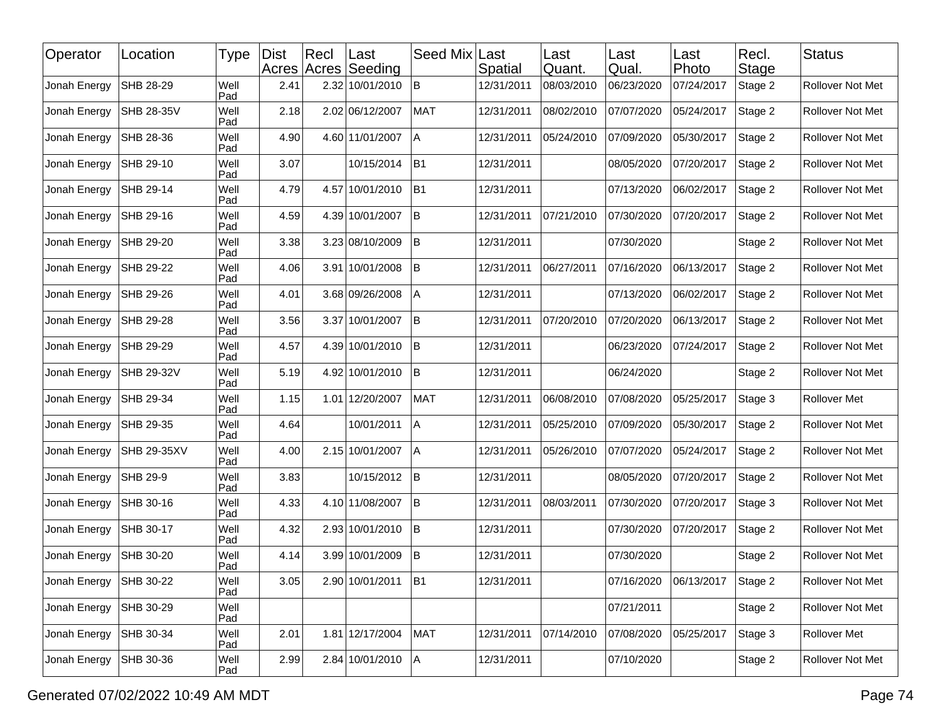| Operator     | Location           | Type        | <b>Dist</b> | Recl | ∣Last<br>Acres Acres Seeding | Seed Mix       | Last<br>Spatial | Last<br>Quant. | Last<br>Qual. | Last<br>Photo | Recl.<br>Stage | <b>Status</b>    |
|--------------|--------------------|-------------|-------------|------|------------------------------|----------------|-----------------|----------------|---------------|---------------|----------------|------------------|
| Jonah Energy | SHB 28-29          | Well<br>Pad | 2.41        |      | 2.32 10/01/2010              | lB.            | 12/31/2011      | 08/03/2010     | 06/23/2020    | 07/24/2017    | Stage 2        | Rollover Not Met |
| Jonah Energy | SHB 28-35V         | Well<br>Pad | 2.18        |      | 2.02 06/12/2007              | <b>MAT</b>     | 12/31/2011      | 08/02/2010     | 07/07/2020    | 05/24/2017    | Stage 2        | Rollover Not Met |
| Jonah Energy | SHB 28-36          | Well<br>Pad | 4.90        |      | 4.60 11/01/2007              | A              | 12/31/2011      | 05/24/2010     | 07/09/2020    | 05/30/2017    | Stage 2        | Rollover Not Met |
| Jonah Energy | SHB 29-10          | Well<br>Pad | 3.07        |      | 10/15/2014                   | B1             | 12/31/2011      |                | 08/05/2020    | 07/20/2017    | Stage 2        | Rollover Not Met |
| Jonah Energy | SHB 29-14          | Well<br>Pad | 4.79        |      | 4.57 10/01/2010              | B <sub>1</sub> | 12/31/2011      |                | 07/13/2020    | 06/02/2017    | Stage 2        | Rollover Not Met |
| Jonah Energy | SHB 29-16          | Well<br>Pad | 4.59        |      | 4.39 10/01/2007              | İВ.            | 12/31/2011      | 07/21/2010     | 07/30/2020    | 07/20/2017    | Stage 2        | Rollover Not Met |
| Jonah Energy | SHB 29-20          | Well<br>Pad | 3.38        |      | 3.23 08/10/2009              | lB.            | 12/31/2011      |                | 07/30/2020    |               | Stage 2        | Rollover Not Met |
| Jonah Energy | SHB 29-22          | Well<br>Pad | 4.06        |      | 3.91 10/01/2008              | <b>B</b>       | 12/31/2011      | 06/27/2011     | 07/16/2020    | 06/13/2017    | Stage 2        | Rollover Not Met |
| Jonah Energy | SHB 29-26          | Well<br>Pad | 4.01        |      | 3.68 09/26/2008              | A              | 12/31/2011      |                | 07/13/2020    | 06/02/2017    | Stage 2        | Rollover Not Met |
| Jonah Energy | SHB 29-28          | Well<br>Pad | 3.56        |      | 3.37 10/01/2007              | <b>B</b>       | 12/31/2011      | 07/20/2010     | 07/20/2020    | 06/13/2017    | Stage 2        | Rollover Not Met |
| Jonah Energy | SHB 29-29          | Well<br>Pad | 4.57        |      | 4.39 10/01/2010              | B              | 12/31/2011      |                | 06/23/2020    | 07/24/2017    | Stage 2        | Rollover Not Met |
| Jonah Energy | SHB 29-32V         | Well<br>Pad | 5.19        |      | 4.92 10/01/2010              | B              | 12/31/2011      |                | 06/24/2020    |               | Stage 2        | Rollover Not Met |
| Jonah Energy | SHB 29-34          | Well<br>Pad | 1.15        |      | 1.01 12/20/2007              | <b>MAT</b>     | 12/31/2011      | 06/08/2010     | 07/08/2020    | 05/25/2017    | Stage 3        | Rollover Met     |
| Jonah Energy | SHB 29-35          | Well<br>Pad | 4.64        |      | 10/01/2011                   | IА             | 12/31/2011      | 05/25/2010     | 07/09/2020    | 05/30/2017    | Stage 2        | Rollover Not Met |
| Jonah Energy | <b>SHB 29-35XV</b> | Well<br>Pad | 4.00        |      | 2.15 10/01/2007              | l A            | 12/31/2011      | 05/26/2010     | 07/07/2020    | 05/24/2017    | Stage 2        | Rollover Not Met |
| Jonah Energy | SHB 29-9           | Well<br>Pad | 3.83        |      | 10/15/2012                   | <b>B</b>       | 12/31/2011      |                | 08/05/2020    | 07/20/2017    | Stage 2        | Rollover Not Met |
| Jonah Energy | SHB 30-16          | Well<br>Pad | 4.33        |      | 4.10 11/08/2007              | <b>B</b>       | 12/31/2011      | 08/03/2011     | 07/30/2020    | 07/20/2017    | Stage 3        | Rollover Not Met |
| Jonah Energy | SHB 30-17          | Well<br>Pad | 4.32        |      | 2.93 10/01/2010              | <b>B</b>       | 12/31/2011      |                | 07/30/2020    | 07/20/2017    | Stage 2        | Rollover Not Met |
| Jonah Energy | SHB 30-20          | Well<br>Pad | 4.14        |      | 3.99 10/01/2009              | $\mathsf B$    | 12/31/2011      |                | 07/30/2020    |               | Stage 2        | Rollover Not Met |
| Jonah Energy | SHB 30-22          | Well<br>Pad | 3.05        |      | 2.90 10/01/2011 B1           |                | 12/31/2011      |                | 07/16/2020    | 06/13/2017    | Stage 2        | Rollover Not Met |
| Jonah Energy | SHB 30-29          | Well<br>Pad |             |      |                              |                |                 |                | 07/21/2011    |               | Stage 2        | Rollover Not Met |
| Jonah Energy | SHB 30-34          | Well<br>Pad | 2.01        |      | 1.81 12/17/2004              | MAT            | 12/31/2011      | 07/14/2010     | 07/08/2020    | 05/25/2017    | Stage 3        | Rollover Met     |
| Jonah Energy | SHB 30-36          | Well<br>Pad | 2.99        |      | 2.84 10/01/2010              | A              | 12/31/2011      |                | 07/10/2020    |               | Stage 2        | Rollover Not Met |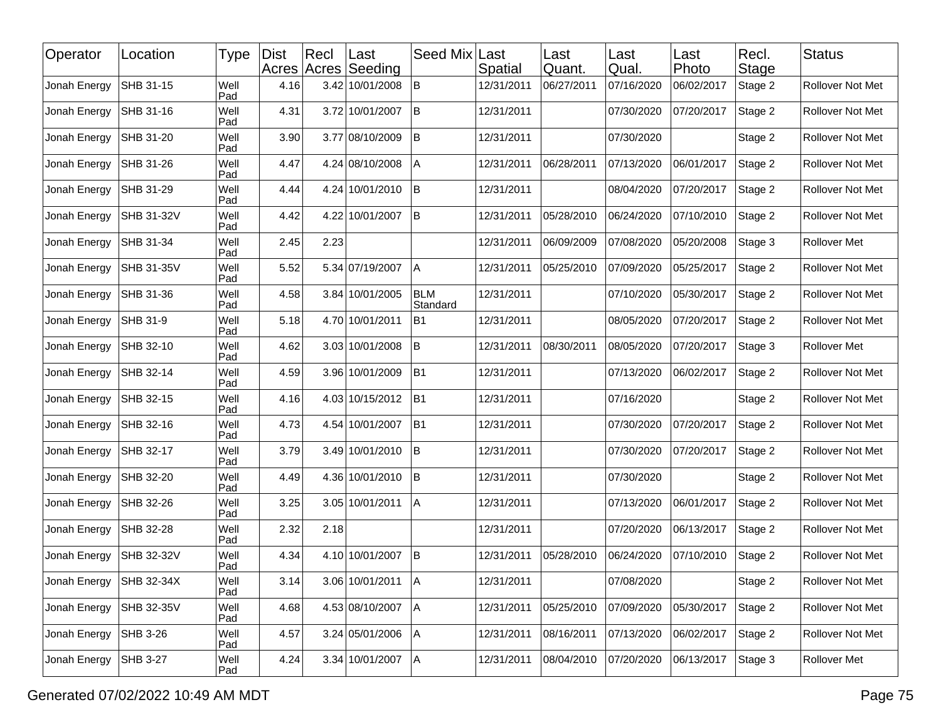| Operator     | Location   | Type        | <b>Dist</b> | Recl | Last<br>Acres Acres Seeding | Seed Mix               | Last<br>Spatial | Last<br>Quant. | Last<br>Qual. | Last<br>Photo | Recl.<br>Stage | <b>Status</b>           |
|--------------|------------|-------------|-------------|------|-----------------------------|------------------------|-----------------|----------------|---------------|---------------|----------------|-------------------------|
| Jonah Energy | SHB 31-15  | Well<br>Pad | 4.16        |      | 3.42 10/01/2008             | lB.                    | 12/31/2011      | 06/27/2011     | 07/16/2020    | 06/02/2017    | Stage 2        | Rollover Not Met        |
| Jonah Energy | SHB 31-16  | Well<br>Pad | 4.31        |      | 3.72 10/01/2007             | lB                     | 12/31/2011      |                | 07/30/2020    | 07/20/2017    | Stage 2        | Rollover Not Met        |
| Jonah Energy | SHB 31-20  | Well<br>Pad | 3.90        |      | 3.77 08/10/2009             | lB.                    | 12/31/2011      |                | 07/30/2020    |               | Stage 2        | Rollover Not Met        |
| Jonah Energy | SHB 31-26  | Well<br>Pad | 4.47        |      | 4.24 08/10/2008             | Α                      | 12/31/2011      | 06/28/2011     | 07/13/2020    | 06/01/2017    | Stage 2        | Rollover Not Met        |
| Jonah Energy | SHB 31-29  | Well<br>Pad | 4.44        |      | 4.24 10/01/2010             | ΙB                     | 12/31/2011      |                | 08/04/2020    | 07/20/2017    | Stage 2        | Rollover Not Met        |
| Jonah Energy | SHB 31-32V | Well<br>Pad | 4.42        |      | 4.22 10/01/2007             | <b>B</b>               | 12/31/2011      | 05/28/2010     | 06/24/2020    | 07/10/2010    | Stage 2        | <b>Rollover Not Met</b> |
| Jonah Energy | SHB 31-34  | Well<br>Pad | 2.45        | 2.23 |                             |                        | 12/31/2011      | 06/09/2009     | 07/08/2020    | 05/20/2008    | Stage 3        | Rollover Met            |
| Jonah Energy | SHB 31-35V | Well<br>Pad | 5.52        |      | 5.34 07/19/2007             | l A                    | 12/31/2011      | 05/25/2010     | 07/09/2020    | 05/25/2017    | Stage 2        | Rollover Not Met        |
| Jonah Energy | SHB 31-36  | Well<br>Pad | 4.58        |      | 3.84 10/01/2005             | <b>BLM</b><br>Standard | 12/31/2011      |                | 07/10/2020    | 05/30/2017    | Stage 2        | Rollover Not Met        |
| Jonah Energy | SHB 31-9   | Well<br>Pad | 5.18        |      | 4.70 10/01/2011             | <b>B1</b>              | 12/31/2011      |                | 08/05/2020    | 07/20/2017    | Stage 2        | Rollover Not Met        |
| Jonah Energy | SHB 32-10  | Well<br>Pad | 4.62        |      | 3.03 10/01/2008             | B                      | 12/31/2011      | 08/30/2011     | 08/05/2020    | 07/20/2017    | Stage 3        | Rollover Met            |
| Jonah Energy | SHB 32-14  | Well<br>Pad | 4.59        |      | 3.96 10/01/2009             | B1                     | 12/31/2011      |                | 07/13/2020    | 06/02/2017    | Stage 2        | <b>Rollover Not Met</b> |
| Jonah Energy | SHB 32-15  | Well<br>Pad | 4.16        |      | 4.03 10/15/2012             | B1                     | 12/31/2011      |                | 07/16/2020    |               | Stage 2        | Rollover Not Met        |
| Jonah Energy | SHB 32-16  | Well<br>Pad | 4.73        |      | 4.54 10/01/2007             | B1                     | 12/31/2011      |                | 07/30/2020    | 07/20/2017    | Stage 2        | Rollover Not Met        |
| Jonah Energy | SHB 32-17  | Well<br>Pad | 3.79        |      | 3.49 10/01/2010             | lB.                    | 12/31/2011      |                | 07/30/2020    | 07/20/2017    | Stage 2        | Rollover Not Met        |
| Jonah Energy | SHB 32-20  | Well<br>Pad | 4.49        |      | 4.36 10/01/2010             | lB.                    | 12/31/2011      |                | 07/30/2020    |               | Stage 2        | Rollover Not Met        |
| Jonah Energy | SHB 32-26  | Well<br>Pad | 3.25        |      | 3.05 10/01/2011             | $\overline{A}$         | 12/31/2011      |                | 07/13/2020    | 06/01/2017    | Stage 2        | Rollover Not Met        |
| Jonah Energy | SHB 32-28  | Well<br>Pad | 2.32        | 2.18 |                             |                        | 12/31/2011      |                | 07/20/2020    | 06/13/2017    | Stage 2        | Rollover Not Met        |
| Jonah Energy | SHB 32-32V | Well<br>Pad | 4.34        |      | 4.10 10/01/2007             | İΒ                     | 12/31/2011      | 05/28/2010     | 06/24/2020    | 07/10/2010    | Stage 2        | Rollover Not Met        |
| Jonah Energy | SHB 32-34X | Well<br>Pad | 3.14        |      | 3.06 10/01/2011 A           |                        | 12/31/2011      |                | 07/08/2020    |               | Stage 2        | Rollover Not Met        |
| Jonah Energy | SHB 32-35V | Well<br>Pad | 4.68        |      | 4.53 08/10/2007             | A                      | 12/31/2011      | 05/25/2010     | 07/09/2020    | 05/30/2017    | Stage 2        | Rollover Not Met        |
| Jonah Energy | SHB 3-26   | Well<br>Pad | 4.57        |      | 3.24 05/01/2006             | A                      | 12/31/2011      | 08/16/2011     | 07/13/2020    | 06/02/2017    | Stage 2        | Rollover Not Met        |
| Jonah Energy | SHB 3-27   | Well<br>Pad | 4.24        |      | 3.34 10/01/2007             | A                      | 12/31/2011      | 08/04/2010     | 07/20/2020    | 06/13/2017    | Stage 3        | Rollover Met            |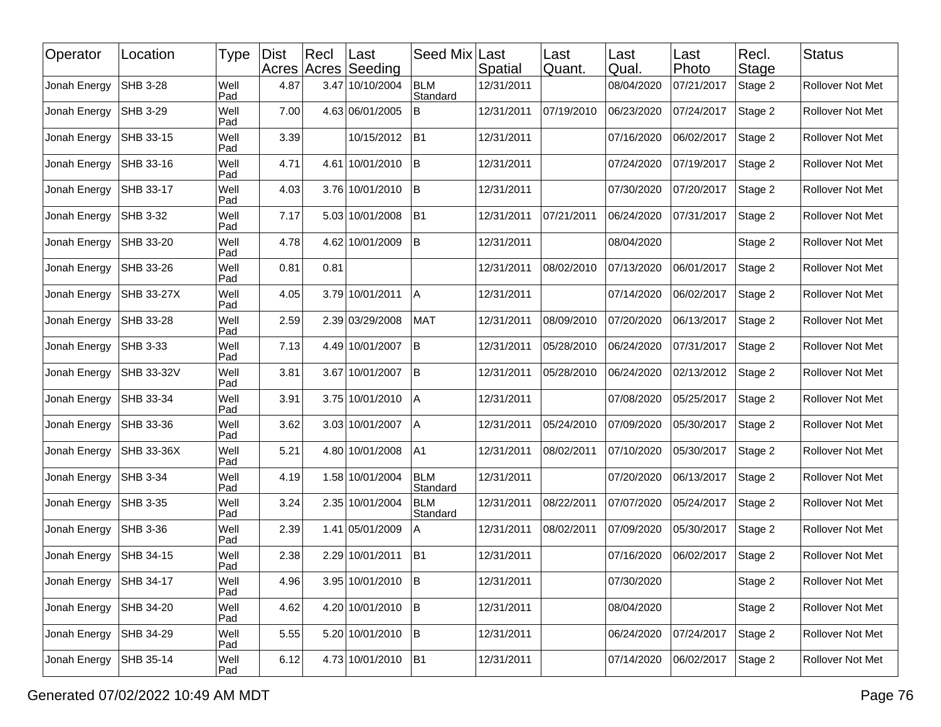| Operator     | Location          | Type        | <b>Dist</b> | Recl | ∣Last<br>Acres Acres Seeding | Seed Mix               | Last<br>Spatial | Last<br>Quant. | Last<br>Qual. | Last<br>Photo | Recl.<br>Stage | <b>Status</b>    |
|--------------|-------------------|-------------|-------------|------|------------------------------|------------------------|-----------------|----------------|---------------|---------------|----------------|------------------|
| Jonah Energy | SHB 3-28          | Well<br>Pad | 4.87        |      | 3.47 10/10/2004              | <b>BLM</b><br>Standard | 12/31/2011      |                | 08/04/2020    | 07/21/2017    | Stage 2        | Rollover Not Met |
| Jonah Energy | SHB 3-29          | Well<br>Pad | 7.00        |      | 4.63 06/01/2005              | B                      | 12/31/2011      | 07/19/2010     | 06/23/2020    | 07/24/2017    | Stage 2        | Rollover Not Met |
| Jonah Energy | SHB 33-15         | Well<br>Pad | 3.39        |      | 10/15/2012                   | B1                     | 12/31/2011      |                | 07/16/2020    | 06/02/2017    | Stage 2        | Rollover Not Met |
| Jonah Energy | SHB 33-16         | Well<br>Pad | 4.71        |      | 4.61 10/01/2010              | İΒ                     | 12/31/2011      |                | 07/24/2020    | 07/19/2017    | Stage 2        | Rollover Not Met |
| Jonah Energy | SHB 33-17         | Well<br>Pad | 4.03        |      | 3.76 10/01/2010              | <b>B</b>               | 12/31/2011      |                | 07/30/2020    | 07/20/2017    | Stage 2        | Rollover Not Met |
| Jonah Energy | <b>SHB 3-32</b>   | Well<br>Pad | 7.17        |      | 5.03 10/01/2008              | B1                     | 12/31/2011      | 07/21/2011     | 06/24/2020    | 07/31/2017    | Stage 2        | Rollover Not Met |
| Jonah Energy | SHB 33-20         | Well<br>Pad | 4.78        |      | 4.62 10/01/2009              | B                      | 12/31/2011      |                | 08/04/2020    |               | Stage 2        | Rollover Not Met |
| Jonah Energy | SHB 33-26         | Well<br>Pad | 0.81        | 0.81 |                              |                        | 12/31/2011      | 08/02/2010     | 07/13/2020    | 06/01/2017    | Stage 2        | Rollover Not Met |
| Jonah Energy | <b>SHB 33-27X</b> | Well<br>Pad | 4.05        |      | 3.79 10/01/2011              | ΙA                     | 12/31/2011      |                | 07/14/2020    | 06/02/2017    | Stage 2        | Rollover Not Met |
| Jonah Energy | SHB 33-28         | Well<br>Pad | 2.59        |      | 2.39 03/29/2008              | <b>MAT</b>             | 12/31/2011      | 08/09/2010     | 07/20/2020    | 06/13/2017    | Stage 2        | Rollover Not Met |
| Jonah Energy | SHB 3-33          | Well<br>Pad | 7.13        |      | 4.49 10/01/2007              | lв                     | 12/31/2011      | 05/28/2010     | 06/24/2020    | 07/31/2017    | Stage 2        | Rollover Not Met |
| Jonah Energy | <b>SHB 33-32V</b> | Well<br>Pad | 3.81        |      | 3.67 10/01/2007              | İВ.                    | 12/31/2011      | 05/28/2010     | 06/24/2020    | 02/13/2012    | Stage 2        | Rollover Not Met |
| Jonah Energy | SHB 33-34         | Well<br>Pad | 3.91        |      | 3.75 10/01/2010              | $\overline{A}$         | 12/31/2011      |                | 07/08/2020    | 05/25/2017    | Stage 2        | Rollover Not Met |
| Jonah Energy | SHB 33-36         | Well<br>Pad | 3.62        |      | 3.03 10/01/2007              | ΙA                     | 12/31/2011      | 05/24/2010     | 07/09/2020    | 05/30/2017    | Stage 2        | Rollover Not Met |
| Jonah Energy | <b>SHB 33-36X</b> | Well<br>Pad | 5.21        |      | 4.80 10/01/2008              | A1                     | 12/31/2011      | 08/02/2011     | 07/10/2020    | 05/30/2017    | Stage 2        | Rollover Not Met |
| Jonah Energy | <b>SHB 3-34</b>   | Well<br>Pad | 4.19        |      | 1.58 10/01/2004              | <b>BLM</b><br>Standard | 12/31/2011      |                | 07/20/2020    | 06/13/2017    | Stage 2        | Rollover Not Met |
| Jonah Energy | SHB 3-35          | Well<br>Pad | 3.24        |      | 2.35 10/01/2004              | <b>BLM</b><br>Standard | 12/31/2011      | 08/22/2011     | 07/07/2020    | 05/24/2017    | Stage 2        | Rollover Not Met |
| Jonah Energy | SHB 3-36          | Well<br>Pad | 2.39        |      | 1.41 05/01/2009              | A                      | 12/31/2011      | 08/02/2011     | 07/09/2020    | 05/30/2017    | Stage 2        | Rollover Not Met |
| Jonah Energy | SHB 34-15         | Well<br>Pad | 2.38        |      | 2.29 10/01/2011              | B1                     | 12/31/2011      |                | 07/16/2020    | 06/02/2017    | Stage 2        | Rollover Not Met |
| Jonah Energy | SHB 34-17         | Well<br>Pad | 4.96        |      | 3.95 10/01/2010 B            |                        | 12/31/2011      |                | 07/30/2020    |               | Stage 2        | Rollover Not Met |
| Jonah Energy | SHB 34-20         | Well<br>Pad | 4.62        |      | 4.20 10/01/2010              | B                      | 12/31/2011      |                | 08/04/2020    |               | Stage 2        | Rollover Not Met |
| Jonah Energy | SHB 34-29         | Well<br>Pad | 5.55        |      | 5.20 10/01/2010              | B                      | 12/31/2011      |                | 06/24/2020    | 07/24/2017    | Stage 2        | Rollover Not Met |
| Jonah Energy | SHB 35-14         | Well<br>Pad | 6.12        |      | 4.73 10/01/2010              | B <sub>1</sub>         | 12/31/2011      |                | 07/14/2020    | 06/02/2017    | Stage 2        | Rollover Not Met |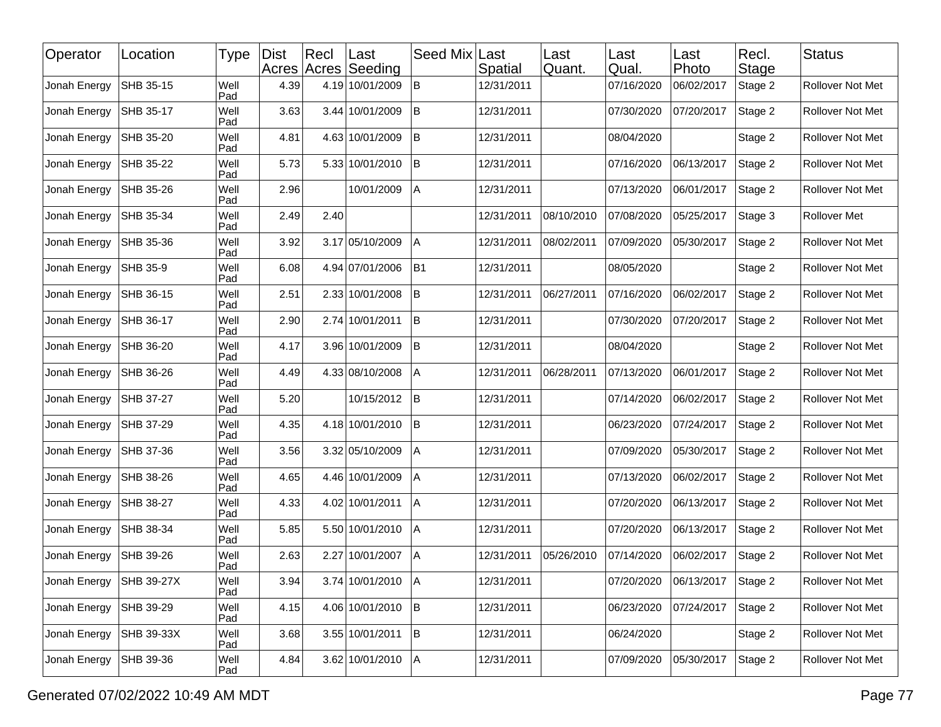| Operator     | Location   | Type        | <b>Dist</b> | Recl | ∣Last<br>Acres Acres Seeding | Seed Mix       | Last<br>Spatial | Last<br>Quant. | Last<br>Qual. | Last<br>Photo | Recl.<br><b>Stage</b> | <b>Status</b>       |
|--------------|------------|-------------|-------------|------|------------------------------|----------------|-----------------|----------------|---------------|---------------|-----------------------|---------------------|
| Jonah Energy | SHB 35-15  | Well<br>Pad | 4.39        |      | 4.19 10/01/2009              | $\, {\bf B}$   | 12/31/2011      |                | 07/16/2020    | 06/02/2017    | Stage 2               | Rollover Not Met    |
| Jonah Energy | SHB 35-17  | Well<br>Pad | 3.63        |      | 3.44 10/01/2009              | <b>B</b>       | 12/31/2011      |                | 07/30/2020    | 07/20/2017    | Stage 2               | Rollover Not Met    |
| Jonah Energy | SHB 35-20  | Well<br>Pad | 4.81        |      | 4.63 10/01/2009              | lB.            | 12/31/2011      |                | 08/04/2020    |               | Stage 2               | Rollover Not Met    |
| Jonah Energy | SHB 35-22  | Well<br>Pad | 5.73        |      | 5.33 10/01/2010              | <b>B</b>       | 12/31/2011      |                | 07/16/2020    | 06/13/2017    | Stage 2               | Rollover Not Met    |
| Jonah Energy | SHB 35-26  | Well<br>Pad | 2.96        |      | 10/01/2009                   | A              | 12/31/2011      |                | 07/13/2020    | 06/01/2017    | Stage 2               | Rollover Not Met    |
| Jonah Energy | SHB 35-34  | Well<br>Pad | 2.49        | 2.40 |                              |                | 12/31/2011      | 08/10/2010     | 07/08/2020    | 05/25/2017    | Stage 3               | <b>Rollover Met</b> |
| Jonah Energy | SHB 35-36  | Well<br>Pad | 3.92        |      | 3.17 05/10/2009              | Α              | 12/31/2011      | 08/02/2011     | 07/09/2020    | 05/30/2017    | Stage 2               | Rollover Not Met    |
| Jonah Energy | SHB 35-9   | Well<br>Pad | 6.08        |      | 4.94 07/01/2006              | B <sub>1</sub> | 12/31/2011      |                | 08/05/2020    |               | Stage 2               | Rollover Not Met    |
| Jonah Energy | SHB 36-15  | Well<br>Pad | 2.51        |      | 2.33 10/01/2008              | lB.            | 12/31/2011      | 06/27/2011     | 07/16/2020    | 06/02/2017    | Stage 2               | Rollover Not Met    |
| Jonah Energy | SHB 36-17  | Well<br>Pad | 2.90        |      | 2.74 10/01/2011              | <b>B</b>       | 12/31/2011      |                | 07/30/2020    | 07/20/2017    | Stage 2               | Rollover Not Met    |
| Jonah Energy | SHB 36-20  | Well<br>Pad | 4.17        |      | 3.96 10/01/2009              | <b>B</b>       | 12/31/2011      |                | 08/04/2020    |               | Stage 2               | Rollover Not Met    |
| Jonah Energy | SHB 36-26  | Well<br>Pad | 4.49        |      | 4.33 08/10/2008              | A              | 12/31/2011      | 06/28/2011     | 07/13/2020    | 06/01/2017    | Stage 2               | Rollover Not Met    |
| Jonah Energy | SHB 37-27  | Well<br>Pad | 5.20        |      | 10/15/2012                   | <b>B</b>       | 12/31/2011      |                | 07/14/2020    | 06/02/2017    | Stage 2               | Rollover Not Met    |
| Jonah Energy | SHB 37-29  | Well<br>Pad | 4.35        |      | 4.18 10/01/2010              | B              | 12/31/2011      |                | 06/23/2020    | 07/24/2017    | Stage 2               | Rollover Not Met    |
| Jonah Energy | SHB 37-36  | Well<br>Pad | 3.56        |      | 3.32 05/10/2009              | A              | 12/31/2011      |                | 07/09/2020    | 05/30/2017    | Stage 2               | Rollover Not Met    |
| Jonah Energy | SHB 38-26  | Well<br>Pad | 4.65        |      | 4.46 10/01/2009              | Α              | 12/31/2011      |                | 07/13/2020    | 06/02/2017    | Stage 2               | Rollover Not Met    |
| Jonah Energy | SHB 38-27  | Well<br>Pad | 4.33        |      | 4.02 10/01/2011              | <b>A</b>       | 12/31/2011      |                | 07/20/2020    | 06/13/2017    | Stage 2               | Rollover Not Met    |
| Jonah Energy | SHB 38-34  | Well<br>Pad | 5.85        |      | 5.50 10/01/2010              | l A            | 12/31/2011      |                | 07/20/2020    | 06/13/2017    | Stage 2               | Rollover Not Met    |
| Jonah Energy | SHB 39-26  | Well<br>Pad | 2.63        |      | 2.27 10/01/2007              | ΙA             | 12/31/2011      | 05/26/2010     | 07/14/2020    | 06/02/2017    | Stage 2               | Rollover Not Met    |
| Jonah Energy | SHB 39-27X | Well<br>Pad | 3.94        |      | 3.74 10/01/2010 A            |                | 12/31/2011      |                | 07/20/2020    | 06/13/2017    | Stage 2               | Rollover Not Met    |
| Jonah Energy | SHB 39-29  | Well<br>Pad | 4.15        |      | 4.06 10/01/2010              | B              | 12/31/2011      |                | 06/23/2020    | 07/24/2017    | Stage 2               | Rollover Not Met    |
| Jonah Energy | SHB 39-33X | Well<br>Pad | 3.68        |      | 3.55 10/01/2011              | B              | 12/31/2011      |                | 06/24/2020    |               | Stage 2               | Rollover Not Met    |
| Jonah Energy | SHB 39-36  | Well<br>Pad | 4.84        |      | 3.62 10/01/2010              | A              | 12/31/2011      |                | 07/09/2020    | 05/30/2017    | Stage 2               | Rollover Not Met    |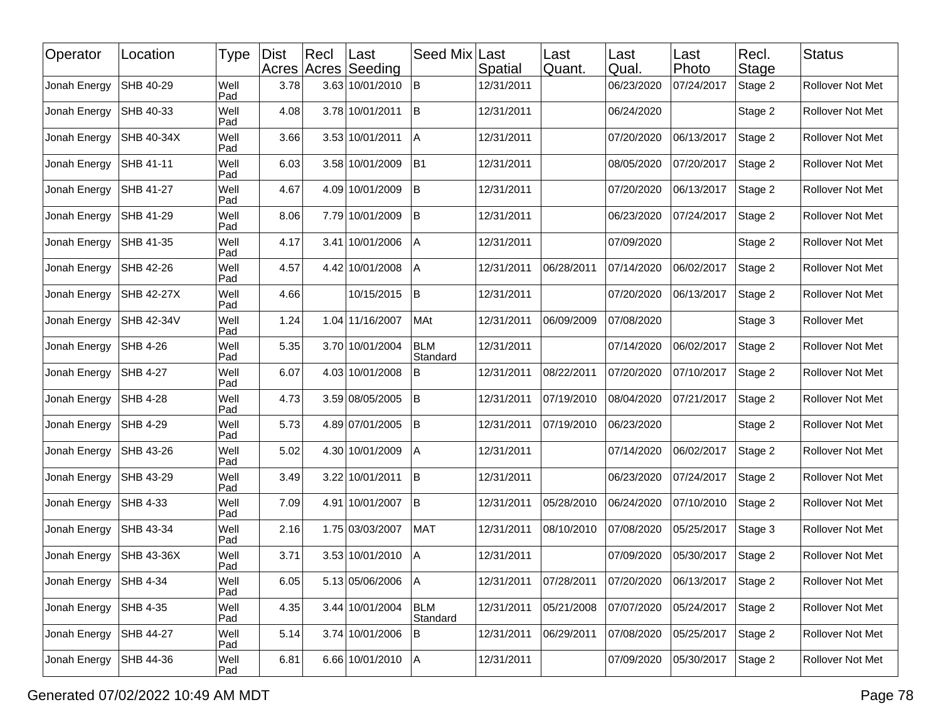| Operator     | Location          | Type        | <b>Dist</b> | Recl | Last<br>Acres Acres Seeding | Seed Mix               | Last<br>Spatial | Last<br>Quant. | Last<br>Qual. | Last<br>Photo | Recl.<br>Stage | <b>Status</b>           |
|--------------|-------------------|-------------|-------------|------|-----------------------------|------------------------|-----------------|----------------|---------------|---------------|----------------|-------------------------|
| Jonah Energy | SHB 40-29         | Well<br>Pad | 3.78        |      | 3.63 10/01/2010             | lB.                    | 12/31/2011      |                | 06/23/2020    | 07/24/2017    | Stage 2        | Rollover Not Met        |
| Jonah Energy | SHB 40-33         | Well<br>Pad | 4.08        |      | 3.78 10/01/2011             | İΒ                     | 12/31/2011      |                | 06/24/2020    |               | Stage 2        | Rollover Not Met        |
| Jonah Energy | SHB 40-34X        | Well<br>Pad | 3.66        |      | 3.53 10/01/2011             | A                      | 12/31/2011      |                | 07/20/2020    | 06/13/2017    | Stage 2        | Rollover Not Met        |
| Jonah Energy | SHB 41-11         | Well<br>Pad | 6.03        |      | 3.58 10/01/2009             | B1                     | 12/31/2011      |                | 08/05/2020    | 07/20/2017    | Stage 2        | Rollover Not Met        |
| Jonah Energy | SHB 41-27         | Well<br>Pad | 4.67        |      | 4.09 10/01/2009             | ΙB                     | 12/31/2011      |                | 07/20/2020    | 06/13/2017    | Stage 2        | Rollover Not Met        |
| Jonah Energy | SHB 41-29         | Well<br>Pad | 8.06        |      | 7.79 10/01/2009             | İΒ.                    | 12/31/2011      |                | 06/23/2020    | 07/24/2017    | Stage 2        | <b>Rollover Not Met</b> |
| Jonah Energy | SHB 41-35         | Well<br>Pad | 4.17        |      | 3.41 10/01/2006             | Α                      | 12/31/2011      |                | 07/09/2020    |               | Stage 2        | Rollover Not Met        |
| Jonah Energy | SHB 42-26         | Well<br>Pad | 4.57        |      | 4.42 10/01/2008             | A                      | 12/31/2011      | 06/28/2011     | 07/14/2020    | 06/02/2017    | Stage 2        | Rollover Not Met        |
| Jonah Energy | SHB 42-27X        | Well<br>Pad | 4.66        |      | 10/15/2015                  | İΒ.                    | 12/31/2011      |                | 07/20/2020    | 06/13/2017    | Stage 2        | Rollover Not Met        |
| Jonah Energy | SHB 42-34V        | Well<br>Pad | 1.24        |      | 1.04 11/16/2007             | MAt                    | 12/31/2011      | 06/09/2009     | 07/08/2020    |               | Stage 3        | <b>Rollover Met</b>     |
| Jonah Energy | SHB 4-26          | Well<br>Pad | 5.35        |      | 3.70 10/01/2004             | <b>BLM</b><br>Standard | 12/31/2011      |                | 07/14/2020    | 06/02/2017    | Stage 2        | Rollover Not Met        |
| Jonah Energy | SHB 4-27          | Well<br>Pad | 6.07        |      | 4.03 10/01/2008             | B                      | 12/31/2011      | 08/22/2011     | 07/20/2020    | 07/10/2017    | Stage 2        | <b>Rollover Not Met</b> |
| Jonah Energy | SHB 4-28          | Well<br>Pad | 4.73        |      | 3.59 08/05/2005             | B                      | 12/31/2011      | 07/19/2010     | 08/04/2020    | 07/21/2017    | Stage 2        | Rollover Not Met        |
| Jonah Energy | SHB 4-29          | Well<br>Pad | 5.73        |      | 4.89 07/01/2005             | ΙB                     | 12/31/2011      | 07/19/2010     | 06/23/2020    |               | Stage 2        | Rollover Not Met        |
| Jonah Energy | SHB 43-26         | Well<br>Pad | 5.02        |      | 4.30 10/01/2009             | A                      | 12/31/2011      |                | 07/14/2020    | 06/02/2017    | Stage 2        | Rollover Not Met        |
| Jonah Energy | SHB 43-29         | Well<br>Pad | 3.49        |      | 3.22 10/01/2011             | ΙB                     | 12/31/2011      |                | 06/23/2020    | 07/24/2017    | Stage 2        | Rollover Not Met        |
| Jonah Energy | SHB 4-33          | Well<br>Pad | 7.09        |      | 4.91 10/01/2007             | İΒ                     | 12/31/2011      | 05/28/2010     | 06/24/2020    | 07/10/2010    | Stage 2        | Rollover Not Met        |
| Jonah Energy | SHB 43-34         | Well<br>Pad | 2.16        |      | 1.75 03/03/2007             | MAT                    | 12/31/2011      | 08/10/2010     | 07/08/2020    | 05/25/2017    | Stage 3        | Rollover Not Met        |
| Jonah Energy | <b>SHB 43-36X</b> | Well<br>Pad | 3.71        |      | 3.53 10/01/2010             | Α                      | 12/31/2011      |                | 07/09/2020    | 05/30/2017    | Stage 2        | Rollover Not Met        |
| Jonah Energy | <b>SHB 4-34</b>   | Well<br>Pad | 6.05        |      | 5.13 05/06/2006 A           |                        | 12/31/2011      | 07/28/2011     | 07/20/2020    | 06/13/2017    | Stage 2        | Rollover Not Met        |
| Jonah Energy | SHB 4-35          | Well<br>Pad | 4.35        |      | 3.44 10/01/2004             | BLM<br>Standard        | 12/31/2011      | 05/21/2008     | 07/07/2020    | 05/24/2017    | Stage 2        | Rollover Not Met        |
| Jonah Energy | SHB 44-27         | Well<br>Pad | 5.14        |      | 3.74 10/01/2006             | B                      | 12/31/2011      | 06/29/2011     | 07/08/2020    | 05/25/2017    | Stage 2        | Rollover Not Met        |
| Jonah Energy | SHB 44-36         | Well<br>Pad | 6.81        |      | 6.66 10/01/2010             | A                      | 12/31/2011      |                | 07/09/2020    | 05/30/2017    | Stage 2        | Rollover Not Met        |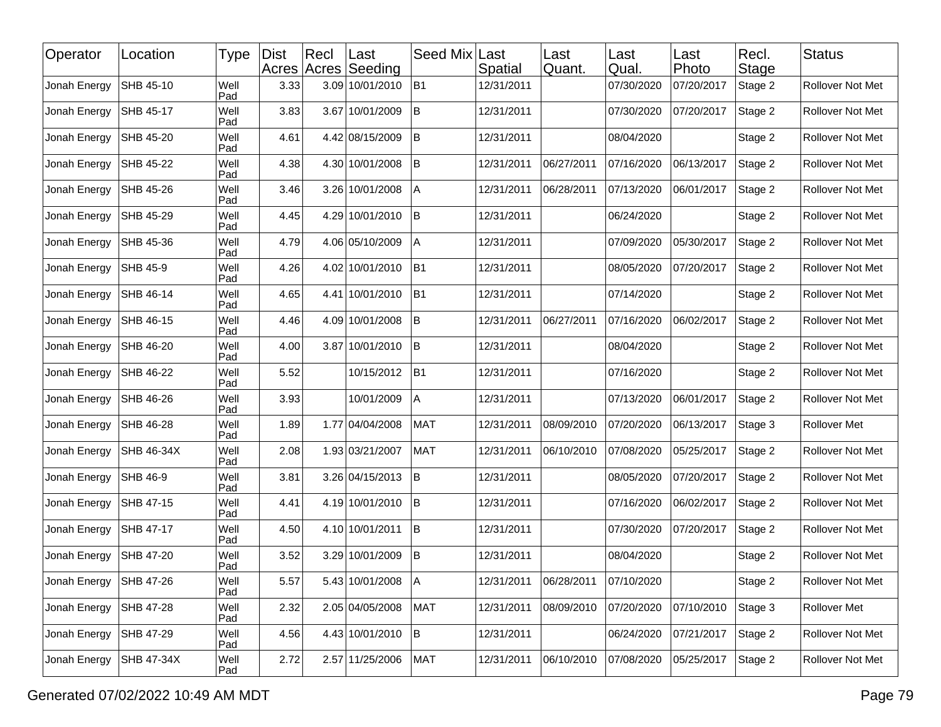| Operator     | Location          | <b>Type</b> | <b>Dist</b> | Rec | ∣Last<br>Acres Acres Seeding | Seed Mix Last  | Spatial    | Last<br>Quant. | Last<br>Qual. | Last<br>Photo | Recl.<br><b>Stage</b> | <b>Status</b>           |
|--------------|-------------------|-------------|-------------|-----|------------------------------|----------------|------------|----------------|---------------|---------------|-----------------------|-------------------------|
| Jonah Energy | SHB 45-10         | Well<br>Pad | 3.33        |     | 3.09 10/01/2010              | B <sub>1</sub> | 12/31/2011 |                | 07/30/2020    | 07/20/2017    | Stage 2               | Rollover Not Met        |
| Jonah Energy | SHB 45-17         | Well<br>Pad | 3.83        |     | 3.67 10/01/2009              | İΒ             | 12/31/2011 |                | 07/30/2020    | 07/20/2017    | Stage 2               | Rollover Not Met        |
| Jonah Energy | SHB 45-20         | Well<br>Pad | 4.61        |     | 4.42 08/15/2009              | ΙB             | 12/31/2011 |                | 08/04/2020    |               | Stage 2               | Rollover Not Met        |
| Jonah Energy | SHB 45-22         | Well<br>Pad | 4.38        |     | 4.30 10/01/2008              | B              | 12/31/2011 | 06/27/2011     | 07/16/2020    | 06/13/2017    | Stage 2               | Rollover Not Met        |
| Jonah Energy | SHB 45-26         | Well<br>Pad | 3.46        |     | 3.26 10/01/2008              | Α              | 12/31/2011 | 06/28/2011     | 07/13/2020    | 06/01/2017    | Stage 2               | Rollover Not Met        |
| Jonah Energy | SHB 45-29         | Well<br>Pad | 4.45        |     | 4.29 10/01/2010              | İΒ             | 12/31/2011 |                | 06/24/2020    |               | Stage 2               | Rollover Not Met        |
| Jonah Energy | SHB 45-36         | Well<br>Pad | 4.79        |     | 4.06 05/10/2009              | Α              | 12/31/2011 |                | 07/09/2020    | 05/30/2017    | Stage 2               | Rollover Not Met        |
| Jonah Energy | <b>SHB 45-9</b>   | Well<br>Pad | 4.26        |     | 4.02 10/01/2010              | B <sub>1</sub> | 12/31/2011 |                | 08/05/2020    | 07/20/2017    | Stage 2               | Rollover Not Met        |
| Jonah Energy | SHB 46-14         | Well<br>Pad | 4.65        |     | 4.41 10/01/2010              | B <sub>1</sub> | 12/31/2011 |                | 07/14/2020    |               | Stage 2               | Rollover Not Met        |
| Jonah Energy | SHB 46-15         | Well<br>Pad | 4.46        |     | 4.09 10/01/2008              | lΒ             | 12/31/2011 | 06/27/2011     | 07/16/2020    | 06/02/2017    | Stage 2               | Rollover Not Met        |
| Jonah Energy | SHB 46-20         | Well<br>Pad | 4.00        |     | 3.87 10/01/2010              | lΒ             | 12/31/2011 |                | 08/04/2020    |               | Stage 2               | Rollover Not Met        |
| Jonah Energy | SHB 46-22         | Well<br>Pad | 5.52        |     | 10/15/2012                   | B <sub>1</sub> | 12/31/2011 |                | 07/16/2020    |               | Stage 2               | Rollover Not Met        |
| Jonah Energy | SHB 46-26         | Well<br>Pad | 3.93        |     | 10/01/2009                   | A              | 12/31/2011 |                | 07/13/2020    | 06/01/2017    | Stage 2               | Rollover Not Met        |
| Jonah Energy | SHB 46-28         | Well<br>Pad | 1.89        |     | 1.77 04/04/2008              | <b>MAT</b>     | 12/31/2011 | 08/09/2010     | 07/20/2020    | 06/13/2017    | Stage 3               | Rollover Met            |
| Jonah Energy | <b>SHB 46-34X</b> | Well<br>Pad | 2.08        |     | 1.93 03/21/2007              | <b>MAT</b>     | 12/31/2011 | 06/10/2010     | 07/08/2020    | 05/25/2017    | Stage 2               | Rollover Not Met        |
| Jonah Energy | SHB 46-9          | Well<br>Pad | 3.81        |     | 3.26 04/15/2013              | İΒ             | 12/31/2011 |                | 08/05/2020    | 07/20/2017    | Stage 2               | Rollover Not Met        |
| Jonah Energy | SHB 47-15         | Well<br>Pad | 4.41        |     | 4.19 10/01/2010              | lΒ             | 12/31/2011 |                | 07/16/2020    | 06/02/2017    | Stage 2               | Rollover Not Met        |
| Jonah Energy | SHB 47-17         | Well<br>Pad | 4.50        |     | 4.10 10/01/2011              | İΒ             | 12/31/2011 |                | 07/30/2020    | 07/20/2017    | Stage 2               | Rollover Not Met        |
| Jonah Energy | SHB 47-20         | Well<br>Pad | 3.52        |     | 3.29 10/01/2009              | İΒ             | 12/31/2011 |                | 08/04/2020    |               | Stage 2               | Rollover Not Met        |
| Jonah Energy | SHB 47-26         | Well<br>Pad | 5.57        |     | 5.43 10/01/2008              | A              | 12/31/2011 | 06/28/2011     | 07/10/2020    |               | Stage 2               | <b>Rollover Not Met</b> |
| Jonah Energy | SHB 47-28         | Well<br>Pad | 2.32        |     | 2.05 04/05/2008              | <b>MAT</b>     | 12/31/2011 | 08/09/2010     | 07/20/2020    | 07/10/2010    | Stage 3               | Rollover Met            |
| Jonah Energy | SHB 47-29         | Well<br>Pad | 4.56        |     | 4.43 10/01/2010              | B              | 12/31/2011 |                | 06/24/2020    | 07/21/2017    | Stage 2               | Rollover Not Met        |
| Jonah Energy | SHB 47-34X        | Well<br>Pad | 2.72        |     | 2.57 11/25/2006              | MAT            | 12/31/2011 | 06/10/2010     | 07/08/2020    | 05/25/2017    | Stage 2               | Rollover Not Met        |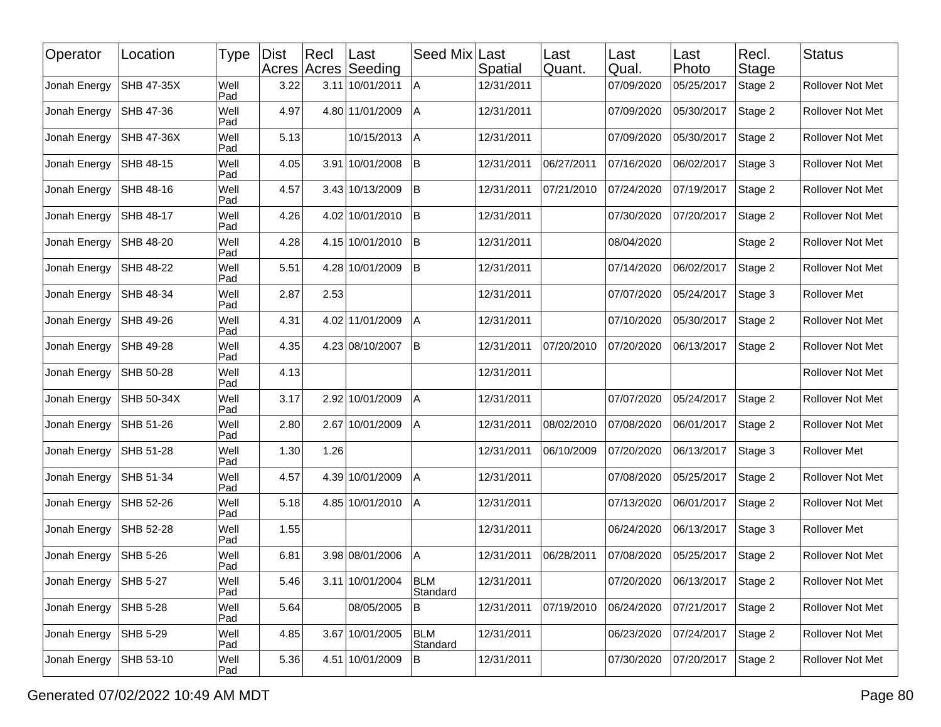| Operator     | Location          | Type        | <b>Dist</b> | Recl | ∣Last<br>Acres Acres Seeding | Seed Mix               | Last<br>Spatial | Last<br>Quant. | Last<br>Qual. | Last<br>Photo | Recl.<br><b>Stage</b> | <b>Status</b>           |
|--------------|-------------------|-------------|-------------|------|------------------------------|------------------------|-----------------|----------------|---------------|---------------|-----------------------|-------------------------|
| Jonah Energy | <b>SHB 47-35X</b> | Well<br>Pad | 3.22        |      | 3.11 10/01/2011              | ΙA                     | 12/31/2011      |                | 07/09/2020    | 05/25/2017    | Stage 2               | Rollover Not Met        |
| Jonah Energy | SHB 47-36         | Well<br>Pad | 4.97        |      | 4.80 11/01/2009              | ΙA                     | 12/31/2011      |                | 07/09/2020    | 05/30/2017    | Stage 2               | Rollover Not Met        |
| Jonah Energy | <b>SHB 47-36X</b> | Well<br>Pad | 5.13        |      | 10/15/2013                   | A                      | 12/31/2011      |                | 07/09/2020    | 05/30/2017    | Stage 2               | Rollover Not Met        |
| Jonah Energy | SHB 48-15         | Well<br>Pad | 4.05        |      | 3.91 10/01/2008              | B                      | 12/31/2011      | 06/27/2011     | 07/16/2020    | 06/02/2017    | Stage 3               | Rollover Not Met        |
| Jonah Energy | SHB 48-16         | Well<br>Pad | 4.57        |      | 3.43 10/13/2009              | <b>B</b>               | 12/31/2011      | 07/21/2010     | 07/24/2020    | 07/19/2017    | Stage 2               | Rollover Not Met        |
| Jonah Energy | SHB 48-17         | Well<br>Pad | 4.26        |      | 4.02 10/01/2010              | İВ.                    | 12/31/2011      |                | 07/30/2020    | 07/20/2017    | Stage 2               | Rollover Not Met        |
| Jonah Energy | SHB 48-20         | Well<br>Pad | 4.28        |      | 4.15 10/01/2010              | <b>B</b>               | 12/31/2011      |                | 08/04/2020    |               | Stage 2               | Rollover Not Met        |
| Jonah Energy | SHB 48-22         | Well<br>Pad | 5.51        |      | 4.28 10/01/2009              | <b>B</b>               | 12/31/2011      |                | 07/14/2020    | 06/02/2017    | Stage 2               | Rollover Not Met        |
| Jonah Energy | SHB 48-34         | Well<br>Pad | 2.87        | 2.53 |                              |                        | 12/31/2011      |                | 07/07/2020    | 05/24/2017    | Stage 3               | <b>Rollover Met</b>     |
| Jonah Energy | SHB 49-26         | Well<br>Pad | 4.31        |      | 4.02 11/01/2009              | A                      | 12/31/2011      |                | 07/10/2020    | 05/30/2017    | Stage 2               | Rollover Not Met        |
| Jonah Energy | SHB 49-28         | Well<br>Pad | 4.35        |      | 4.23 08/10/2007              | <b>B</b>               | 12/31/2011      | 07/20/2010     | 07/20/2020    | 06/13/2017    | Stage 2               | Rollover Not Met        |
| Jonah Energy | SHB 50-28         | Well<br>Pad | 4.13        |      |                              |                        | 12/31/2011      |                |               |               |                       | Rollover Not Met        |
| Jonah Energy | SHB 50-34X        | Well<br>Pad | 3.17        |      | 2.92 10/01/2009              | Α                      | 12/31/2011      |                | 07/07/2020    | 05/24/2017    | Stage 2               | Rollover Not Met        |
| Jonah Energy | SHB 51-26         | Well<br>Pad | 2.80        |      | 2.67 10/01/2009              | ΙA                     | 12/31/2011      | 08/02/2010     | 07/08/2020    | 06/01/2017    | Stage 2               | Rollover Not Met        |
| Jonah Energy | SHB 51-28         | Well<br>Pad | 1.30        | 1.26 |                              |                        | 12/31/2011      | 06/10/2009     | 07/20/2020    | 06/13/2017    | Stage 3               | Rollover Met            |
| Jonah Energy | SHB 51-34         | Well<br>Pad | 4.57        |      | 4.39 10/01/2009              | A                      | 12/31/2011      |                | 07/08/2020    | 05/25/2017    | Stage 2               | Rollover Not Met        |
| Jonah Energy | SHB 52-26         | Well<br>Pad | 5.18        |      | 4.85 10/01/2010              | IА                     | 12/31/2011      |                | 07/13/2020    | 06/01/2017    | Stage 2               | Rollover Not Met        |
| Jonah Energy | SHB 52-28         | Well<br>Pad | 1.55        |      |                              |                        | 12/31/2011      |                | 06/24/2020    | 06/13/2017    | Stage 3               | Rollover Met            |
| Jonah Energy | <b>SHB 5-26</b>   | Well<br>Pad | 6.81        |      | 3.98 08/01/2006              | A                      | 12/31/2011      | 06/28/2011     | 07/08/2020    | 05/25/2017    | Stage 2               | Rollover Not Met        |
| Jonah Energy | <b>SHB 5-27</b>   | Well<br>Pad | 5.46        |      | 3.11 10/01/2004              | <b>BLM</b><br>Standard | 12/31/2011      |                | 07/20/2020    | 06/13/2017    | Stage 2               | <b>Rollover Not Met</b> |
| Jonah Energy | SHB 5-28          | Well<br>Pad | 5.64        |      | 08/05/2005                   | B.                     | 12/31/2011      | 07/19/2010     | 06/24/2020    | 07/21/2017    | Stage 2               | Rollover Not Met        |
| Jonah Energy | SHB 5-29          | Well<br>Pad | 4.85        |      | 3.67 10/01/2005              | <b>BLM</b><br>Standard | 12/31/2011      |                | 06/23/2020    | 07/24/2017    | Stage 2               | Rollover Not Met        |
| Jonah Energy | SHB 53-10         | Well<br>Pad | 5.36        |      | 4.51 10/01/2009              | B                      | 12/31/2011      |                | 07/30/2020    | 07/20/2017    | Stage 2               | Rollover Not Met        |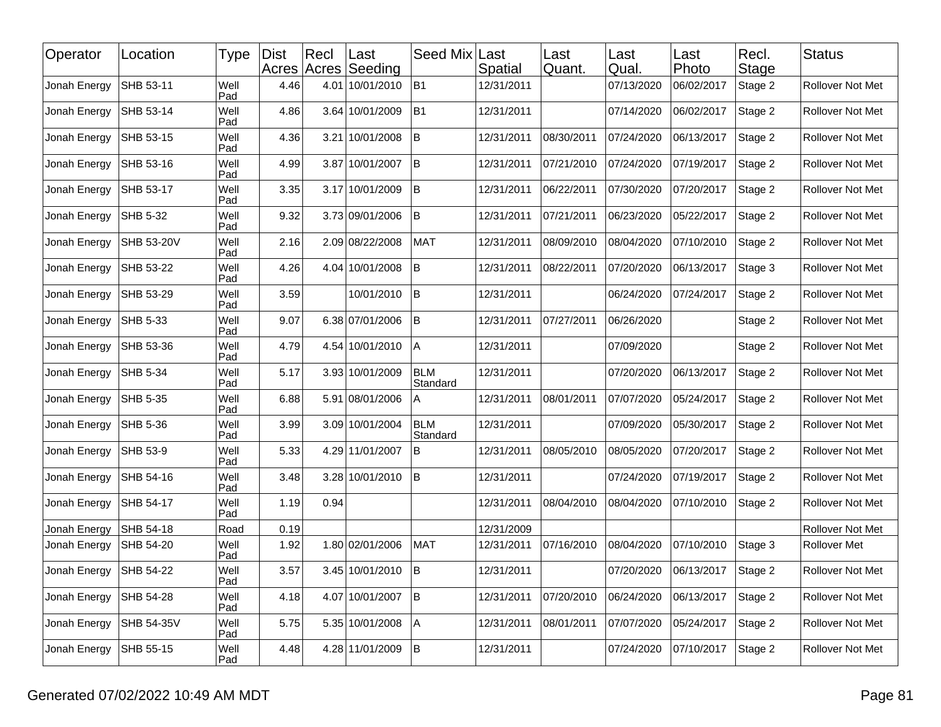| Operator     | Location        | Type        | <b>Dist</b> | $ $ Recl | Last<br>Acres Acres Seeding | Seed Mix               | Last<br>Spatial | Last<br>Quant. | Last<br>Qual. | ∣Last<br>Photo | Recl.<br>Stage | <b>Status</b>           |
|--------------|-----------------|-------------|-------------|----------|-----------------------------|------------------------|-----------------|----------------|---------------|----------------|----------------|-------------------------|
| Jonah Energy | SHB 53-11       | Well<br>Pad | 4.46        |          | 4.01 10/01/2010             | B1                     | 12/31/2011      |                | 07/13/2020    | 06/02/2017     | Stage 2        | Rollover Not Met        |
| Jonah Energy | SHB 53-14       | Well<br>Pad | 4.86        |          | 3.64 10/01/2009             | B1                     | 12/31/2011      |                | 07/14/2020    | 06/02/2017     | Stage 2        | Rollover Not Met        |
| Jonah Energy | SHB 53-15       | Well<br>Pad | 4.36        |          | 3.21 10/01/2008             | lΒ                     | 12/31/2011      | 08/30/2011     | 07/24/2020    | 06/13/2017     | Stage 2        | Rollover Not Met        |
| Jonah Energy | SHB 53-16       | Well<br>Pad | 4.99        |          | 3.87 10/01/2007             | B                      | 12/31/2011      | 07/21/2010     | 07/24/2020    | 07/19/2017     | Stage 2        | Rollover Not Met        |
| Jonah Energy | SHB 53-17       | Well<br>Pad | 3.35        |          | 3.17 10/01/2009             | lΒ                     | 12/31/2011      | 06/22/2011     | 07/30/2020    | 07/20/2017     | Stage 2        | Rollover Not Met        |
| Jonah Energy | SHB 5-32        | Well<br>Pad | 9.32        |          | 3.73 09/01/2006             | İΒ                     | 12/31/2011      | 07/21/2011     | 06/23/2020    | 05/22/2017     | Stage 2        | Rollover Not Met        |
| Jonah Energy | SHB 53-20V      | Well<br>Pad | 2.16        |          | 2.09 08/22/2008             | <b>MAT</b>             | 12/31/2011      | 08/09/2010     | 08/04/2020    | 07/10/2010     | Stage 2        | Rollover Not Met        |
| Jonah Energy | SHB 53-22       | Well<br>Pad | 4.26        |          | 4.04 10/01/2008             | lΒ                     | 12/31/2011      | 08/22/2011     | 07/20/2020    | 06/13/2017     | Stage 3        | Rollover Not Met        |
| Jonah Energy | SHB 53-29       | Well<br>Pad | 3.59        |          | 10/01/2010                  | İΒ                     | 12/31/2011      |                | 06/24/2020    | 07/24/2017     | Stage 2        | Rollover Not Met        |
| Jonah Energy | SHB 5-33        | Well<br>Pad | 9.07        |          | 6.38 07/01/2006             | İΒ                     | 12/31/2011      | 07/27/2011     | 06/26/2020    |                | Stage 2        | Rollover Not Met        |
| Jonah Energy | SHB 53-36       | Well<br>Pad | 4.79        |          | 4.54 10/01/2010             | ΙA                     | 12/31/2011      |                | 07/09/2020    |                | Stage 2        | Rollover Not Met        |
| Jonah Energy | <b>SHB 5-34</b> | Well<br>Pad | 5.17        |          | 3.93 10/01/2009             | <b>BLM</b><br>Standard | 12/31/2011      |                | 07/20/2020    | 06/13/2017     | Stage 2        | Rollover Not Met        |
| Jonah Energy | SHB 5-35        | Well<br>Pad | 6.88        |          | 5.91 08/01/2006             | A                      | 12/31/2011      | 08/01/2011     | 07/07/2020    | 05/24/2017     | Stage 2        | Rollover Not Met        |
| Jonah Energy | SHB 5-36        | Well<br>Pad | 3.99        |          | 3.09 10/01/2004             | <b>BLM</b><br>Standard | 12/31/2011      |                | 07/09/2020    | 05/30/2017     | Stage 2        | Rollover Not Met        |
| Jonah Energy | SHB 53-9        | Well<br>Pad | 5.33        |          | 4.29 11/01/2007             | B                      | 12/31/2011      | 08/05/2010     | 08/05/2020    | 07/20/2017     | Stage 2        | Rollover Not Met        |
| Jonah Energy | SHB 54-16       | Well<br>Pad | 3.48        |          | 3.28 10/01/2010             | İΒ                     | 12/31/2011      |                | 07/24/2020    | 07/19/2017     | Stage 2        | Rollover Not Met        |
| Jonah Energy | SHB 54-17       | Well<br>Pad | 1.19        | 0.94     |                             |                        | 12/31/2011      | 08/04/2010     | 08/04/2020    | 07/10/2010     | Stage 2        | Rollover Not Met        |
| Jonah Energy | SHB 54-18       | Road        | 0.19        |          |                             |                        | 12/31/2009      |                |               |                |                | Rollover Not Met        |
| Jonah Energy | SHB 54-20       | Well<br>Pad | 1.92        |          | 1.80 02/01/2006             | <b>MAT</b>             | 12/31/2011      | 07/16/2010     | 08/04/2020    | 07/10/2010     | Stage 3        | <b>Rollover Met</b>     |
| Jonah Energy | SHB 54-22       | Well<br>Pad | 3.57        |          | 3.45 10/01/2010             | B                      | 12/31/2011      |                | 07/20/2020    | 06/13/2017     | Stage 2        | <b>Rollover Not Met</b> |
| Jonah Energy | SHB 54-28       | Well<br>Pad | 4.18        |          | 4.07 10/01/2007             | B                      | 12/31/2011      | 07/20/2010     | 06/24/2020    | 06/13/2017     | Stage 2        | Rollover Not Met        |
| Jonah Energy | SHB 54-35V      | Well<br>Pad | 5.75        |          | 5.35 10/01/2008             | A                      | 12/31/2011      | 08/01/2011     | 07/07/2020    | 05/24/2017     | Stage 2        | Rollover Not Met        |
| Jonah Energy | SHB 55-15       | Well<br>Pad | 4.48        |          | 4.28 11/01/2009             | B                      | 12/31/2011      |                | 07/24/2020    | 07/10/2017     | Stage 2        | Rollover Not Met        |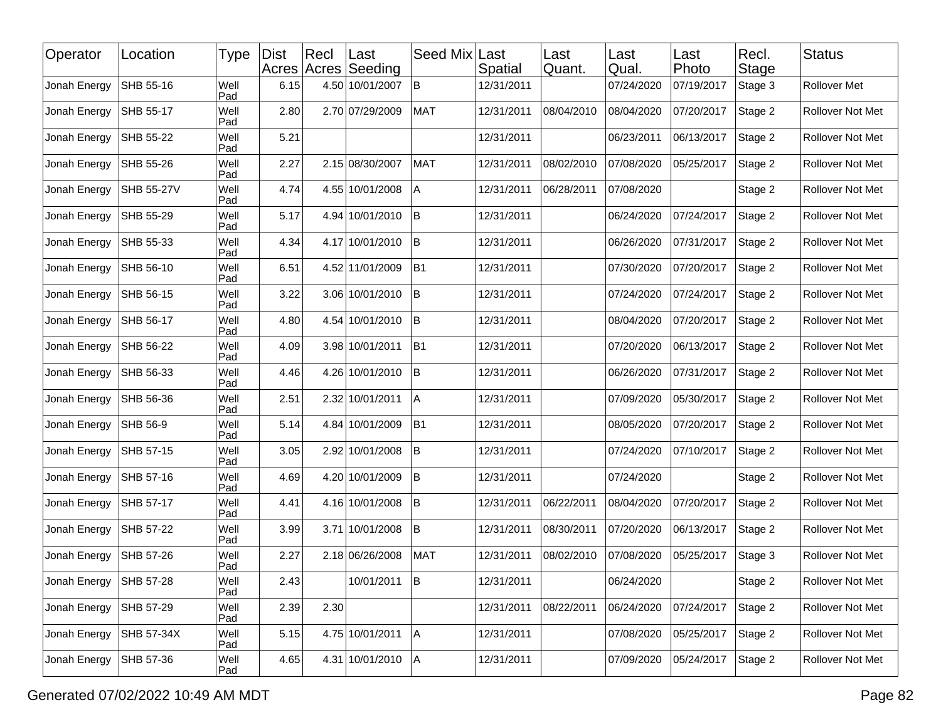| Operator     | Location   | Type        | <b>Dist</b> | Recl | Last<br>Acres Acres Seeding | Seed Mix     | Last<br>Spatial | Last<br>Quant. | Last<br>Qual. | Last<br>Photo | Recl.<br>Stage | <b>Status</b>           |
|--------------|------------|-------------|-------------|------|-----------------------------|--------------|-----------------|----------------|---------------|---------------|----------------|-------------------------|
| Jonah Energy | SHB 55-16  | Well<br>Pad | 6.15        |      | 4.50 10/01/2007             | lB.          | 12/31/2011      |                | 07/24/2020    | 07/19/2017    | Stage 3        | Rollover Met            |
| Jonah Energy | SHB 55-17  | Well<br>Pad | 2.80        |      | 2.70 07/29/2009             | <b>MAT</b>   | 12/31/2011      | 08/04/2010     | 08/04/2020    | 07/20/2017    | Stage 2        | Rollover Not Met        |
| Jonah Energy | SHB 55-22  | Well<br>Pad | 5.21        |      |                             |              | 12/31/2011      |                | 06/23/2011    | 06/13/2017    | Stage 2        | Rollover Not Met        |
| Jonah Energy | SHB 55-26  | Well<br>Pad | 2.27        |      | 2.15 08/30/2007             | <b>MAT</b>   | 12/31/2011      | 08/02/2010     | 07/08/2020    | 05/25/2017    | Stage 2        | Rollover Not Met        |
| Jonah Energy | SHB 55-27V | Well<br>Pad | 4.74        |      | 4.55 10/01/2008             | A            | 12/31/2011      | 06/28/2011     | 07/08/2020    |               | Stage 2        | Rollover Not Met        |
| Jonah Energy | SHB 55-29  | Well<br>Pad | 5.17        |      | 4.94 10/01/2010             | <sup>B</sup> | 12/31/2011      |                | 06/24/2020    | 07/24/2017    | Stage 2        | <b>Rollover Not Met</b> |
| Jonah Energy | SHB 55-33  | Well<br>Pad | 4.34        |      | 4.17 10/01/2010             | lB.          | 12/31/2011      |                | 06/26/2020    | 07/31/2017    | Stage 2        | Rollover Not Met        |
| Jonah Energy | SHB 56-10  | Well<br>Pad | 6.51        |      | 4.52 11/01/2009             | B1           | 12/31/2011      |                | 07/30/2020    | 07/20/2017    | Stage 2        | Rollover Not Met        |
| Jonah Energy | SHB 56-15  | Well<br>Pad | 3.22        |      | 3.06 10/01/2010             | ΙB           | 12/31/2011      |                | 07/24/2020    | 07/24/2017    | Stage 2        | Rollover Not Met        |
| Jonah Energy | SHB 56-17  | Well<br>Pad | 4.80        |      | 4.54 10/01/2010             | B            | 12/31/2011      |                | 08/04/2020    | 07/20/2017    | Stage 2        | Rollover Not Met        |
| Jonah Energy | SHB 56-22  | Well<br>Pad | 4.09        |      | 3.98 10/01/2011             | B1           | 12/31/2011      |                | 07/20/2020    | 06/13/2017    | Stage 2        | Rollover Not Met        |
| Jonah Energy | SHB 56-33  | Well<br>Pad | 4.46        |      | 4.26 10/01/2010             | ΙB           | 12/31/2011      |                | 06/26/2020    | 07/31/2017    | Stage 2        | <b>Rollover Not Met</b> |
| Jonah Energy | SHB 56-36  | Well<br>Pad | 2.51        |      | 2.32 10/01/2011             | Α            | 12/31/2011      |                | 07/09/2020    | 05/30/2017    | Stage 2        | Rollover Not Met        |
| Jonah Energy | SHB 56-9   | Well<br>Pad | 5.14        |      | 4.84 10/01/2009             | B1           | 12/31/2011      |                | 08/05/2020    | 07/20/2017    | Stage 2        | Rollover Not Met        |
| Jonah Energy | SHB 57-15  | Well<br>Pad | 3.05        |      | 2.92 10/01/2008             | lB.          | 12/31/2011      |                | 07/24/2020    | 07/10/2017    | Stage 2        | Rollover Not Met        |
| Jonah Energy | SHB 57-16  | Well<br>Pad | 4.69        |      | 4.20 10/01/2009             | B            | 12/31/2011      |                | 07/24/2020    |               | Stage 2        | Rollover Not Met        |
| Jonah Energy | SHB 57-17  | Well<br>Pad | 4.41        |      | 4.16 10/01/2008             | İΒ           | 12/31/2011      | 06/22/2011     | 08/04/2020    | 07/20/2017    | Stage 2        | Rollover Not Met        |
| Jonah Energy | SHB 57-22  | Well<br>Pad | 3.99        |      | 3.71 10/01/2008             | lB.          | 12/31/2011      | 08/30/2011     | 07/20/2020    | 06/13/2017    | Stage 2        | Rollover Not Met        |
| Jonah Energy | SHB 57-26  | Well<br>Pad | 2.27        |      | 2.18 06/26/2008             | <b>MAT</b>   | 12/31/2011      | 08/02/2010     | 07/08/2020    | 05/25/2017    | Stage 3        | Rollover Not Met        |
| Jonah Energy | SHB 57-28  | Well<br>Pad | 2.43        |      | 10/01/2011 B                |              | 12/31/2011      |                | 06/24/2020    |               | Stage 2        | Rollover Not Met        |
| Jonah Energy | SHB 57-29  | Well<br>Pad | 2.39        | 2.30 |                             |              | 12/31/2011      | 08/22/2011     | 06/24/2020    | 07/24/2017    | Stage 2        | Rollover Not Met        |
| Jonah Energy | SHB 57-34X | Well<br>Pad | 5.15        |      | 4.75 10/01/2011             | A            | 12/31/2011      |                | 07/08/2020    | 05/25/2017    | Stage 2        | Rollover Not Met        |
| Jonah Energy | SHB 57-36  | Well<br>Pad | 4.65        |      | 4.31 10/01/2010             | A            | 12/31/2011      |                | 07/09/2020    | 05/24/2017    | Stage 2        | Rollover Not Met        |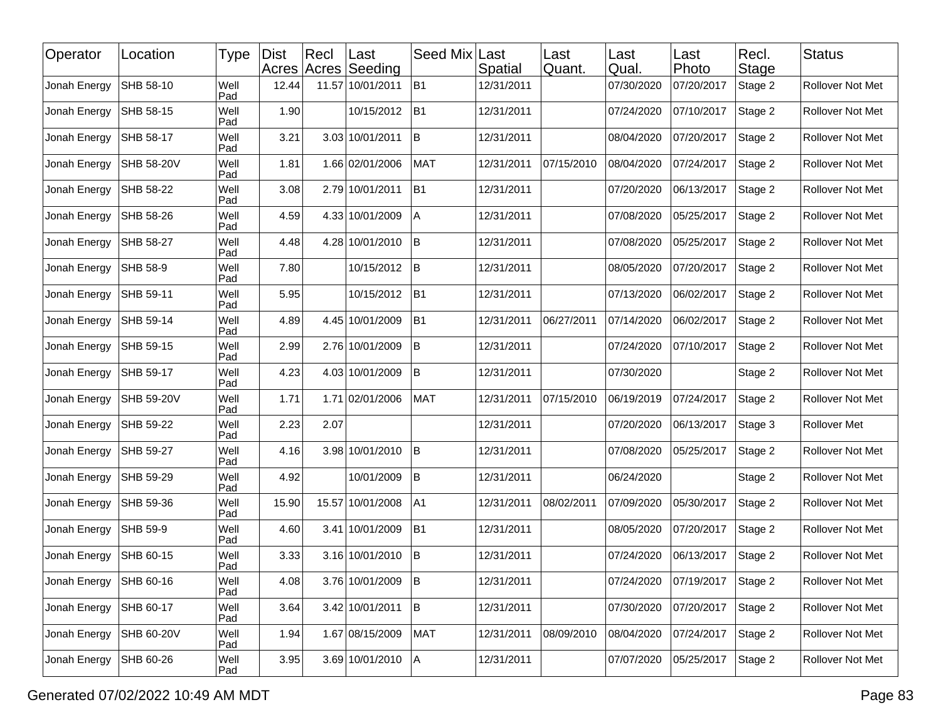| Operator     | Location   | <b>Type</b> | Dist  | $ $ Recl | Last<br>Acres Acres Seeding | Seed Mix       | Last<br>Spatial | Last<br>Quant. | Last<br>Qual. | ∣Last<br>Photo | Recl.<br>Stage | <b>Status</b>       |
|--------------|------------|-------------|-------|----------|-----------------------------|----------------|-----------------|----------------|---------------|----------------|----------------|---------------------|
| Jonah Energy | SHB 58-10  | Well<br>Pad | 12.44 |          | 11.57 10/01/2011            | B1             | 12/31/2011      |                | 07/30/2020    | 07/20/2017     | Stage 2        | Rollover Not Met    |
| Jonah Energy | SHB 58-15  | Well<br>Pad | 1.90  |          | 10/15/2012                  | B <sub>1</sub> | 12/31/2011      |                | 07/24/2020    | 07/10/2017     | Stage 2        | Rollover Not Met    |
| Jonah Energy | SHB 58-17  | Well<br>Pad | 3.21  |          | 3.03 10/01/2011             | İΒ             | 12/31/2011      |                | 08/04/2020    | 07/20/2017     | Stage 2        | Rollover Not Met    |
| Jonah Energy | SHB 58-20V | Well<br>Pad | 1.81  |          | 1.66 02/01/2006             | <b>MAT</b>     | 12/31/2011      | 07/15/2010     | 08/04/2020    | 07/24/2017     | Stage 2        | Rollover Not Met    |
| Jonah Energy | SHB 58-22  | Well<br>Pad | 3.08  |          | 2.79 10/01/2011             | IB1            | 12/31/2011      |                | 07/20/2020    | 06/13/2017     | Stage 2        | Rollover Not Met    |
| Jonah Energy | SHB 58-26  | Well<br>Pad | 4.59  |          | 4.33 10/01/2009             | l A            | 12/31/2011      |                | 07/08/2020    | 05/25/2017     | Stage 2        | Rollover Not Met    |
| Jonah Energy | SHB 58-27  | Well<br>Pad | 4.48  |          | 4.28 10/01/2010             | İΒ             | 12/31/2011      |                | 07/08/2020    | 05/25/2017     | Stage 2        | Rollover Not Met    |
| Jonah Energy | SHB 58-9   | Well<br>Pad | 7.80  |          | 10/15/2012                  | B              | 12/31/2011      |                | 08/05/2020    | 07/20/2017     | Stage 2        | Rollover Not Met    |
| Jonah Energy | SHB 59-11  | Well<br>Pad | 5.95  |          | 10/15/2012                  | B <sub>1</sub> | 12/31/2011      |                | 07/13/2020    | 06/02/2017     | Stage 2        | Rollover Not Met    |
| Jonah Energy | SHB 59-14  | Well<br>Pad | 4.89  |          | 4.45 10/01/2009             | B <sub>1</sub> | 12/31/2011      | 06/27/2011     | 07/14/2020    | 06/02/2017     | Stage 2        | Rollover Not Met    |
| Jonah Energy | SHB 59-15  | Well<br>Pad | 2.99  |          | 2.76 10/01/2009             | B              | 12/31/2011      |                | 07/24/2020    | 07/10/2017     | Stage 2        | Rollover Not Met    |
| Jonah Energy | SHB 59-17  | Well<br>Pad | 4.23  |          | 4.03 10/01/2009             | lΒ             | 12/31/2011      |                | 07/30/2020    |                | Stage 2        | Rollover Not Met    |
| Jonah Energy | SHB 59-20V | Well<br>Pad | 1.71  |          | 1.71 02/01/2006             | <b>MAT</b>     | 12/31/2011      | 07/15/2010     | 06/19/2019    | 07/24/2017     | Stage 2        | Rollover Not Met    |
| Jonah Energy | SHB 59-22  | Well<br>Pad | 2.23  | 2.07     |                             |                | 12/31/2011      |                | 07/20/2020    | 06/13/2017     | Stage 3        | <b>Rollover Met</b> |
| Jonah Energy | SHB 59-27  | Well<br>Pad | 4.16  |          | 3.98 10/01/2010             | İΒ             | 12/31/2011      |                | 07/08/2020    | 05/25/2017     | Stage 2        | Rollover Not Met    |
| Jonah Energy | SHB 59-29  | Well<br>Pad | 4.92  |          | 10/01/2009                  | B              | 12/31/2011      |                | 06/24/2020    |                | Stage 2        | Rollover Not Met    |
| Jonah Energy | SHB 59-36  | Well<br>Pad | 15.90 |          | 15.57 10/01/2008            | A1             | 12/31/2011      | 08/02/2011     | 07/09/2020    | 05/30/2017     | Stage 2        | Rollover Not Met    |
| Jonah Energy | SHB 59-9   | Well<br>Pad | 4.60  |          | 3.41 10/01/2009             | <b>B1</b>      | 12/31/2011      |                | 08/05/2020    | 07/20/2017     | Stage 2        | Rollover Not Met    |
| Jonah Energy | SHB 60-15  | Well<br>Pad | 3.33  |          | 3.16 10/01/2010             | İΒ             | 12/31/2011      |                | 07/24/2020    | 06/13/2017     | Stage 2        | Rollover Not Met    |
| Jonah Energy | SHB 60-16  | Well<br>Pad | 4.08  |          | 3.76 10/01/2009             | B              | 12/31/2011      |                | 07/24/2020    | 07/19/2017     | Stage 2        | Rollover Not Met    |
| Jonah Energy | SHB 60-17  | Well<br>Pad | 3.64  |          | 3.42 10/01/2011             | B              | 12/31/2011      |                | 07/30/2020    | 07/20/2017     | Stage 2        | Rollover Not Met    |
| Jonah Energy | SHB 60-20V | Well<br>Pad | 1.94  |          | 1.67 08/15/2009             | <b>MAT</b>     | 12/31/2011      | 08/09/2010     | 08/04/2020    | 07/24/2017     | Stage 2        | Rollover Not Met    |
| Jonah Energy | SHB 60-26  | Well<br>Pad | 3.95  |          | 3.69 10/01/2010             | A              | 12/31/2011      |                | 07/07/2020    | 05/25/2017     | Stage 2        | Rollover Not Met    |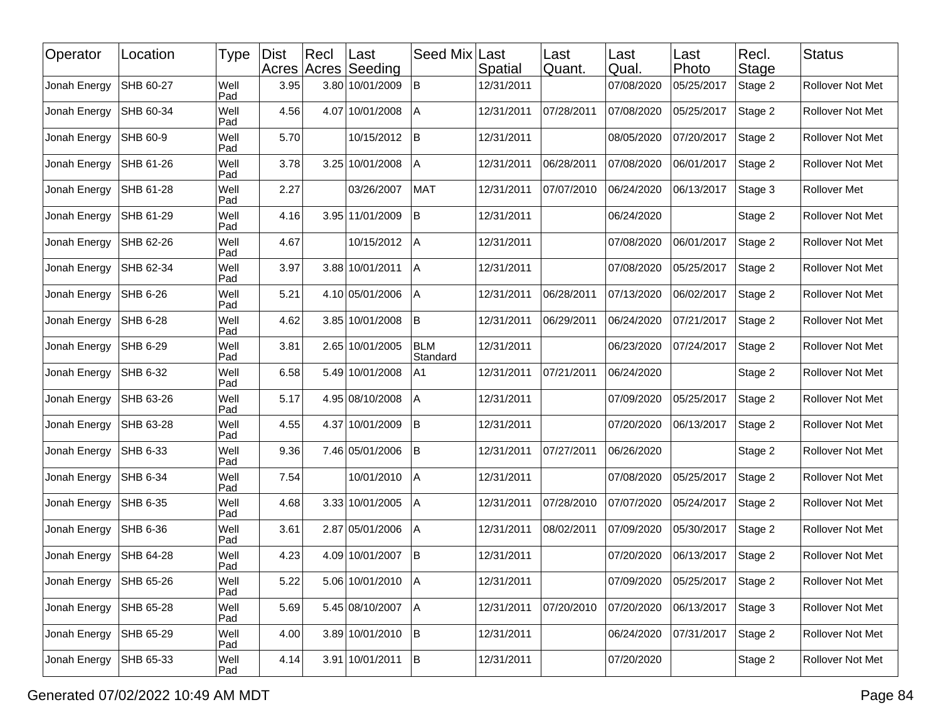| Operator     | Location        | Type        | <b>Dist</b> | Recl | Last<br>Acres Acres Seeding | Seed Mix               | Last<br>Spatial | Last<br>Quant. | Last<br>Qual. | ∣Last<br>Photo | Recl.<br><b>Stage</b> | <b>Status</b>       |
|--------------|-----------------|-------------|-------------|------|-----------------------------|------------------------|-----------------|----------------|---------------|----------------|-----------------------|---------------------|
| Jonah Energy | SHB 60-27       | Well<br>Pad | 3.95        |      | 3.80 10/01/2009             | $\sf B$                | 12/31/2011      |                | 07/08/2020    | 05/25/2017     | Stage 2               | Rollover Not Met    |
| Jonah Energy | SHB 60-34       | Well<br>Pad | 4.56        |      | 4.07 10/01/2008             | A                      | 12/31/2011      | 07/28/2011     | 07/08/2020    | 05/25/2017     | Stage 2               | Rollover Not Met    |
| Jonah Energy | SHB 60-9        | Well<br>Pad | 5.70        |      | 10/15/2012                  | B                      | 12/31/2011      |                | 08/05/2020    | 07/20/2017     | Stage 2               | Rollover Not Met    |
| Jonah Energy | SHB 61-26       | Well<br>Pad | 3.78        |      | 3.25 10/01/2008             | Α                      | 12/31/2011      | 06/28/2011     | 07/08/2020    | 06/01/2017     | Stage 2               | Rollover Not Met    |
| Jonah Energy | SHB 61-28       | Well<br>Pad | 2.27        |      | 03/26/2007                  | <b>MAT</b>             | 12/31/2011      | 07/07/2010     | 06/24/2020    | 06/13/2017     | Stage 3               | <b>Rollover Met</b> |
| Jonah Energy | SHB 61-29       | Well<br>Pad | 4.16        |      | 3.95 11/01/2009             | B                      | 12/31/2011      |                | 06/24/2020    |                | Stage 2               | Rollover Not Met    |
| Jonah Energy | SHB 62-26       | Well<br>Pad | 4.67        |      | 10/15/2012                  | l A                    | 12/31/2011      |                | 07/08/2020    | 06/01/2017     | Stage 2               | Rollover Not Met    |
| Jonah Energy | SHB 62-34       | Well<br>Pad | 3.97        |      | 3.88 10/01/2011             | <b>A</b>               | 12/31/2011      |                | 07/08/2020    | 05/25/2017     | Stage 2               | Rollover Not Met    |
| Jonah Energy | <b>SHB 6-26</b> | Well<br>Pad | 5.21        |      | 4.10 05/01/2006             | A                      | 12/31/2011      | 06/28/2011     | 07/13/2020    | 06/02/2017     | Stage 2               | Rollover Not Met    |
| Jonah Energy | SHB 6-28        | Well<br>Pad | 4.62        |      | 3.85 10/01/2008             | B                      | 12/31/2011      | 06/29/2011     | 06/24/2020    | 07/21/2017     | Stage 2               | Rollover Not Met    |
| Jonah Energy | SHB 6-29        | Well<br>Pad | 3.81        |      | 2.65 10/01/2005             | <b>BLM</b><br>Standard | 12/31/2011      |                | 06/23/2020    | 07/24/2017     | Stage 2               | Rollover Not Met    |
| Jonah Energy | SHB 6-32        | Well<br>Pad | 6.58        |      | 5.49 10/01/2008             | A1                     | 12/31/2011      | 07/21/2011     | 06/24/2020    |                | Stage 2               | Rollover Not Met    |
| Jonah Energy | SHB 63-26       | Well<br>Pad | 5.17        |      | 4.95 08/10/2008             | A                      | 12/31/2011      |                | 07/09/2020    | 05/25/2017     | Stage 2               | Rollover Not Met    |
| Jonah Energy | SHB 63-28       | Well<br>Pad | 4.55        |      | 4.37 10/01/2009             | İΒ                     | 12/31/2011      |                | 07/20/2020    | 06/13/2017     | Stage 2               | Rollover Not Met    |
| Jonah Energy | SHB 6-33        | Well<br>Pad | 9.36        |      | 7.46 05/01/2006             | B                      | 12/31/2011      | 07/27/2011     | 06/26/2020    |                | Stage 2               | Rollover Not Met    |
| Jonah Energy | SHB 6-34        | Well<br>Pad | 7.54        |      | 10/01/2010                  | A                      | 12/31/2011      |                | 07/08/2020    | 05/25/2017     | Stage 2               | Rollover Not Met    |
| Jonah Energy | SHB 6-35        | Well<br>Pad | 4.68        |      | 3.33 10/01/2005             | ΙA                     | 12/31/2011      | 07/28/2010     | 07/07/2020    | 05/24/2017     | Stage 2               | Rollover Not Met    |
| Jonah Energy | SHB 6-36        | Well<br>Pad | 3.61        |      | 2.87 05/01/2006             | A                      | 12/31/2011      | 08/02/2011     | 07/09/2020    | 05/30/2017     | Stage 2               | Rollover Not Met    |
| Jonah Energy | SHB 64-28       | Well<br>Pad | 4.23        |      | 4.09 10/01/2007             | İΒ                     | 12/31/2011      |                | 07/20/2020    | 06/13/2017     | Stage 2               | Rollover Not Met    |
| Jonah Energy | SHB 65-26       | Well<br>Pad | 5.22        |      | 5.06 10/01/2010 A           |                        | 12/31/2011      |                | 07/09/2020    | 05/25/2017     | Stage 2               | Rollover Not Met    |
| Jonah Energy | SHB 65-28       | Well<br>Pad | 5.69        |      | 5.45 08/10/2007             | A                      | 12/31/2011      | 07/20/2010     | 07/20/2020    | 06/13/2017     | Stage 3               | Rollover Not Met    |
| Jonah Energy | SHB 65-29       | Well<br>Pad | 4.00        |      | 3.89 10/01/2010             | B                      | 12/31/2011      |                | 06/24/2020    | 07/31/2017     | Stage 2               | Rollover Not Met    |
| Jonah Energy | SHB 65-33       | Well<br>Pad | 4.14        |      | 3.91 10/01/2011 B           |                        | 12/31/2011      |                | 07/20/2020    |                | Stage 2               | Rollover Not Met    |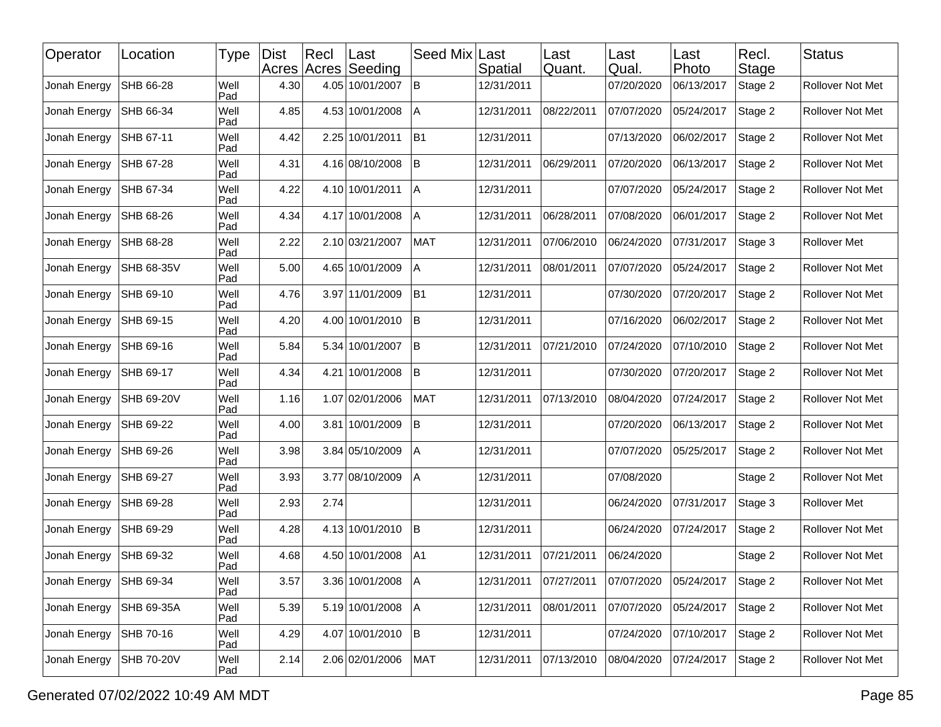| Operator     | Location          | Type        | <b>Dist</b> | Recl | ∣Last<br>Acres Acres Seeding | Seed Mix       | Last<br>Spatial | Last<br>Quant. | Last<br>Qual. | Last<br>Photo | Recl.<br>Stage | <b>Status</b>    |
|--------------|-------------------|-------------|-------------|------|------------------------------|----------------|-----------------|----------------|---------------|---------------|----------------|------------------|
| Jonah Energy | SHB 66-28         | Well<br>Pad | 4.30        |      | 4.05 10/01/2007              | <b>B</b>       | 12/31/2011      |                | 07/20/2020    | 06/13/2017    | Stage 2        | Rollover Not Met |
| Jonah Energy | SHB 66-34         | Well<br>Pad | 4.85        |      | 4.53 10/01/2008              | $\overline{A}$ | 12/31/2011      | 08/22/2011     | 07/07/2020    | 05/24/2017    | Stage 2        | Rollover Not Met |
| Jonah Energy | SHB 67-11         | Well<br>Pad | 4.42        |      | 2.25 10/01/2011              | B1             | 12/31/2011      |                | 07/13/2020    | 06/02/2017    | Stage 2        | Rollover Not Met |
| Jonah Energy | SHB 67-28         | Well<br>Pad | 4.31        |      | 4.16 08/10/2008              | B              | 12/31/2011      | 06/29/2011     | 07/20/2020    | 06/13/2017    | Stage 2        | Rollover Not Met |
| Jonah Energy | SHB 67-34         | Well<br>Pad | 4.22        |      | 4.10 10/01/2011              | IА             | 12/31/2011      |                | 07/07/2020    | 05/24/2017    | Stage 2        | Rollover Not Met |
| Jonah Energy | SHB 68-26         | Well<br>Pad | 4.34        |      | 4.17 10/01/2008              | A              | 12/31/2011      | 06/28/2011     | 07/08/2020    | 06/01/2017    | Stage 2        | Rollover Not Met |
| Jonah Energy | SHB 68-28         | Well<br>Pad | 2.22        |      | 2.10 03/21/2007              | <b>MAT</b>     | 12/31/2011      | 07/06/2010     | 06/24/2020    | 07/31/2017    | Stage 3        | Rollover Met     |
| Jonah Energy | SHB 68-35V        | Well<br>Pad | 5.00        |      | 4.65 10/01/2009              | $\overline{A}$ | 12/31/2011      | 08/01/2011     | 07/07/2020    | 05/24/2017    | Stage 2        | Rollover Not Met |
| Jonah Energy | SHB 69-10         | Well<br>Pad | 4.76        |      | 3.97 11/01/2009              | B1             | 12/31/2011      |                | 07/30/2020    | 07/20/2017    | Stage 2        | Rollover Not Met |
| Jonah Energy | SHB 69-15         | Well<br>Pad | 4.20        |      | 4.00 10/01/2010              | lв             | 12/31/2011      |                | 07/16/2020    | 06/02/2017    | Stage 2        | Rollover Not Met |
| Jonah Energy | SHB 69-16         | Well<br>Pad | 5.84        |      | 5.34 10/01/2007              | <b>B</b>       | 12/31/2011      | 07/21/2010     | 07/24/2020    | 07/10/2010    | Stage 2        | Rollover Not Met |
| Jonah Energy | SHB 69-17         | Well<br>Pad | 4.34        |      | 4.21 10/01/2008              | lB.            | 12/31/2011      |                | 07/30/2020    | 07/20/2017    | Stage 2        | Rollover Not Met |
| Jonah Energy | SHB 69-20V        | Well<br>Pad | 1.16        |      | 1.07 02/01/2006              | <b>MAT</b>     | 12/31/2011      | 07/13/2010     | 08/04/2020    | 07/24/2017    | Stage 2        | Rollover Not Met |
| Jonah Energy | SHB 69-22         | Well<br>Pad | 4.00        |      | 3.81 10/01/2009              | <b>B</b>       | 12/31/2011      |                | 07/20/2020    | 06/13/2017    | Stage 2        | Rollover Not Met |
| Jonah Energy | SHB 69-26         | Well<br>Pad | 3.98        |      | 3.84 05/10/2009              | A              | 12/31/2011      |                | 07/07/2020    | 05/25/2017    | Stage 2        | Rollover Not Met |
| Jonah Energy | SHB 69-27         | Well<br>Pad | 3.93        |      | 3.77 08/10/2009              | A              | 12/31/2011      |                | 07/08/2020    |               | Stage 2        | Rollover Not Met |
| Jonah Energy | SHB 69-28         | Well<br>Pad | 2.93        | 2.74 |                              |                | 12/31/2011      |                | 06/24/2020    | 07/31/2017    | Stage 3        | Rollover Met     |
| Jonah Energy | SHB 69-29         | Well<br>Pad | 4.28        |      | 4.13 10/01/2010              | İВ.            | 12/31/2011      |                | 06/24/2020    | 07/24/2017    | Stage 2        | Rollover Not Met |
| Jonah Energy | SHB 69-32         | Well<br>Pad | 4.68        |      | 4.50 10/01/2008              | A <sub>1</sub> | 12/31/2011      | 07/21/2011     | 06/24/2020    |               | Stage 2        | Rollover Not Met |
| Jonah Energy | SHB 69-34         | Well<br>Pad | 3.57        |      | 3.36 10/01/2008   A          |                | 12/31/2011      | 07/27/2011     | 07/07/2020    | 05/24/2017    | Stage 2        | Rollover Not Met |
| Jonah Energy | SHB 69-35A        | Well<br>Pad | 5.39        |      | 5.19 10/01/2008              | A              | 12/31/2011      | 08/01/2011     | 07/07/2020    | 05/24/2017    | Stage 2        | Rollover Not Met |
| Jonah Energy | SHB 70-16         | Well<br>Pad | 4.29        |      | 4.07 10/01/2010              | B              | 12/31/2011      |                | 07/24/2020    | 07/10/2017    | Stage 2        | Rollover Not Met |
| Jonah Energy | <b>SHB 70-20V</b> | Well<br>Pad | 2.14        |      | 2.06 02/01/2006              | MAT            | 12/31/2011      | 07/13/2010     | 08/04/2020    | 07/24/2017    | Stage 2        | Rollover Not Met |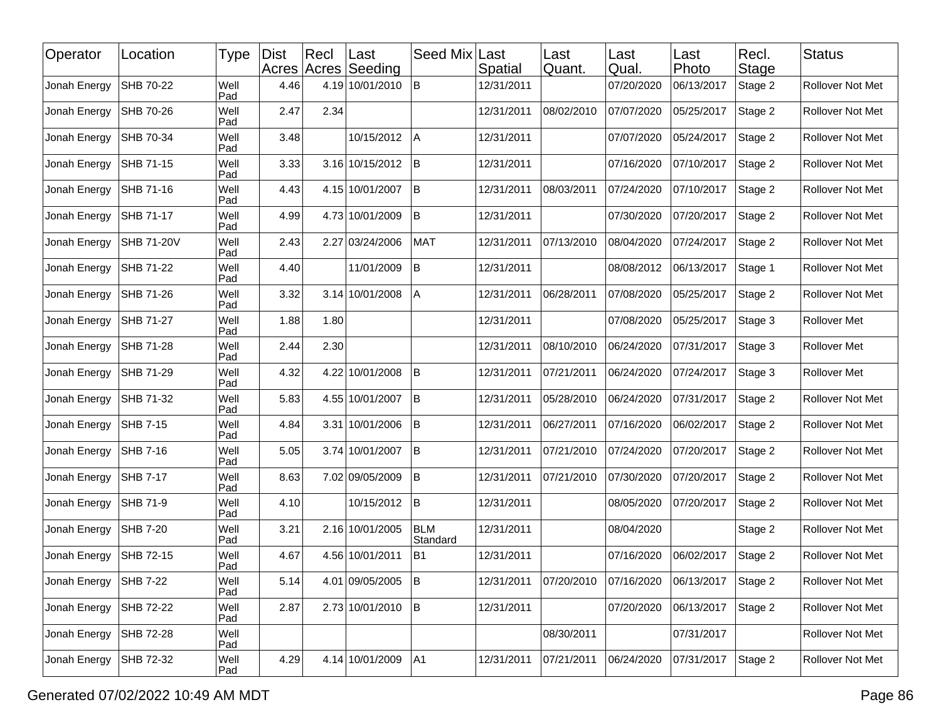| Operator     | Location          | Type        | <b>Dist</b> | Rec  | ∣Last<br>Acres Acres Seeding | Seed Mix Last          | Spatial    | Last<br>Quant. | Last<br>Qual. | Last<br>Photo | Recl.<br><b>Stage</b> | <b>Status</b>           |
|--------------|-------------------|-------------|-------------|------|------------------------------|------------------------|------------|----------------|---------------|---------------|-----------------------|-------------------------|
| Jonah Energy | SHB 70-22         | Well<br>Pad | 4.46        |      | 4.19 10/01/2010              | İΒ                     | 12/31/2011 |                | 07/20/2020    | 06/13/2017    | Stage 2               | Rollover Not Met        |
| Jonah Energy | SHB 70-26         | Well<br>Pad | 2.47        | 2.34 |                              |                        | 12/31/2011 | 08/02/2010     | 07/07/2020    | 05/25/2017    | Stage 2               | Rollover Not Met        |
| Jonah Energy | SHB 70-34         | Well<br>Pad | 3.48        |      | 10/15/2012                   | ΙA                     | 12/31/2011 |                | 07/07/2020    | 05/24/2017    | Stage 2               | Rollover Not Met        |
| Jonah Energy | <b>SHB 71-15</b>  | Well<br>Pad | 3.33        |      | 3.16 10/15/2012              | lΒ                     | 12/31/2011 |                | 07/16/2020    | 07/10/2017    | Stage 2               | Rollover Not Met        |
| Jonah Energy | SHB 71-16         | Well<br>Pad | 4.43        |      | 4.15 10/01/2007              | İΒ                     | 12/31/2011 | 08/03/2011     | 07/24/2020    | 07/10/2017    | Stage 2               | Rollover Not Met        |
| Jonah Energy | SHB 71-17         | Well<br>Pad | 4.99        |      | 4.73 10/01/2009              | lB.                    | 12/31/2011 |                | 07/30/2020    | 07/20/2017    | Stage 2               | Rollover Not Met        |
| Jonah Energy | <b>SHB 71-20V</b> | Well<br>Pad | 2.43        |      | 2.27 03/24/2006              | MAT                    | 12/31/2011 | 07/13/2010     | 08/04/2020    | 07/24/2017    | Stage 2               | Rollover Not Met        |
| Jonah Energy | SHB 71-22         | Well<br>Pad | 4.40        |      | 11/01/2009                   | ΙB                     | 12/31/2011 |                | 08/08/2012    | 06/13/2017    | Stage 1               | Rollover Not Met        |
| Jonah Energy | SHB 71-26         | Well<br>Pad | 3.32        |      | 3.14 10/01/2008              | A                      | 12/31/2011 | 06/28/2011     | 07/08/2020    | 05/25/2017    | Stage 2               | <b>Rollover Not Met</b> |
| Jonah Energy | SHB 71-27         | Well<br>Pad | 1.88        | 1.80 |                              |                        | 12/31/2011 |                | 07/08/2020    | 05/25/2017    | Stage 3               | Rollover Met            |
| Jonah Energy | SHB 71-28         | Well<br>Pad | 2.44        | 2.30 |                              |                        | 12/31/2011 | 08/10/2010     | 06/24/2020    | 07/31/2017    | Stage 3               | <b>Rollover Met</b>     |
| Jonah Energy | SHB 71-29         | Well<br>Pad | 4.32        |      | 4.22 10/01/2008              | lB.                    | 12/31/2011 | 07/21/2011     | 06/24/2020    | 07/24/2017    | Stage 3               | <b>Rollover Met</b>     |
| Jonah Energy | SHB 71-32         | Well<br>Pad | 5.83        |      | 4.55 10/01/2007              | B                      | 12/31/2011 | 05/28/2010     | 06/24/2020    | 07/31/2017    | Stage 2               | Rollover Not Met        |
| Jonah Energy | <b>SHB 7-15</b>   | Well<br>Pad | 4.84        |      | 3.31 10/01/2006              | lΒ                     | 12/31/2011 | 06/27/2011     | 07/16/2020    | 06/02/2017    | Stage 2               | Rollover Not Met        |
| Jonah Energy | SHB 7-16          | Well<br>Pad | 5.05        |      | 3.74 10/01/2007              | lΒ                     | 12/31/2011 | 07/21/2010     | 07/24/2020    | 07/20/2017    | Stage 2               | Rollover Not Met        |
| Jonah Energy | <b>SHB 7-17</b>   | Well<br>Pad | 8.63        |      | 7.02 09/05/2009              | İΒ                     | 12/31/2011 | 07/21/2010     | 07/30/2020    | 07/20/2017    | Stage 2               | Rollover Not Met        |
| Jonah Energy | SHB 71-9          | Well<br>Pad | 4.10        |      | 10/15/2012                   | ΙB                     | 12/31/2011 |                | 08/05/2020    | 07/20/2017    | Stage 2               | Rollover Not Met        |
| Jonah Energy | <b>SHB 7-20</b>   | Well<br>Pad | 3.21        |      | 2.16 10/01/2005              | <b>BLM</b><br>Standard | 12/31/2011 |                | 08/04/2020    |               | Stage 2               | <b>Rollover Not Met</b> |
| Jonah Energy | SHB 72-15         | Well<br>Pad | 4.67        |      | 4.56 10/01/2011              | B1                     | 12/31/2011 |                | 07/16/2020    | 06/02/2017    | Stage 2               | Rollover Not Met        |
| Jonah Energy | <b>SHB 7-22</b>   | Well<br>Pad | 5.14        |      | 4.01 09/05/2005              | B                      | 12/31/2011 | 07/20/2010     | 07/16/2020    | 06/13/2017    | Stage 2               | Rollover Not Met        |
| Jonah Energy | SHB 72-22         | Well<br>Pad | 2.87        |      | 2.73 10/01/2010              | B                      | 12/31/2011 |                | 07/20/2020    | 06/13/2017    | Stage 2               | Rollover Not Met        |
| Jonah Energy | SHB 72-28         | Well<br>Pad |             |      |                              |                        |            | 08/30/2011     |               | 07/31/2017    |                       | Rollover Not Met        |
| Jonah Energy | SHB 72-32         | Well<br>Pad | 4.29        |      | 4.14 10/01/2009              | A1                     | 12/31/2011 | 07/21/2011     | 06/24/2020    | 07/31/2017    | Stage 2               | Rollover Not Met        |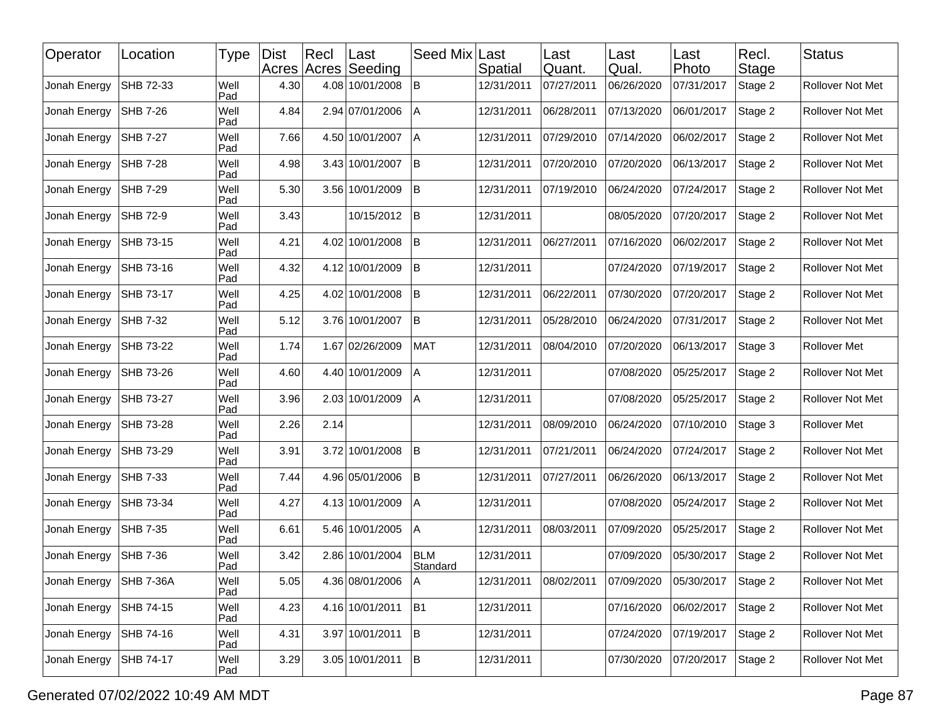| Operator     | Location         | Type        | <b>Dist</b> | Recl | Last<br>Acres Acres Seeding | Seed Mix               | Last<br>Spatial | Last<br>Quant. | Last<br>Qual. | Last<br>Photo | Recl.<br>Stage | <b>Status</b>           |
|--------------|------------------|-------------|-------------|------|-----------------------------|------------------------|-----------------|----------------|---------------|---------------|----------------|-------------------------|
| Jonah Energy | SHB 72-33        | Well<br>Pad | 4.30        |      | 4.08 10/01/2008             | lB.                    | 12/31/2011      | 07/27/2011     | 06/26/2020    | 07/31/2017    | Stage 2        | <b>Rollover Not Met</b> |
| Jonah Energy | SHB 7-26         | Well<br>Pad | 4.84        |      | 2.94 07/01/2006             | l A                    | 12/31/2011      | 06/28/2011     | 07/13/2020    | 06/01/2017    | Stage 2        | Rollover Not Met        |
| Jonah Energy | <b>SHB 7-27</b>  | Well<br>Pad | 7.66        |      | 4.50 10/01/2007             | l A                    | 12/31/2011      | 07/29/2010     | 07/14/2020    | 06/02/2017    | Stage 2        | Rollover Not Met        |
| Jonah Energy | <b>SHB 7-28</b>  | Well<br>Pad | 4.98        |      | 3.43 10/01/2007             | ΙB                     | 12/31/2011      | 07/20/2010     | 07/20/2020    | 06/13/2017    | Stage 2        | Rollover Not Met        |
| Jonah Energy | SHB 7-29         | Well<br>Pad | 5.30        |      | 3.56 10/01/2009             | ΙB                     | 12/31/2011      | 07/19/2010     | 06/24/2020    | 07/24/2017    | Stage 2        | Rollover Not Met        |
| Jonah Energy | SHB 72-9         | Well<br>Pad | 3.43        |      | 10/15/2012                  | B                      | 12/31/2011      |                | 08/05/2020    | 07/20/2017    | Stage 2        | <b>Rollover Not Met</b> |
| Jonah Energy | SHB 73-15        | Well<br>Pad | 4.21        |      | 4.02 10/01/2008             | lB.                    | 12/31/2011      | 06/27/2011     | 07/16/2020    | 06/02/2017    | Stage 2        | Rollover Not Met        |
| Jonah Energy | SHB 73-16        | Well<br>Pad | 4.32        |      | 4.12 10/01/2009             | ΙB                     | 12/31/2011      |                | 07/24/2020    | 07/19/2017    | Stage 2        | Rollover Not Met        |
| Jonah Energy | SHB 73-17        | Well<br>Pad | 4.25        |      | 4.02 10/01/2008             | ΙB                     | 12/31/2011      | 06/22/2011     | 07/30/2020    | 07/20/2017    | Stage 2        | Rollover Not Met        |
| Jonah Energy | SHB 7-32         | Well<br>Pad | 5.12        |      | 3.76 10/01/2007             | lB.                    | 12/31/2011      | 05/28/2010     | 06/24/2020    | 07/31/2017    | Stage 2        | Rollover Not Met        |
| Jonah Energy | SHB 73-22        | Well<br>Pad | 1.74        |      | 1.67 02/26/2009             | <b>MAT</b>             | 12/31/2011      | 08/04/2010     | 07/20/2020    | 06/13/2017    | Stage 3        | Rollover Met            |
| Jonah Energy | SHB 73-26        | Well<br>Pad | 4.60        |      | 4.40 10/01/2009             | A                      | 12/31/2011      |                | 07/08/2020    | 05/25/2017    | Stage 2        | <b>Rollover Not Met</b> |
| Jonah Energy | SHB 73-27        | Well<br>Pad | 3.96        |      | 2.03 10/01/2009             | Α                      | 12/31/2011      |                | 07/08/2020    | 05/25/2017    | Stage 2        | Rollover Not Met        |
| Jonah Energy | SHB 73-28        | Well<br>Pad | 2.26        | 2.14 |                             |                        | 12/31/2011      | 08/09/2010     | 06/24/2020    | 07/10/2010    | Stage 3        | Rollover Met            |
| Jonah Energy | SHB 73-29        | Well<br>Pad | 3.91        |      | 3.72 10/01/2008             | lB.                    | 12/31/2011      | 07/21/2011     | 06/24/2020    | 07/24/2017    | Stage 2        | Rollover Not Met        |
| Jonah Energy | SHB 7-33         | Well<br>Pad | 7.44        |      | 4.96 05/01/2006             | lB.                    | 12/31/2011      | 07/27/2011     | 06/26/2020    | 06/13/2017    | Stage 2        | Rollover Not Met        |
| Jonah Energy | SHB 73-34        | Well<br>Pad | 4.27        |      | 4.13 10/01/2009             | A                      | 12/31/2011      |                | 07/08/2020    | 05/24/2017    | Stage 2        | Rollover Not Met        |
| Jonah Energy | SHB 7-35         | Well<br>Pad | 6.61        |      | 5.46 10/01/2005             | A                      | 12/31/2011      | 08/03/2011     | 07/09/2020    | 05/25/2017    | Stage 2        | Rollover Not Met        |
| Jonah Energy | <b>SHB 7-36</b>  | Well<br>Pad | 3.42        |      | 2.86 10/01/2004             | <b>BLM</b><br>Standard | 12/31/2011      |                | 07/09/2020    | 05/30/2017    | Stage 2        | Rollover Not Met        |
| Jonah Energy | <b>SHB 7-36A</b> | Well<br>Pad | 5.05        |      | 4.36 08/01/2006   A         |                        | 12/31/2011      | 08/02/2011     | 07/09/2020    | 05/30/2017    | Stage 2        | Rollover Not Met        |
| Jonah Energy | SHB 74-15        | Well<br>Pad | 4.23        |      | 4.16 10/01/2011             | B <sub>1</sub>         | 12/31/2011      |                | 07/16/2020    | 06/02/2017    | Stage 2        | Rollover Not Met        |
| Jonah Energy | SHB 74-16        | Well<br>Pad | 4.31        |      | 3.97 10/01/2011             | B.                     | 12/31/2011      |                | 07/24/2020    | 07/19/2017    | Stage 2        | Rollover Not Met        |
| Jonah Energy | SHB 74-17        | Well<br>Pad | 3.29        |      | 3.05 10/01/2011             | B                      | 12/31/2011      |                | 07/30/2020    | 07/20/2017    | Stage 2        | Rollover Not Met        |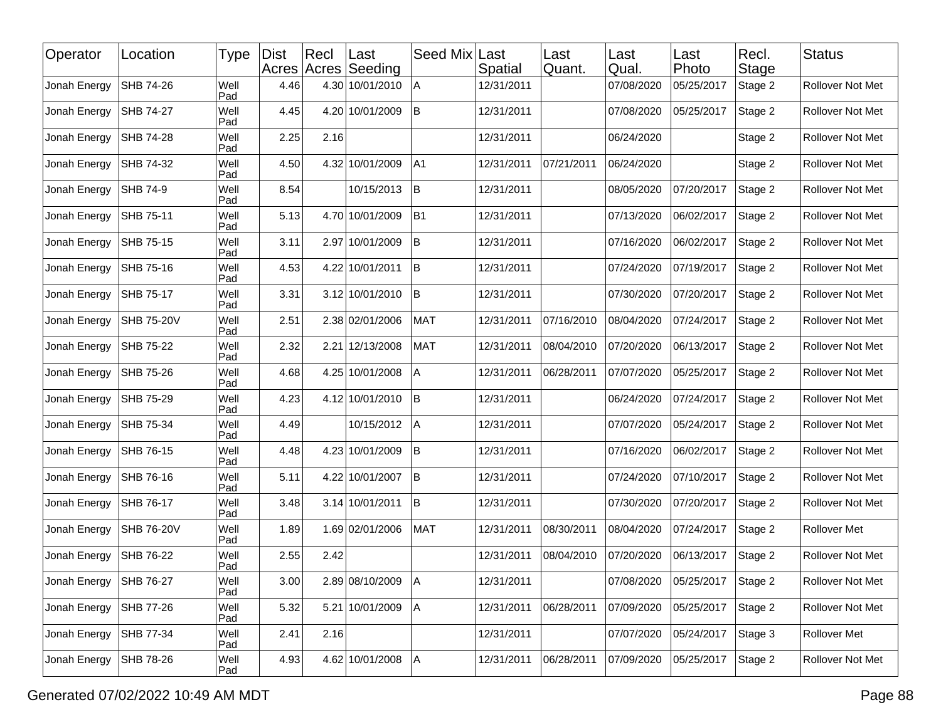| Operator     | Location          | Type        | <b>Dist</b> | Rec  | ∣Last<br>Acres Acres Seeding | Seed Mix Last | Spatial    | Last<br>Quant. | Last<br>Qual. | Last<br>Photo | Recl.<br>Stage | <b>Status</b>       |
|--------------|-------------------|-------------|-------------|------|------------------------------|---------------|------------|----------------|---------------|---------------|----------------|---------------------|
| Jonah Energy | SHB 74-26         | Well<br>Pad | 4.46        |      | 4.30 10/01/2010              | A             | 12/31/2011 |                | 07/08/2020    | 05/25/2017    | Stage 2        | Rollover Not Met    |
| Jonah Energy | SHB 74-27         | Well<br>Pad | 4.45        |      | 4.20 10/01/2009              | İΒ            | 12/31/2011 |                | 07/08/2020    | 05/25/2017    | Stage 2        | Rollover Not Met    |
| Jonah Energy | <b>SHB 74-28</b>  | Well<br>Pad | 2.25        | 2.16 |                              |               | 12/31/2011 |                | 06/24/2020    |               | Stage 2        | Rollover Not Met    |
| Jonah Energy | SHB 74-32         | Well<br>Pad | 4.50        |      | 4.32 10/01/2009              | A1            | 12/31/2011 | 07/21/2011     | 06/24/2020    |               | Stage 2        | Rollover Not Met    |
| Jonah Energy | SHB 74-9          | Well<br>Pad | 8.54        |      | 10/15/2013                   | ΙB            | 12/31/2011 |                | 08/05/2020    | 07/20/2017    | Stage 2        | Rollover Not Met    |
| Jonah Energy | <b>SHB 75-11</b>  | Well<br>Pad | 5.13        |      | 4.70 10/01/2009              | B1            | 12/31/2011 |                | 07/13/2020    | 06/02/2017    | Stage 2        | Rollover Not Met    |
| Jonah Energy | SHB 75-15         | Well<br>Pad | 3.11        |      | 2.97 10/01/2009              | İΒ            | 12/31/2011 |                | 07/16/2020    | 06/02/2017    | Stage 2        | Rollover Not Met    |
| Jonah Energy | SHB 75-16         | Well<br>Pad | 4.53        |      | 4.22 10/01/2011              | İΒ            | 12/31/2011 |                | 07/24/2020    | 07/19/2017    | Stage 2        | Rollover Not Met    |
| Jonah Energy | SHB 75-17         | Well<br>Pad | 3.31        |      | 3.12 10/01/2010              | lΒ            | 12/31/2011 |                | 07/30/2020    | 07/20/2017    | Stage 2        | Rollover Not Met    |
| Jonah Energy | <b>SHB 75-20V</b> | Well<br>Pad | 2.51        |      | 2.38 02/01/2006              | <b>MAT</b>    | 12/31/2011 | 07/16/2010     | 08/04/2020    | 07/24/2017    | Stage 2        | Rollover Not Met    |
| Jonah Energy | SHB 75-22         | Well<br>Pad | 2.32        |      | 2.21 12/13/2008              | <b>MAT</b>    | 12/31/2011 | 08/04/2010     | 07/20/2020    | 06/13/2017    | Stage 2        | Rollover Not Met    |
| Jonah Energy | SHB 75-26         | Well<br>Pad | 4.68        |      | 4.25 10/01/2008              | Α             | 12/31/2011 | 06/28/2011     | 07/07/2020    | 05/25/2017    | Stage 2        | Rollover Not Met    |
| Jonah Energy | SHB 75-29         | Well<br>Pad | 4.23        |      | 4.12 10/01/2010              | B             | 12/31/2011 |                | 06/24/2020    | 07/24/2017    | Stage 2        | Rollover Not Met    |
| Jonah Energy | SHB 75-34         | Well<br>Pad | 4.49        |      | 10/15/2012                   | Α             | 12/31/2011 |                | 07/07/2020    | 05/24/2017    | Stage 2        | Rollover Not Met    |
| Jonah Energy | SHB 76-15         | Well<br>Pad | 4.48        |      | 4.23 10/01/2009              | lB.           | 12/31/2011 |                | 07/16/2020    | 06/02/2017    | Stage 2        | Rollover Not Met    |
| Jonah Energy | SHB 76-16         | Well<br>Pad | 5.11        |      | 4.22 10/01/2007              | B             | 12/31/2011 |                | 07/24/2020    | 07/10/2017    | Stage 2        | Rollover Not Met    |
| Jonah Energy | SHB 76-17         | Well<br>Pad | 3.48        |      | 3.14 10/01/2011              | İΒ            | 12/31/2011 |                | 07/30/2020    | 07/20/2017    | Stage 2        | Rollover Not Met    |
| Jonah Energy | <b>SHB 76-20V</b> | Well<br>Pad | 1.89        |      | 1.69 02/01/2006              | <b>MAT</b>    | 12/31/2011 | 08/30/2011     | 08/04/2020    | 07/24/2017    | Stage 2        | <b>Rollover Met</b> |
| Jonah Energy | SHB 76-22         | Well<br>Pad | 2.55        | 2.42 |                              |               | 12/31/2011 | 08/04/2010     | 07/20/2020    | 06/13/2017    | Stage 2        | Rollover Not Met    |
| Jonah Energy | SHB 76-27         | Well<br>Pad | 3.00        |      | 2.89 08/10/2009              | A             | 12/31/2011 |                | 07/08/2020    | 05/25/2017    | Stage 2        | Rollover Not Met    |
| Jonah Energy | SHB 77-26         | Well<br>Pad | 5.32        |      | 5.21 10/01/2009              | A             | 12/31/2011 | 06/28/2011     | 07/09/2020    | 05/25/2017    | Stage 2        | Rollover Not Met    |
| Jonah Energy | SHB 77-34         | Well<br>Pad | 2.41        | 2.16 |                              |               | 12/31/2011 |                | 07/07/2020    | 05/24/2017    | Stage 3        | Rollover Met        |
| Jonah Energy | SHB 78-26         | Well<br>Pad | 4.93        |      | 4.62 10/01/2008              | A             | 12/31/2011 | 06/28/2011     | 07/09/2020    | 05/25/2017    | Stage 2        | Rollover Not Met    |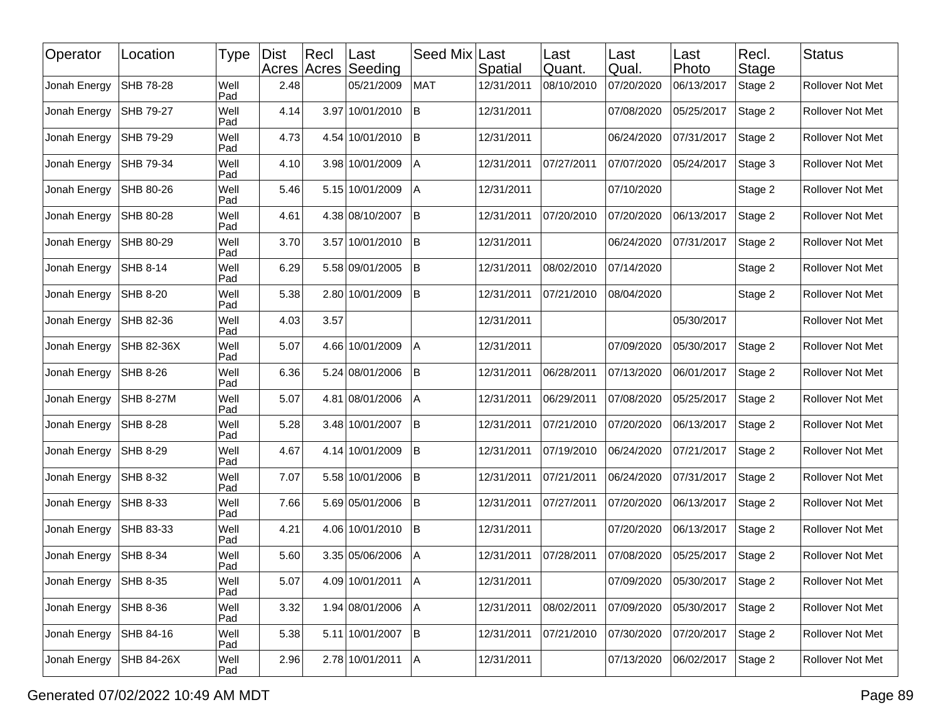| Operator     | Location        | Type        | <b>Dist</b> | Recl | Last<br>Acres Acres Seeding | Seed Mix   | Last<br>Spatial | Last<br>Quant. | Last<br>Qual. | Last<br>Photo | Recl.<br>Stage | <b>Status</b>           |
|--------------|-----------------|-------------|-------------|------|-----------------------------|------------|-----------------|----------------|---------------|---------------|----------------|-------------------------|
| Jonah Energy | SHB 78-28       | Well<br>Pad | 2.48        |      | 05/21/2009                  | <b>MAT</b> | 12/31/2011      | 08/10/2010     | 07/20/2020    | 06/13/2017    | Stage 2        | Rollover Not Met        |
| Jonah Energy | SHB 79-27       | Well<br>Pad | 4.14        |      | 3.97 10/01/2010             | ΙB         | 12/31/2011      |                | 07/08/2020    | 05/25/2017    | Stage 2        | Rollover Not Met        |
| Jonah Energy | SHB 79-29       | Well<br>Pad | 4.73        |      | 4.54 10/01/2010             | ΙB         | 12/31/2011      |                | 06/24/2020    | 07/31/2017    | Stage 2        | Rollover Not Met        |
| Jonah Energy | SHB 79-34       | Well<br>Pad | 4.10        |      | 3.98 10/01/2009             | Α          | 12/31/2011      | 07/27/2011     | 07/07/2020    | 05/24/2017    | Stage 3        | Rollover Not Met        |
| Jonah Energy | SHB 80-26       | Well<br>Pad | 5.46        |      | 5.15 10/01/2009             | ΙA         | 12/31/2011      |                | 07/10/2020    |               | Stage 2        | <b>Rollover Not Met</b> |
| Jonah Energy | SHB 80-28       | Well<br>Pad | 4.61        |      | 4.38 08/10/2007             | B          | 12/31/2011      | 07/20/2010     | 07/20/2020    | 06/13/2017    | Stage 2        | <b>Rollover Not Met</b> |
| Jonah Energy | SHB 80-29       | Well<br>Pad | 3.70        |      | 3.57 10/01/2010             | lB.        | 12/31/2011      |                | 06/24/2020    | 07/31/2017    | Stage 2        | Rollover Not Met        |
| Jonah Energy | SHB 8-14        | Well<br>Pad | 6.29        |      | 5.58 09/01/2005             | ΙB         | 12/31/2011      | 08/02/2010     | 07/14/2020    |               | Stage 2        | Rollover Not Met        |
| Jonah Energy | <b>SHB 8-20</b> | Well<br>Pad | 5.38        |      | 2.80 10/01/2009             | ΙB         | 12/31/2011      | 07/21/2010     | 08/04/2020    |               | Stage 2        | <b>Rollover Not Met</b> |
| Jonah Energy | SHB 82-36       | Well<br>Pad | 4.03        | 3.57 |                             |            | 12/31/2011      |                |               | 05/30/2017    |                | Rollover Not Met        |
| Jonah Energy | SHB 82-36X      | Well<br>Pad | 5.07        |      | 4.66 10/01/2009             | A          | 12/31/2011      |                | 07/09/2020    | 05/30/2017    | Stage 2        | <b>Rollover Not Met</b> |
| Jonah Energy | SHB 8-26        | Well<br>Pad | 6.36        |      | 5.24 08/01/2006             | ΙB         | 12/31/2011      | 06/28/2011     | 07/13/2020    | 06/01/2017    | Stage 2        | <b>Rollover Not Met</b> |
| Jonah Energy | SHB 8-27M       | Well<br>Pad | 5.07        |      | 4.81 08/01/2006             | Α          | 12/31/2011      | 06/29/2011     | 07/08/2020    | 05/25/2017    | Stage 2        | Rollover Not Met        |
| Jonah Energy | SHB 8-28        | Well<br>Pad | 5.28        |      | 3.48 10/01/2007             | lB         | 12/31/2011      | 07/21/2010     | 07/20/2020    | 06/13/2017    | Stage 2        | Rollover Not Met        |
| Jonah Energy | SHB 8-29        | Well<br>Pad | 4.67        |      | 4.14 10/01/2009             | ΙB         | 12/31/2011      | 07/19/2010     | 06/24/2020    | 07/21/2017    | Stage 2        | Rollover Not Met        |
| Jonah Energy | SHB 8-32        | Well<br>Pad | 7.07        |      | 5.58 10/01/2006             | lB.        | 12/31/2011      | 07/21/2011     | 06/24/2020    | 07/31/2017    | Stage 2        | Rollover Not Met        |
| Jonah Energy | SHB 8-33        | Well<br>Pad | 7.66        |      | 5.69 05/01/2006             | ΙB         | 12/31/2011      | 07/27/2011     | 07/20/2020    | 06/13/2017    | Stage 2        | <b>Rollover Not Met</b> |
| Jonah Energy | SHB 83-33       | Well<br>Pad | 4.21        |      | 4.06 10/01/2010             | lB.        | 12/31/2011      |                | 07/20/2020    | 06/13/2017    | Stage 2        | <b>Rollover Not Met</b> |
| Jonah Energy | <b>SHB 8-34</b> | Well<br>Pad | 5.60        |      | 3.35 05/06/2006             | Α          | 12/31/2011      | 07/28/2011     | 07/08/2020    | 05/25/2017    | Stage 2        | Rollover Not Met        |
| Jonah Energy | <b>SHB 8-35</b> | Well<br>Pad | 5.07        |      | 4.09 10/01/2011 A           |            | 12/31/2011      |                | 07/09/2020    | 05/30/2017    | Stage 2        | Rollover Not Met        |
| Jonah Energy | <b>SHB 8-36</b> | Well<br>Pad | 3.32        |      | 1.94 08/01/2006             | A          | 12/31/2011      | 08/02/2011     | 07/09/2020    | 05/30/2017    | Stage 2        | Rollover Not Met        |
| Jonah Energy | SHB 84-16       | Well<br>Pad | 5.38        |      | 5.11 10/01/2007             | B          | 12/31/2011      | 07/21/2010     | 07/30/2020    | 07/20/2017    | Stage 2        | Rollover Not Met        |
| Jonah Energy | SHB 84-26X      | Well<br>Pad | 2.96        |      | 2.78 10/01/2011             | A          | 12/31/2011      |                | 07/13/2020    | 06/02/2017    | Stage 2        | Rollover Not Met        |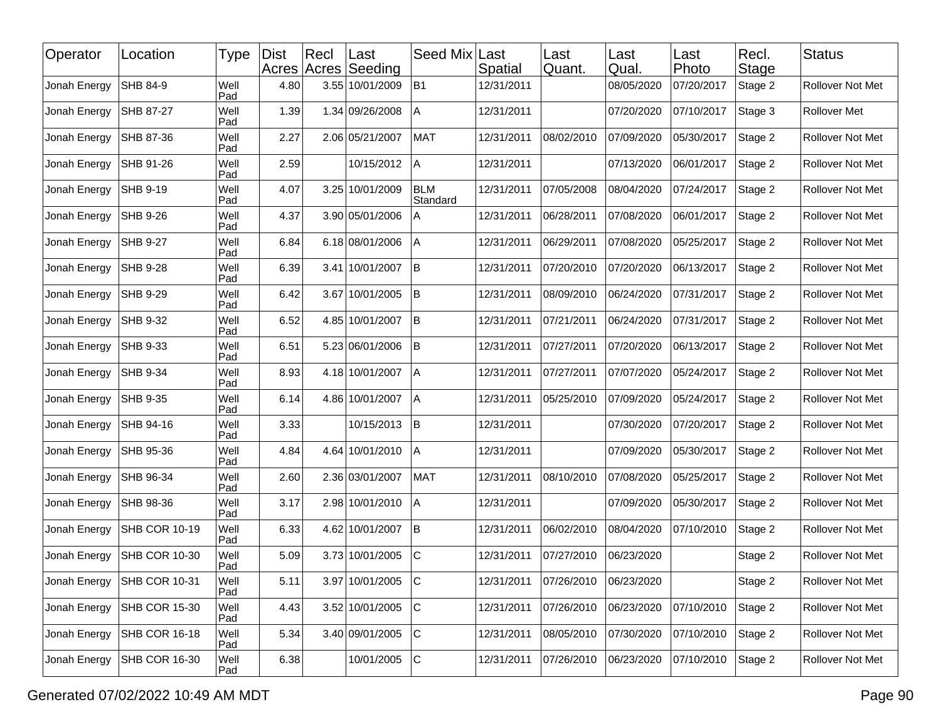| Operator     | Location        | Type        | <b>Dist</b> | $ $ Recl | Last<br>Acres Acres Seeding | Seed Mix               | Last<br>Spatial | Last<br>Quant. | Last<br>Qual. | ∣Last<br>Photo | Recl.<br><b>Stage</b> | <b>Status</b>       |
|--------------|-----------------|-------------|-------------|----------|-----------------------------|------------------------|-----------------|----------------|---------------|----------------|-----------------------|---------------------|
| Jonah Energy | SHB 84-9        | Well<br>Pad | 4.80        |          | 3.55 10/01/2009             | <b>B1</b>              | 12/31/2011      |                | 08/05/2020    | 07/20/2017     | Stage 2               | Rollover Not Met    |
| Jonah Energy | SHB 87-27       | Well<br>Pad | 1.39        |          | 1.34 09/26/2008             | A                      | 12/31/2011      |                | 07/20/2020    | 07/10/2017     | Stage 3               | <b>Rollover Met</b> |
| Jonah Energy | SHB 87-36       | Well<br>Pad | 2.27        |          | 2.06 05/21/2007             | <b>MAT</b>             | 12/31/2011      | 08/02/2010     | 07/09/2020    | 05/30/2017     | Stage 2               | Rollover Not Met    |
| Jonah Energy | SHB 91-26       | Well<br>Pad | 2.59        |          | 10/15/2012                  | Α                      | 12/31/2011      |                | 07/13/2020    | 06/01/2017     | Stage 2               | Rollover Not Met    |
| Jonah Energy | <b>SHB 9-19</b> | Well<br>Pad | 4.07        |          | 3.25 10/01/2009             | <b>BLM</b><br>Standard | 12/31/2011      | 07/05/2008     | 08/04/2020    | 07/24/2017     | Stage 2               | Rollover Not Met    |
| Jonah Energy | SHB 9-26        | Well<br>Pad | 4.37        |          | 3.90 05/01/2006             | A                      | 12/31/2011      | 06/28/2011     | 07/08/2020    | 06/01/2017     | Stage 2               | Rollover Not Met    |
| Jonah Energy | SHB 9-27        | Well<br>Pad | 6.84        |          | 6.18 08/01/2006             | A                      | 12/31/2011      | 06/29/2011     | 07/08/2020    | 05/25/2017     | Stage 2               | Rollover Not Met    |
| Jonah Energy | SHB 9-28        | Well<br>Pad | 6.39        |          | 3.41 10/01/2007             | İΒ                     | 12/31/2011      | 07/20/2010     | 07/20/2020    | 06/13/2017     | Stage 2               | Rollover Not Met    |
| Jonah Energy | SHB 9-29        | Well<br>Pad | 6.42        |          | 3.67 10/01/2005             | B                      | 12/31/2011      | 08/09/2010     | 06/24/2020    | 07/31/2017     | Stage 2               | Rollover Not Met    |
| Jonah Energy | SHB 9-32        | Well<br>Pad | 6.52        |          | 4.85 10/01/2007             | B                      | 12/31/2011      | 07/21/2011     | 06/24/2020    | 07/31/2017     | Stage 2               | Rollover Not Met    |
| Jonah Energy | SHB 9-33        | Well<br>Pad | 6.51        |          | 5.23 06/01/2006             | İΒ                     | 12/31/2011      | 07/27/2011     | 07/20/2020    | 06/13/2017     | Stage 2               | Rollover Not Met    |
| Jonah Energy | <b>SHB 9-34</b> | Well<br>Pad | 8.93        |          | 4.18 10/01/2007             | l A                    | 12/31/2011      | 07/27/2011     | 07/07/2020    | 05/24/2017     | Stage 2               | Rollover Not Met    |
| Jonah Energy | SHB 9-35        | Well<br>Pad | 6.14        |          | 4.86 10/01/2007             | ΙA                     | 12/31/2011      | 05/25/2010     | 07/09/2020    | 05/24/2017     | Stage 2               | Rollover Not Met    |
| Jonah Energy | SHB 94-16       | Well<br>Pad | 3.33        |          | 10/15/2013                  | B                      | 12/31/2011      |                | 07/30/2020    | 07/20/2017     | Stage 2               | Rollover Not Met    |
| Jonah Energy | SHB 95-36       | Well<br>Pad | 4.84        |          | 4.64 10/01/2010             | l A                    | 12/31/2011      |                | 07/09/2020    | 05/30/2017     | Stage 2               | Rollover Not Met    |
| Jonah Energy | SHB 96-34       | Well<br>Pad | 2.60        |          | 2.36 03/01/2007             | <b>MAT</b>             | 12/31/2011      | 08/10/2010     | 07/08/2020    | 05/25/2017     | Stage 2               | Rollover Not Met    |
| Jonah Energy | SHB 98-36       | Well<br>Pad | 3.17        |          | 2.98 10/01/2010             | l A                    | 12/31/2011      |                | 07/09/2020    | 05/30/2017     | Stage 2               | Rollover Not Met    |
| Jonah Energy | SHB COR 10-19   | Well<br>Pad | 6.33        |          | 4.62 10/01/2007             | İΒ                     | 12/31/2011      | 06/02/2010     | 08/04/2020    | 07/10/2010     | Stage 2               | Rollover Not Met    |
| Jonah Energy | SHB COR 10-30   | Well<br>Pad | 5.09        |          | 3.73 10/01/2005             | $\mathsf{C}$           | 12/31/2011      | 07/27/2010     | 06/23/2020    |                | Stage 2               | Rollover Not Met    |
| Jonah Energy | SHB COR 10-31   | Well<br>Pad | 5.11        |          | 3.97 10/01/2005             | $ {\rm c} $            | 12/31/2011      | 07/26/2010     | 06/23/2020    |                | Stage 2               | Rollover Not Met    |
| Jonah Energy | SHB COR 15-30   | Well<br>Pad | 4.43        |          | 3.52 10/01/2005             | C.                     | 12/31/2011      | 07/26/2010     | 06/23/2020    | 07/10/2010     | Stage 2               | Rollover Not Met    |
| Jonah Energy | SHB COR 16-18   | Well<br>Pad | 5.34        |          | 3.40 09/01/2005             | lc.                    | 12/31/2011      | 08/05/2010     | 07/30/2020    | 07/10/2010     | Stage 2               | Rollover Not Met    |
| Jonah Energy | SHB COR 16-30   | Well<br>Pad | 6.38        |          | 10/01/2005                  | c                      | 12/31/2011      | 07/26/2010     | 06/23/2020    | 07/10/2010     | Stage 2               | Rollover Not Met    |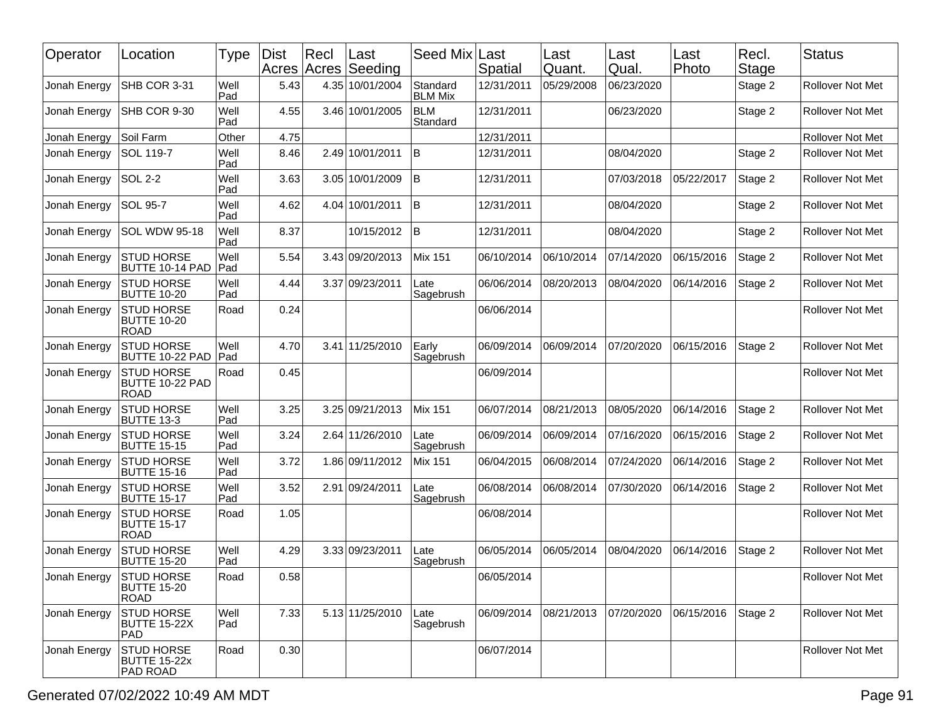| Operator     | Location                                               | Type        | <b>Dist</b> | Rec <br>Acres Acres | ∣Last<br>Seeding | Seed Mix                   | Last<br>Spatial | Last<br>Quant. | Last<br>Qual. | Last<br>Photo | Recl.<br>Stage | <b>Status</b>           |
|--------------|--------------------------------------------------------|-------------|-------------|---------------------|------------------|----------------------------|-----------------|----------------|---------------|---------------|----------------|-------------------------|
| Jonah Energy | SHB COR 3-31                                           | Well<br>Pad | 5.43        |                     | 4.35 10/01/2004  | Standard<br><b>BLM Mix</b> | 12/31/2011      | 05/29/2008     | 06/23/2020    |               | Stage 2        | <b>Rollover Not Met</b> |
| Jonah Energy | SHB COR 9-30                                           | Well<br>Pad | 4.55        |                     | 3.46 10/01/2005  | <b>BLM</b><br>Standard     | 12/31/2011      |                | 06/23/2020    |               | Stage 2        | <b>Rollover Not Met</b> |
| Jonah Energy | Soil Farm                                              | Other       | 4.75        |                     |                  |                            | 12/31/2011      |                |               |               |                | Rollover Not Met        |
| Jonah Energy | SOL 119-7                                              | Well<br>Pad | 8.46        |                     | 2.49 10/01/2011  | lв                         | 12/31/2011      |                | 08/04/2020    |               | Stage 2        | Rollover Not Met        |
| Jonah Energy | <b>SOL 2-2</b>                                         | Well<br>Pad | 3.63        |                     | 3.05 10/01/2009  | lΒ                         | 12/31/2011      |                | 07/03/2018    | 05/22/2017    | Stage 2        | Rollover Not Met        |
| Jonah Energy | <b>SOL 95-7</b>                                        | Well<br>Pad | 4.62        |                     | 4.04 10/01/2011  | lв                         | 12/31/2011      |                | 08/04/2020    |               | Stage 2        | Rollover Not Met        |
| Jonah Energy | SOL WDW 95-18                                          | Well<br>Pad | 8.37        |                     | 10/15/2012       | İΒ                         | 12/31/2011      |                | 08/04/2020    |               | Stage 2        | Rollover Not Met        |
| Jonah Energy | <b>STUD HORSE</b><br>BUTTE 10-14 PAD                   | Well<br>Pad | 5.54        |                     | 3.43 09/20/2013  | <b>Mix 151</b>             | 06/10/2014      | 06/10/2014     | 07/14/2020    | 06/15/2016    | Stage 2        | <b>Rollover Not Met</b> |
| Jonah Energy | <b>STUD HORSE</b><br><b>BUTTE 10-20</b>                | Well<br>Pad | 4.44        |                     | 3.37 09/23/2011  | Late<br>Sagebrush          | 06/06/2014      | 08/20/2013     | 08/04/2020    | 06/14/2016    | Stage 2        | Rollover Not Met        |
| Jonah Energy | <b>STUD HORSE</b><br><b>BUTTE 10-20</b><br><b>ROAD</b> | Road        | 0.24        |                     |                  |                            | 06/06/2014      |                |               |               |                | Rollover Not Met        |
| Jonah Energy | <b>STUD HORSE</b><br>BUTTE 10-22 PAD                   | Well<br>Pad | 4.70        |                     | 3.41 11/25/2010  | Early<br>Sagebrush         | 06/09/2014      | 06/09/2014     | 07/20/2020    | 06/15/2016    | Stage 2        | Rollover Not Met        |
| Jonah Energy | <b>STUD HORSE</b><br>BUTTE 10-22 PAD<br><b>ROAD</b>    | Road        | 0.45        |                     |                  |                            | 06/09/2014      |                |               |               |                | Rollover Not Met        |
| Jonah Energy | <b>STUD HORSE</b><br><b>BUTTE 13-3</b>                 | Well<br>Pad | 3.25        |                     | 3.25 09/21/2013  | <b>Mix 151</b>             | 06/07/2014      | 08/21/2013     | 08/05/2020    | 06/14/2016    | Stage 2        | Rollover Not Met        |
| Jonah Energy | <b>STUD HORSE</b><br><b>BUTTE 15-15</b>                | Well<br>Pad | 3.24        |                     | 2.64 11/26/2010  | Late<br>Sagebrush          | 06/09/2014      | 06/09/2014     | 07/16/2020    | 06/15/2016    | Stage 2        | Rollover Not Met        |
| Jonah Energy | <b>STUD HORSE</b><br><b>BUTTE 15-16</b>                | Well<br>Pad | 3.72        |                     | 1.86 09/11/2012  | Mix 151                    | 06/04/2015      | 06/08/2014     | 07/24/2020    | 06/14/2016    | Stage 2        | Rollover Not Met        |
| Jonah Energy | <b>STUD HORSE</b><br><b>BUTTE 15-17</b>                | Well<br>Pad | 3.52        |                     | 2.91 09/24/2011  | Late<br>Sagebrush          | 06/08/2014      | 06/08/2014     | 07/30/2020    | 06/14/2016    | Stage 2        | Rollover Not Met        |
| Jonah Energy | <b>STUD HORSE</b><br><b>BUTTE 15-17</b><br><b>ROAD</b> | Road        | 1.05        |                     |                  |                            | 06/08/2014      |                |               |               |                | Rollover Not Met        |
| Jonah Energy | <b>STUD HORSE</b><br><b>BUTTE 15-20</b>                | Well<br>Pad | 4.29        |                     | 3.33 09/23/2011  | Late<br>Sagebrush          | 06/05/2014      | 06/05/2014     | 08/04/2020    | 06/14/2016    | Stage 2        | Rollover Not Met        |
| Jonah Energy | <b>STUD HORSE</b><br><b>BUTTE 15-20</b><br><b>ROAD</b> | Road        | 0.58        |                     |                  |                            | 06/05/2014      |                |               |               |                | Rollover Not Met        |
| Jonah Energy | <b>STUD HORSE</b><br><b>BUTTE 15-22X</b><br> PAD       | Well<br>Pad | 7.33        |                     | 5.13 11/25/2010  | Late<br>Sagebrush          | 06/09/2014      | 08/21/2013     | 07/20/2020    | 06/15/2016    | Stage 2        | Rollover Not Met        |
| Jonah Energy | <b>STUD HORSE</b><br>BUTTE 15-22x<br>PAD ROAD          | Road        | 0.30        |                     |                  |                            | 06/07/2014      |                |               |               |                | Rollover Not Met        |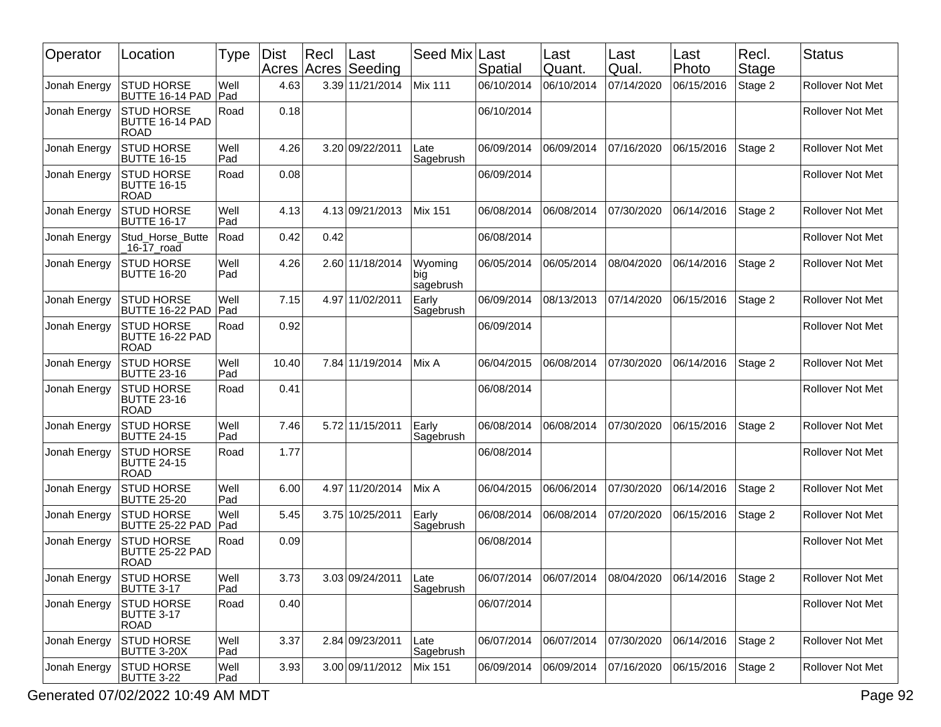| Operator     | Location                                               | Type        | <b>Dist</b> | Recl<br>Acres Acres | Last<br>Seeding | Seed Mix                    | Last<br>Spatial | Last<br>Quant. | Last<br>Qual. | ∣Last<br>Photo | Recl.<br>Stage | <b>Status</b>           |
|--------------|--------------------------------------------------------|-------------|-------------|---------------------|-----------------|-----------------------------|-----------------|----------------|---------------|----------------|----------------|-------------------------|
| Jonah Energy | <b>STUD HORSE</b><br>BUTTE 16-14 PAD                   | Well<br>Pad | 4.63        |                     | 3.39 11/21/2014 | <b>Mix 111</b>              | 06/10/2014      | 06/10/2014     | 07/14/2020    | 06/15/2016     | Stage 2        | <b>Rollover Not Met</b> |
| Jonah Energy | <b>STUD HORSE</b><br>BUTTE 16-14 PAD<br><b>ROAD</b>    | Road        | 0.18        |                     |                 |                             | 06/10/2014      |                |               |                |                | <b>Rollover Not Met</b> |
| Jonah Energy | <b>STUD HORSE</b><br><b>BUTTE 16-15</b>                | Well<br>Pad | 4.26        |                     | 3.20 09/22/2011 | Late<br>Sagebrush           | 06/09/2014      | 06/09/2014     | 07/16/2020    | 06/15/2016     | Stage 2        | <b>Rollover Not Met</b> |
| Jonah Energy | <b>STUD HORSE</b><br><b>BUTTE 16-15</b><br><b>ROAD</b> | Road        | 0.08        |                     |                 |                             | 06/09/2014      |                |               |                |                | <b>Rollover Not Met</b> |
| Jonah Energy | <b>STUD HORSE</b><br><b>BUTTE 16-17</b>                | Well<br>Pad | 4.13        |                     | 4.13 09/21/2013 | <b>Mix 151</b>              | 06/08/2014      | 06/08/2014     | 07/30/2020    | 06/14/2016     | Stage 2        | <b>Rollover Not Met</b> |
| Jonah Energy | Stud_Horse_Butte<br>16-17 road                         | Road        | 0.42        | 0.42                |                 |                             | 06/08/2014      |                |               |                |                | <b>Rollover Not Met</b> |
| Jonah Energy | <b>STUD HORSE</b><br><b>BUTTE 16-20</b>                | Well<br>Pad | 4.26        |                     | 2.60 11/18/2014 | Wyoming<br>big<br>sagebrush | 06/05/2014      | 06/05/2014     | 08/04/2020    | 06/14/2016     | Stage 2        | <b>Rollover Not Met</b> |
| Jonah Energy | <b>STUD HORSE</b><br>BUTTE 16-22 PAD                   | Well<br>Pad | 7.15        | 4.97                | 11/02/2011      | Early<br>Sagebrush          | 06/09/2014      | 08/13/2013     | 07/14/2020    | 06/15/2016     | Stage 2        | <b>Rollover Not Met</b> |
| Jonah Energy | <b>STUD HORSE</b><br>BUTTE 16-22 PAD<br><b>ROAD</b>    | Road        | 0.92        |                     |                 |                             | 06/09/2014      |                |               |                |                | Rollover Not Met        |
| Jonah Energy | <b>STUD HORSE</b><br><b>BUTTE 23-16</b>                | Well<br>Pad | 10.40       | 7.84                | 11/19/2014      | Mix A                       | 06/04/2015      | 06/08/2014     | 07/30/2020    | 06/14/2016     | Stage 2        | <b>Rollover Not Met</b> |
| Jonah Energy | <b>STUD HORSE</b><br><b>BUTTE 23-16</b><br><b>ROAD</b> | Road        | 0.41        |                     |                 |                             | 06/08/2014      |                |               |                |                | Rollover Not Met        |
| Jonah Energy | STUD HORSE<br><b>BUTTE 24-15</b>                       | Well<br>Pad | 7.46        |                     | 5.72 11/15/2011 | Early<br>Sagebrush          | 06/08/2014      | 06/08/2014     | 07/30/2020    | 06/15/2016     | Stage 2        | <b>Rollover Not Met</b> |
| Jonah Energy | <b>STUD HORSE</b><br><b>BUTTE 24-15</b><br><b>ROAD</b> | Road        | 1.77        |                     |                 |                             | 06/08/2014      |                |               |                |                | Rollover Not Met        |
| Jonah Energy | <b>STUD HORSE</b><br><b>BUTTE 25-20</b>                | Well<br>Pad | 6.00        | 4.97                | 11/20/2014      | Mix A                       | 06/04/2015      | 06/06/2014     | 07/30/2020    | 06/14/2016     | Stage 2        | <b>Rollover Not Met</b> |
| Jonah Energy | <b>STUD HORSE</b><br>BUTTE 25-22 PAD                   | Well<br>Pad | 5.45        |                     | 3.75 10/25/2011 | Early<br>Sagebrush          | 06/08/2014      | 06/08/2014     | 07/20/2020    | 06/15/2016     | Stage 2        | <b>Rollover Not Met</b> |
| Jonah Energy | <b>STUD HORSE</b><br>BUTTE 25-22 PAD<br><b>ROAD</b>    | Road        | 0.09        |                     |                 |                             | 06/08/2014      |                |               |                |                | Rollover Not Met        |
| Jonah Energy | <b>STUD HORSE</b><br>BUTTE 3-17                        | Well<br>Pad | 3.73        |                     | 3.03 09/24/2011 | ∣Late<br>Sagebrush          | 06/07/2014      |                |               | 06/14/2016     | Stage 2        | Rollover Not Met        |
| Jonah Energy | <b>STUD HORSE</b><br>BUTTE 3-17<br><b>ROAD</b>         | Road        | 0.40        |                     |                 |                             | 06/07/2014      |                |               |                |                | Rollover Not Met        |
| Jonah Energy | <b>STUD HORSE</b><br>BUTTE 3-20X                       | Well<br>Pad | 3.37        |                     | 2.84 09/23/2011 | Late<br>Sagebrush           | 06/07/2014      | 06/07/2014     | 07/30/2020    | 06/14/2016     | Stage 2        | Rollover Not Met        |
| Jonah Energy | <b>STUD HORSE</b><br>BUTTE 3-22                        | Well<br>Pad | 3.93        |                     | 3.00 09/11/2012 | Mix 151                     | 06/09/2014      | 06/09/2014     | 07/16/2020    | 06/15/2016     | Stage 2        | Rollover Not Met        |

Generated 07/02/2022 10:49 AM MDT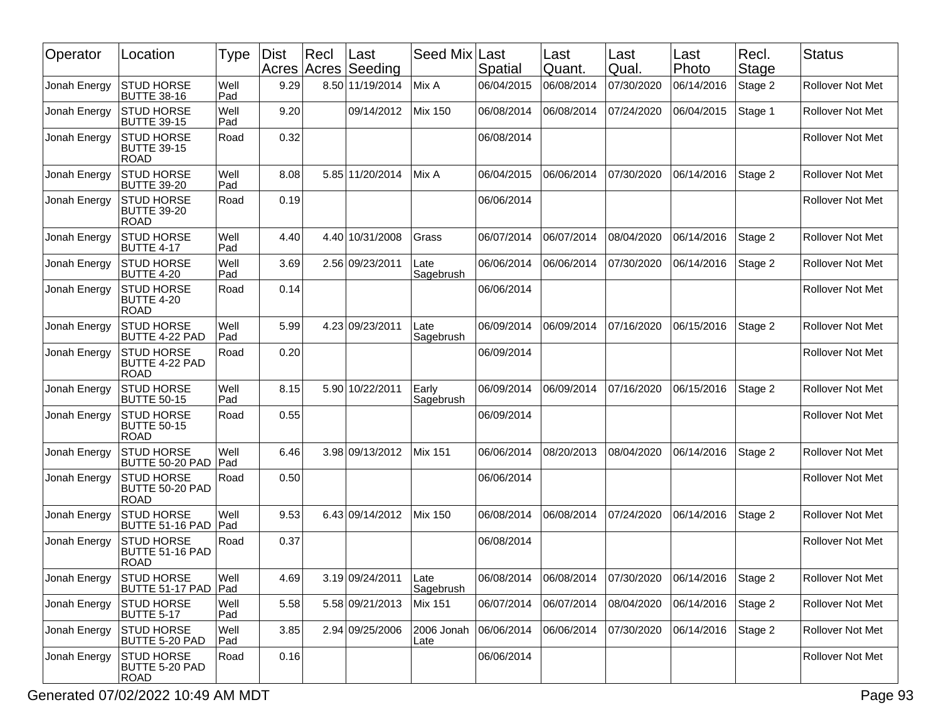| Operator     | Location                                                  | Type        | Dist<br>Acres Acres | Rec  | Last<br>Seeding | Seed Mix Last      | Spatial    | Last<br>Quant.                   | Last<br>Qual. | Last<br>Photo      | Recl.<br><b>Stage</b> | <b>Status</b>           |
|--------------|-----------------------------------------------------------|-------------|---------------------|------|-----------------|--------------------|------------|----------------------------------|---------------|--------------------|-----------------------|-------------------------|
| Jonah Energy | <b>STUD HORSE</b><br><b>BUTTE 38-16</b>                   | Well<br>Pad | 9.29                |      | 8.50 11/19/2014 | Mix A              | 06/04/2015 | 06/08/2014                       | 07/30/2020    | 06/14/2016         | Stage 2               | <b>Rollover Not Met</b> |
| Jonah Energy | <b>STUD HORSE</b><br><b>BUTTE 39-15</b>                   | Well<br>Pad | 9.20                |      | 09/14/2012      | <b>Mix 150</b>     | 06/08/2014 | 06/08/2014                       | 07/24/2020    | 06/04/2015         | Stage 1               | Rollover Not Met        |
| Jonah Energy | <b>STUD HORSE</b><br><b>BUTTE 39-15</b><br><b>ROAD</b>    | Road        | 0.32                |      |                 |                    | 06/08/2014 |                                  |               |                    |                       | Rollover Not Met        |
| Jonah Energy | <b>STUD HORSE</b><br><b>BUTTE 39-20</b>                   | Well<br>Pad | 8.08                |      | 5.85 11/20/2014 | Mix A              | 06/04/2015 | 06/06/2014                       | 07/30/2020    | 06/14/2016         | Stage 2               | <b>Rollover Not Met</b> |
| Jonah Energy | <b>STUD HORSE</b><br><b>BUTTE 39-20</b><br><b>ROAD</b>    | Road        | 0.19                |      |                 |                    | 06/06/2014 |                                  |               |                    |                       | Rollover Not Met        |
| Jonah Energy | <b>STUD HORSE</b><br><b>BUTTE 4-17</b>                    | Well<br>Pad | 4.40                |      | 4.40 10/31/2008 | Grass              | 06/07/2014 | 06/07/2014                       | 08/04/2020    | 06/14/2016         | Stage 2               | <b>Rollover Not Met</b> |
| Jonah Energy | <b>STUD HORSE</b><br><b>BUTTE 4-20</b>                    | Well<br>Pad | 3.69                |      | 2.56 09/23/2011 | Late<br>Sagebrush  | 06/06/2014 | 06/06/2014                       | 07/30/2020    | 06/14/2016         | Stage 2               | <b>Rollover Not Met</b> |
| Jonah Energy | <b>STUD HORSE</b><br><b>BUTTE 4-20</b><br><b>ROAD</b>     | Road        | 0.14                |      |                 |                    | 06/06/2014 |                                  |               |                    |                       | Rollover Not Met        |
| Jonah Energy | STUD HORSE<br><b>BUTTE 4-22 PAD</b>                       | Well<br>Pad | 5.99                |      | 4.23 09/23/2011 | Late<br>Sagebrush  | 06/09/2014 | 06/09/2014                       | 07/16/2020    | 06/15/2016         | Stage 2               | <b>Rollover Not Met</b> |
| Jonah Energy | <b>STUD HORSE</b><br><b>BUTTE 4-22 PAD</b><br><b>ROAD</b> | Road        | 0.20                |      |                 |                    | 06/09/2014 |                                  |               |                    |                       | Rollover Not Met        |
| Jonah Energy | <b>STUD HORSE</b><br><b>BUTTE 50-15</b>                   | Well<br>Pad | 8.15                | 5.90 | 10/22/2011      | Early<br>Sagebrush | 06/09/2014 | 06/09/2014                       | 07/16/2020    | 06/15/2016         | Stage 2               | Rollover Not Met        |
| Jonah Energy | <b>STUD HORSE</b><br><b>BUTTE 50-15</b><br><b>ROAD</b>    | Road        | 0.55                |      |                 |                    | 06/09/2014 |                                  |               |                    |                       | Rollover Not Met        |
| Jonah Energy | <b>STUD HORSE</b><br>BUTTE 50-20 PAD                      | Well<br>Pad | 6.46                |      | 3.98 09/13/2012 | <b>Mix 151</b>     | 06/06/2014 | 08/20/2013                       | 08/04/2020    | 06/14/2016         | Stage 2               | <b>Rollover Not Met</b> |
| Jonah Energy | <b>STUD HORSE</b><br>BUTTE 50-20 PAD<br><b>ROAD</b>       | Road        | 0.50                |      |                 |                    | 06/06/2014 |                                  |               |                    |                       | Rollover Not Met        |
| Jonah Energy | <b>STUD HORSE</b><br>BUTTE 51-16 PAD                      | Well<br>Pad | 9.53                |      | 6.43 09/14/2012 | <b>Mix 150</b>     | 06/08/2014 | 06/08/2014                       | 07/24/2020    | 06/14/2016         | Stage 2               | <b>Rollover Not Met</b> |
| Jonah Energy | <b>STUD HORSE</b><br>BUTTE 51-16 PAD<br><b>ROAD</b>       | Road        | 0.37                |      |                 |                    | 06/08/2014 |                                  |               |                    |                       | Rollover Not Met        |
| Jonah Energy | STUD HORSE<br>BUTTE 51-17 PAD   Pad                       | Well        | 4.69                |      | 3.19 09/24/2011 | Late<br>Sagebrush  |            | 06/08/2014 06/08/2014 07/30/2020 |               | 06/14/2016 Stage 2 |                       | Rollover Not Met        |
| Jonah Energy | <b>STUD HORSE</b><br><b>BUTTE 5-17</b>                    | Well<br>Pad | 5.58                |      | 5.58 09/21/2013 | Mix 151            | 06/07/2014 | 06/07/2014                       | 08/04/2020    | 06/14/2016         | Stage 2               | Rollover Not Met        |
| Jonah Energy | <b>STUD HORSE</b><br>BUTTE 5-20 PAD                       | Well<br>Pad | 3.85                |      | 2.94 09/25/2006 | 2006 Jonah<br>Late | 06/06/2014 | 06/06/2014                       | 07/30/2020    | 06/14/2016         | Stage 2               | Rollover Not Met        |
| Jonah Energy | <b>STUD HORSE</b><br>BUTTE 5-20 PAD<br><b>ROAD</b>        | Road        | 0.16                |      |                 |                    | 06/06/2014 |                                  |               |                    |                       | Rollover Not Met        |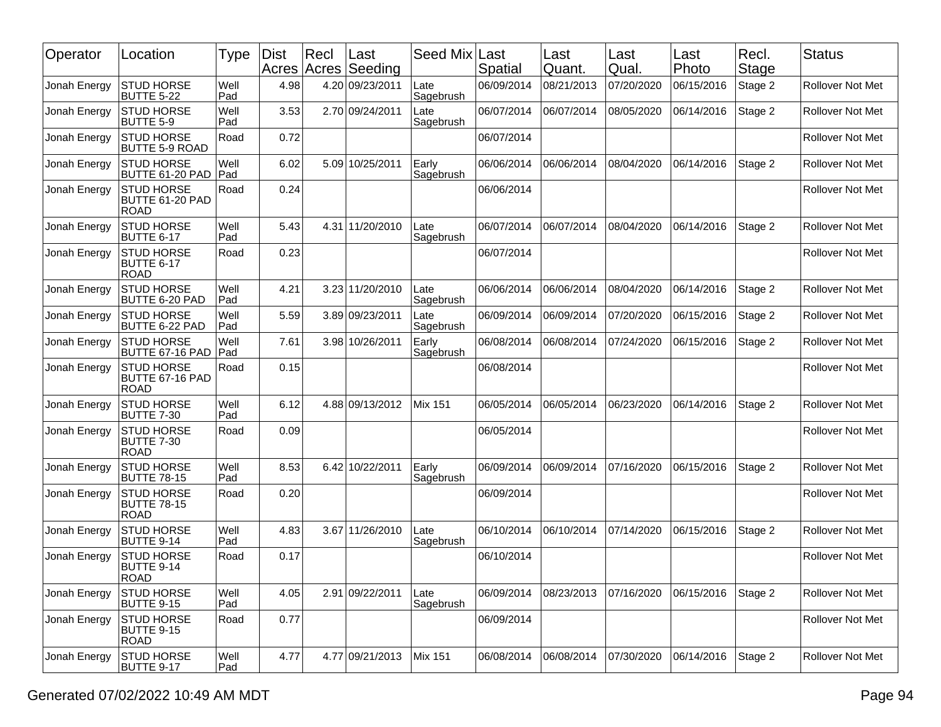| Operator     | Location                                               | Type               | <b>Dist</b> | $ $ Recl | Last<br>Acres Acres Seeding | Seed Mix Last      | Spatial    | Last<br>Quant. | Last<br>Qual. | ∣Last<br>Photo | Recl.<br>Stage | <b>Status</b>           |
|--------------|--------------------------------------------------------|--------------------|-------------|----------|-----------------------------|--------------------|------------|----------------|---------------|----------------|----------------|-------------------------|
| Jonah Energy | <b>STUD HORSE</b><br><b>BUTTE 5-22</b>                 | Well<br>Pad        | 4.98        |          | 4.20 09/23/2011             | Late<br>Sagebrush  | 06/09/2014 | 08/21/2013     | 07/20/2020    | 06/15/2016     | Stage 2        | <b>Rollover Not Met</b> |
| Jonah Energy | <b>STUD HORSE</b><br><b>BUTTE 5-9</b>                  | Well<br>Pad        | 3.53        |          | 2.70 09/24/2011             | Late<br>Sagebrush  | 06/07/2014 | 06/07/2014     | 08/05/2020    | 06/14/2016     | Stage 2        | Rollover Not Met        |
| Jonah Energy | <b>STUD HORSE</b><br><b>BUTTE 5-9 ROAD</b>             | Road               | 0.72        |          |                             |                    | 06/07/2014 |                |               |                |                | <b>Rollover Not Met</b> |
| Jonah Energy | <b>STUD HORSE</b><br>BUTTE 61-20 PAD                   | Well<br><b>Pad</b> | 6.02        |          | 5.09 10/25/2011             | Early<br>Sagebrush | 06/06/2014 | 06/06/2014     | 08/04/2020    | 06/14/2016     | Stage 2        | Rollover Not Met        |
| Jonah Energy | <b>STUD HORSE</b><br>BUTTE 61-20 PAD<br><b>ROAD</b>    | Road               | 0.24        |          |                             |                    | 06/06/2014 |                |               |                |                | Rollover Not Met        |
| Jonah Energy | <b>STUD HORSE</b><br><b>BUTTE 6-17</b>                 | Well<br>Pad        | 5.43        |          | 4.31 11/20/2010             | Late<br>Sagebrush  | 06/07/2014 | 06/07/2014     | 08/04/2020    | 06/14/2016     | Stage 2        | <b>Rollover Not Met</b> |
| Jonah Energy | <b>STUD HORSE</b><br><b>BUTTE 6-17</b><br><b>ROAD</b>  | Road               | 0.23        |          |                             |                    | 06/07/2014 |                |               |                |                | <b>Rollover Not Met</b> |
| Jonah Energy | <b>STUD HORSE</b><br>BUTTE 6-20 PAD                    | Well<br>Pad        | 4.21        |          | 3.23 11/20/2010             | Late<br>Sagebrush  | 06/06/2014 | 06/06/2014     | 08/04/2020    | 06/14/2016     | Stage 2        | Rollover Not Met        |
| Jonah Energy | <b>STUD HORSE</b><br>BUTTE 6-22 PAD                    | Well<br>Pad        | 5.59        |          | 3.89 09/23/2011             | Late<br>Sagebrush  | 06/09/2014 | 06/09/2014     | 07/20/2020    | 06/15/2016     | Stage 2        | <b>Rollover Not Met</b> |
| Jonah Energy | <b>STUD HORSE</b><br>BUTTE 67-16 PAD                   | Well<br>Pad        | 7.61        |          | 3.98 10/26/2011             | Early<br>Sagebrush | 06/08/2014 | 06/08/2014     | 07/24/2020    | 06/15/2016     | Stage 2        | <b>Rollover Not Met</b> |
| Jonah Energy | <b>STUD HORSE</b><br>BUTTE 67-16 PAD<br><b>ROAD</b>    | Road               | 0.15        |          |                             |                    | 06/08/2014 |                |               |                |                | Rollover Not Met        |
| Jonah Energy | <b>STUD HORSE</b><br><b>BUTTE 7-30</b>                 | Well<br>Pad        | 6.12        |          | 4.88 09/13/2012             | <b>Mix 151</b>     | 06/05/2014 | 06/05/2014     | 06/23/2020    | 06/14/2016     | Stage 2        | <b>Rollover Not Met</b> |
| Jonah Energy | <b>STUD HORSE</b><br><b>BUTTE 7-30</b><br><b>ROAD</b>  | Road               | 0.09        |          |                             |                    | 06/05/2014 |                |               |                |                | Rollover Not Met        |
| Jonah Energy | <b>STUD HORSE</b><br><b>BUTTE 78-15</b>                | Well<br>Pad        | 8.53        |          | 6.42 10/22/2011             | Early<br>Sagebrush | 06/09/2014 | 06/09/2014     | 07/16/2020    | 06/15/2016     | Stage 2        | <b>Rollover Not Met</b> |
| Jonah Energy | <b>STUD HORSE</b><br><b>BUTTE 78-15</b><br><b>ROAD</b> | Road               | 0.20        |          |                             |                    | 06/09/2014 |                |               |                |                | Rollover Not Met        |
| Jonah Energy | <b>STUD HORSE</b><br>BUTTE 9-14                        | Well<br>Pad        | 4.83        |          | 3.67 11/26/2010             | Late<br>Sagebrush  | 06/10/2014 | 06/10/2014     | 07/14/2020    | 06/15/2016     | Stage 2        | <b>Rollover Not Met</b> |
| Jonah Energy | <b>STUD HORSE</b><br><b>BUTTE 9-14</b><br><b>ROAD</b>  | Road               | 0.17        |          |                             |                    | 06/10/2014 |                |               |                |                | Rollover Not Met        |
| Jonah Energy | <b>STUD HORSE</b><br><b>BUTTE 9-15</b>                 | Well<br>Pad        | 4.05        |          | 2.91 09/22/2011             | Late<br>Sagebrush  | 06/09/2014 | 08/23/2013     | 07/16/2020    | 06/15/2016     | Stage 2        | Rollover Not Met        |
| Jonah Energy | <b>STUD HORSE</b><br><b>BUTTE 9-15</b><br><b>ROAD</b>  | Road               | 0.77        |          |                             |                    | 06/09/2014 |                |               |                |                | Rollover Not Met        |
| Jonah Energy | <b>STUD HORSE</b><br><b>BUTTE 9-17</b>                 | Well<br>Pad        | 4.77        |          | 4.77 09/21/2013             | <b>Mix 151</b>     | 06/08/2014 | 06/08/2014     | 07/30/2020    | 06/14/2016     | Stage 2        | Rollover Not Met        |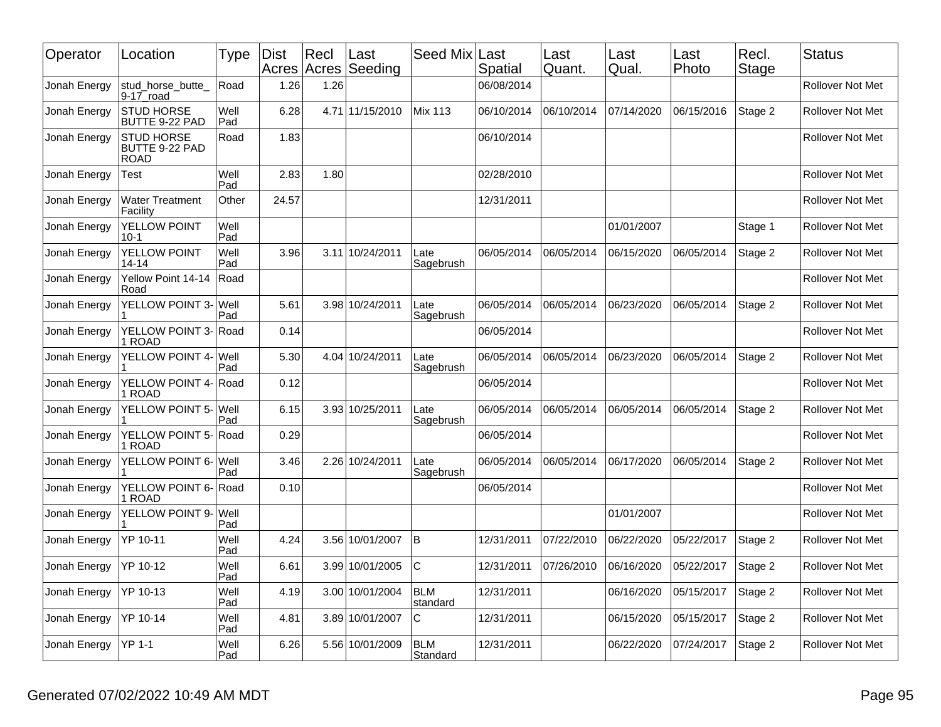| Operator     | Location                                           | Type               | <b>Dist</b><br>Acres Acres | Recl | Last<br>Seeding | Seed Mix Last          | Spatial    | Last<br>Quant. | Last<br>Qual. | Last<br>Photo | Recl.<br><b>Stage</b> | <b>Status</b>           |
|--------------|----------------------------------------------------|--------------------|----------------------------|------|-----------------|------------------------|------------|----------------|---------------|---------------|-----------------------|-------------------------|
| Jonah Energy | stud horse butte<br>$9-17$ road                    | Road               | 1.26                       | 1.26 |                 |                        | 06/08/2014 |                |               |               |                       | Rollover Not Met        |
| Jonah Energy | <b>STUD HORSE</b><br>BUTTE 9-22 PAD                | Well<br>Pad        | 6.28                       |      | 4.71 11/15/2010 | Mix 113                | 06/10/2014 | 06/10/2014     | 07/14/2020    | 06/15/2016    | Stage 2               | <b>Rollover Not Met</b> |
| Jonah Energy | <b>STUD HORSE</b><br>BUTTE 9-22 PAD<br><b>ROAD</b> | Road               | 1.83                       |      |                 |                        | 06/10/2014 |                |               |               |                       | Rollover Not Met        |
| Jonah Energy | Test                                               | Well<br>Pad        | 2.83                       | 1.80 |                 |                        | 02/28/2010 |                |               |               |                       | <b>Rollover Not Met</b> |
| Jonah Energy | <b>Water Treatment</b><br>Facility                 | Other              | 24.57                      |      |                 |                        | 12/31/2011 |                |               |               |                       | Rollover Not Met        |
| Jonah Energy | YELLOW POINT<br>$10-1$                             | Well<br>Pad        |                            |      |                 |                        |            |                | 01/01/2007    |               | Stage 1               | <b>Rollover Not Met</b> |
| Jonah Energy | YELLOW POINT<br>14-14                              | Well<br>Pad        | 3.96                       |      | 3.11 10/24/2011 | Late<br>Sagebrush      | 06/05/2014 | 06/05/2014     | 06/15/2020    | 06/05/2014    | Stage 2               | <b>Rollover Not Met</b> |
| Jonah Energy | Yellow Point 14-14<br>Road                         | Road               |                            |      |                 |                        |            |                |               |               |                       | Rollover Not Met        |
| Jonah Energy | YELLOW POINT 3-                                    | <b>Well</b><br>Pad | 5.61                       |      | 3.98 10/24/2011 | Late<br>Sagebrush      | 06/05/2014 | 06/05/2014     | 06/23/2020    | 06/05/2014    | Stage 2               | <b>Rollover Not Met</b> |
| Jonah Energy | YELLOW POINT 3-<br>1 ROAD                          | Road               | 0.14                       |      |                 |                        | 06/05/2014 |                |               |               |                       | <b>Rollover Not Met</b> |
| Jonah Energy | YELLOW POINT 4-                                    | Well<br>Pad        | 5.30                       |      | 4.04 10/24/2011 | ∟ate<br>Sagebrush      | 06/05/2014 | 06/05/2014     | 06/23/2020    | 06/05/2014    | Stage 2               | <b>Rollover Not Met</b> |
| Jonah Energy | <b>YELLOW POINT 4-</b><br>1 ROAD                   | Road               | 0.12                       |      |                 |                        | 06/05/2014 |                |               |               |                       | <b>Rollover Not Met</b> |
| Jonah Energy | YELLOW POINT 5- Well                               | Pad                | 6.15                       |      | 3.93 10/25/2011 | ∟ate<br>Sagebrush      | 06/05/2014 | 06/05/2014     | 06/05/2014    | 06/05/2014    | Stage 2               | Rollover Not Met        |
| Jonah Energy | YELLOW POINT 5- Road<br>1 ROAD                     |                    | 0.29                       |      |                 |                        | 06/05/2014 |                |               |               |                       | <b>Rollover Not Met</b> |
| Jonah Energy | YELLOW POINT 6-                                    | Well<br>Pad        | 3.46                       |      | 2.26 10/24/2011 | Late<br>Sagebrush      | 06/05/2014 | 06/05/2014     | 06/17/2020    | 06/05/2014    | Stage 2               | Rollover Not Met        |
| Jonah Energy | YELLOW POINT 6-<br>1 ROAD                          | Road               | 0.10                       |      |                 |                        | 06/05/2014 |                |               |               |                       | <b>Rollover Not Met</b> |
| Jonah Energy | YELLOW POINT 9-                                    | lWell<br>Pad       |                            |      |                 |                        |            |                | 01/01/2007    |               |                       | <b>Rollover Not Met</b> |
| Jonah Energy | YP 10-11                                           | Well<br>Pad        | 4.24                       |      | 3.56 10/01/2007 | ΙB                     | 12/31/2011 | 07/22/2010     | 06/22/2020    | 05/22/2017    | Stage 2               | <b>Rollover Not Met</b> |
| Jonah Energy | YP 10-12                                           | Well<br>Pad        | 6.61                       |      | 3.99 10/01/2005 | $\mathsf{C}$           | 12/31/2011 | 07/26/2010     | 06/16/2020    | 05/22/2017    | Stage 2               | Rollover Not Met        |
| Jonah Energy | YP 10-13                                           | Well<br>Pad        | 4.19                       |      | 3.00 10/01/2004 | <b>BLM</b><br>standard | 12/31/2011 |                | 06/16/2020    | 05/15/2017    | Stage 2               | <b>Rollover Not Met</b> |
| Jonah Energy | YP 10-14                                           | Well<br>Pad        | 4.81                       |      | 3.89 10/01/2007 | C                      | 12/31/2011 |                | 06/15/2020    | 05/15/2017    | Stage 2               | <b>Rollover Not Met</b> |
| Jonah Energy | <b>YP 1-1</b>                                      | Well<br>Pad        | 6.26                       |      | 5.56 10/01/2009 | <b>BLM</b><br>Standard | 12/31/2011 |                | 06/22/2020    | 07/24/2017    | Stage 2               | <b>Rollover Not Met</b> |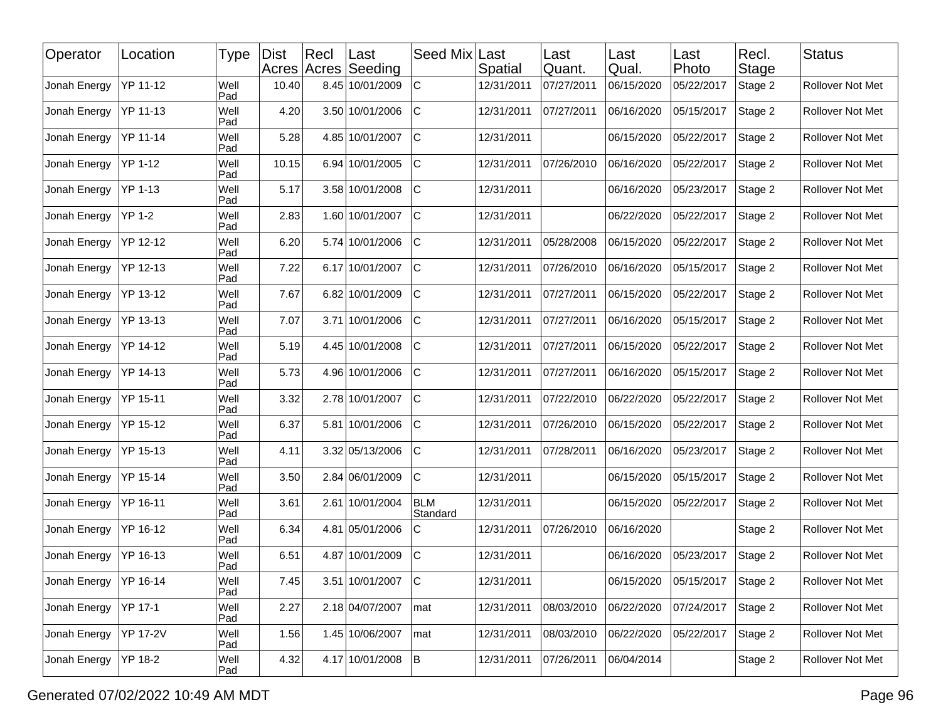| Operator     | Location        | Type        | <b>Dist</b> | Recl | ∣Last<br>Acres Acres Seeding | Seed Mix               | Last<br>Spatial | Last<br>Quant. | Last<br>Qual. | Last<br>Photo | Recl.<br>Stage | <b>Status</b>    |
|--------------|-----------------|-------------|-------------|------|------------------------------|------------------------|-----------------|----------------|---------------|---------------|----------------|------------------|
| Jonah Energy | YP 11-12        | Well<br>Pad | 10.40       |      | 8.45 10/01/2009              | $\mathsf C$            | 12/31/2011      | 07/27/2011     | 06/15/2020    | 05/22/2017    | Stage 2        | Rollover Not Met |
| Jonah Energy | YP 11-13        | Well<br>Pad | 4.20        |      | 3.50 10/01/2006              | IС                     | 12/31/2011      | 07/27/2011     | 06/16/2020    | 05/15/2017    | Stage 2        | Rollover Not Met |
| Jonah Energy | YP 11-14        | Well<br>Pad | 5.28        |      | 4.85 10/01/2007              | IС                     | 12/31/2011      |                | 06/15/2020    | 05/22/2017    | Stage 2        | Rollover Not Met |
| Jonah Energy | <b>YP 1-12</b>  | Well<br>Pad | 10.15       |      | 6.94 10/01/2005              | $\mathsf C$            | 12/31/2011      | 07/26/2010     | 06/16/2020    | 05/22/2017    | Stage 2        | Rollover Not Met |
| Jonah Energy | <b>YP 1-13</b>  | Well<br>Pad | 5.17        |      | 3.58 10/01/2008              | C                      | 12/31/2011      |                | 06/16/2020    | 05/23/2017    | Stage 2        | Rollover Not Met |
| Jonah Energy | <b>YP 1-2</b>   | Well<br>Pad | 2.83        |      | 1.60 10/01/2007              | IС                     | 12/31/2011      |                | 06/22/2020    | 05/22/2017    | Stage 2        | Rollover Not Met |
| Jonah Energy | YP 12-12        | Well<br>Pad | 6.20        |      | 5.74 10/01/2006              | $\mathsf C$            | 12/31/2011      | 05/28/2008     | 06/15/2020    | 05/22/2017    | Stage 2        | Rollover Not Met |
| Jonah Energy | YP 12-13        | Well<br>Pad | 7.22        |      | 6.17 10/01/2007              | lc.                    | 12/31/2011      | 07/26/2010     | 06/16/2020    | 05/15/2017    | Stage 2        | Rollover Not Met |
| Jonah Energy | YP 13-12        | Well<br>Pad | 7.67        |      | 6.82 10/01/2009              | C                      | 12/31/2011      | 07/27/2011     | 06/15/2020    | 05/22/2017    | Stage 2        | Rollover Not Met |
| Jonah Energy | YP 13-13        | Well<br>Pad | 7.07        |      | 3.71 10/01/2006              | $\mathsf C$            | 12/31/2011      | 07/27/2011     | 06/16/2020    | 05/15/2017    | Stage 2        | Rollover Not Met |
| Jonah Energy | YP 14-12        | Well<br>Pad | 5.19        |      | 4.45 10/01/2008              | C                      | 12/31/2011      | 07/27/2011     | 06/15/2020    | 05/22/2017    | Stage 2        | Rollover Not Met |
| Jonah Energy | YP 14-13        | Well<br>Pad | 5.73        |      | 4.96 10/01/2006              | C                      | 12/31/2011      | 07/27/2011     | 06/16/2020    | 05/15/2017    | Stage 2        | Rollover Not Met |
| Jonah Energy | YP 15-11        | Well<br>Pad | 3.32        |      | 2.78 10/01/2007              | lc                     | 12/31/2011      | 07/22/2010     | 06/22/2020    | 05/22/2017    | Stage 2        | Rollover Not Met |
| Jonah Energy | YP 15-12        | Well<br>Pad | 6.37        |      | 5.81 10/01/2006              | IС                     | 12/31/2011      | 07/26/2010     | 06/15/2020    | 05/22/2017    | Stage 2        | Rollover Not Met |
| Jonah Energy | YP 15-13        | Well<br>Pad | 4.11        |      | 3.32 05/13/2006              | C                      | 12/31/2011      | 07/28/2011     | 06/16/2020    | 05/23/2017    | Stage 2        | Rollover Not Met |
| Jonah Energy | YP 15-14        | Well<br>Pad | 3.50        |      | 2.84 06/01/2009              | $\mathsf C$            | 12/31/2011      |                | 06/15/2020    | 05/15/2017    | Stage 2        | Rollover Not Met |
| Jonah Energy | YP 16-11        | Well<br>Pad | 3.61        |      | 2.61 10/01/2004              | <b>BLM</b><br>Standard | 12/31/2011      |                | 06/15/2020    | 05/22/2017    | Stage 2        | Rollover Not Met |
| Jonah Energy | YP 16-12        | Well<br>Pad | 6.34        |      | 4.81 05/01/2006              | C                      | 12/31/2011      | 07/26/2010     | 06/16/2020    |               | Stage 2        | Rollover Not Met |
| Jonah Energy | YP 16-13        | Well<br>Pad | 6.51        |      | 4.87 10/01/2009              | C                      | 12/31/2011      |                | 06/16/2020    | 05/23/2017    | Stage 2        | Rollover Not Met |
| Jonah Energy | <b>YP 16-14</b> | Well<br>Pad | 7.45        |      | 3.51 10/01/2007              | c                      | 12/31/2011      |                | 06/15/2020    | 05/15/2017    | Stage 2        | Rollover Not Met |
| Jonah Energy | YP 17-1         | Well<br>Pad | 2.27        |      | 2.18 04/07/2007              | mat                    | 12/31/2011      | 08/03/2010     | 06/22/2020    | 07/24/2017    | Stage 2        | Rollover Not Met |
| Jonah Energy | YP 17-2V        | Well<br>Pad | 1.56        |      | 1.45 10/06/2007              | mat                    | 12/31/2011      | 08/03/2010     | 06/22/2020    | 05/22/2017    | Stage 2        | Rollover Not Met |
| Jonah Energy | YP 18-2         | Well<br>Pad | 4.32        |      | 4.17 10/01/2008              | B                      | 12/31/2011      | 07/26/2011     | 06/04/2014    |               | Stage 2        | Rollover Not Met |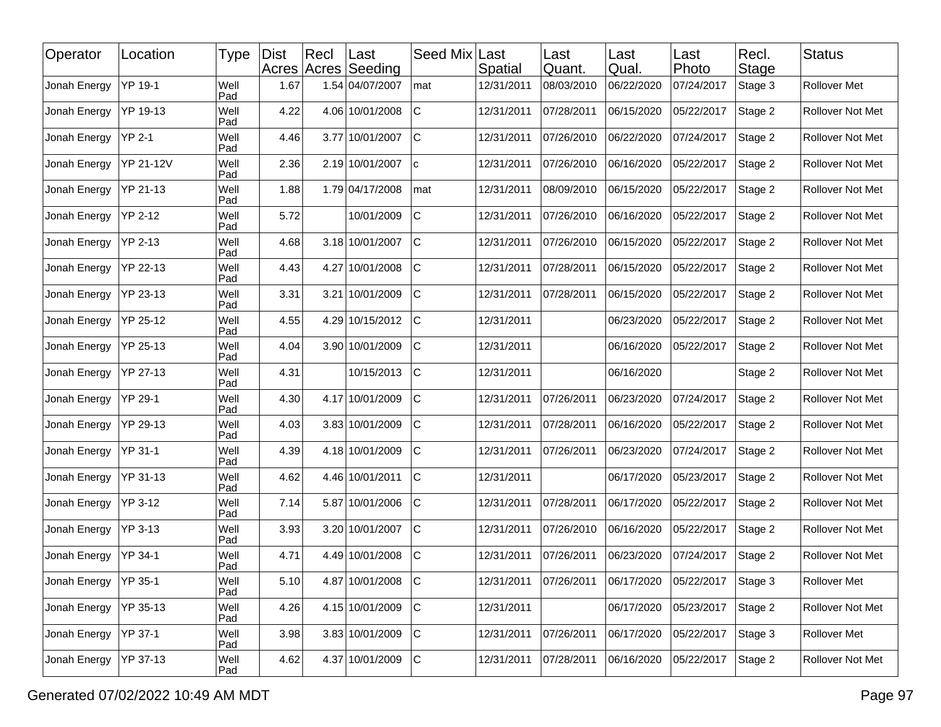| Operator     | Location       | Type        | <b>Dist</b> | Recl | ∣Last<br>Acres Acres Seeding | Seed Mix    | Last<br>Spatial | Last<br>Quant. | Last<br>Qual. | Last<br>Photo | Recl.<br>Stage | <b>Status</b>       |
|--------------|----------------|-------------|-------------|------|------------------------------|-------------|-----------------|----------------|---------------|---------------|----------------|---------------------|
| Jonah Energy | YP 19-1        | Well<br>Pad | 1.67        |      | 1.54 04/07/2007              | mat         | 12/31/2011      | 08/03/2010     | 06/22/2020    | 07/24/2017    | Stage 3        | <b>Rollover Met</b> |
| Jonah Energy | YP 19-13       | Well<br>Pad | 4.22        |      | 4.06 10/01/2008              | IС          | 12/31/2011      | 07/28/2011     | 06/15/2020    | 05/22/2017    | Stage 2        | Rollover Not Met    |
| Jonah Energy | <b>YP 2-1</b>  | Well<br>Pad | 4.46        |      | 3.77 10/01/2007              | IС          | 12/31/2011      | 07/26/2010     | 06/22/2020    | 07/24/2017    | Stage 2        | Rollover Not Met    |
| Jonah Energy | YP 21-12V      | Well<br>Pad | 2.36        |      | 2.19 10/01/2007              | lc.         | 12/31/2011      | 07/26/2010     | 06/16/2020    | 05/22/2017    | Stage 2        | Rollover Not Met    |
| Jonah Energy | YP 21-13       | Well<br>Pad | 1.88        |      | 1.79 04/17/2008              | mat         | 12/31/2011      | 08/09/2010     | 06/15/2020    | 05/22/2017    | Stage 2        | Rollover Not Met    |
| Jonah Energy | <b>YP 2-12</b> | Well<br>Pad | 5.72        |      | 10/01/2009                   | $\mathsf C$ | 12/31/2011      | 07/26/2010     | 06/16/2020    | 05/22/2017    | Stage 2        | Rollover Not Met    |
| Jonah Energy | YP 2-13        | Well<br>Pad | 4.68        |      | 3.18 10/01/2007              | lc          | 12/31/2011      | 07/26/2010     | 06/15/2020    | 05/22/2017    | Stage 2        | Rollover Not Met    |
| Jonah Energy | YP 22-13       | Well<br>Pad | 4.43        |      | 4.27 10/01/2008              | lc.         | 12/31/2011      | 07/28/2011     | 06/15/2020    | 05/22/2017    | Stage 2        | Rollover Not Met    |
| Jonah Energy | YP 23-13       | Well<br>Pad | 3.31        |      | 3.21 10/01/2009              | C           | 12/31/2011      | 07/28/2011     | 06/15/2020    | 05/22/2017    | Stage 2        | Rollover Not Met    |
| Jonah Energy | YP 25-12       | Well<br>Pad | 4.55        |      | 4.29 10/15/2012              | lc          | 12/31/2011      |                | 06/23/2020    | 05/22/2017    | Stage 2        | Rollover Not Met    |
| Jonah Energy | YP 25-13       | Well<br>Pad | 4.04        |      | 3.90 10/01/2009              | IС          | 12/31/2011      |                | 06/16/2020    | 05/22/2017    | Stage 2        | Rollover Not Met    |
| Jonah Energy | YP 27-13       | Well<br>Pad | 4.31        |      | 10/15/2013                   | IС          | 12/31/2011      |                | 06/16/2020    |               | Stage 2        | Rollover Not Met    |
| Jonah Energy | YP 29-1        | Well<br>Pad | 4.30        |      | 4.17 10/01/2009              | $\mathsf C$ | 12/31/2011      | 07/26/2011     | 06/23/2020    | 07/24/2017    | Stage 2        | Rollover Not Met    |
| Jonah Energy | YP 29-13       | Well<br>Pad | 4.03        |      | 3.83 10/01/2009              | lc.         | 12/31/2011      | 07/28/2011     | 06/16/2020    | 05/22/2017    | Stage 2        | Rollover Not Met    |
| Jonah Energy | YP 31-1        | Well<br>Pad | 4.39        |      | 4.18 10/01/2009              | C           | 12/31/2011      | 07/26/2011     | 06/23/2020    | 07/24/2017    | Stage 2        | Rollover Not Met    |
| Jonah Energy | YP 31-13       | Well<br>Pad | 4.62        |      | 4.46 10/01/2011              | lc          | 12/31/2011      |                | 06/17/2020    | 05/23/2017    | Stage 2        | Rollover Not Met    |
| Jonah Energy | YP 3-12        | Well<br>Pad | 7.14        |      | 5.87 10/01/2006              | IС          | 12/31/2011      | 07/28/2011     | 06/17/2020    | 05/22/2017    | Stage 2        | Rollover Not Met    |
| Jonah Energy | YP 3-13        | Well<br>Pad | 3.93        |      | 3.20 10/01/2007              | IС          | 12/31/2011      | 07/26/2010     | 06/16/2020    | 05/22/2017    | Stage 2        | Rollover Not Met    |
| Jonah Energy | YP 34-1        | Well<br>Pad | 4.71        |      | 4.49 10/01/2008              | $\mathsf C$ | 12/31/2011      | 07/26/2011     | 06/23/2020    | 07/24/2017    | Stage 2        | Rollover Not Met    |
| Jonah Energy | YP 35-1        | Well<br>Pad | 5.10        |      | 4.87 10/01/2008 C            |             | 12/31/2011      | 07/26/2011     | 06/17/2020    | 05/22/2017    | Stage 3        | Rollover Met        |
| Jonah Energy | YP 35-13       | Well<br>Pad | 4.26        |      | 4.15 10/01/2009              | C.          | 12/31/2011      |                | 06/17/2020    | 05/23/2017    | Stage 2        | Rollover Not Met    |
| Jonah Energy | YP 37-1        | Well<br>Pad | 3.98        |      | 3.83 10/01/2009              | C.          | 12/31/2011      | 07/26/2011     | 06/17/2020    | 05/22/2017    | Stage 3        | Rollover Met        |
| Jonah Energy | YP 37-13       | Well<br>Pad | 4.62        |      | 4.37 10/01/2009              | lc.         | 12/31/2011      | 07/28/2011     | 06/16/2020    | 05/22/2017    | Stage 2        | Rollover Not Met    |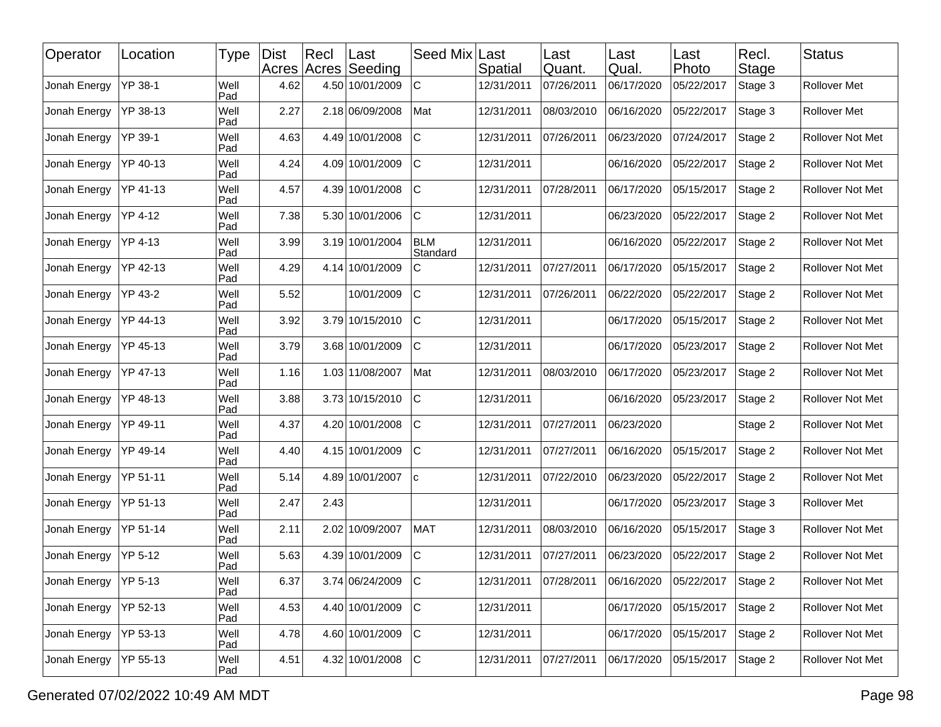| Operator               | Location | <b>Type</b> | <b>Dist</b> | Rec  | ∣Last<br>Acres Acres Seeding | Seed Mix Last          | Spatial    | Last<br>Quant. | Last<br>Qual. | Last<br>Photo | Recl.<br><b>Stage</b> | <b>Status</b>       |
|------------------------|----------|-------------|-------------|------|------------------------------|------------------------|------------|----------------|---------------|---------------|-----------------------|---------------------|
| Jonah Energy           | YP 38-1  | Well<br>Pad | 4.62        |      | 4.50 10/01/2009              | $\mathbf C$            | 12/31/2011 | 07/26/2011     | 06/17/2020    | 05/22/2017    | Stage 3               | <b>Rollover Met</b> |
| Jonah Energy           | YP 38-13 | Well<br>Pad | 2.27        |      | 2.18 06/09/2008              | Mat                    | 12/31/2011 | 08/03/2010     | 06/16/2020    | 05/22/2017    | Stage 3               | Rollover Met        |
| Jonah Energy           | YP 39-1  | Well<br>Pad | 4.63        |      | 4.49 10/01/2008              | C                      | 12/31/2011 | 07/26/2011     | 06/23/2020    | 07/24/2017    | Stage 2               | Rollover Not Met    |
| Jonah Energy           | YP 40-13 | Well<br>Pad | 4.24        |      | 4.09 10/01/2009              | $\mathsf C$            | 12/31/2011 |                | 06/16/2020    | 05/22/2017    | Stage 2               | Rollover Not Met    |
| Jonah Energy           | YP 41-13 | Well<br>Pad | 4.57        |      | 4.39 10/01/2008              | $\mathsf C$            | 12/31/2011 | 07/28/2011     | 06/17/2020    | 05/15/2017    | Stage 2               | Rollover Not Met    |
| Jonah Energy           | YP 4-12  | Well<br>Pad | 7.38        |      | 5.30 10/01/2006              | $\mathsf C$            | 12/31/2011 |                | 06/23/2020    | 05/22/2017    | Stage 2               | Rollover Not Met    |
| Jonah Energy           | YP 4-13  | Well<br>Pad | 3.99        |      | 3.19 10/01/2004              | <b>BLM</b><br>Standard | 12/31/2011 |                | 06/16/2020    | 05/22/2017    | Stage 2               | Rollover Not Met    |
| Jonah Energy           | YP 42-13 | Well<br>Pad | 4.29        |      | 4.14 10/01/2009              | $\mathsf C$            | 12/31/2011 | 07/27/2011     | 06/17/2020    | 05/15/2017    | Stage 2               | Rollover Not Met    |
| Jonah Energy           | YP 43-2  | Well<br>Pad | 5.52        |      | 10/01/2009                   | C                      | 12/31/2011 | 07/26/2011     | 06/22/2020    | 05/22/2017    | Stage 2               | Rollover Not Met    |
| Jonah Energy           | YP 44-13 | Well<br>Pad | 3.92        |      | 3.79 10/15/2010              | IС                     | 12/31/2011 |                | 06/17/2020    | 05/15/2017    | Stage 2               | Rollover Not Met    |
| Jonah Energy           | YP 45-13 | Well<br>Pad | 3.79        |      | 3.68 10/01/2009              | $\mathsf C$            | 12/31/2011 |                | 06/17/2020    | 05/23/2017    | Stage 2               | Rollover Not Met    |
| Jonah Energy           | YP 47-13 | Well<br>Pad | 1.16        |      | 1.03 11/08/2007              | Mat                    | 12/31/2011 | 08/03/2010     | 06/17/2020    | 05/23/2017    | Stage 2               | Rollover Not Met    |
| Jonah Energy           | YP 48-13 | Well<br>Pad | 3.88        |      | 3.73 10/15/2010              | Iс                     | 12/31/2011 |                | 06/16/2020    | 05/23/2017    | Stage 2               | Rollover Not Met    |
| Jonah Energy           | YP 49-11 | Well<br>Pad | 4.37        |      | 4.20 10/01/2008              | $\mathsf C$            | 12/31/2011 | 07/27/2011     | 06/23/2020    |               | Stage 2               | Rollover Not Met    |
| Jonah Energy           | YP 49-14 | Well<br>Pad | 4.40        |      | 4.15 10/01/2009              | C                      | 12/31/2011 | 07/27/2011     | 06/16/2020    | 05/15/2017    | Stage 2               | Rollover Not Met    |
| Jonah Energy           | YP 51-11 | Well<br>Pad | 5.14        |      | 4.89 10/01/2007              | ١c                     | 12/31/2011 | 07/22/2010     | 06/23/2020    | 05/22/2017    | Stage 2               | Rollover Not Met    |
| Jonah Energy           | YP 51-13 | Well<br>Pad | 2.47        | 2.43 |                              |                        | 12/31/2011 |                | 06/17/2020    | 05/23/2017    | Stage 3               | Rollover Met        |
| Jonah Energy           | YP 51-14 | Well<br>Pad | 2.11        |      | 2.02 10/09/2007              | <b>MAT</b>             | 12/31/2011 | 08/03/2010     | 06/16/2020    | 05/15/2017    | Stage 3               | Rollover Not Met    |
| Jonah Energy           | YP 5-12  | Well<br>Pad | 5.63        |      | 4.39 10/01/2009              | $\mathsf{C}$           | 12/31/2011 | 07/27/2011     | 06/23/2020    | 05/22/2017    | Stage 2               | Rollover Not Met    |
| Jonah Energy   YP 5-13 |          | Well<br>Pad | 6.37        |      | 3.74 06/24/2009              | C                      | 12/31/2011 | 07/28/2011     | 06/16/2020    | 05/22/2017    | Stage 2               | Rollover Not Met    |
| Jonah Energy           | YP 52-13 | Well<br>Pad | 4.53        |      | 4.40 10/01/2009              | C.                     | 12/31/2011 |                | 06/17/2020    | 05/15/2017    | Stage 2               | Rollover Not Met    |
| Jonah Energy           | YP 53-13 | Well<br>Pad | 4.78        |      | 4.60 10/01/2009              | C.                     | 12/31/2011 |                | 06/17/2020    | 05/15/2017    | Stage 2               | Rollover Not Met    |
| Jonah Energy           | YP 55-13 | Well<br>Pad | 4.51        |      | 4.32 10/01/2008              | lc.                    | 12/31/2011 | 07/27/2011     | 06/17/2020    | 05/15/2017    | Stage 2               | Rollover Not Met    |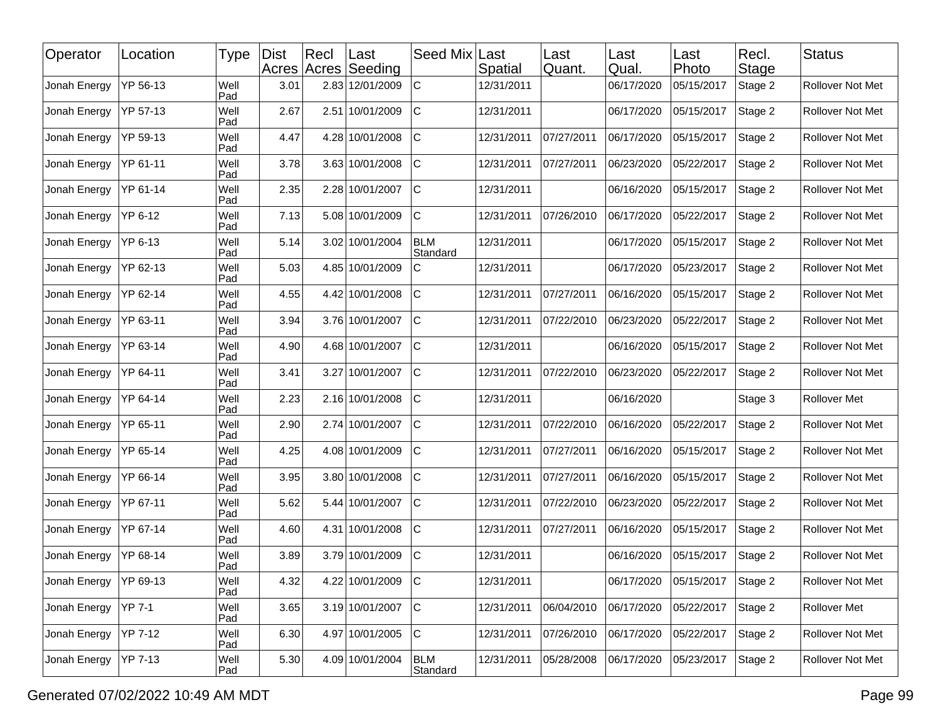| Operator     | Location | <b>Type</b> | <b>Dist</b> | Rec | ∣Last<br>Acres Acres Seeding | Seed Mix Last          | Spatial    | Last<br>Quant. | Last<br>Qual. | Last<br>Photo | Recl.<br>Stage | <b>Status</b>           |
|--------------|----------|-------------|-------------|-----|------------------------------|------------------------|------------|----------------|---------------|---------------|----------------|-------------------------|
| Jonah Energy | YP 56-13 | Well<br>Pad | 3.01        |     | 2.83 12/01/2009              | $\mathbf C$            | 12/31/2011 |                | 06/17/2020    | 05/15/2017    | Stage 2        | Rollover Not Met        |
| Jonah Energy | YP 57-13 | Well<br>Pad | 2.67        |     | 2.51 10/01/2009              | $\mathbf C$            | 12/31/2011 |                | 06/17/2020    | 05/15/2017    | Stage 2        | Rollover Not Met        |
| Jonah Energy | YP 59-13 | Well<br>Pad | 4.47        |     | 4.28 10/01/2008              | C                      | 12/31/2011 | 07/27/2011     | 06/17/2020    | 05/15/2017    | Stage 2        | Rollover Not Met        |
| Jonah Energy | YP 61-11 | Well<br>Pad | 3.78        |     | 3.63 10/01/2008              | $\mathsf C$            | 12/31/2011 | 07/27/2011     | 06/23/2020    | 05/22/2017    | Stage 2        | Rollover Not Met        |
| Jonah Energy | YP 61-14 | Well<br>Pad | 2.35        |     | 2.28 10/01/2007              | Iс                     | 12/31/2011 |                | 06/16/2020    | 05/15/2017    | Stage 2        | Rollover Not Met        |
| Jonah Energy | YP 6-12  | Well<br>Pad | 7.13        |     | 5.08 10/01/2009              | $\mathsf C$            | 12/31/2011 | 07/26/2010     | 06/17/2020    | 05/22/2017    | Stage 2        | Rollover Not Met        |
| Jonah Energy | YP 6-13  | Well<br>Pad | 5.14        |     | 3.02 10/01/2004              | <b>BLM</b><br>Standard | 12/31/2011 |                | 06/17/2020    | 05/15/2017    | Stage 2        | Rollover Not Met        |
| Jonah Energy | YP 62-13 | Well<br>Pad | 5.03        |     | 4.85 10/01/2009              | C                      | 12/31/2011 |                | 06/17/2020    | 05/23/2017    | Stage 2        | Rollover Not Met        |
| Jonah Energy | YP 62-14 | Well<br>Pad | 4.55        |     | 4.42 10/01/2008              | C                      | 12/31/2011 | 07/27/2011     | 06/16/2020    | 05/15/2017    | Stage 2        | Rollover Not Met        |
| Jonah Energy | YP 63-11 | Well<br>Pad | 3.94        |     | 3.76 10/01/2007              | IС                     | 12/31/2011 | 07/22/2010     | 06/23/2020    | 05/22/2017    | Stage 2        | Rollover Not Met        |
| Jonah Energy | YP 63-14 | Well<br>Pad | 4.90        |     | 4.68 10/01/2007              | IС                     | 12/31/2011 |                | 06/16/2020    | 05/15/2017    | Stage 2        | Rollover Not Met        |
| Jonah Energy | YP 64-11 | Well<br>Pad | 3.41        |     | 3.27 10/01/2007              | IС                     | 12/31/2011 | 07/22/2010     | 06/23/2020    | 05/22/2017    | Stage 2        | Rollover Not Met        |
| Jonah Energy | YP 64-14 | Well<br>Pad | 2.23        |     | 2.16 10/01/2008              | lc                     | 12/31/2011 |                | 06/16/2020    |               | Stage 3        | Rollover Met            |
| Jonah Energy | YP 65-11 | Well<br>Pad | 2.90        |     | 2.74 10/01/2007              | lc.                    | 12/31/2011 | 07/22/2010     | 06/16/2020    | 05/22/2017    | Stage 2        | Rollover Not Met        |
| Jonah Energy | YP 65-14 | Well<br>Pad | 4.25        |     | 4.08 10/01/2009              | C                      | 12/31/2011 | 07/27/2011     | 06/16/2020    | 05/15/2017    | Stage 2        | Rollover Not Met        |
| Jonah Energy | YP 66-14 | Well<br>Pad | 3.95        |     | 3.80 10/01/2008              | $\mathsf C$            | 12/31/2011 | 07/27/2011     | 06/16/2020    | 05/15/2017    | Stage 2        | Rollover Not Met        |
| Jonah Energy | YP 67-11 | Well<br>Pad | 5.62        |     | 5.44 10/01/2007              | IС                     | 12/31/2011 | 07/22/2010     | 06/23/2020    | 05/22/2017    | Stage 2        | Rollover Not Met        |
| Jonah Energy | YP 67-14 | Well<br>Pad | 4.60        |     | 4.31 10/01/2008              | $\mathsf C$            | 12/31/2011 | 07/27/2011     | 06/16/2020    | 05/15/2017    | Stage 2        | Rollover Not Met        |
| Jonah Energy | YP 68-14 | Well<br>Pad | 3.89        |     | 3.79 10/01/2009              | $\mathsf{C}$           | 12/31/2011 |                | 06/16/2020    | 05/15/2017    | Stage 2        | Rollover Not Met        |
| Jonah Energy | YP 69-13 | Well<br>Pad | 4.32        |     | 4.22 10/01/2009              | C                      | 12/31/2011 |                | 06/17/2020    | 05/15/2017    | Stage 2        | <b>Rollover Not Met</b> |
| Jonah Energy | YP 7-1   | Well<br>Pad | 3.65        |     | 3.19 10/01/2007              | c                      | 12/31/2011 | 06/04/2010     | 06/17/2020    | 05/22/2017    | Stage 2        | Rollover Met            |
| Jonah Energy | YP 7-12  | Well<br>Pad | 6.30        |     | 4.97 10/01/2005              | C.                     | 12/31/2011 | 07/26/2010     | 06/17/2020    | 05/22/2017    | Stage 2        | Rollover Not Met        |
| Jonah Energy | YP 7-13  | Well<br>Pad | 5.30        |     | 4.09 10/01/2004              | <b>BLM</b><br>Standard | 12/31/2011 | 05/28/2008     | 06/17/2020    | 05/23/2017    | Stage 2        | Rollover Not Met        |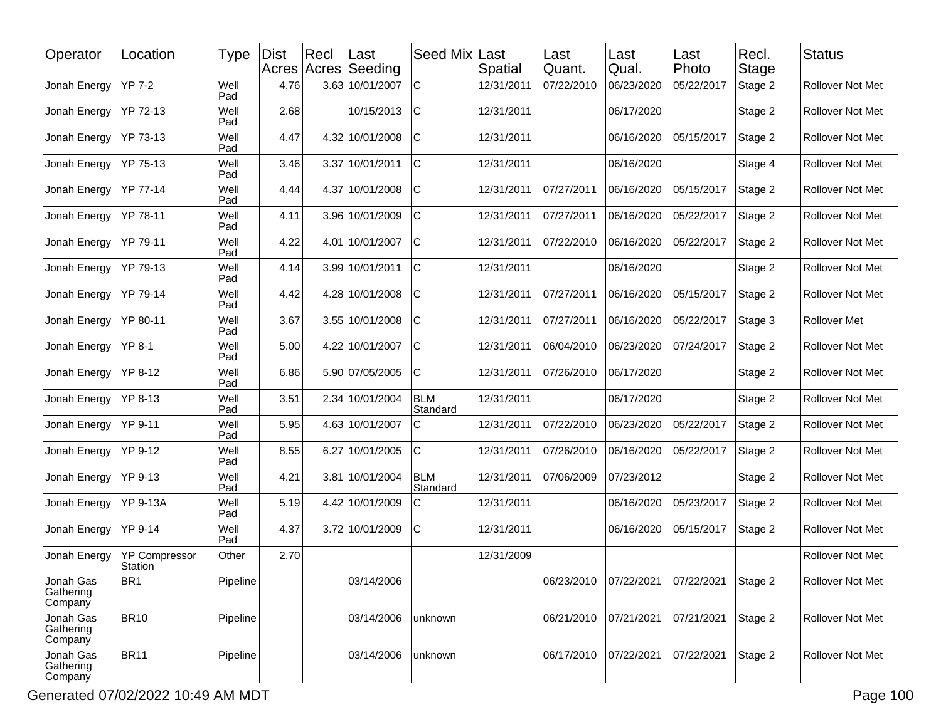| Operator                          | Location                        | Type        | Dist<br>Acres Acres | Rec | Last<br>Seeding | Seed Mix               | Last<br>Spatial | Last<br>Quant. | Last<br>Qual. | Last<br>Photo | Recl.<br>Stage | <b>Status</b>           |
|-----------------------------------|---------------------------------|-------------|---------------------|-----|-----------------|------------------------|-----------------|----------------|---------------|---------------|----------------|-------------------------|
| Jonah Energy                      | YP 7-2                          | Well<br>Pad | 4.76                |     | 3.63 10/01/2007 | $\mathbf C$            | 12/31/2011      | 07/22/2010     | 06/23/2020    | 05/22/2017    | Stage 2        | Rollover Not Met        |
| Jonah Energy                      | YP 72-13                        | Well<br>Pad | 2.68                |     | 10/15/2013      | $\mathsf C$            | 12/31/2011      |                | 06/17/2020    |               | Stage 2        | Rollover Not Met        |
| Jonah Energy                      | YP 73-13                        | Well<br>Pad | 4.47                |     | 4.32 10/01/2008 | C                      | 12/31/2011      |                | 06/16/2020    | 05/15/2017    | Stage 2        | Rollover Not Met        |
| Jonah Energy                      | YP 75-13                        | Well<br>Pad | 3.46                |     | 3.37 10/01/2011 | $\mathsf C$            | 12/31/2011      |                | 06/16/2020    |               | Stage 4        | Rollover Not Met        |
| Jonah Energy                      | YP 77-14                        | Well<br>Pad | 4.44                |     | 4.37 10/01/2008 | $\mathsf C$            | 12/31/2011      | 07/27/2011     | 06/16/2020    | 05/15/2017    | Stage 2        | Rollover Not Met        |
| Jonah Energy                      | YP 78-11                        | Well<br>Pad | 4.11                |     | 3.96 10/01/2009 | $\mathsf C$            | 12/31/2011      | 07/27/2011     | 06/16/2020    | 05/22/2017    | Stage 2        | Rollover Not Met        |
| Jonah Energy                      | YP 79-11                        | Well<br>Pad | 4.22                |     | 4.01 10/01/2007 | lc                     | 12/31/2011      | 07/22/2010     | 06/16/2020    | 05/22/2017    | Stage 2        | Rollover Not Met        |
| Jonah Energy                      | YP 79-13                        | Well<br>Pad | 4.14                |     | 3.99 10/01/2011 | $\mathsf C$            | 12/31/2011      |                | 06/16/2020    |               | Stage 2        | Rollover Not Met        |
| Jonah Energy                      | YP 79-14                        | Well<br>Pad | 4.42                |     | 4.28 10/01/2008 | C                      | 12/31/2011      | 07/27/2011     | 06/16/2020    | 05/15/2017    | Stage 2        | Rollover Not Met        |
| Jonah Energy                      | YP 80-11                        | Well<br>Pad | 3.67                |     | 3.55 10/01/2008 | $\mathsf C$            | 12/31/2011      | 07/27/2011     | 06/16/2020    | 05/22/2017    | Stage 3        | Rollover Met            |
| Jonah Energy                      | <b>YP 8-1</b>                   | Well<br>Pad | 5.00                |     | 4.22 10/01/2007 | lc                     | 12/31/2011      | 06/04/2010     | 06/23/2020    | 07/24/2017    | Stage 2        | Rollover Not Met        |
| Jonah Energy                      | YP 8-12                         | Well<br>Pad | 6.86                |     | 5.90 07/05/2005 | C                      | 12/31/2011      | 07/26/2010     | 06/17/2020    |               | Stage 2        | Rollover Not Met        |
| Jonah Energy                      | YP 8-13                         | Well<br>Pad | 3.51                |     | 2.34 10/01/2004 | <b>BLM</b><br>Standard | 12/31/2011      |                | 06/17/2020    |               | Stage 2        | Rollover Not Met        |
| Jonah Energy                      | YP 9-11                         | Well<br>Pad | 5.95                |     | 4.63 10/01/2007 | $\mathsf C$            | 12/31/2011      | 07/22/2010     | 06/23/2020    | 05/22/2017    | Stage 2        | Rollover Not Met        |
| Jonah Energy                      | YP 9-12                         | Well<br>Pad | 8.55                |     | 6.27 10/01/2005 | C                      | 12/31/2011      | 07/26/2010     | 06/16/2020    | 05/22/2017    | Stage 2        | Rollover Not Met        |
| Jonah Energy                      | YP 9-13                         | Well<br>Pad | 4.21                |     | 3.81 10/01/2004 | <b>BLM</b><br>Standard | 12/31/2011      | 07/06/2009     | 07/23/2012    |               | Stage 2        | Rollover Not Met        |
| Jonah Energy                      | <b>YP 9-13A</b>                 | Well<br>Pad | 5.19                |     | 4.42 10/01/2009 | $\mathsf{C}$           | 12/31/2011      |                | 06/16/2020    | 05/23/2017    | Stage 2        | Rollover Not Met        |
| Jonah Energy                      | YP 9-14                         | Well<br>Pad | 4.37                |     | 3.72 10/01/2009 | $\mathsf{C}$           | 12/31/2011      |                | 06/16/2020    | 05/15/2017    | Stage 2        | Rollover Not Met        |
| Jonah Energy                      | <b>YP Compressor</b><br>Station | Other       | 2.70                |     |                 |                        | 12/31/2009      |                |               |               |                | Rollover Not Met        |
| Jonah Gas<br>Gathering<br>Company | BR <sub>1</sub>                 | Pipeline    |                     |     | 03/14/2006      |                        |                 | 06/23/2010     | 07/22/2021    | 07/22/2021    | Stage 2        | <b>Rollover Not Met</b> |
| Jonah Gas<br>Gathering<br>Company | <b>BR10</b>                     | Pipeline    |                     |     | 03/14/2006      | unknown                |                 | 06/21/2010     | 07/21/2021    | 07/21/2021    | Stage 2        | Rollover Not Met        |
| Jonah Gas<br>Gathering<br>Company | BR <sub>11</sub>                | Pipeline    |                     |     | 03/14/2006      | unknown                |                 | 06/17/2010     | 07/22/2021    | 07/22/2021    | Stage 2        | Rollover Not Met        |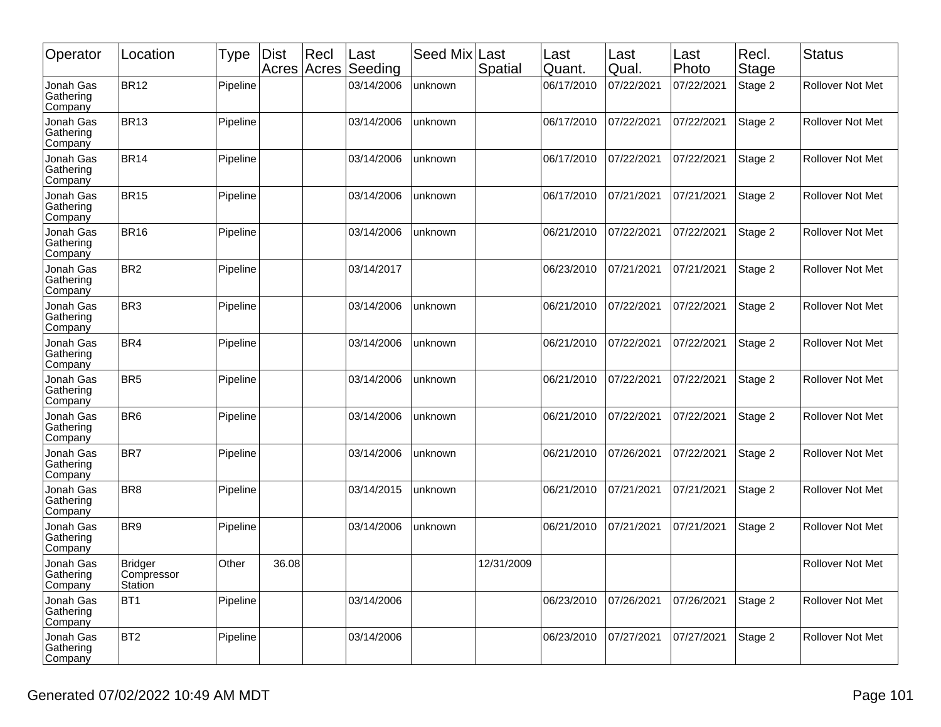| Operator                          | Location                                       | Type     | Dist  | Rec <br>Acres Acres | Last<br>Seeding | Seed Mix | Last<br>Spatial | Last<br>Quant. | Last<br>Qual. | Last<br>Photo | Recl.<br>Stage | <b>Status</b>           |
|-----------------------------------|------------------------------------------------|----------|-------|---------------------|-----------------|----------|-----------------|----------------|---------------|---------------|----------------|-------------------------|
| Jonah Gas<br>Gathering<br>Company | BR <sub>12</sub>                               | Pipeline |       |                     | 03/14/2006      | unknown  |                 | 06/17/2010     | 07/22/2021    | 07/22/2021    | Stage 2        | Rollover Not Met        |
| Jonah Gas<br>Gathering<br>Company | <b>BR13</b>                                    | Pipeline |       |                     | 03/14/2006      | unknown  |                 | 06/17/2010     | 07/22/2021    | 07/22/2021    | Stage 2        | Rollover Not Met        |
| Jonah Gas<br>Gathering<br>Company | BR <sub>14</sub>                               | Pipeline |       |                     | 03/14/2006      | unknown  |                 | 06/17/2010     | 07/22/2021    | 07/22/2021    | Stage 2        | <b>Rollover Not Met</b> |
| Jonah Gas<br>Gathering<br>Company | <b>BR15</b>                                    | Pipeline |       |                     | 03/14/2006      | unknown  |                 | 06/17/2010     | 07/21/2021    | 07/21/2021    | Stage 2        | Rollover Not Met        |
| Jonah Gas<br>Gathering<br>Company | <b>BR16</b>                                    | Pipeline |       |                     | 03/14/2006      | unknown  |                 | 06/21/2010     | 07/22/2021    | 07/22/2021    | Stage 2        | Rollover Not Met        |
| Jonah Gas<br>Gathering<br>Company | BR <sub>2</sub>                                | Pipeline |       |                     | 03/14/2017      |          |                 | 06/23/2010     | 07/21/2021    | 07/21/2021    | Stage 2        | <b>Rollover Not Met</b> |
| Jonah Gas<br>Gathering<br>Company | BR <sub>3</sub>                                | Pipeline |       |                     | 03/14/2006      | unknown  |                 | 06/21/2010     | 07/22/2021    | 07/22/2021    | Stage 2        | Rollover Not Met        |
| Jonah Gas<br>Gathering<br>Company | BR4                                            | Pipeline |       |                     | 03/14/2006      | unknown  |                 | 06/21/2010     | 07/22/2021    | 07/22/2021    | Stage 2        | Rollover Not Met        |
| Jonah Gas<br>Gathering<br>Company | BR <sub>5</sub>                                | Pipeline |       |                     | 03/14/2006      | unknown  |                 | 06/21/2010     | 07/22/2021    | 07/22/2021    | Stage 2        | <b>Rollover Not Met</b> |
| Jonah Gas<br>Gathering<br>Company | BR <sub>6</sub>                                | Pipeline |       |                     | 03/14/2006      | unknown  |                 | 06/21/2010     | 07/22/2021    | 07/22/2021    | Stage 2        | Rollover Not Met        |
| Jonah Gas<br>Gathering<br>Company | BR7                                            | Pipeline |       |                     | 03/14/2006      | unknown  |                 | 06/21/2010     | 07/26/2021    | 07/22/2021    | Stage 2        | Rollover Not Met        |
| Jonah Gas<br>Gathering<br>Company | BR <sub>8</sub>                                | Pipeline |       |                     | 03/14/2015      | unknown  |                 | 06/21/2010     | 07/21/2021    | 07/21/2021    | Stage 2        | Rollover Not Met        |
| Jonah Gas<br>Gathering<br>Company | BR9                                            | Pipeline |       |                     | 03/14/2006      | unknown  |                 | 06/21/2010     | 07/21/2021    | 07/21/2021    | Stage 2        | Rollover Not Met        |
| Jonah Gas<br>Gathering<br>Company | <b>Bridger</b><br>Compressor<br><b>Station</b> | Other    | 36.08 |                     |                 |          | 12/31/2009      |                |               |               |                | <b>Rollover Not Met</b> |
| Jonah Gas<br>Gathering<br>Company | BT <sub>1</sub>                                | Pipeline |       |                     | 03/14/2006      |          |                 | 06/23/2010     | 07/26/2021    | 07/26/2021    | Stage 2        | Rollover Not Met        |
| Jonah Gas<br>Gathering<br>Company | BT <sub>2</sub>                                | Pipeline |       |                     | 03/14/2006      |          |                 | 06/23/2010     | 07/27/2021    | 07/27/2021    | Stage 2        | Rollover Not Met        |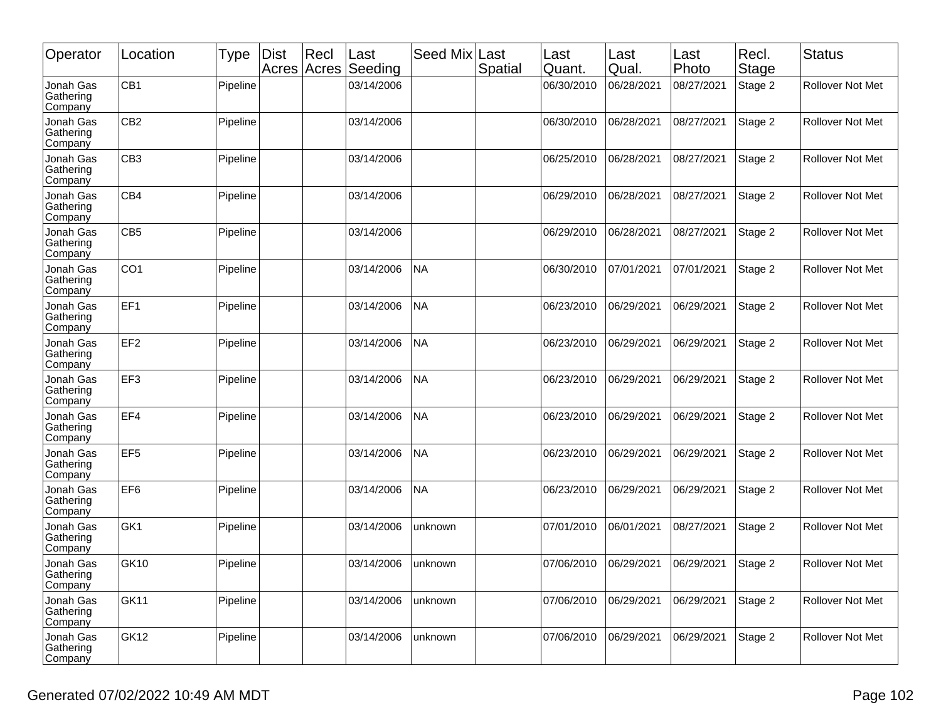| Operator                          | Location         | <b>Type</b> | <b>Dist</b><br>Acres Acres | Recl | Last<br>Seeding | Seed Mix  | Last<br>Spatial | Last<br>Quant. | Last<br>Qual. | Last<br>Photo | Recl.<br>Stage | Status                  |
|-----------------------------------|------------------|-------------|----------------------------|------|-----------------|-----------|-----------------|----------------|---------------|---------------|----------------|-------------------------|
| Jonah Gas<br>Gathering<br>Company | CB1              | Pipeline    |                            |      | 03/14/2006      |           |                 | 06/30/2010     | 06/28/2021    | 08/27/2021    | Stage 2        | <b>Rollover Not Met</b> |
| Jonah Gas<br>Gathering<br>Company | CB <sub>2</sub>  | Pipeline    |                            |      | 03/14/2006      |           |                 | 06/30/2010     | 06/28/2021    | 08/27/2021    | Stage 2        | <b>Rollover Not Met</b> |
| Jonah Gas<br>Gathering<br>Company | CB <sub>3</sub>  | Pipeline    |                            |      | 03/14/2006      |           |                 | 06/25/2010     | 06/28/2021    | 08/27/2021    | Stage 2        | <b>Rollover Not Met</b> |
| Jonah Gas<br>Gathering<br>Company | CB4              | Pipeline    |                            |      | 03/14/2006      |           |                 | 06/29/2010     | 06/28/2021    | 08/27/2021    | Stage 2        | Rollover Not Met        |
| Jonah Gas<br>Gathering<br>Company | CB <sub>5</sub>  | Pipeline    |                            |      | 03/14/2006      |           |                 | 06/29/2010     | 06/28/2021    | 08/27/2021    | Stage 2        | Rollover Not Met        |
| Jonah Gas<br>Gathering<br>Company | CO <sub>1</sub>  | Pipeline    |                            |      | 03/14/2006      | <b>NA</b> |                 | 06/30/2010     | 07/01/2021    | 07/01/2021    | Stage 2        | Rollover Not Met        |
| Jonah Gas<br>Gathering<br>Company | EF <sub>1</sub>  | Pipeline    |                            |      | 03/14/2006      | <b>NA</b> |                 | 06/23/2010     | 06/29/2021    | 06/29/2021    | Stage 2        | Rollover Not Met        |
| Jonah Gas<br>Gathering<br>Company | EF <sub>2</sub>  | Pipeline    |                            |      | 03/14/2006      | <b>NA</b> |                 | 06/23/2010     | 06/29/2021    | 06/29/2021    | Stage 2        | <b>Rollover Not Met</b> |
| Jonah Gas<br>Gathering<br>Company | EF <sub>3</sub>  | Pipeline    |                            |      | 03/14/2006      | <b>NA</b> |                 | 06/23/2010     | 06/29/2021    | 06/29/2021    | Stage 2        | <b>Rollover Not Met</b> |
| Jonah Gas<br>Gathering<br>Company | EF4              | Pipeline    |                            |      | 03/14/2006      | <b>NA</b> |                 | 06/23/2010     | 06/29/2021    | 06/29/2021    | Stage 2        | Rollover Not Met        |
| Jonah Gas<br>Gathering<br>Company | EF <sub>5</sub>  | Pipeline    |                            |      | 03/14/2006      | <b>NA</b> |                 | 06/23/2010     | 06/29/2021    | 06/29/2021    | Stage 2        | <b>Rollover Not Met</b> |
| Jonah Gas<br>Gathering<br>Company | EF <sub>6</sub>  | Pipeline    |                            |      | 03/14/2006      | <b>NA</b> |                 | 06/23/2010     | 06/29/2021    | 06/29/2021    | Stage 2        | Rollover Not Met        |
| Jonah Gas<br>Gathering<br>Company | GK1              | Pipeline    |                            |      | 03/14/2006      | unknown   |                 | 07/01/2010     | 06/01/2021    | 08/27/2021    | Stage 2        | Rollover Not Met        |
| Jonah Gas<br>Gathering<br>Company | <b>GK10</b>      | Pipeline    |                            |      | 03/14/2006      | unknown   |                 | 07/06/2010     | 06/29/2021    | 06/29/2021    | Stage 2        | Rollover Not Met        |
| Jonah Gas<br>Gathering<br>Company | GK11             | Pipeline    |                            |      | 03/14/2006      | unknown   |                 | 07/06/2010     | 06/29/2021    | 06/29/2021    | Stage 2        | Rollover Not Met        |
| Jonah Gas<br>Gathering<br>Company | GK <sub>12</sub> | Pipeline    |                            |      | 03/14/2006      | unknown   |                 | 07/06/2010     | 06/29/2021    | 06/29/2021    | Stage 2        | Rollover Not Met        |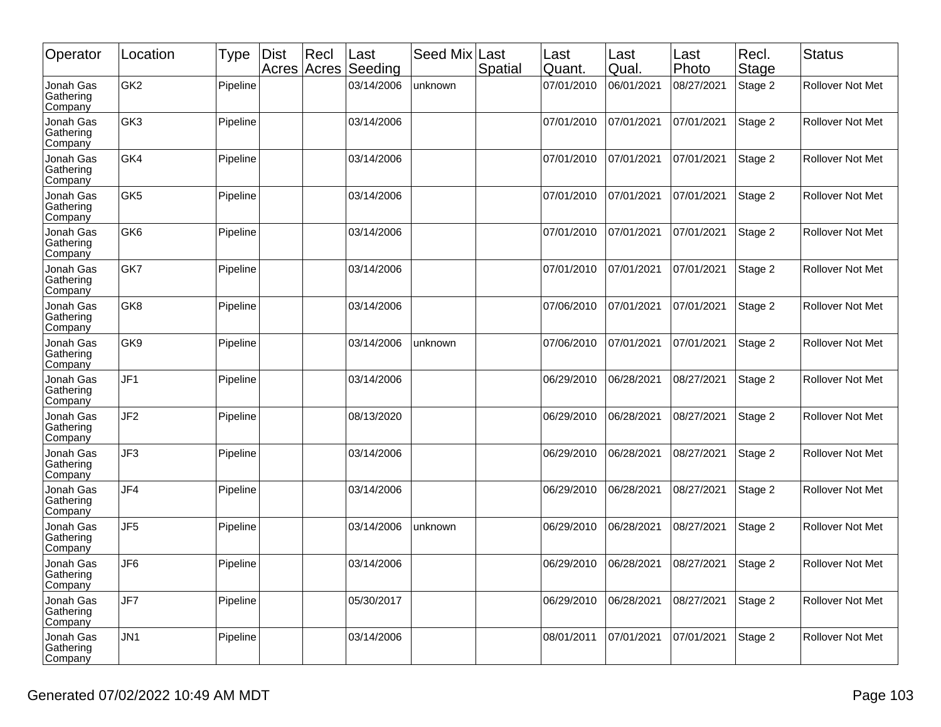| Operator                          | Location        | Type     | <b>Dist</b> | Recl<br>Acres Acres | Last<br>Seeding | Seed Mix | Last<br>Spatial | Last<br>Quant. | Last<br>Qual. | Last<br>Photo | Recl.<br>Stage | <b>Status</b>           |
|-----------------------------------|-----------------|----------|-------------|---------------------|-----------------|----------|-----------------|----------------|---------------|---------------|----------------|-------------------------|
| Jonah Gas<br>Gathering<br>Company | GK <sub>2</sub> | Pipeline |             |                     | 03/14/2006      | unknown  |                 | 07/01/2010     | 06/01/2021    | 08/27/2021    | Stage 2        | Rollover Not Met        |
| Jonah Gas<br>Gathering<br>Company | GK3             | Pipeline |             |                     | 03/14/2006      |          |                 | 07/01/2010     | 07/01/2021    | 07/01/2021    | Stage 2        | <b>Rollover Not Met</b> |
| Jonah Gas<br>Gathering<br>Company | GK4             | Pipeline |             |                     | 03/14/2006      |          |                 | 07/01/2010     | 07/01/2021    | 07/01/2021    | Stage 2        | <b>Rollover Not Met</b> |
| Jonah Gas<br>Gathering<br>Company | GK <sub>5</sub> | Pipeline |             |                     | 03/14/2006      |          |                 | 07/01/2010     | 07/01/2021    | 07/01/2021    | Stage 2        | Rollover Not Met        |
| Jonah Gas<br>Gathering<br>Company | GK <sub>6</sub> | Pipeline |             |                     | 03/14/2006      |          |                 | 07/01/2010     | 07/01/2021    | 07/01/2021    | Stage 2        | Rollover Not Met        |
| Jonah Gas<br>Gathering<br>Company | GK7             | Pipeline |             |                     | 03/14/2006      |          |                 | 07/01/2010     | 07/01/2021    | 07/01/2021    | Stage 2        | Rollover Not Met        |
| Jonah Gas<br>Gathering<br>Company | GK8             | Pipeline |             |                     | 03/14/2006      |          |                 | 07/06/2010     | 07/01/2021    | 07/01/2021    | Stage 2        | Rollover Not Met        |
| Jonah Gas<br>Gathering<br>Company | GK9             | Pipeline |             |                     | 03/14/2006      | unknown  |                 | 07/06/2010     | 07/01/2021    | 07/01/2021    | Stage 2        | <b>Rollover Not Met</b> |
| Jonah Gas<br>Gathering<br>Company | JF <sub>1</sub> | Pipeline |             |                     | 03/14/2006      |          |                 | 06/29/2010     | 06/28/2021    | 08/27/2021    | Stage 2        | <b>Rollover Not Met</b> |
| Jonah Gas<br>Gathering<br>Company | JF <sub>2</sub> | Pipeline |             |                     | 08/13/2020      |          |                 | 06/29/2010     | 06/28/2021    | 08/27/2021    | Stage 2        | Rollover Not Met        |
| Jonah Gas<br>Gathering<br>Company | JF3             | Pipeline |             |                     | 03/14/2006      |          |                 | 06/29/2010     | 06/28/2021    | 08/27/2021    | Stage 2        | <b>Rollover Not Met</b> |
| Jonah Gas<br>Gathering<br>Company | JF4             | Pipeline |             |                     | 03/14/2006      |          |                 | 06/29/2010     | 06/28/2021    | 08/27/2021    | Stage 2        | Rollover Not Met        |
| Jonah Gas<br>Gathering<br>Company | JF <sub>5</sub> | Pipeline |             |                     | 03/14/2006      | unknown  |                 | 06/29/2010     | 06/28/2021    | 08/27/2021    | Stage 2        | Rollover Not Met        |
| Jonah Gas<br>Gathering<br>Company | JF <sub>6</sub> | Pipeline |             |                     | 03/14/2006      |          |                 | 06/29/2010     | 06/28/2021    | 08/27/2021    | Stage 2        | Rollover Not Met        |
| Jonah Gas<br>Gathering<br>Company | JF7             | Pipeline |             |                     | 05/30/2017      |          |                 | 06/29/2010     | 06/28/2021    | 08/27/2021    | Stage 2        | Rollover Not Met        |
| Jonah Gas<br>Gathering<br>Company | JN1             | Pipeline |             |                     | 03/14/2006      |          |                 | 08/01/2011     | 07/01/2021    | 07/01/2021    | Stage 2        | Rollover Not Met        |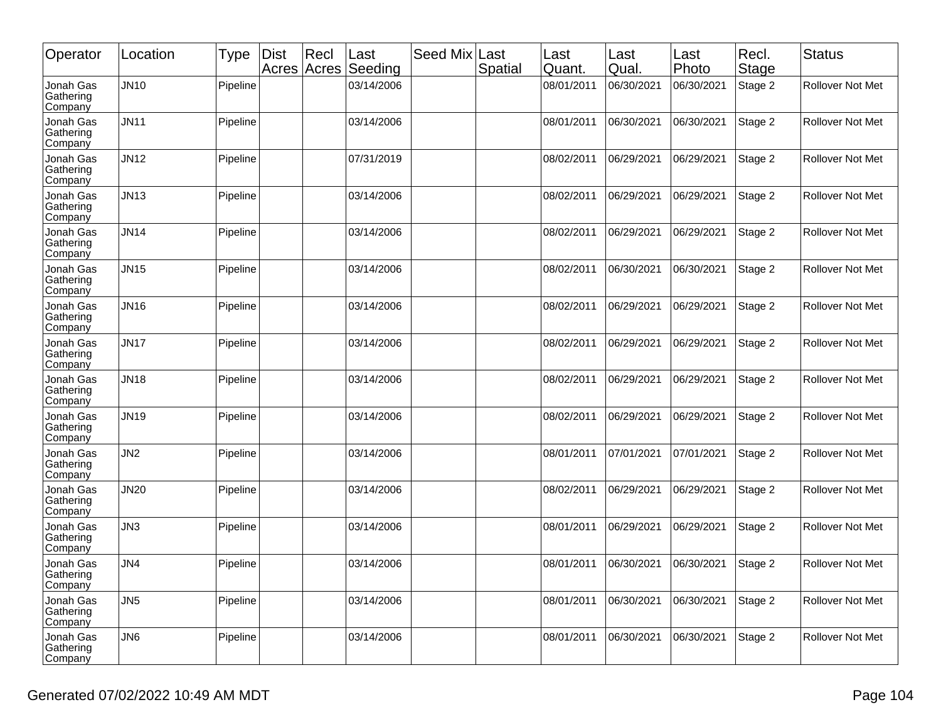| Operator                          | Location         | Type     | <b>Dist</b> | Recl<br>Acres Acres | Last<br>Seeding | Seed Mix | Last<br>Spatial | Last<br>Quant. | Last<br>Qual. | Last<br>Photo | Recl.<br>Stage | <b>Status</b>           |
|-----------------------------------|------------------|----------|-------------|---------------------|-----------------|----------|-----------------|----------------|---------------|---------------|----------------|-------------------------|
| Jonah Gas<br>Gathering<br>Company | JN10             | Pipeline |             |                     | 03/14/2006      |          |                 | 08/01/2011     | 06/30/2021    | 06/30/2021    | Stage 2        | Rollover Not Met        |
| Jonah Gas<br>Gathering<br>Company | <b>JN11</b>      | Pipeline |             |                     | 03/14/2006      |          |                 | 08/01/2011     | 06/30/2021    | 06/30/2021    | Stage 2        | <b>Rollover Not Met</b> |
| Jonah Gas<br>Gathering<br>Company | JN12             | Pipeline |             |                     | 07/31/2019      |          |                 | 08/02/2011     | 06/29/2021    | 06/29/2021    | Stage 2        | <b>Rollover Not Met</b> |
| Jonah Gas<br>Gathering<br>Company | JN <sub>13</sub> | Pipeline |             |                     | 03/14/2006      |          |                 | 08/02/2011     | 06/29/2021    | 06/29/2021    | Stage 2        | Rollover Not Met        |
| Jonah Gas<br>Gathering<br>Company | <b>JN14</b>      | Pipeline |             |                     | 03/14/2006      |          |                 | 08/02/2011     | 06/29/2021    | 06/29/2021    | Stage 2        | Rollover Not Met        |
| Jonah Gas<br>Gathering<br>Company | JN15             | Pipeline |             |                     | 03/14/2006      |          |                 | 08/02/2011     | 06/30/2021    | 06/30/2021    | Stage 2        | Rollover Not Met        |
| Jonah Gas<br>Gathering<br>Company | <b>JN16</b>      | Pipeline |             |                     | 03/14/2006      |          |                 | 08/02/2011     | 06/29/2021    | 06/29/2021    | Stage 2        | Rollover Not Met        |
| Jonah Gas<br>Gathering<br>Company | <b>JN17</b>      | Pipeline |             |                     | 03/14/2006      |          |                 | 08/02/2011     | 06/29/2021    | 06/29/2021    | Stage 2        | <b>Rollover Not Met</b> |
| Jonah Gas<br>Gathering<br>Company | <b>JN18</b>      | Pipeline |             |                     | 03/14/2006      |          |                 | 08/02/2011     | 06/29/2021    | 06/29/2021    | Stage 2        | <b>Rollover Not Met</b> |
| Jonah Gas<br>Gathering<br>Company | <b>JN19</b>      | Pipeline |             |                     | 03/14/2006      |          |                 | 08/02/2011     | 06/29/2021    | 06/29/2021    | Stage 2        | Rollover Not Met        |
| Jonah Gas<br>Gathering<br>Company | JN <sub>2</sub>  | Pipeline |             |                     | 03/14/2006      |          |                 | 08/01/2011     | 07/01/2021    | 07/01/2021    | Stage 2        | <b>Rollover Not Met</b> |
| Jonah Gas<br>Gathering<br>Company | <b>JN20</b>      | Pipeline |             |                     | 03/14/2006      |          |                 | 08/02/2011     | 06/29/2021    | 06/29/2021    | Stage 2        | Rollover Not Met        |
| Jonah Gas<br>Gathering<br>Company | JN <sub>3</sub>  | Pipeline |             |                     | 03/14/2006      |          |                 | 08/01/2011     | 06/29/2021    | 06/29/2021    | Stage 2        | Rollover Not Met        |
| Jonah Gas<br>Gathering<br>Company | JN4              | Pipeline |             |                     | 03/14/2006      |          |                 | 08/01/2011     | 06/30/2021    | 06/30/2021    | Stage 2        | Rollover Not Met        |
| Jonah Gas<br>Gathering<br>Company | JN <sub>5</sub>  | Pipeline |             |                     | 03/14/2006      |          |                 | 08/01/2011     | 06/30/2021    | 06/30/2021    | Stage 2        | Rollover Not Met        |
| Jonah Gas<br>Gathering<br>Company | JN <sub>6</sub>  | Pipeline |             |                     | 03/14/2006      |          |                 | 08/01/2011     | 06/30/2021    | 06/30/2021    | Stage 2        | Rollover Not Met        |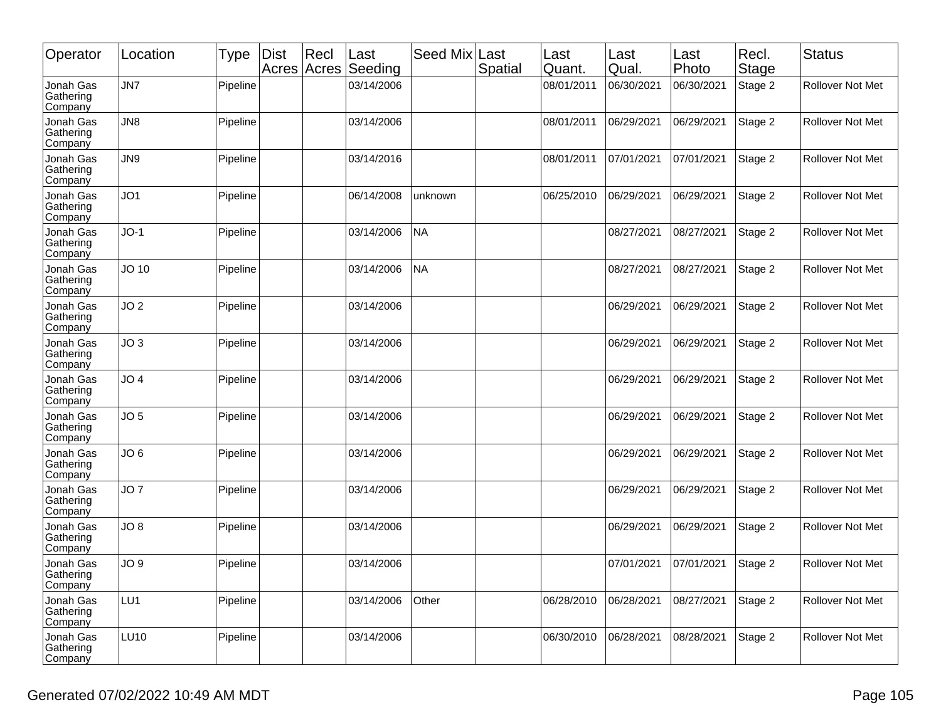| Operator                          | Location        | Type     | <b>Dist</b> | Rec <br>Acres Acres | Last<br>Seeding | Seed Mix  | Last<br>Spatial | Last<br>Quant. | Last<br>Qual. | Last<br>Photo | Recl.<br>Stage | <b>Status</b>           |
|-----------------------------------|-----------------|----------|-------------|---------------------|-----------------|-----------|-----------------|----------------|---------------|---------------|----------------|-------------------------|
| Jonah Gas<br>Gathering<br>Company | JN7             | Pipeline |             |                     | 03/14/2006      |           |                 | 08/01/2011     | 06/30/2021    | 06/30/2021    | Stage 2        | Rollover Not Met        |
| Jonah Gas<br>Gathering<br>Company | JN <sub>8</sub> | Pipeline |             |                     | 03/14/2006      |           |                 | 08/01/2011     | 06/29/2021    | 06/29/2021    | Stage 2        | Rollover Not Met        |
| Jonah Gas<br>Gathering<br>Company | JN9             | Pipeline |             |                     | 03/14/2016      |           |                 | 08/01/2011     | 07/01/2021    | 07/01/2021    | Stage 2        | <b>Rollover Not Met</b> |
| Jonah Gas<br>Gathering<br>Company | JO1             | Pipeline |             |                     | 06/14/2008      | unknown   |                 | 06/25/2010     | 06/29/2021    | 06/29/2021    | Stage 2        | <b>Rollover Not Met</b> |
| Jonah Gas<br>Gathering<br>Company | $JO-1$          | Pipeline |             |                     | 03/14/2006      | <b>NA</b> |                 |                | 08/27/2021    | 08/27/2021    | Stage 2        | Rollover Not Met        |
| Jonah Gas<br>Gathering<br>Company | JO 10           | Pipeline |             |                     | 03/14/2006      | NA        |                 |                | 08/27/2021    | 08/27/2021    | Stage 2        | <b>Rollover Not Met</b> |
| Jonah Gas<br>Gathering<br>Company | JO <sub>2</sub> | Pipeline |             |                     | 03/14/2006      |           |                 |                | 06/29/2021    | 06/29/2021    | Stage 2        | Rollover Not Met        |
| Jonah Gas<br>Gathering<br>Company | JO <sub>3</sub> | Pipeline |             |                     | 03/14/2006      |           |                 |                | 06/29/2021    | 06/29/2021    | Stage 2        | <b>Rollover Not Met</b> |
| Jonah Gas<br>Gathering<br>Company | JO 4            | Pipeline |             |                     | 03/14/2006      |           |                 |                | 06/29/2021    | 06/29/2021    | Stage 2        | <b>Rollover Not Met</b> |
| Jonah Gas<br>Gathering<br>Company | JO <sub>5</sub> | Pipeline |             |                     | 03/14/2006      |           |                 |                | 06/29/2021    | 06/29/2021    | Stage 2        | Rollover Not Met        |
| Jonah Gas<br>Gathering<br>Company | JO <sub>6</sub> | Pipeline |             |                     | 03/14/2006      |           |                 |                | 06/29/2021    | 06/29/2021    | Stage 2        | Rollover Not Met        |
| Jonah Gas<br>Gathering<br>Company | JO <sub>7</sub> | Pipeline |             |                     | 03/14/2006      |           |                 |                | 06/29/2021    | 06/29/2021    | Stage 2        | <b>Rollover Not Met</b> |
| Jonah Gas<br>Gathering<br>Company | JO 8            | Pipeline |             |                     | 03/14/2006      |           |                 |                | 06/29/2021    | 06/29/2021    | Stage 2        | Rollover Not Met        |
| Jonah Gas<br>Gathering<br>Company | JO 9            | Pipeline |             |                     | 03/14/2006      |           |                 |                | 07/01/2021    | 07/01/2021    | Stage 2        | Rollover Not Met        |
| Jonah Gas<br>Gathering<br>Company | LU1             | Pipeline |             |                     | 03/14/2006      | Other     |                 | 06/28/2010     | 06/28/2021    | 08/27/2021    | Stage 2        | Rollover Not Met        |
| Jonah Gas<br>Gathering<br>Company | <b>LU10</b>     | Pipeline |             |                     | 03/14/2006      |           |                 | 06/30/2010     | 06/28/2021    | 08/28/2021    | Stage 2        | Rollover Not Met        |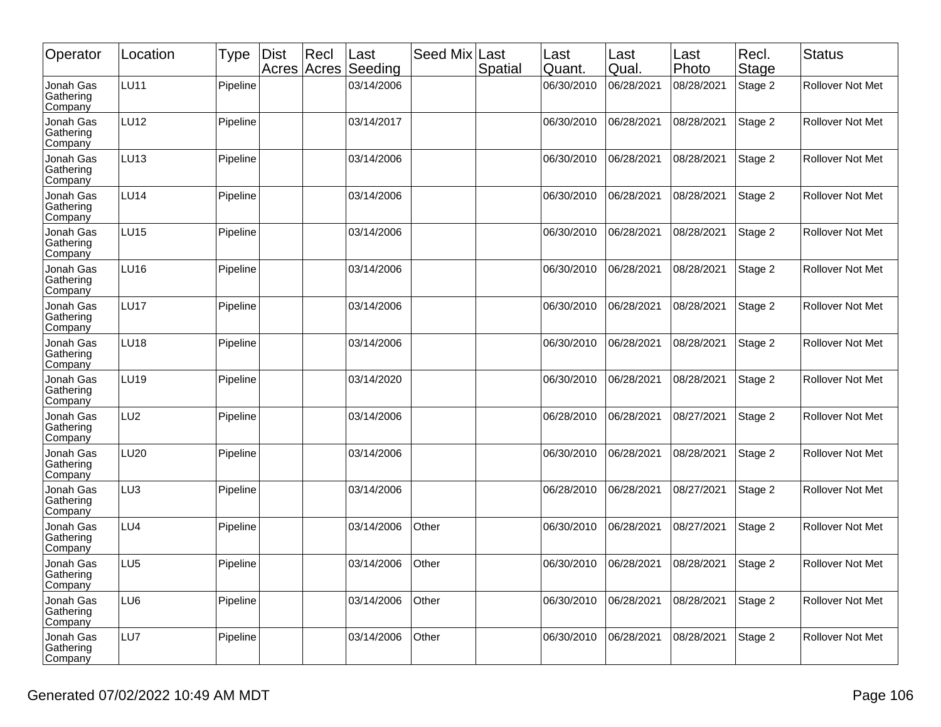| Operator                          | Location        | Type     | <b>Dist</b> | Rec <br>Acres Acres | Last<br>Seeding | Seed Mix | Last<br>Spatial | Last<br>Quant. | Last<br>Qual. | Last<br>Photo | Recl.<br>Stage | Status                  |
|-----------------------------------|-----------------|----------|-------------|---------------------|-----------------|----------|-----------------|----------------|---------------|---------------|----------------|-------------------------|
| Jonah Gas<br>Gathering<br>Company | <b>LU11</b>     | Pipeline |             |                     | 03/14/2006      |          |                 | 06/30/2010     | 06/28/2021    | 08/28/2021    | Stage 2        | Rollover Not Met        |
| Jonah Gas<br>Gathering<br>Company | LU12            | Pipeline |             |                     | 03/14/2017      |          |                 | 06/30/2010     | 06/28/2021    | 08/28/2021    | Stage 2        | <b>Rollover Not Met</b> |
| Jonah Gas<br>Gathering<br>Company | <b>LU13</b>     | Pipeline |             |                     | 03/14/2006      |          |                 | 06/30/2010     | 06/28/2021    | 08/28/2021    | Stage 2        | <b>Rollover Not Met</b> |
| Jonah Gas<br>Gathering<br>Company | LU14            | Pipeline |             |                     | 03/14/2006      |          |                 | 06/30/2010     | 06/28/2021    | 08/28/2021    | Stage 2        | Rollover Not Met        |
| Jonah Gas<br>Gathering<br>Company | LU15            | Pipeline |             |                     | 03/14/2006      |          |                 | 06/30/2010     | 06/28/2021    | 08/28/2021    | Stage 2        | Rollover Not Met        |
| Jonah Gas<br>Gathering<br>Company | <b>LU16</b>     | Pipeline |             |                     | 03/14/2006      |          |                 | 06/30/2010     | 06/28/2021    | 08/28/2021    | Stage 2        | Rollover Not Met        |
| Jonah Gas<br>Gathering<br>Company | <b>LU17</b>     | Pipeline |             |                     | 03/14/2006      |          |                 | 06/30/2010     | 06/28/2021    | 08/28/2021    | Stage 2        | Rollover Not Met        |
| Jonah Gas<br>Gathering<br>Company | LU18            | Pipeline |             |                     | 03/14/2006      |          |                 | 06/30/2010     | 06/28/2021    | 08/28/2021    | Stage 2        | <b>Rollover Not Met</b> |
| Jonah Gas<br>Gathering<br>Company | LU19            | Pipeline |             |                     | 03/14/2020      |          |                 | 06/30/2010     | 06/28/2021    | 08/28/2021    | Stage 2        | <b>Rollover Not Met</b> |
| Jonah Gas<br>Gathering<br>Company | LU <sub>2</sub> | Pipeline |             |                     | 03/14/2006      |          |                 | 06/28/2010     | 06/28/2021    | 08/27/2021    | Stage 2        | Rollover Not Met        |
| Jonah Gas<br>Gathering<br>Company | LU20            | Pipeline |             |                     | 03/14/2006      |          |                 | 06/30/2010     | 06/28/2021    | 08/28/2021    | Stage 2        | <b>Rollover Not Met</b> |
| Jonah Gas<br>Gathering<br>Company | LU3             | Pipeline |             |                     | 03/14/2006      |          |                 | 06/28/2010     | 06/28/2021    | 08/27/2021    | Stage 2        | Rollover Not Met        |
| Jonah Gas<br>Gathering<br>Company | LU4             | Pipeline |             |                     | 03/14/2006      | Other    |                 | 06/30/2010     | 06/28/2021    | 08/27/2021    | Stage 2        | Rollover Not Met        |
| Jonah Gas<br>Gathering<br>Company | LU5             | Pipeline |             |                     | 03/14/2006      | Other    |                 | 06/30/2010     | 06/28/2021    | 08/28/2021    | Stage 2        | Rollover Not Met        |
| Jonah Gas<br>Gathering<br>Company | LU6             | Pipeline |             |                     | 03/14/2006      | Other    |                 | 06/30/2010     | 06/28/2021    | 08/28/2021    | Stage 2        | Rollover Not Met        |
| Jonah Gas<br>Gathering<br>Company | LU7             | Pipeline |             |                     | 03/14/2006      | Other    |                 | 06/30/2010     | 06/28/2021    | 08/28/2021    | Stage 2        | Rollover Not Met        |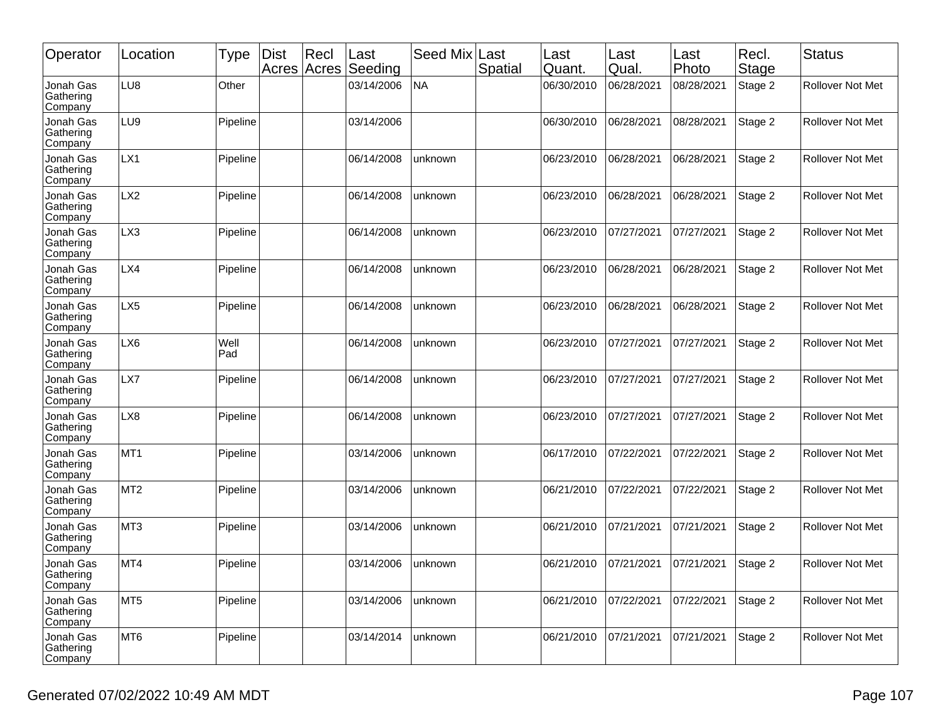| Operator                          | Location        | Type        | <b>Dist</b> | Recl<br>Acres Acres | Last<br>Seeding | Seed Mix  | Last<br>Spatial | Last<br>Quant. | Last<br>Qual. | Last<br>Photo | Recl.<br>Stage | Status                  |
|-----------------------------------|-----------------|-------------|-------------|---------------------|-----------------|-----------|-----------------|----------------|---------------|---------------|----------------|-------------------------|
| Jonah Gas<br>Gathering<br>Company | LU8             | Other       |             |                     | 03/14/2006      | <b>NA</b> |                 | 06/30/2010     | 06/28/2021    | 08/28/2021    | Stage 2        | <b>Rollover Not Met</b> |
| Jonah Gas<br>Gathering<br>Company | LU9             | Pipeline    |             |                     | 03/14/2006      |           |                 | 06/30/2010     | 06/28/2021    | 08/28/2021    | Stage 2        | <b>Rollover Not Met</b> |
| Jonah Gas<br>Gathering<br>Company | LX1             | Pipeline    |             |                     | 06/14/2008      | unknown   |                 | 06/23/2010     | 06/28/2021    | 06/28/2021    | Stage 2        | <b>Rollover Not Met</b> |
| Jonah Gas<br>Gathering<br>Company | LX <sub>2</sub> | Pipeline    |             |                     | 06/14/2008      | unknown   |                 | 06/23/2010     | 06/28/2021    | 06/28/2021    | Stage 2        | Rollover Not Met        |
| Jonah Gas<br>Gathering<br>Company | LX3             | Pipeline    |             |                     | 06/14/2008      | unknown   |                 | 06/23/2010     | 07/27/2021    | 07/27/2021    | Stage 2        | Rollover Not Met        |
| Jonah Gas<br>Gathering<br>Company | LX4             | Pipeline    |             |                     | 06/14/2008      | unknown   |                 | 06/23/2010     | 06/28/2021    | 06/28/2021    | Stage 2        | Rollover Not Met        |
| Jonah Gas<br>Gathering<br>Company | LX <sub>5</sub> | Pipeline    |             |                     | 06/14/2008      | unknown   |                 | 06/23/2010     | 06/28/2021    | 06/28/2021    | Stage 2        | Rollover Not Met        |
| Jonah Gas<br>Gathering<br>Company | LX6             | Well<br>Pad |             |                     | 06/14/2008      | unknown   |                 | 06/23/2010     | 07/27/2021    | 07/27/2021    | Stage 2        | <b>Rollover Not Met</b> |
| Jonah Gas<br>Gathering<br>Company | LX7             | Pipeline    |             |                     | 06/14/2008      | unknown   |                 | 06/23/2010     | 07/27/2021    | 07/27/2021    | Stage 2        | <b>Rollover Not Met</b> |
| Jonah Gas<br>Gathering<br>Company | LX8             | Pipeline    |             |                     | 06/14/2008      | unknown   |                 | 06/23/2010     | 07/27/2021    | 07/27/2021    | Stage 2        | Rollover Not Met        |
| Jonah Gas<br>Gathering<br>Company | MT <sub>1</sub> | Pipeline    |             |                     | 03/14/2006      | unknown   |                 | 06/17/2010     | 07/22/2021    | 07/22/2021    | Stage 2        | <b>Rollover Not Met</b> |
| Jonah Gas<br>Gathering<br>Company | MT <sub>2</sub> | Pipeline    |             |                     | 03/14/2006      | unknown   |                 | 06/21/2010     | 07/22/2021    | 07/22/2021    | Stage 2        | Rollover Not Met        |
| Jonah Gas<br>Gathering<br>Company | MT <sub>3</sub> | Pipeline    |             |                     | 03/14/2006      | unknown   |                 | 06/21/2010     | 07/21/2021    | 07/21/2021    | Stage 2        | <b>Rollover Not Met</b> |
| Jonah Gas<br>Gathering<br>Company | MT4             | Pipeline    |             |                     | 03/14/2006      | unknown   |                 | 06/21/2010     | 07/21/2021    | 07/21/2021    | Stage 2        | Rollover Not Met        |
| Jonah Gas<br>Gathering<br>Company | MT5             | Pipeline    |             |                     | 03/14/2006      | unknown   |                 | 06/21/2010     | 07/22/2021    | 07/22/2021    | Stage 2        | Rollover Not Met        |
| Jonah Gas<br>Gathering<br>Company | MT <sub>6</sub> | Pipeline    |             |                     | 03/14/2014      | unknown   |                 | 06/21/2010     | 07/21/2021    | 07/21/2021    | Stage 2        | Rollover Not Met        |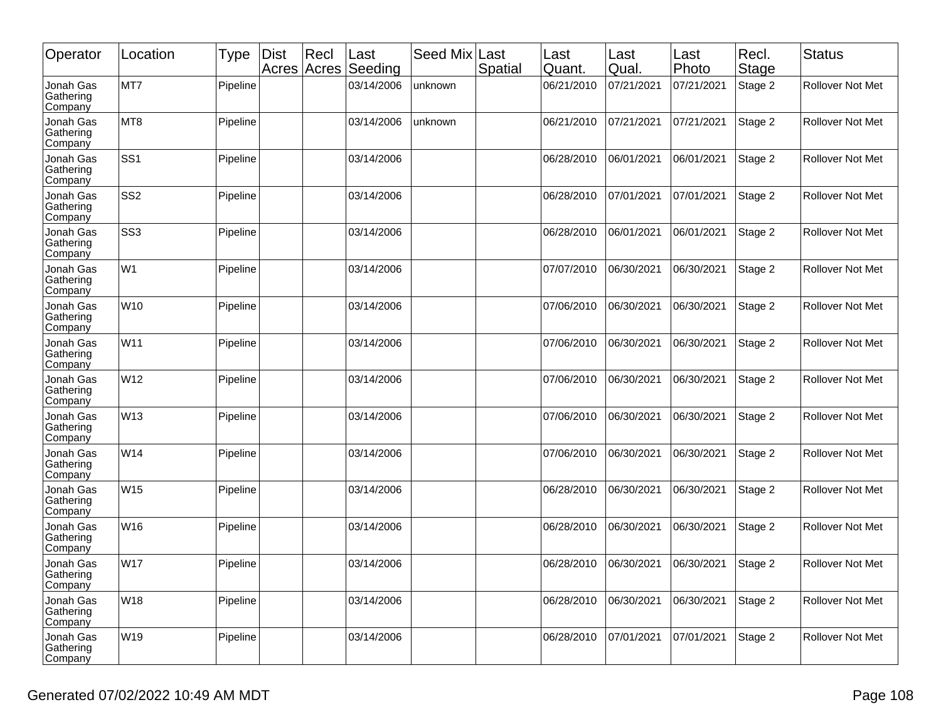| Operator                          | Location        | Type     | <b>Dist</b> | Rec <br>Acres Acres | Last<br>Seeding | Seed Mix | Last<br>Spatial | Last<br>Quant. | Last<br>Qual. | Last<br>Photo | Recl.<br>Stage | <b>Status</b>           |
|-----------------------------------|-----------------|----------|-------------|---------------------|-----------------|----------|-----------------|----------------|---------------|---------------|----------------|-------------------------|
| Jonah Gas<br>Gathering<br>Company | MT7             | Pipeline |             |                     | 03/14/2006      | unknown  |                 | 06/21/2010     | 07/21/2021    | 07/21/2021    | Stage 2        | Rollover Not Met        |
| Jonah Gas<br>Gathering<br>Company | MT8             | Pipeline |             |                     | 03/14/2006      | unknown  |                 | 06/21/2010     | 07/21/2021    | 07/21/2021    | Stage 2        | Rollover Not Met        |
| Jonah Gas<br>Gathering<br>Company | SS <sub>1</sub> | Pipeline |             |                     | 03/14/2006      |          |                 | 06/28/2010     | 06/01/2021    | 06/01/2021    | Stage 2        | <b>Rollover Not Met</b> |
| Jonah Gas<br>Gathering<br>Company | SS <sub>2</sub> | Pipeline |             |                     | 03/14/2006      |          |                 | 06/28/2010     | 07/01/2021    | 07/01/2021    | Stage 2        | <b>Rollover Not Met</b> |
| Jonah Gas<br>Gathering<br>Company | SS <sub>3</sub> | Pipeline |             |                     | 03/14/2006      |          |                 | 06/28/2010     | 06/01/2021    | 06/01/2021    | Stage 2        | Rollover Not Met        |
| Jonah Gas<br>Gathering<br>Company | W <sub>1</sub>  | Pipeline |             |                     | 03/14/2006      |          |                 | 07/07/2010     | 06/30/2021    | 06/30/2021    | Stage 2        | <b>Rollover Not Met</b> |
| Jonah Gas<br>Gathering<br>Company | W10             | Pipeline |             |                     | 03/14/2006      |          |                 | 07/06/2010     | 06/30/2021    | 06/30/2021    | Stage 2        | Rollover Not Met        |
| Jonah Gas<br>Gathering<br>Company | W11             | Pipeline |             |                     | 03/14/2006      |          |                 | 07/06/2010     | 06/30/2021    | 06/30/2021    | Stage 2        | Rollover Not Met        |
| Jonah Gas<br>Gathering<br>Company | W12             | Pipeline |             |                     | 03/14/2006      |          |                 | 07/06/2010     | 06/30/2021    | 06/30/2021    | Stage 2        | <b>Rollover Not Met</b> |
| Jonah Gas<br>Gathering<br>Company | W13             | Pipeline |             |                     | 03/14/2006      |          |                 | 07/06/2010     | 06/30/2021    | 06/30/2021    | Stage 2        | Rollover Not Met        |
| Jonah Gas<br>Gathering<br>Company | W14             | Pipeline |             |                     | 03/14/2006      |          |                 | 07/06/2010     | 06/30/2021    | 06/30/2021    | Stage 2        | Rollover Not Met        |
| Jonah Gas<br>Gathering<br>Company | W <sub>15</sub> | Pipeline |             |                     | 03/14/2006      |          |                 | 06/28/2010     | 06/30/2021    | 06/30/2021    | Stage 2        | Rollover Not Met        |
| Jonah Gas<br>Gathering<br>Company | W16             | Pipeline |             |                     | 03/14/2006      |          |                 | 06/28/2010     | 06/30/2021    | 06/30/2021    | Stage 2        | Rollover Not Met        |
| Jonah Gas<br>Gathering<br>Company | <b>W17</b>      | Pipeline |             |                     | 03/14/2006      |          |                 | 06/28/2010     | 06/30/2021    | 06/30/2021    | Stage 2        | <b>Rollover Not Met</b> |
| Jonah Gas<br>Gathering<br>Company | W18             | Pipeline |             |                     | 03/14/2006      |          |                 | 06/28/2010     | 06/30/2021    | 06/30/2021    | Stage 2        | Rollover Not Met        |
| Jonah Gas<br>Gathering<br>Company | W <sub>19</sub> | Pipeline |             |                     | 03/14/2006      |          |                 | 06/28/2010     | 07/01/2021    | 07/01/2021    | Stage 2        | Rollover Not Met        |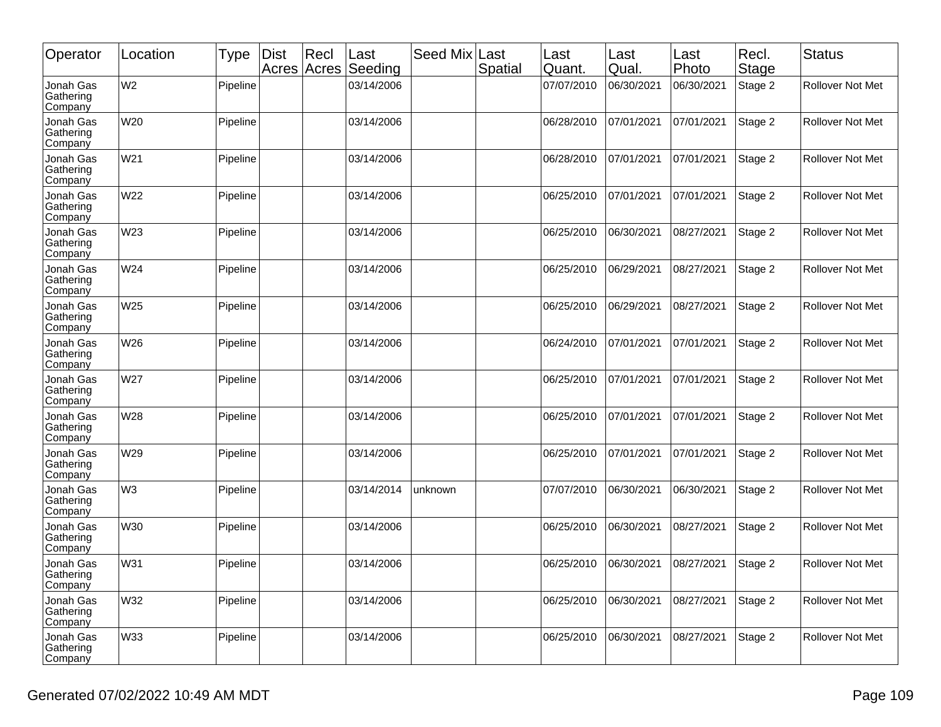| Operator                          | Location       | <b>Type</b> | <b>Dist</b> | Recl<br>Acres Acres | Last<br>Seeding | Seed Mix | Last<br>Spatial | Last<br>Quant. | Last<br>Qual. | Last<br>Photo | Recl.<br>Stage | Status                  |
|-----------------------------------|----------------|-------------|-------------|---------------------|-----------------|----------|-----------------|----------------|---------------|---------------|----------------|-------------------------|
| Jonah Gas<br>Gathering<br>Company | W <sub>2</sub> | Pipeline    |             |                     | 03/14/2006      |          |                 | 07/07/2010     | 06/30/2021    | 06/30/2021    | Stage 2        | Rollover Not Met        |
| Jonah Gas<br>Gathering<br>Company | W20            | Pipeline    |             |                     | 03/14/2006      |          |                 | 06/28/2010     | 07/01/2021    | 07/01/2021    | Stage 2        | <b>Rollover Not Met</b> |
| Jonah Gas<br>Gathering<br>Company | W21            | Pipeline    |             |                     | 03/14/2006      |          |                 | 06/28/2010     | 07/01/2021    | 07/01/2021    | Stage 2        | <b>Rollover Not Met</b> |
| Jonah Gas<br>Gathering<br>Company | W22            | Pipeline    |             |                     | 03/14/2006      |          |                 | 06/25/2010     | 07/01/2021    | 07/01/2021    | Stage 2        | Rollover Not Met        |
| Jonah Gas<br>Gathering<br>Company | W23            | Pipeline    |             |                     | 03/14/2006      |          |                 | 06/25/2010     | 06/30/2021    | 08/27/2021    | Stage 2        | Rollover Not Met        |
| Jonah Gas<br>Gathering<br>Company | W24            | Pipeline    |             |                     | 03/14/2006      |          |                 | 06/25/2010     | 06/29/2021    | 08/27/2021    | Stage 2        | Rollover Not Met        |
| Jonah Gas<br>Gathering<br>Company | W25            | Pipeline    |             |                     | 03/14/2006      |          |                 | 06/25/2010     | 06/29/2021    | 08/27/2021    | Stage 2        | Rollover Not Met        |
| Jonah Gas<br>Gathering<br>Company | W26            | Pipeline    |             |                     | 03/14/2006      |          |                 | 06/24/2010     | 07/01/2021    | 07/01/2021    | Stage 2        | <b>Rollover Not Met</b> |
| Jonah Gas<br>Gathering<br>Company | W27            | Pipeline    |             |                     | 03/14/2006      |          |                 | 06/25/2010     | 07/01/2021    | 07/01/2021    | Stage 2        | <b>Rollover Not Met</b> |
| Jonah Gas<br>Gathering<br>Company | W28            | Pipeline    |             |                     | 03/14/2006      |          |                 | 06/25/2010     | 07/01/2021    | 07/01/2021    | Stage 2        | Rollover Not Met        |
| Jonah Gas<br>Gathering<br>Company | W29            | Pipeline    |             |                     | 03/14/2006      |          |                 | 06/25/2010     | 07/01/2021    | 07/01/2021    | Stage 2        | <b>Rollover Not Met</b> |
| Jonah Gas<br>Gathering<br>Company | W <sub>3</sub> | Pipeline    |             |                     | 03/14/2014      | unknown  |                 | 07/07/2010     | 06/30/2021    | 06/30/2021    | Stage 2        | Rollover Not Met        |
| Jonah Gas<br>Gathering<br>Company | W30            | Pipeline    |             |                     | 03/14/2006      |          |                 | 06/25/2010     | 06/30/2021    | 08/27/2021    | Stage 2        | Rollover Not Met        |
| Jonah Gas<br>Gathering<br>Company | W31            | Pipeline    |             |                     | 03/14/2006      |          |                 | 06/25/2010     | 06/30/2021    | 08/27/2021    | Stage 2        | Rollover Not Met        |
| Jonah Gas<br>Gathering<br>Company | W32            | Pipeline    |             |                     | 03/14/2006      |          |                 | 06/25/2010     | 06/30/2021    | 08/27/2021    | Stage 2        | Rollover Not Met        |
| Jonah Gas<br>Gathering<br>Company | W33            | Pipeline    |             |                     | 03/14/2006      |          |                 | 06/25/2010     | 06/30/2021    | 08/27/2021    | Stage 2        | Rollover Not Met        |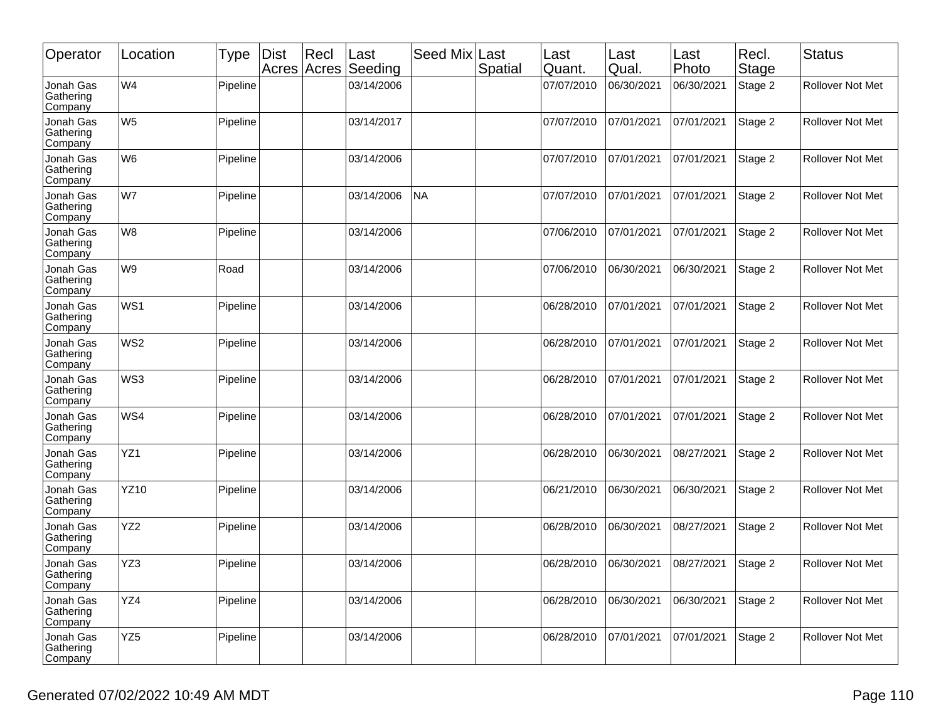| Operator                          | Location        | Type     | <b>Dist</b> | Recl<br>Acres Acres | Last<br>Seeding | Seed Mix  | Last<br>Spatial | Last<br>Quant. | Last<br>Qual. | Last<br>Photo | Recl.<br>Stage | <b>Status</b>           |
|-----------------------------------|-----------------|----------|-------------|---------------------|-----------------|-----------|-----------------|----------------|---------------|---------------|----------------|-------------------------|
| Jonah Gas<br>Gathering<br>Company | W <sub>4</sub>  | Pipeline |             |                     | 03/14/2006      |           |                 | 07/07/2010     | 06/30/2021    | 06/30/2021    | Stage 2        | Rollover Not Met        |
| Jonah Gas<br>Gathering<br>Company | W <sub>5</sub>  | Pipeline |             |                     | 03/14/2017      |           |                 | 07/07/2010     | 07/01/2021    | 07/01/2021    | Stage 2        | Rollover Not Met        |
| Jonah Gas<br>Gathering<br>Company | W <sub>6</sub>  | Pipeline |             |                     | 03/14/2006      |           |                 | 07/07/2010     | 07/01/2021    | 07/01/2021    | Stage 2        | <b>Rollover Not Met</b> |
| Jonah Gas<br>Gathering<br>Company | W7              | Pipeline |             |                     | 03/14/2006      | <b>NA</b> |                 | 07/07/2010     | 07/01/2021    | 07/01/2021    | Stage 2        | Rollover Not Met        |
| Jonah Gas<br>Gathering<br>Company | W <sub>8</sub>  | Pipeline |             |                     | 03/14/2006      |           |                 | 07/06/2010     | 07/01/2021    | 07/01/2021    | Stage 2        | Rollover Not Met        |
| Jonah Gas<br>Gathering<br>Company | W <sub>9</sub>  | Road     |             |                     | 03/14/2006      |           |                 | 07/06/2010     | 06/30/2021    | 06/30/2021    | Stage 2        | Rollover Not Met        |
| Jonah Gas<br>Gathering<br>Company | WS1             | Pipeline |             |                     | 03/14/2006      |           |                 | 06/28/2010     | 07/01/2021    | 07/01/2021    | Stage 2        | Rollover Not Met        |
| Jonah Gas<br>Gathering<br>Company | WS <sub>2</sub> | Pipeline |             |                     | 03/14/2006      |           |                 | 06/28/2010     | 07/01/2021    | 07/01/2021    | Stage 2        | <b>Rollover Not Met</b> |
| Jonah Gas<br>Gathering<br>Company | WS3             | Pipeline |             |                     | 03/14/2006      |           |                 | 06/28/2010     | 07/01/2021    | 07/01/2021    | Stage 2        | <b>Rollover Not Met</b> |
| Jonah Gas<br>Gathering<br>Company | WS4             | Pipeline |             |                     | 03/14/2006      |           |                 | 06/28/2010     | 07/01/2021    | 07/01/2021    | Stage 2        | Rollover Not Met        |
| Jonah Gas<br>Gathering<br>Company | YZ1             | Pipeline |             |                     | 03/14/2006      |           |                 | 06/28/2010     | 06/30/2021    | 08/27/2021    | Stage 2        | <b>Rollover Not Met</b> |
| Jonah Gas<br>Gathering<br>Company | <b>YZ10</b>     | Pipeline |             |                     | 03/14/2006      |           |                 | 06/21/2010     | 06/30/2021    | 06/30/2021    | Stage 2        | Rollover Not Met        |
| Jonah Gas<br>Gathering<br>Company | YZ <sub>2</sub> | Pipeline |             |                     | 03/14/2006      |           |                 | 06/28/2010     | 06/30/2021    | 08/27/2021    | Stage 2        | Rollover Not Met        |
| Jonah Gas<br>Gathering<br>Company | YZ3             | Pipeline |             |                     | 03/14/2006      |           |                 | 06/28/2010     | 06/30/2021    | 08/27/2021    | Stage 2        | Rollover Not Met        |
| Jonah Gas<br>Gathering<br>Company | YZ4             | Pipeline |             |                     | 03/14/2006      |           |                 | 06/28/2010     | 06/30/2021    | 06/30/2021    | Stage 2        | Rollover Not Met        |
| Jonah Gas<br>Gathering<br>Company | YZ <sub>5</sub> | Pipeline |             |                     | 03/14/2006      |           |                 | 06/28/2010     | 07/01/2021    | 07/01/2021    | Stage 2        | Rollover Not Met        |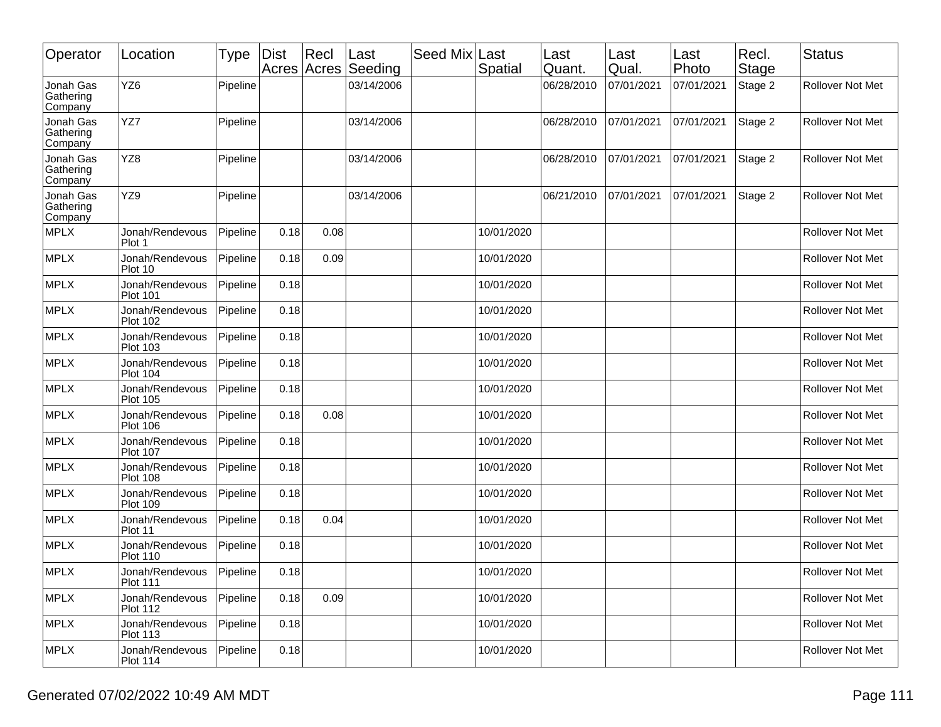| Operator                          | Location                           | <b>Type</b> | <b>Dist</b> | Recl | ∣Last<br>Acres Acres Seeding | Seed Mix Last | Spatial    | Last<br>Quant. | Last<br>Qual. | Last<br>Photo | Recl.<br>Stage | <b>Status</b>           |
|-----------------------------------|------------------------------------|-------------|-------------|------|------------------------------|---------------|------------|----------------|---------------|---------------|----------------|-------------------------|
| Jonah Gas<br>Gathering<br>Company | YZ6                                | Pipeline    |             |      | 03/14/2006                   |               |            | 06/28/2010     | 07/01/2021    | 07/01/2021    | Stage 2        | Rollover Not Met        |
| Jonah Gas<br>Gathering<br>Company | YZ7                                | Pipeline    |             |      | 03/14/2006                   |               |            | 06/28/2010     | 07/01/2021    | 07/01/2021    | Stage 2        | Rollover Not Met        |
| Jonah Gas<br>Gathering<br>Company | YZ8                                | Pipeline    |             |      | 03/14/2006                   |               |            | 06/28/2010     | 07/01/2021    | 07/01/2021    | Stage 2        | <b>Rollover Not Met</b> |
| Jonah Gas<br>Gathering<br>Company | YZ9                                | Pipeline    |             |      | 03/14/2006                   |               |            | 06/21/2010     | 07/01/2021    | 07/01/2021    | Stage 2        | Rollover Not Met        |
| <b>MPLX</b>                       | Jonah/Rendevous<br>Plot 1          | Pipeline    | 0.18        | 0.08 |                              |               | 10/01/2020 |                |               |               |                | Rollover Not Met        |
| <b>MPLX</b>                       | Jonah/Rendevous<br>Plot 10         | Pipeline    | 0.18        | 0.09 |                              |               | 10/01/2020 |                |               |               |                | Rollover Not Met        |
| <b>MPLX</b>                       | Jonah/Rendevous<br><b>Plot 101</b> | Pipeline    | 0.18        |      |                              |               | 10/01/2020 |                |               |               |                | <b>Rollover Not Met</b> |
| <b>MPLX</b>                       | Jonah/Rendevous<br><b>Plot 102</b> | Pipeline    | 0.18        |      |                              |               | 10/01/2020 |                |               |               |                | Rollover Not Met        |
| <b>MPLX</b>                       | Jonah/Rendevous<br><b>Plot 103</b> | Pipeline    | 0.18        |      |                              |               | 10/01/2020 |                |               |               |                | <b>Rollover Not Met</b> |
| <b>MPLX</b>                       | Jonah/Rendevous<br><b>Plot 104</b> | Pipeline    | 0.18        |      |                              |               | 10/01/2020 |                |               |               |                | Rollover Not Met        |
| <b>MPLX</b>                       | Jonah/Rendevous<br><b>Plot 105</b> | Pipeline    | 0.18        |      |                              |               | 10/01/2020 |                |               |               |                | Rollover Not Met        |
| <b>MPLX</b>                       | Jonah/Rendevous<br><b>Plot 106</b> | Pipeline    | 0.18        | 0.08 |                              |               | 10/01/2020 |                |               |               |                | Rollover Not Met        |
| <b>MPLX</b>                       | Jonah/Rendevous<br><b>Plot 107</b> | Pipeline    | 0.18        |      |                              |               | 10/01/2020 |                |               |               |                | Rollover Not Met        |
| <b>MPLX</b>                       | Jonah/Rendevous<br><b>Plot 108</b> | Pipeline    | 0.18        |      |                              |               | 10/01/2020 |                |               |               |                | Rollover Not Met        |
| <b>MPLX</b>                       | Jonah/Rendevous<br><b>Plot 109</b> | Pipeline    | 0.18        |      |                              |               | 10/01/2020 |                |               |               |                | Rollover Not Met        |
| <b>MPLX</b>                       | Jonah/Rendevous<br>Plot 11         | Pipeline    | 0.18        | 0.04 |                              |               | 10/01/2020 |                |               |               |                | <b>Rollover Not Met</b> |
| <b>MPLX</b>                       | Jonah/Rendevous<br><b>Plot 110</b> | Pipeline    | 0.18        |      |                              |               | 10/01/2020 |                |               |               |                | Rollover Not Met        |
| <b>MPLX</b>                       | Jonah/Rendevous<br>Plot 111        | Pipeline    | 0.18        |      |                              |               | 10/01/2020 |                |               |               |                | Rollover Not Met        |
| MPLX                              | Jonah/Rendevous<br><b>Plot 112</b> | Pipeline    | 0.18        | 0.09 |                              |               | 10/01/2020 |                |               |               |                | Rollover Not Met        |
| MPLX                              | Jonah/Rendevous<br><b>Plot 113</b> | Pipeline    | 0.18        |      |                              |               | 10/01/2020 |                |               |               |                | Rollover Not Met        |
| <b>MPLX</b>                       | Jonah/Rendevous<br><b>Plot 114</b> | Pipeline    | 0.18        |      |                              |               | 10/01/2020 |                |               |               |                | Rollover Not Met        |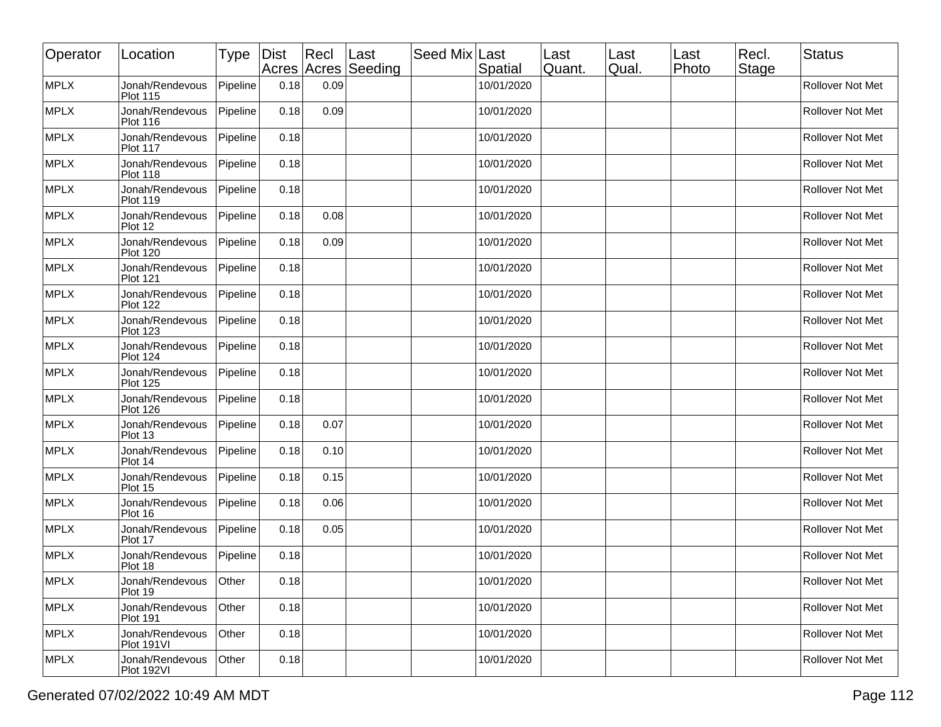| Operator    | Location                           | Type     | Dist | $ $ Recl | Last<br>Acres Acres Seeding | Seed Mix Last | Spatial    | Last<br>Quant. | Last<br>Qual. | Last<br>Photo | Recl.<br><b>Stage</b> | <b>Status</b>           |
|-------------|------------------------------------|----------|------|----------|-----------------------------|---------------|------------|----------------|---------------|---------------|-----------------------|-------------------------|
| MPLX        | Jonah/Rendevous<br><b>Plot 115</b> | Pipeline | 0.18 | 0.09     |                             |               | 10/01/2020 |                |               |               |                       | Rollover Not Met        |
| <b>MPLX</b> | Jonah/Rendevous<br><b>Plot 116</b> | Pipeline | 0.18 | 0.09     |                             |               | 10/01/2020 |                |               |               |                       | Rollover Not Met        |
| <b>MPLX</b> | Jonah/Rendevous<br><b>Plot 117</b> | Pipeline | 0.18 |          |                             |               | 10/01/2020 |                |               |               |                       | Rollover Not Met        |
| <b>MPLX</b> | Jonah/Rendevous<br><b>Plot 118</b> | Pipeline | 0.18 |          |                             |               | 10/01/2020 |                |               |               |                       | <b>Rollover Not Met</b> |
| <b>MPLX</b> | Jonah/Rendevous<br><b>Plot 119</b> | Pipeline | 0.18 |          |                             |               | 10/01/2020 |                |               |               |                       | Rollover Not Met        |
| <b>MPLX</b> | Jonah/Rendevous<br>Plot 12         | Pipeline | 0.18 | 0.08     |                             |               | 10/01/2020 |                |               |               |                       | <b>Rollover Not Met</b> |
| <b>MPLX</b> | Jonah/Rendevous<br><b>Plot 120</b> | Pipeline | 0.18 | 0.09     |                             |               | 10/01/2020 |                |               |               |                       | Rollover Not Met        |
| <b>MPLX</b> | Jonah/Rendevous<br><b>Plot 121</b> | Pipeline | 0.18 |          |                             |               | 10/01/2020 |                |               |               |                       | Rollover Not Met        |
| <b>MPLX</b> | Jonah/Rendevous<br><b>Plot 122</b> | Pipeline | 0.18 |          |                             |               | 10/01/2020 |                |               |               |                       | Rollover Not Met        |
| <b>MPLX</b> | Jonah/Rendevous<br><b>Plot 123</b> | Pipeline | 0.18 |          |                             |               | 10/01/2020 |                |               |               |                       | Rollover Not Met        |
| <b>MPLX</b> | Jonah/Rendevous<br><b>Plot 124</b> | Pipeline | 0.18 |          |                             |               | 10/01/2020 |                |               |               |                       | Rollover Not Met        |
| <b>MPLX</b> | Jonah/Rendevous<br><b>Plot 125</b> | Pipeline | 0.18 |          |                             |               | 10/01/2020 |                |               |               |                       | Rollover Not Met        |
| <b>MPLX</b> | Jonah/Rendevous<br><b>Plot 126</b> | Pipeline | 0.18 |          |                             |               | 10/01/2020 |                |               |               |                       | Rollover Not Met        |
| <b>MPLX</b> | Jonah/Rendevous<br>Plot 13         | Pipeline | 0.18 | 0.07     |                             |               | 10/01/2020 |                |               |               |                       | Rollover Not Met        |
| <b>MPLX</b> | Jonah/Rendevous<br>Plot 14         | Pipeline | 0.18 | 0.10     |                             |               | 10/01/2020 |                |               |               |                       | Rollover Not Met        |
| <b>MPLX</b> | Jonah/Rendevous<br>Plot 15         | Pipeline | 0.18 | 0.15     |                             |               | 10/01/2020 |                |               |               |                       | Rollover Not Met        |
| <b>MPLX</b> | Jonah/Rendevous<br>Plot 16         | Pipeline | 0.18 | 0.06     |                             |               | 10/01/2020 |                |               |               |                       | <b>Rollover Not Met</b> |
| <b>MPLX</b> | Jonah/Rendevous<br>Plot 17         | Pipeline | 0.18 | 0.05     |                             |               | 10/01/2020 |                |               |               |                       | <b>Rollover Not Met</b> |
| MPLX        | Jonah/Rendevous<br>Plot 18         | Pipeline | 0.18 |          |                             |               | 10/01/2020 |                |               |               |                       | Rollover Not Met        |
| <b>MPLX</b> | Jonah/Rendevous<br>Plot 19         | Other    | 0.18 |          |                             |               | 10/01/2020 |                |               |               |                       | Rollover Not Met        |
| MPLX        | Jonah/Rendevous<br><b>Plot 191</b> | Other    | 0.18 |          |                             |               | 10/01/2020 |                |               |               |                       | Rollover Not Met        |
| MPLX        | Jonah/Rendevous<br>Plot 191VI      | Other    | 0.18 |          |                             |               | 10/01/2020 |                |               |               |                       | Rollover Not Met        |
| MPLX        | Jonah/Rendevous<br>Plot 192VI      | Other    | 0.18 |          |                             |               | 10/01/2020 |                |               |               |                       | Rollover Not Met        |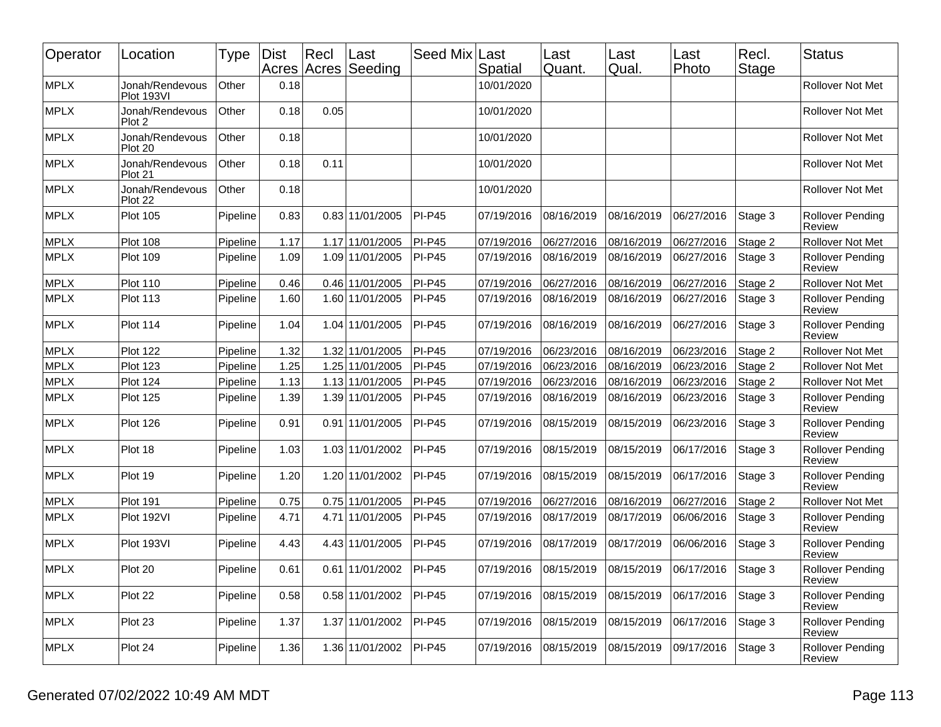| Operator    | Location                      | Type     | <b>Dist</b> | $ $ Recl | ∣Last<br>Acres Acres Seeding | Seed Mix      | Last<br>Spatial | Last<br>Quant. | Last<br>Qual. | Last<br>Photo | Recl.<br>Stage | <b>Status</b>                            |
|-------------|-------------------------------|----------|-------------|----------|------------------------------|---------------|-----------------|----------------|---------------|---------------|----------------|------------------------------------------|
| <b>MPLX</b> | Jonah/Rendevous<br>Plot 193VI | Other    | 0.18        |          |                              |               | 10/01/2020      |                |               |               |                | <b>Rollover Not Met</b>                  |
| <b>MPLX</b> | Jonah/Rendevous<br>Plot 2     | Other    | 0.18        | 0.05     |                              |               | 10/01/2020      |                |               |               |                | Rollover Not Met                         |
| <b>MPLX</b> | Jonah/Rendevous<br>Plot 20    | Other    | 0.18        |          |                              |               | 10/01/2020      |                |               |               |                | <b>Rollover Not Met</b>                  |
| <b>MPLX</b> | Jonah/Rendevous<br>Plot 21    | Other    | 0.18        | 0.11     |                              |               | 10/01/2020      |                |               |               |                | Rollover Not Met                         |
| <b>MPLX</b> | Jonah/Rendevous<br>Plot 22    | Other    | 0.18        |          |                              |               | 10/01/2020      |                |               |               |                | Rollover Not Met                         |
| <b>MPLX</b> | <b>Plot 105</b>               | Pipeline | 0.83        |          | 0.83 11/01/2005              | <b>PI-P45</b> | 07/19/2016      | 08/16/2019     | 08/16/2019    | 06/27/2016    | Stage 3        | Rollover Pending<br><b>Review</b>        |
| <b>MPLX</b> | Plot 108                      | Pipeline | 1.17        |          | 1.17 11/01/2005              | $PI-P45$      | 07/19/2016      | 06/27/2016     | 08/16/2019    | 06/27/2016    | Stage 2        | Rollover Not Met                         |
| <b>MPLX</b> | <b>Plot 109</b>               | Pipeline | 1.09        |          | 1.09 11/01/2005              | $PI-P45$      | 07/19/2016      | 08/16/2019     | 08/16/2019    | 06/27/2016    | Stage 3        | Rollover Pending<br>Review               |
| <b>MPLX</b> | Plot 110                      | Pipeline | 0.46        |          | 0.46 11/01/2005              | $PI-P45$      | 07/19/2016      | 06/27/2016     | 08/16/2019    | 06/27/2016    | Stage 2        | Rollover Not Met                         |
| <b>MPLX</b> | Plot 113                      | Pipeline | 1.60        |          | 1.60 11/01/2005              | $PI-P45$      | 07/19/2016      | 08/16/2019     | 08/16/2019    | 06/27/2016    | Stage 3        | Rollover Pending<br>Review               |
| <b>MPLX</b> | Plot 114                      | Pipeline | 1.04        |          | 1.04 11/01/2005              | $PI-P45$      | 07/19/2016      | 08/16/2019     | 08/16/2019    | 06/27/2016    | Stage 3        | <b>Rollover Pending</b><br><b>Review</b> |
| <b>MPLX</b> | Plot 122                      | Pipeline | 1.32        |          | 1.32 11/01/2005              | PI-P45        | 07/19/2016      | 06/23/2016     | 08/16/2019    | 06/23/2016    | Stage 2        | Rollover Not Met                         |
| <b>MPLX</b> | Plot 123                      | Pipeline | 1.25        |          | 1.25 11/01/2005              | $PI-P45$      | 07/19/2016      | 06/23/2016     | 08/16/2019    | 06/23/2016    | Stage 2        | Rollover Not Met                         |
| <b>MPLX</b> | Plot 124                      | Pipeline | 1.13        |          | 1.13 11/01/2005              | $PI-P45$      | 07/19/2016      | 06/23/2016     | 08/16/2019    | 06/23/2016    | Stage 2        | Rollover Not Met                         |
| <b>MPLX</b> | <b>Plot 125</b>               | Pipeline | 1.39        |          | 1.39 11/01/2005              | PI-P45        | 07/19/2016      | 08/16/2019     | 08/16/2019    | 06/23/2016    | Stage 3        | Rollover Pending<br>Review               |
| <b>MPLX</b> | Plot 126                      | Pipeline | 0.91        |          | 0.91 11/01/2005              | <b>PI-P45</b> | 07/19/2016      | 08/15/2019     | 08/15/2019    | 06/23/2016    | Stage 3        | <b>Rollover Pending</b><br>Review        |
| <b>MPLX</b> | Plot 18                       | Pipeline | 1.03        |          | 1.03 11/01/2002              | $PI-P45$      | 07/19/2016      | 08/15/2019     | 08/15/2019    | 06/17/2016    | Stage 3        | <b>Rollover Pending</b><br>Review        |
| <b>MPLX</b> | Plot 19                       | Pipeline | 1.20        |          | 1.20 11/01/2002              | $PI-P45$      | 07/19/2016      | 08/15/2019     | 08/15/2019    | 06/17/2016    | Stage 3        | Rollover Pending<br>Review               |
| <b>MPLX</b> | Plot 191                      | Pipeline | 0.75        |          | 0.75 11/01/2005              | $PI-P45$      | 07/19/2016      | 06/27/2016     | 08/16/2019    | 06/27/2016    | Stage 2        | Rollover Not Met                         |
| <b>MPLX</b> | Plot 192VI                    | Pipeline | 4.71        |          | 4.71 11/01/2005              | $PI-P45$      | 07/19/2016      | 08/17/2019     | 08/17/2019    | 06/06/2016    | Stage 3        | <b>Rollover Pending</b><br>Review        |
| <b>MPLX</b> | Plot 193VI                    | Pipeline | 4.43        |          | 4.43 11/01/2005              | <b>PI-P45</b> | 07/19/2016      | 08/17/2019     | 08/17/2019    | 06/06/2016    | Stage 3        | Rollover Pending<br>Review               |
| MPLX        | Plot 20                       | Pipeline | 0.61        |          | $0.61$ 11/01/2002            | $ P$ I-P45    | 07/19/2016      | 08/15/2019     | 08/15/2019    | 06/17/2016    | Stage 3        | <b>Rollover Pending</b><br>Review        |
| <b>MPLX</b> | Plot 22                       | Pipeline | 0.58        |          | 0.58 11/01/2002              | $PI-P45$      | 07/19/2016      | 08/15/2019     | 08/15/2019    | 06/17/2016    | Stage 3        | <b>Rollover Pending</b><br>Review        |
| <b>MPLX</b> | Plot 23                       | Pipeline | 1.37        |          | 1.37 11/01/2002              | $PI-P45$      | 07/19/2016      | 08/15/2019     | 08/15/2019    | 06/17/2016    | Stage 3        | Rollover Pending<br>Review               |
| MPLX        | Plot 24                       | Pipeline | 1.36        |          | 1.36 11/01/2002              | $PI-P45$      | 07/19/2016      | 08/15/2019     | 08/15/2019    | 09/17/2016    | Stage 3        | Rollover Pending<br>Review               |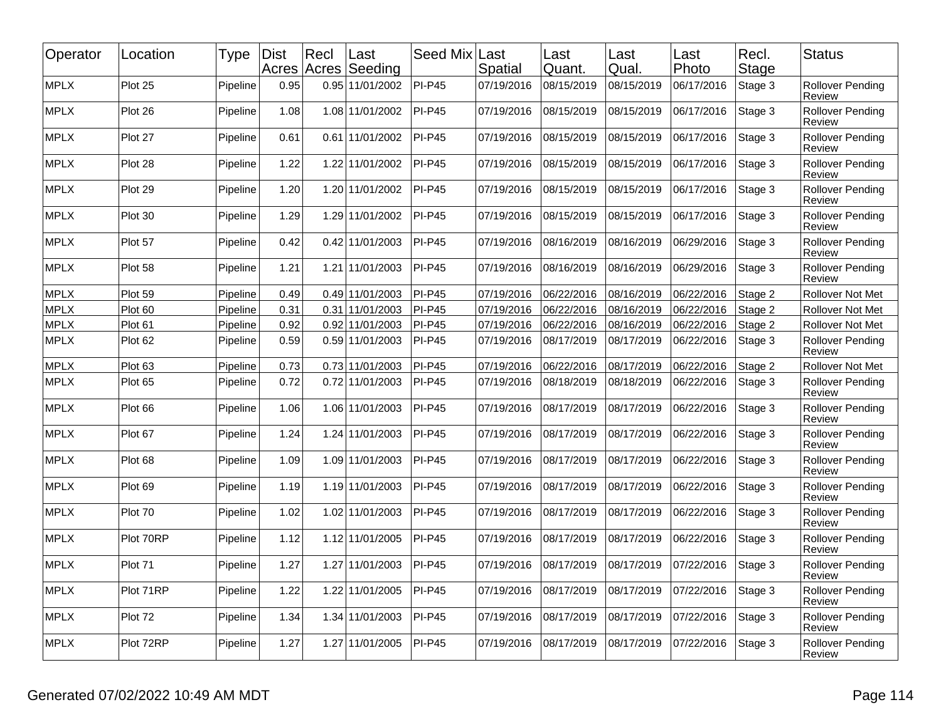| Operator    | Location  | Type     | <b>Dist</b> | Recl<br>Acres Acres | Last<br>Seeding | Seed Mix      | Last<br>Spatial | Last<br>Quant. | Last<br>Qual. | Last<br>Photo | Recl.<br><b>Stage</b> | <b>Status</b>                     |
|-------------|-----------|----------|-------------|---------------------|-----------------|---------------|-----------------|----------------|---------------|---------------|-----------------------|-----------------------------------|
| <b>MPLX</b> | Plot 25   | Pipeline | 0.95        |                     | 0.95 11/01/2002 | <b>PI-P45</b> | 07/19/2016      | 08/15/2019     | 08/15/2019    | 06/17/2016    | Stage 3               | <b>Rollover Pending</b><br>Review |
| <b>MPLX</b> | Plot 26   | Pipeline | 1.08        |                     | 1.08 11/01/2002 | <b>PI-P45</b> | 07/19/2016      | 08/15/2019     | 08/15/2019    | 06/17/2016    | Stage 3               | <b>Rollover Pending</b><br>Review |
| <b>MPLX</b> | Plot 27   | Pipeline | 0.61        | 0.61                | 11/01/2002      | <b>PI-P45</b> | 07/19/2016      | 08/15/2019     | 08/15/2019    | 06/17/2016    | Stage 3               | <b>Rollover Pending</b><br>Review |
| <b>MPLX</b> | Plot 28   | Pipeline | 1.22        |                     | 1.22 11/01/2002 | <b>PI-P45</b> | 07/19/2016      | 08/15/2019     | 08/15/2019    | 06/17/2016    | Stage 3               | Rollover Pending<br>Review        |
| <b>MPLX</b> | Plot 29   | Pipeline | 1.20        |                     | 1.20 11/01/2002 | <b>PI-P45</b> | 07/19/2016      | 08/15/2019     | 08/15/2019    | 06/17/2016    | Stage 3               | <b>Rollover Pending</b><br>Review |
| <b>MPLX</b> | Plot 30   | Pipeline | 1.29        |                     | 1.29 11/01/2002 | <b>PI-P45</b> | 07/19/2016      | 08/15/2019     | 08/15/2019    | 06/17/2016    | Stage 3               | <b>Rollover Pending</b><br>Review |
| <b>MPLX</b> | Plot 57   | Pipeline | 0.42        |                     | 0.42 11/01/2003 | <b>PI-P45</b> | 07/19/2016      | 08/16/2019     | 08/16/2019    | 06/29/2016    | Stage 3               | <b>Rollover Pending</b><br>Review |
| <b>MPLX</b> | Plot 58   | Pipeline | 1.21        | 1.21                | 11/01/2003      | <b>PI-P45</b> | 07/19/2016      | 08/16/2019     | 08/16/2019    | 06/29/2016    | Stage 3               | <b>Rollover Pending</b><br>Review |
| <b>MPLX</b> | Plot 59   | Pipeline | 0.49        |                     | 0.49 11/01/2003 | <b>PI-P45</b> | 07/19/2016      | 06/22/2016     | 08/16/2019    | 06/22/2016    | Stage 2               | Rollover Not Met                  |
| <b>MPLX</b> | Plot 60   | Pipeline | 0.31        | 0.31                | 11/01/2003      | <b>PI-P45</b> | 07/19/2016      | 06/22/2016     | 08/16/2019    | 06/22/2016    | Stage 2               | <b>Rollover Not Met</b>           |
| MPLX        | Plot 61   | Pipeline | 0.92        | 0.92                | 11/01/2003      | <b>PI-P45</b> | 07/19/2016      | 06/22/2016     | 08/16/2019    | 06/22/2016    | Stage 2               | Rollover Not Met                  |
| <b>MPLX</b> | Plot 62   | Pipeline | 0.59        |                     | 0.59 11/01/2003 | <b>PI-P45</b> | 07/19/2016      | 08/17/2019     | 08/17/2019    | 06/22/2016    | Stage 3               | <b>Rollover Pending</b><br>Review |
| <b>MPLX</b> | Plot 63   | Pipeline | 0.73        |                     | 0.73 11/01/2003 | <b>PI-P45</b> | 07/19/2016      | 06/22/2016     | 08/17/2019    | 06/22/2016    | Stage 2               | Rollover Not Met                  |
| <b>MPLX</b> | Plot 65   | Pipeline | 0.72        |                     | 0.72 11/01/2003 | <b>PI-P45</b> | 07/19/2016      | 08/18/2019     | 08/18/2019    | 06/22/2016    | Stage 3               | <b>Rollover Pending</b><br>Review |
| <b>MPLX</b> | Plot 66   | Pipeline | 1.06        |                     | 1.06 11/01/2003 | <b>PI-P45</b> | 07/19/2016      | 08/17/2019     | 08/17/2019    | 06/22/2016    | Stage 3               | Rollover Pending<br>Review        |
| <b>MPLX</b> | Plot 67   | Pipeline | 1.24        |                     | 1.24 11/01/2003 | <b>PI-P45</b> | 07/19/2016      | 08/17/2019     | 08/17/2019    | 06/22/2016    | Stage 3               | <b>Rollover Pending</b><br>Review |
| <b>MPLX</b> | Plot 68   | Pipeline | 1.09        |                     | 1.09 11/01/2003 | <b>PI-P45</b> | 07/19/2016      | 08/17/2019     | 08/17/2019    | 06/22/2016    | Stage 3               | Rollover Pending<br>Review        |
| <b>MPLX</b> | Plot 69   | Pipeline | 1.19        |                     | 1.19 11/01/2003 | <b>PI-P45</b> | 07/19/2016      | 08/17/2019     | 08/17/2019    | 06/22/2016    | Stage 3               | Rollover Pending<br>Review        |
| <b>MPLX</b> | Plot 70   | Pipeline | 1.02        |                     | 1.02 11/01/2003 | <b>PI-P45</b> | 07/19/2016      | 08/17/2019     | 08/17/2019    | 06/22/2016    | Stage 3               | <b>Rollover Pending</b><br>Review |
| <b>MPLX</b> | Plot 70RP | Pipeline | 1.12        |                     | 1.12 11/01/2005 | <b>PI-P45</b> | 07/19/2016      | 08/17/2019     | 08/17/2019    | 06/22/2016    | Stage 3               | Rollover Pending<br>Review        |
| <b>MPLX</b> | Plot 71   | Pipeline | 1.27        |                     | 1.27 11/01/2003 | <b>PI-P45</b> | 07/19/2016      | 08/17/2019     | 08/17/2019    | 07/22/2016    | Stage 3               | <b>Rollover Pending</b><br>Review |
| <b>MPLX</b> | Plot 71RP | Pipeline | 1.22        |                     | 1.22 11/01/2005 | <b>PI-P45</b> | 07/19/2016      | 08/17/2019     | 08/17/2019    | 07/22/2016    | Stage 3               | Rollover Pending<br>Review        |
| <b>MPLX</b> | Plot 72   | Pipeline | 1.34        |                     | 1.34 11/01/2003 | <b>PI-P45</b> | 07/19/2016      | 08/17/2019     | 08/17/2019    | 07/22/2016    | Stage 3               | <b>Rollover Pending</b><br>Review |
| <b>MPLX</b> | Plot 72RP | Pipeline | 1.27        | 1.27                | 11/01/2005      | <b>PI-P45</b> | 07/19/2016      | 08/17/2019     | 08/17/2019    | 07/22/2016    | Stage 3               | <b>Rollover Pending</b><br>Review |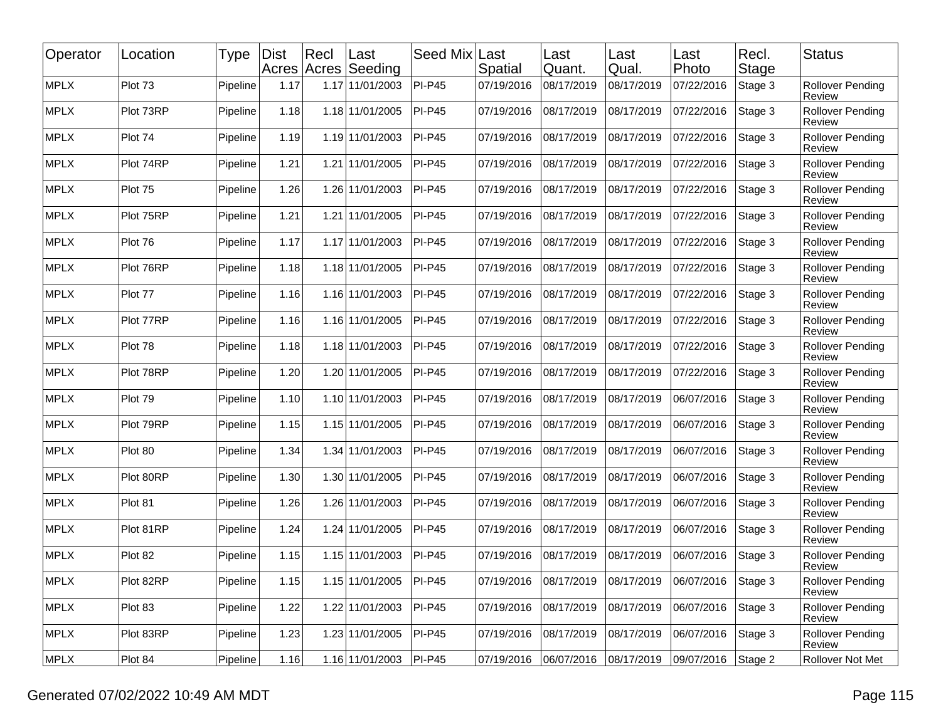| Operator    | Location  | Type     | <b>Dist</b> | Recl<br>Acres Acres | Last<br>Seeding | Seed Mix      | Last<br>Spatial | Last<br>Quant. | Last<br>Qual. | Last<br>Photo | Recl.<br>Stage | Status                            |
|-------------|-----------|----------|-------------|---------------------|-----------------|---------------|-----------------|----------------|---------------|---------------|----------------|-----------------------------------|
| <b>MPLX</b> | Plot 73   | Pipeline | 1.17        |                     | 1.17 11/01/2003 | <b>PI-P45</b> | 07/19/2016      | 08/17/2019     | 08/17/2019    | 07/22/2016    | Stage 3        | <b>Rollover Pending</b><br>Review |
| <b>MPLX</b> | Plot 73RP | Pipeline | 1.18        |                     | 1.18 11/01/2005 | <b>PI-P45</b> | 07/19/2016      | 08/17/2019     | 08/17/2019    | 07/22/2016    | Stage 3        | Rollover Pending<br>Review        |
| <b>MPLX</b> | Plot 74   | Pipeline | 1.19        |                     | 1.19 11/01/2003 | <b>PI-P45</b> | 07/19/2016      | 08/17/2019     | 08/17/2019    | 07/22/2016    | Stage 3        | <b>Rollover Pending</b><br>Review |
| <b>MPLX</b> | Plot 74RP | Pipeline | 1.21        | 1.21                | 11/01/2005      | <b>PI-P45</b> | 07/19/2016      | 08/17/2019     | 08/17/2019    | 07/22/2016    | Stage 3        | <b>Rollover Pending</b><br>Review |
| <b>MPLX</b> | Plot 75   | Pipeline | 1.26        |                     | 1.26 11/01/2003 | <b>PI-P45</b> | 07/19/2016      | 08/17/2019     | 08/17/2019    | 07/22/2016    | Stage 3        | Rollover Pending<br>Review        |
| <b>MPLX</b> | Plot 75RP | Pipeline | 1.21        | 1.21                | 11/01/2005      | <b>PI-P45</b> | 07/19/2016      | 08/17/2019     | 08/17/2019    | 07/22/2016    | Stage 3        | Rollover Pending<br>Review        |
| <b>MPLX</b> | Plot 76   | Pipeline | 1.17        |                     | 1.17 11/01/2003 | $PI-P45$      | 07/19/2016      | 08/17/2019     | 08/17/2019    | 07/22/2016    | Stage 3        | <b>Rollover Pending</b><br>Review |
| <b>MPLX</b> | Plot 76RP | Pipeline | 1.18        |                     | 1.18 11/01/2005 | <b>PI-P45</b> | 07/19/2016      | 08/17/2019     | 08/17/2019    | 07/22/2016    | Stage 3        | Rollover Pending<br>Review        |
| <b>MPLX</b> | Plot 77   | Pipeline | 1.16        |                     | 1.16 11/01/2003 | <b>PI-P45</b> | 07/19/2016      | 08/17/2019     | 08/17/2019    | 07/22/2016    | Stage 3        | <b>Rollover Pending</b><br>Review |
| <b>MPLX</b> | Plot 77RP | Pipeline | 1.16        |                     | 1.16 11/01/2005 | <b>PI-P45</b> | 07/19/2016      | 08/17/2019     | 08/17/2019    | 07/22/2016    | Stage 3        | <b>Rollover Pending</b><br>Review |
| <b>MPLX</b> | Plot 78   | Pipeline | 1.18        |                     | 1.18 11/01/2003 | <b>PI-P45</b> | 07/19/2016      | 08/17/2019     | 08/17/2019    | 07/22/2016    | Stage 3        | Rollover Pending<br>Review        |
| <b>MPLX</b> | Plot 78RP | Pipeline | 1.20        | 1.20                | 11/01/2005      | <b>PI-P45</b> | 07/19/2016      | 08/17/2019     | 08/17/2019    | 07/22/2016    | Stage 3        | Rollover Pending<br>Review        |
| <b>MPLX</b> | Plot 79   | Pipeline | 1.10        |                     | 1.10 11/01/2003 | $PI-P45$      | 07/19/2016      | 08/17/2019     | 08/17/2019    | 06/07/2016    | Stage 3        | <b>Rollover Pending</b><br>Review |
| <b>MPLX</b> | Plot 79RP | Pipeline | 1.15        |                     | 1.15 11/01/2005 | <b>PI-P45</b> | 07/19/2016      | 08/17/2019     | 08/17/2019    | 06/07/2016    | Stage 3        | Rollover Pending<br>Review        |
| <b>MPLX</b> | Plot 80   | Pipeline | 1.34        |                     | 1.34 11/01/2003 | <b>PI-P45</b> | 07/19/2016      | 08/17/2019     | 08/17/2019    | 06/07/2016    | Stage 3        | <b>Rollover Pending</b><br>Review |
| <b>MPLX</b> | Plot 80RP | Pipeline | 1.30        |                     | 1.30 11/01/2005 | $PI-P45$      | 07/19/2016      | 08/17/2019     | 08/17/2019    | 06/07/2016    | Stage 3        | <b>Rollover Pending</b><br>Review |
| <b>MPLX</b> | Plot 81   | Pipeline | 1.26        |                     | 1.26 11/01/2003 | <b>PI-P45</b> | 07/19/2016      | 08/17/2019     | 08/17/2019    | 06/07/2016    | Stage 3        | Rollover Pending<br>Review        |
| <b>MPLX</b> | Plot 81RP | Pipeline | 1.24        | 1.24                | 11/01/2005      | <b>PI-P45</b> | 07/19/2016      | 08/17/2019     | 08/17/2019    | 06/07/2016    | Stage 3        | Rollover Pending<br>Review        |
| MPLX        | Plot 82   | Pipeline | 1.15        |                     | 1.15 11/01/2003 | $PI-P45$      | 07/19/2016      | 08/17/2019     | 08/17/2019    | 06/07/2016    | Stage 3        | <b>Rollover Pending</b><br>Review |
| <b>MPLX</b> | Plot 82RP | Pipeline | 1.15        |                     | 1.15 11/01/2005 | $PI-P45$      | 07/19/2016      | 08/17/2019     | 08/17/2019    | 06/07/2016    | Stage 3        | <b>Rollover Pending</b><br>Review |
| <b>MPLX</b> | Plot 83   | Pipeline | 1.22        |                     | 1.22 11/01/2003 | <b>PI-P45</b> | 07/19/2016      | 08/17/2019     | 08/17/2019    | 06/07/2016    | Stage 3        | <b>Rollover Pending</b><br>Review |
| MPLX        | Plot 83RP | Pipeline | 1.23        |                     | 1.23 11/01/2005 | $PI-P45$      | 07/19/2016      | 08/17/2019     | 08/17/2019    | 06/07/2016    | Stage 3        | <b>Rollover Pending</b><br>Review |
| MPLX        | Plot 84   | Pipeline | 1.16        |                     | 1.16 11/01/2003 | $PI-P45$      | 07/19/2016      | 06/07/2016     | 08/17/2019    | 09/07/2016    | Stage 2        | Rollover Not Met                  |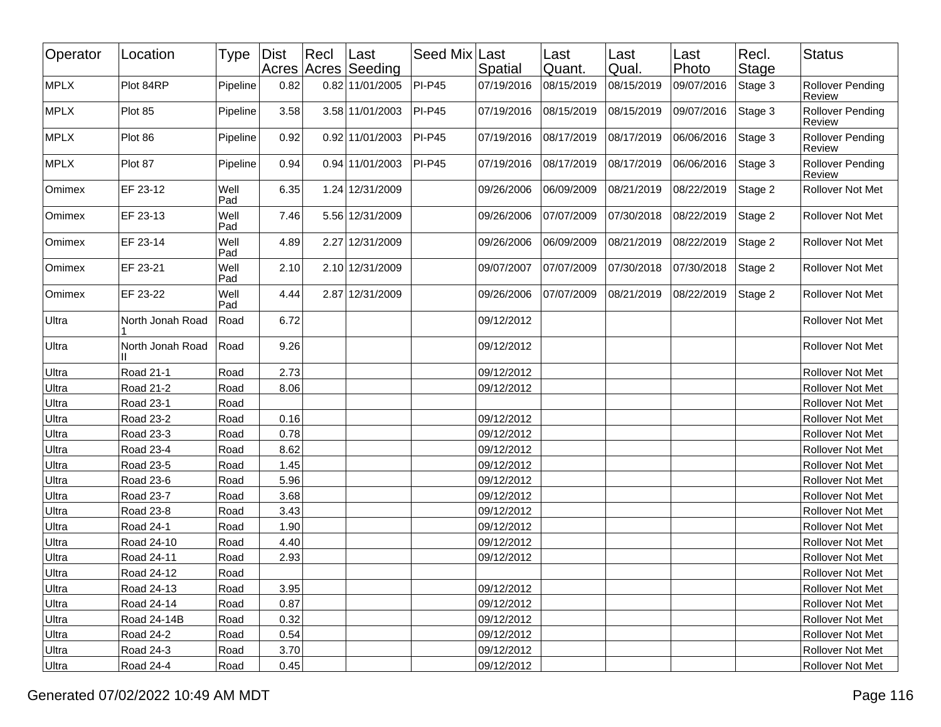| Operator    | Location         | Type        | Dist | Recl | Last<br>Acres Acres Seeding | Seed Mix Last | <b>Spatial</b> | Last<br>Quant. | Last<br>Qual. | Last<br>Photo | Recl.<br>Stage | <b>Status</b>                            |
|-------------|------------------|-------------|------|------|-----------------------------|---------------|----------------|----------------|---------------|---------------|----------------|------------------------------------------|
| <b>MPLX</b> | Plot 84RP        | Pipeline    | 0.82 |      | 0.82 11/01/2005             | $PI-P45$      | 07/19/2016     | 08/15/2019     | 08/15/2019    | 09/07/2016    | Stage 3        | <b>Rollover Pending</b><br>Review        |
| <b>MPLX</b> | Plot 85          | Pipeline    | 3.58 |      | 3.58 11/01/2003             | $PI-P45$      | 07/19/2016     | 08/15/2019     | 08/15/2019    | 09/07/2016    | Stage 3        | <b>Rollover Pending</b><br><b>Review</b> |
| <b>MPLX</b> | Plot 86          | Pipeline    | 0.92 |      | 0.92 11/01/2003             | $PI-P45$      | 07/19/2016     | 08/17/2019     | 08/17/2019    | 06/06/2016    | Stage 3        | <b>Rollover Pending</b><br>Review        |
| MPLX        | Plot 87          | Pipeline    | 0.94 |      | 0.94 11/01/2003             | $PI-P45$      | 07/19/2016     | 08/17/2019     | 08/17/2019    | 06/06/2016    | Stage 3        | <b>Rollover Pending</b><br>Review        |
| Omimex      | EF 23-12         | Well<br>Pad | 6.35 |      | 1.24 12/31/2009             |               | 09/26/2006     | 06/09/2009     | 08/21/2019    | 08/22/2019    | Stage 2        | Rollover Not Met                         |
| Omimex      | EF 23-13         | Well<br>Pad | 7.46 |      | 5.56 12/31/2009             |               | 09/26/2006     | 07/07/2009     | 07/30/2018    | 08/22/2019    | Stage 2        | Rollover Not Met                         |
| Omimex      | EF 23-14         | Well<br>Pad | 4.89 |      | 2.27 12/31/2009             |               | 09/26/2006     | 06/09/2009     | 08/21/2019    | 08/22/2019    | Stage 2        | Rollover Not Met                         |
| Omimex      | EF 23-21         | Well<br>Pad | 2.10 |      | 2.10 12/31/2009             |               | 09/07/2007     | 07/07/2009     | 07/30/2018    | 07/30/2018    | Stage 2        | Rollover Not Met                         |
| Omimex      | EF 23-22         | Well<br>Pad | 4.44 |      | 2.87 12/31/2009             |               | 09/26/2006     | 07/07/2009     | 08/21/2019    | 08/22/2019    | Stage 2        | Rollover Not Met                         |
| Ultra       | North Jonah Road | Road        | 6.72 |      |                             |               | 09/12/2012     |                |               |               |                | Rollover Not Met                         |
| Ultra       | North Jonah Road | Road        | 9.26 |      |                             |               | 09/12/2012     |                |               |               |                | Rollover Not Met                         |
| Ultra       | Road 21-1        | Road        | 2.73 |      |                             |               | 09/12/2012     |                |               |               |                | Rollover Not Met                         |
| Ultra       | Road 21-2        | Road        | 8.06 |      |                             |               | 09/12/2012     |                |               |               |                | Rollover Not Met                         |
| Ultra       | Road 23-1        | Road        |      |      |                             |               |                |                |               |               |                | Rollover Not Met                         |
| Ultra       | Road 23-2        | Road        | 0.16 |      |                             |               | 09/12/2012     |                |               |               |                | Rollover Not Met                         |
| Ultra       | Road 23-3        | Road        | 0.78 |      |                             |               | 09/12/2012     |                |               |               |                | Rollover Not Met                         |
| Ultra       | <b>Road 23-4</b> | Road        | 8.62 |      |                             |               | 09/12/2012     |                |               |               |                | Rollover Not Met                         |
| Ultra       | Road 23-5        | Road        | 1.45 |      |                             |               | 09/12/2012     |                |               |               |                | Rollover Not Met                         |
| Ultra       | Road 23-6        | Road        | 5.96 |      |                             |               | 09/12/2012     |                |               |               |                | Rollover Not Met                         |
| Ultra       | Road 23-7        | Road        | 3.68 |      |                             |               | 09/12/2012     |                |               |               |                | Rollover Not Met                         |
| Ultra       | Road 23-8        | Road        | 3.43 |      |                             |               | 09/12/2012     |                |               |               |                | Rollover Not Met                         |
| Ultra       | Road 24-1        | Road        | 1.90 |      |                             |               | 09/12/2012     |                |               |               |                | Rollover Not Met                         |
| Ultra       | Road 24-10       | Road        | 4.40 |      |                             |               | 09/12/2012     |                |               |               |                | Rollover Not Met                         |
| Ultra       | Road 24-11       | Road        | 2.93 |      |                             |               | 09/12/2012     |                |               |               |                | Rollover Not Met                         |
| Ultra       | Road 24-12       | Road        |      |      |                             |               |                |                |               |               |                | Rollover Not Met                         |
| Ultra       | Road 24-13       | Road        | 3.95 |      |                             |               | 09/12/2012     |                |               |               |                | Rollover Not Met                         |
| Ultra       | Road 24-14       | Road        | 0.87 |      |                             |               | 09/12/2012     |                |               |               |                | Rollover Not Met                         |
| Ultra       | Road 24-14B      | Road        | 0.32 |      |                             |               | 09/12/2012     |                |               |               |                | Rollover Not Met                         |
| Ultra       | Road 24-2        | Road        | 0.54 |      |                             |               | 09/12/2012     |                |               |               |                | Rollover Not Met                         |
| Ultra       | Road 24-3        | Road        | 3.70 |      |                             |               | 09/12/2012     |                |               |               |                | Rollover Not Met                         |
| Ultra       | Road 24-4        | Road        | 0.45 |      |                             |               | 09/12/2012     |                |               |               |                | Rollover Not Met                         |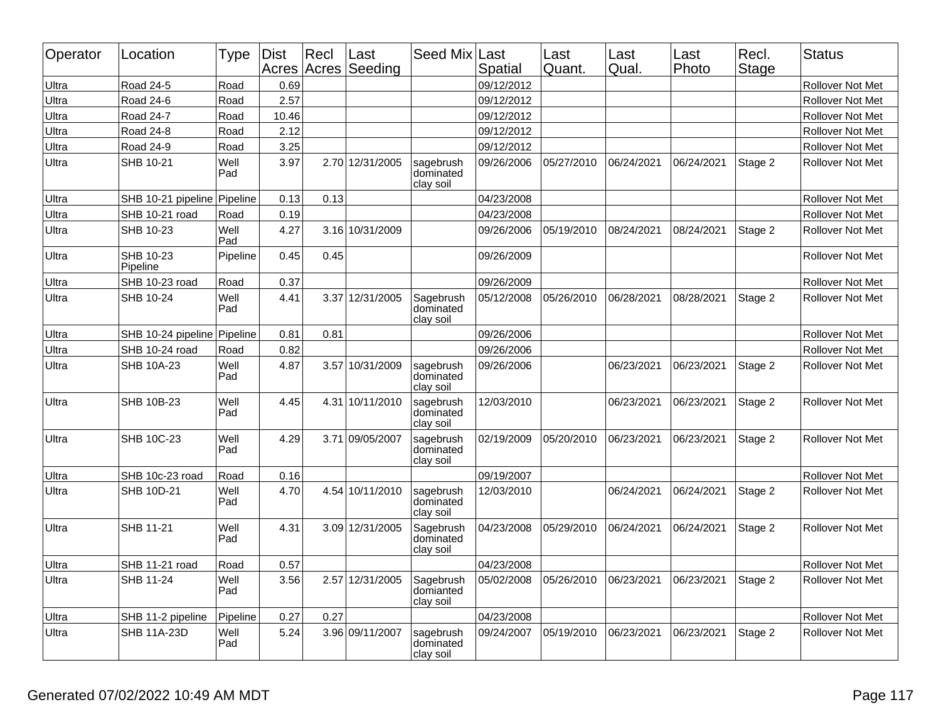| Operator | Location                    | Type        | <b>Dist</b> | Recl | Last<br>Acres Acres Seeding | Seed Mix Last                       | Spatial    | Last<br>Quant. | Last<br>Qual. | Last<br>Photo | Recl.<br>Stage | <b>Status</b>           |
|----------|-----------------------------|-------------|-------------|------|-----------------------------|-------------------------------------|------------|----------------|---------------|---------------|----------------|-------------------------|
| Ultra    | Road 24-5                   | Road        | 0.69        |      |                             |                                     | 09/12/2012 |                |               |               |                | Rollover Not Met        |
| Ultra    | Road 24-6                   | Road        | 2.57        |      |                             |                                     | 09/12/2012 |                |               |               |                | Rollover Not Met        |
| Ultra    | Road 24-7                   | Road        | 10.46       |      |                             |                                     | 09/12/2012 |                |               |               |                | Rollover Not Met        |
| Ultra    | Road 24-8                   | Road        | 2.12        |      |                             |                                     | 09/12/2012 |                |               |               |                | <b>Rollover Not Met</b> |
| Ultra    | <b>Road 24-9</b>            | Road        | 3.25        |      |                             |                                     | 09/12/2012 |                |               |               |                | Rollover Not Met        |
| Ultra    | SHB 10-21                   | Well<br>Pad | 3.97        |      | 2.70 12/31/2005             | sagebrush<br>dominated<br>clay soil | 09/26/2006 | 05/27/2010     | 06/24/2021    | 06/24/2021    | Stage 2        | Rollover Not Met        |
| Ultra    | SHB 10-21 pipeline Pipeline |             | 0.13        | 0.13 |                             |                                     | 04/23/2008 |                |               |               |                | Rollover Not Met        |
| Ultra    | SHB 10-21 road              | Road        | 0.19        |      |                             |                                     | 04/23/2008 |                |               |               |                | Rollover Not Met        |
| Ultra    | SHB 10-23                   | Well<br>Pad | 4.27        |      | 3.16 10/31/2009             |                                     | 09/26/2006 | 05/19/2010     | 08/24/2021    | 08/24/2021    | Stage 2        | Rollover Not Met        |
| Ultra    | SHB 10-23<br>Pipeline       | Pipeline    | 0.45        | 0.45 |                             |                                     | 09/26/2009 |                |               |               |                | Rollover Not Met        |
| Ultra    | SHB 10-23 road              | Road        | 0.37        |      |                             |                                     | 09/26/2009 |                |               |               |                | <b>Rollover Not Met</b> |
| Ultra    | SHB 10-24                   | Well<br>Pad | 4.41        | 3.37 | 12/31/2005                  | Sagebrush<br>dominated<br>clay soil | 05/12/2008 | 05/26/2010     | 06/28/2021    | 08/28/2021    | Stage 2        | <b>Rollover Not Met</b> |
| Ultra    | SHB 10-24 pipeline          | Pipeline    | 0.81        | 0.81 |                             |                                     | 09/26/2006 |                |               |               |                | Rollover Not Met        |
| Ultra    | SHB 10-24 road              | Road        | 0.82        |      |                             |                                     | 09/26/2006 |                |               |               |                | Rollover Not Met        |
| Ultra    | SHB 10A-23                  | Well<br>Pad | 4.87        |      | 3.57 10/31/2009             | sagebrush<br>dominated<br>clay soil | 09/26/2006 |                | 06/23/2021    | 06/23/2021    | Stage 2        | <b>Rollover Not Met</b> |
| Ultra    | SHB 10B-23                  | Well<br>Pad | 4.45        |      | 4.31 10/11/2010             | sagebrush<br>dominated<br>clay soil | 12/03/2010 |                | 06/23/2021    | 06/23/2021    | Stage 2        | Rollover Not Met        |
| Ultra    | SHB 10C-23                  | Well<br>Pad | 4.29        |      | 3.71 09/05/2007             | sagebrush<br>dominated<br>clay soil | 02/19/2009 | 05/20/2010     | 06/23/2021    | 06/23/2021    | Stage 2        | <b>Rollover Not Met</b> |
| Ultra    | SHB 10c-23 road             | Road        | 0.16        |      |                             |                                     | 09/19/2007 |                |               |               |                | <b>Rollover Not Met</b> |
| Ultra    | SHB 10D-21                  | Well<br>Pad | 4.70        | 4.54 | 10/11/2010                  | sagebrush<br>dominated<br>clay soil | 12/03/2010 |                | 06/24/2021    | 06/24/2021    | Stage 2        | <b>Rollover Not Met</b> |
| Ultra    | SHB 11-21                   | Well<br>Pad | 4.31        |      | 3.09 12/31/2005             | Sagebrush<br>dominated<br>clay soil | 04/23/2008 | 05/29/2010     | 06/24/2021    | 06/24/2021    | Stage 2        | Rollover Not Met        |
| Ultra    | SHB 11-21 road              | Road        | 0.57        |      |                             |                                     | 04/23/2008 |                |               |               |                | Rollover Not Met        |
| Ultra    | SHB 11-24                   | Well<br>Pad | 3.56        | 2.57 | 12/31/2005                  | Sagebrush<br>domianted<br>clay soil | 05/02/2008 | 05/26/2010     | 06/23/2021    | 06/23/2021    | Stage 2        | <b>Rollover Not Met</b> |
| Ultra    | SHB 11-2 pipeline           | Pipeline    | 0.27        | 0.27 |                             |                                     | 04/23/2008 |                |               |               |                | <b>Rollover Not Met</b> |
| Ultra    | SHB 11A-23D                 | Well<br>Pad | 5.24        |      | 3.96 09/11/2007             | sagebrush<br>dominated<br>clay soil | 09/24/2007 | 05/19/2010     | 06/23/2021    | 06/23/2021    | Stage 2        | <b>Rollover Not Met</b> |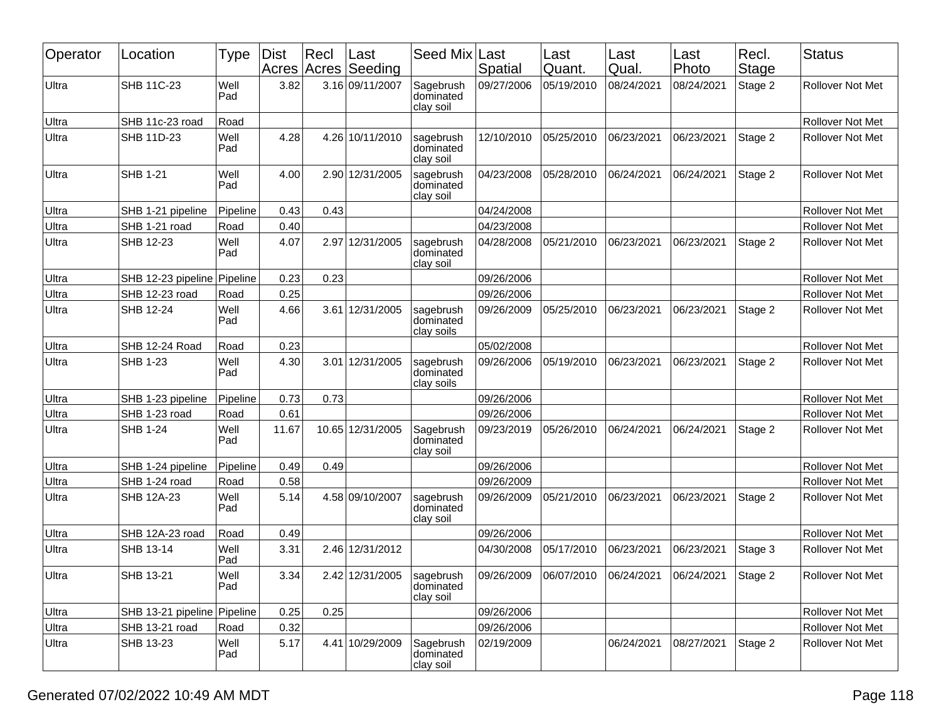| Operator | Location                    | Type        | <b>Dist</b> | $ $ Recl | ∣Last<br>Acres Acres Seeding | Seed Mix                             | Last<br>Spatial | Last<br>Quant.                                      | Last<br>Qual. | Last<br>Photo | Recl.<br>Stage | <b>Status</b>           |
|----------|-----------------------------|-------------|-------------|----------|------------------------------|--------------------------------------|-----------------|-----------------------------------------------------|---------------|---------------|----------------|-------------------------|
| Ultra    | <b>SHB 11C-23</b>           | Well<br>Pad | 3.82        |          | 3.16 09/11/2007              | Sagebrush<br>dominated<br>clay soil  | 09/27/2006      | 05/19/2010                                          | 08/24/2021    | 08/24/2021    | Stage 2        | Rollover Not Met        |
| Ultra    | SHB 11c-23 road             | Road        |             |          |                              |                                      |                 |                                                     |               |               |                | <b>Rollover Not Met</b> |
| Ultra    | SHB 11D-23                  | Well<br>Pad | 4.28        |          | 4.26 10/11/2010              | sagebrush<br>dominated<br>clay soil  | 12/10/2010      | 05/25/2010                                          | 06/23/2021    | 06/23/2021    | Stage 2        | <b>Rollover Not Met</b> |
| Ultra    | <b>SHB 1-21</b>             | Well<br>Pad | 4.00        |          | 2.90 12/31/2005              | sagebrush<br>dominated<br>clay soil  | 04/23/2008      | 05/28/2010                                          | 06/24/2021    | 06/24/2021    | Stage 2        | <b>Rollover Not Met</b> |
| Ultra    | SHB 1-21 pipeline           | Pipeline    | 0.43        | 0.43     |                              |                                      | 04/24/2008      |                                                     |               |               |                | Rollover Not Met        |
| Ultra    | SHB 1-21 road               | Road        | 0.40        |          |                              |                                      | 04/23/2008      |                                                     |               |               |                | <b>Rollover Not Met</b> |
| Ultra    | SHB 12-23                   | Well<br>Pad | 4.07        |          | 2.97 12/31/2005              | sagebrush<br>dominated<br>clay soil  | 04/28/2008      | 05/21/2010                                          | 06/23/2021    | 06/23/2021    | Stage 2        | Rollover Not Met        |
| Ultra    | SHB 12-23 pipeline          | Pipeline    | 0.23        | 0.23     |                              |                                      | 09/26/2006      |                                                     |               |               |                | <b>Rollover Not Met</b> |
| Ultra    | SHB 12-23 road              | Road        | 0.25        |          |                              |                                      | 09/26/2006      |                                                     |               |               |                | <b>Rollover Not Met</b> |
| Ultra    | SHB 12-24                   | Well<br>Pad | 4.66        |          | 3.61 12/31/2005              | sagebrush<br>dominated<br>clay soils | 09/26/2009      | 05/25/2010                                          | 06/23/2021    | 06/23/2021    | Stage 2        | <b>Rollover Not Met</b> |
| Ultra    | SHB 12-24 Road              | Road        | 0.23        |          |                              |                                      | 05/02/2008      |                                                     |               |               |                | Rollover Not Met        |
| Ultra    | <b>SHB 1-23</b>             | Well<br>Pad | 4.30        |          | 3.01 12/31/2005              | sagebrush<br>dominated<br>clay soils | 09/26/2006      | 05/19/2010                                          | 06/23/2021    | 06/23/2021    | Stage 2        | Rollover Not Met        |
| Ultra    | SHB 1-23 pipeline           | Pipeline    | 0.73        | 0.73     |                              |                                      | 09/26/2006      |                                                     |               |               |                | Rollover Not Met        |
| Ultra    | SHB 1-23 road               | Road        | 0.61        |          |                              |                                      | 09/26/2006      |                                                     |               |               |                | Rollover Not Met        |
| Ultra    | <b>SHB 1-24</b>             | Well<br>Pad | 11.67       |          | 10.65 12/31/2005             | Sagebrush<br>dominated<br>clay soil  | 09/23/2019      | 05/26/2010                                          | 06/24/2021    | 06/24/2021    | Stage 2        | Rollover Not Met        |
| Ultra    | SHB 1-24 pipeline           | Pipeline    | 0.49        | 0.49     |                              |                                      | 09/26/2006      |                                                     |               |               |                | Rollover Not Met        |
| Ultra    | SHB 1-24 road               | Road        | 0.58        |          |                              |                                      | 09/26/2009      |                                                     |               |               |                | Rollover Not Met        |
| Ultra    | SHB 12A-23                  | Well<br>Pad | 5.14        |          | 4.58 09/10/2007              | sagebrush<br>dominated<br>clay soil  | 09/26/2009      | 05/21/2010                                          | 06/23/2021    | 06/23/2021    | Stage 2        | Rollover Not Met        |
| Ultra    | SHB 12A-23 road             | Road        | 0.49        |          |                              |                                      | 09/26/2006      |                                                     |               |               |                | Rollover Not Met        |
| Ultra    | SHB 13-14                   | Well<br>Pad | 3.31        |          | 2.46 12/31/2012              |                                      | 04/30/2008      | 05/17/2010                                          | 06/23/2021    | 06/23/2021    | Stage 3        | Rollover Not Met        |
| Ultra    | SHB 13-21                   | Well<br>Pad | 3.34        |          | $2.42 12/31/2005$ sagebrush  | ldominated<br>clay soil              |                 | 09/26/2009 06/07/2010 06/24/2021 06/24/2021 Stage 2 |               |               |                | Rollover Not Met        |
| Ultra    | SHB 13-21 pipeline Pipeline |             | 0.25        | 0.25     |                              |                                      | 09/26/2006      |                                                     |               |               |                | Rollover Not Met        |
| Ultra    | SHB 13-21 road              | Road        | 0.32        |          |                              |                                      | 09/26/2006      |                                                     |               |               |                | Rollover Not Met        |
| Ultra    | SHB 13-23                   | Well<br>Pad | 5.17        |          | 4.41 10/29/2009              | Sagebrush<br>dominated<br>clay soil  | 02/19/2009      |                                                     | 06/24/2021    | 08/27/2021    | Stage 2        | Rollover Not Met        |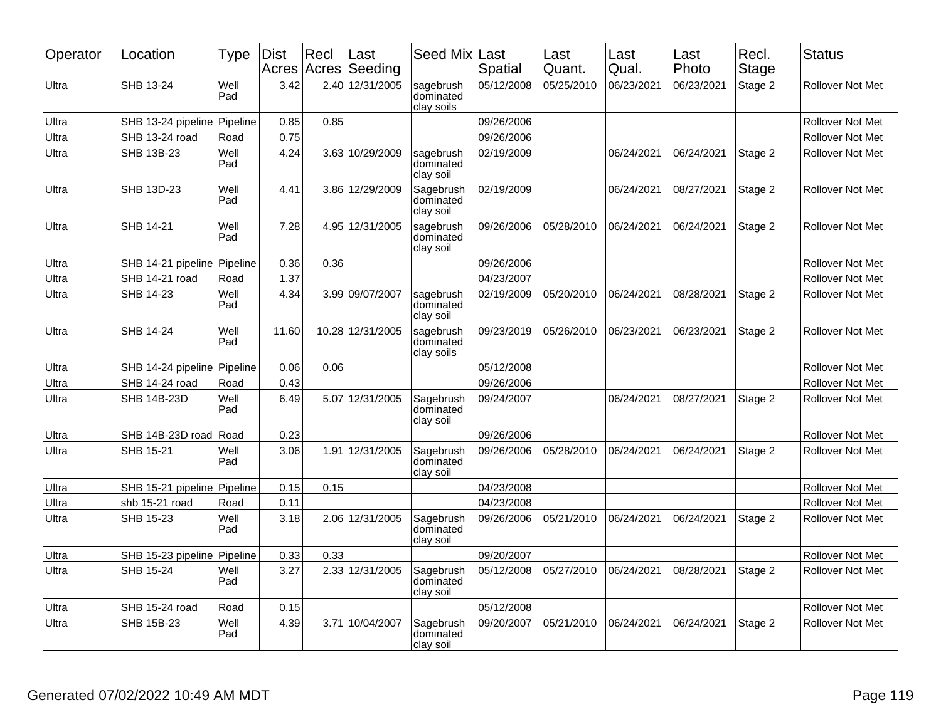| Operator | Location                    | Type        | <b>Dist</b><br>Acres | Recl | ∣Last<br>Acres Seeding | Seed Mix                             | Last<br>Spatial | Last<br>Quant. | Last<br>Qual. | Last<br>Photo | Recl.<br><b>Stage</b> | <b>Status</b>           |
|----------|-----------------------------|-------------|----------------------|------|------------------------|--------------------------------------|-----------------|----------------|---------------|---------------|-----------------------|-------------------------|
| Ultra    | SHB 13-24                   | Well<br>Pad | 3.42                 |      | 2.40 12/31/2005        | sagebrush<br>dominated<br>clay soils | 05/12/2008      | 05/25/2010     | 06/23/2021    | 06/23/2021    | Stage 2               | <b>Rollover Not Met</b> |
| Ultra    | SHB 13-24 pipeline Pipeline |             | 0.85                 | 0.85 |                        |                                      | 09/26/2006      |                |               |               |                       | <b>Rollover Not Met</b> |
| Ultra    | SHB 13-24 road              | Road        | 0.75                 |      |                        |                                      | 09/26/2006      |                |               |               |                       | Rollover Not Met        |
| Ultra    | SHB 13B-23                  | Well<br>Pad | 4.24                 |      | 3.63 10/29/2009        | sagebrush<br>dominated<br>clay soil  | 02/19/2009      |                | 06/24/2021    | 06/24/2021    | Stage 2               | Rollover Not Met        |
| Ultra    | SHB 13D-23                  | Well<br>Pad | 4.41                 |      | 3.86 12/29/2009        | Sagebrush<br>dominated<br>clay soil  | 02/19/2009      |                | 06/24/2021    | 08/27/2021    | Stage 2               | <b>Rollover Not Met</b> |
| Ultra    | SHB 14-21                   | Well<br>Pad | 7.28                 |      | 4.95 12/31/2005        | sagebrush<br>dominated<br>clay soil  | 09/26/2006      | 05/28/2010     | 06/24/2021    | 06/24/2021    | Stage 2               | <b>Rollover Not Met</b> |
| Ultra    | SHB 14-21 pipeline          | Pipeline    | 0.36                 | 0.36 |                        |                                      | 09/26/2006      |                |               |               |                       | Rollover Not Met        |
| Ultra    | SHB 14-21 road              | Road        | 1.37                 |      |                        |                                      | 04/23/2007      |                |               |               |                       | Rollover Not Met        |
| Ultra    | SHB 14-23                   | Well<br>Pad | 4.34                 |      | 3.99 09/07/2007        | sagebrush<br>dominated<br>clay soil  | 02/19/2009      | 05/20/2010     | 06/24/2021    | 08/28/2021    | Stage 2               | Rollover Not Met        |
| Ultra    | SHB 14-24                   | Well<br>Pad | 11.60                |      | 10.28 12/31/2005       | sagebrush<br>dominated<br>clay soils | 09/23/2019      | 05/26/2010     | 06/23/2021    | 06/23/2021    | Stage 2               | <b>Rollover Not Met</b> |
| Ultra    | SHB 14-24 pipeline Pipeline |             | 0.06                 | 0.06 |                        |                                      | 05/12/2008      |                |               |               |                       | Rollover Not Met        |
| Ultra    | SHB 14-24 road              | Road        | 0.43                 |      |                        |                                      | 09/26/2006      |                |               |               |                       | <b>Rollover Not Met</b> |
| Ultra    | <b>SHB 14B-23D</b>          | Well<br>Pad | 6.49                 |      | 5.07 12/31/2005        | Sagebrush<br>dominated<br>clay soil  | 09/24/2007      |                | 06/24/2021    | 08/27/2021    | Stage 2               | <b>Rollover Not Met</b> |
| Ultra    | SHB 14B-23D road            | Road        | 0.23                 |      |                        |                                      | 09/26/2006      |                |               |               |                       | <b>Rollover Not Met</b> |
| Ultra    | SHB 15-21                   | Well<br>Pad | 3.06                 |      | 1.91 12/31/2005        | Sagebrush<br>dominated<br>clay soil  | 09/26/2006      | 05/28/2010     | 06/24/2021    | 06/24/2021    | Stage 2               | <b>Rollover Not Met</b> |
| Ultra    | SHB 15-21 pipeline          | Pipeline    | 0.15                 | 0.15 |                        |                                      | 04/23/2008      |                |               |               |                       | Rollover Not Met        |
| Ultra    | shb 15-21 road              | Road        | 0.11                 |      |                        |                                      | 04/23/2008      |                |               |               |                       | <b>Rollover Not Met</b> |
| Ultra    | SHB 15-23                   | Well<br>Pad | 3.18                 |      | 2.06 12/31/2005        | Sagebrush<br>dominated<br>clay soil  | 09/26/2006      | 05/21/2010     | 06/24/2021    | 06/24/2021    | Stage 2               | Rollover Not Met        |
| Ultra    | SHB 15-23 pipeline Pipeline |             | 0.33                 | 0.33 |                        |                                      | 09/20/2007      |                |               |               |                       | Rollover Not Met        |
| Ultra    | SHB 15-24                   | Well<br>Pad | 3.27                 |      | 2.33 12/31/2005        | Sagebrush<br>dominated<br>clay soil  | 05/12/2008      | 05/27/2010     | 06/24/2021    | 08/28/2021    | Stage 2               | <b>Rollover Not Met</b> |
| Ultra    | SHB 15-24 road              | Road        | 0.15                 |      |                        |                                      | 05/12/2008      |                |               |               |                       | Rollover Not Met        |
| Ultra    | SHB 15B-23                  | Well<br>Pad | 4.39                 |      | 3.71 10/04/2007        | Sagebrush<br>dominated<br>clay soil  | 09/20/2007      | 05/21/2010     | 06/24/2021    | 06/24/2021    | Stage 2               | <b>Rollover Not Met</b> |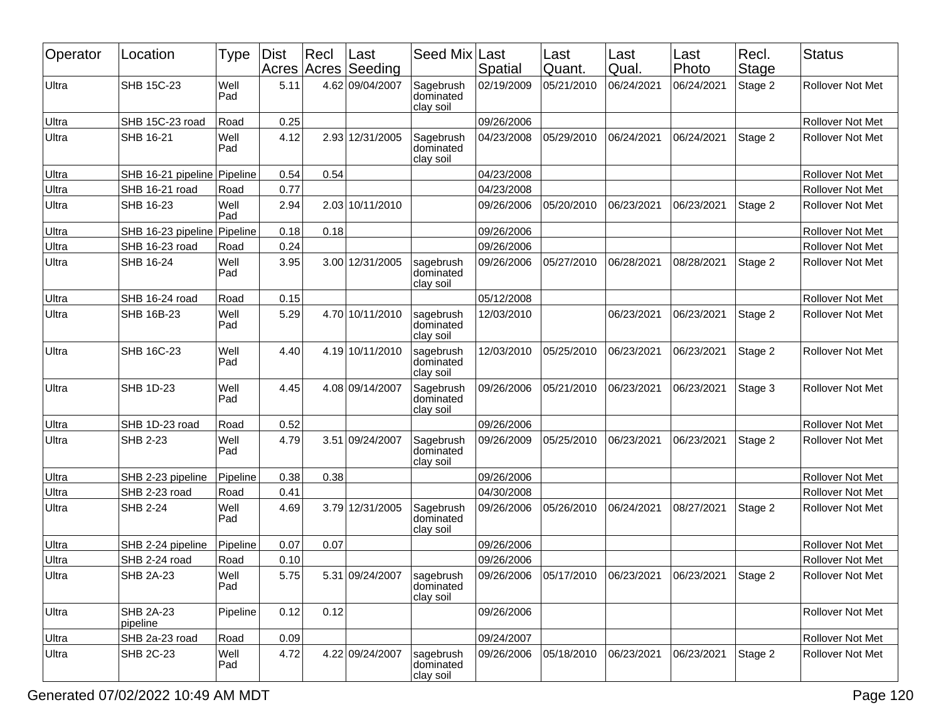| Operator | Location                     | Type        | <b>Dist</b> | Recl<br>Acres Acres | Last<br>Seeding | Seed Mix                            | Last<br>Spatial | Last<br>Quant.                                      | Last<br>Qual. | Last<br>Photo | Recl.<br>Stage | <b>Status</b>           |
|----------|------------------------------|-------------|-------------|---------------------|-----------------|-------------------------------------|-----------------|-----------------------------------------------------|---------------|---------------|----------------|-------------------------|
| Ultra    | SHB 15C-23                   | Well<br>Pad | 5.11        |                     | 4.62 09/04/2007 | Sagebrush<br>dominated<br>clay soil | 02/19/2009      | 05/21/2010                                          | 06/24/2021    | 06/24/2021    | Stage 2        | <b>Rollover Not Met</b> |
| Ultra    | SHB 15C-23 road              | Road        | 0.25        |                     |                 |                                     | 09/26/2006      |                                                     |               |               |                | <b>Rollover Not Met</b> |
| Ultra    | SHB 16-21                    | Well<br>Pad | 4.12        |                     | 2.93 12/31/2005 | Sagebrush<br>dominated<br>clay soil | 04/23/2008      | 05/29/2010                                          | 06/24/2021    | 06/24/2021    | Stage 2        | Rollover Not Met        |
| Ultra    | SHB 16-21 pipeline           | Pipeline    | 0.54        | 0.54                |                 |                                     | 04/23/2008      |                                                     |               |               |                | Rollover Not Met        |
| Ultra    | SHB 16-21 road               | Road        | 0.77        |                     |                 |                                     | 04/23/2008      |                                                     |               |               |                | Rollover Not Met        |
| Ultra    | SHB 16-23                    | Well<br>Pad | 2.94        |                     | 2.03 10/11/2010 |                                     | 09/26/2006      | 05/20/2010                                          | 06/23/2021    | 06/23/2021    | Stage 2        | <b>Rollover Not Met</b> |
| Ultra    | SHB 16-23 pipeline           | Pipeline    | 0.18        | 0.18                |                 |                                     | 09/26/2006      |                                                     |               |               |                | Rollover Not Met        |
| Ultra    | SHB 16-23 road               | Road        | 0.24        |                     |                 |                                     | 09/26/2006      |                                                     |               |               |                | Rollover Not Met        |
| Ultra    | SHB 16-24                    | Well<br>Pad | 3.95        |                     | 3.00 12/31/2005 | sagebrush<br>dominated<br>clay soil | 09/26/2006      | 05/27/2010                                          | 06/28/2021    | 08/28/2021    | Stage 2        | <b>Rollover Not Met</b> |
| Ultra    | SHB 16-24 road               | Road        | 0.15        |                     |                 |                                     | 05/12/2008      |                                                     |               |               |                | <b>Rollover Not Met</b> |
| Ultra    | SHB 16B-23                   | Well<br>Pad | 5.29        |                     | 4.70 10/11/2010 | sagebrush<br>dominated<br>clay soil | 12/03/2010      |                                                     | 06/23/2021    | 06/23/2021    | Stage 2        | <b>Rollover Not Met</b> |
| Ultra    | SHB 16C-23                   | Well<br>Pad | 4.40        |                     | 4.19 10/11/2010 | sagebrush<br>dominated<br>clay soil | 12/03/2010      | 05/25/2010                                          | 06/23/2021    | 06/23/2021    | Stage 2        | <b>Rollover Not Met</b> |
| Ultra    | <b>SHB 1D-23</b>             | Well<br>Pad | 4.45        |                     | 4.08 09/14/2007 | Sagebrush<br>dominated<br>clay soil | 09/26/2006      | 05/21/2010                                          | 06/23/2021    | 06/23/2021    | Stage 3        | <b>Rollover Not Met</b> |
| Ultra    | SHB 1D-23 road               | Road        | 0.52        |                     |                 |                                     | 09/26/2006      |                                                     |               |               |                | Rollover Not Met        |
| Ultra    | SHB 2-23                     | Well<br>Pad | 4.79        |                     | 3.51 09/24/2007 | Sagebrush<br>dominated<br>clay soil | 09/26/2009      | 05/25/2010                                          | 06/23/2021    | 06/23/2021    | Stage 2        | <b>Rollover Not Met</b> |
| Ultra    | SHB 2-23 pipeline            | Pipeline    | 0.38        | 0.38                |                 |                                     | 09/26/2006      |                                                     |               |               |                | Rollover Not Met        |
| Ultra    | SHB 2-23 road                | Road        | 0.41        |                     |                 |                                     | 04/30/2008      |                                                     |               |               |                | Rollover Not Met        |
| Ultra    | <b>SHB 2-24</b>              | Well<br>Pad | 4.69        |                     | 3.79 12/31/2005 | Sagebrush<br>dominated<br>clay soil | 09/26/2006      | 05/26/2010                                          | 06/24/2021    | 08/27/2021    | Stage 2        | Rollover Not Met        |
| Ultra    | SHB 2-24 pipeline            | Pipeline    | 0.07        | 0.07                |                 |                                     | 09/26/2006      |                                                     |               |               |                | Rollover Not Met        |
| Ultra    | SHB 2-24 road                | Road        | 0.10        |                     |                 |                                     | 09/26/2006      |                                                     |               |               |                | Rollover Not Met        |
| Ultra    | <b>SHB 2A-23</b>             | Well<br>Pad | 5.75        |                     | 5.31 09/24/2007 | sagebrush<br>dominated<br>clay soil |                 | 09/26/2006 05/17/2010 06/23/2021 06/23/2021 Stage 2 |               |               |                | Rollover Not Met        |
| Ultra    | <b>SHB 2A-23</b><br>pipeline | Pipeline    | 0.12        | 0.12                |                 |                                     | 09/26/2006      |                                                     |               |               |                | Rollover Not Met        |
| Ultra    | SHB 2a-23 road               | Road        | 0.09        |                     |                 |                                     | 09/24/2007      |                                                     |               |               |                | Rollover Not Met        |
| Ultra    | <b>SHB 2C-23</b>             | Well<br>Pad | 4.72        |                     | 4.22 09/24/2007 | sagebrush<br>dominated<br>clay soil | 09/26/2006      | 05/18/2010                                          | 06/23/2021    | 06/23/2021    | Stage 2        | Rollover Not Met        |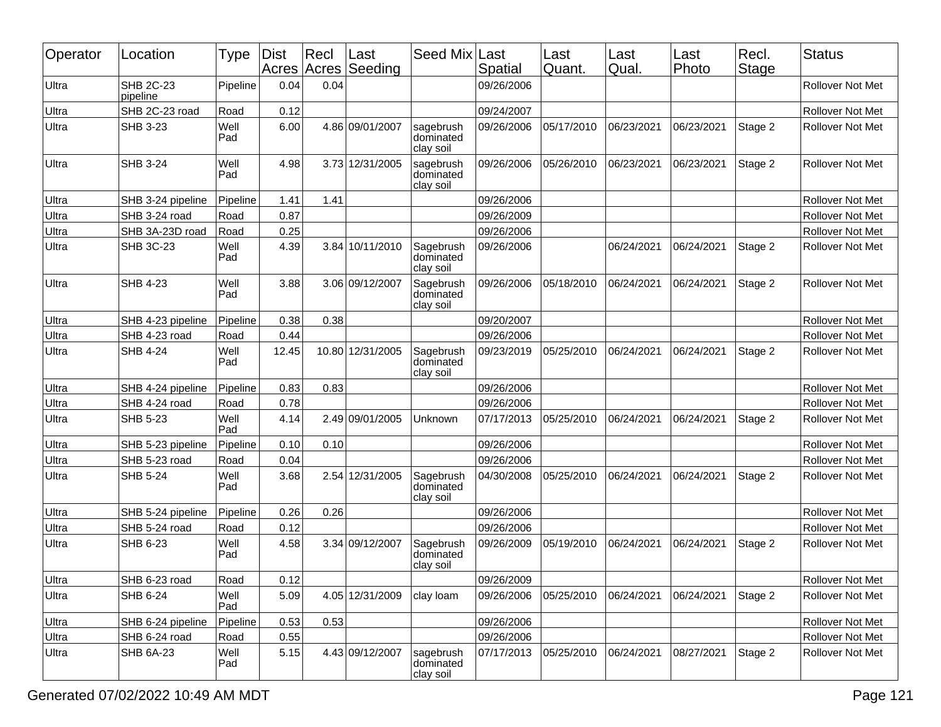| Operator | Location                     | Type        | <b>Dist</b> | Rec <br>Acres Acres | Last<br>Seeding  | Seed Mix                            | Last<br>Spatial | Last<br>Quant. | Last<br>Qual. | Last<br>Photo | Recl.<br>Stage | <b>Status</b>           |
|----------|------------------------------|-------------|-------------|---------------------|------------------|-------------------------------------|-----------------|----------------|---------------|---------------|----------------|-------------------------|
| Ultra    | <b>SHB 2C-23</b><br>pipeline | Pipeline    | 0.04        | 0.04                |                  |                                     | 09/26/2006      |                |               |               |                | <b>Rollover Not Met</b> |
| Ultra    | SHB 2C-23 road               | Road        | 0.12        |                     |                  |                                     | 09/24/2007      |                |               |               |                | Rollover Not Met        |
| Ultra    | <b>SHB 3-23</b>              | Well<br>Pad | 6.00        |                     | 4.86 09/01/2007  | sagebrush<br>dominated<br>clay soil | 09/26/2006      | 05/17/2010     | 06/23/2021    | 06/23/2021    | Stage 2        | Rollover Not Met        |
| Ultra    | <b>SHB 3-24</b>              | Well<br>Pad | 4.98        |                     | 3.73 12/31/2005  | sagebrush<br>dominated<br>clay soil | 09/26/2006      | 05/26/2010     | 06/23/2021    | 06/23/2021    | Stage 2        | Rollover Not Met        |
| Ultra    | SHB 3-24 pipeline            | Pipeline    | 1.41        | 1.41                |                  |                                     | 09/26/2006      |                |               |               |                | <b>Rollover Not Met</b> |
| Ultra    | SHB 3-24 road                | Road        | 0.87        |                     |                  |                                     | 09/26/2009      |                |               |               |                | Rollover Not Met        |
| Ultra    | SHB 3A-23D road              | Road        | 0.25        |                     |                  |                                     | 09/26/2006      |                |               |               |                | Rollover Not Met        |
| Ultra    | <b>SHB 3C-23</b>             | Well<br>Pad | 4.39        |                     | 3.84 10/11/2010  | Sagebrush<br>dominated<br>clay soil | 09/26/2006      |                | 06/24/2021    | 06/24/2021    | Stage 2        | Rollover Not Met        |
| Ultra    | <b>SHB 4-23</b>              | Well<br>Pad | 3.88        |                     | 3.06 09/12/2007  | Sagebrush<br>dominated<br>clay soil | 09/26/2006      | 05/18/2010     | 06/24/2021    | 06/24/2021    | Stage 2        | Rollover Not Met        |
| Ultra    | SHB 4-23 pipeline            | Pipeline    | 0.38        | 0.38                |                  |                                     | 09/20/2007      |                |               |               |                | Rollover Not Met        |
| Ultra    | SHB 4-23 road                | Road        | 0.44        |                     |                  |                                     | 09/26/2006      |                |               |               |                | Rollover Not Met        |
| Ultra    | SHB 4-24                     | Well<br>Pad | 12.45       |                     | 10.80 12/31/2005 | Sagebrush<br>dominated<br>clay soil | 09/23/2019      | 05/25/2010     | 06/24/2021    | 06/24/2021    | Stage 2        | <b>Rollover Not Met</b> |
| Ultra    | SHB 4-24 pipeline            | Pipeline    | 0.83        | 0.83                |                  |                                     | 09/26/2006      |                |               |               |                | Rollover Not Met        |
| Ultra    | SHB 4-24 road                | Road        | 0.78        |                     |                  |                                     | 09/26/2006      |                |               |               |                | Rollover Not Met        |
| Ultra    | <b>SHB 5-23</b>              | Well<br>Pad | 4.14        |                     | 2.49 09/01/2005  | Unknown                             | 07/17/2013      | 05/25/2010     | 06/24/2021    | 06/24/2021    | Stage 2        | Rollover Not Met        |
| Ultra    | SHB 5-23 pipeline            | Pipeline    | 0.10        | 0.10                |                  |                                     | 09/26/2006      |                |               |               |                | Rollover Not Met        |
| Ultra    | SHB 5-23 road                | Road        | 0.04        |                     |                  |                                     | 09/26/2006      |                |               |               |                | Rollover Not Met        |
| Ultra    | <b>SHB 5-24</b>              | Well<br>Pad | 3.68        |                     | 2.54 12/31/2005  | Sagebrush<br>dominated<br>clay soil | 04/30/2008      | 05/25/2010     | 06/24/2021    | 06/24/2021    | Stage 2        | Rollover Not Met        |
| Ultra    | SHB 5-24 pipeline            | Pipeline    | 0.26        | 0.26                |                  |                                     | 09/26/2006      |                |               |               |                | Rollover Not Met        |
| Ultra    | SHB 5-24 road                | Road        | 0.12        |                     |                  |                                     | 09/26/2006      |                |               |               |                | Rollover Not Met        |
| Ultra    | SHB 6-23                     | Well<br>Pad | 4.58        |                     | 3.34 09/12/2007  | Sagebrush<br>dominated<br>clay soil | 09/26/2009      | 05/19/2010     | 06/24/2021    | 06/24/2021    | Stage 2        | Rollover Not Met        |
| Ultra    | SHB 6-23 road                | Road        | 0.12        |                     |                  |                                     | 09/26/2009      |                |               |               |                | Rollover Not Met        |
| Ultra    | SHB 6-24                     | Well<br>Pad | 5.09        |                     | 4.05 12/31/2009  | clay loam                           | 09/26/2006      | 05/25/2010     | 06/24/2021    | 06/24/2021    | Stage 2        | Rollover Not Met        |
| Ultra    | SHB 6-24 pipeline            | Pipeline    | 0.53        | 0.53                |                  |                                     | 09/26/2006      |                |               |               |                | Rollover Not Met        |
| Ultra    | SHB 6-24 road                | Road        | 0.55        |                     |                  |                                     | 09/26/2006      |                |               |               |                | Rollover Not Met        |
| Ultra    | <b>SHB 6A-23</b>             | Well<br>Pad | 5.15        |                     | 4.43 09/12/2007  | sagebrush<br>dominated<br>clay soil | 07/17/2013      | 05/25/2010     | 06/24/2021    | 08/27/2021    | Stage 2        | Rollover Not Met        |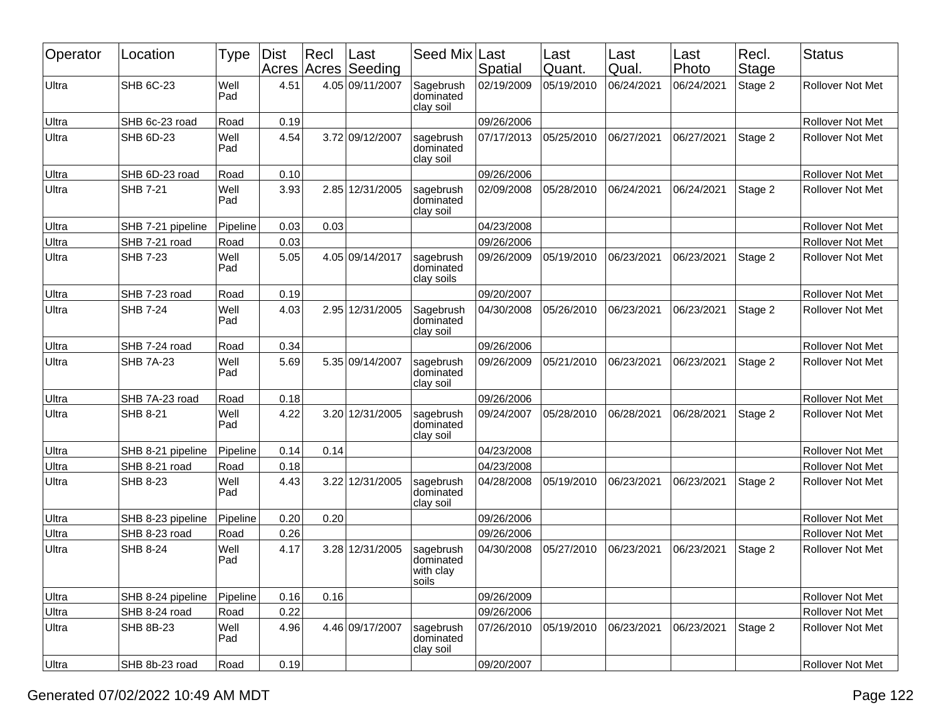| Operator | Location          | <b>Type</b> | Dist<br>Acres | $ $ Recl<br>Acres | ∣Last<br>Seeding | Seed Mix                                     | Last<br>Spatial | Last<br>Quant. | Last<br>Qual. | Last<br>Photo | Recl.<br>Stage | <b>Status</b>           |
|----------|-------------------|-------------|---------------|-------------------|------------------|----------------------------------------------|-----------------|----------------|---------------|---------------|----------------|-------------------------|
| Ultra    | <b>SHB 6C-23</b>  | Well<br>Pad | 4.51          |                   | 4.05 09/11/2007  | Sagebrush<br>dominated<br>clay soil          | 02/19/2009      | 05/19/2010     | 06/24/2021    | 06/24/2021    | Stage 2        | <b>Rollover Not Met</b> |
| Ultra    | SHB 6c-23 road    | Road        | 0.19          |                   |                  |                                              | 09/26/2006      |                |               |               |                | <b>Rollover Not Met</b> |
| Ultra    | <b>SHB 6D-23</b>  | Well<br>Pad | 4.54          |                   | 3.72 09/12/2007  | sagebrush<br>dominated<br>clay soil          | 07/17/2013      | 05/25/2010     | 06/27/2021    | 06/27/2021    | Stage 2        | <b>Rollover Not Met</b> |
| Ultra    | SHB 6D-23 road    | Road        | 0.10          |                   |                  |                                              | 09/26/2006      |                |               |               |                | Rollover Not Met        |
| Ultra    | <b>SHB 7-21</b>   | Well<br>Pad | 3.93          |                   | 2.85 12/31/2005  | sagebrush<br>dominated<br>clay soil          | 02/09/2008      | 05/28/2010     | 06/24/2021    | 06/24/2021    | Stage 2        | <b>Rollover Not Met</b> |
| Ultra    | SHB 7-21 pipeline | Pipeline    | 0.03          | 0.03              |                  |                                              | 04/23/2008      |                |               |               |                | <b>Rollover Not Met</b> |
| Ultra    | SHB 7-21 road     | Road        | 0.03          |                   |                  |                                              | 09/26/2006      |                |               |               |                | <b>Rollover Not Met</b> |
| Ultra    | <b>SHB 7-23</b>   | Well<br>Pad | 5.05          |                   | 4.05 09/14/2017  | sagebrush<br>dominated<br>clay soils         | 09/26/2009      | 05/19/2010     | 06/23/2021    | 06/23/2021    | Stage 2        | Rollover Not Met        |
| Ultra    | SHB 7-23 road     | Road        | 0.19          |                   |                  |                                              | 09/20/2007      |                |               |               |                | <b>Rollover Not Met</b> |
| Ultra    | <b>SHB 7-24</b>   | Well<br>Pad | 4.03          |                   | 2.95 12/31/2005  | Sagebrush<br>dominated<br>clay soil          | 04/30/2008      | 05/26/2010     | 06/23/2021    | 06/23/2021    | Stage 2        | Rollover Not Met        |
| Ultra    | SHB 7-24 road     | Road        | 0.34          |                   |                  |                                              | 09/26/2006      |                |               |               |                | Rollover Not Met        |
| Ultra    | <b>SHB 7A-23</b>  | Well<br>Pad | 5.69          |                   | 5.35 09/14/2007  | sagebrush<br>dominated<br>clay soil          | 09/26/2009      | 05/21/2010     | 06/23/2021    | 06/23/2021    | Stage 2        | Rollover Not Met        |
| Ultra    | SHB 7A-23 road    | Road        | 0.18          |                   |                  |                                              | 09/26/2006      |                |               |               |                | <b>Rollover Not Met</b> |
| Ultra    | <b>SHB 8-21</b>   | Well<br>Pad | 4.22          |                   | 3.20 12/31/2005  | sagebrush<br>dominated<br>clay soil          | 09/24/2007      | 05/28/2010     | 06/28/2021    | 06/28/2021    | Stage 2        | <b>Rollover Not Met</b> |
| Ultra    | SHB 8-21 pipeline | Pipeline    | 0.14          | 0.14              |                  |                                              | 04/23/2008      |                |               |               |                | Rollover Not Met        |
| Ultra    | SHB 8-21 road     | Road        | 0.18          |                   |                  |                                              | 04/23/2008      |                |               |               |                | Rollover Not Met        |
| Ultra    | SHB 8-23          | Well<br>Pad | 4.43          |                   | 3.22 12/31/2005  | sagebrush<br>dominated<br>clay soil          | 04/28/2008      | 05/19/2010     | 06/23/2021    | 06/23/2021    | Stage 2        | Rollover Not Met        |
| Ultra    | SHB 8-23 pipeline | Pipeline    | 0.20          | 0.20              |                  |                                              | 09/26/2006      |                |               |               |                | Rollover Not Met        |
| Ultra    | SHB 8-23 road     | Road        | 0.26          |                   |                  |                                              | 09/26/2006      |                |               |               |                | <b>Rollover Not Met</b> |
| Ultra    | SHB 8-24          | Well<br>Pad | 4.17          |                   | 3.28 12/31/2005  | sagebrush<br>dominated<br>with clay<br>soils | 04/30/2008      | 05/27/2010     | 06/23/2021    | 06/23/2021    | Stage 2        | Rollover Not Met        |
| Ultra    | SHB 8-24 pipeline | Pipeline    | 0.16          | 0.16              |                  |                                              | 09/26/2009      |                |               |               |                | Rollover Not Met        |
| Ultra    | SHB 8-24 road     | Road        | 0.22          |                   |                  |                                              | 09/26/2006      |                |               |               |                | Rollover Not Met        |
| Ultra    | <b>SHB 8B-23</b>  | Well<br>Pad | 4.96          |                   | 4.46 09/17/2007  | sagebrush<br>dominated<br>clay soil          | 07/26/2010      | 05/19/2010     | 06/23/2021    | 06/23/2021    | Stage 2        | Rollover Not Met        |
| Ultra    | SHB 8b-23 road    | Road        | 0.19          |                   |                  |                                              | 09/20/2007      |                |               |               |                | Rollover Not Met        |